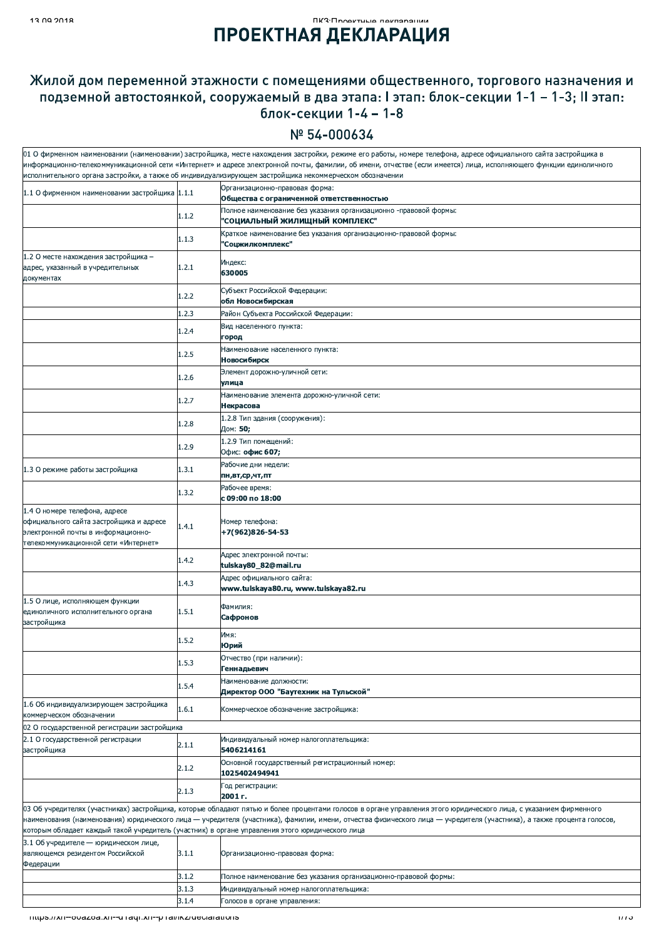## *<u>ILLO</u>* UNUSTRIA DEL TARROLLININ **ПРОЕКТНАЯ ДЕКЛАРАЦИЯ**

## Жилой дом переменной этажности с помещениями общественного, торгового назначения и подземной автостоянкой, сооружаемый в два этапа: I этап: блок-секции 1-1 - 1-3; II этап: блок-секции 1-4 - 1-8

## Nº 54-000634

|                                                                                                                                                                   |       | 01 О фирменном наименовании (наименовании) застройщика, месте нахождения застройки, режиме его работы, номере телефона, адресе официального сайта застройщика в       |  |  |
|-------------------------------------------------------------------------------------------------------------------------------------------------------------------|-------|-----------------------------------------------------------------------------------------------------------------------------------------------------------------------|--|--|
| информационно-телекоммуникационной сети «Интернет» и адресе электронной почты, фамилии, об имени, отчестве (если имеется) лица, исполняющего функции единоличного |       |                                                                                                                                                                       |  |  |
| исполнительного органа застройки, а также об индивидуализирующем застройщика некоммерческом обозначении                                                           |       |                                                                                                                                                                       |  |  |
| 1.1 О фирменном наименовании застройщика 1.1.1                                                                                                                    |       | Организационно-правовая форма:<br>Общества с ограниченной ответственностью                                                                                            |  |  |
|                                                                                                                                                                   | 1.1.2 | Полное наименование без указания организационно -правовой формы:<br>"СОЦИАЛЬНЫЙ ЖИЛИЩНЫЙ КОМПЛЕКС"                                                                    |  |  |
|                                                                                                                                                                   | 1.1.3 | Краткое наименование без указания организационно-правовой формы:<br>'Соцжилкомплекс"                                                                                  |  |  |
| 1.2 О месте нахождения застройщика -                                                                                                                              |       |                                                                                                                                                                       |  |  |
| адрес, указанный в учредительных<br>документах                                                                                                                    | 1.2.1 | Индекс:<br>630005                                                                                                                                                     |  |  |
|                                                                                                                                                                   | 1.2.2 | Субъект Российской Федерации:<br>обл Новосибирская                                                                                                                    |  |  |
|                                                                                                                                                                   | 1.2.3 | Район Субъекта Российской Федерации:                                                                                                                                  |  |  |
|                                                                                                                                                                   | 1.2.4 | Вид населенного пункта:<br>город                                                                                                                                      |  |  |
|                                                                                                                                                                   | 1.2.5 | Наименование населенного пункта:                                                                                                                                      |  |  |
|                                                                                                                                                                   | 1.2.6 | <b>Новосибирск</b><br>Элемент дорожно-уличной сети:                                                                                                                   |  |  |
|                                                                                                                                                                   | 1.2.7 | улица<br>Наименование элемента дорожно-уличной сети:                                                                                                                  |  |  |
|                                                                                                                                                                   |       | Некрасова<br>1.2.8 Тип здания (сооружения):                                                                                                                           |  |  |
|                                                                                                                                                                   | 1.2.8 | Дом: 50;                                                                                                                                                              |  |  |
|                                                                                                                                                                   | 1.2.9 | 1.2.9 Тип помещений:<br>Офис: офис 607;                                                                                                                               |  |  |
| 1.3 О режиме работы застройщика                                                                                                                                   | 1.3.1 | Рабочие дни недели:<br>пн,вт,ср,чт,пт                                                                                                                                 |  |  |
|                                                                                                                                                                   |       | Рабочее время:                                                                                                                                                        |  |  |
|                                                                                                                                                                   | 1.3.2 | с 09:00 по 18:00                                                                                                                                                      |  |  |
| 1.4 О номере телефона, адресе<br>официального сайта застройщика и адресе<br>электронной почты в информационно-<br>телекоммуникационной сети «Интернет»            | 1.4.1 | Номер телефона:<br>+7(962)826-54-53                                                                                                                                   |  |  |
|                                                                                                                                                                   | 1.4.2 | Адрес электронной почты:<br>tulskay80_82@mail.ru                                                                                                                      |  |  |
|                                                                                                                                                                   | 1.4.3 | Адрес официального сайта:<br>www.tulskaya80.ru, www.tulskaya82.ru                                                                                                     |  |  |
| 1.5 О лице, исполняющем функции<br>единоличного исполнительного органа<br>застройщика                                                                             | 1.5.1 | Фамилия:<br>Сафронов                                                                                                                                                  |  |  |
|                                                                                                                                                                   | 1.5.2 | Имя:<br><b>Юрий</b>                                                                                                                                                   |  |  |
|                                                                                                                                                                   | 1.5.3 | Отчество (при наличии):<br>Геннадьевич                                                                                                                                |  |  |
|                                                                                                                                                                   | 1.5.4 | Наименование должности:<br>Директор ООО "Баутехник на Тульской"                                                                                                       |  |  |
| 1.6 Об индивидуализирующем застройщика                                                                                                                            | 1.6.1 | Коммерческое обозначение застройщика:                                                                                                                                 |  |  |
| коммерческом обозначении                                                                                                                                          |       |                                                                                                                                                                       |  |  |
| 02 О государственной регистрации застройщика                                                                                                                      |       |                                                                                                                                                                       |  |  |
| 2.1 О государственной регистрации<br>застройщика                                                                                                                  | 2.1.1 | Индивидуальный номер налогоплательщика:<br>5406214161                                                                                                                 |  |  |
|                                                                                                                                                                   | 2.1.2 | Основной государственный регистрационный номер:<br>1025402494941                                                                                                      |  |  |
|                                                                                                                                                                   | 2.1.3 | Год регистрации:<br>2001 г.                                                                                                                                           |  |  |
|                                                                                                                                                                   |       | 03 Об учредителях (участниках) застройщика, которые обладают пятью и более процентами голосов в органе управления этого юридического лица, с указанием фирменного     |  |  |
| которым обладает каждый такой учредитель (участник) в органе управления этого юридического лица                                                                   |       | наименования (наименования) юридического лица — учредителя (участника), фамилии, имени, отчества физического лица — учредителя (участника), а также процента голосов, |  |  |
| 3.1 Об учредителе - юридическом лице,<br>являющемся резидентом Российской<br>Федерации                                                                            | 3.1.1 | Организационно-правовая форма:                                                                                                                                        |  |  |
|                                                                                                                                                                   | 3.1.2 | Полное наименование без указания организационно-правовой формы:                                                                                                       |  |  |
|                                                                                                                                                                   | 3.1.3 | Индивидуальный номер налогоплательщика:                                                                                                                               |  |  |
|                                                                                                                                                                   | 3.1.4 | Голосов в органе управления:                                                                                                                                          |  |  |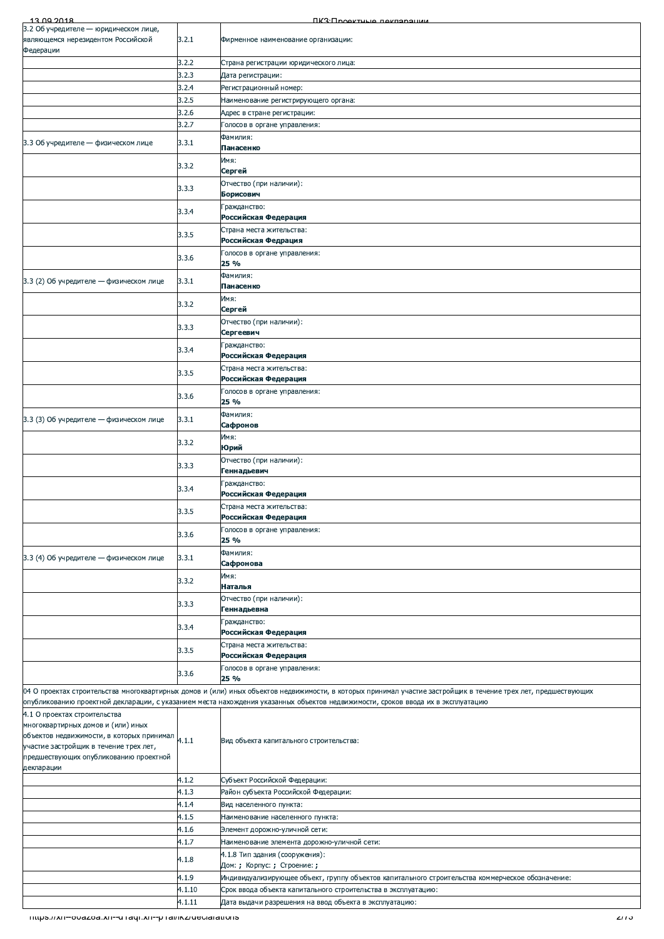| 3.2.1<br>Фирменное наименование организации:<br>3.2.2<br>Страна регистрации юридического лица:<br>3.2.3<br>Дата регистрации:<br>3.2.4<br>Регистрационный номер:<br>3.2.5<br>Наименование регистрирующего органа:<br>3.2.6<br>Адрес в стране регистрации:<br>3.2.7<br>Голосов в органе управления:<br>Фамилия:<br>3.3 Об учредителе - физическом лице<br>3.3.1<br>Панасенко<br>Имя:<br>3.3.2<br>Сергей<br>Отчество (при наличии):<br>3.3.3<br>Борисович<br>Гражданство:<br>3.3.4<br>Российская Федерация<br>Страна места жительства:<br>3.3.5<br>Российская Федрация<br>Голосов в органе управления:<br>3.3.6<br>25 %<br>Фамилия:<br>3.3.1<br>Панасенко<br>Имя:<br>3.3.2<br>Сергей<br>Отчество (при наличии):<br>3.3.3<br>Сергеевич<br>Гражданство:<br>3.3.4<br>Российская Федерация<br>Страна места жительства:<br>3.3.5<br>Российская Федерация<br>Голосов в органе управления:<br>3.3.6<br>25 %<br>Фамилия:<br>3.3.1<br>Сафронов<br>Имя:<br>3.3.2<br>Юрий<br>Отчество (при наличии):<br>3.3.3<br>Геннадьевич<br>Гражданство:<br>3.3.4<br>Российская Федерация<br>Страна места жительства:<br>3.3.5<br>Российская Федерация<br>Голосов в органе управления:<br>3.3.6<br>25 %<br>Фамилия:<br>3.3.1<br>3.3 (4) Об учредителе - физическом лице<br>Сафронова<br>Имя:<br>3.3.2<br>Наталья<br>Отчество (при наличии):<br>3.3.3<br>Геннадьевна<br>Гражданство:<br>3.3.4<br>Российская Федерация<br>Страна места жительства:<br>3.3.5<br>Российская Федерация<br>Голосов в органе управления:<br>3.3.6<br>25 %<br>04 О проектах строительства многоквартирных домов и (или) иных объектов недвижимости, в которых принимал участие застройщик в течение трех лет, предшествующих<br>опубликованию проектной декларации, с указанием места нахождения указанных объектов недвижимости, сроков ввода их в эксплуатацию<br>4.1 О проектах строительства<br>многоквартирных домов и (или) иных<br>объектов недвижимости, в которых принимал 4.1.1<br>Вид объекта капитального строительства:<br>участие застройщик в течение трех лет,<br>предшествующих опубликованию проектной<br>4.1.2<br>Субъект Российской Федерации:<br>4.1.3<br>Район субъекта Российской Федерации:<br>4.1.4<br>Вид населенного пункта:<br>4.1.5<br>Наименование населенного пункта:<br>4.1.6<br>Элемент дорожно-уличной сети:<br>4.1.7<br>Наименование элемента дорожно-уличной сети:<br>4.1.8 Тип здания (сооружения):<br>4.1.8<br>Дом: ; Корпус: ; Строение: ;<br>4.1.9<br>Индивидуализирующее объект, группу объектов капитального строительства коммерческое обозначение:<br>4.1.10<br>Срок ввода объекта капитального строительства в эксплуатацию:<br>4.1.11<br>Дата выдачи разрешения на ввод объекта в эксплуатацию:<br>Thttps://xn--ouazoa.xn--u rayi.xn--p rai/ikz/declarations<br>د 1 اک | 13.00.2018                              | <b><i><u>IK3: Проектные пекларации</u></i></b> |  |
|--------------------------------------------------------------------------------------------------------------------------------------------------------------------------------------------------------------------------------------------------------------------------------------------------------------------------------------------------------------------------------------------------------------------------------------------------------------------------------------------------------------------------------------------------------------------------------------------------------------------------------------------------------------------------------------------------------------------------------------------------------------------------------------------------------------------------------------------------------------------------------------------------------------------------------------------------------------------------------------------------------------------------------------------------------------------------------------------------------------------------------------------------------------------------------------------------------------------------------------------------------------------------------------------------------------------------------------------------------------------------------------------------------------------------------------------------------------------------------------------------------------------------------------------------------------------------------------------------------------------------------------------------------------------------------------------------------------------------------------------------------------------------------------------------------------------------------------------------------------------------------------------------------------------------------------------------------------------------------------------------------------------------------------------------------------------------------------------------------------------------------------------------------------------------------------------------------------------------------------------------------------------------------------------------------------------------------------------------------------------------------------------------------------------------------------------------------------------------------------------------------------------------------------------------------------------------------------------------------------------------------------------------------------------------------------------------------------------------------------------------------------------|-----------------------------------------|------------------------------------------------|--|
|                                                                                                                                                                                                                                                                                                                                                                                                                                                                                                                                                                                                                                                                                                                                                                                                                                                                                                                                                                                                                                                                                                                                                                                                                                                                                                                                                                                                                                                                                                                                                                                                                                                                                                                                                                                                                                                                                                                                                                                                                                                                                                                                                                                                                                                                                                                                                                                                                                                                                                                                                                                                                                                                                                                                                                    | 3.2 Об учредителе - юридическом лице,   |                                                |  |
|                                                                                                                                                                                                                                                                                                                                                                                                                                                                                                                                                                                                                                                                                                                                                                                                                                                                                                                                                                                                                                                                                                                                                                                                                                                                                                                                                                                                                                                                                                                                                                                                                                                                                                                                                                                                                                                                                                                                                                                                                                                                                                                                                                                                                                                                                                                                                                                                                                                                                                                                                                                                                                                                                                                                                                    | являющемся нерезидентом Российской      |                                                |  |
|                                                                                                                                                                                                                                                                                                                                                                                                                                                                                                                                                                                                                                                                                                                                                                                                                                                                                                                                                                                                                                                                                                                                                                                                                                                                                                                                                                                                                                                                                                                                                                                                                                                                                                                                                                                                                                                                                                                                                                                                                                                                                                                                                                                                                                                                                                                                                                                                                                                                                                                                                                                                                                                                                                                                                                    | Федерации                               |                                                |  |
|                                                                                                                                                                                                                                                                                                                                                                                                                                                                                                                                                                                                                                                                                                                                                                                                                                                                                                                                                                                                                                                                                                                                                                                                                                                                                                                                                                                                                                                                                                                                                                                                                                                                                                                                                                                                                                                                                                                                                                                                                                                                                                                                                                                                                                                                                                                                                                                                                                                                                                                                                                                                                                                                                                                                                                    |                                         |                                                |  |
|                                                                                                                                                                                                                                                                                                                                                                                                                                                                                                                                                                                                                                                                                                                                                                                                                                                                                                                                                                                                                                                                                                                                                                                                                                                                                                                                                                                                                                                                                                                                                                                                                                                                                                                                                                                                                                                                                                                                                                                                                                                                                                                                                                                                                                                                                                                                                                                                                                                                                                                                                                                                                                                                                                                                                                    |                                         |                                                |  |
|                                                                                                                                                                                                                                                                                                                                                                                                                                                                                                                                                                                                                                                                                                                                                                                                                                                                                                                                                                                                                                                                                                                                                                                                                                                                                                                                                                                                                                                                                                                                                                                                                                                                                                                                                                                                                                                                                                                                                                                                                                                                                                                                                                                                                                                                                                                                                                                                                                                                                                                                                                                                                                                                                                                                                                    |                                         |                                                |  |
|                                                                                                                                                                                                                                                                                                                                                                                                                                                                                                                                                                                                                                                                                                                                                                                                                                                                                                                                                                                                                                                                                                                                                                                                                                                                                                                                                                                                                                                                                                                                                                                                                                                                                                                                                                                                                                                                                                                                                                                                                                                                                                                                                                                                                                                                                                                                                                                                                                                                                                                                                                                                                                                                                                                                                                    |                                         |                                                |  |
|                                                                                                                                                                                                                                                                                                                                                                                                                                                                                                                                                                                                                                                                                                                                                                                                                                                                                                                                                                                                                                                                                                                                                                                                                                                                                                                                                                                                                                                                                                                                                                                                                                                                                                                                                                                                                                                                                                                                                                                                                                                                                                                                                                                                                                                                                                                                                                                                                                                                                                                                                                                                                                                                                                                                                                    |                                         |                                                |  |
|                                                                                                                                                                                                                                                                                                                                                                                                                                                                                                                                                                                                                                                                                                                                                                                                                                                                                                                                                                                                                                                                                                                                                                                                                                                                                                                                                                                                                                                                                                                                                                                                                                                                                                                                                                                                                                                                                                                                                                                                                                                                                                                                                                                                                                                                                                                                                                                                                                                                                                                                                                                                                                                                                                                                                                    |                                         |                                                |  |
|                                                                                                                                                                                                                                                                                                                                                                                                                                                                                                                                                                                                                                                                                                                                                                                                                                                                                                                                                                                                                                                                                                                                                                                                                                                                                                                                                                                                                                                                                                                                                                                                                                                                                                                                                                                                                                                                                                                                                                                                                                                                                                                                                                                                                                                                                                                                                                                                                                                                                                                                                                                                                                                                                                                                                                    |                                         |                                                |  |
|                                                                                                                                                                                                                                                                                                                                                                                                                                                                                                                                                                                                                                                                                                                                                                                                                                                                                                                                                                                                                                                                                                                                                                                                                                                                                                                                                                                                                                                                                                                                                                                                                                                                                                                                                                                                                                                                                                                                                                                                                                                                                                                                                                                                                                                                                                                                                                                                                                                                                                                                                                                                                                                                                                                                                                    |                                         |                                                |  |
|                                                                                                                                                                                                                                                                                                                                                                                                                                                                                                                                                                                                                                                                                                                                                                                                                                                                                                                                                                                                                                                                                                                                                                                                                                                                                                                                                                                                                                                                                                                                                                                                                                                                                                                                                                                                                                                                                                                                                                                                                                                                                                                                                                                                                                                                                                                                                                                                                                                                                                                                                                                                                                                                                                                                                                    |                                         |                                                |  |
|                                                                                                                                                                                                                                                                                                                                                                                                                                                                                                                                                                                                                                                                                                                                                                                                                                                                                                                                                                                                                                                                                                                                                                                                                                                                                                                                                                                                                                                                                                                                                                                                                                                                                                                                                                                                                                                                                                                                                                                                                                                                                                                                                                                                                                                                                                                                                                                                                                                                                                                                                                                                                                                                                                                                                                    |                                         |                                                |  |
|                                                                                                                                                                                                                                                                                                                                                                                                                                                                                                                                                                                                                                                                                                                                                                                                                                                                                                                                                                                                                                                                                                                                                                                                                                                                                                                                                                                                                                                                                                                                                                                                                                                                                                                                                                                                                                                                                                                                                                                                                                                                                                                                                                                                                                                                                                                                                                                                                                                                                                                                                                                                                                                                                                                                                                    |                                         |                                                |  |
|                                                                                                                                                                                                                                                                                                                                                                                                                                                                                                                                                                                                                                                                                                                                                                                                                                                                                                                                                                                                                                                                                                                                                                                                                                                                                                                                                                                                                                                                                                                                                                                                                                                                                                                                                                                                                                                                                                                                                                                                                                                                                                                                                                                                                                                                                                                                                                                                                                                                                                                                                                                                                                                                                                                                                                    |                                         |                                                |  |
|                                                                                                                                                                                                                                                                                                                                                                                                                                                                                                                                                                                                                                                                                                                                                                                                                                                                                                                                                                                                                                                                                                                                                                                                                                                                                                                                                                                                                                                                                                                                                                                                                                                                                                                                                                                                                                                                                                                                                                                                                                                                                                                                                                                                                                                                                                                                                                                                                                                                                                                                                                                                                                                                                                                                                                    |                                         |                                                |  |
|                                                                                                                                                                                                                                                                                                                                                                                                                                                                                                                                                                                                                                                                                                                                                                                                                                                                                                                                                                                                                                                                                                                                                                                                                                                                                                                                                                                                                                                                                                                                                                                                                                                                                                                                                                                                                                                                                                                                                                                                                                                                                                                                                                                                                                                                                                                                                                                                                                                                                                                                                                                                                                                                                                                                                                    |                                         |                                                |  |
|                                                                                                                                                                                                                                                                                                                                                                                                                                                                                                                                                                                                                                                                                                                                                                                                                                                                                                                                                                                                                                                                                                                                                                                                                                                                                                                                                                                                                                                                                                                                                                                                                                                                                                                                                                                                                                                                                                                                                                                                                                                                                                                                                                                                                                                                                                                                                                                                                                                                                                                                                                                                                                                                                                                                                                    |                                         |                                                |  |
|                                                                                                                                                                                                                                                                                                                                                                                                                                                                                                                                                                                                                                                                                                                                                                                                                                                                                                                                                                                                                                                                                                                                                                                                                                                                                                                                                                                                                                                                                                                                                                                                                                                                                                                                                                                                                                                                                                                                                                                                                                                                                                                                                                                                                                                                                                                                                                                                                                                                                                                                                                                                                                                                                                                                                                    |                                         |                                                |  |
|                                                                                                                                                                                                                                                                                                                                                                                                                                                                                                                                                                                                                                                                                                                                                                                                                                                                                                                                                                                                                                                                                                                                                                                                                                                                                                                                                                                                                                                                                                                                                                                                                                                                                                                                                                                                                                                                                                                                                                                                                                                                                                                                                                                                                                                                                                                                                                                                                                                                                                                                                                                                                                                                                                                                                                    |                                         |                                                |  |
|                                                                                                                                                                                                                                                                                                                                                                                                                                                                                                                                                                                                                                                                                                                                                                                                                                                                                                                                                                                                                                                                                                                                                                                                                                                                                                                                                                                                                                                                                                                                                                                                                                                                                                                                                                                                                                                                                                                                                                                                                                                                                                                                                                                                                                                                                                                                                                                                                                                                                                                                                                                                                                                                                                                                                                    |                                         |                                                |  |
|                                                                                                                                                                                                                                                                                                                                                                                                                                                                                                                                                                                                                                                                                                                                                                                                                                                                                                                                                                                                                                                                                                                                                                                                                                                                                                                                                                                                                                                                                                                                                                                                                                                                                                                                                                                                                                                                                                                                                                                                                                                                                                                                                                                                                                                                                                                                                                                                                                                                                                                                                                                                                                                                                                                                                                    | 3.3 (2) Об учредителе - физическом лице |                                                |  |
|                                                                                                                                                                                                                                                                                                                                                                                                                                                                                                                                                                                                                                                                                                                                                                                                                                                                                                                                                                                                                                                                                                                                                                                                                                                                                                                                                                                                                                                                                                                                                                                                                                                                                                                                                                                                                                                                                                                                                                                                                                                                                                                                                                                                                                                                                                                                                                                                                                                                                                                                                                                                                                                                                                                                                                    |                                         |                                                |  |
|                                                                                                                                                                                                                                                                                                                                                                                                                                                                                                                                                                                                                                                                                                                                                                                                                                                                                                                                                                                                                                                                                                                                                                                                                                                                                                                                                                                                                                                                                                                                                                                                                                                                                                                                                                                                                                                                                                                                                                                                                                                                                                                                                                                                                                                                                                                                                                                                                                                                                                                                                                                                                                                                                                                                                                    |                                         |                                                |  |
|                                                                                                                                                                                                                                                                                                                                                                                                                                                                                                                                                                                                                                                                                                                                                                                                                                                                                                                                                                                                                                                                                                                                                                                                                                                                                                                                                                                                                                                                                                                                                                                                                                                                                                                                                                                                                                                                                                                                                                                                                                                                                                                                                                                                                                                                                                                                                                                                                                                                                                                                                                                                                                                                                                                                                                    |                                         |                                                |  |
|                                                                                                                                                                                                                                                                                                                                                                                                                                                                                                                                                                                                                                                                                                                                                                                                                                                                                                                                                                                                                                                                                                                                                                                                                                                                                                                                                                                                                                                                                                                                                                                                                                                                                                                                                                                                                                                                                                                                                                                                                                                                                                                                                                                                                                                                                                                                                                                                                                                                                                                                                                                                                                                                                                                                                                    |                                         |                                                |  |
|                                                                                                                                                                                                                                                                                                                                                                                                                                                                                                                                                                                                                                                                                                                                                                                                                                                                                                                                                                                                                                                                                                                                                                                                                                                                                                                                                                                                                                                                                                                                                                                                                                                                                                                                                                                                                                                                                                                                                                                                                                                                                                                                                                                                                                                                                                                                                                                                                                                                                                                                                                                                                                                                                                                                                                    |                                         |                                                |  |
|                                                                                                                                                                                                                                                                                                                                                                                                                                                                                                                                                                                                                                                                                                                                                                                                                                                                                                                                                                                                                                                                                                                                                                                                                                                                                                                                                                                                                                                                                                                                                                                                                                                                                                                                                                                                                                                                                                                                                                                                                                                                                                                                                                                                                                                                                                                                                                                                                                                                                                                                                                                                                                                                                                                                                                    |                                         |                                                |  |
|                                                                                                                                                                                                                                                                                                                                                                                                                                                                                                                                                                                                                                                                                                                                                                                                                                                                                                                                                                                                                                                                                                                                                                                                                                                                                                                                                                                                                                                                                                                                                                                                                                                                                                                                                                                                                                                                                                                                                                                                                                                                                                                                                                                                                                                                                                                                                                                                                                                                                                                                                                                                                                                                                                                                                                    |                                         |                                                |  |
|                                                                                                                                                                                                                                                                                                                                                                                                                                                                                                                                                                                                                                                                                                                                                                                                                                                                                                                                                                                                                                                                                                                                                                                                                                                                                                                                                                                                                                                                                                                                                                                                                                                                                                                                                                                                                                                                                                                                                                                                                                                                                                                                                                                                                                                                                                                                                                                                                                                                                                                                                                                                                                                                                                                                                                    |                                         |                                                |  |
|                                                                                                                                                                                                                                                                                                                                                                                                                                                                                                                                                                                                                                                                                                                                                                                                                                                                                                                                                                                                                                                                                                                                                                                                                                                                                                                                                                                                                                                                                                                                                                                                                                                                                                                                                                                                                                                                                                                                                                                                                                                                                                                                                                                                                                                                                                                                                                                                                                                                                                                                                                                                                                                                                                                                                                    |                                         |                                                |  |
|                                                                                                                                                                                                                                                                                                                                                                                                                                                                                                                                                                                                                                                                                                                                                                                                                                                                                                                                                                                                                                                                                                                                                                                                                                                                                                                                                                                                                                                                                                                                                                                                                                                                                                                                                                                                                                                                                                                                                                                                                                                                                                                                                                                                                                                                                                                                                                                                                                                                                                                                                                                                                                                                                                                                                                    |                                         |                                                |  |
|                                                                                                                                                                                                                                                                                                                                                                                                                                                                                                                                                                                                                                                                                                                                                                                                                                                                                                                                                                                                                                                                                                                                                                                                                                                                                                                                                                                                                                                                                                                                                                                                                                                                                                                                                                                                                                                                                                                                                                                                                                                                                                                                                                                                                                                                                                                                                                                                                                                                                                                                                                                                                                                                                                                                                                    |                                         |                                                |  |
|                                                                                                                                                                                                                                                                                                                                                                                                                                                                                                                                                                                                                                                                                                                                                                                                                                                                                                                                                                                                                                                                                                                                                                                                                                                                                                                                                                                                                                                                                                                                                                                                                                                                                                                                                                                                                                                                                                                                                                                                                                                                                                                                                                                                                                                                                                                                                                                                                                                                                                                                                                                                                                                                                                                                                                    | 3.3 (3) Об учредителе - физическом лице |                                                |  |
|                                                                                                                                                                                                                                                                                                                                                                                                                                                                                                                                                                                                                                                                                                                                                                                                                                                                                                                                                                                                                                                                                                                                                                                                                                                                                                                                                                                                                                                                                                                                                                                                                                                                                                                                                                                                                                                                                                                                                                                                                                                                                                                                                                                                                                                                                                                                                                                                                                                                                                                                                                                                                                                                                                                                                                    |                                         |                                                |  |
|                                                                                                                                                                                                                                                                                                                                                                                                                                                                                                                                                                                                                                                                                                                                                                                                                                                                                                                                                                                                                                                                                                                                                                                                                                                                                                                                                                                                                                                                                                                                                                                                                                                                                                                                                                                                                                                                                                                                                                                                                                                                                                                                                                                                                                                                                                                                                                                                                                                                                                                                                                                                                                                                                                                                                                    |                                         |                                                |  |
|                                                                                                                                                                                                                                                                                                                                                                                                                                                                                                                                                                                                                                                                                                                                                                                                                                                                                                                                                                                                                                                                                                                                                                                                                                                                                                                                                                                                                                                                                                                                                                                                                                                                                                                                                                                                                                                                                                                                                                                                                                                                                                                                                                                                                                                                                                                                                                                                                                                                                                                                                                                                                                                                                                                                                                    |                                         |                                                |  |
|                                                                                                                                                                                                                                                                                                                                                                                                                                                                                                                                                                                                                                                                                                                                                                                                                                                                                                                                                                                                                                                                                                                                                                                                                                                                                                                                                                                                                                                                                                                                                                                                                                                                                                                                                                                                                                                                                                                                                                                                                                                                                                                                                                                                                                                                                                                                                                                                                                                                                                                                                                                                                                                                                                                                                                    |                                         |                                                |  |
|                                                                                                                                                                                                                                                                                                                                                                                                                                                                                                                                                                                                                                                                                                                                                                                                                                                                                                                                                                                                                                                                                                                                                                                                                                                                                                                                                                                                                                                                                                                                                                                                                                                                                                                                                                                                                                                                                                                                                                                                                                                                                                                                                                                                                                                                                                                                                                                                                                                                                                                                                                                                                                                                                                                                                                    |                                         |                                                |  |
|                                                                                                                                                                                                                                                                                                                                                                                                                                                                                                                                                                                                                                                                                                                                                                                                                                                                                                                                                                                                                                                                                                                                                                                                                                                                                                                                                                                                                                                                                                                                                                                                                                                                                                                                                                                                                                                                                                                                                                                                                                                                                                                                                                                                                                                                                                                                                                                                                                                                                                                                                                                                                                                                                                                                                                    |                                         |                                                |  |
|                                                                                                                                                                                                                                                                                                                                                                                                                                                                                                                                                                                                                                                                                                                                                                                                                                                                                                                                                                                                                                                                                                                                                                                                                                                                                                                                                                                                                                                                                                                                                                                                                                                                                                                                                                                                                                                                                                                                                                                                                                                                                                                                                                                                                                                                                                                                                                                                                                                                                                                                                                                                                                                                                                                                                                    |                                         |                                                |  |
|                                                                                                                                                                                                                                                                                                                                                                                                                                                                                                                                                                                                                                                                                                                                                                                                                                                                                                                                                                                                                                                                                                                                                                                                                                                                                                                                                                                                                                                                                                                                                                                                                                                                                                                                                                                                                                                                                                                                                                                                                                                                                                                                                                                                                                                                                                                                                                                                                                                                                                                                                                                                                                                                                                                                                                    |                                         |                                                |  |
|                                                                                                                                                                                                                                                                                                                                                                                                                                                                                                                                                                                                                                                                                                                                                                                                                                                                                                                                                                                                                                                                                                                                                                                                                                                                                                                                                                                                                                                                                                                                                                                                                                                                                                                                                                                                                                                                                                                                                                                                                                                                                                                                                                                                                                                                                                                                                                                                                                                                                                                                                                                                                                                                                                                                                                    |                                         |                                                |  |
|                                                                                                                                                                                                                                                                                                                                                                                                                                                                                                                                                                                                                                                                                                                                                                                                                                                                                                                                                                                                                                                                                                                                                                                                                                                                                                                                                                                                                                                                                                                                                                                                                                                                                                                                                                                                                                                                                                                                                                                                                                                                                                                                                                                                                                                                                                                                                                                                                                                                                                                                                                                                                                                                                                                                                                    |                                         |                                                |  |
|                                                                                                                                                                                                                                                                                                                                                                                                                                                                                                                                                                                                                                                                                                                                                                                                                                                                                                                                                                                                                                                                                                                                                                                                                                                                                                                                                                                                                                                                                                                                                                                                                                                                                                                                                                                                                                                                                                                                                                                                                                                                                                                                                                                                                                                                                                                                                                                                                                                                                                                                                                                                                                                                                                                                                                    |                                         |                                                |  |
|                                                                                                                                                                                                                                                                                                                                                                                                                                                                                                                                                                                                                                                                                                                                                                                                                                                                                                                                                                                                                                                                                                                                                                                                                                                                                                                                                                                                                                                                                                                                                                                                                                                                                                                                                                                                                                                                                                                                                                                                                                                                                                                                                                                                                                                                                                                                                                                                                                                                                                                                                                                                                                                                                                                                                                    |                                         |                                                |  |
|                                                                                                                                                                                                                                                                                                                                                                                                                                                                                                                                                                                                                                                                                                                                                                                                                                                                                                                                                                                                                                                                                                                                                                                                                                                                                                                                                                                                                                                                                                                                                                                                                                                                                                                                                                                                                                                                                                                                                                                                                                                                                                                                                                                                                                                                                                                                                                                                                                                                                                                                                                                                                                                                                                                                                                    |                                         |                                                |  |
|                                                                                                                                                                                                                                                                                                                                                                                                                                                                                                                                                                                                                                                                                                                                                                                                                                                                                                                                                                                                                                                                                                                                                                                                                                                                                                                                                                                                                                                                                                                                                                                                                                                                                                                                                                                                                                                                                                                                                                                                                                                                                                                                                                                                                                                                                                                                                                                                                                                                                                                                                                                                                                                                                                                                                                    |                                         |                                                |  |
|                                                                                                                                                                                                                                                                                                                                                                                                                                                                                                                                                                                                                                                                                                                                                                                                                                                                                                                                                                                                                                                                                                                                                                                                                                                                                                                                                                                                                                                                                                                                                                                                                                                                                                                                                                                                                                                                                                                                                                                                                                                                                                                                                                                                                                                                                                                                                                                                                                                                                                                                                                                                                                                                                                                                                                    |                                         |                                                |  |
|                                                                                                                                                                                                                                                                                                                                                                                                                                                                                                                                                                                                                                                                                                                                                                                                                                                                                                                                                                                                                                                                                                                                                                                                                                                                                                                                                                                                                                                                                                                                                                                                                                                                                                                                                                                                                                                                                                                                                                                                                                                                                                                                                                                                                                                                                                                                                                                                                                                                                                                                                                                                                                                                                                                                                                    |                                         |                                                |  |
|                                                                                                                                                                                                                                                                                                                                                                                                                                                                                                                                                                                                                                                                                                                                                                                                                                                                                                                                                                                                                                                                                                                                                                                                                                                                                                                                                                                                                                                                                                                                                                                                                                                                                                                                                                                                                                                                                                                                                                                                                                                                                                                                                                                                                                                                                                                                                                                                                                                                                                                                                                                                                                                                                                                                                                    |                                         |                                                |  |
|                                                                                                                                                                                                                                                                                                                                                                                                                                                                                                                                                                                                                                                                                                                                                                                                                                                                                                                                                                                                                                                                                                                                                                                                                                                                                                                                                                                                                                                                                                                                                                                                                                                                                                                                                                                                                                                                                                                                                                                                                                                                                                                                                                                                                                                                                                                                                                                                                                                                                                                                                                                                                                                                                                                                                                    |                                         |                                                |  |
|                                                                                                                                                                                                                                                                                                                                                                                                                                                                                                                                                                                                                                                                                                                                                                                                                                                                                                                                                                                                                                                                                                                                                                                                                                                                                                                                                                                                                                                                                                                                                                                                                                                                                                                                                                                                                                                                                                                                                                                                                                                                                                                                                                                                                                                                                                                                                                                                                                                                                                                                                                                                                                                                                                                                                                    |                                         |                                                |  |
|                                                                                                                                                                                                                                                                                                                                                                                                                                                                                                                                                                                                                                                                                                                                                                                                                                                                                                                                                                                                                                                                                                                                                                                                                                                                                                                                                                                                                                                                                                                                                                                                                                                                                                                                                                                                                                                                                                                                                                                                                                                                                                                                                                                                                                                                                                                                                                                                                                                                                                                                                                                                                                                                                                                                                                    |                                         |                                                |  |
|                                                                                                                                                                                                                                                                                                                                                                                                                                                                                                                                                                                                                                                                                                                                                                                                                                                                                                                                                                                                                                                                                                                                                                                                                                                                                                                                                                                                                                                                                                                                                                                                                                                                                                                                                                                                                                                                                                                                                                                                                                                                                                                                                                                                                                                                                                                                                                                                                                                                                                                                                                                                                                                                                                                                                                    |                                         |                                                |  |
|                                                                                                                                                                                                                                                                                                                                                                                                                                                                                                                                                                                                                                                                                                                                                                                                                                                                                                                                                                                                                                                                                                                                                                                                                                                                                                                                                                                                                                                                                                                                                                                                                                                                                                                                                                                                                                                                                                                                                                                                                                                                                                                                                                                                                                                                                                                                                                                                                                                                                                                                                                                                                                                                                                                                                                    |                                         |                                                |  |
|                                                                                                                                                                                                                                                                                                                                                                                                                                                                                                                                                                                                                                                                                                                                                                                                                                                                                                                                                                                                                                                                                                                                                                                                                                                                                                                                                                                                                                                                                                                                                                                                                                                                                                                                                                                                                                                                                                                                                                                                                                                                                                                                                                                                                                                                                                                                                                                                                                                                                                                                                                                                                                                                                                                                                                    |                                         |                                                |  |
|                                                                                                                                                                                                                                                                                                                                                                                                                                                                                                                                                                                                                                                                                                                                                                                                                                                                                                                                                                                                                                                                                                                                                                                                                                                                                                                                                                                                                                                                                                                                                                                                                                                                                                                                                                                                                                                                                                                                                                                                                                                                                                                                                                                                                                                                                                                                                                                                                                                                                                                                                                                                                                                                                                                                                                    |                                         |                                                |  |
|                                                                                                                                                                                                                                                                                                                                                                                                                                                                                                                                                                                                                                                                                                                                                                                                                                                                                                                                                                                                                                                                                                                                                                                                                                                                                                                                                                                                                                                                                                                                                                                                                                                                                                                                                                                                                                                                                                                                                                                                                                                                                                                                                                                                                                                                                                                                                                                                                                                                                                                                                                                                                                                                                                                                                                    |                                         |                                                |  |
|                                                                                                                                                                                                                                                                                                                                                                                                                                                                                                                                                                                                                                                                                                                                                                                                                                                                                                                                                                                                                                                                                                                                                                                                                                                                                                                                                                                                                                                                                                                                                                                                                                                                                                                                                                                                                                                                                                                                                                                                                                                                                                                                                                                                                                                                                                                                                                                                                                                                                                                                                                                                                                                                                                                                                                    |                                         |                                                |  |
|                                                                                                                                                                                                                                                                                                                                                                                                                                                                                                                                                                                                                                                                                                                                                                                                                                                                                                                                                                                                                                                                                                                                                                                                                                                                                                                                                                                                                                                                                                                                                                                                                                                                                                                                                                                                                                                                                                                                                                                                                                                                                                                                                                                                                                                                                                                                                                                                                                                                                                                                                                                                                                                                                                                                                                    |                                         |                                                |  |
|                                                                                                                                                                                                                                                                                                                                                                                                                                                                                                                                                                                                                                                                                                                                                                                                                                                                                                                                                                                                                                                                                                                                                                                                                                                                                                                                                                                                                                                                                                                                                                                                                                                                                                                                                                                                                                                                                                                                                                                                                                                                                                                                                                                                                                                                                                                                                                                                                                                                                                                                                                                                                                                                                                                                                                    |                                         |                                                |  |
|                                                                                                                                                                                                                                                                                                                                                                                                                                                                                                                                                                                                                                                                                                                                                                                                                                                                                                                                                                                                                                                                                                                                                                                                                                                                                                                                                                                                                                                                                                                                                                                                                                                                                                                                                                                                                                                                                                                                                                                                                                                                                                                                                                                                                                                                                                                                                                                                                                                                                                                                                                                                                                                                                                                                                                    | декларации                              |                                                |  |
|                                                                                                                                                                                                                                                                                                                                                                                                                                                                                                                                                                                                                                                                                                                                                                                                                                                                                                                                                                                                                                                                                                                                                                                                                                                                                                                                                                                                                                                                                                                                                                                                                                                                                                                                                                                                                                                                                                                                                                                                                                                                                                                                                                                                                                                                                                                                                                                                                                                                                                                                                                                                                                                                                                                                                                    |                                         |                                                |  |
|                                                                                                                                                                                                                                                                                                                                                                                                                                                                                                                                                                                                                                                                                                                                                                                                                                                                                                                                                                                                                                                                                                                                                                                                                                                                                                                                                                                                                                                                                                                                                                                                                                                                                                                                                                                                                                                                                                                                                                                                                                                                                                                                                                                                                                                                                                                                                                                                                                                                                                                                                                                                                                                                                                                                                                    |                                         |                                                |  |
|                                                                                                                                                                                                                                                                                                                                                                                                                                                                                                                                                                                                                                                                                                                                                                                                                                                                                                                                                                                                                                                                                                                                                                                                                                                                                                                                                                                                                                                                                                                                                                                                                                                                                                                                                                                                                                                                                                                                                                                                                                                                                                                                                                                                                                                                                                                                                                                                                                                                                                                                                                                                                                                                                                                                                                    |                                         |                                                |  |
|                                                                                                                                                                                                                                                                                                                                                                                                                                                                                                                                                                                                                                                                                                                                                                                                                                                                                                                                                                                                                                                                                                                                                                                                                                                                                                                                                                                                                                                                                                                                                                                                                                                                                                                                                                                                                                                                                                                                                                                                                                                                                                                                                                                                                                                                                                                                                                                                                                                                                                                                                                                                                                                                                                                                                                    |                                         |                                                |  |
|                                                                                                                                                                                                                                                                                                                                                                                                                                                                                                                                                                                                                                                                                                                                                                                                                                                                                                                                                                                                                                                                                                                                                                                                                                                                                                                                                                                                                                                                                                                                                                                                                                                                                                                                                                                                                                                                                                                                                                                                                                                                                                                                                                                                                                                                                                                                                                                                                                                                                                                                                                                                                                                                                                                                                                    |                                         |                                                |  |
|                                                                                                                                                                                                                                                                                                                                                                                                                                                                                                                                                                                                                                                                                                                                                                                                                                                                                                                                                                                                                                                                                                                                                                                                                                                                                                                                                                                                                                                                                                                                                                                                                                                                                                                                                                                                                                                                                                                                                                                                                                                                                                                                                                                                                                                                                                                                                                                                                                                                                                                                                                                                                                                                                                                                                                    |                                         |                                                |  |
|                                                                                                                                                                                                                                                                                                                                                                                                                                                                                                                                                                                                                                                                                                                                                                                                                                                                                                                                                                                                                                                                                                                                                                                                                                                                                                                                                                                                                                                                                                                                                                                                                                                                                                                                                                                                                                                                                                                                                                                                                                                                                                                                                                                                                                                                                                                                                                                                                                                                                                                                                                                                                                                                                                                                                                    |                                         |                                                |  |
|                                                                                                                                                                                                                                                                                                                                                                                                                                                                                                                                                                                                                                                                                                                                                                                                                                                                                                                                                                                                                                                                                                                                                                                                                                                                                                                                                                                                                                                                                                                                                                                                                                                                                                                                                                                                                                                                                                                                                                                                                                                                                                                                                                                                                                                                                                                                                                                                                                                                                                                                                                                                                                                                                                                                                                    |                                         |                                                |  |
|                                                                                                                                                                                                                                                                                                                                                                                                                                                                                                                                                                                                                                                                                                                                                                                                                                                                                                                                                                                                                                                                                                                                                                                                                                                                                                                                                                                                                                                                                                                                                                                                                                                                                                                                                                                                                                                                                                                                                                                                                                                                                                                                                                                                                                                                                                                                                                                                                                                                                                                                                                                                                                                                                                                                                                    |                                         |                                                |  |
|                                                                                                                                                                                                                                                                                                                                                                                                                                                                                                                                                                                                                                                                                                                                                                                                                                                                                                                                                                                                                                                                                                                                                                                                                                                                                                                                                                                                                                                                                                                                                                                                                                                                                                                                                                                                                                                                                                                                                                                                                                                                                                                                                                                                                                                                                                                                                                                                                                                                                                                                                                                                                                                                                                                                                                    |                                         |                                                |  |
|                                                                                                                                                                                                                                                                                                                                                                                                                                                                                                                                                                                                                                                                                                                                                                                                                                                                                                                                                                                                                                                                                                                                                                                                                                                                                                                                                                                                                                                                                                                                                                                                                                                                                                                                                                                                                                                                                                                                                                                                                                                                                                                                                                                                                                                                                                                                                                                                                                                                                                                                                                                                                                                                                                                                                                    |                                         |                                                |  |
|                                                                                                                                                                                                                                                                                                                                                                                                                                                                                                                                                                                                                                                                                                                                                                                                                                                                                                                                                                                                                                                                                                                                                                                                                                                                                                                                                                                                                                                                                                                                                                                                                                                                                                                                                                                                                                                                                                                                                                                                                                                                                                                                                                                                                                                                                                                                                                                                                                                                                                                                                                                                                                                                                                                                                                    |                                         |                                                |  |
|                                                                                                                                                                                                                                                                                                                                                                                                                                                                                                                                                                                                                                                                                                                                                                                                                                                                                                                                                                                                                                                                                                                                                                                                                                                                                                                                                                                                                                                                                                                                                                                                                                                                                                                                                                                                                                                                                                                                                                                                                                                                                                                                                                                                                                                                                                                                                                                                                                                                                                                                                                                                                                                                                                                                                                    |                                         |                                                |  |
|                                                                                                                                                                                                                                                                                                                                                                                                                                                                                                                                                                                                                                                                                                                                                                                                                                                                                                                                                                                                                                                                                                                                                                                                                                                                                                                                                                                                                                                                                                                                                                                                                                                                                                                                                                                                                                                                                                                                                                                                                                                                                                                                                                                                                                                                                                                                                                                                                                                                                                                                                                                                                                                                                                                                                                    |                                         |                                                |  |
|                                                                                                                                                                                                                                                                                                                                                                                                                                                                                                                                                                                                                                                                                                                                                                                                                                                                                                                                                                                                                                                                                                                                                                                                                                                                                                                                                                                                                                                                                                                                                                                                                                                                                                                                                                                                                                                                                                                                                                                                                                                                                                                                                                                                                                                                                                                                                                                                                                                                                                                                                                                                                                                                                                                                                                    |                                         |                                                |  |
|                                                                                                                                                                                                                                                                                                                                                                                                                                                                                                                                                                                                                                                                                                                                                                                                                                                                                                                                                                                                                                                                                                                                                                                                                                                                                                                                                                                                                                                                                                                                                                                                                                                                                                                                                                                                                                                                                                                                                                                                                                                                                                                                                                                                                                                                                                                                                                                                                                                                                                                                                                                                                                                                                                                                                                    |                                         |                                                |  |
|                                                                                                                                                                                                                                                                                                                                                                                                                                                                                                                                                                                                                                                                                                                                                                                                                                                                                                                                                                                                                                                                                                                                                                                                                                                                                                                                                                                                                                                                                                                                                                                                                                                                                                                                                                                                                                                                                                                                                                                                                                                                                                                                                                                                                                                                                                                                                                                                                                                                                                                                                                                                                                                                                                                                                                    |                                         |                                                |  |
|                                                                                                                                                                                                                                                                                                                                                                                                                                                                                                                                                                                                                                                                                                                                                                                                                                                                                                                                                                                                                                                                                                                                                                                                                                                                                                                                                                                                                                                                                                                                                                                                                                                                                                                                                                                                                                                                                                                                                                                                                                                                                                                                                                                                                                                                                                                                                                                                                                                                                                                                                                                                                                                                                                                                                                    |                                         |                                                |  |
|                                                                                                                                                                                                                                                                                                                                                                                                                                                                                                                                                                                                                                                                                                                                                                                                                                                                                                                                                                                                                                                                                                                                                                                                                                                                                                                                                                                                                                                                                                                                                                                                                                                                                                                                                                                                                                                                                                                                                                                                                                                                                                                                                                                                                                                                                                                                                                                                                                                                                                                                                                                                                                                                                                                                                                    |                                         |                                                |  |
|                                                                                                                                                                                                                                                                                                                                                                                                                                                                                                                                                                                                                                                                                                                                                                                                                                                                                                                                                                                                                                                                                                                                                                                                                                                                                                                                                                                                                                                                                                                                                                                                                                                                                                                                                                                                                                                                                                                                                                                                                                                                                                                                                                                                                                                                                                                                                                                                                                                                                                                                                                                                                                                                                                                                                                    |                                         |                                                |  |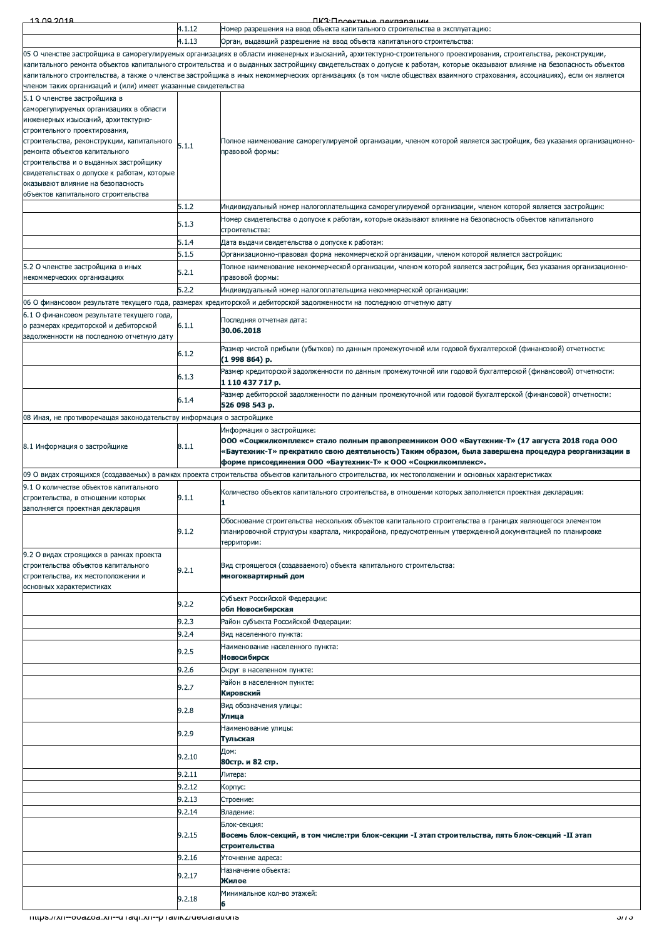| 13.00.2018                                                                                     |        | <b><i><u>IK3: Проектиче пекларации</u></i></b>                                                                                                                                                                                               |
|------------------------------------------------------------------------------------------------|--------|----------------------------------------------------------------------------------------------------------------------------------------------------------------------------------------------------------------------------------------------|
|                                                                                                | 4.1.12 | Номер разрешения на ввод объекта капитального строительства в эксплуатацию:                                                                                                                                                                  |
|                                                                                                | 4.1.13 | Орган, выдавший разрешение на ввод объекта капитального строительства:<br>05 О членстве застройщика в саморегулируемых организациях в области инженерных изысканий, архитектурно-строительного проектирования, строительства, реконструкции, |
|                                                                                                |        | капитального ремонта объектов капитального строительства и о выданных застройщику свидетельствах о допуске к работам, которые оказывают влияние на безопасность объектов                                                                     |
|                                                                                                |        | капитального строительства, а также о членстве застройщика в иных некоммерческих организациях (в том числе обществах взаимного страхования, ассоциациях), если он является                                                                   |
| членом таких организаций и (или) имеет указанные свидетельства<br>5.1 О членстве застройщика в |        |                                                                                                                                                                                                                                              |
| саморегулируемых организациях в области                                                        |        |                                                                                                                                                                                                                                              |
| инженерных изысканий, архитектурно-                                                            |        |                                                                                                                                                                                                                                              |
| строительного проектирования,                                                                  |        | Полное наименование саморегулируемой организации, членом которой является застройщик, без указания организационно-                                                                                                                           |
| строительства, реконструкции, капитального<br>ремонта объектов капитального                    | 5.1.1  | правовой формы:                                                                                                                                                                                                                              |
| строительства и о выданных застройщику                                                         |        |                                                                                                                                                                                                                                              |
| свидетельствах о допуске к работам, которые<br>оказывают влияние на безопасность               |        |                                                                                                                                                                                                                                              |
| объектов капитального строительства                                                            |        |                                                                                                                                                                                                                                              |
|                                                                                                | 5.1.2  | Индивидуальный номер налогоплательщика саморегулируемой организации, членом которой является застройщик:                                                                                                                                     |
|                                                                                                | 5.1.3  | Номер свидетельства о допуске к работам, которые оказывают влияние на безопасность объектов капитального                                                                                                                                     |
|                                                                                                | 5.1.4  | строительства:<br>Дата выдачи свидетельства о допуске к работам:                                                                                                                                                                             |
|                                                                                                | 5.1.5  | Организационно-правовая форма некоммерческой организации, членом которой является застройщик:                                                                                                                                                |
| 5.2 О членстве застройщика в иных                                                              | 5.2.1  | Полное наименование некоммерческой организации, членом которой является застройщик, без указания организационно-                                                                                                                             |
| некоммерческих организациях                                                                    |        | правовой формы:                                                                                                                                                                                                                              |
|                                                                                                | 5.2.2  | Индивидуальный номер налогоплательщика некоммерческой организации:<br>06 О финансовом результате текущего года, размерах кредиторской и дебиторской задолженности на последнюю отчетную дату                                                 |
| 6.1 О финансовом результате текущего года,                                                     |        |                                                                                                                                                                                                                                              |
| о размерах кредиторской и дебиторской                                                          | 6.1.1  | Последняя отчетная дата:<br>30.06.2018                                                                                                                                                                                                       |
| задолженности на последнюю отчетную дату                                                       |        | Размер чистой прибыли (убытков) по данным промежуточной или годовой бухгалтерской (финансовой) отчетности:                                                                                                                                   |
|                                                                                                | 6.1.2  | (1 998 864) p.                                                                                                                                                                                                                               |
|                                                                                                | 6.1.3  | Размер кредиторской задолженности по данным промежуточной или годовой бухгалтерской (финансовой) отчетности:                                                                                                                                 |
|                                                                                                |        | 1 110 437 717 p.<br>Размер дебиторской задолженности по данным промежуточной или годовой бухгалтерской (финансовой) отчетности:                                                                                                              |
|                                                                                                | 6.1.4  | 526 098 543 p.                                                                                                                                                                                                                               |
| 08 Иная, не противоречащая законодательству информация о застройщике                           |        |                                                                                                                                                                                                                                              |
|                                                                                                |        | Информация о застройщике:<br>ООО «Соцжилкомплекс» стало полным правопреемником ООО «Баутехник-Т» (17 августа 2018 года ООО                                                                                                                   |
| 8.1 Информация о застройщике                                                                   | 8.1.1  | «Баутехник-Т» прекратило свою деятельность) Таким образом, была завершена процедура реорганизации в                                                                                                                                          |
|                                                                                                |        | форме присоединения ООО «Баутехник-Т» к ООО «Соцжилкомплекс».                                                                                                                                                                                |
| 9.1 О количестве объектов капитального                                                         |        | 09 О видах строящихся (создаваемых) в рамках проекта строительства объектов капитального строительства, их местоположении и основных характеристиках                                                                                         |
| строительства, в отношении которых                                                             | 9.1.1  | Количество объектов капитального строительства, в отношении которых заполняется проектная декларация:<br>1                                                                                                                                   |
| заполняется проектная декларация                                                               |        |                                                                                                                                                                                                                                              |
|                                                                                                | 9.1.2  | Обоснование строительства нескольких объектов капитального строительства в границах являющегося элементом<br>планировочной структуры квартала, микрорайона, предусмотренным утвержденной документацией по планировке                         |
|                                                                                                |        | территории:                                                                                                                                                                                                                                  |
| 9.2 О видах строящихся в рамках проекта                                                        |        |                                                                                                                                                                                                                                              |
| строительства объектов капитального<br>строительства, их местоположении и                      | 9.2.1  | Вид строящегося (создаваемого) объекта капитального строительства:<br>многоквартирный дом                                                                                                                                                    |
| основных характеристиках                                                                       |        |                                                                                                                                                                                                                                              |
|                                                                                                | 9.2.2  | Субъект Российской Федерации:<br>обл Новосибирская                                                                                                                                                                                           |
|                                                                                                | 9.2.3  | Район субъекта Российской Федерации:                                                                                                                                                                                                         |
|                                                                                                | 9.2.4  | Вид населенного пункта:                                                                                                                                                                                                                      |
|                                                                                                | 9.2.5  | Наименование населенного пункта:                                                                                                                                                                                                             |
|                                                                                                | 9.2.6  | Новосибирск                                                                                                                                                                                                                                  |
|                                                                                                |        | Округ в населенном пункте:<br>Район в населенном пункте:                                                                                                                                                                                     |
|                                                                                                | 9.2.7  | Кировский                                                                                                                                                                                                                                    |
|                                                                                                | 9.2.8  | Вид обозначения улицы:                                                                                                                                                                                                                       |
|                                                                                                |        | Улица<br>Наименование улицы:                                                                                                                                                                                                                 |
|                                                                                                | 9.2.9  | Тульская                                                                                                                                                                                                                                     |
|                                                                                                | 9.2.10 | Дом:<br>80стр. и 82 стр.                                                                                                                                                                                                                     |
|                                                                                                | 9.2.11 | Литера:                                                                                                                                                                                                                                      |
|                                                                                                | 9.2.12 | Корпус:                                                                                                                                                                                                                                      |
|                                                                                                | 9.2.13 | Строение:                                                                                                                                                                                                                                    |
|                                                                                                | 9.2.14 | Владение:<br>Блок-секция:                                                                                                                                                                                                                    |
|                                                                                                | 9.2.15 | Восемь блок-секций, в том числе:три блок-секции -I этап строительства, пять блок-секций -II этап                                                                                                                                             |
|                                                                                                |        | строительства                                                                                                                                                                                                                                |
|                                                                                                | 9.2.16 | Уточнение адреса:<br>Назначение объекта:                                                                                                                                                                                                     |
|                                                                                                | 9.2.17 | Жилое                                                                                                                                                                                                                                        |
|                                                                                                | 9.2.18 | Минимальное кол-во этажей:                                                                                                                                                                                                                   |
|                                                                                                |        | 6<br>১৫৫ -                                                                                                                                                                                                                                   |
| Thups.//XII--ovazoa.xII--u Taqi.xII--p Tal/ikz/decial ations                                   |        |                                                                                                                                                                                                                                              |
|                                                                                                |        |                                                                                                                                                                                                                                              |
|                                                                                                |        |                                                                                                                                                                                                                                              |
|                                                                                                |        |                                                                                                                                                                                                                                              |
|                                                                                                |        |                                                                                                                                                                                                                                              |
|                                                                                                |        |                                                                                                                                                                                                                                              |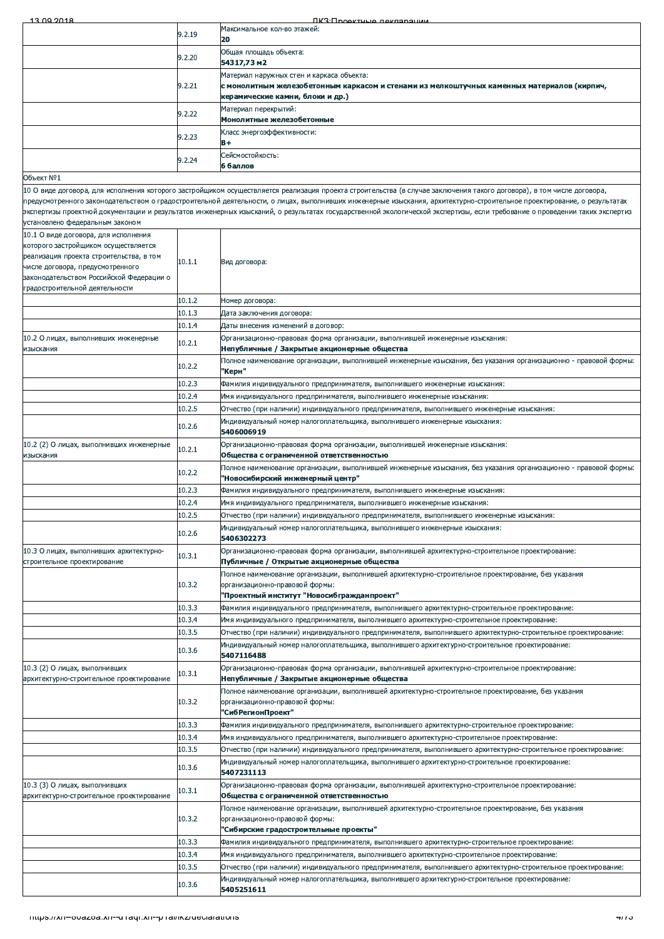| 13.00.2018                                                                      |                  | <b><i><u>RK3: Проектные пекларации</u></i></b>                                                                                                                                                                                                                                                                                                        |
|---------------------------------------------------------------------------------|------------------|-------------------------------------------------------------------------------------------------------------------------------------------------------------------------------------------------------------------------------------------------------------------------------------------------------------------------------------------------------|
|                                                                                 | 9.2.19           | Максимальное кол-во этажей:                                                                                                                                                                                                                                                                                                                           |
|                                                                                 |                  | 20<br>Общая площадь объекта:                                                                                                                                                                                                                                                                                                                          |
|                                                                                 | 9.2.20           | 54317,73 m2                                                                                                                                                                                                                                                                                                                                           |
|                                                                                 |                  | Материал наружных стен и каркаса объекта:                                                                                                                                                                                                                                                                                                             |
|                                                                                 | 9.2.21           | с монолитным железобетонным каркасом и стенами из мелкоштучных каменных материалов (кирпич,<br>керамические камни, блоки и др.)                                                                                                                                                                                                                       |
|                                                                                 |                  | Материал перекрытий:                                                                                                                                                                                                                                                                                                                                  |
|                                                                                 | 9.2.22           | Монолитные железобетонные                                                                                                                                                                                                                                                                                                                             |
|                                                                                 | 9.2.23           | Класс энергоэффективности:<br>$B +$                                                                                                                                                                                                                                                                                                                   |
|                                                                                 |                  | Сейсмостойкость:                                                                                                                                                                                                                                                                                                                                      |
|                                                                                 | 9.2.24           | 6 баллов                                                                                                                                                                                                                                                                                                                                              |
| Объект №1                                                                       |                  |                                                                                                                                                                                                                                                                                                                                                       |
|                                                                                 |                  | 10 О виде договора, для исполнения которого застройщиком осуществляется реализация проекта строительства (в случае заключения такого договора), в том числе договора,                                                                                                                                                                                 |
|                                                                                 |                  | предусмотренного законодательством о градостроительной деятельности, о лицах, выполнивших инженерные изыскания, архитектурно-строительное проектирование, о результатах<br>экспертизы проектной документации и результатов инженерных изысканий, о результатах государственной экологической экспертизы, если требование о проведении таких экспертиз |
| установлено федеральным законом                                                 |                  |                                                                                                                                                                                                                                                                                                                                                       |
| 10.1 О виде договора, для исполнения                                            |                  |                                                                                                                                                                                                                                                                                                                                                       |
| которого застройщиком осуществляется<br>реализация проекта строительства, в том |                  |                                                                                                                                                                                                                                                                                                                                                       |
| числе договора, предусмотренного                                                | 10.1.1           | Вид договора:                                                                                                                                                                                                                                                                                                                                         |
| законодательством Российской Федерации о                                        |                  |                                                                                                                                                                                                                                                                                                                                                       |
| градостроительной деятельности                                                  |                  |                                                                                                                                                                                                                                                                                                                                                       |
|                                                                                 | 10.1.2           | Номер договора:                                                                                                                                                                                                                                                                                                                                       |
|                                                                                 | 10.1.3<br>10.1.4 | Дата заключения договора:<br>Даты внесения изменений в договор:                                                                                                                                                                                                                                                                                       |
| 10.2 О лицах, выполнивших инженерные                                            |                  | Организационно-правовая форма организации, выполнившей инженерные изыскания:                                                                                                                                                                                                                                                                          |
| изыскания                                                                       | 10.2.1           | Непубличные / Закрытые акционерные общества                                                                                                                                                                                                                                                                                                           |
|                                                                                 | 10.2.2           | Полное наименование организации, выполнившей инженерные изыскания, без указания организационно - правовой формы:                                                                                                                                                                                                                                      |
|                                                                                 |                  | 'Керн"                                                                                                                                                                                                                                                                                                                                                |
|                                                                                 | 10.2.3<br>10.2.4 | Фамилия индивидуального предпринимателя, выполнившего инженерные изыскания:                                                                                                                                                                                                                                                                           |
|                                                                                 | 10.2.5           | Имя индивидуального предпринимателя, выполнившего инженерные изыскания:<br>Отчество (при наличии) индивидуального предпринимателя, выполнившего инженерные изыскания:                                                                                                                                                                                 |
|                                                                                 |                  | Индивидуальный номер налогоплательщика, выполнившего инженерные изыскания:                                                                                                                                                                                                                                                                            |
|                                                                                 | 10.2.6           | 5406006919                                                                                                                                                                                                                                                                                                                                            |
| 10.2 (2) О лицах, выполнивших инженерные                                        | 10.2.1           | Организационно-правовая форма организации, выполнившей инженерные изыскания:                                                                                                                                                                                                                                                                          |
| изыскания                                                                       |                  | Общества с ограниченной ответственностью                                                                                                                                                                                                                                                                                                              |
|                                                                                 | 10.2.2           | Полное наименование организации, выполнившей инженерные изыскания, без указания организационно - правовой формы:<br>"Новосибирский инженерный центр"                                                                                                                                                                                                  |
|                                                                                 | 10.2.3           | Фамилия индивидуального предпринимателя, выполнившего инженерные изыскания:                                                                                                                                                                                                                                                                           |
|                                                                                 | 10.2.4           | Имя индивидуального предпринимателя, выполнившего инженерные изыскания:                                                                                                                                                                                                                                                                               |
|                                                                                 | 10.2.5           | Отчество (при наличии) индивидуального предпринимателя, выполнившего инженерные изыскания:                                                                                                                                                                                                                                                            |
|                                                                                 | 10.2.6           | Индивидуальный номер налогоплательщика, выполнившего инженерные изыскания:<br>5406302273                                                                                                                                                                                                                                                              |
| 10.3 О лицах, выполнивших архитектурно-                                         |                  | Организационно-правовая форма организации, выполнившей архитектурно-строительное проектирование:                                                                                                                                                                                                                                                      |
| строительное проектирование                                                     | 10.3.1           | Публичные / Открытые акционерные общества                                                                                                                                                                                                                                                                                                             |
|                                                                                 |                  | Полное наименование организации, выполнившей архитектурно-строительное проектирование, без указания                                                                                                                                                                                                                                                   |
|                                                                                 | 10.3.2           | организационно-правовой формы:<br>"Проектный институт "Новосибгражданпроект"                                                                                                                                                                                                                                                                          |
|                                                                                 | 10.3.3           | Фамилия индивидуального предпринимателя, выполнившего архитектурно-строительное проектирование:                                                                                                                                                                                                                                                       |
|                                                                                 | 10.3.4           | Имя индивидуального предпринимателя, выполнившего архитектурно-строительное проектирование:                                                                                                                                                                                                                                                           |
|                                                                                 | 10.3.5           | Отчество (при наличии) индивидуального предпринимателя, выполнившего архитектурно-строительное проектирование:                                                                                                                                                                                                                                        |
|                                                                                 | 10.3.6           | Индивидуальный номер налогоплательщика, выполнившего архитектурно-строительное проектирование:                                                                                                                                                                                                                                                        |
|                                                                                 |                  | 5407116488                                                                                                                                                                                                                                                                                                                                            |
| 10.3 (2) О лицах, выполнивших<br>архитектурно-строительное проектирование       | 10.3.1           | Организационно-правовая форма организации, выполнившей архитектурно-строительное проектирование:<br>Непубличные / Закрытые акционерные общества                                                                                                                                                                                                       |
|                                                                                 |                  | Полное наименование организации, выполнившей архитектурно-строительное проектирование, без указания                                                                                                                                                                                                                                                   |
|                                                                                 | 10.3.2           | организационно-правовой формы:                                                                                                                                                                                                                                                                                                                        |
|                                                                                 | 10.3.3           | 'СибРегионПроект"<br>Фамилия индивидуального предпринимателя, выполнившего архитектурно-строительное проектирование:                                                                                                                                                                                                                                  |
|                                                                                 | 10.3.4           | Имя индивидуального предпринимателя, выполнившего архитектурно-строительное проектирование:                                                                                                                                                                                                                                                           |
|                                                                                 | 10.3.5           | Отчество (при наличии) индивидуального предпринимателя, выполнившего архитектурно-строительное проектирование:                                                                                                                                                                                                                                        |
|                                                                                 | 10.3.6           | Индивидуальный номер налогоплательщика, выполнившего архитектурно-строительное проектирование:                                                                                                                                                                                                                                                        |
|                                                                                 |                  | 5407231113                                                                                                                                                                                                                                                                                                                                            |
| 10.3 (3) О лицах, выполнивших<br>архитектурно-строительное проектирование       | 10.3.1           | Организационно-правовая форма организации, выполнившей архитектурно-строительное проектирование:<br>Общества с ограниченной ответственностью                                                                                                                                                                                                          |
|                                                                                 |                  | Полное наименование организации, выполнившей архитектурно-строительное проектирование, без указания                                                                                                                                                                                                                                                   |
|                                                                                 | 10.3.2           | организационно-правовой формы:                                                                                                                                                                                                                                                                                                                        |
|                                                                                 |                  | "Сибирские градостроительные проекты"                                                                                                                                                                                                                                                                                                                 |
|                                                                                 | 10.3.3<br>10.3.4 | Фамилия индивидуального предпринимателя, выполнившего архитектурно-строительное проектирование:                                                                                                                                                                                                                                                       |
|                                                                                 | 10.3.5           | Имя индивидуального предпринимателя, выполнившего архитектурно-строительное проектирование:<br>Отчество (при наличии) индивидуального предпринимателя, выполнившего архитектурно-строительное проектирование:                                                                                                                                         |
|                                                                                 |                  | Индивидуальный номер налогоплательщика, выполнившего архитектурно-строительное проектирование:                                                                                                                                                                                                                                                        |
|                                                                                 | 10.3.6           | 5405251611                                                                                                                                                                                                                                                                                                                                            |
|                                                                                 |                  |                                                                                                                                                                                                                                                                                                                                                       |
| Thups.//XII--ovazoa.xII--u Taqi.xII--p Tal/ikz/decial ations                    |                  | 4775                                                                                                                                                                                                                                                                                                                                                  |
|                                                                                 |                  |                                                                                                                                                                                                                                                                                                                                                       |
|                                                                                 |                  |                                                                                                                                                                                                                                                                                                                                                       |
|                                                                                 |                  |                                                                                                                                                                                                                                                                                                                                                       |
|                                                                                 |                  |                                                                                                                                                                                                                                                                                                                                                       |
|                                                                                 |                  |                                                                                                                                                                                                                                                                                                                                                       |
|                                                                                 |                  |                                                                                                                                                                                                                                                                                                                                                       |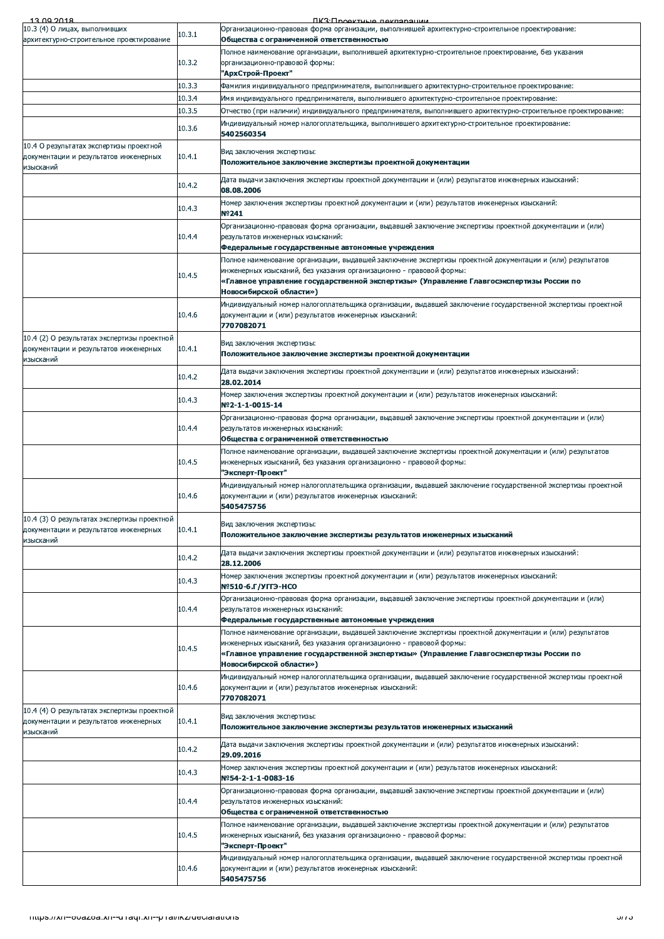| 13.00.2018                                  |        | <b>FIK3: FIDOAVTULIA RAKRADALIMM</b>                                                                                                                                   |
|---------------------------------------------|--------|------------------------------------------------------------------------------------------------------------------------------------------------------------------------|
| 10.3 (4) О лицах, выполнивших               | 10.3.1 | Организационно-правовая форма организации, выполнившей архитектурно-строительное проектирование:                                                                       |
| архитектурно-строительное проектирование    |        | Общества с ограниченной ответственностью                                                                                                                               |
|                                             |        | Полное наименование организации, выполнившей архитектурно-строительное проектирование, без указания                                                                    |
|                                             | 10.3.2 | организационно-правовой формы:<br>'АрхСтрой-Проект"                                                                                                                    |
|                                             | 10.3.3 | Фамилия индивидуального предпринимателя, выполнившего архитектурно-строительное проектирование:                                                                        |
|                                             | 10.3.4 | Имя индивидуального предпринимателя, выполнившего архитектурно-строительное проектирование:                                                                            |
|                                             | 10.3.5 |                                                                                                                                                                        |
|                                             |        | Отчество (при наличии) индивидуального предпринимателя, выполнившего архитектурно-строительное проектирование:                                                         |
|                                             | 10.3.6 | Индивидуальный номер налогоплательщика, выполнившего архитектурно-строительное проектирование:<br>5402560354                                                           |
| 10.4 О результатах экспертизы проектной     |        |                                                                                                                                                                        |
| документации и результатов инженерных       | 10.4.1 | Вид заключения экспертизы:                                                                                                                                             |
| изысканий                                   |        | Положительное заключение экспертизы проектной документации                                                                                                             |
|                                             |        | Дата выдачи заключения экспертизы проектной документации и (или) результатов инженерных изысканий:                                                                     |
|                                             | 10.4.2 | 08.08.2006                                                                                                                                                             |
|                                             | 10.4.3 | Номер заключения экспертизы проектной документации и (или) результатов инженерных изысканий:                                                                           |
|                                             |        | Nº241                                                                                                                                                                  |
|                                             |        | Организационно-правовая форма организации, выдавшей заключение экспертизы проектной документации и (или)                                                               |
|                                             | 10.4.4 | результатов инженерных изысканий:                                                                                                                                      |
|                                             |        | Федеральные государственные автономные учреждения                                                                                                                      |
|                                             |        | Полное наименование организации, выдавшей заключение экспертизы проектной документации и (или) результатов                                                             |
|                                             | 10.4.5 | инженерных изысканий, без указания организационно - правовой формы:                                                                                                    |
|                                             |        | «Главное управление государственной экспертизы» (Управление Главгосэкспертизы России по<br>Новосибирской области»)                                                     |
|                                             |        | Индивидуальный номер налогоплательщика организации, выдавшей заключение государственной экспертизы проектной                                                           |
|                                             | 10.4.6 | документации и (или) результатов инженерных изысканий:                                                                                                                 |
|                                             |        | 7707082071                                                                                                                                                             |
| 10.4 (2) О результатах экспертизы проектной |        |                                                                                                                                                                        |
| документации и результатов инженерных       | 10.4.1 | Вид заключения экспертизы:                                                                                                                                             |
| изысканий                                   |        | Положительное заключение экспертизы проектной документации                                                                                                             |
|                                             | 10.4.2 | Дата выдачи заключения экспертизы проектной документации и (или) результатов инженерных изысканий:                                                                     |
|                                             |        | 28.02.2014                                                                                                                                                             |
|                                             | 10.4.3 | Номер заключения экспертизы проектной документации и (или) результатов инженерных изысканий:                                                                           |
|                                             |        | Nº2-1-1-0015-14                                                                                                                                                        |
|                                             |        | Организационно-правовая форма организации, выдавшей заключение экспертизы проектной документации и (или)                                                               |
|                                             | 10.4.4 | результатов инженерных изысканий:                                                                                                                                      |
|                                             |        | Общества с ограниченной ответственностью                                                                                                                               |
|                                             |        | Полное наименование организации, выдавшей заключение экспертизы проектной документации и (или) результатов                                                             |
|                                             | 10.4.5 | инженерных изысканий, без указания организационно - правовой формы:                                                                                                    |
|                                             |        | 'Эксперт-Проект"                                                                                                                                                       |
|                                             | 10.4.6 | Индивидуальный номер налогоплательщика организации, выдавшей заключение государственной экспертизы проектной<br>документации и (или) результатов инженерных изысканий: |
|                                             |        | 5405475756                                                                                                                                                             |
| 10.4 (3) О результатах экспертизы проектной |        |                                                                                                                                                                        |
| документации и результатов инженерных       | 10.4.1 | Вид заключения экспертизы:                                                                                                                                             |
| изысканий                                   |        | Положительное заключение экспертизы результатов инженерных изысканий                                                                                                   |
|                                             |        | Дата выдачи заключения экспертизы проектной документации и (или) результатов инженерных изысканий:                                                                     |
|                                             | 10.4.2 | 28.12.2006                                                                                                                                                             |
|                                             |        | Номер заключения экспертизы проектной документации и (или) результатов инженерных изысканий:                                                                           |
|                                             | 10.4.3 | Nº510-6.Г/УГГЭ-НСО                                                                                                                                                     |
|                                             |        | Организационно-правовая форма организации, выдавшей заключение экспертизы проектной документации и (или)                                                               |
|                                             | 10.4.4 | результатов инженерных изысканий:                                                                                                                                      |
|                                             |        | Федеральные государственные автономные учреждения                                                                                                                      |
|                                             |        | Полное наименование организации, выдавшей заключение экспертизы проектной документации и (или) результатов                                                             |
|                                             | 10.4.5 | инженерных изысканий, без указания организационно - правовой формы:<br>«Главное управление государственной экспертизы» (Управление Главгосэкспертизы России по         |
|                                             |        | Новосибирской области»)                                                                                                                                                |
|                                             |        |                                                                                                                                                                        |
|                                             | 10.4.6 | Индивидуальный номер налогоплательщика организации, выдавшей заключение государственной экспертизы проектной<br>документации и (или) результатов инженерных изысканий: |
|                                             |        | 7707082071                                                                                                                                                             |
| 10.4 (4) О результатах экспертизы проектной |        |                                                                                                                                                                        |
| документации и результатов инженерных       | 10.4.1 | Вид заключения экспертизы:                                                                                                                                             |
| изысканий                                   |        | Положительное заключение экспертизы результатов инженерных изысканий                                                                                                   |
|                                             |        | Дата выдачи заключения экспертизы проектной документации и (или) результатов инженерных изысканий:                                                                     |
|                                             | 10.4.2 | 29.09.2016                                                                                                                                                             |
|                                             |        | Номер заключения экспертизы проектной документации и (или) результатов инженерных изысканий:                                                                           |
|                                             | 10.4.3 | Nº54-2-1-1-0083-16                                                                                                                                                     |
|                                             |        | Организационно-правовая форма организации, выдавшей заключение экспертизы проектной документации и (или)                                                               |
|                                             | 10.4.4 | результатов инженерных изысканий:                                                                                                                                      |
|                                             |        | Общества с ограниченной ответственностью                                                                                                                               |
|                                             |        | Полное наименование организации, выдавшей заключение экспертизы проектной документации и (или) результатов                                                             |
|                                             | 10.4.5 | инженерных изысканий, без указания организационно - правовой формы:                                                                                                    |
|                                             |        | 'Эксперт-Проект"                                                                                                                                                       |
|                                             |        | Индивидуальный номер налогоплательщика организации, выдавшей заключение государственной экспертизы проектной                                                           |
|                                             | 10.4.6 | документации и (или) результатов инженерных изысканий:<br>5405475756                                                                                                   |
|                                             |        |                                                                                                                                                                        |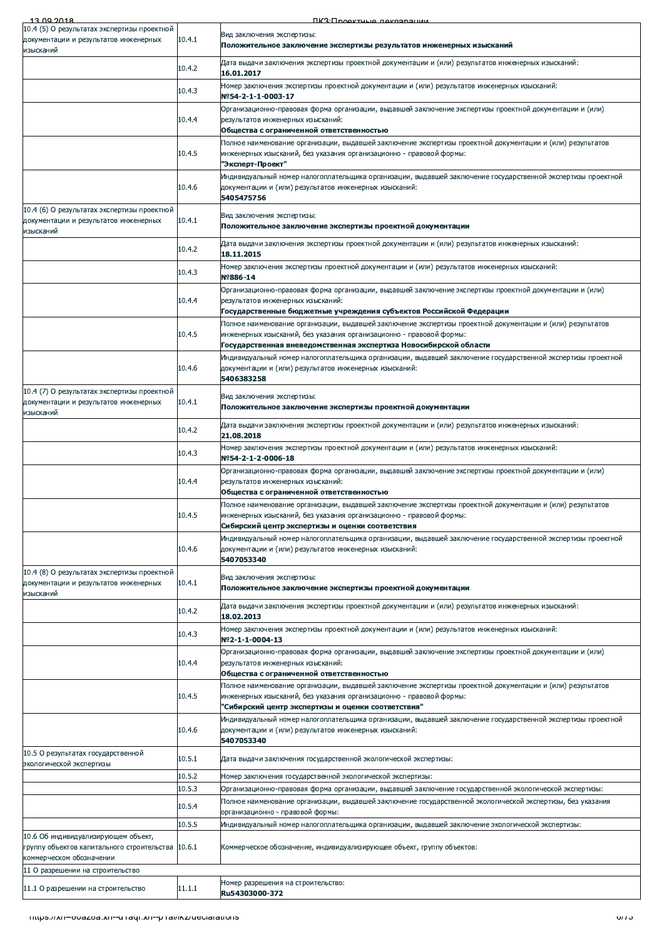| 13.00.2018                                                                                        |        | <b>FIK3: Проектные пекпарации</b>                                                                                                                                                                                                                      |
|---------------------------------------------------------------------------------------------------|--------|--------------------------------------------------------------------------------------------------------------------------------------------------------------------------------------------------------------------------------------------------------|
| 10.4 (5) О результатах экспертизы проектной<br>документации и результатов инженерных              | 10.4.1 | Вид заключения экспертизы:                                                                                                                                                                                                                             |
| изысканий                                                                                         |        | Положительное заключение экспертизы результатов инженерных изысканий<br>Дата выдачи заключения экспертизы проектной документации и (или) результатов инженерных изысканий:                                                                             |
|                                                                                                   | 10.4.2 | 16.01.2017<br>Номер заключения экспертизы проектной документации и (или) результатов инженерных изысканий:                                                                                                                                             |
|                                                                                                   | 10.4.3 | Nº54-2-1-1-0003-17                                                                                                                                                                                                                                     |
|                                                                                                   | 10.4.4 | Организационно-правовая форма организации, выдавшей заключение экспертизы проектной документации и (или)<br>результатов инженерных изысканий:                                                                                                          |
|                                                                                                   |        | Общества с ограниченной ответственностью<br>Полное наименование организации, выдавшей заключение экспертизы проектной документации и (или) результатов                                                                                                 |
|                                                                                                   | 10.4.5 | инженерных изысканий, без указания организационно - правовой формы:<br>"Эксперт-Проект"                                                                                                                                                                |
|                                                                                                   | 10.4.6 | Индивидуальный номер налогоплательщика организации, выдавшей заключение государственной экспертизы проектной<br>документации и (или) результатов инженерных изысканий:<br>5405475756                                                                   |
| 10.4 (6) О результатах экспертизы проектной<br>документации и результатов инженерных<br>изысканий | 10.4.1 | Вид заключения экспертизы:<br>Положительное заключение экспертизы проектной документации                                                                                                                                                               |
|                                                                                                   | 10.4.2 | Дата выдачи заключения экспертизы проектной документации и (или) результатов инженерных изысканий:<br>18.11.2015                                                                                                                                       |
|                                                                                                   | 10.4.3 | .Номер заключения экспертизы проектной документации и (или) результатов инженерных изысканий<br>Nº886-14                                                                                                                                               |
|                                                                                                   | 10.4.4 | Организационно-правовая форма организации, выдавшей заключение экспертизы проектной документации и (или)<br>результатов инженерных изысканий:                                                                                                          |
|                                                                                                   |        | Государственные бюджетные учреждения субъектов Российской Федерации                                                                                                                                                                                    |
|                                                                                                   | 10.4.5 | Полное наименование организации, выдавшей заключение экспертизы проектной документации и (или) результатов<br>инженерных изысканий, без указания организационно - правовой формы:<br>Государственная вневедомственная экспертиза Новосибирской области |
|                                                                                                   | 10.4.6 | Индивидуальный номер налогоплательщика организации, выдавшей заключение государственной экспертизы проектной<br>документации и (или) результатов инженерных изысканий:<br>5406383258                                                                   |
| 10.4 (7) О результатах экспертизы проектной<br>документации и результатов инженерных              | 10.4.1 | Вид заключения экспертизы:<br>Положительное заключение экспертизы проектной документации                                                                                                                                                               |
| изысканий                                                                                         | 10.4.2 | Дата выдачи заключения экспертизы проектной документации и (или) результатов инженерных изысканий:<br>21.08.2018                                                                                                                                       |
|                                                                                                   | 10.4.3 | .Номер заключения экспертизы проектной документации и (или) результатов инженерных изысканий                                                                                                                                                           |
|                                                                                                   |        | Nº54-2-1-2-0006-18<br>Организационно-правовая форма организации, выдавшей заключение экспертизы проектной документации и (или)                                                                                                                         |
|                                                                                                   | 10.4.4 | результатов инженерных изысканий:<br>Общества с ограниченной ответственностью                                                                                                                                                                          |
|                                                                                                   | 10.4.5 | Полное наименование организации, выдавшей заключение экспертизы проектной документации и (или) результатов<br>инженерных изысканий, без указания организационно - правовой формы:<br>Сибирский центр экспертизы и оценки соответствия                  |
|                                                                                                   | 10.4.6 | Индивидуальный номер налогоплательщика организации, выдавшей заключение государственной экспертизы проектной<br>документации и (или) результатов инженерных изысканий:<br>5407053340                                                                   |
| 10.4 (8) О результатах экспертизы проектной<br>документации и результатов инженерных<br>изысканий | 10.4.1 | Вид заключения экспертизы:<br>Положительное заключение экспертизы проектной документации                                                                                                                                                               |
|                                                                                                   | 10.4.2 | Дата выдачи заключения экспертизы проектной документации и (или) результатов инженерных изысканий:<br>18.02.2013                                                                                                                                       |
|                                                                                                   | 10.4.3 | Номер заключения экспертизы проектной документации и (или) результатов инженерных изысканий:<br>Nº2-1-1-0004-13                                                                                                                                        |
|                                                                                                   | 10.4.4 | Организационно-правовая форма организации, выдавшей заключение экспертизы проектной документации и (или)<br>результатов инженерных изысканий:                                                                                                          |
|                                                                                                   |        | Общества с ограниченной ответственностью<br>Полное наименование организации, выдавшей заключение экспертизы проектной документации и (или) результатов                                                                                                 |
|                                                                                                   | 10.4.5 | инженерных изысканий, без указания организационно - правовой формы:<br>"Сибирский центр экспертизы и оценки соответствия"                                                                                                                              |
|                                                                                                   | 10.4.6 | Индивидуальный номер налогоплательщика организации, выдавшей заключение государственной экспертизы проектной<br>документации и (или) результатов инженерных изысканий:<br>5407053340                                                                   |
| 10.5 О результатах государственной<br>экологической экспертизы                                    | 10.5.1 | Дата выдачи заключения государственной экологической экспертизы:                                                                                                                                                                                       |
|                                                                                                   | 10.5.2 | Номер заключения государственной экологической экспертизы:                                                                                                                                                                                             |
|                                                                                                   | 10.5.3 | Организационно-правовая форма организации, выдавшей заключение государственной экологической экспертизы:<br>Полное наименование организации, выдавшей заключение государственной экологической экспертизы, без указания                                |
|                                                                                                   | 10.5.4 | организационно - правовой формы:                                                                                                                                                                                                                       |
| 10.6 Об индивидуализирующем объект,                                                               | 10.5.5 | "Индивидуальный номер налогоплательщика организации, выдавшей заключение экологической экспертизы                                                                                                                                                      |
| группу объектов капитального строительства 10.6.1<br>коммерческом обозначении                     |        | Коммерческое обозначение, индивидуализирующее объект, группу объектов:                                                                                                                                                                                 |
| 11 О разрешении на строительство                                                                  |        |                                                                                                                                                                                                                                                        |
| 11.1 О разрешении на строительство                                                                | 11.1.1 | Номер разрешения на строительство:<br>Ru54303000-372                                                                                                                                                                                                   |
| Thups.//xn--ovazoa.xn--u raqi.xn--p rai/ikz/ueciarations                                          |        | <i>তা তে</i>                                                                                                                                                                                                                                           |
|                                                                                                   |        |                                                                                                                                                                                                                                                        |
|                                                                                                   |        |                                                                                                                                                                                                                                                        |
|                                                                                                   |        |                                                                                                                                                                                                                                                        |
|                                                                                                   |        |                                                                                                                                                                                                                                                        |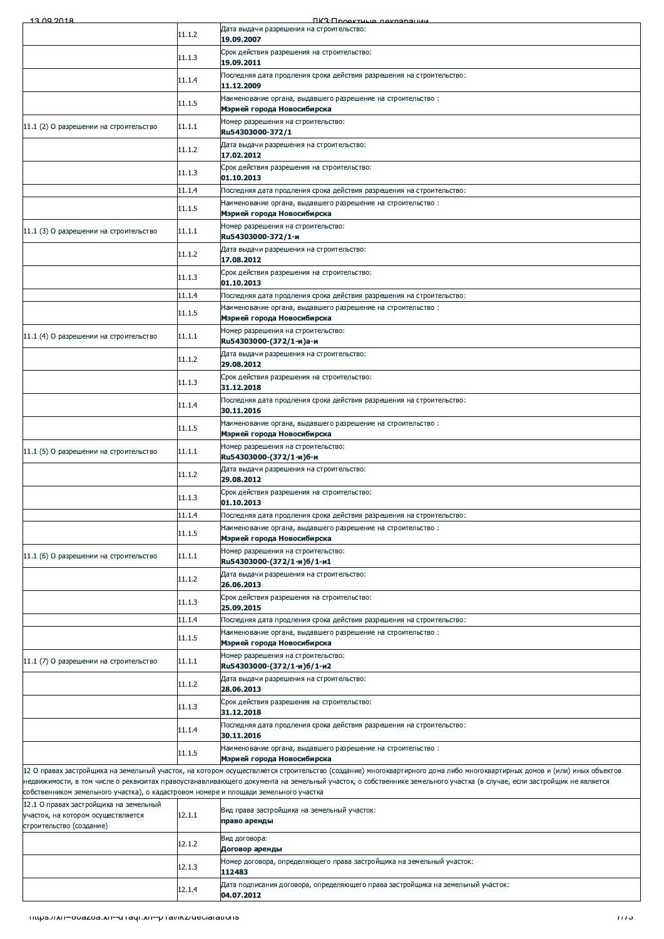| <b><i><u>IK3: Проектица пекларации</u></i></b><br>Дата выдачи разрешения на строительство:<br>11.1.2<br>19.09.2007<br>Срок действия разрешения на строительство:<br>11.1.3<br>19.09.2011<br>Последняя дата продления срока действия разрешения на строительство:<br>11.1.4<br>11.12.2009<br>Наименование органа, выдавшего разрешение на строительство:<br>11.1.5<br>Мэрией города Новосибирска<br>Номер разрешения на строительство:<br>11.1.1<br>11.1 (2) О разрешении на строительство<br>Ru54303000-372/1<br>Дата выдачи разрешения на строительство:<br>11.1.2<br>17.02.2012<br>Срок действия разрешения на строительство:<br>11.1.3<br>01.10.2013<br>11.1.4<br>Последняя дата продления срока действия разрешения на строительство:<br>Наименование органа, выдавшего разрешение на строительство:<br>11.1.5<br>Мэрией города Новосибирска<br>Номер разрешения на строительство:<br>11.1.1<br>11.1 (3) О разрешении на строительство<br>Ru54303000-372/1-и<br>Дата выдачи разрешения на строительство:<br>11.1.2<br>17.08.2012<br>Срок действия разрешения на строительство:<br>11.1.3<br>01.10.2013<br>11.1.4<br>Последняя дата продления срока действия разрешения на строительство:<br>Наименование органа, выдавшего разрешение на строительство:<br>11.1.5<br>Мэрией города Новосибирска<br>Номер разрешения на строительство:<br>11.1.1<br>11.1 (4) О разрешении на строительство<br>Ru54303000-(372/1-и)а-и<br>Дата выдачи разрешения на строительство:<br>11.1.2<br>29.08.2012<br>Срок действия разрешения на строительство:<br>11.1.3<br>31.12.2018<br>Последняя дата продления срока действия разрешения на строительство:<br>11.1.4<br>30.11.2016<br>Наименование органа, выдавшего разрешение на строительство:<br>11.1.5<br>Мэрией города Новосибирска<br>Номер разрешения на строительство:<br>11.1.1<br>11.1 (5) О разрешении на строительство<br>Ru54303000-(372/1-и)б-и<br>Дата выдачи разрешения на строительство:<br>11.1.2<br>29.08.2012<br>Срок действия разрешения на строительство:<br>11.1.3<br>01.10.2013<br>11.1.4<br>Последняя дата продления срока действия разрешения на строительство:<br>Наименование органа, выдавшего разрешение на строительство:<br>11.1.5<br>Мэрией города Новосибирска<br>Номер разрешения на строительство:<br>11.1.1<br>11.1 (6) О разрешении на строительство<br>Ru54303000-(372/1-и)б/1-и1<br>Дата выдачи разрешения на строительство:<br>11.1.2<br>26.06.2013<br>Срок действия разрешения на строительство:<br>11.1.3<br>25.09.2015<br>11.1.4<br>Последняя дата продления срока действия разрешения на строительство:<br>Наименование органа, выдавшего разрешение на строительство:<br>11.1.5<br>Мэрией города Новосибирска<br>Номер разрешения на строительство:<br>11.1.1<br>11.1 (7) О разрешении на строительство<br>Ru54303000-(372/1-и)б/1-и2<br>Дата выдачи разрешения на строительство:<br>11.1.2<br>28.06.2013<br>Срок действия разрешения на строительство:<br>11.1.3<br>31.12.2018<br>Последняя дата продления срока действия разрешения на строительство:<br>11.1.4<br>30.11.2016<br>Наименование органа, выдавшего разрешение на строительство:<br>11.1.5<br>Мэрией города Новосибирска<br>12 О правах застройщика на земельный участок, на котором осуществляется строительство (создание) многоквартирного дома либо многоквартирных домов и (или) иных объектов<br>недвижимости, в том числе о реквизитах правоустанавливающего документа на земельный участок, о собственнике земельного участка (в случае, если застройщик не является<br>собственником земельного участка), о кадастровом номере и площади земельного участка<br>12.1 О правах застройщика на земельный<br>Вид права застройщика на земельный участок:<br>12.1.1<br>участок, на котором осуществляется<br>право аренды<br>строительство (создание)<br>Вид договора:<br>12.1.2<br>Договор аренды<br>Номер договора, определяющего права застройщика на земельный участок:<br>12.1.3<br>112483<br>Дата подписания договора, определяющего права застройщика на земельный участок:<br>12.1.4<br>04.07.2012<br>- mups.//xn--ovazoa.xn--u raqr.xn--p rai/ikz/ueciarations |  |      |
|--------------------------------------------------------------------------------------------------------------------------------------------------------------------------------------------------------------------------------------------------------------------------------------------------------------------------------------------------------------------------------------------------------------------------------------------------------------------------------------------------------------------------------------------------------------------------------------------------------------------------------------------------------------------------------------------------------------------------------------------------------------------------------------------------------------------------------------------------------------------------------------------------------------------------------------------------------------------------------------------------------------------------------------------------------------------------------------------------------------------------------------------------------------------------------------------------------------------------------------------------------------------------------------------------------------------------------------------------------------------------------------------------------------------------------------------------------------------------------------------------------------------------------------------------------------------------------------------------------------------------------------------------------------------------------------------------------------------------------------------------------------------------------------------------------------------------------------------------------------------------------------------------------------------------------------------------------------------------------------------------------------------------------------------------------------------------------------------------------------------------------------------------------------------------------------------------------------------------------------------------------------------------------------------------------------------------------------------------------------------------------------------------------------------------------------------------------------------------------------------------------------------------------------------------------------------------------------------------------------------------------------------------------------------------------------------------------------------------------------------------------------------------------------------------------------------------------------------------------------------------------------------------------------------------------------------------------------------------------------------------------------------------------------------------------------------------------------------------------------------------------------------------------------------------------------------------------------------------------------------------------------------------------------------------------------------------------------------------------------------------------------------------------------------------------------------------------------------------------------------------------------------------------------------------------------------------------------------------------------------------------------------------------------------------------------------------------------------------------------------------------------------------------------------------------------------------------------------------------------------------------------------------------------------------------------------------------------------------------------------------------------------------------------------------------------------------------------------------------------------------|--|------|
|                                                                                                                                                                                                                                                                                                                                                                                                                                                                                                                                                                                                                                                                                                                                                                                                                                                                                                                                                                                                                                                                                                                                                                                                                                                                                                                                                                                                                                                                                                                                                                                                                                                                                                                                                                                                                                                                                                                                                                                                                                                                                                                                                                                                                                                                                                                                                                                                                                                                                                                                                                                                                                                                                                                                                                                                                                                                                                                                                                                                                                                                                                                                                                                                                                                                                                                                                                                                                                                                                                                                                                                                                                                                                                                                                                                                                                                                                                                                                                                                                                                                                                                          |  |      |
|                                                                                                                                                                                                                                                                                                                                                                                                                                                                                                                                                                                                                                                                                                                                                                                                                                                                                                                                                                                                                                                                                                                                                                                                                                                                                                                                                                                                                                                                                                                                                                                                                                                                                                                                                                                                                                                                                                                                                                                                                                                                                                                                                                                                                                                                                                                                                                                                                                                                                                                                                                                                                                                                                                                                                                                                                                                                                                                                                                                                                                                                                                                                                                                                                                                                                                                                                                                                                                                                                                                                                                                                                                                                                                                                                                                                                                                                                                                                                                                                                                                                                                                          |  |      |
|                                                                                                                                                                                                                                                                                                                                                                                                                                                                                                                                                                                                                                                                                                                                                                                                                                                                                                                                                                                                                                                                                                                                                                                                                                                                                                                                                                                                                                                                                                                                                                                                                                                                                                                                                                                                                                                                                                                                                                                                                                                                                                                                                                                                                                                                                                                                                                                                                                                                                                                                                                                                                                                                                                                                                                                                                                                                                                                                                                                                                                                                                                                                                                                                                                                                                                                                                                                                                                                                                                                                                                                                                                                                                                                                                                                                                                                                                                                                                                                                                                                                                                                          |  |      |
|                                                                                                                                                                                                                                                                                                                                                                                                                                                                                                                                                                                                                                                                                                                                                                                                                                                                                                                                                                                                                                                                                                                                                                                                                                                                                                                                                                                                                                                                                                                                                                                                                                                                                                                                                                                                                                                                                                                                                                                                                                                                                                                                                                                                                                                                                                                                                                                                                                                                                                                                                                                                                                                                                                                                                                                                                                                                                                                                                                                                                                                                                                                                                                                                                                                                                                                                                                                                                                                                                                                                                                                                                                                                                                                                                                                                                                                                                                                                                                                                                                                                                                                          |  |      |
|                                                                                                                                                                                                                                                                                                                                                                                                                                                                                                                                                                                                                                                                                                                                                                                                                                                                                                                                                                                                                                                                                                                                                                                                                                                                                                                                                                                                                                                                                                                                                                                                                                                                                                                                                                                                                                                                                                                                                                                                                                                                                                                                                                                                                                                                                                                                                                                                                                                                                                                                                                                                                                                                                                                                                                                                                                                                                                                                                                                                                                                                                                                                                                                                                                                                                                                                                                                                                                                                                                                                                                                                                                                                                                                                                                                                                                                                                                                                                                                                                                                                                                                          |  |      |
|                                                                                                                                                                                                                                                                                                                                                                                                                                                                                                                                                                                                                                                                                                                                                                                                                                                                                                                                                                                                                                                                                                                                                                                                                                                                                                                                                                                                                                                                                                                                                                                                                                                                                                                                                                                                                                                                                                                                                                                                                                                                                                                                                                                                                                                                                                                                                                                                                                                                                                                                                                                                                                                                                                                                                                                                                                                                                                                                                                                                                                                                                                                                                                                                                                                                                                                                                                                                                                                                                                                                                                                                                                                                                                                                                                                                                                                                                                                                                                                                                                                                                                                          |  |      |
|                                                                                                                                                                                                                                                                                                                                                                                                                                                                                                                                                                                                                                                                                                                                                                                                                                                                                                                                                                                                                                                                                                                                                                                                                                                                                                                                                                                                                                                                                                                                                                                                                                                                                                                                                                                                                                                                                                                                                                                                                                                                                                                                                                                                                                                                                                                                                                                                                                                                                                                                                                                                                                                                                                                                                                                                                                                                                                                                                                                                                                                                                                                                                                                                                                                                                                                                                                                                                                                                                                                                                                                                                                                                                                                                                                                                                                                                                                                                                                                                                                                                                                                          |  |      |
|                                                                                                                                                                                                                                                                                                                                                                                                                                                                                                                                                                                                                                                                                                                                                                                                                                                                                                                                                                                                                                                                                                                                                                                                                                                                                                                                                                                                                                                                                                                                                                                                                                                                                                                                                                                                                                                                                                                                                                                                                                                                                                                                                                                                                                                                                                                                                                                                                                                                                                                                                                                                                                                                                                                                                                                                                                                                                                                                                                                                                                                                                                                                                                                                                                                                                                                                                                                                                                                                                                                                                                                                                                                                                                                                                                                                                                                                                                                                                                                                                                                                                                                          |  |      |
|                                                                                                                                                                                                                                                                                                                                                                                                                                                                                                                                                                                                                                                                                                                                                                                                                                                                                                                                                                                                                                                                                                                                                                                                                                                                                                                                                                                                                                                                                                                                                                                                                                                                                                                                                                                                                                                                                                                                                                                                                                                                                                                                                                                                                                                                                                                                                                                                                                                                                                                                                                                                                                                                                                                                                                                                                                                                                                                                                                                                                                                                                                                                                                                                                                                                                                                                                                                                                                                                                                                                                                                                                                                                                                                                                                                                                                                                                                                                                                                                                                                                                                                          |  |      |
|                                                                                                                                                                                                                                                                                                                                                                                                                                                                                                                                                                                                                                                                                                                                                                                                                                                                                                                                                                                                                                                                                                                                                                                                                                                                                                                                                                                                                                                                                                                                                                                                                                                                                                                                                                                                                                                                                                                                                                                                                                                                                                                                                                                                                                                                                                                                                                                                                                                                                                                                                                                                                                                                                                                                                                                                                                                                                                                                                                                                                                                                                                                                                                                                                                                                                                                                                                                                                                                                                                                                                                                                                                                                                                                                                                                                                                                                                                                                                                                                                                                                                                                          |  |      |
|                                                                                                                                                                                                                                                                                                                                                                                                                                                                                                                                                                                                                                                                                                                                                                                                                                                                                                                                                                                                                                                                                                                                                                                                                                                                                                                                                                                                                                                                                                                                                                                                                                                                                                                                                                                                                                                                                                                                                                                                                                                                                                                                                                                                                                                                                                                                                                                                                                                                                                                                                                                                                                                                                                                                                                                                                                                                                                                                                                                                                                                                                                                                                                                                                                                                                                                                                                                                                                                                                                                                                                                                                                                                                                                                                                                                                                                                                                                                                                                                                                                                                                                          |  |      |
|                                                                                                                                                                                                                                                                                                                                                                                                                                                                                                                                                                                                                                                                                                                                                                                                                                                                                                                                                                                                                                                                                                                                                                                                                                                                                                                                                                                                                                                                                                                                                                                                                                                                                                                                                                                                                                                                                                                                                                                                                                                                                                                                                                                                                                                                                                                                                                                                                                                                                                                                                                                                                                                                                                                                                                                                                                                                                                                                                                                                                                                                                                                                                                                                                                                                                                                                                                                                                                                                                                                                                                                                                                                                                                                                                                                                                                                                                                                                                                                                                                                                                                                          |  |      |
|                                                                                                                                                                                                                                                                                                                                                                                                                                                                                                                                                                                                                                                                                                                                                                                                                                                                                                                                                                                                                                                                                                                                                                                                                                                                                                                                                                                                                                                                                                                                                                                                                                                                                                                                                                                                                                                                                                                                                                                                                                                                                                                                                                                                                                                                                                                                                                                                                                                                                                                                                                                                                                                                                                                                                                                                                                                                                                                                                                                                                                                                                                                                                                                                                                                                                                                                                                                                                                                                                                                                                                                                                                                                                                                                                                                                                                                                                                                                                                                                                                                                                                                          |  |      |
|                                                                                                                                                                                                                                                                                                                                                                                                                                                                                                                                                                                                                                                                                                                                                                                                                                                                                                                                                                                                                                                                                                                                                                                                                                                                                                                                                                                                                                                                                                                                                                                                                                                                                                                                                                                                                                                                                                                                                                                                                                                                                                                                                                                                                                                                                                                                                                                                                                                                                                                                                                                                                                                                                                                                                                                                                                                                                                                                                                                                                                                                                                                                                                                                                                                                                                                                                                                                                                                                                                                                                                                                                                                                                                                                                                                                                                                                                                                                                                                                                                                                                                                          |  |      |
|                                                                                                                                                                                                                                                                                                                                                                                                                                                                                                                                                                                                                                                                                                                                                                                                                                                                                                                                                                                                                                                                                                                                                                                                                                                                                                                                                                                                                                                                                                                                                                                                                                                                                                                                                                                                                                                                                                                                                                                                                                                                                                                                                                                                                                                                                                                                                                                                                                                                                                                                                                                                                                                                                                                                                                                                                                                                                                                                                                                                                                                                                                                                                                                                                                                                                                                                                                                                                                                                                                                                                                                                                                                                                                                                                                                                                                                                                                                                                                                                                                                                                                                          |  |      |
|                                                                                                                                                                                                                                                                                                                                                                                                                                                                                                                                                                                                                                                                                                                                                                                                                                                                                                                                                                                                                                                                                                                                                                                                                                                                                                                                                                                                                                                                                                                                                                                                                                                                                                                                                                                                                                                                                                                                                                                                                                                                                                                                                                                                                                                                                                                                                                                                                                                                                                                                                                                                                                                                                                                                                                                                                                                                                                                                                                                                                                                                                                                                                                                                                                                                                                                                                                                                                                                                                                                                                                                                                                                                                                                                                                                                                                                                                                                                                                                                                                                                                                                          |  |      |
|                                                                                                                                                                                                                                                                                                                                                                                                                                                                                                                                                                                                                                                                                                                                                                                                                                                                                                                                                                                                                                                                                                                                                                                                                                                                                                                                                                                                                                                                                                                                                                                                                                                                                                                                                                                                                                                                                                                                                                                                                                                                                                                                                                                                                                                                                                                                                                                                                                                                                                                                                                                                                                                                                                                                                                                                                                                                                                                                                                                                                                                                                                                                                                                                                                                                                                                                                                                                                                                                                                                                                                                                                                                                                                                                                                                                                                                                                                                                                                                                                                                                                                                          |  |      |
|                                                                                                                                                                                                                                                                                                                                                                                                                                                                                                                                                                                                                                                                                                                                                                                                                                                                                                                                                                                                                                                                                                                                                                                                                                                                                                                                                                                                                                                                                                                                                                                                                                                                                                                                                                                                                                                                                                                                                                                                                                                                                                                                                                                                                                                                                                                                                                                                                                                                                                                                                                                                                                                                                                                                                                                                                                                                                                                                                                                                                                                                                                                                                                                                                                                                                                                                                                                                                                                                                                                                                                                                                                                                                                                                                                                                                                                                                                                                                                                                                                                                                                                          |  |      |
|                                                                                                                                                                                                                                                                                                                                                                                                                                                                                                                                                                                                                                                                                                                                                                                                                                                                                                                                                                                                                                                                                                                                                                                                                                                                                                                                                                                                                                                                                                                                                                                                                                                                                                                                                                                                                                                                                                                                                                                                                                                                                                                                                                                                                                                                                                                                                                                                                                                                                                                                                                                                                                                                                                                                                                                                                                                                                                                                                                                                                                                                                                                                                                                                                                                                                                                                                                                                                                                                                                                                                                                                                                                                                                                                                                                                                                                                                                                                                                                                                                                                                                                          |  |      |
|                                                                                                                                                                                                                                                                                                                                                                                                                                                                                                                                                                                                                                                                                                                                                                                                                                                                                                                                                                                                                                                                                                                                                                                                                                                                                                                                                                                                                                                                                                                                                                                                                                                                                                                                                                                                                                                                                                                                                                                                                                                                                                                                                                                                                                                                                                                                                                                                                                                                                                                                                                                                                                                                                                                                                                                                                                                                                                                                                                                                                                                                                                                                                                                                                                                                                                                                                                                                                                                                                                                                                                                                                                                                                                                                                                                                                                                                                                                                                                                                                                                                                                                          |  |      |
|                                                                                                                                                                                                                                                                                                                                                                                                                                                                                                                                                                                                                                                                                                                                                                                                                                                                                                                                                                                                                                                                                                                                                                                                                                                                                                                                                                                                                                                                                                                                                                                                                                                                                                                                                                                                                                                                                                                                                                                                                                                                                                                                                                                                                                                                                                                                                                                                                                                                                                                                                                                                                                                                                                                                                                                                                                                                                                                                                                                                                                                                                                                                                                                                                                                                                                                                                                                                                                                                                                                                                                                                                                                                                                                                                                                                                                                                                                                                                                                                                                                                                                                          |  |      |
|                                                                                                                                                                                                                                                                                                                                                                                                                                                                                                                                                                                                                                                                                                                                                                                                                                                                                                                                                                                                                                                                                                                                                                                                                                                                                                                                                                                                                                                                                                                                                                                                                                                                                                                                                                                                                                                                                                                                                                                                                                                                                                                                                                                                                                                                                                                                                                                                                                                                                                                                                                                                                                                                                                                                                                                                                                                                                                                                                                                                                                                                                                                                                                                                                                                                                                                                                                                                                                                                                                                                                                                                                                                                                                                                                                                                                                                                                                                                                                                                                                                                                                                          |  |      |
|                                                                                                                                                                                                                                                                                                                                                                                                                                                                                                                                                                                                                                                                                                                                                                                                                                                                                                                                                                                                                                                                                                                                                                                                                                                                                                                                                                                                                                                                                                                                                                                                                                                                                                                                                                                                                                                                                                                                                                                                                                                                                                                                                                                                                                                                                                                                                                                                                                                                                                                                                                                                                                                                                                                                                                                                                                                                                                                                                                                                                                                                                                                                                                                                                                                                                                                                                                                                                                                                                                                                                                                                                                                                                                                                                                                                                                                                                                                                                                                                                                                                                                                          |  |      |
|                                                                                                                                                                                                                                                                                                                                                                                                                                                                                                                                                                                                                                                                                                                                                                                                                                                                                                                                                                                                                                                                                                                                                                                                                                                                                                                                                                                                                                                                                                                                                                                                                                                                                                                                                                                                                                                                                                                                                                                                                                                                                                                                                                                                                                                                                                                                                                                                                                                                                                                                                                                                                                                                                                                                                                                                                                                                                                                                                                                                                                                                                                                                                                                                                                                                                                                                                                                                                                                                                                                                                                                                                                                                                                                                                                                                                                                                                                                                                                                                                                                                                                                          |  |      |
|                                                                                                                                                                                                                                                                                                                                                                                                                                                                                                                                                                                                                                                                                                                                                                                                                                                                                                                                                                                                                                                                                                                                                                                                                                                                                                                                                                                                                                                                                                                                                                                                                                                                                                                                                                                                                                                                                                                                                                                                                                                                                                                                                                                                                                                                                                                                                                                                                                                                                                                                                                                                                                                                                                                                                                                                                                                                                                                                                                                                                                                                                                                                                                                                                                                                                                                                                                                                                                                                                                                                                                                                                                                                                                                                                                                                                                                                                                                                                                                                                                                                                                                          |  |      |
|                                                                                                                                                                                                                                                                                                                                                                                                                                                                                                                                                                                                                                                                                                                                                                                                                                                                                                                                                                                                                                                                                                                                                                                                                                                                                                                                                                                                                                                                                                                                                                                                                                                                                                                                                                                                                                                                                                                                                                                                                                                                                                                                                                                                                                                                                                                                                                                                                                                                                                                                                                                                                                                                                                                                                                                                                                                                                                                                                                                                                                                                                                                                                                                                                                                                                                                                                                                                                                                                                                                                                                                                                                                                                                                                                                                                                                                                                                                                                                                                                                                                                                                          |  |      |
|                                                                                                                                                                                                                                                                                                                                                                                                                                                                                                                                                                                                                                                                                                                                                                                                                                                                                                                                                                                                                                                                                                                                                                                                                                                                                                                                                                                                                                                                                                                                                                                                                                                                                                                                                                                                                                                                                                                                                                                                                                                                                                                                                                                                                                                                                                                                                                                                                                                                                                                                                                                                                                                                                                                                                                                                                                                                                                                                                                                                                                                                                                                                                                                                                                                                                                                                                                                                                                                                                                                                                                                                                                                                                                                                                                                                                                                                                                                                                                                                                                                                                                                          |  |      |
|                                                                                                                                                                                                                                                                                                                                                                                                                                                                                                                                                                                                                                                                                                                                                                                                                                                                                                                                                                                                                                                                                                                                                                                                                                                                                                                                                                                                                                                                                                                                                                                                                                                                                                                                                                                                                                                                                                                                                                                                                                                                                                                                                                                                                                                                                                                                                                                                                                                                                                                                                                                                                                                                                                                                                                                                                                                                                                                                                                                                                                                                                                                                                                                                                                                                                                                                                                                                                                                                                                                                                                                                                                                                                                                                                                                                                                                                                                                                                                                                                                                                                                                          |  |      |
|                                                                                                                                                                                                                                                                                                                                                                                                                                                                                                                                                                                                                                                                                                                                                                                                                                                                                                                                                                                                                                                                                                                                                                                                                                                                                                                                                                                                                                                                                                                                                                                                                                                                                                                                                                                                                                                                                                                                                                                                                                                                                                                                                                                                                                                                                                                                                                                                                                                                                                                                                                                                                                                                                                                                                                                                                                                                                                                                                                                                                                                                                                                                                                                                                                                                                                                                                                                                                                                                                                                                                                                                                                                                                                                                                                                                                                                                                                                                                                                                                                                                                                                          |  |      |
|                                                                                                                                                                                                                                                                                                                                                                                                                                                                                                                                                                                                                                                                                                                                                                                                                                                                                                                                                                                                                                                                                                                                                                                                                                                                                                                                                                                                                                                                                                                                                                                                                                                                                                                                                                                                                                                                                                                                                                                                                                                                                                                                                                                                                                                                                                                                                                                                                                                                                                                                                                                                                                                                                                                                                                                                                                                                                                                                                                                                                                                                                                                                                                                                                                                                                                                                                                                                                                                                                                                                                                                                                                                                                                                                                                                                                                                                                                                                                                                                                                                                                                                          |  |      |
|                                                                                                                                                                                                                                                                                                                                                                                                                                                                                                                                                                                                                                                                                                                                                                                                                                                                                                                                                                                                                                                                                                                                                                                                                                                                                                                                                                                                                                                                                                                                                                                                                                                                                                                                                                                                                                                                                                                                                                                                                                                                                                                                                                                                                                                                                                                                                                                                                                                                                                                                                                                                                                                                                                                                                                                                                                                                                                                                                                                                                                                                                                                                                                                                                                                                                                                                                                                                                                                                                                                                                                                                                                                                                                                                                                                                                                                                                                                                                                                                                                                                                                                          |  |      |
|                                                                                                                                                                                                                                                                                                                                                                                                                                                                                                                                                                                                                                                                                                                                                                                                                                                                                                                                                                                                                                                                                                                                                                                                                                                                                                                                                                                                                                                                                                                                                                                                                                                                                                                                                                                                                                                                                                                                                                                                                                                                                                                                                                                                                                                                                                                                                                                                                                                                                                                                                                                                                                                                                                                                                                                                                                                                                                                                                                                                                                                                                                                                                                                                                                                                                                                                                                                                                                                                                                                                                                                                                                                                                                                                                                                                                                                                                                                                                                                                                                                                                                                          |  |      |
|                                                                                                                                                                                                                                                                                                                                                                                                                                                                                                                                                                                                                                                                                                                                                                                                                                                                                                                                                                                                                                                                                                                                                                                                                                                                                                                                                                                                                                                                                                                                                                                                                                                                                                                                                                                                                                                                                                                                                                                                                                                                                                                                                                                                                                                                                                                                                                                                                                                                                                                                                                                                                                                                                                                                                                                                                                                                                                                                                                                                                                                                                                                                                                                                                                                                                                                                                                                                                                                                                                                                                                                                                                                                                                                                                                                                                                                                                                                                                                                                                                                                                                                          |  |      |
|                                                                                                                                                                                                                                                                                                                                                                                                                                                                                                                                                                                                                                                                                                                                                                                                                                                                                                                                                                                                                                                                                                                                                                                                                                                                                                                                                                                                                                                                                                                                                                                                                                                                                                                                                                                                                                                                                                                                                                                                                                                                                                                                                                                                                                                                                                                                                                                                                                                                                                                                                                                                                                                                                                                                                                                                                                                                                                                                                                                                                                                                                                                                                                                                                                                                                                                                                                                                                                                                                                                                                                                                                                                                                                                                                                                                                                                                                                                                                                                                                                                                                                                          |  |      |
|                                                                                                                                                                                                                                                                                                                                                                                                                                                                                                                                                                                                                                                                                                                                                                                                                                                                                                                                                                                                                                                                                                                                                                                                                                                                                                                                                                                                                                                                                                                                                                                                                                                                                                                                                                                                                                                                                                                                                                                                                                                                                                                                                                                                                                                                                                                                                                                                                                                                                                                                                                                                                                                                                                                                                                                                                                                                                                                                                                                                                                                                                                                                                                                                                                                                                                                                                                                                                                                                                                                                                                                                                                                                                                                                                                                                                                                                                                                                                                                                                                                                                                                          |  |      |
|                                                                                                                                                                                                                                                                                                                                                                                                                                                                                                                                                                                                                                                                                                                                                                                                                                                                                                                                                                                                                                                                                                                                                                                                                                                                                                                                                                                                                                                                                                                                                                                                                                                                                                                                                                                                                                                                                                                                                                                                                                                                                                                                                                                                                                                                                                                                                                                                                                                                                                                                                                                                                                                                                                                                                                                                                                                                                                                                                                                                                                                                                                                                                                                                                                                                                                                                                                                                                                                                                                                                                                                                                                                                                                                                                                                                                                                                                                                                                                                                                                                                                                                          |  |      |
|                                                                                                                                                                                                                                                                                                                                                                                                                                                                                                                                                                                                                                                                                                                                                                                                                                                                                                                                                                                                                                                                                                                                                                                                                                                                                                                                                                                                                                                                                                                                                                                                                                                                                                                                                                                                                                                                                                                                                                                                                                                                                                                                                                                                                                                                                                                                                                                                                                                                                                                                                                                                                                                                                                                                                                                                                                                                                                                                                                                                                                                                                                                                                                                                                                                                                                                                                                                                                                                                                                                                                                                                                                                                                                                                                                                                                                                                                                                                                                                                                                                                                                                          |  |      |
|                                                                                                                                                                                                                                                                                                                                                                                                                                                                                                                                                                                                                                                                                                                                                                                                                                                                                                                                                                                                                                                                                                                                                                                                                                                                                                                                                                                                                                                                                                                                                                                                                                                                                                                                                                                                                                                                                                                                                                                                                                                                                                                                                                                                                                                                                                                                                                                                                                                                                                                                                                                                                                                                                                                                                                                                                                                                                                                                                                                                                                                                                                                                                                                                                                                                                                                                                                                                                                                                                                                                                                                                                                                                                                                                                                                                                                                                                                                                                                                                                                                                                                                          |  |      |
|                                                                                                                                                                                                                                                                                                                                                                                                                                                                                                                                                                                                                                                                                                                                                                                                                                                                                                                                                                                                                                                                                                                                                                                                                                                                                                                                                                                                                                                                                                                                                                                                                                                                                                                                                                                                                                                                                                                                                                                                                                                                                                                                                                                                                                                                                                                                                                                                                                                                                                                                                                                                                                                                                                                                                                                                                                                                                                                                                                                                                                                                                                                                                                                                                                                                                                                                                                                                                                                                                                                                                                                                                                                                                                                                                                                                                                                                                                                                                                                                                                                                                                                          |  |      |
|                                                                                                                                                                                                                                                                                                                                                                                                                                                                                                                                                                                                                                                                                                                                                                                                                                                                                                                                                                                                                                                                                                                                                                                                                                                                                                                                                                                                                                                                                                                                                                                                                                                                                                                                                                                                                                                                                                                                                                                                                                                                                                                                                                                                                                                                                                                                                                                                                                                                                                                                                                                                                                                                                                                                                                                                                                                                                                                                                                                                                                                                                                                                                                                                                                                                                                                                                                                                                                                                                                                                                                                                                                                                                                                                                                                                                                                                                                                                                                                                                                                                                                                          |  |      |
|                                                                                                                                                                                                                                                                                                                                                                                                                                                                                                                                                                                                                                                                                                                                                                                                                                                                                                                                                                                                                                                                                                                                                                                                                                                                                                                                                                                                                                                                                                                                                                                                                                                                                                                                                                                                                                                                                                                                                                                                                                                                                                                                                                                                                                                                                                                                                                                                                                                                                                                                                                                                                                                                                                                                                                                                                                                                                                                                                                                                                                                                                                                                                                                                                                                                                                                                                                                                                                                                                                                                                                                                                                                                                                                                                                                                                                                                                                                                                                                                                                                                                                                          |  |      |
|                                                                                                                                                                                                                                                                                                                                                                                                                                                                                                                                                                                                                                                                                                                                                                                                                                                                                                                                                                                                                                                                                                                                                                                                                                                                                                                                                                                                                                                                                                                                                                                                                                                                                                                                                                                                                                                                                                                                                                                                                                                                                                                                                                                                                                                                                                                                                                                                                                                                                                                                                                                                                                                                                                                                                                                                                                                                                                                                                                                                                                                                                                                                                                                                                                                                                                                                                                                                                                                                                                                                                                                                                                                                                                                                                                                                                                                                                                                                                                                                                                                                                                                          |  |      |
|                                                                                                                                                                                                                                                                                                                                                                                                                                                                                                                                                                                                                                                                                                                                                                                                                                                                                                                                                                                                                                                                                                                                                                                                                                                                                                                                                                                                                                                                                                                                                                                                                                                                                                                                                                                                                                                                                                                                                                                                                                                                                                                                                                                                                                                                                                                                                                                                                                                                                                                                                                                                                                                                                                                                                                                                                                                                                                                                                                                                                                                                                                                                                                                                                                                                                                                                                                                                                                                                                                                                                                                                                                                                                                                                                                                                                                                                                                                                                                                                                                                                                                                          |  |      |
|                                                                                                                                                                                                                                                                                                                                                                                                                                                                                                                                                                                                                                                                                                                                                                                                                                                                                                                                                                                                                                                                                                                                                                                                                                                                                                                                                                                                                                                                                                                                                                                                                                                                                                                                                                                                                                                                                                                                                                                                                                                                                                                                                                                                                                                                                                                                                                                                                                                                                                                                                                                                                                                                                                                                                                                                                                                                                                                                                                                                                                                                                                                                                                                                                                                                                                                                                                                                                                                                                                                                                                                                                                                                                                                                                                                                                                                                                                                                                                                                                                                                                                                          |  |      |
|                                                                                                                                                                                                                                                                                                                                                                                                                                                                                                                                                                                                                                                                                                                                                                                                                                                                                                                                                                                                                                                                                                                                                                                                                                                                                                                                                                                                                                                                                                                                                                                                                                                                                                                                                                                                                                                                                                                                                                                                                                                                                                                                                                                                                                                                                                                                                                                                                                                                                                                                                                                                                                                                                                                                                                                                                                                                                                                                                                                                                                                                                                                                                                                                                                                                                                                                                                                                                                                                                                                                                                                                                                                                                                                                                                                                                                                                                                                                                                                                                                                                                                                          |  | 7773 |
|                                                                                                                                                                                                                                                                                                                                                                                                                                                                                                                                                                                                                                                                                                                                                                                                                                                                                                                                                                                                                                                                                                                                                                                                                                                                                                                                                                                                                                                                                                                                                                                                                                                                                                                                                                                                                                                                                                                                                                                                                                                                                                                                                                                                                                                                                                                                                                                                                                                                                                                                                                                                                                                                                                                                                                                                                                                                                                                                                                                                                                                                                                                                                                                                                                                                                                                                                                                                                                                                                                                                                                                                                                                                                                                                                                                                                                                                                                                                                                                                                                                                                                                          |  |      |
|                                                                                                                                                                                                                                                                                                                                                                                                                                                                                                                                                                                                                                                                                                                                                                                                                                                                                                                                                                                                                                                                                                                                                                                                                                                                                                                                                                                                                                                                                                                                                                                                                                                                                                                                                                                                                                                                                                                                                                                                                                                                                                                                                                                                                                                                                                                                                                                                                                                                                                                                                                                                                                                                                                                                                                                                                                                                                                                                                                                                                                                                                                                                                                                                                                                                                                                                                                                                                                                                                                                                                                                                                                                                                                                                                                                                                                                                                                                                                                                                                                                                                                                          |  |      |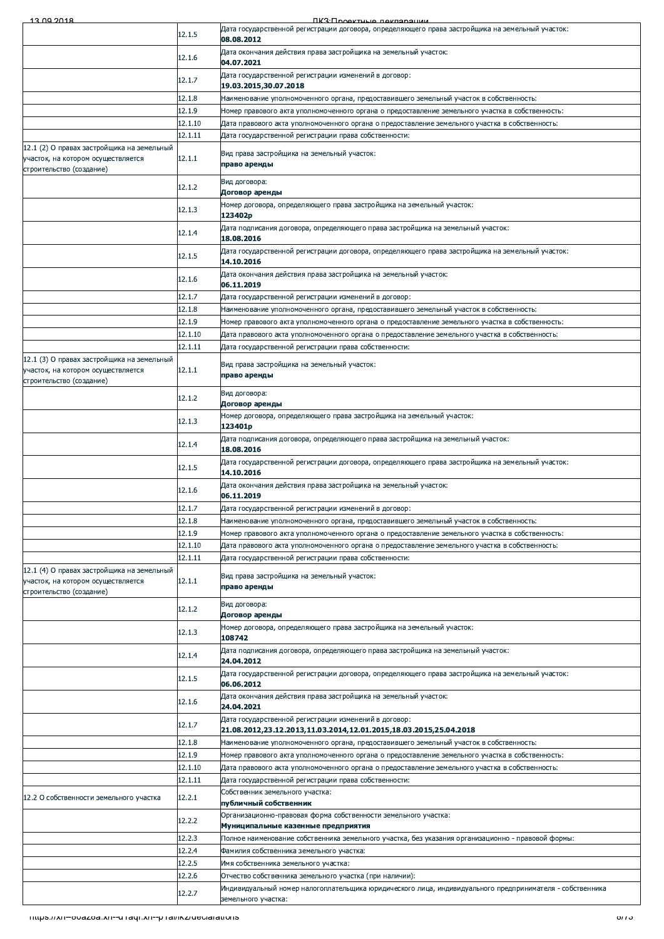| 12 00 2018 |  |  |
|------------|--|--|

| 12.1.5<br>08.08.2012<br>Дата окончания действия права застройщика на земельный участок:<br>12.1.6<br>04.07.2021<br>Дата государственной регистрации изменений в договор:<br>12.1.7<br>19.03.2015,30.07.2018<br>12.1.8<br>Наименование уполномоченного органа, предоставившего земельный участок в собственность:<br>12.1.9<br>Номер правового акта уполномоченного органа о предоставление земельного участка в собственность:<br>12.1.10<br>Дата правового акта уполномоченного органа о предоставление земельного участка в собственность:<br>12.1.11<br>Дата государственной регистрации права собственности:<br>Вид права застройщика на земельный участок:<br>12.1.1<br>право аренды<br>строительство (создание)<br>Вид договора:<br>12.1.2<br>Договор аренды<br>Номер договора, определяющего права застройщика на земельный участок:<br>12.1.3<br>123402p<br>Дата подписания договора, определяющего права застройщика на земельный участок:<br>12.1.4<br>18.08.2016<br>Дата государственной регистрации договора, определяющего права застройщика на земельный участок:<br>12.1.5<br>14.10.2016<br>Дата окончания действия права застройщика на земельный участок:<br>12.1.6<br>06.11.2019<br>12.1.7<br>Дата государственной регистрации изменений в договор:<br>12.1.8<br>Наименование уполномоченного органа, предоставившего земельный участок в собственность:<br>12.1.9<br>Номер правового акта уполномоченного органа о предоставление земельного участка в собственность:<br>12.1.10<br>Дата правового акта уполномоченного органа о предоставление земельного участка в собственность:<br>12.1.11<br>Дата государственной регистрации права собственности:<br>Вид права застройщика на земельный участок:<br>12.1.1<br>право аренды<br>Вид договора:<br>12.1.2<br>Договор аренды<br>Номер договора, определяющего права застройщика на земельный участок:<br>12.1.3<br>123401p<br>Дата подписания договора, определяющего права застройщика на земельный участок:<br>12.1.4<br>18.08.2016<br>Дата государственной регистрации договора, определяющего права застройщика на земельный участок:<br>12.1.5<br>14.10.2016<br>Дата окончания действия права застройщика на земельный участок:<br>12.1.6<br>06.11.2019<br>12.1.7<br>Дата государственной регистрации изменений в договор:<br>12.1.8<br>Наименование уполномоченного органа, предоставившего земельный участок в собственность:<br>12.1.9<br>Номер правового акта уполномоченного органа о предоставление земельного участка в собственность:<br>12.1.10<br>"Дата правового акта уполномоченного органа о предоставление земельного участка в собственность:<br>12.1.11<br>Дата государственной регистрации права собственности:<br>12.1 (4) О правах застройщика на земельный<br>Вид права застройщика на земельный участок:<br>12.1.1<br>участок, на котором осуществляется<br>право аренды<br>строительство (создание)<br>Вид договора:<br>12.1.2<br>Договор аренды<br>Номер договора, определяющего права застройщика на земельный участок:<br>12.1.3<br>108742<br>Дата подписания договора, определяющего права застройщика на земельный участок:<br>12.1.4<br>24.04.2012<br>Дата государственной регистрации договора, определяющего права застройщика на земельный участок:<br>12.1.5<br>06.06.2012<br>Дата окончания действия права застройщика на земельный участок:<br>12.1.6<br>24.04.2021<br>Дата государственной регистрации изменений в договор:<br>12.1.7<br>21.08.2012,23.12.2013,11.03.2014,12.01.2015,18.03.2015,25.04.2018<br>12.1.8<br>Наименование уполномоченного органа, предоставившего земельный участок в собственность:<br>12.1.9<br>Номер правового акта уполномоченного органа о предоставление земельного участка в собственность:<br>12.1.10<br>Дата правового акта уполномоченного органа о предоставление земельного участка в собственность:<br>12.1.11<br>Дата государственной регистрации права собственности:<br>Собственник земельного участка:<br>12.2.1<br>публичный собственник<br>Организационно-правовая форма собственности земельного участка:<br>12.2.2<br>Муниципальные казенные предприятия<br>12.2.3<br>Полное наименование собственника земельного участка, без указания организационно - правовой формы:<br>12.2.4<br>Фамилия собственника земельного участка:<br>12.2.5<br>Имя собственника земельного участка:<br>12.2.6<br>Отчество собственника земельного участка (при наличии):<br>Индивидуальный номер налогоплательщика юридического лица, индивидуального предпринимателя - собственника<br>12.2.7<br>земельного участка:<br>mups.//xn--ovazoa.xn--u raqr.xn--p ramicz/declarations |  |                                                                                                              | <u>IIK ('HAAVTULIA HAVHANAH</u>                                                                  |
|--------------------------------------------------------------------------------------------------------------------------------------------------------------------------------------------------------------------------------------------------------------------------------------------------------------------------------------------------------------------------------------------------------------------------------------------------------------------------------------------------------------------------------------------------------------------------------------------------------------------------------------------------------------------------------------------------------------------------------------------------------------------------------------------------------------------------------------------------------------------------------------------------------------------------------------------------------------------------------------------------------------------------------------------------------------------------------------------------------------------------------------------------------------------------------------------------------------------------------------------------------------------------------------------------------------------------------------------------------------------------------------------------------------------------------------------------------------------------------------------------------------------------------------------------------------------------------------------------------------------------------------------------------------------------------------------------------------------------------------------------------------------------------------------------------------------------------------------------------------------------------------------------------------------------------------------------------------------------------------------------------------------------------------------------------------------------------------------------------------------------------------------------------------------------------------------------------------------------------------------------------------------------------------------------------------------------------------------------------------------------------------------------------------------------------------------------------------------------------------------------------------------------------------------------------------------------------------------------------------------------------------------------------------------------------------------------------------------------------------------------------------------------------------------------------------------------------------------------------------------------------------------------------------------------------------------------------------------------------------------------------------------------------------------------------------------------------------------------------------------------------------------------------------------------------------------------------------------------------------------------------------------------------------------------------------------------------------------------------------------------------------------------------------------------------------------------------------------------------------------------------------------------------------------------------------------------------------------------------------------------------------------------------------------------------------------------------------------------------------------------------------------------------------------------------------------------------------------------------------------------------------------------------------------------------------------------------------------------------------------------------------------------------------------------------------------------------------------------------------------------------------------------------------------------------------------------------------------------------------------------------------------------------------------------------------------------------------------------------------------------------------------------------------------------------------------------------------------------------------------------------------------------------------------------------------------------------------------------------------------------|--|--------------------------------------------------------------------------------------------------------------|--------------------------------------------------------------------------------------------------|
|                                                                                                                                                                                                                                                                                                                                                                                                                                                                                                                                                                                                                                                                                                                                                                                                                                                                                                                                                                                                                                                                                                                                                                                                                                                                                                                                                                                                                                                                                                                                                                                                                                                                                                                                                                                                                                                                                                                                                                                                                                                                                                                                                                                                                                                                                                                                                                                                                                                                                                                                                                                                                                                                                                                                                                                                                                                                                                                                                                                                                                                                                                                                                                                                                                                                                                                                                                                                                                                                                                                                                                                                                                                                                                                                                                                                                                                                                                                                                                                                                                                                                                                                                                                                                                                                                                                                                                                                                                                                                                                                                                                                                          |  |                                                                                                              | Дата государственной регистрации договора, определяющего права застройщика на земельный участок: |
|                                                                                                                                                                                                                                                                                                                                                                                                                                                                                                                                                                                                                                                                                                                                                                                                                                                                                                                                                                                                                                                                                                                                                                                                                                                                                                                                                                                                                                                                                                                                                                                                                                                                                                                                                                                                                                                                                                                                                                                                                                                                                                                                                                                                                                                                                                                                                                                                                                                                                                                                                                                                                                                                                                                                                                                                                                                                                                                                                                                                                                                                                                                                                                                                                                                                                                                                                                                                                                                                                                                                                                                                                                                                                                                                                                                                                                                                                                                                                                                                                                                                                                                                                                                                                                                                                                                                                                                                                                                                                                                                                                                                                          |  |                                                                                                              |                                                                                                  |
|                                                                                                                                                                                                                                                                                                                                                                                                                                                                                                                                                                                                                                                                                                                                                                                                                                                                                                                                                                                                                                                                                                                                                                                                                                                                                                                                                                                                                                                                                                                                                                                                                                                                                                                                                                                                                                                                                                                                                                                                                                                                                                                                                                                                                                                                                                                                                                                                                                                                                                                                                                                                                                                                                                                                                                                                                                                                                                                                                                                                                                                                                                                                                                                                                                                                                                                                                                                                                                                                                                                                                                                                                                                                                                                                                                                                                                                                                                                                                                                                                                                                                                                                                                                                                                                                                                                                                                                                                                                                                                                                                                                                                          |  |                                                                                                              |                                                                                                  |
|                                                                                                                                                                                                                                                                                                                                                                                                                                                                                                                                                                                                                                                                                                                                                                                                                                                                                                                                                                                                                                                                                                                                                                                                                                                                                                                                                                                                                                                                                                                                                                                                                                                                                                                                                                                                                                                                                                                                                                                                                                                                                                                                                                                                                                                                                                                                                                                                                                                                                                                                                                                                                                                                                                                                                                                                                                                                                                                                                                                                                                                                                                                                                                                                                                                                                                                                                                                                                                                                                                                                                                                                                                                                                                                                                                                                                                                                                                                                                                                                                                                                                                                                                                                                                                                                                                                                                                                                                                                                                                                                                                                                                          |  |                                                                                                              |                                                                                                  |
|                                                                                                                                                                                                                                                                                                                                                                                                                                                                                                                                                                                                                                                                                                                                                                                                                                                                                                                                                                                                                                                                                                                                                                                                                                                                                                                                                                                                                                                                                                                                                                                                                                                                                                                                                                                                                                                                                                                                                                                                                                                                                                                                                                                                                                                                                                                                                                                                                                                                                                                                                                                                                                                                                                                                                                                                                                                                                                                                                                                                                                                                                                                                                                                                                                                                                                                                                                                                                                                                                                                                                                                                                                                                                                                                                                                                                                                                                                                                                                                                                                                                                                                                                                                                                                                                                                                                                                                                                                                                                                                                                                                                                          |  |                                                                                                              |                                                                                                  |
|                                                                                                                                                                                                                                                                                                                                                                                                                                                                                                                                                                                                                                                                                                                                                                                                                                                                                                                                                                                                                                                                                                                                                                                                                                                                                                                                                                                                                                                                                                                                                                                                                                                                                                                                                                                                                                                                                                                                                                                                                                                                                                                                                                                                                                                                                                                                                                                                                                                                                                                                                                                                                                                                                                                                                                                                                                                                                                                                                                                                                                                                                                                                                                                                                                                                                                                                                                                                                                                                                                                                                                                                                                                                                                                                                                                                                                                                                                                                                                                                                                                                                                                                                                                                                                                                                                                                                                                                                                                                                                                                                                                                                          |  |                                                                                                              |                                                                                                  |
|                                                                                                                                                                                                                                                                                                                                                                                                                                                                                                                                                                                                                                                                                                                                                                                                                                                                                                                                                                                                                                                                                                                                                                                                                                                                                                                                                                                                                                                                                                                                                                                                                                                                                                                                                                                                                                                                                                                                                                                                                                                                                                                                                                                                                                                                                                                                                                                                                                                                                                                                                                                                                                                                                                                                                                                                                                                                                                                                                                                                                                                                                                                                                                                                                                                                                                                                                                                                                                                                                                                                                                                                                                                                                                                                                                                                                                                                                                                                                                                                                                                                                                                                                                                                                                                                                                                                                                                                                                                                                                                                                                                                                          |  |                                                                                                              |                                                                                                  |
|                                                                                                                                                                                                                                                                                                                                                                                                                                                                                                                                                                                                                                                                                                                                                                                                                                                                                                                                                                                                                                                                                                                                                                                                                                                                                                                                                                                                                                                                                                                                                                                                                                                                                                                                                                                                                                                                                                                                                                                                                                                                                                                                                                                                                                                                                                                                                                                                                                                                                                                                                                                                                                                                                                                                                                                                                                                                                                                                                                                                                                                                                                                                                                                                                                                                                                                                                                                                                                                                                                                                                                                                                                                                                                                                                                                                                                                                                                                                                                                                                                                                                                                                                                                                                                                                                                                                                                                                                                                                                                                                                                                                                          |  |                                                                                                              |                                                                                                  |
|                                                                                                                                                                                                                                                                                                                                                                                                                                                                                                                                                                                                                                                                                                                                                                                                                                                                                                                                                                                                                                                                                                                                                                                                                                                                                                                                                                                                                                                                                                                                                                                                                                                                                                                                                                                                                                                                                                                                                                                                                                                                                                                                                                                                                                                                                                                                                                                                                                                                                                                                                                                                                                                                                                                                                                                                                                                                                                                                                                                                                                                                                                                                                                                                                                                                                                                                                                                                                                                                                                                                                                                                                                                                                                                                                                                                                                                                                                                                                                                                                                                                                                                                                                                                                                                                                                                                                                                                                                                                                                                                                                                                                          |  | 12.1 (2) О правах застройщика на земельный<br>участок, на котором осуществляется                             |                                                                                                  |
|                                                                                                                                                                                                                                                                                                                                                                                                                                                                                                                                                                                                                                                                                                                                                                                                                                                                                                                                                                                                                                                                                                                                                                                                                                                                                                                                                                                                                                                                                                                                                                                                                                                                                                                                                                                                                                                                                                                                                                                                                                                                                                                                                                                                                                                                                                                                                                                                                                                                                                                                                                                                                                                                                                                                                                                                                                                                                                                                                                                                                                                                                                                                                                                                                                                                                                                                                                                                                                                                                                                                                                                                                                                                                                                                                                                                                                                                                                                                                                                                                                                                                                                                                                                                                                                                                                                                                                                                                                                                                                                                                                                                                          |  |                                                                                                              |                                                                                                  |
|                                                                                                                                                                                                                                                                                                                                                                                                                                                                                                                                                                                                                                                                                                                                                                                                                                                                                                                                                                                                                                                                                                                                                                                                                                                                                                                                                                                                                                                                                                                                                                                                                                                                                                                                                                                                                                                                                                                                                                                                                                                                                                                                                                                                                                                                                                                                                                                                                                                                                                                                                                                                                                                                                                                                                                                                                                                                                                                                                                                                                                                                                                                                                                                                                                                                                                                                                                                                                                                                                                                                                                                                                                                                                                                                                                                                                                                                                                                                                                                                                                                                                                                                                                                                                                                                                                                                                                                                                                                                                                                                                                                                                          |  |                                                                                                              |                                                                                                  |
|                                                                                                                                                                                                                                                                                                                                                                                                                                                                                                                                                                                                                                                                                                                                                                                                                                                                                                                                                                                                                                                                                                                                                                                                                                                                                                                                                                                                                                                                                                                                                                                                                                                                                                                                                                                                                                                                                                                                                                                                                                                                                                                                                                                                                                                                                                                                                                                                                                                                                                                                                                                                                                                                                                                                                                                                                                                                                                                                                                                                                                                                                                                                                                                                                                                                                                                                                                                                                                                                                                                                                                                                                                                                                                                                                                                                                                                                                                                                                                                                                                                                                                                                                                                                                                                                                                                                                                                                                                                                                                                                                                                                                          |  |                                                                                                              |                                                                                                  |
|                                                                                                                                                                                                                                                                                                                                                                                                                                                                                                                                                                                                                                                                                                                                                                                                                                                                                                                                                                                                                                                                                                                                                                                                                                                                                                                                                                                                                                                                                                                                                                                                                                                                                                                                                                                                                                                                                                                                                                                                                                                                                                                                                                                                                                                                                                                                                                                                                                                                                                                                                                                                                                                                                                                                                                                                                                                                                                                                                                                                                                                                                                                                                                                                                                                                                                                                                                                                                                                                                                                                                                                                                                                                                                                                                                                                                                                                                                                                                                                                                                                                                                                                                                                                                                                                                                                                                                                                                                                                                                                                                                                                                          |  |                                                                                                              |                                                                                                  |
|                                                                                                                                                                                                                                                                                                                                                                                                                                                                                                                                                                                                                                                                                                                                                                                                                                                                                                                                                                                                                                                                                                                                                                                                                                                                                                                                                                                                                                                                                                                                                                                                                                                                                                                                                                                                                                                                                                                                                                                                                                                                                                                                                                                                                                                                                                                                                                                                                                                                                                                                                                                                                                                                                                                                                                                                                                                                                                                                                                                                                                                                                                                                                                                                                                                                                                                                                                                                                                                                                                                                                                                                                                                                                                                                                                                                                                                                                                                                                                                                                                                                                                                                                                                                                                                                                                                                                                                                                                                                                                                                                                                                                          |  |                                                                                                              |                                                                                                  |
|                                                                                                                                                                                                                                                                                                                                                                                                                                                                                                                                                                                                                                                                                                                                                                                                                                                                                                                                                                                                                                                                                                                                                                                                                                                                                                                                                                                                                                                                                                                                                                                                                                                                                                                                                                                                                                                                                                                                                                                                                                                                                                                                                                                                                                                                                                                                                                                                                                                                                                                                                                                                                                                                                                                                                                                                                                                                                                                                                                                                                                                                                                                                                                                                                                                                                                                                                                                                                                                                                                                                                                                                                                                                                                                                                                                                                                                                                                                                                                                                                                                                                                                                                                                                                                                                                                                                                                                                                                                                                                                                                                                                                          |  |                                                                                                              |                                                                                                  |
|                                                                                                                                                                                                                                                                                                                                                                                                                                                                                                                                                                                                                                                                                                                                                                                                                                                                                                                                                                                                                                                                                                                                                                                                                                                                                                                                                                                                                                                                                                                                                                                                                                                                                                                                                                                                                                                                                                                                                                                                                                                                                                                                                                                                                                                                                                                                                                                                                                                                                                                                                                                                                                                                                                                                                                                                                                                                                                                                                                                                                                                                                                                                                                                                                                                                                                                                                                                                                                                                                                                                                                                                                                                                                                                                                                                                                                                                                                                                                                                                                                                                                                                                                                                                                                                                                                                                                                                                                                                                                                                                                                                                                          |  |                                                                                                              |                                                                                                  |
|                                                                                                                                                                                                                                                                                                                                                                                                                                                                                                                                                                                                                                                                                                                                                                                                                                                                                                                                                                                                                                                                                                                                                                                                                                                                                                                                                                                                                                                                                                                                                                                                                                                                                                                                                                                                                                                                                                                                                                                                                                                                                                                                                                                                                                                                                                                                                                                                                                                                                                                                                                                                                                                                                                                                                                                                                                                                                                                                                                                                                                                                                                                                                                                                                                                                                                                                                                                                                                                                                                                                                                                                                                                                                                                                                                                                                                                                                                                                                                                                                                                                                                                                                                                                                                                                                                                                                                                                                                                                                                                                                                                                                          |  |                                                                                                              |                                                                                                  |
|                                                                                                                                                                                                                                                                                                                                                                                                                                                                                                                                                                                                                                                                                                                                                                                                                                                                                                                                                                                                                                                                                                                                                                                                                                                                                                                                                                                                                                                                                                                                                                                                                                                                                                                                                                                                                                                                                                                                                                                                                                                                                                                                                                                                                                                                                                                                                                                                                                                                                                                                                                                                                                                                                                                                                                                                                                                                                                                                                                                                                                                                                                                                                                                                                                                                                                                                                                                                                                                                                                                                                                                                                                                                                                                                                                                                                                                                                                                                                                                                                                                                                                                                                                                                                                                                                                                                                                                                                                                                                                                                                                                                                          |  |                                                                                                              |                                                                                                  |
|                                                                                                                                                                                                                                                                                                                                                                                                                                                                                                                                                                                                                                                                                                                                                                                                                                                                                                                                                                                                                                                                                                                                                                                                                                                                                                                                                                                                                                                                                                                                                                                                                                                                                                                                                                                                                                                                                                                                                                                                                                                                                                                                                                                                                                                                                                                                                                                                                                                                                                                                                                                                                                                                                                                                                                                                                                                                                                                                                                                                                                                                                                                                                                                                                                                                                                                                                                                                                                                                                                                                                                                                                                                                                                                                                                                                                                                                                                                                                                                                                                                                                                                                                                                                                                                                                                                                                                                                                                                                                                                                                                                                                          |  |                                                                                                              |                                                                                                  |
|                                                                                                                                                                                                                                                                                                                                                                                                                                                                                                                                                                                                                                                                                                                                                                                                                                                                                                                                                                                                                                                                                                                                                                                                                                                                                                                                                                                                                                                                                                                                                                                                                                                                                                                                                                                                                                                                                                                                                                                                                                                                                                                                                                                                                                                                                                                                                                                                                                                                                                                                                                                                                                                                                                                                                                                                                                                                                                                                                                                                                                                                                                                                                                                                                                                                                                                                                                                                                                                                                                                                                                                                                                                                                                                                                                                                                                                                                                                                                                                                                                                                                                                                                                                                                                                                                                                                                                                                                                                                                                                                                                                                                          |  |                                                                                                              |                                                                                                  |
|                                                                                                                                                                                                                                                                                                                                                                                                                                                                                                                                                                                                                                                                                                                                                                                                                                                                                                                                                                                                                                                                                                                                                                                                                                                                                                                                                                                                                                                                                                                                                                                                                                                                                                                                                                                                                                                                                                                                                                                                                                                                                                                                                                                                                                                                                                                                                                                                                                                                                                                                                                                                                                                                                                                                                                                                                                                                                                                                                                                                                                                                                                                                                                                                                                                                                                                                                                                                                                                                                                                                                                                                                                                                                                                                                                                                                                                                                                                                                                                                                                                                                                                                                                                                                                                                                                                                                                                                                                                                                                                                                                                                                          |  | 12.1 (3) О правах застройщика на земельный<br>участок, на котором осуществляется<br>строительство (создание) |                                                                                                  |
|                                                                                                                                                                                                                                                                                                                                                                                                                                                                                                                                                                                                                                                                                                                                                                                                                                                                                                                                                                                                                                                                                                                                                                                                                                                                                                                                                                                                                                                                                                                                                                                                                                                                                                                                                                                                                                                                                                                                                                                                                                                                                                                                                                                                                                                                                                                                                                                                                                                                                                                                                                                                                                                                                                                                                                                                                                                                                                                                                                                                                                                                                                                                                                                                                                                                                                                                                                                                                                                                                                                                                                                                                                                                                                                                                                                                                                                                                                                                                                                                                                                                                                                                                                                                                                                                                                                                                                                                                                                                                                                                                                                                                          |  |                                                                                                              |                                                                                                  |
|                                                                                                                                                                                                                                                                                                                                                                                                                                                                                                                                                                                                                                                                                                                                                                                                                                                                                                                                                                                                                                                                                                                                                                                                                                                                                                                                                                                                                                                                                                                                                                                                                                                                                                                                                                                                                                                                                                                                                                                                                                                                                                                                                                                                                                                                                                                                                                                                                                                                                                                                                                                                                                                                                                                                                                                                                                                                                                                                                                                                                                                                                                                                                                                                                                                                                                                                                                                                                                                                                                                                                                                                                                                                                                                                                                                                                                                                                                                                                                                                                                                                                                                                                                                                                                                                                                                                                                                                                                                                                                                                                                                                                          |  |                                                                                                              |                                                                                                  |
|                                                                                                                                                                                                                                                                                                                                                                                                                                                                                                                                                                                                                                                                                                                                                                                                                                                                                                                                                                                                                                                                                                                                                                                                                                                                                                                                                                                                                                                                                                                                                                                                                                                                                                                                                                                                                                                                                                                                                                                                                                                                                                                                                                                                                                                                                                                                                                                                                                                                                                                                                                                                                                                                                                                                                                                                                                                                                                                                                                                                                                                                                                                                                                                                                                                                                                                                                                                                                                                                                                                                                                                                                                                                                                                                                                                                                                                                                                                                                                                                                                                                                                                                                                                                                                                                                                                                                                                                                                                                                                                                                                                                                          |  |                                                                                                              |                                                                                                  |
|                                                                                                                                                                                                                                                                                                                                                                                                                                                                                                                                                                                                                                                                                                                                                                                                                                                                                                                                                                                                                                                                                                                                                                                                                                                                                                                                                                                                                                                                                                                                                                                                                                                                                                                                                                                                                                                                                                                                                                                                                                                                                                                                                                                                                                                                                                                                                                                                                                                                                                                                                                                                                                                                                                                                                                                                                                                                                                                                                                                                                                                                                                                                                                                                                                                                                                                                                                                                                                                                                                                                                                                                                                                                                                                                                                                                                                                                                                                                                                                                                                                                                                                                                                                                                                                                                                                                                                                                                                                                                                                                                                                                                          |  |                                                                                                              |                                                                                                  |
|                                                                                                                                                                                                                                                                                                                                                                                                                                                                                                                                                                                                                                                                                                                                                                                                                                                                                                                                                                                                                                                                                                                                                                                                                                                                                                                                                                                                                                                                                                                                                                                                                                                                                                                                                                                                                                                                                                                                                                                                                                                                                                                                                                                                                                                                                                                                                                                                                                                                                                                                                                                                                                                                                                                                                                                                                                                                                                                                                                                                                                                                                                                                                                                                                                                                                                                                                                                                                                                                                                                                                                                                                                                                                                                                                                                                                                                                                                                                                                                                                                                                                                                                                                                                                                                                                                                                                                                                                                                                                                                                                                                                                          |  |                                                                                                              |                                                                                                  |
|                                                                                                                                                                                                                                                                                                                                                                                                                                                                                                                                                                                                                                                                                                                                                                                                                                                                                                                                                                                                                                                                                                                                                                                                                                                                                                                                                                                                                                                                                                                                                                                                                                                                                                                                                                                                                                                                                                                                                                                                                                                                                                                                                                                                                                                                                                                                                                                                                                                                                                                                                                                                                                                                                                                                                                                                                                                                                                                                                                                                                                                                                                                                                                                                                                                                                                                                                                                                                                                                                                                                                                                                                                                                                                                                                                                                                                                                                                                                                                                                                                                                                                                                                                                                                                                                                                                                                                                                                                                                                                                                                                                                                          |  |                                                                                                              |                                                                                                  |
|                                                                                                                                                                                                                                                                                                                                                                                                                                                                                                                                                                                                                                                                                                                                                                                                                                                                                                                                                                                                                                                                                                                                                                                                                                                                                                                                                                                                                                                                                                                                                                                                                                                                                                                                                                                                                                                                                                                                                                                                                                                                                                                                                                                                                                                                                                                                                                                                                                                                                                                                                                                                                                                                                                                                                                                                                                                                                                                                                                                                                                                                                                                                                                                                                                                                                                                                                                                                                                                                                                                                                                                                                                                                                                                                                                                                                                                                                                                                                                                                                                                                                                                                                                                                                                                                                                                                                                                                                                                                                                                                                                                                                          |  |                                                                                                              |                                                                                                  |
|                                                                                                                                                                                                                                                                                                                                                                                                                                                                                                                                                                                                                                                                                                                                                                                                                                                                                                                                                                                                                                                                                                                                                                                                                                                                                                                                                                                                                                                                                                                                                                                                                                                                                                                                                                                                                                                                                                                                                                                                                                                                                                                                                                                                                                                                                                                                                                                                                                                                                                                                                                                                                                                                                                                                                                                                                                                                                                                                                                                                                                                                                                                                                                                                                                                                                                                                                                                                                                                                                                                                                                                                                                                                                                                                                                                                                                                                                                                                                                                                                                                                                                                                                                                                                                                                                                                                                                                                                                                                                                                                                                                                                          |  |                                                                                                              |                                                                                                  |
|                                                                                                                                                                                                                                                                                                                                                                                                                                                                                                                                                                                                                                                                                                                                                                                                                                                                                                                                                                                                                                                                                                                                                                                                                                                                                                                                                                                                                                                                                                                                                                                                                                                                                                                                                                                                                                                                                                                                                                                                                                                                                                                                                                                                                                                                                                                                                                                                                                                                                                                                                                                                                                                                                                                                                                                                                                                                                                                                                                                                                                                                                                                                                                                                                                                                                                                                                                                                                                                                                                                                                                                                                                                                                                                                                                                                                                                                                                                                                                                                                                                                                                                                                                                                                                                                                                                                                                                                                                                                                                                                                                                                                          |  |                                                                                                              |                                                                                                  |
|                                                                                                                                                                                                                                                                                                                                                                                                                                                                                                                                                                                                                                                                                                                                                                                                                                                                                                                                                                                                                                                                                                                                                                                                                                                                                                                                                                                                                                                                                                                                                                                                                                                                                                                                                                                                                                                                                                                                                                                                                                                                                                                                                                                                                                                                                                                                                                                                                                                                                                                                                                                                                                                                                                                                                                                                                                                                                                                                                                                                                                                                                                                                                                                                                                                                                                                                                                                                                                                                                                                                                                                                                                                                                                                                                                                                                                                                                                                                                                                                                                                                                                                                                                                                                                                                                                                                                                                                                                                                                                                                                                                                                          |  |                                                                                                              |                                                                                                  |
|                                                                                                                                                                                                                                                                                                                                                                                                                                                                                                                                                                                                                                                                                                                                                                                                                                                                                                                                                                                                                                                                                                                                                                                                                                                                                                                                                                                                                                                                                                                                                                                                                                                                                                                                                                                                                                                                                                                                                                                                                                                                                                                                                                                                                                                                                                                                                                                                                                                                                                                                                                                                                                                                                                                                                                                                                                                                                                                                                                                                                                                                                                                                                                                                                                                                                                                                                                                                                                                                                                                                                                                                                                                                                                                                                                                                                                                                                                                                                                                                                                                                                                                                                                                                                                                                                                                                                                                                                                                                                                                                                                                                                          |  |                                                                                                              |                                                                                                  |
|                                                                                                                                                                                                                                                                                                                                                                                                                                                                                                                                                                                                                                                                                                                                                                                                                                                                                                                                                                                                                                                                                                                                                                                                                                                                                                                                                                                                                                                                                                                                                                                                                                                                                                                                                                                                                                                                                                                                                                                                                                                                                                                                                                                                                                                                                                                                                                                                                                                                                                                                                                                                                                                                                                                                                                                                                                                                                                                                                                                                                                                                                                                                                                                                                                                                                                                                                                                                                                                                                                                                                                                                                                                                                                                                                                                                                                                                                                                                                                                                                                                                                                                                                                                                                                                                                                                                                                                                                                                                                                                                                                                                                          |  |                                                                                                              |                                                                                                  |
|                                                                                                                                                                                                                                                                                                                                                                                                                                                                                                                                                                                                                                                                                                                                                                                                                                                                                                                                                                                                                                                                                                                                                                                                                                                                                                                                                                                                                                                                                                                                                                                                                                                                                                                                                                                                                                                                                                                                                                                                                                                                                                                                                                                                                                                                                                                                                                                                                                                                                                                                                                                                                                                                                                                                                                                                                                                                                                                                                                                                                                                                                                                                                                                                                                                                                                                                                                                                                                                                                                                                                                                                                                                                                                                                                                                                                                                                                                                                                                                                                                                                                                                                                                                                                                                                                                                                                                                                                                                                                                                                                                                                                          |  |                                                                                                              |                                                                                                  |
|                                                                                                                                                                                                                                                                                                                                                                                                                                                                                                                                                                                                                                                                                                                                                                                                                                                                                                                                                                                                                                                                                                                                                                                                                                                                                                                                                                                                                                                                                                                                                                                                                                                                                                                                                                                                                                                                                                                                                                                                                                                                                                                                                                                                                                                                                                                                                                                                                                                                                                                                                                                                                                                                                                                                                                                                                                                                                                                                                                                                                                                                                                                                                                                                                                                                                                                                                                                                                                                                                                                                                                                                                                                                                                                                                                                                                                                                                                                                                                                                                                                                                                                                                                                                                                                                                                                                                                                                                                                                                                                                                                                                                          |  |                                                                                                              |                                                                                                  |
|                                                                                                                                                                                                                                                                                                                                                                                                                                                                                                                                                                                                                                                                                                                                                                                                                                                                                                                                                                                                                                                                                                                                                                                                                                                                                                                                                                                                                                                                                                                                                                                                                                                                                                                                                                                                                                                                                                                                                                                                                                                                                                                                                                                                                                                                                                                                                                                                                                                                                                                                                                                                                                                                                                                                                                                                                                                                                                                                                                                                                                                                                                                                                                                                                                                                                                                                                                                                                                                                                                                                                                                                                                                                                                                                                                                                                                                                                                                                                                                                                                                                                                                                                                                                                                                                                                                                                                                                                                                                                                                                                                                                                          |  |                                                                                                              |                                                                                                  |
|                                                                                                                                                                                                                                                                                                                                                                                                                                                                                                                                                                                                                                                                                                                                                                                                                                                                                                                                                                                                                                                                                                                                                                                                                                                                                                                                                                                                                                                                                                                                                                                                                                                                                                                                                                                                                                                                                                                                                                                                                                                                                                                                                                                                                                                                                                                                                                                                                                                                                                                                                                                                                                                                                                                                                                                                                                                                                                                                                                                                                                                                                                                                                                                                                                                                                                                                                                                                                                                                                                                                                                                                                                                                                                                                                                                                                                                                                                                                                                                                                                                                                                                                                                                                                                                                                                                                                                                                                                                                                                                                                                                                                          |  |                                                                                                              |                                                                                                  |
|                                                                                                                                                                                                                                                                                                                                                                                                                                                                                                                                                                                                                                                                                                                                                                                                                                                                                                                                                                                                                                                                                                                                                                                                                                                                                                                                                                                                                                                                                                                                                                                                                                                                                                                                                                                                                                                                                                                                                                                                                                                                                                                                                                                                                                                                                                                                                                                                                                                                                                                                                                                                                                                                                                                                                                                                                                                                                                                                                                                                                                                                                                                                                                                                                                                                                                                                                                                                                                                                                                                                                                                                                                                                                                                                                                                                                                                                                                                                                                                                                                                                                                                                                                                                                                                                                                                                                                                                                                                                                                                                                                                                                          |  |                                                                                                              |                                                                                                  |
|                                                                                                                                                                                                                                                                                                                                                                                                                                                                                                                                                                                                                                                                                                                                                                                                                                                                                                                                                                                                                                                                                                                                                                                                                                                                                                                                                                                                                                                                                                                                                                                                                                                                                                                                                                                                                                                                                                                                                                                                                                                                                                                                                                                                                                                                                                                                                                                                                                                                                                                                                                                                                                                                                                                                                                                                                                                                                                                                                                                                                                                                                                                                                                                                                                                                                                                                                                                                                                                                                                                                                                                                                                                                                                                                                                                                                                                                                                                                                                                                                                                                                                                                                                                                                                                                                                                                                                                                                                                                                                                                                                                                                          |  |                                                                                                              |                                                                                                  |
|                                                                                                                                                                                                                                                                                                                                                                                                                                                                                                                                                                                                                                                                                                                                                                                                                                                                                                                                                                                                                                                                                                                                                                                                                                                                                                                                                                                                                                                                                                                                                                                                                                                                                                                                                                                                                                                                                                                                                                                                                                                                                                                                                                                                                                                                                                                                                                                                                                                                                                                                                                                                                                                                                                                                                                                                                                                                                                                                                                                                                                                                                                                                                                                                                                                                                                                                                                                                                                                                                                                                                                                                                                                                                                                                                                                                                                                                                                                                                                                                                                                                                                                                                                                                                                                                                                                                                                                                                                                                                                                                                                                                                          |  |                                                                                                              |                                                                                                  |
|                                                                                                                                                                                                                                                                                                                                                                                                                                                                                                                                                                                                                                                                                                                                                                                                                                                                                                                                                                                                                                                                                                                                                                                                                                                                                                                                                                                                                                                                                                                                                                                                                                                                                                                                                                                                                                                                                                                                                                                                                                                                                                                                                                                                                                                                                                                                                                                                                                                                                                                                                                                                                                                                                                                                                                                                                                                                                                                                                                                                                                                                                                                                                                                                                                                                                                                                                                                                                                                                                                                                                                                                                                                                                                                                                                                                                                                                                                                                                                                                                                                                                                                                                                                                                                                                                                                                                                                                                                                                                                                                                                                                                          |  |                                                                                                              |                                                                                                  |
|                                                                                                                                                                                                                                                                                                                                                                                                                                                                                                                                                                                                                                                                                                                                                                                                                                                                                                                                                                                                                                                                                                                                                                                                                                                                                                                                                                                                                                                                                                                                                                                                                                                                                                                                                                                                                                                                                                                                                                                                                                                                                                                                                                                                                                                                                                                                                                                                                                                                                                                                                                                                                                                                                                                                                                                                                                                                                                                                                                                                                                                                                                                                                                                                                                                                                                                                                                                                                                                                                                                                                                                                                                                                                                                                                                                                                                                                                                                                                                                                                                                                                                                                                                                                                                                                                                                                                                                                                                                                                                                                                                                                                          |  |                                                                                                              |                                                                                                  |
|                                                                                                                                                                                                                                                                                                                                                                                                                                                                                                                                                                                                                                                                                                                                                                                                                                                                                                                                                                                                                                                                                                                                                                                                                                                                                                                                                                                                                                                                                                                                                                                                                                                                                                                                                                                                                                                                                                                                                                                                                                                                                                                                                                                                                                                                                                                                                                                                                                                                                                                                                                                                                                                                                                                                                                                                                                                                                                                                                                                                                                                                                                                                                                                                                                                                                                                                                                                                                                                                                                                                                                                                                                                                                                                                                                                                                                                                                                                                                                                                                                                                                                                                                                                                                                                                                                                                                                                                                                                                                                                                                                                                                          |  |                                                                                                              |                                                                                                  |
|                                                                                                                                                                                                                                                                                                                                                                                                                                                                                                                                                                                                                                                                                                                                                                                                                                                                                                                                                                                                                                                                                                                                                                                                                                                                                                                                                                                                                                                                                                                                                                                                                                                                                                                                                                                                                                                                                                                                                                                                                                                                                                                                                                                                                                                                                                                                                                                                                                                                                                                                                                                                                                                                                                                                                                                                                                                                                                                                                                                                                                                                                                                                                                                                                                                                                                                                                                                                                                                                                                                                                                                                                                                                                                                                                                                                                                                                                                                                                                                                                                                                                                                                                                                                                                                                                                                                                                                                                                                                                                                                                                                                                          |  |                                                                                                              |                                                                                                  |
|                                                                                                                                                                                                                                                                                                                                                                                                                                                                                                                                                                                                                                                                                                                                                                                                                                                                                                                                                                                                                                                                                                                                                                                                                                                                                                                                                                                                                                                                                                                                                                                                                                                                                                                                                                                                                                                                                                                                                                                                                                                                                                                                                                                                                                                                                                                                                                                                                                                                                                                                                                                                                                                                                                                                                                                                                                                                                                                                                                                                                                                                                                                                                                                                                                                                                                                                                                                                                                                                                                                                                                                                                                                                                                                                                                                                                                                                                                                                                                                                                                                                                                                                                                                                                                                                                                                                                                                                                                                                                                                                                                                                                          |  | 12.2 О собственности земельного участка                                                                      |                                                                                                  |
|                                                                                                                                                                                                                                                                                                                                                                                                                                                                                                                                                                                                                                                                                                                                                                                                                                                                                                                                                                                                                                                                                                                                                                                                                                                                                                                                                                                                                                                                                                                                                                                                                                                                                                                                                                                                                                                                                                                                                                                                                                                                                                                                                                                                                                                                                                                                                                                                                                                                                                                                                                                                                                                                                                                                                                                                                                                                                                                                                                                                                                                                                                                                                                                                                                                                                                                                                                                                                                                                                                                                                                                                                                                                                                                                                                                                                                                                                                                                                                                                                                                                                                                                                                                                                                                                                                                                                                                                                                                                                                                                                                                                                          |  |                                                                                                              |                                                                                                  |
|                                                                                                                                                                                                                                                                                                                                                                                                                                                                                                                                                                                                                                                                                                                                                                                                                                                                                                                                                                                                                                                                                                                                                                                                                                                                                                                                                                                                                                                                                                                                                                                                                                                                                                                                                                                                                                                                                                                                                                                                                                                                                                                                                                                                                                                                                                                                                                                                                                                                                                                                                                                                                                                                                                                                                                                                                                                                                                                                                                                                                                                                                                                                                                                                                                                                                                                                                                                                                                                                                                                                                                                                                                                                                                                                                                                                                                                                                                                                                                                                                                                                                                                                                                                                                                                                                                                                                                                                                                                                                                                                                                                                                          |  |                                                                                                              |                                                                                                  |
|                                                                                                                                                                                                                                                                                                                                                                                                                                                                                                                                                                                                                                                                                                                                                                                                                                                                                                                                                                                                                                                                                                                                                                                                                                                                                                                                                                                                                                                                                                                                                                                                                                                                                                                                                                                                                                                                                                                                                                                                                                                                                                                                                                                                                                                                                                                                                                                                                                                                                                                                                                                                                                                                                                                                                                                                                                                                                                                                                                                                                                                                                                                                                                                                                                                                                                                                                                                                                                                                                                                                                                                                                                                                                                                                                                                                                                                                                                                                                                                                                                                                                                                                                                                                                                                                                                                                                                                                                                                                                                                                                                                                                          |  |                                                                                                              |                                                                                                  |
|                                                                                                                                                                                                                                                                                                                                                                                                                                                                                                                                                                                                                                                                                                                                                                                                                                                                                                                                                                                                                                                                                                                                                                                                                                                                                                                                                                                                                                                                                                                                                                                                                                                                                                                                                                                                                                                                                                                                                                                                                                                                                                                                                                                                                                                                                                                                                                                                                                                                                                                                                                                                                                                                                                                                                                                                                                                                                                                                                                                                                                                                                                                                                                                                                                                                                                                                                                                                                                                                                                                                                                                                                                                                                                                                                                                                                                                                                                                                                                                                                                                                                                                                                                                                                                                                                                                                                                                                                                                                                                                                                                                                                          |  |                                                                                                              |                                                                                                  |
|                                                                                                                                                                                                                                                                                                                                                                                                                                                                                                                                                                                                                                                                                                                                                                                                                                                                                                                                                                                                                                                                                                                                                                                                                                                                                                                                                                                                                                                                                                                                                                                                                                                                                                                                                                                                                                                                                                                                                                                                                                                                                                                                                                                                                                                                                                                                                                                                                                                                                                                                                                                                                                                                                                                                                                                                                                                                                                                                                                                                                                                                                                                                                                                                                                                                                                                                                                                                                                                                                                                                                                                                                                                                                                                                                                                                                                                                                                                                                                                                                                                                                                                                                                                                                                                                                                                                                                                                                                                                                                                                                                                                                          |  |                                                                                                              |                                                                                                  |
|                                                                                                                                                                                                                                                                                                                                                                                                                                                                                                                                                                                                                                                                                                                                                                                                                                                                                                                                                                                                                                                                                                                                                                                                                                                                                                                                                                                                                                                                                                                                                                                                                                                                                                                                                                                                                                                                                                                                                                                                                                                                                                                                                                                                                                                                                                                                                                                                                                                                                                                                                                                                                                                                                                                                                                                                                                                                                                                                                                                                                                                                                                                                                                                                                                                                                                                                                                                                                                                                                                                                                                                                                                                                                                                                                                                                                                                                                                                                                                                                                                                                                                                                                                                                                                                                                                                                                                                                                                                                                                                                                                                                                          |  |                                                                                                              |                                                                                                  |
|                                                                                                                                                                                                                                                                                                                                                                                                                                                                                                                                                                                                                                                                                                                                                                                                                                                                                                                                                                                                                                                                                                                                                                                                                                                                                                                                                                                                                                                                                                                                                                                                                                                                                                                                                                                                                                                                                                                                                                                                                                                                                                                                                                                                                                                                                                                                                                                                                                                                                                                                                                                                                                                                                                                                                                                                                                                                                                                                                                                                                                                                                                                                                                                                                                                                                                                                                                                                                                                                                                                                                                                                                                                                                                                                                                                                                                                                                                                                                                                                                                                                                                                                                                                                                                                                                                                                                                                                                                                                                                                                                                                                                          |  |                                                                                                              |                                                                                                  |
|                                                                                                                                                                                                                                                                                                                                                                                                                                                                                                                                                                                                                                                                                                                                                                                                                                                                                                                                                                                                                                                                                                                                                                                                                                                                                                                                                                                                                                                                                                                                                                                                                                                                                                                                                                                                                                                                                                                                                                                                                                                                                                                                                                                                                                                                                                                                                                                                                                                                                                                                                                                                                                                                                                                                                                                                                                                                                                                                                                                                                                                                                                                                                                                                                                                                                                                                                                                                                                                                                                                                                                                                                                                                                                                                                                                                                                                                                                                                                                                                                                                                                                                                                                                                                                                                                                                                                                                                                                                                                                                                                                                                                          |  |                                                                                                              | ०/७                                                                                              |
|                                                                                                                                                                                                                                                                                                                                                                                                                                                                                                                                                                                                                                                                                                                                                                                                                                                                                                                                                                                                                                                                                                                                                                                                                                                                                                                                                                                                                                                                                                                                                                                                                                                                                                                                                                                                                                                                                                                                                                                                                                                                                                                                                                                                                                                                                                                                                                                                                                                                                                                                                                                                                                                                                                                                                                                                                                                                                                                                                                                                                                                                                                                                                                                                                                                                                                                                                                                                                                                                                                                                                                                                                                                                                                                                                                                                                                                                                                                                                                                                                                                                                                                                                                                                                                                                                                                                                                                                                                                                                                                                                                                                                          |  |                                                                                                              |                                                                                                  |
|                                                                                                                                                                                                                                                                                                                                                                                                                                                                                                                                                                                                                                                                                                                                                                                                                                                                                                                                                                                                                                                                                                                                                                                                                                                                                                                                                                                                                                                                                                                                                                                                                                                                                                                                                                                                                                                                                                                                                                                                                                                                                                                                                                                                                                                                                                                                                                                                                                                                                                                                                                                                                                                                                                                                                                                                                                                                                                                                                                                                                                                                                                                                                                                                                                                                                                                                                                                                                                                                                                                                                                                                                                                                                                                                                                                                                                                                                                                                                                                                                                                                                                                                                                                                                                                                                                                                                                                                                                                                                                                                                                                                                          |  |                                                                                                              |                                                                                                  |
|                                                                                                                                                                                                                                                                                                                                                                                                                                                                                                                                                                                                                                                                                                                                                                                                                                                                                                                                                                                                                                                                                                                                                                                                                                                                                                                                                                                                                                                                                                                                                                                                                                                                                                                                                                                                                                                                                                                                                                                                                                                                                                                                                                                                                                                                                                                                                                                                                                                                                                                                                                                                                                                                                                                                                                                                                                                                                                                                                                                                                                                                                                                                                                                                                                                                                                                                                                                                                                                                                                                                                                                                                                                                                                                                                                                                                                                                                                                                                                                                                                                                                                                                                                                                                                                                                                                                                                                                                                                                                                                                                                                                                          |  |                                                                                                              |                                                                                                  |
|                                                                                                                                                                                                                                                                                                                                                                                                                                                                                                                                                                                                                                                                                                                                                                                                                                                                                                                                                                                                                                                                                                                                                                                                                                                                                                                                                                                                                                                                                                                                                                                                                                                                                                                                                                                                                                                                                                                                                                                                                                                                                                                                                                                                                                                                                                                                                                                                                                                                                                                                                                                                                                                                                                                                                                                                                                                                                                                                                                                                                                                                                                                                                                                                                                                                                                                                                                                                                                                                                                                                                                                                                                                                                                                                                                                                                                                                                                                                                                                                                                                                                                                                                                                                                                                                                                                                                                                                                                                                                                                                                                                                                          |  |                                                                                                              |                                                                                                  |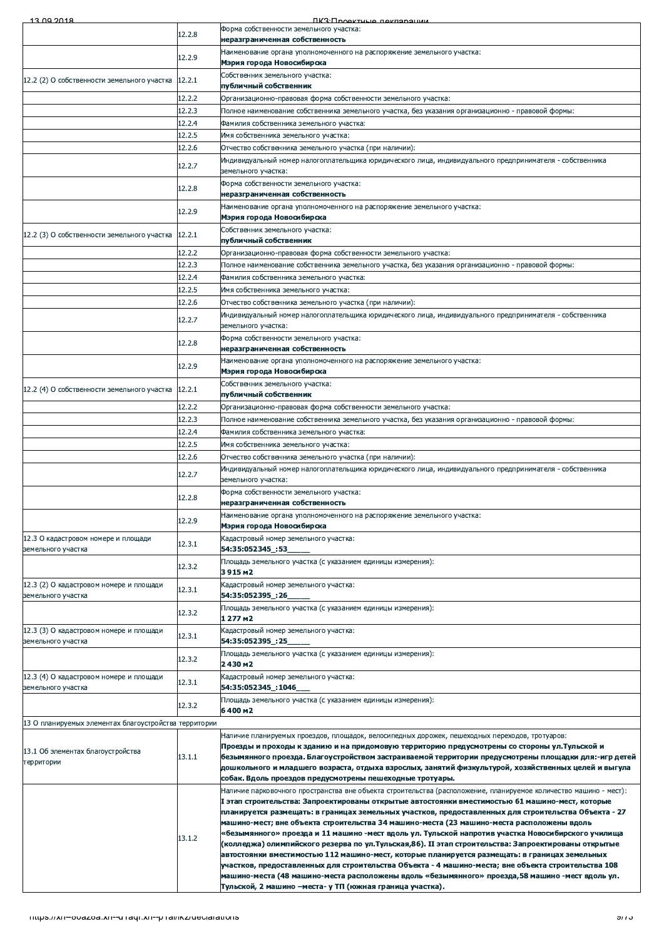| 13.00.2018                                                    |        | <b><i><u>IK3: Проектные пекларации</u></i></b>                                                                                                                                                                                                                                                                                                                                                                                                                                                                                                                                                                                                                                                                                                                                                                                                                                                                                                                                                                |
|---------------------------------------------------------------|--------|---------------------------------------------------------------------------------------------------------------------------------------------------------------------------------------------------------------------------------------------------------------------------------------------------------------------------------------------------------------------------------------------------------------------------------------------------------------------------------------------------------------------------------------------------------------------------------------------------------------------------------------------------------------------------------------------------------------------------------------------------------------------------------------------------------------------------------------------------------------------------------------------------------------------------------------------------------------------------------------------------------------|
|                                                               | 12.2.8 | Форма собственности земельного участка:<br>неразграниченная собственность                                                                                                                                                                                                                                                                                                                                                                                                                                                                                                                                                                                                                                                                                                                                                                                                                                                                                                                                     |
|                                                               | 12.2.9 | Наименование органа уполномоченного на распоряжение земельного участка:<br>Мэрия города Новосибирска                                                                                                                                                                                                                                                                                                                                                                                                                                                                                                                                                                                                                                                                                                                                                                                                                                                                                                          |
| 12.2 (2) О собственности земельного участка                   | 12.2.1 | Собственник земельного участка:<br>публичный собственник                                                                                                                                                                                                                                                                                                                                                                                                                                                                                                                                                                                                                                                                                                                                                                                                                                                                                                                                                      |
|                                                               | 12.2.2 | Организационно-правовая форма собственности земельного участка:                                                                                                                                                                                                                                                                                                                                                                                                                                                                                                                                                                                                                                                                                                                                                                                                                                                                                                                                               |
|                                                               | 12.2.3 | Полное наименование собственника земельного участка, без указания организационно - правовой формы:                                                                                                                                                                                                                                                                                                                                                                                                                                                                                                                                                                                                                                                                                                                                                                                                                                                                                                            |
|                                                               | 12.2.4 | Фамилия собственника земельного участка:                                                                                                                                                                                                                                                                                                                                                                                                                                                                                                                                                                                                                                                                                                                                                                                                                                                                                                                                                                      |
|                                                               | 12.2.5 | Имя собственника земельного участка:                                                                                                                                                                                                                                                                                                                                                                                                                                                                                                                                                                                                                                                                                                                                                                                                                                                                                                                                                                          |
|                                                               | 12.2.6 | Отчество собственника земельного участка (при наличии):                                                                                                                                                                                                                                                                                                                                                                                                                                                                                                                                                                                                                                                                                                                                                                                                                                                                                                                                                       |
|                                                               | 12.2.7 | Индивидуальный номер налогоплательщика юридического лица, индивидуального предпринимателя - собственника<br>земельного участка:                                                                                                                                                                                                                                                                                                                                                                                                                                                                                                                                                                                                                                                                                                                                                                                                                                                                               |
|                                                               | 12.2.8 | Форма собственности земельного участка:<br>неразграниченная собственность                                                                                                                                                                                                                                                                                                                                                                                                                                                                                                                                                                                                                                                                                                                                                                                                                                                                                                                                     |
|                                                               | 12.2.9 | Наименование органа уполномоченного на распоряжение земельного участка:<br>Мэрия города Новосибирска                                                                                                                                                                                                                                                                                                                                                                                                                                                                                                                                                                                                                                                                                                                                                                                                                                                                                                          |
|                                                               |        | Собственник земельного участка:                                                                                                                                                                                                                                                                                                                                                                                                                                                                                                                                                                                                                                                                                                                                                                                                                                                                                                                                                                               |
| 12.2 (3) О собственности земельного участка                   | 12.2.1 | публичный собственник                                                                                                                                                                                                                                                                                                                                                                                                                                                                                                                                                                                                                                                                                                                                                                                                                                                                                                                                                                                         |
|                                                               | 12.2.2 | Организационно-правовая форма собственности земельного участка:                                                                                                                                                                                                                                                                                                                                                                                                                                                                                                                                                                                                                                                                                                                                                                                                                                                                                                                                               |
|                                                               | 12.2.3 | Полное наименование собственника земельного участка, без указания организационно - правовой формы:                                                                                                                                                                                                                                                                                                                                                                                                                                                                                                                                                                                                                                                                                                                                                                                                                                                                                                            |
|                                                               | 12.2.4 | Фамилия собственника земельного участка:                                                                                                                                                                                                                                                                                                                                                                                                                                                                                                                                                                                                                                                                                                                                                                                                                                                                                                                                                                      |
|                                                               | 12.2.5 | Имя собственника земельного участка:                                                                                                                                                                                                                                                                                                                                                                                                                                                                                                                                                                                                                                                                                                                                                                                                                                                                                                                                                                          |
|                                                               | 12.2.6 | Отчество собственника земельного участка (при наличии):                                                                                                                                                                                                                                                                                                                                                                                                                                                                                                                                                                                                                                                                                                                                                                                                                                                                                                                                                       |
|                                                               | 12.2.7 | Индивидуальный номер налогоплательщика юридического лица, индивидуального предпринимателя - собственника<br>земельного участка:                                                                                                                                                                                                                                                                                                                                                                                                                                                                                                                                                                                                                                                                                                                                                                                                                                                                               |
|                                                               | 12.2.8 | Форма собственности земельного участка:<br>неразграниченная собственность                                                                                                                                                                                                                                                                                                                                                                                                                                                                                                                                                                                                                                                                                                                                                                                                                                                                                                                                     |
|                                                               | 12.2.9 | Наименование органа уполномоченного на распоряжение земельного участка:<br>Мэрия города Новосибирска                                                                                                                                                                                                                                                                                                                                                                                                                                                                                                                                                                                                                                                                                                                                                                                                                                                                                                          |
| 12.2 (4) О собственности земельного участка                   | 12.2.1 | Собственник земельного участка:<br>публичный собственник                                                                                                                                                                                                                                                                                                                                                                                                                                                                                                                                                                                                                                                                                                                                                                                                                                                                                                                                                      |
|                                                               | 12.2.2 | Организационно-правовая форма собственности земельного участка:                                                                                                                                                                                                                                                                                                                                                                                                                                                                                                                                                                                                                                                                                                                                                                                                                                                                                                                                               |
|                                                               | 12.2.3 | Полное наименование собственника земельного участка, без указания организационно - правовой формы:                                                                                                                                                                                                                                                                                                                                                                                                                                                                                                                                                                                                                                                                                                                                                                                                                                                                                                            |
|                                                               | 12.2.4 | Фамилия собственника земельного участка:                                                                                                                                                                                                                                                                                                                                                                                                                                                                                                                                                                                                                                                                                                                                                                                                                                                                                                                                                                      |
|                                                               | 12.2.5 | Имя собственника земельного участка:                                                                                                                                                                                                                                                                                                                                                                                                                                                                                                                                                                                                                                                                                                                                                                                                                                                                                                                                                                          |
|                                                               | 12.2.6 | Отчество собственника земельного участка (при наличии):                                                                                                                                                                                                                                                                                                                                                                                                                                                                                                                                                                                                                                                                                                                                                                                                                                                                                                                                                       |
|                                                               | 12.2.7 | Индивидуальный номер налогоплательщика юридического лица, индивидуального предпринимателя - собственника                                                                                                                                                                                                                                                                                                                                                                                                                                                                                                                                                                                                                                                                                                                                                                                                                                                                                                      |
|                                                               | 12.2.8 | земельного участка:<br>Форма собственности земельного участка:                                                                                                                                                                                                                                                                                                                                                                                                                                                                                                                                                                                                                                                                                                                                                                                                                                                                                                                                                |
|                                                               |        | неразграниченная собственность<br>Наименование органа уполномоченного на распоряжение земельного участка:                                                                                                                                                                                                                                                                                                                                                                                                                                                                                                                                                                                                                                                                                                                                                                                                                                                                                                     |
| 12.3 О кадастровом номере и площади                           | 12.2.9 | Мэрия города Новосибирска<br>Кадастровый номер земельного участка:                                                                                                                                                                                                                                                                                                                                                                                                                                                                                                                                                                                                                                                                                                                                                                                                                                                                                                                                            |
| земельного участка                                            | 12.3.1 | 54:35:052345_:53<br>Площадь земельного участка (с указанием единицы измерения):                                                                                                                                                                                                                                                                                                                                                                                                                                                                                                                                                                                                                                                                                                                                                                                                                                                                                                                               |
|                                                               | 12.3.2 | 3915 M2                                                                                                                                                                                                                                                                                                                                                                                                                                                                                                                                                                                                                                                                                                                                                                                                                                                                                                                                                                                                       |
| 12.3 (2) О кадастровом номере и площади<br>земельного участка | 12.3.1 | Кадастровый номер земельного участка:<br>54:35:052395_:26                                                                                                                                                                                                                                                                                                                                                                                                                                                                                                                                                                                                                                                                                                                                                                                                                                                                                                                                                     |
|                                                               | 12.3.2 | Площадь земельного участка (с указанием единицы измерения):<br>1 277 M2                                                                                                                                                                                                                                                                                                                                                                                                                                                                                                                                                                                                                                                                                                                                                                                                                                                                                                                                       |
| 12.3 (3) О кадастровом номере и площади<br>земельного участка | 12.3.1 | Кадастровый номер земельного участка:<br>54:35:052395_:25                                                                                                                                                                                                                                                                                                                                                                                                                                                                                                                                                                                                                                                                                                                                                                                                                                                                                                                                                     |
|                                                               | 12.3.2 | Площадь земельного участка (с указанием единицы измерения):<br>2430 M2                                                                                                                                                                                                                                                                                                                                                                                                                                                                                                                                                                                                                                                                                                                                                                                                                                                                                                                                        |
| 12.3 (4) О кадастровом номере и площади<br>земельного участка | 12.3.1 | Кадастровый номер земельного участка:<br>54:35:052345_:1046_                                                                                                                                                                                                                                                                                                                                                                                                                                                                                                                                                                                                                                                                                                                                                                                                                                                                                                                                                  |
|                                                               | 12.3.2 | Площадь земельного участка (с указанием единицы измерения):<br>6400 m2                                                                                                                                                                                                                                                                                                                                                                                                                                                                                                                                                                                                                                                                                                                                                                                                                                                                                                                                        |
| 13 О планируемых элементах благоустройства территории         |        |                                                                                                                                                                                                                                                                                                                                                                                                                                                                                                                                                                                                                                                                                                                                                                                                                                                                                                                                                                                                               |
| 13.1 Об элементах благоустройства<br>территории               | 13.1.1 | Наличие планируемых проездов, площадок, велосипедных дорожек, пешеходных переходов, тротуаров:<br>Проезды и проходы к зданию и на придомовую территорию предусмотрены со стороны ул.Тульской и<br>безымянного проезда. Благоустройством застраиваемой территории предусмотрены площадки для:-игр детей<br>дошкольного и младшего возраста, отдыха взрослых, занятий физкультурой, хозяйственных целей и выгула                                                                                                                                                                                                                                                                                                                                                                                                                                                                                                                                                                                                |
|                                                               | 13.1.2 | собак. Вдоль проездов предусмотрены пешеходные тротуары.<br>Наличие парковочного пространства вне объекта строительства (расположение, планируемое количество машино - мест):<br>1 этап строительства: Запроектированы открытые автостоянки вместимостью 61 машино-мест, которые<br>планируется размещать: в границах земельных участков, предоставленных для строительства Объекта - 27<br>машино-мест; вне объекта строительства 34 машино-места (23 машино-места расположены вдоль<br>«безымянного» проезда и 11 машино -мест вдоль ул. Тульской напротив участка Новосибирского училища<br>(колледжа) олимпийского резерва по ул.Тульская,86). II этап строительства: Запроектированы открытые<br>автостоянки вместимостью 112 машино-мест, которые планируется размещать: в границах земельных<br>участков, предоставленных для строительства Объекта - 4 машино-места; вне объекта строительства 108<br>машино-места (48 машино-места расположены вдоль «безымянного» проезда,58 машино -мест вдоль ул. |
|                                                               |        | Тульской, 2 машино -места- у ТП (южная граница участка).                                                                                                                                                                                                                                                                                                                                                                                                                                                                                                                                                                                                                                                                                                                                                                                                                                                                                                                                                      |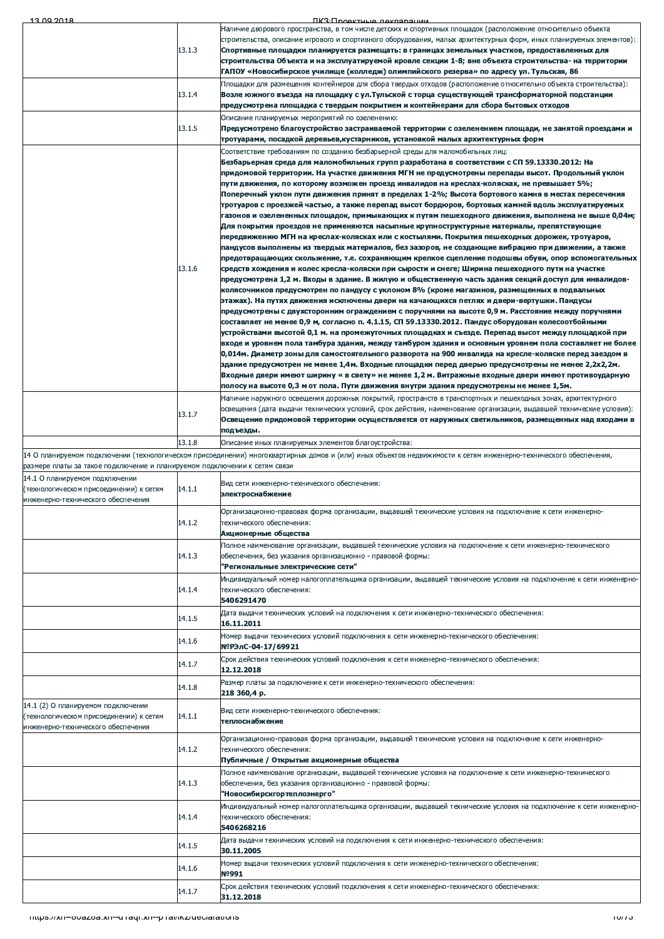| 13.00.2018                                                                 |        | <b><i><u>IK3: Проектные пекларации</u></i></b>                                                                                                                                                          |
|----------------------------------------------------------------------------|--------|---------------------------------------------------------------------------------------------------------------------------------------------------------------------------------------------------------|
|                                                                            |        | Наличие дворового пространства, в том числе детских и спортивных площадок (расположение относительно объекта                                                                                            |
|                                                                            |        | строительства, описание игрового и спортивного оборудования, малых архитектурных форм, иных планируемых элементов):                                                                                     |
|                                                                            | 13.1.3 | Спортивные площадки планируется размещать: в границах земельных участков, предоставленных для                                                                                                           |
|                                                                            |        | строительства Объекта и на эксплуатируемой кровле секции 1-8; вне объекта строительства- на территории                                                                                                  |
|                                                                            |        | ГАПОУ «Новосибирское училище (колледж) олимпийского резерва» по адресу ул. Тульская, 86                                                                                                                 |
|                                                                            |        | Площадки для размещения контейнеров для сбора твердых отходов (расположение относительно объекта строительства):                                                                                        |
|                                                                            | 13.1.4 | Возле южного въезда на площадку с ул. Тульской с торца существующей трансформаторной подстанции                                                                                                         |
|                                                                            |        | предусмотрена площадка с твердым покрытием и контейнерами для сбора бытовых отходов                                                                                                                     |
|                                                                            |        | Описание планируемых мероприятий по озеленению:                                                                                                                                                         |
|                                                                            | 13.1.5 | Предусмотрено благоустройство застраиваемой территории с озеленением площади, не занятой проездами и                                                                                                    |
|                                                                            |        | тротуарами, посадкой деревьев,кустарников, установкой малых архитектурных форм                                                                                                                          |
|                                                                            |        | Соответствие требованиям по созданию безбарьерной среды для маломобильных лиц:                                                                                                                          |
|                                                                            |        | Безбарьерная среда для маломобильных групп разработана в соответствии с СП 59.13330.2012: На                                                                                                            |
|                                                                            |        | придомовой территории. На участке движения МГН не предусмотрены перепады высот. Продольный уклон                                                                                                        |
|                                                                            |        | пути движения, по которому возможен проезд инвалидов на креслах-колясках, не превышает 5%;                                                                                                              |
|                                                                            |        | Поперечный уклон пути движения принят в пределах 1-2%; Высота бортового камня в местах пересечения                                                                                                      |
|                                                                            |        | тротуаров с проезжей частью, а также перепад высот бордюров, бортовых камней вдоль эксплуатируемых                                                                                                      |
|                                                                            |        | газонов и озелененных площадок, примыкающих к путям пешеходного движения, выполнена не выше 0,04м;                                                                                                      |
|                                                                            |        | Для покрытия проездов не применяются насыпные крупноструктурные материалы, препятствующие                                                                                                               |
|                                                                            |        | передвижению МГН на креслах-колясках или с костылями. Покрытия пешеходных дорожек, тротуаров,                                                                                                           |
|                                                                            |        | пандусов выполнены из твердых материалов, без зазоров, не создающие вибрацию при движении, а также                                                                                                      |
|                                                                            |        | предотвращающих скольжение, т.е. сохраняющим крепкое сцепление подошвы обуви, опор вспомогательных                                                                                                      |
|                                                                            | 13.1.6 | средств хождения и колес кресла-коляски при сырости и снеге; Ширина пешеходного пути на участке                                                                                                         |
|                                                                            |        | предусмотрена 1,2 м. Входы в здание. В жилую и общественную часть здания секций доступ для инвалидов-                                                                                                   |
|                                                                            |        | колясочников предусмотрен по пандусу с уклоном 8% (кроме магазинов, размещенных в подвальных                                                                                                            |
|                                                                            |        | этажах). На путях движения исключены двери на качающихся петлях и двери-вертушки. Пандусы                                                                                                               |
|                                                                            |        | предусмотрены с двухсторонним ограждением с поручнями на высоте 0,9 м. Расстояние между поручнями                                                                                                       |
|                                                                            |        | составляет не менее 0,9 м, согласно п. 4.1.15, СП 59.13330.2012. Пандус оборудован колесоотбойными                                                                                                      |
|                                                                            |        | устройствами высотой 0,1 м. на промежуточных площадках и съезде. Перепад высот между площадкой при                                                                                                      |
|                                                                            |        | входе и уровнем пола тамбура здания, между тамбуром здания и основным уровнем пола составляет не более                                                                                                  |
|                                                                            |        | 0,014м. Диаметр зоны для самостоятельного разворота на 900 инвалида на кресле-коляске перед заездом в                                                                                                   |
|                                                                            |        | здание предусмотрен не менее 1,4м. Входные площадки перед дверью предусмотрены не менее 2,2х2,2м.<br>Входные двери имеют ширину « в свету» не менее 1,2 м. Витражные входные двери имеют противоударную |
|                                                                            |        | полосу на высоте 0,3 м от пола. Пути движения внутри здания предусмотрены не менее 1,5м.                                                                                                                |
|                                                                            |        | Наличие наружного освещения дорожных покрытий, пространств в транспортных и пешеходных зонах, архитектурного                                                                                            |
|                                                                            |        | освещения (дата выдачи технических условий, срок действия, наименование организации, выдавшей технические условия):                                                                                     |
|                                                                            | 13.1.7 | Освещение придомовой территории осуществляется от наружных светильников, размещенных над входами в                                                                                                      |
|                                                                            |        | подъезды.                                                                                                                                                                                               |
|                                                                            | 13.1.8 |                                                                                                                                                                                                         |
|                                                                            |        | Описание иных планируемых элементов благоустройства:                                                                                                                                                    |
|                                                                            |        | 14 О планируемом подключении (технологическом присоединении) многоквартирных домов и (или) иных объектов недвижимости к сетям инженерно-технического обеспечения,                                       |
|                                                                            |        |                                                                                                                                                                                                         |
| размере платы за такое подключение и планируемом подключении к сетям связи |        |                                                                                                                                                                                                         |
| 14.1 О планируемом подключении                                             |        | Вид сети инженерно-технического обеспечения:                                                                                                                                                            |
| (технологическом присоединении) к сетям                                    | 14.1.1 | электроснабжение                                                                                                                                                                                        |
| инженерно-технического обеспечения                                         |        |                                                                                                                                                                                                         |
|                                                                            |        | Организационно-правовая форма организации, выдавшей технические условия на подключение к сети инженерно-                                                                                                |
|                                                                            | 14.1.2 | технического обеспечения:                                                                                                                                                                               |
|                                                                            |        | Акционерные общества                                                                                                                                                                                    |
|                                                                            |        | Полное наименование организации, выдавшей технические условия на подключение к сети инженерно-технического                                                                                              |
|                                                                            | 14.1.3 | обеспечения, без указания организационно - правовой формы:                                                                                                                                              |
|                                                                            |        | "Региональные электрические сети"                                                                                                                                                                       |
|                                                                            |        | Индивидуальный номер налогоплательщика организации, выдавшей технические условия на подключение к сети инженерно-                                                                                       |
|                                                                            | 14.1.4 | технического обеспечения:                                                                                                                                                                               |
|                                                                            |        | 5406291470                                                                                                                                                                                              |
|                                                                            | 14.1.5 | Дата выдачи технических условий на подключения к сети инженерно-технического обеспечения:                                                                                                               |
|                                                                            |        | 16.11.2011                                                                                                                                                                                              |
|                                                                            | 14.1.6 | Номер выдачи технических условий подключения к сети инженерно-технического обеспечения:                                                                                                                 |
|                                                                            |        | №РЭлС-04-17/69921                                                                                                                                                                                       |
|                                                                            |        | Срок действия технических условий подключения к сети инженерно-технического обеспечения:                                                                                                                |
|                                                                            | 14.1.7 | 12.12.2018                                                                                                                                                                                              |
|                                                                            |        | Размер платы за подключение к сети инженерно-технического обеспечения:                                                                                                                                  |
|                                                                            | 14.1.8 | 218 360,4 p.                                                                                                                                                                                            |
| 14.1 (2) О планируемом подключении                                         |        |                                                                                                                                                                                                         |
| (технологическом присоединении) к сетям                                    | 14.1.1 | Вид сети инженерно-технического обеспечения:                                                                                                                                                            |
| инженерно-технического обеспечения                                         |        | теплоснабжение                                                                                                                                                                                          |
|                                                                            |        | Организационно-правовая форма организации, выдавшей технические условия на подключение к сети инженерно-                                                                                                |
|                                                                            | 14.1.2 | технического обеспечения:                                                                                                                                                                               |
|                                                                            |        | Публичные / Открытые акционерные общества                                                                                                                                                               |
|                                                                            |        | Полное наименование организации, выдавшей технические условия на подключение к сети инженерно-технического                                                                                              |
|                                                                            | 14.1.3 | обеспечения, без указания организационно - правовой формы:                                                                                                                                              |
|                                                                            |        | "Новосибирскгортеплоэнерго"                                                                                                                                                                             |
|                                                                            |        | Индивидуальный номер налогоплательщика организации, выдавшей технические условия на подключение к сети инженерно-                                                                                       |
|                                                                            | 14.1.4 | технического обеспечения:                                                                                                                                                                               |
|                                                                            |        | 5406268216                                                                                                                                                                                              |
|                                                                            |        | Дата выдачи технических условий на подключения к сети инженерно-технического обеспечения:                                                                                                               |
|                                                                            | 14.1.5 | 30.11.2005                                                                                                                                                                                              |
|                                                                            |        | Номер выдачи технических условий подключения к сети инженерно-технического обеспечения:                                                                                                                 |
|                                                                            | 14.1.6 | Nº991                                                                                                                                                                                                   |
|                                                                            |        | Срок действия технических условий подключения к сети инженерно-технического обеспечения:                                                                                                                |
|                                                                            | 14.1.7 | 31.12.2018                                                                                                                                                                                              |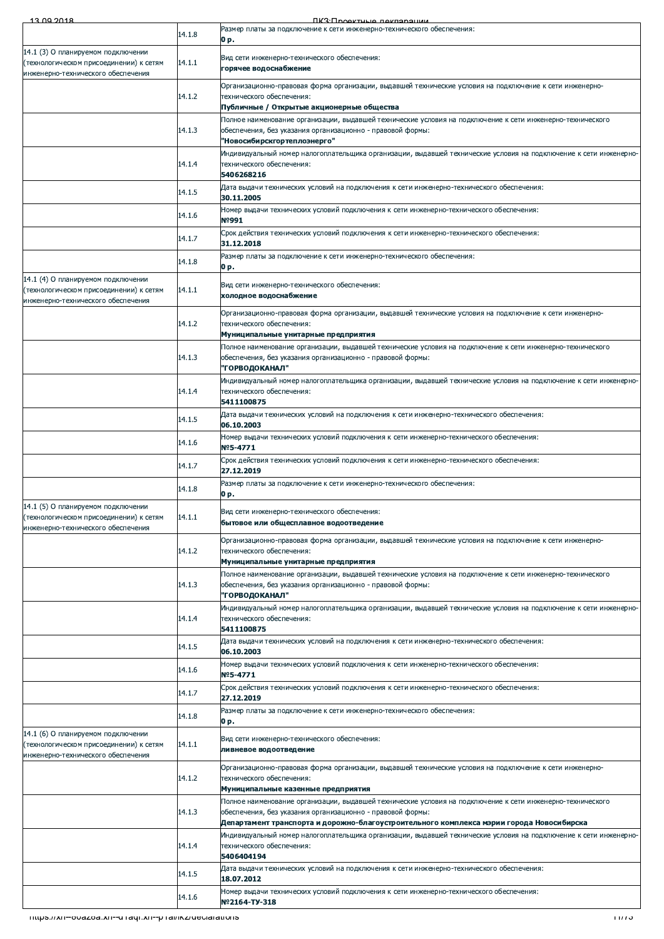| 13.00.2018                                                                    |        | <b><i><u>IK3: Проектные пекларации</u></i></b>                                                                                                                           |
|-------------------------------------------------------------------------------|--------|--------------------------------------------------------------------------------------------------------------------------------------------------------------------------|
|                                                                               | 14.1.8 | Размер платы за подключение к сети инженерно-технического обеспечения:<br>0 p.                                                                                           |
| 14.1 (3) О планируемом подключении                                            |        | Вид сети инженерно-технического обеспечения:                                                                                                                             |
| (технологическом присоединении) к сетям<br>инженерно-технического обеспечения | 14.1.1 | горячее водоснабжение                                                                                                                                                    |
|                                                                               | 14.1.2 | Организационно-правовая форма организации, выдавшей технические условия на подключение к сети инженерно-<br>технического обеспечения:                                    |
|                                                                               |        | Публичные / Открытые акционерные общества                                                                                                                                |
|                                                                               | 14.1.3 | Полное наименование организации, выдавшей технические условия на подключение к сети инженерно-технического<br>обеспечения, без указания организационно - правовой формы: |
|                                                                               |        | "Новосибирскгортеплоэнерго"                                                                                                                                              |
|                                                                               | 14.1.4 | Индивидуальный номер налогоплательщика организации, выдавшей технические условия на подключение к сети инженерно-<br>технического обеспечения:                           |
|                                                                               |        | 5406268216                                                                                                                                                               |
|                                                                               | 14.1.5 | Дата выдачи технических условий на подключения к сети инженерно-технического обеспечения:<br>30.11.2005                                                                  |
|                                                                               | 14.1.6 | Номер выдачи технических условий подключения к сети инженерно-технического обеспечения:<br>Nº991                                                                         |
|                                                                               | 14.1.7 | Срок действия технических условий подключения к сети инженерно-технического обеспечения:                                                                                 |
|                                                                               |        | 31.12.2018<br>Размер платы за подключение к сети инженерно-технического обеспечения:                                                                                     |
|                                                                               | 14.1.8 | 0 p.                                                                                                                                                                     |
| 14.1 (4) О планируемом подключении<br>(технологическом присоединении) к сетям | 14.1.1 | Вид сети инженерно-технического обеспечения:<br>холодное водоснабжение                                                                                                   |
| инженерно-технического обеспечения                                            |        | Организационно-правовая форма организации, выдавшей технические условия на подключение к сети инженерно-                                                                 |
|                                                                               | 14.1.2 | технического обеспечения:                                                                                                                                                |
|                                                                               |        | Муниципальные унитарные предприятия<br>Полное наименование организации, выдавшей технические условия на подключение к сети инженерно-технического                        |
|                                                                               | 14.1.3 | обеспечения, без указания организационно - правовой формы:                                                                                                               |
|                                                                               |        | "ГОРВОДОКАНАЛ"<br>Индивидуальный номер налогоплательщика организации, выдавшей технические условия на подключение к сети инженерно-                                      |
|                                                                               | 14.1.4 | технического обеспечения:                                                                                                                                                |
|                                                                               |        | 5411100875<br>Дата выдачи технических условий на подключения к сети инженерно-технического обеспечения:                                                                  |
|                                                                               | 14.1.5 | 06.10.2003                                                                                                                                                               |
|                                                                               | 14.1.6 | Номер выдачи технических условий подключения к сети инженерно-технического обеспечения:<br>Nº5-4771                                                                      |
|                                                                               | 14.1.7 | Срок действия технических условий подключения к сети инженерно-технического обеспечения:<br>27.12.2019                                                                   |
|                                                                               | 14.1.8 | Размер платы за подключение к сети инженерно-технического обеспечения:<br>0 p.                                                                                           |
| 14.1 (5) О планируемом подключении                                            |        |                                                                                                                                                                          |
| (технологическом присоединении) к сетям<br>инженерно-технического обеспечения | 14.1.1 | Вид сети инженерно-технического обеспечения:<br>бытовое или общесплавное водоотведение                                                                                   |
|                                                                               |        | Организационно-правовая форма организации, выдавшей технические условия на подключение к сети инженерно-                                                                 |
|                                                                               | 14.1.2 | технического обеспечения:<br>Муниципальные унитарные предприятия                                                                                                         |
|                                                                               |        | Полное наименование организации, выдавшей технические условия на подключение к сети инженерно-технического                                                               |
|                                                                               | 14.1.3 | обеспечения, без указания организационно - правовой формы:<br>"ГОРВОДОКАНАЛ"                                                                                             |
|                                                                               | 14.1.4 | Индивидуальный номер налогоплательщика организации, выдавшей технические условия на подключение к сети инженерно-<br>технического обеспечения:                           |
|                                                                               |        | 5411100875                                                                                                                                                               |
|                                                                               | 14.1.5 | Дата выдачи технических условий на подключения к сети инженерно-технического обеспечения:<br>06.10.2003                                                                  |
|                                                                               | 14.1.6 | Номер выдачи технических условий подключения к сети инженерно-технического обеспечения:                                                                                  |
|                                                                               |        | Nº5-4771<br>Срок действия технических условий подключения к сети инженерно-технического обеспечения:                                                                     |
|                                                                               | 14.1.7 | 27.12.2019                                                                                                                                                               |
|                                                                               | 14.1.8 | Размер платы за подключение к сети инженерно-технического обеспечения:<br>0 p.                                                                                           |
| 14.1 (6) О планируемом подключении<br>(технологическом присоединении) к сетям | 14.1.1 | Вид сети инженерно-технического обеспечения:                                                                                                                             |
| инженерно-технического обеспечения                                            |        | ливневое водоотведение                                                                                                                                                   |
|                                                                               | 14.1.2 | Организационно-правовая форма организации, выдавшей технические условия на подключение к сети инженерно-<br>технического обеспечения:                                    |
|                                                                               |        | Муниципальные казенные предприятия                                                                                                                                       |
|                                                                               | 14.1.3 | Полное наименование организации, выдавшей технические условия на подключение к сети инженерно-технического<br>обеспечения, без указания организационно - правовой формы: |
|                                                                               |        | Департамент транспорта и дорожно-благоустроительного комплекса мэрии города Новосибирска                                                                                 |
|                                                                               | 14.1.4 | Индивидуальный номер налогоплательщика организации, выдавшей технические условия на подключение к сети инженерно-<br>технического обеспечения:                           |
|                                                                               |        | 5406404194<br>Дата выдачи технических условий на подключения к сети инженерно-технического обеспечения:                                                                  |
|                                                                               | 14.1.5 | 18.07.2012                                                                                                                                                               |
|                                                                               | 14.1.6 | Номер выдачи технических условий подключения к сети инженерно-технического обеспечения:<br>Nº2164-TY-318                                                                 |
| Thups.//xn--ouazoa.xn--u ragi.xn--p rai/ikz/deciarations                      |        | 1177 J                                                                                                                                                                   |
|                                                                               |        |                                                                                                                                                                          |
|                                                                               |        |                                                                                                                                                                          |
|                                                                               |        |                                                                                                                                                                          |
|                                                                               |        |                                                                                                                                                                          |
|                                                                               |        |                                                                                                                                                                          |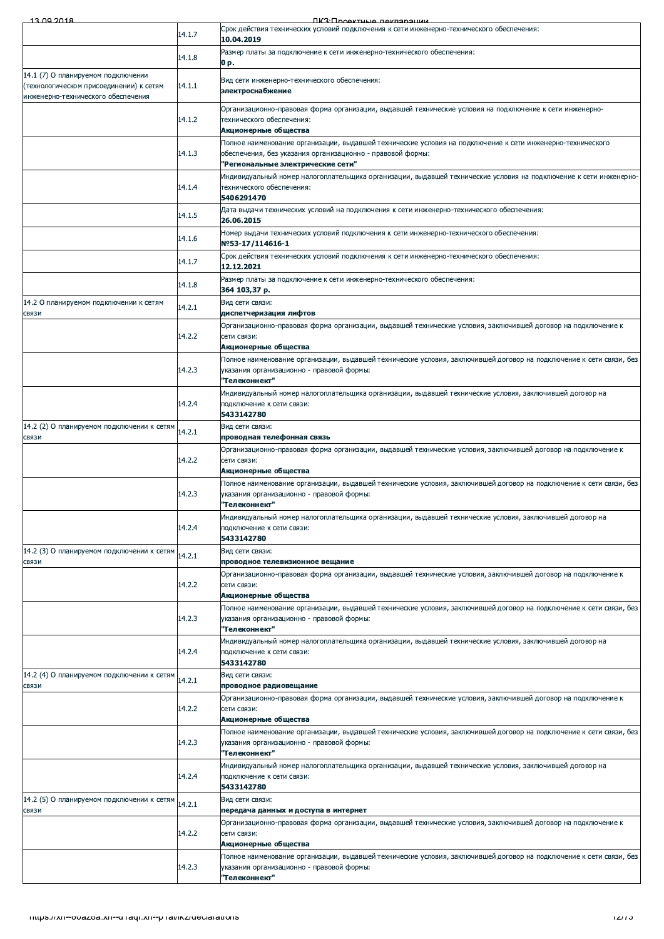$-13,09,2018$ 

|                                                                               | 14.1.7 | Срок действия технических условий подключения к сети инженерно-технического обеспечения:                                                                                                         |
|-------------------------------------------------------------------------------|--------|--------------------------------------------------------------------------------------------------------------------------------------------------------------------------------------------------|
|                                                                               |        | 10.04.2019                                                                                                                                                                                       |
|                                                                               | 14.1.8 | Размер платы за подключение к сети инженерно-технического обеспечения:                                                                                                                           |
| 14.1 (7) О планируемом подключении<br>(технологическом присоединении) к сетям | 14.1.1 | 0 p.<br>Вид сети инженерно-технического обеспечения:<br>электроснабжение                                                                                                                         |
| инженерно-технического обеспечения                                            | 14.1.2 | Организационно-правовая форма организации, выдавшей технические условия на подключение к сети инженерно-<br>технического обеспечения:                                                            |
|                                                                               | 14.1.3 | Акционерные общества<br>Полное наименование организации, выдавшей технические условия на подключение к сети инженерно-технического<br>обеспечения, без указания организационно - правовой формы: |
|                                                                               |        | 'Региональные электрические сети"<br>Индивидуальный номер налогоплательщика организации, выдавшей технические условия на подключение к сети инженерно-                                           |
|                                                                               | 14.1.4 | технического обеспечения:<br>5406291470                                                                                                                                                          |
|                                                                               | 14.1.5 | Дата выдачи технических условий на подключения к сети инженерно-технического обеспечения:<br>26.06.2015                                                                                          |
|                                                                               | 14.1.6 | Номер выдачи технических условий подключения к сети инженерно-технического обеспечения:<br>Nº53-17/114616-1                                                                                      |
|                                                                               | 14.1.7 | Срок действия технических условий подключения к сети инженерно-технического обеспечения:<br>12.12.2021                                                                                           |
|                                                                               | 14.1.8 | Размер платы за подключение к сети инженерно-технического обеспечения:<br>364 103,37 p.                                                                                                          |
| 14.2 О планируемом подключении к сетям<br>СВЯЗИ                               | 14.2.1 | Вид сети связи:<br>диспетчеризация лифтов                                                                                                                                                        |
|                                                                               | 14.2.2 | Организационно-правовая форма организации, выдавшей технические условия, заключившей договор на подключение к<br>сети связи:<br>Акционерные общества                                             |
|                                                                               | 14.2.3 | Полное наименование организации, выдавшей технические условия, заключившей договор на подключение к сети связи, без<br>указания организационно - правовой формы:<br>'Телеконнект"                |
|                                                                               | 14.2.4 | Индивидуальный номер налогоплательщика организации, выдавшей технические условия, заключившей договор на<br>подключение к сети связи:<br>5433142780                                              |
| 14.2 (2) О планируемом подключении к сетям                                    | 14.2.1 | Вид сети связи:                                                                                                                                                                                  |
| СВЯЗИ                                                                         | 14.2.2 | проводная телефонная связь<br>Организационно-правовая форма организации, выдавшей технические условия, заключившей договор на подключение к<br>сети связи:                                       |
|                                                                               | 14.2.3 | Акционерные общества<br>Полное наименование организации, выдавшей технические условия, заключившей договор на подключение к сети связи, без<br>указания организационно - правовой формы:         |
|                                                                               | 14.2.4 | "Телеконнект"<br>Индивидуальный номер налогоплательщика организации, выдавшей технические условия, заключившей договор на<br>подключение к сети связи:                                           |
|                                                                               |        | 5433142780                                                                                                                                                                                       |
| 14.2 (3) О планируемом подключении к сетям<br>СВЯЗИ                           | 14.2.1 | Вид сети связи:<br>проводное телевизионное вещание                                                                                                                                               |
|                                                                               | 14.2.2 | Организационно-правовая форма организации, выдавшей технические условия, заключившей договор на подключение к<br>сети связи:<br>Акционерные общества                                             |
|                                                                               | 14.2.3 | Полное наименование организации, выдавшей технические условия, заключившей договор на подключение к сети связи, без<br>указания организационно - правовой формы:<br>"Телеконнект"                |
|                                                                               | 14.2.4 | Индивидуальный номер налогоплательщика организации, выдавшей технические условия, заключившей договор на<br>подключение к сети связи:<br>5433142780                                              |
| 14.2 (4) О планируемом подключении к сетям                                    | 14.2.1 | Вид сети связи:                                                                                                                                                                                  |
| СВЯЗИ                                                                         |        | проводное радиовещание<br>Организационно-правовая форма организации, выдавшей технические условия, заключившей договор на подключение к                                                          |
|                                                                               | 14.2.2 | сети связи:<br>Акционерные общества                                                                                                                                                              |
|                                                                               | 14.2.3 | Полное наименование организации, выдавшей технические условия, заключившей договор на подключение к сети связи, без<br>указания организационно - правовой формы:<br>'Телеконнект"                |
|                                                                               | 14.2.4 | Индивидуальный номер налогоплательщика организации, выдавшей технические условия, заключившей договор на<br>подключение к сети связи:<br>5433142780                                              |
| 14.2 (5) О планируемом подключении к сетям<br>СВЯЗИ                           | 14.2.1 | Вид сети связи:<br>передача данных и доступа в интернет                                                                                                                                          |
|                                                                               | 14.2.2 | Организационно-правовая форма организации, выдавшей технические условия, заключившей договор на подключение к<br>сети связи:                                                                     |
|                                                                               | 14.2.3 | Акционерные общества<br>Полное наименование организации, выдавшей технические условия, заключившей договор на подключение к сети связи, без<br>указания организационно - правовой формы:         |
| <u>11ttps://xii--ovazoa.xii--u raqi.xii--p rai/ikz/declarations</u>           |        | 'Телеконнект"<br>12/13                                                                                                                                                                           |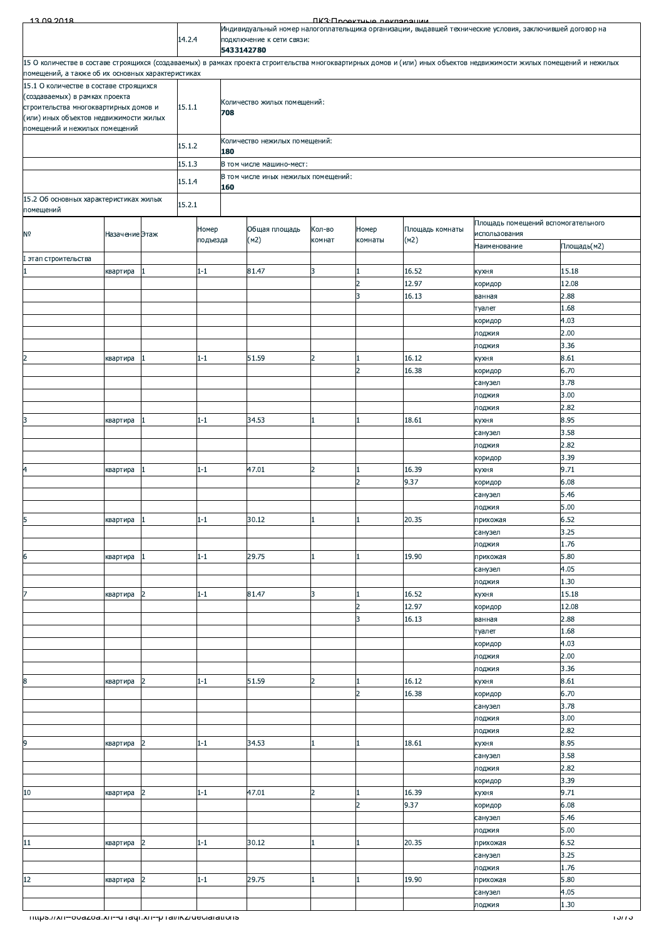| Индивидуальный номер налогоплательщика организации, выдавшей технические условия, заключившей договор на<br>14.2.4<br>подключение к сети связи:<br>5433142780<br>15 О количестве в составе строящихся (создаваемых) в рамках проекта строительства многоквартирных домов и (или) иных объектов недвижимости жилых помещений и нежилых<br>помещений, а также об их основных характеристиках<br>15.1 О количестве в составе строящихся<br>(создаваемых) в рамках проекта<br>Количество жилых помещений:<br>15.1.1<br>строительства многоквартирных домов и<br>708<br>(или) иных объектов недвижимости жилых<br>помещений и нежилых помещений<br>Количество нежилых помещений:<br>15.1.2<br>180<br>15.1.3<br>В том числе машино-мест:<br>В том числе иных нежилых помещений:<br>15.1.4<br>160<br>15.2 Об основных характеристиках жилых<br>15.2.1<br>помещений<br>Площадь помещений вспомогательного<br>Номер<br>Общая площадь<br>Кол-во<br>Номер<br>Площадь комнаты<br>использования<br>Назачение Этаж<br>(M2)<br>(M2)<br>подъезда<br>комнат<br>комнаты<br>Площадь(м2)<br>Наименование<br>I этап строительства<br>81.47<br>16.52<br>15.18<br>$1 - 1$<br>3<br>квартира<br>1<br>кухня<br>$\overline{2}$<br>12.97<br>12.08<br>коридор<br>3<br>2.88<br>16.13<br>ванная<br>1.68<br>туалет<br>4.03<br>коридор<br>2.00<br>лоджия<br>3.36<br>лоджия<br>16.12<br>8.61<br>$1 - 1$<br>51.59<br>$\overline{2}$<br>1<br>квартира<br>кухня<br>$\overline{2}$<br>16.38<br>6.70<br>коридор<br>3.78<br>санузел<br>3.00<br>лоджия<br>2.82<br>лоджия<br>8.95<br>3<br>18.61<br>$1 - 1$<br>34.53<br>1<br>квартира<br>кухня<br>3.58<br>санузел<br>2.82<br>лоджия<br>3.39<br>коридор<br>9.71<br>47.01<br>$1 - 1$<br>$\overline{2}$<br>16.39<br>квартира<br>1<br>кухня<br>$\overline{2}$<br>9.37<br>6.08<br>коридор<br>5.46<br>санузел<br>5.00<br>лоджия<br>квартира<br>$1-1$<br>30.12<br>1<br>$\mathbf{1}$<br>20.35<br>прихожая<br>6.52<br>3.25<br>санузел<br>1.76<br>лоджия<br>5.80<br>6<br>29.75<br>$1 - 1$<br>19.90<br>1<br>прихожая<br>квартира<br>4.05<br>санузел<br>1.30<br>лоджия<br>$1 - 1$<br>81.47<br>3<br>16.52<br>15.18<br>$\overline{2}$<br>$\mathbf{1}$<br>квартира<br>кухня<br>$\overline{2}$<br>12.97<br>12.08<br>коридор<br>3<br>16.13<br>2.88<br>ванная<br>1.68<br>туалет<br>4.03<br>коридор<br>2.00<br>лоджия<br>3.36<br>лоджия<br>8.61<br>$1 - 1$<br>51.59<br>$\overline{2}$<br>16.12<br>$\overline{2}$<br>$\mathbf{1}$<br>квартира<br>кухня<br>$\overline{2}$<br>16.38<br>6.70<br>коридор<br>3.78<br>санузел<br>3.00<br>лоджия<br>2.82<br>лоджия<br>$\overline{2}$<br>34.53<br>18.61<br>8.95<br>$1 - 1$<br>$\mathbf{1}$<br>кухня<br>квартира<br>3.58<br>санузел<br>2.82<br>лоджия<br>3.39<br>коридор<br>9.71<br>47.01<br>$\overline{2}$<br>16.39<br>$\overline{2}$<br>$1 - 1$<br>1<br>квартира<br>кухня<br>$\overline{2}$<br>6.08<br>9.37<br>коридор<br>5.46<br>санузел<br>5.00<br>лоджия<br>${\bf 11}$<br>6.52<br>$\overline{2}$<br>$1 - 1$<br>30.12<br>20.35<br>$\mathbf{1}$<br>квартира<br>1<br>прихожая<br>3.25<br>санузел<br>1.76<br>лоджия<br>5.80<br>$1 - 1$<br>29.75<br>19.90<br>1<br>прихожая<br>квартира<br>2<br>4.05<br>санузел<br>1.30<br>лоджия<br>- mups.//xn--ovazoa.xn--u raqr.xn--p rai/ikz/deciarations | <i>נזו</i> טו | 13.00.2018     |  |  |  |  |  |  |  | ПКЗ•Проектично покларации |  |  |  |  |
|-----------------------------------------------------------------------------------------------------------------------------------------------------------------------------------------------------------------------------------------------------------------------------------------------------------------------------------------------------------------------------------------------------------------------------------------------------------------------------------------------------------------------------------------------------------------------------------------------------------------------------------------------------------------------------------------------------------------------------------------------------------------------------------------------------------------------------------------------------------------------------------------------------------------------------------------------------------------------------------------------------------------------------------------------------------------------------------------------------------------------------------------------------------------------------------------------------------------------------------------------------------------------------------------------------------------------------------------------------------------------------------------------------------------------------------------------------------------------------------------------------------------------------------------------------------------------------------------------------------------------------------------------------------------------------------------------------------------------------------------------------------------------------------------------------------------------------------------------------------------------------------------------------------------------------------------------------------------------------------------------------------------------------------------------------------------------------------------------------------------------------------------------------------------------------------------------------------------------------------------------------------------------------------------------------------------------------------------------------------------------------------------------------------------------------------------------------------------------------------------------------------------------------------------------------------------------------------------------------------------------------------------------------------------------------------------------------------------------------------------------------------------------------------------------------------------------------------------------------------------------------------------------------------------------------------------------------------------------------------------------------------------------------------------------------------------------------------------------------------------------------------------------------------------------------------------------------------------------|---------------|----------------|--|--|--|--|--|--|--|---------------------------|--|--|--|--|
|                                                                                                                                                                                                                                                                                                                                                                                                                                                                                                                                                                                                                                                                                                                                                                                                                                                                                                                                                                                                                                                                                                                                                                                                                                                                                                                                                                                                                                                                                                                                                                                                                                                                                                                                                                                                                                                                                                                                                                                                                                                                                                                                                                                                                                                                                                                                                                                                                                                                                                                                                                                                                                                                                                                                                                                                                                                                                                                                                                                                                                                                                                                                                                                                                       |               |                |  |  |  |  |  |  |  |                           |  |  |  |  |
|                                                                                                                                                                                                                                                                                                                                                                                                                                                                                                                                                                                                                                                                                                                                                                                                                                                                                                                                                                                                                                                                                                                                                                                                                                                                                                                                                                                                                                                                                                                                                                                                                                                                                                                                                                                                                                                                                                                                                                                                                                                                                                                                                                                                                                                                                                                                                                                                                                                                                                                                                                                                                                                                                                                                                                                                                                                                                                                                                                                                                                                                                                                                                                                                                       |               |                |  |  |  |  |  |  |  |                           |  |  |  |  |
|                                                                                                                                                                                                                                                                                                                                                                                                                                                                                                                                                                                                                                                                                                                                                                                                                                                                                                                                                                                                                                                                                                                                                                                                                                                                                                                                                                                                                                                                                                                                                                                                                                                                                                                                                                                                                                                                                                                                                                                                                                                                                                                                                                                                                                                                                                                                                                                                                                                                                                                                                                                                                                                                                                                                                                                                                                                                                                                                                                                                                                                                                                                                                                                                                       |               |                |  |  |  |  |  |  |  |                           |  |  |  |  |
|                                                                                                                                                                                                                                                                                                                                                                                                                                                                                                                                                                                                                                                                                                                                                                                                                                                                                                                                                                                                                                                                                                                                                                                                                                                                                                                                                                                                                                                                                                                                                                                                                                                                                                                                                                                                                                                                                                                                                                                                                                                                                                                                                                                                                                                                                                                                                                                                                                                                                                                                                                                                                                                                                                                                                                                                                                                                                                                                                                                                                                                                                                                                                                                                                       |               |                |  |  |  |  |  |  |  |                           |  |  |  |  |
|                                                                                                                                                                                                                                                                                                                                                                                                                                                                                                                                                                                                                                                                                                                                                                                                                                                                                                                                                                                                                                                                                                                                                                                                                                                                                                                                                                                                                                                                                                                                                                                                                                                                                                                                                                                                                                                                                                                                                                                                                                                                                                                                                                                                                                                                                                                                                                                                                                                                                                                                                                                                                                                                                                                                                                                                                                                                                                                                                                                                                                                                                                                                                                                                                       |               |                |  |  |  |  |  |  |  |                           |  |  |  |  |
|                                                                                                                                                                                                                                                                                                                                                                                                                                                                                                                                                                                                                                                                                                                                                                                                                                                                                                                                                                                                                                                                                                                                                                                                                                                                                                                                                                                                                                                                                                                                                                                                                                                                                                                                                                                                                                                                                                                                                                                                                                                                                                                                                                                                                                                                                                                                                                                                                                                                                                                                                                                                                                                                                                                                                                                                                                                                                                                                                                                                                                                                                                                                                                                                                       |               |                |  |  |  |  |  |  |  |                           |  |  |  |  |
|                                                                                                                                                                                                                                                                                                                                                                                                                                                                                                                                                                                                                                                                                                                                                                                                                                                                                                                                                                                                                                                                                                                                                                                                                                                                                                                                                                                                                                                                                                                                                                                                                                                                                                                                                                                                                                                                                                                                                                                                                                                                                                                                                                                                                                                                                                                                                                                                                                                                                                                                                                                                                                                                                                                                                                                                                                                                                                                                                                                                                                                                                                                                                                                                                       |               |                |  |  |  |  |  |  |  |                           |  |  |  |  |
|                                                                                                                                                                                                                                                                                                                                                                                                                                                                                                                                                                                                                                                                                                                                                                                                                                                                                                                                                                                                                                                                                                                                                                                                                                                                                                                                                                                                                                                                                                                                                                                                                                                                                                                                                                                                                                                                                                                                                                                                                                                                                                                                                                                                                                                                                                                                                                                                                                                                                                                                                                                                                                                                                                                                                                                                                                                                                                                                                                                                                                                                                                                                                                                                                       |               |                |  |  |  |  |  |  |  |                           |  |  |  |  |
|                                                                                                                                                                                                                                                                                                                                                                                                                                                                                                                                                                                                                                                                                                                                                                                                                                                                                                                                                                                                                                                                                                                                                                                                                                                                                                                                                                                                                                                                                                                                                                                                                                                                                                                                                                                                                                                                                                                                                                                                                                                                                                                                                                                                                                                                                                                                                                                                                                                                                                                                                                                                                                                                                                                                                                                                                                                                                                                                                                                                                                                                                                                                                                                                                       |               |                |  |  |  |  |  |  |  |                           |  |  |  |  |
|                                                                                                                                                                                                                                                                                                                                                                                                                                                                                                                                                                                                                                                                                                                                                                                                                                                                                                                                                                                                                                                                                                                                                                                                                                                                                                                                                                                                                                                                                                                                                                                                                                                                                                                                                                                                                                                                                                                                                                                                                                                                                                                                                                                                                                                                                                                                                                                                                                                                                                                                                                                                                                                                                                                                                                                                                                                                                                                                                                                                                                                                                                                                                                                                                       |               |                |  |  |  |  |  |  |  |                           |  |  |  |  |
|                                                                                                                                                                                                                                                                                                                                                                                                                                                                                                                                                                                                                                                                                                                                                                                                                                                                                                                                                                                                                                                                                                                                                                                                                                                                                                                                                                                                                                                                                                                                                                                                                                                                                                                                                                                                                                                                                                                                                                                                                                                                                                                                                                                                                                                                                                                                                                                                                                                                                                                                                                                                                                                                                                                                                                                                                                                                                                                                                                                                                                                                                                                                                                                                                       |               |                |  |  |  |  |  |  |  |                           |  |  |  |  |
|                                                                                                                                                                                                                                                                                                                                                                                                                                                                                                                                                                                                                                                                                                                                                                                                                                                                                                                                                                                                                                                                                                                                                                                                                                                                                                                                                                                                                                                                                                                                                                                                                                                                                                                                                                                                                                                                                                                                                                                                                                                                                                                                                                                                                                                                                                                                                                                                                                                                                                                                                                                                                                                                                                                                                                                                                                                                                                                                                                                                                                                                                                                                                                                                                       |               |                |  |  |  |  |  |  |  |                           |  |  |  |  |
|                                                                                                                                                                                                                                                                                                                                                                                                                                                                                                                                                                                                                                                                                                                                                                                                                                                                                                                                                                                                                                                                                                                                                                                                                                                                                                                                                                                                                                                                                                                                                                                                                                                                                                                                                                                                                                                                                                                                                                                                                                                                                                                                                                                                                                                                                                                                                                                                                                                                                                                                                                                                                                                                                                                                                                                                                                                                                                                                                                                                                                                                                                                                                                                                                       |               |                |  |  |  |  |  |  |  |                           |  |  |  |  |
|                                                                                                                                                                                                                                                                                                                                                                                                                                                                                                                                                                                                                                                                                                                                                                                                                                                                                                                                                                                                                                                                                                                                                                                                                                                                                                                                                                                                                                                                                                                                                                                                                                                                                                                                                                                                                                                                                                                                                                                                                                                                                                                                                                                                                                                                                                                                                                                                                                                                                                                                                                                                                                                                                                                                                                                                                                                                                                                                                                                                                                                                                                                                                                                                                       |               | N <sub>o</sub> |  |  |  |  |  |  |  |                           |  |  |  |  |
|                                                                                                                                                                                                                                                                                                                                                                                                                                                                                                                                                                                                                                                                                                                                                                                                                                                                                                                                                                                                                                                                                                                                                                                                                                                                                                                                                                                                                                                                                                                                                                                                                                                                                                                                                                                                                                                                                                                                                                                                                                                                                                                                                                                                                                                                                                                                                                                                                                                                                                                                                                                                                                                                                                                                                                                                                                                                                                                                                                                                                                                                                                                                                                                                                       |               |                |  |  |  |  |  |  |  |                           |  |  |  |  |
|                                                                                                                                                                                                                                                                                                                                                                                                                                                                                                                                                                                                                                                                                                                                                                                                                                                                                                                                                                                                                                                                                                                                                                                                                                                                                                                                                                                                                                                                                                                                                                                                                                                                                                                                                                                                                                                                                                                                                                                                                                                                                                                                                                                                                                                                                                                                                                                                                                                                                                                                                                                                                                                                                                                                                                                                                                                                                                                                                                                                                                                                                                                                                                                                                       |               |                |  |  |  |  |  |  |  |                           |  |  |  |  |
|                                                                                                                                                                                                                                                                                                                                                                                                                                                                                                                                                                                                                                                                                                                                                                                                                                                                                                                                                                                                                                                                                                                                                                                                                                                                                                                                                                                                                                                                                                                                                                                                                                                                                                                                                                                                                                                                                                                                                                                                                                                                                                                                                                                                                                                                                                                                                                                                                                                                                                                                                                                                                                                                                                                                                                                                                                                                                                                                                                                                                                                                                                                                                                                                                       |               |                |  |  |  |  |  |  |  |                           |  |  |  |  |
|                                                                                                                                                                                                                                                                                                                                                                                                                                                                                                                                                                                                                                                                                                                                                                                                                                                                                                                                                                                                                                                                                                                                                                                                                                                                                                                                                                                                                                                                                                                                                                                                                                                                                                                                                                                                                                                                                                                                                                                                                                                                                                                                                                                                                                                                                                                                                                                                                                                                                                                                                                                                                                                                                                                                                                                                                                                                                                                                                                                                                                                                                                                                                                                                                       |               |                |  |  |  |  |  |  |  |                           |  |  |  |  |
|                                                                                                                                                                                                                                                                                                                                                                                                                                                                                                                                                                                                                                                                                                                                                                                                                                                                                                                                                                                                                                                                                                                                                                                                                                                                                                                                                                                                                                                                                                                                                                                                                                                                                                                                                                                                                                                                                                                                                                                                                                                                                                                                                                                                                                                                                                                                                                                                                                                                                                                                                                                                                                                                                                                                                                                                                                                                                                                                                                                                                                                                                                                                                                                                                       |               |                |  |  |  |  |  |  |  |                           |  |  |  |  |
|                                                                                                                                                                                                                                                                                                                                                                                                                                                                                                                                                                                                                                                                                                                                                                                                                                                                                                                                                                                                                                                                                                                                                                                                                                                                                                                                                                                                                                                                                                                                                                                                                                                                                                                                                                                                                                                                                                                                                                                                                                                                                                                                                                                                                                                                                                                                                                                                                                                                                                                                                                                                                                                                                                                                                                                                                                                                                                                                                                                                                                                                                                                                                                                                                       |               |                |  |  |  |  |  |  |  |                           |  |  |  |  |
|                                                                                                                                                                                                                                                                                                                                                                                                                                                                                                                                                                                                                                                                                                                                                                                                                                                                                                                                                                                                                                                                                                                                                                                                                                                                                                                                                                                                                                                                                                                                                                                                                                                                                                                                                                                                                                                                                                                                                                                                                                                                                                                                                                                                                                                                                                                                                                                                                                                                                                                                                                                                                                                                                                                                                                                                                                                                                                                                                                                                                                                                                                                                                                                                                       |               |                |  |  |  |  |  |  |  |                           |  |  |  |  |
|                                                                                                                                                                                                                                                                                                                                                                                                                                                                                                                                                                                                                                                                                                                                                                                                                                                                                                                                                                                                                                                                                                                                                                                                                                                                                                                                                                                                                                                                                                                                                                                                                                                                                                                                                                                                                                                                                                                                                                                                                                                                                                                                                                                                                                                                                                                                                                                                                                                                                                                                                                                                                                                                                                                                                                                                                                                                                                                                                                                                                                                                                                                                                                                                                       |               | $\overline{2}$ |  |  |  |  |  |  |  |                           |  |  |  |  |
|                                                                                                                                                                                                                                                                                                                                                                                                                                                                                                                                                                                                                                                                                                                                                                                                                                                                                                                                                                                                                                                                                                                                                                                                                                                                                                                                                                                                                                                                                                                                                                                                                                                                                                                                                                                                                                                                                                                                                                                                                                                                                                                                                                                                                                                                                                                                                                                                                                                                                                                                                                                                                                                                                                                                                                                                                                                                                                                                                                                                                                                                                                                                                                                                                       |               |                |  |  |  |  |  |  |  |                           |  |  |  |  |
|                                                                                                                                                                                                                                                                                                                                                                                                                                                                                                                                                                                                                                                                                                                                                                                                                                                                                                                                                                                                                                                                                                                                                                                                                                                                                                                                                                                                                                                                                                                                                                                                                                                                                                                                                                                                                                                                                                                                                                                                                                                                                                                                                                                                                                                                                                                                                                                                                                                                                                                                                                                                                                                                                                                                                                                                                                                                                                                                                                                                                                                                                                                                                                                                                       |               |                |  |  |  |  |  |  |  |                           |  |  |  |  |
|                                                                                                                                                                                                                                                                                                                                                                                                                                                                                                                                                                                                                                                                                                                                                                                                                                                                                                                                                                                                                                                                                                                                                                                                                                                                                                                                                                                                                                                                                                                                                                                                                                                                                                                                                                                                                                                                                                                                                                                                                                                                                                                                                                                                                                                                                                                                                                                                                                                                                                                                                                                                                                                                                                                                                                                                                                                                                                                                                                                                                                                                                                                                                                                                                       |               |                |  |  |  |  |  |  |  |                           |  |  |  |  |
|                                                                                                                                                                                                                                                                                                                                                                                                                                                                                                                                                                                                                                                                                                                                                                                                                                                                                                                                                                                                                                                                                                                                                                                                                                                                                                                                                                                                                                                                                                                                                                                                                                                                                                                                                                                                                                                                                                                                                                                                                                                                                                                                                                                                                                                                                                                                                                                                                                                                                                                                                                                                                                                                                                                                                                                                                                                                                                                                                                                                                                                                                                                                                                                                                       |               |                |  |  |  |  |  |  |  |                           |  |  |  |  |
|                                                                                                                                                                                                                                                                                                                                                                                                                                                                                                                                                                                                                                                                                                                                                                                                                                                                                                                                                                                                                                                                                                                                                                                                                                                                                                                                                                                                                                                                                                                                                                                                                                                                                                                                                                                                                                                                                                                                                                                                                                                                                                                                                                                                                                                                                                                                                                                                                                                                                                                                                                                                                                                                                                                                                                                                                                                                                                                                                                                                                                                                                                                                                                                                                       |               |                |  |  |  |  |  |  |  |                           |  |  |  |  |
|                                                                                                                                                                                                                                                                                                                                                                                                                                                                                                                                                                                                                                                                                                                                                                                                                                                                                                                                                                                                                                                                                                                                                                                                                                                                                                                                                                                                                                                                                                                                                                                                                                                                                                                                                                                                                                                                                                                                                                                                                                                                                                                                                                                                                                                                                                                                                                                                                                                                                                                                                                                                                                                                                                                                                                                                                                                                                                                                                                                                                                                                                                                                                                                                                       |               |                |  |  |  |  |  |  |  |                           |  |  |  |  |
|                                                                                                                                                                                                                                                                                                                                                                                                                                                                                                                                                                                                                                                                                                                                                                                                                                                                                                                                                                                                                                                                                                                                                                                                                                                                                                                                                                                                                                                                                                                                                                                                                                                                                                                                                                                                                                                                                                                                                                                                                                                                                                                                                                                                                                                                                                                                                                                                                                                                                                                                                                                                                                                                                                                                                                                                                                                                                                                                                                                                                                                                                                                                                                                                                       |               |                |  |  |  |  |  |  |  |                           |  |  |  |  |
|                                                                                                                                                                                                                                                                                                                                                                                                                                                                                                                                                                                                                                                                                                                                                                                                                                                                                                                                                                                                                                                                                                                                                                                                                                                                                                                                                                                                                                                                                                                                                                                                                                                                                                                                                                                                                                                                                                                                                                                                                                                                                                                                                                                                                                                                                                                                                                                                                                                                                                                                                                                                                                                                                                                                                                                                                                                                                                                                                                                                                                                                                                                                                                                                                       |               | 4              |  |  |  |  |  |  |  |                           |  |  |  |  |
|                                                                                                                                                                                                                                                                                                                                                                                                                                                                                                                                                                                                                                                                                                                                                                                                                                                                                                                                                                                                                                                                                                                                                                                                                                                                                                                                                                                                                                                                                                                                                                                                                                                                                                                                                                                                                                                                                                                                                                                                                                                                                                                                                                                                                                                                                                                                                                                                                                                                                                                                                                                                                                                                                                                                                                                                                                                                                                                                                                                                                                                                                                                                                                                                                       |               |                |  |  |  |  |  |  |  |                           |  |  |  |  |
|                                                                                                                                                                                                                                                                                                                                                                                                                                                                                                                                                                                                                                                                                                                                                                                                                                                                                                                                                                                                                                                                                                                                                                                                                                                                                                                                                                                                                                                                                                                                                                                                                                                                                                                                                                                                                                                                                                                                                                                                                                                                                                                                                                                                                                                                                                                                                                                                                                                                                                                                                                                                                                                                                                                                                                                                                                                                                                                                                                                                                                                                                                                                                                                                                       |               |                |  |  |  |  |  |  |  |                           |  |  |  |  |
|                                                                                                                                                                                                                                                                                                                                                                                                                                                                                                                                                                                                                                                                                                                                                                                                                                                                                                                                                                                                                                                                                                                                                                                                                                                                                                                                                                                                                                                                                                                                                                                                                                                                                                                                                                                                                                                                                                                                                                                                                                                                                                                                                                                                                                                                                                                                                                                                                                                                                                                                                                                                                                                                                                                                                                                                                                                                                                                                                                                                                                                                                                                                                                                                                       |               | $\overline{5}$ |  |  |  |  |  |  |  |                           |  |  |  |  |
|                                                                                                                                                                                                                                                                                                                                                                                                                                                                                                                                                                                                                                                                                                                                                                                                                                                                                                                                                                                                                                                                                                                                                                                                                                                                                                                                                                                                                                                                                                                                                                                                                                                                                                                                                                                                                                                                                                                                                                                                                                                                                                                                                                                                                                                                                                                                                                                                                                                                                                                                                                                                                                                                                                                                                                                                                                                                                                                                                                                                                                                                                                                                                                                                                       |               |                |  |  |  |  |  |  |  |                           |  |  |  |  |
|                                                                                                                                                                                                                                                                                                                                                                                                                                                                                                                                                                                                                                                                                                                                                                                                                                                                                                                                                                                                                                                                                                                                                                                                                                                                                                                                                                                                                                                                                                                                                                                                                                                                                                                                                                                                                                                                                                                                                                                                                                                                                                                                                                                                                                                                                                                                                                                                                                                                                                                                                                                                                                                                                                                                                                                                                                                                                                                                                                                                                                                                                                                                                                                                                       |               |                |  |  |  |  |  |  |  |                           |  |  |  |  |
|                                                                                                                                                                                                                                                                                                                                                                                                                                                                                                                                                                                                                                                                                                                                                                                                                                                                                                                                                                                                                                                                                                                                                                                                                                                                                                                                                                                                                                                                                                                                                                                                                                                                                                                                                                                                                                                                                                                                                                                                                                                                                                                                                                                                                                                                                                                                                                                                                                                                                                                                                                                                                                                                                                                                                                                                                                                                                                                                                                                                                                                                                                                                                                                                                       |               |                |  |  |  |  |  |  |  |                           |  |  |  |  |
|                                                                                                                                                                                                                                                                                                                                                                                                                                                                                                                                                                                                                                                                                                                                                                                                                                                                                                                                                                                                                                                                                                                                                                                                                                                                                                                                                                                                                                                                                                                                                                                                                                                                                                                                                                                                                                                                                                                                                                                                                                                                                                                                                                                                                                                                                                                                                                                                                                                                                                                                                                                                                                                                                                                                                                                                                                                                                                                                                                                                                                                                                                                                                                                                                       |               |                |  |  |  |  |  |  |  |                           |  |  |  |  |
|                                                                                                                                                                                                                                                                                                                                                                                                                                                                                                                                                                                                                                                                                                                                                                                                                                                                                                                                                                                                                                                                                                                                                                                                                                                                                                                                                                                                                                                                                                                                                                                                                                                                                                                                                                                                                                                                                                                                                                                                                                                                                                                                                                                                                                                                                                                                                                                                                                                                                                                                                                                                                                                                                                                                                                                                                                                                                                                                                                                                                                                                                                                                                                                                                       |               | 7              |  |  |  |  |  |  |  |                           |  |  |  |  |
|                                                                                                                                                                                                                                                                                                                                                                                                                                                                                                                                                                                                                                                                                                                                                                                                                                                                                                                                                                                                                                                                                                                                                                                                                                                                                                                                                                                                                                                                                                                                                                                                                                                                                                                                                                                                                                                                                                                                                                                                                                                                                                                                                                                                                                                                                                                                                                                                                                                                                                                                                                                                                                                                                                                                                                                                                                                                                                                                                                                                                                                                                                                                                                                                                       |               |                |  |  |  |  |  |  |  |                           |  |  |  |  |
|                                                                                                                                                                                                                                                                                                                                                                                                                                                                                                                                                                                                                                                                                                                                                                                                                                                                                                                                                                                                                                                                                                                                                                                                                                                                                                                                                                                                                                                                                                                                                                                                                                                                                                                                                                                                                                                                                                                                                                                                                                                                                                                                                                                                                                                                                                                                                                                                                                                                                                                                                                                                                                                                                                                                                                                                                                                                                                                                                                                                                                                                                                                                                                                                                       |               |                |  |  |  |  |  |  |  |                           |  |  |  |  |
|                                                                                                                                                                                                                                                                                                                                                                                                                                                                                                                                                                                                                                                                                                                                                                                                                                                                                                                                                                                                                                                                                                                                                                                                                                                                                                                                                                                                                                                                                                                                                                                                                                                                                                                                                                                                                                                                                                                                                                                                                                                                                                                                                                                                                                                                                                                                                                                                                                                                                                                                                                                                                                                                                                                                                                                                                                                                                                                                                                                                                                                                                                                                                                                                                       |               |                |  |  |  |  |  |  |  |                           |  |  |  |  |
|                                                                                                                                                                                                                                                                                                                                                                                                                                                                                                                                                                                                                                                                                                                                                                                                                                                                                                                                                                                                                                                                                                                                                                                                                                                                                                                                                                                                                                                                                                                                                                                                                                                                                                                                                                                                                                                                                                                                                                                                                                                                                                                                                                                                                                                                                                                                                                                                                                                                                                                                                                                                                                                                                                                                                                                                                                                                                                                                                                                                                                                                                                                                                                                                                       |               |                |  |  |  |  |  |  |  |                           |  |  |  |  |
|                                                                                                                                                                                                                                                                                                                                                                                                                                                                                                                                                                                                                                                                                                                                                                                                                                                                                                                                                                                                                                                                                                                                                                                                                                                                                                                                                                                                                                                                                                                                                                                                                                                                                                                                                                                                                                                                                                                                                                                                                                                                                                                                                                                                                                                                                                                                                                                                                                                                                                                                                                                                                                                                                                                                                                                                                                                                                                                                                                                                                                                                                                                                                                                                                       |               |                |  |  |  |  |  |  |  |                           |  |  |  |  |
|                                                                                                                                                                                                                                                                                                                                                                                                                                                                                                                                                                                                                                                                                                                                                                                                                                                                                                                                                                                                                                                                                                                                                                                                                                                                                                                                                                                                                                                                                                                                                                                                                                                                                                                                                                                                                                                                                                                                                                                                                                                                                                                                                                                                                                                                                                                                                                                                                                                                                                                                                                                                                                                                                                                                                                                                                                                                                                                                                                                                                                                                                                                                                                                                                       |               | 8              |  |  |  |  |  |  |  |                           |  |  |  |  |
|                                                                                                                                                                                                                                                                                                                                                                                                                                                                                                                                                                                                                                                                                                                                                                                                                                                                                                                                                                                                                                                                                                                                                                                                                                                                                                                                                                                                                                                                                                                                                                                                                                                                                                                                                                                                                                                                                                                                                                                                                                                                                                                                                                                                                                                                                                                                                                                                                                                                                                                                                                                                                                                                                                                                                                                                                                                                                                                                                                                                                                                                                                                                                                                                                       |               |                |  |  |  |  |  |  |  |                           |  |  |  |  |
|                                                                                                                                                                                                                                                                                                                                                                                                                                                                                                                                                                                                                                                                                                                                                                                                                                                                                                                                                                                                                                                                                                                                                                                                                                                                                                                                                                                                                                                                                                                                                                                                                                                                                                                                                                                                                                                                                                                                                                                                                                                                                                                                                                                                                                                                                                                                                                                                                                                                                                                                                                                                                                                                                                                                                                                                                                                                                                                                                                                                                                                                                                                                                                                                                       |               |                |  |  |  |  |  |  |  |                           |  |  |  |  |
|                                                                                                                                                                                                                                                                                                                                                                                                                                                                                                                                                                                                                                                                                                                                                                                                                                                                                                                                                                                                                                                                                                                                                                                                                                                                                                                                                                                                                                                                                                                                                                                                                                                                                                                                                                                                                                                                                                                                                                                                                                                                                                                                                                                                                                                                                                                                                                                                                                                                                                                                                                                                                                                                                                                                                                                                                                                                                                                                                                                                                                                                                                                                                                                                                       |               |                |  |  |  |  |  |  |  |                           |  |  |  |  |
|                                                                                                                                                                                                                                                                                                                                                                                                                                                                                                                                                                                                                                                                                                                                                                                                                                                                                                                                                                                                                                                                                                                                                                                                                                                                                                                                                                                                                                                                                                                                                                                                                                                                                                                                                                                                                                                                                                                                                                                                                                                                                                                                                                                                                                                                                                                                                                                                                                                                                                                                                                                                                                                                                                                                                                                                                                                                                                                                                                                                                                                                                                                                                                                                                       |               | 9              |  |  |  |  |  |  |  |                           |  |  |  |  |
|                                                                                                                                                                                                                                                                                                                                                                                                                                                                                                                                                                                                                                                                                                                                                                                                                                                                                                                                                                                                                                                                                                                                                                                                                                                                                                                                                                                                                                                                                                                                                                                                                                                                                                                                                                                                                                                                                                                                                                                                                                                                                                                                                                                                                                                                                                                                                                                                                                                                                                                                                                                                                                                                                                                                                                                                                                                                                                                                                                                                                                                                                                                                                                                                                       |               |                |  |  |  |  |  |  |  |                           |  |  |  |  |
|                                                                                                                                                                                                                                                                                                                                                                                                                                                                                                                                                                                                                                                                                                                                                                                                                                                                                                                                                                                                                                                                                                                                                                                                                                                                                                                                                                                                                                                                                                                                                                                                                                                                                                                                                                                                                                                                                                                                                                                                                                                                                                                                                                                                                                                                                                                                                                                                                                                                                                                                                                                                                                                                                                                                                                                                                                                                                                                                                                                                                                                                                                                                                                                                                       |               |                |  |  |  |  |  |  |  |                           |  |  |  |  |
|                                                                                                                                                                                                                                                                                                                                                                                                                                                                                                                                                                                                                                                                                                                                                                                                                                                                                                                                                                                                                                                                                                                                                                                                                                                                                                                                                                                                                                                                                                                                                                                                                                                                                                                                                                                                                                                                                                                                                                                                                                                                                                                                                                                                                                                                                                                                                                                                                                                                                                                                                                                                                                                                                                                                                                                                                                                                                                                                                                                                                                                                                                                                                                                                                       |               | 10             |  |  |  |  |  |  |  |                           |  |  |  |  |
|                                                                                                                                                                                                                                                                                                                                                                                                                                                                                                                                                                                                                                                                                                                                                                                                                                                                                                                                                                                                                                                                                                                                                                                                                                                                                                                                                                                                                                                                                                                                                                                                                                                                                                                                                                                                                                                                                                                                                                                                                                                                                                                                                                                                                                                                                                                                                                                                                                                                                                                                                                                                                                                                                                                                                                                                                                                                                                                                                                                                                                                                                                                                                                                                                       |               |                |  |  |  |  |  |  |  |                           |  |  |  |  |
|                                                                                                                                                                                                                                                                                                                                                                                                                                                                                                                                                                                                                                                                                                                                                                                                                                                                                                                                                                                                                                                                                                                                                                                                                                                                                                                                                                                                                                                                                                                                                                                                                                                                                                                                                                                                                                                                                                                                                                                                                                                                                                                                                                                                                                                                                                                                                                                                                                                                                                                                                                                                                                                                                                                                                                                                                                                                                                                                                                                                                                                                                                                                                                                                                       |               |                |  |  |  |  |  |  |  |                           |  |  |  |  |
|                                                                                                                                                                                                                                                                                                                                                                                                                                                                                                                                                                                                                                                                                                                                                                                                                                                                                                                                                                                                                                                                                                                                                                                                                                                                                                                                                                                                                                                                                                                                                                                                                                                                                                                                                                                                                                                                                                                                                                                                                                                                                                                                                                                                                                                                                                                                                                                                                                                                                                                                                                                                                                                                                                                                                                                                                                                                                                                                                                                                                                                                                                                                                                                                                       |               |                |  |  |  |  |  |  |  |                           |  |  |  |  |
|                                                                                                                                                                                                                                                                                                                                                                                                                                                                                                                                                                                                                                                                                                                                                                                                                                                                                                                                                                                                                                                                                                                                                                                                                                                                                                                                                                                                                                                                                                                                                                                                                                                                                                                                                                                                                                                                                                                                                                                                                                                                                                                                                                                                                                                                                                                                                                                                                                                                                                                                                                                                                                                                                                                                                                                                                                                                                                                                                                                                                                                                                                                                                                                                                       |               |                |  |  |  |  |  |  |  |                           |  |  |  |  |
|                                                                                                                                                                                                                                                                                                                                                                                                                                                                                                                                                                                                                                                                                                                                                                                                                                                                                                                                                                                                                                                                                                                                                                                                                                                                                                                                                                                                                                                                                                                                                                                                                                                                                                                                                                                                                                                                                                                                                                                                                                                                                                                                                                                                                                                                                                                                                                                                                                                                                                                                                                                                                                                                                                                                                                                                                                                                                                                                                                                                                                                                                                                                                                                                                       |               |                |  |  |  |  |  |  |  |                           |  |  |  |  |
|                                                                                                                                                                                                                                                                                                                                                                                                                                                                                                                                                                                                                                                                                                                                                                                                                                                                                                                                                                                                                                                                                                                                                                                                                                                                                                                                                                                                                                                                                                                                                                                                                                                                                                                                                                                                                                                                                                                                                                                                                                                                                                                                                                                                                                                                                                                                                                                                                                                                                                                                                                                                                                                                                                                                                                                                                                                                                                                                                                                                                                                                                                                                                                                                                       |               | 12             |  |  |  |  |  |  |  |                           |  |  |  |  |
|                                                                                                                                                                                                                                                                                                                                                                                                                                                                                                                                                                                                                                                                                                                                                                                                                                                                                                                                                                                                                                                                                                                                                                                                                                                                                                                                                                                                                                                                                                                                                                                                                                                                                                                                                                                                                                                                                                                                                                                                                                                                                                                                                                                                                                                                                                                                                                                                                                                                                                                                                                                                                                                                                                                                                                                                                                                                                                                                                                                                                                                                                                                                                                                                                       |               |                |  |  |  |  |  |  |  |                           |  |  |  |  |
|                                                                                                                                                                                                                                                                                                                                                                                                                                                                                                                                                                                                                                                                                                                                                                                                                                                                                                                                                                                                                                                                                                                                                                                                                                                                                                                                                                                                                                                                                                                                                                                                                                                                                                                                                                                                                                                                                                                                                                                                                                                                                                                                                                                                                                                                                                                                                                                                                                                                                                                                                                                                                                                                                                                                                                                                                                                                                                                                                                                                                                                                                                                                                                                                                       |               |                |  |  |  |  |  |  |  |                           |  |  |  |  |
|                                                                                                                                                                                                                                                                                                                                                                                                                                                                                                                                                                                                                                                                                                                                                                                                                                                                                                                                                                                                                                                                                                                                                                                                                                                                                                                                                                                                                                                                                                                                                                                                                                                                                                                                                                                                                                                                                                                                                                                                                                                                                                                                                                                                                                                                                                                                                                                                                                                                                                                                                                                                                                                                                                                                                                                                                                                                                                                                                                                                                                                                                                                                                                                                                       |               |                |  |  |  |  |  |  |  |                           |  |  |  |  |
|                                                                                                                                                                                                                                                                                                                                                                                                                                                                                                                                                                                                                                                                                                                                                                                                                                                                                                                                                                                                                                                                                                                                                                                                                                                                                                                                                                                                                                                                                                                                                                                                                                                                                                                                                                                                                                                                                                                                                                                                                                                                                                                                                                                                                                                                                                                                                                                                                                                                                                                                                                                                                                                                                                                                                                                                                                                                                                                                                                                                                                                                                                                                                                                                                       |               |                |  |  |  |  |  |  |  |                           |  |  |  |  |
|                                                                                                                                                                                                                                                                                                                                                                                                                                                                                                                                                                                                                                                                                                                                                                                                                                                                                                                                                                                                                                                                                                                                                                                                                                                                                                                                                                                                                                                                                                                                                                                                                                                                                                                                                                                                                                                                                                                                                                                                                                                                                                                                                                                                                                                                                                                                                                                                                                                                                                                                                                                                                                                                                                                                                                                                                                                                                                                                                                                                                                                                                                                                                                                                                       |               |                |  |  |  |  |  |  |  |                           |  |  |  |  |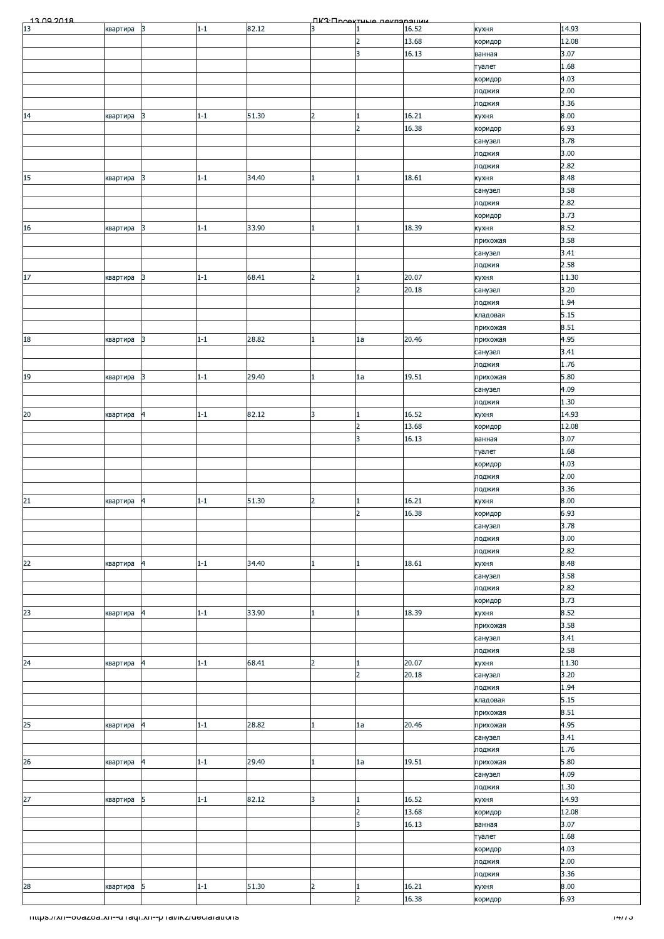| $\frac{13}{13}$ no 2018<br>82.12<br>14.93<br>3<br>$\vert$ 3<br>$1 - 1$<br>16.52<br>квартира<br>кухня<br>12.08<br>13.68<br>$\overline{2}$<br>коридор<br>3<br>16.13<br>3.07<br>ванная<br>1.68<br>туалет<br>4.03<br>коридор<br>2.00<br>лоджия<br>3.36<br>лоджия<br>16.21<br>8.00<br>14<br>51.30<br>3<br>$1 - 1$<br>$\overline{2}$<br>квартира<br>кухня<br>1<br>$\overline{2}$<br>16.38<br>6.93<br>коридор<br>3.78<br>санузел<br>3.00<br>лоджия<br>2.82<br>лоджия<br>15<br>18.61<br>8.48<br>$1 - 1$<br>34.40<br>3<br>квартира<br>1<br>кухня<br>3.58<br>санузел<br>2.82<br>лоджия<br>3.73<br>коридор<br>8.52<br>18.39<br>$1 - 1$<br>33.90<br>квартира<br>3<br>$\mathbf{1}$<br>кухня<br>3.58<br>прихожая<br>3.41<br>санузел<br>2.58<br>лоджия<br>20.07<br>11.30<br>$17\,$<br>68.41<br>3<br>$1 - 1$<br>квартира<br>кухня<br>2<br>1<br>3.20<br>$\overline{2}$<br>20.18<br>санузел<br>1.94<br>лоджия<br>5.15<br>кладовая<br>8.51<br>прихожая<br>28.82<br>20.46<br>$18\,$<br>3<br>$1-1$<br>4.95<br>1a<br>квартира<br>прихожая<br>3.41<br>санузел<br>1.76<br>лоджия<br>19<br>29.40<br>19.51<br>5.80<br>3<br>$1 - 1$<br>1a<br>прихожая<br>квартира<br>4.09<br>санузел<br>1.30<br>лоджия<br>16.52<br>14.93<br>$1 - 1$<br>82.12<br>3<br>$\mathbf{1}$<br>$\overline{4}$<br>кухня<br>квартира<br>$\overline{2}$<br>13.68<br>12.08<br>коридор<br>3<br>16.13<br>3.07<br>ванная<br>1.68<br>туалет<br>4.03<br>коридор<br>2.00<br>лоджия<br>3.36<br>лоджия<br>$\frac{21}{1}$<br>8.00<br>$1 - 1$<br>51.30<br>$\overline{2}$<br>16.21<br>квартира<br>$\overline{a}$<br>1<br>кухня<br>16.38<br>6.93<br>$\overline{2}$<br>коридор<br>3.78<br>санузел<br>3.00<br>лоджия<br>2.82<br>лоджия<br>22<br>18.61<br>8.48<br>34.40<br>$1 - 1$<br>квартира<br>$\vert 4 \vert$<br>1<br>кухня<br>3.58<br>санузел<br>2.82<br>лоджия<br>3.73<br>коридор<br>23<br>$1-1$<br>33.90<br>18.39<br>8.52<br>$\overline{a}$<br>$\mathbf{1}$<br>кухня<br>квартира<br>3.58<br>прихожая<br>3.41<br>санузел<br>2.58<br>лоджия<br>24<br>20.07<br>11.30<br>$1 - 1$<br>68.41<br>2<br>кухня<br>квартира<br>$\overline{\mathbf{r}}$<br>1<br>3.20<br>$\overline{2}$<br>20.18<br>санузел<br>1.94<br>лоджия<br>5.15<br>кладовая<br>8.51<br>прихожая<br>25<br>28.82<br>20.46<br>4.95<br>$\overline{a}$<br>$1 - 1$<br>1a<br>прихожая<br>квартира<br>3.41<br>санузел<br>1.76<br>лоджия<br>$1 - 1$<br>29.40<br>19.51<br>5.80<br>1a<br>$\overline{4}$<br>прихожая<br>квартира<br>4.09<br>санузел<br>1.30<br>лоджия<br>27<br>16.52<br>$1 - 1$<br>82.12<br>3<br>14.93<br>5<br>$\mathbf{1}$<br>кухня<br>квартира<br>13.68<br>12.08<br>2<br>коридор<br>3.07<br>3<br>16.13<br>ванная<br>1.68<br>туалет<br>4.03<br>коридор<br>2.00<br>лоджия<br>3.36<br>лоджия<br>16.21<br>28<br>5<br>51.30<br>8.00<br>$1 - 1$<br>2<br>$\mathbf{1}$<br>квартира<br>кухня<br>16.38<br>6.93<br>$\overline{2}$<br>коридор<br>mups.//xn--ovazoa.xn--u raqr.xn--p ramicz/declarations<br>1477 J |        |  |  | <b><i><u>IK3: Проектине пекларации</u></i></b> |  |  |
|----------------------------------------------------------------------------------------------------------------------------------------------------------------------------------------------------------------------------------------------------------------------------------------------------------------------------------------------------------------------------------------------------------------------------------------------------------------------------------------------------------------------------------------------------------------------------------------------------------------------------------------------------------------------------------------------------------------------------------------------------------------------------------------------------------------------------------------------------------------------------------------------------------------------------------------------------------------------------------------------------------------------------------------------------------------------------------------------------------------------------------------------------------------------------------------------------------------------------------------------------------------------------------------------------------------------------------------------------------------------------------------------------------------------------------------------------------------------------------------------------------------------------------------------------------------------------------------------------------------------------------------------------------------------------------------------------------------------------------------------------------------------------------------------------------------------------------------------------------------------------------------------------------------------------------------------------------------------------------------------------------------------------------------------------------------------------------------------------------------------------------------------------------------------------------------------------------------------------------------------------------------------------------------------------------------------------------------------------------------------------------------------------------------------------------------------------------------------------------------------------------------------------------------------------------------------------------------------------------------------------------------------------------------------------------------------------------------------------------------------------------------------------------------------------------------------------------------------------------------------------------------------------|--------|--|--|------------------------------------------------|--|--|
|                                                                                                                                                                                                                                                                                                                                                                                                                                                                                                                                                                                                                                                                                                                                                                                                                                                                                                                                                                                                                                                                                                                                                                                                                                                                                                                                                                                                                                                                                                                                                                                                                                                                                                                                                                                                                                                                                                                                                                                                                                                                                                                                                                                                                                                                                                                                                                                                                                                                                                                                                                                                                                                                                                                                                                                                                                                                                                    |        |  |  |                                                |  |  |
|                                                                                                                                                                                                                                                                                                                                                                                                                                                                                                                                                                                                                                                                                                                                                                                                                                                                                                                                                                                                                                                                                                                                                                                                                                                                                                                                                                                                                                                                                                                                                                                                                                                                                                                                                                                                                                                                                                                                                                                                                                                                                                                                                                                                                                                                                                                                                                                                                                                                                                                                                                                                                                                                                                                                                                                                                                                                                                    |        |  |  |                                                |  |  |
|                                                                                                                                                                                                                                                                                                                                                                                                                                                                                                                                                                                                                                                                                                                                                                                                                                                                                                                                                                                                                                                                                                                                                                                                                                                                                                                                                                                                                                                                                                                                                                                                                                                                                                                                                                                                                                                                                                                                                                                                                                                                                                                                                                                                                                                                                                                                                                                                                                                                                                                                                                                                                                                                                                                                                                                                                                                                                                    |        |  |  |                                                |  |  |
|                                                                                                                                                                                                                                                                                                                                                                                                                                                                                                                                                                                                                                                                                                                                                                                                                                                                                                                                                                                                                                                                                                                                                                                                                                                                                                                                                                                                                                                                                                                                                                                                                                                                                                                                                                                                                                                                                                                                                                                                                                                                                                                                                                                                                                                                                                                                                                                                                                                                                                                                                                                                                                                                                                                                                                                                                                                                                                    |        |  |  |                                                |  |  |
|                                                                                                                                                                                                                                                                                                                                                                                                                                                                                                                                                                                                                                                                                                                                                                                                                                                                                                                                                                                                                                                                                                                                                                                                                                                                                                                                                                                                                                                                                                                                                                                                                                                                                                                                                                                                                                                                                                                                                                                                                                                                                                                                                                                                                                                                                                                                                                                                                                                                                                                                                                                                                                                                                                                                                                                                                                                                                                    |        |  |  |                                                |  |  |
|                                                                                                                                                                                                                                                                                                                                                                                                                                                                                                                                                                                                                                                                                                                                                                                                                                                                                                                                                                                                                                                                                                                                                                                                                                                                                                                                                                                                                                                                                                                                                                                                                                                                                                                                                                                                                                                                                                                                                                                                                                                                                                                                                                                                                                                                                                                                                                                                                                                                                                                                                                                                                                                                                                                                                                                                                                                                                                    |        |  |  |                                                |  |  |
|                                                                                                                                                                                                                                                                                                                                                                                                                                                                                                                                                                                                                                                                                                                                                                                                                                                                                                                                                                                                                                                                                                                                                                                                                                                                                                                                                                                                                                                                                                                                                                                                                                                                                                                                                                                                                                                                                                                                                                                                                                                                                                                                                                                                                                                                                                                                                                                                                                                                                                                                                                                                                                                                                                                                                                                                                                                                                                    |        |  |  |                                                |  |  |
|                                                                                                                                                                                                                                                                                                                                                                                                                                                                                                                                                                                                                                                                                                                                                                                                                                                                                                                                                                                                                                                                                                                                                                                                                                                                                                                                                                                                                                                                                                                                                                                                                                                                                                                                                                                                                                                                                                                                                                                                                                                                                                                                                                                                                                                                                                                                                                                                                                                                                                                                                                                                                                                                                                                                                                                                                                                                                                    |        |  |  |                                                |  |  |
|                                                                                                                                                                                                                                                                                                                                                                                                                                                                                                                                                                                                                                                                                                                                                                                                                                                                                                                                                                                                                                                                                                                                                                                                                                                                                                                                                                                                                                                                                                                                                                                                                                                                                                                                                                                                                                                                                                                                                                                                                                                                                                                                                                                                                                                                                                                                                                                                                                                                                                                                                                                                                                                                                                                                                                                                                                                                                                    |        |  |  |                                                |  |  |
|                                                                                                                                                                                                                                                                                                                                                                                                                                                                                                                                                                                                                                                                                                                                                                                                                                                                                                                                                                                                                                                                                                                                                                                                                                                                                                                                                                                                                                                                                                                                                                                                                                                                                                                                                                                                                                                                                                                                                                                                                                                                                                                                                                                                                                                                                                                                                                                                                                                                                                                                                                                                                                                                                                                                                                                                                                                                                                    |        |  |  |                                                |  |  |
|                                                                                                                                                                                                                                                                                                                                                                                                                                                                                                                                                                                                                                                                                                                                                                                                                                                                                                                                                                                                                                                                                                                                                                                                                                                                                                                                                                                                                                                                                                                                                                                                                                                                                                                                                                                                                                                                                                                                                                                                                                                                                                                                                                                                                                                                                                                                                                                                                                                                                                                                                                                                                                                                                                                                                                                                                                                                                                    |        |  |  |                                                |  |  |
|                                                                                                                                                                                                                                                                                                                                                                                                                                                                                                                                                                                                                                                                                                                                                                                                                                                                                                                                                                                                                                                                                                                                                                                                                                                                                                                                                                                                                                                                                                                                                                                                                                                                                                                                                                                                                                                                                                                                                                                                                                                                                                                                                                                                                                                                                                                                                                                                                                                                                                                                                                                                                                                                                                                                                                                                                                                                                                    |        |  |  |                                                |  |  |
|                                                                                                                                                                                                                                                                                                                                                                                                                                                                                                                                                                                                                                                                                                                                                                                                                                                                                                                                                                                                                                                                                                                                                                                                                                                                                                                                                                                                                                                                                                                                                                                                                                                                                                                                                                                                                                                                                                                                                                                                                                                                                                                                                                                                                                                                                                                                                                                                                                                                                                                                                                                                                                                                                                                                                                                                                                                                                                    |        |  |  |                                                |  |  |
|                                                                                                                                                                                                                                                                                                                                                                                                                                                                                                                                                                                                                                                                                                                                                                                                                                                                                                                                                                                                                                                                                                                                                                                                                                                                                                                                                                                                                                                                                                                                                                                                                                                                                                                                                                                                                                                                                                                                                                                                                                                                                                                                                                                                                                                                                                                                                                                                                                                                                                                                                                                                                                                                                                                                                                                                                                                                                                    |        |  |  |                                                |  |  |
|                                                                                                                                                                                                                                                                                                                                                                                                                                                                                                                                                                                                                                                                                                                                                                                                                                                                                                                                                                                                                                                                                                                                                                                                                                                                                                                                                                                                                                                                                                                                                                                                                                                                                                                                                                                                                                                                                                                                                                                                                                                                                                                                                                                                                                                                                                                                                                                                                                                                                                                                                                                                                                                                                                                                                                                                                                                                                                    |        |  |  |                                                |  |  |
|                                                                                                                                                                                                                                                                                                                                                                                                                                                                                                                                                                                                                                                                                                                                                                                                                                                                                                                                                                                                                                                                                                                                                                                                                                                                                                                                                                                                                                                                                                                                                                                                                                                                                                                                                                                                                                                                                                                                                                                                                                                                                                                                                                                                                                                                                                                                                                                                                                                                                                                                                                                                                                                                                                                                                                                                                                                                                                    | 16     |  |  |                                                |  |  |
|                                                                                                                                                                                                                                                                                                                                                                                                                                                                                                                                                                                                                                                                                                                                                                                                                                                                                                                                                                                                                                                                                                                                                                                                                                                                                                                                                                                                                                                                                                                                                                                                                                                                                                                                                                                                                                                                                                                                                                                                                                                                                                                                                                                                                                                                                                                                                                                                                                                                                                                                                                                                                                                                                                                                                                                                                                                                                                    |        |  |  |                                                |  |  |
|                                                                                                                                                                                                                                                                                                                                                                                                                                                                                                                                                                                                                                                                                                                                                                                                                                                                                                                                                                                                                                                                                                                                                                                                                                                                                                                                                                                                                                                                                                                                                                                                                                                                                                                                                                                                                                                                                                                                                                                                                                                                                                                                                                                                                                                                                                                                                                                                                                                                                                                                                                                                                                                                                                                                                                                                                                                                                                    |        |  |  |                                                |  |  |
|                                                                                                                                                                                                                                                                                                                                                                                                                                                                                                                                                                                                                                                                                                                                                                                                                                                                                                                                                                                                                                                                                                                                                                                                                                                                                                                                                                                                                                                                                                                                                                                                                                                                                                                                                                                                                                                                                                                                                                                                                                                                                                                                                                                                                                                                                                                                                                                                                                                                                                                                                                                                                                                                                                                                                                                                                                                                                                    |        |  |  |                                                |  |  |
|                                                                                                                                                                                                                                                                                                                                                                                                                                                                                                                                                                                                                                                                                                                                                                                                                                                                                                                                                                                                                                                                                                                                                                                                                                                                                                                                                                                                                                                                                                                                                                                                                                                                                                                                                                                                                                                                                                                                                                                                                                                                                                                                                                                                                                                                                                                                                                                                                                                                                                                                                                                                                                                                                                                                                                                                                                                                                                    |        |  |  |                                                |  |  |
|                                                                                                                                                                                                                                                                                                                                                                                                                                                                                                                                                                                                                                                                                                                                                                                                                                                                                                                                                                                                                                                                                                                                                                                                                                                                                                                                                                                                                                                                                                                                                                                                                                                                                                                                                                                                                                                                                                                                                                                                                                                                                                                                                                                                                                                                                                                                                                                                                                                                                                                                                                                                                                                                                                                                                                                                                                                                                                    |        |  |  |                                                |  |  |
|                                                                                                                                                                                                                                                                                                                                                                                                                                                                                                                                                                                                                                                                                                                                                                                                                                                                                                                                                                                                                                                                                                                                                                                                                                                                                                                                                                                                                                                                                                                                                                                                                                                                                                                                                                                                                                                                                                                                                                                                                                                                                                                                                                                                                                                                                                                                                                                                                                                                                                                                                                                                                                                                                                                                                                                                                                                                                                    |        |  |  |                                                |  |  |
|                                                                                                                                                                                                                                                                                                                                                                                                                                                                                                                                                                                                                                                                                                                                                                                                                                                                                                                                                                                                                                                                                                                                                                                                                                                                                                                                                                                                                                                                                                                                                                                                                                                                                                                                                                                                                                                                                                                                                                                                                                                                                                                                                                                                                                                                                                                                                                                                                                                                                                                                                                                                                                                                                                                                                                                                                                                                                                    |        |  |  |                                                |  |  |
|                                                                                                                                                                                                                                                                                                                                                                                                                                                                                                                                                                                                                                                                                                                                                                                                                                                                                                                                                                                                                                                                                                                                                                                                                                                                                                                                                                                                                                                                                                                                                                                                                                                                                                                                                                                                                                                                                                                                                                                                                                                                                                                                                                                                                                                                                                                                                                                                                                                                                                                                                                                                                                                                                                                                                                                                                                                                                                    |        |  |  |                                                |  |  |
|                                                                                                                                                                                                                                                                                                                                                                                                                                                                                                                                                                                                                                                                                                                                                                                                                                                                                                                                                                                                                                                                                                                                                                                                                                                                                                                                                                                                                                                                                                                                                                                                                                                                                                                                                                                                                                                                                                                                                                                                                                                                                                                                                                                                                                                                                                                                                                                                                                                                                                                                                                                                                                                                                                                                                                                                                                                                                                    |        |  |  |                                                |  |  |
|                                                                                                                                                                                                                                                                                                                                                                                                                                                                                                                                                                                                                                                                                                                                                                                                                                                                                                                                                                                                                                                                                                                                                                                                                                                                                                                                                                                                                                                                                                                                                                                                                                                                                                                                                                                                                                                                                                                                                                                                                                                                                                                                                                                                                                                                                                                                                                                                                                                                                                                                                                                                                                                                                                                                                                                                                                                                                                    |        |  |  |                                                |  |  |
|                                                                                                                                                                                                                                                                                                                                                                                                                                                                                                                                                                                                                                                                                                                                                                                                                                                                                                                                                                                                                                                                                                                                                                                                                                                                                                                                                                                                                                                                                                                                                                                                                                                                                                                                                                                                                                                                                                                                                                                                                                                                                                                                                                                                                                                                                                                                                                                                                                                                                                                                                                                                                                                                                                                                                                                                                                                                                                    |        |  |  |                                                |  |  |
|                                                                                                                                                                                                                                                                                                                                                                                                                                                                                                                                                                                                                                                                                                                                                                                                                                                                                                                                                                                                                                                                                                                                                                                                                                                                                                                                                                                                                                                                                                                                                                                                                                                                                                                                                                                                                                                                                                                                                                                                                                                                                                                                                                                                                                                                                                                                                                                                                                                                                                                                                                                                                                                                                                                                                                                                                                                                                                    |        |  |  |                                                |  |  |
|                                                                                                                                                                                                                                                                                                                                                                                                                                                                                                                                                                                                                                                                                                                                                                                                                                                                                                                                                                                                                                                                                                                                                                                                                                                                                                                                                                                                                                                                                                                                                                                                                                                                                                                                                                                                                                                                                                                                                                                                                                                                                                                                                                                                                                                                                                                                                                                                                                                                                                                                                                                                                                                                                                                                                                                                                                                                                                    |        |  |  |                                                |  |  |
|                                                                                                                                                                                                                                                                                                                                                                                                                                                                                                                                                                                                                                                                                                                                                                                                                                                                                                                                                                                                                                                                                                                                                                                                                                                                                                                                                                                                                                                                                                                                                                                                                                                                                                                                                                                                                                                                                                                                                                                                                                                                                                                                                                                                                                                                                                                                                                                                                                                                                                                                                                                                                                                                                                                                                                                                                                                                                                    | $20\,$ |  |  |                                                |  |  |
|                                                                                                                                                                                                                                                                                                                                                                                                                                                                                                                                                                                                                                                                                                                                                                                                                                                                                                                                                                                                                                                                                                                                                                                                                                                                                                                                                                                                                                                                                                                                                                                                                                                                                                                                                                                                                                                                                                                                                                                                                                                                                                                                                                                                                                                                                                                                                                                                                                                                                                                                                                                                                                                                                                                                                                                                                                                                                                    |        |  |  |                                                |  |  |
|                                                                                                                                                                                                                                                                                                                                                                                                                                                                                                                                                                                                                                                                                                                                                                                                                                                                                                                                                                                                                                                                                                                                                                                                                                                                                                                                                                                                                                                                                                                                                                                                                                                                                                                                                                                                                                                                                                                                                                                                                                                                                                                                                                                                                                                                                                                                                                                                                                                                                                                                                                                                                                                                                                                                                                                                                                                                                                    |        |  |  |                                                |  |  |
|                                                                                                                                                                                                                                                                                                                                                                                                                                                                                                                                                                                                                                                                                                                                                                                                                                                                                                                                                                                                                                                                                                                                                                                                                                                                                                                                                                                                                                                                                                                                                                                                                                                                                                                                                                                                                                                                                                                                                                                                                                                                                                                                                                                                                                                                                                                                                                                                                                                                                                                                                                                                                                                                                                                                                                                                                                                                                                    |        |  |  |                                                |  |  |
|                                                                                                                                                                                                                                                                                                                                                                                                                                                                                                                                                                                                                                                                                                                                                                                                                                                                                                                                                                                                                                                                                                                                                                                                                                                                                                                                                                                                                                                                                                                                                                                                                                                                                                                                                                                                                                                                                                                                                                                                                                                                                                                                                                                                                                                                                                                                                                                                                                                                                                                                                                                                                                                                                                                                                                                                                                                                                                    |        |  |  |                                                |  |  |
|                                                                                                                                                                                                                                                                                                                                                                                                                                                                                                                                                                                                                                                                                                                                                                                                                                                                                                                                                                                                                                                                                                                                                                                                                                                                                                                                                                                                                                                                                                                                                                                                                                                                                                                                                                                                                                                                                                                                                                                                                                                                                                                                                                                                                                                                                                                                                                                                                                                                                                                                                                                                                                                                                                                                                                                                                                                                                                    |        |  |  |                                                |  |  |
|                                                                                                                                                                                                                                                                                                                                                                                                                                                                                                                                                                                                                                                                                                                                                                                                                                                                                                                                                                                                                                                                                                                                                                                                                                                                                                                                                                                                                                                                                                                                                                                                                                                                                                                                                                                                                                                                                                                                                                                                                                                                                                                                                                                                                                                                                                                                                                                                                                                                                                                                                                                                                                                                                                                                                                                                                                                                                                    |        |  |  |                                                |  |  |
|                                                                                                                                                                                                                                                                                                                                                                                                                                                                                                                                                                                                                                                                                                                                                                                                                                                                                                                                                                                                                                                                                                                                                                                                                                                                                                                                                                                                                                                                                                                                                                                                                                                                                                                                                                                                                                                                                                                                                                                                                                                                                                                                                                                                                                                                                                                                                                                                                                                                                                                                                                                                                                                                                                                                                                                                                                                                                                    |        |  |  |                                                |  |  |
|                                                                                                                                                                                                                                                                                                                                                                                                                                                                                                                                                                                                                                                                                                                                                                                                                                                                                                                                                                                                                                                                                                                                                                                                                                                                                                                                                                                                                                                                                                                                                                                                                                                                                                                                                                                                                                                                                                                                                                                                                                                                                                                                                                                                                                                                                                                                                                                                                                                                                                                                                                                                                                                                                                                                                                                                                                                                                                    |        |  |  |                                                |  |  |
|                                                                                                                                                                                                                                                                                                                                                                                                                                                                                                                                                                                                                                                                                                                                                                                                                                                                                                                                                                                                                                                                                                                                                                                                                                                                                                                                                                                                                                                                                                                                                                                                                                                                                                                                                                                                                                                                                                                                                                                                                                                                                                                                                                                                                                                                                                                                                                                                                                                                                                                                                                                                                                                                                                                                                                                                                                                                                                    |        |  |  |                                                |  |  |
|                                                                                                                                                                                                                                                                                                                                                                                                                                                                                                                                                                                                                                                                                                                                                                                                                                                                                                                                                                                                                                                                                                                                                                                                                                                                                                                                                                                                                                                                                                                                                                                                                                                                                                                                                                                                                                                                                                                                                                                                                                                                                                                                                                                                                                                                                                                                                                                                                                                                                                                                                                                                                                                                                                                                                                                                                                                                                                    |        |  |  |                                                |  |  |
|                                                                                                                                                                                                                                                                                                                                                                                                                                                                                                                                                                                                                                                                                                                                                                                                                                                                                                                                                                                                                                                                                                                                                                                                                                                                                                                                                                                                                                                                                                                                                                                                                                                                                                                                                                                                                                                                                                                                                                                                                                                                                                                                                                                                                                                                                                                                                                                                                                                                                                                                                                                                                                                                                                                                                                                                                                                                                                    |        |  |  |                                                |  |  |
|                                                                                                                                                                                                                                                                                                                                                                                                                                                                                                                                                                                                                                                                                                                                                                                                                                                                                                                                                                                                                                                                                                                                                                                                                                                                                                                                                                                                                                                                                                                                                                                                                                                                                                                                                                                                                                                                                                                                                                                                                                                                                                                                                                                                                                                                                                                                                                                                                                                                                                                                                                                                                                                                                                                                                                                                                                                                                                    |        |  |  |                                                |  |  |
|                                                                                                                                                                                                                                                                                                                                                                                                                                                                                                                                                                                                                                                                                                                                                                                                                                                                                                                                                                                                                                                                                                                                                                                                                                                                                                                                                                                                                                                                                                                                                                                                                                                                                                                                                                                                                                                                                                                                                                                                                                                                                                                                                                                                                                                                                                                                                                                                                                                                                                                                                                                                                                                                                                                                                                                                                                                                                                    |        |  |  |                                                |  |  |
|                                                                                                                                                                                                                                                                                                                                                                                                                                                                                                                                                                                                                                                                                                                                                                                                                                                                                                                                                                                                                                                                                                                                                                                                                                                                                                                                                                                                                                                                                                                                                                                                                                                                                                                                                                                                                                                                                                                                                                                                                                                                                                                                                                                                                                                                                                                                                                                                                                                                                                                                                                                                                                                                                                                                                                                                                                                                                                    |        |  |  |                                                |  |  |
|                                                                                                                                                                                                                                                                                                                                                                                                                                                                                                                                                                                                                                                                                                                                                                                                                                                                                                                                                                                                                                                                                                                                                                                                                                                                                                                                                                                                                                                                                                                                                                                                                                                                                                                                                                                                                                                                                                                                                                                                                                                                                                                                                                                                                                                                                                                                                                                                                                                                                                                                                                                                                                                                                                                                                                                                                                                                                                    |        |  |  |                                                |  |  |
|                                                                                                                                                                                                                                                                                                                                                                                                                                                                                                                                                                                                                                                                                                                                                                                                                                                                                                                                                                                                                                                                                                                                                                                                                                                                                                                                                                                                                                                                                                                                                                                                                                                                                                                                                                                                                                                                                                                                                                                                                                                                                                                                                                                                                                                                                                                                                                                                                                                                                                                                                                                                                                                                                                                                                                                                                                                                                                    |        |  |  |                                                |  |  |
|                                                                                                                                                                                                                                                                                                                                                                                                                                                                                                                                                                                                                                                                                                                                                                                                                                                                                                                                                                                                                                                                                                                                                                                                                                                                                                                                                                                                                                                                                                                                                                                                                                                                                                                                                                                                                                                                                                                                                                                                                                                                                                                                                                                                                                                                                                                                                                                                                                                                                                                                                                                                                                                                                                                                                                                                                                                                                                    |        |  |  |                                                |  |  |
|                                                                                                                                                                                                                                                                                                                                                                                                                                                                                                                                                                                                                                                                                                                                                                                                                                                                                                                                                                                                                                                                                                                                                                                                                                                                                                                                                                                                                                                                                                                                                                                                                                                                                                                                                                                                                                                                                                                                                                                                                                                                                                                                                                                                                                                                                                                                                                                                                                                                                                                                                                                                                                                                                                                                                                                                                                                                                                    |        |  |  |                                                |  |  |
|                                                                                                                                                                                                                                                                                                                                                                                                                                                                                                                                                                                                                                                                                                                                                                                                                                                                                                                                                                                                                                                                                                                                                                                                                                                                                                                                                                                                                                                                                                                                                                                                                                                                                                                                                                                                                                                                                                                                                                                                                                                                                                                                                                                                                                                                                                                                                                                                                                                                                                                                                                                                                                                                                                                                                                                                                                                                                                    |        |  |  |                                                |  |  |
|                                                                                                                                                                                                                                                                                                                                                                                                                                                                                                                                                                                                                                                                                                                                                                                                                                                                                                                                                                                                                                                                                                                                                                                                                                                                                                                                                                                                                                                                                                                                                                                                                                                                                                                                                                                                                                                                                                                                                                                                                                                                                                                                                                                                                                                                                                                                                                                                                                                                                                                                                                                                                                                                                                                                                                                                                                                                                                    |        |  |  |                                                |  |  |
|                                                                                                                                                                                                                                                                                                                                                                                                                                                                                                                                                                                                                                                                                                                                                                                                                                                                                                                                                                                                                                                                                                                                                                                                                                                                                                                                                                                                                                                                                                                                                                                                                                                                                                                                                                                                                                                                                                                                                                                                                                                                                                                                                                                                                                                                                                                                                                                                                                                                                                                                                                                                                                                                                                                                                                                                                                                                                                    |        |  |  |                                                |  |  |
|                                                                                                                                                                                                                                                                                                                                                                                                                                                                                                                                                                                                                                                                                                                                                                                                                                                                                                                                                                                                                                                                                                                                                                                                                                                                                                                                                                                                                                                                                                                                                                                                                                                                                                                                                                                                                                                                                                                                                                                                                                                                                                                                                                                                                                                                                                                                                                                                                                                                                                                                                                                                                                                                                                                                                                                                                                                                                                    |        |  |  |                                                |  |  |
|                                                                                                                                                                                                                                                                                                                                                                                                                                                                                                                                                                                                                                                                                                                                                                                                                                                                                                                                                                                                                                                                                                                                                                                                                                                                                                                                                                                                                                                                                                                                                                                                                                                                                                                                                                                                                                                                                                                                                                                                                                                                                                                                                                                                                                                                                                                                                                                                                                                                                                                                                                                                                                                                                                                                                                                                                                                                                                    |        |  |  |                                                |  |  |
|                                                                                                                                                                                                                                                                                                                                                                                                                                                                                                                                                                                                                                                                                                                                                                                                                                                                                                                                                                                                                                                                                                                                                                                                                                                                                                                                                                                                                                                                                                                                                                                                                                                                                                                                                                                                                                                                                                                                                                                                                                                                                                                                                                                                                                                                                                                                                                                                                                                                                                                                                                                                                                                                                                                                                                                                                                                                                                    |        |  |  |                                                |  |  |
|                                                                                                                                                                                                                                                                                                                                                                                                                                                                                                                                                                                                                                                                                                                                                                                                                                                                                                                                                                                                                                                                                                                                                                                                                                                                                                                                                                                                                                                                                                                                                                                                                                                                                                                                                                                                                                                                                                                                                                                                                                                                                                                                                                                                                                                                                                                                                                                                                                                                                                                                                                                                                                                                                                                                                                                                                                                                                                    |        |  |  |                                                |  |  |
|                                                                                                                                                                                                                                                                                                                                                                                                                                                                                                                                                                                                                                                                                                                                                                                                                                                                                                                                                                                                                                                                                                                                                                                                                                                                                                                                                                                                                                                                                                                                                                                                                                                                                                                                                                                                                                                                                                                                                                                                                                                                                                                                                                                                                                                                                                                                                                                                                                                                                                                                                                                                                                                                                                                                                                                                                                                                                                    | 26     |  |  |                                                |  |  |
|                                                                                                                                                                                                                                                                                                                                                                                                                                                                                                                                                                                                                                                                                                                                                                                                                                                                                                                                                                                                                                                                                                                                                                                                                                                                                                                                                                                                                                                                                                                                                                                                                                                                                                                                                                                                                                                                                                                                                                                                                                                                                                                                                                                                                                                                                                                                                                                                                                                                                                                                                                                                                                                                                                                                                                                                                                                                                                    |        |  |  |                                                |  |  |
|                                                                                                                                                                                                                                                                                                                                                                                                                                                                                                                                                                                                                                                                                                                                                                                                                                                                                                                                                                                                                                                                                                                                                                                                                                                                                                                                                                                                                                                                                                                                                                                                                                                                                                                                                                                                                                                                                                                                                                                                                                                                                                                                                                                                                                                                                                                                                                                                                                                                                                                                                                                                                                                                                                                                                                                                                                                                                                    |        |  |  |                                                |  |  |
|                                                                                                                                                                                                                                                                                                                                                                                                                                                                                                                                                                                                                                                                                                                                                                                                                                                                                                                                                                                                                                                                                                                                                                                                                                                                                                                                                                                                                                                                                                                                                                                                                                                                                                                                                                                                                                                                                                                                                                                                                                                                                                                                                                                                                                                                                                                                                                                                                                                                                                                                                                                                                                                                                                                                                                                                                                                                                                    |        |  |  |                                                |  |  |
|                                                                                                                                                                                                                                                                                                                                                                                                                                                                                                                                                                                                                                                                                                                                                                                                                                                                                                                                                                                                                                                                                                                                                                                                                                                                                                                                                                                                                                                                                                                                                                                                                                                                                                                                                                                                                                                                                                                                                                                                                                                                                                                                                                                                                                                                                                                                                                                                                                                                                                                                                                                                                                                                                                                                                                                                                                                                                                    |        |  |  |                                                |  |  |
|                                                                                                                                                                                                                                                                                                                                                                                                                                                                                                                                                                                                                                                                                                                                                                                                                                                                                                                                                                                                                                                                                                                                                                                                                                                                                                                                                                                                                                                                                                                                                                                                                                                                                                                                                                                                                                                                                                                                                                                                                                                                                                                                                                                                                                                                                                                                                                                                                                                                                                                                                                                                                                                                                                                                                                                                                                                                                                    |        |  |  |                                                |  |  |
|                                                                                                                                                                                                                                                                                                                                                                                                                                                                                                                                                                                                                                                                                                                                                                                                                                                                                                                                                                                                                                                                                                                                                                                                                                                                                                                                                                                                                                                                                                                                                                                                                                                                                                                                                                                                                                                                                                                                                                                                                                                                                                                                                                                                                                                                                                                                                                                                                                                                                                                                                                                                                                                                                                                                                                                                                                                                                                    |        |  |  |                                                |  |  |
|                                                                                                                                                                                                                                                                                                                                                                                                                                                                                                                                                                                                                                                                                                                                                                                                                                                                                                                                                                                                                                                                                                                                                                                                                                                                                                                                                                                                                                                                                                                                                                                                                                                                                                                                                                                                                                                                                                                                                                                                                                                                                                                                                                                                                                                                                                                                                                                                                                                                                                                                                                                                                                                                                                                                                                                                                                                                                                    |        |  |  |                                                |  |  |
|                                                                                                                                                                                                                                                                                                                                                                                                                                                                                                                                                                                                                                                                                                                                                                                                                                                                                                                                                                                                                                                                                                                                                                                                                                                                                                                                                                                                                                                                                                                                                                                                                                                                                                                                                                                                                                                                                                                                                                                                                                                                                                                                                                                                                                                                                                                                                                                                                                                                                                                                                                                                                                                                                                                                                                                                                                                                                                    |        |  |  |                                                |  |  |
|                                                                                                                                                                                                                                                                                                                                                                                                                                                                                                                                                                                                                                                                                                                                                                                                                                                                                                                                                                                                                                                                                                                                                                                                                                                                                                                                                                                                                                                                                                                                                                                                                                                                                                                                                                                                                                                                                                                                                                                                                                                                                                                                                                                                                                                                                                                                                                                                                                                                                                                                                                                                                                                                                                                                                                                                                                                                                                    |        |  |  |                                                |  |  |
|                                                                                                                                                                                                                                                                                                                                                                                                                                                                                                                                                                                                                                                                                                                                                                                                                                                                                                                                                                                                                                                                                                                                                                                                                                                                                                                                                                                                                                                                                                                                                                                                                                                                                                                                                                                                                                                                                                                                                                                                                                                                                                                                                                                                                                                                                                                                                                                                                                                                                                                                                                                                                                                                                                                                                                                                                                                                                                    |        |  |  |                                                |  |  |
|                                                                                                                                                                                                                                                                                                                                                                                                                                                                                                                                                                                                                                                                                                                                                                                                                                                                                                                                                                                                                                                                                                                                                                                                                                                                                                                                                                                                                                                                                                                                                                                                                                                                                                                                                                                                                                                                                                                                                                                                                                                                                                                                                                                                                                                                                                                                                                                                                                                                                                                                                                                                                                                                                                                                                                                                                                                                                                    |        |  |  |                                                |  |  |
|                                                                                                                                                                                                                                                                                                                                                                                                                                                                                                                                                                                                                                                                                                                                                                                                                                                                                                                                                                                                                                                                                                                                                                                                                                                                                                                                                                                                                                                                                                                                                                                                                                                                                                                                                                                                                                                                                                                                                                                                                                                                                                                                                                                                                                                                                                                                                                                                                                                                                                                                                                                                                                                                                                                                                                                                                                                                                                    |        |  |  |                                                |  |  |
|                                                                                                                                                                                                                                                                                                                                                                                                                                                                                                                                                                                                                                                                                                                                                                                                                                                                                                                                                                                                                                                                                                                                                                                                                                                                                                                                                                                                                                                                                                                                                                                                                                                                                                                                                                                                                                                                                                                                                                                                                                                                                                                                                                                                                                                                                                                                                                                                                                                                                                                                                                                                                                                                                                                                                                                                                                                                                                    |        |  |  |                                                |  |  |
|                                                                                                                                                                                                                                                                                                                                                                                                                                                                                                                                                                                                                                                                                                                                                                                                                                                                                                                                                                                                                                                                                                                                                                                                                                                                                                                                                                                                                                                                                                                                                                                                                                                                                                                                                                                                                                                                                                                                                                                                                                                                                                                                                                                                                                                                                                                                                                                                                                                                                                                                                                                                                                                                                                                                                                                                                                                                                                    |        |  |  |                                                |  |  |
|                                                                                                                                                                                                                                                                                                                                                                                                                                                                                                                                                                                                                                                                                                                                                                                                                                                                                                                                                                                                                                                                                                                                                                                                                                                                                                                                                                                                                                                                                                                                                                                                                                                                                                                                                                                                                                                                                                                                                                                                                                                                                                                                                                                                                                                                                                                                                                                                                                                                                                                                                                                                                                                                                                                                                                                                                                                                                                    |        |  |  |                                                |  |  |
|                                                                                                                                                                                                                                                                                                                                                                                                                                                                                                                                                                                                                                                                                                                                                                                                                                                                                                                                                                                                                                                                                                                                                                                                                                                                                                                                                                                                                                                                                                                                                                                                                                                                                                                                                                                                                                                                                                                                                                                                                                                                                                                                                                                                                                                                                                                                                                                                                                                                                                                                                                                                                                                                                                                                                                                                                                                                                                    |        |  |  |                                                |  |  |
|                                                                                                                                                                                                                                                                                                                                                                                                                                                                                                                                                                                                                                                                                                                                                                                                                                                                                                                                                                                                                                                                                                                                                                                                                                                                                                                                                                                                                                                                                                                                                                                                                                                                                                                                                                                                                                                                                                                                                                                                                                                                                                                                                                                                                                                                                                                                                                                                                                                                                                                                                                                                                                                                                                                                                                                                                                                                                                    |        |  |  |                                                |  |  |
|                                                                                                                                                                                                                                                                                                                                                                                                                                                                                                                                                                                                                                                                                                                                                                                                                                                                                                                                                                                                                                                                                                                                                                                                                                                                                                                                                                                                                                                                                                                                                                                                                                                                                                                                                                                                                                                                                                                                                                                                                                                                                                                                                                                                                                                                                                                                                                                                                                                                                                                                                                                                                                                                                                                                                                                                                                                                                                    |        |  |  |                                                |  |  |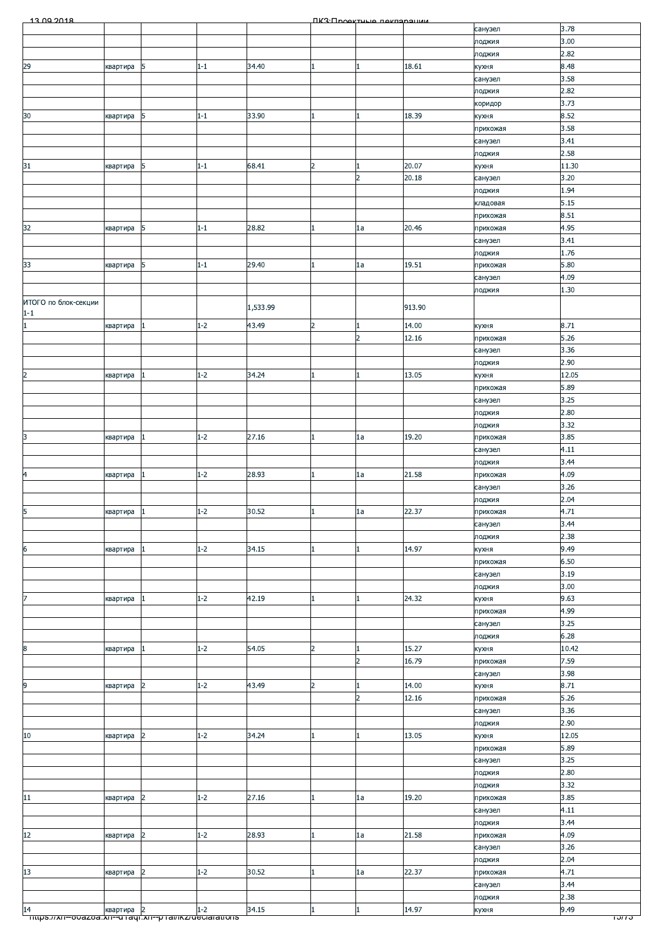|  | 12 00 2018 |  |
|--|------------|--|

| 13.00.2018                                                    |          |                |         |          |                | ПКЗ Проектине пекларации |        |          |                  |
|---------------------------------------------------------------|----------|----------------|---------|----------|----------------|--------------------------|--------|----------|------------------|
|                                                               |          |                |         |          |                |                          |        | санузел  | 3.78             |
|                                                               |          |                |         |          |                |                          |        | лоджия   | 3.00             |
|                                                               |          |                |         |          |                |                          |        | лоджия   | 2.82             |
| 29                                                            | квартира | 5              | $1 - 1$ | 34.40    |                |                          | 18.61  | кухня    | 8.48             |
|                                                               |          |                |         |          |                |                          |        | санузел  | 3.58             |
|                                                               |          |                |         |          |                |                          |        | лоджия   | 2.82             |
|                                                               |          |                |         |          |                |                          |        | коридор  | 3.73             |
| 30                                                            | квартира | 5              | $1 - 1$ | 33.90    |                |                          | 18.39  | кухня    | 8.52             |
|                                                               |          |                |         |          |                |                          |        | прихожая | 3.58             |
|                                                               |          |                |         |          |                |                          |        | санузел  | 3.41             |
|                                                               |          |                |         |          |                |                          |        | лоджия   | 2.58             |
| 31                                                            | квартира | 5              | $1 - 1$ | 68.41    | $\overline{2}$ |                          | 20.07  | кухня    | 11.30            |
|                                                               |          |                |         |          |                | $\overline{2}$           | 20.18  | санузел  | 3.20             |
|                                                               |          |                |         |          |                |                          |        | лоджия   | 1.94             |
|                                                               |          |                |         |          |                |                          |        | кладовая | 5.15             |
|                                                               |          |                |         |          |                |                          |        | прихожая | 8.51             |
| 32                                                            | квартира | 5              | $1 - 1$ | 28.82    |                | 1a                       | 20.46  | прихожая | 4.95             |
|                                                               |          |                |         |          |                |                          |        | санузел  | 3.41             |
|                                                               |          |                |         |          |                |                          |        | лоджия   | 1.76             |
| 33                                                            | квартира | 5              | $1 - 1$ | 29.40    |                | 1a                       | 19.51  | прихожая | 5.80             |
|                                                               |          |                |         |          |                |                          |        | санузел  | 4.09             |
|                                                               |          |                |         |          |                |                          |        | лоджия   | 1.30             |
| ИТОГО по блок-секции                                          |          |                |         |          |                |                          |        |          |                  |
| $1 - 1$                                                       |          |                |         | 1,533.99 |                |                          | 913.90 |          |                  |
| $\mathbf{1}$                                                  | квартира |                | $1 - 2$ | 43.49    | $\overline{2}$ |                          | 14.00  | кухня    | 8.71             |
|                                                               |          |                |         |          |                | $\overline{2}$           | 12.16  | прихожая | 5.26             |
|                                                               |          |                |         |          |                |                          |        | санузел  | 3.36             |
|                                                               |          |                |         |          |                |                          |        | лоджия   | 2.90             |
| 2                                                             | квартира |                | $1 - 2$ | 34.24    |                |                          | 13.05  | кухня    | 12.05            |
|                                                               |          |                |         |          |                |                          |        | прихожая | 5.89             |
|                                                               |          |                |         |          |                |                          |        | санузел  | 3.25             |
|                                                               |          |                |         |          |                |                          |        | лоджия   | 2.80             |
|                                                               |          |                |         |          |                |                          |        | лоджия   | 3.32             |
| 3                                                             | квартира |                | $1 - 2$ | 27.16    |                | 1a                       | 19.20  | прихожая | 3.85             |
|                                                               |          |                |         |          |                |                          |        | санузел  | 4.11             |
|                                                               |          |                |         |          |                |                          |        | лоджия   | 3.44             |
| 4                                                             | квартира |                | $1 - 2$ | 28.93    |                | 1a                       | 21.58  | прихожая | 4.09             |
|                                                               |          |                |         |          |                |                          |        | санузел  | 3.26             |
|                                                               |          |                |         |          |                |                          |        | лоджия   | 2.04             |
| 5                                                             | квартира |                | $1-2$   | 30.52    |                | 1a                       | 22.37  | прихожая | 4.71             |
|                                                               |          |                |         |          |                |                          |        |          | 3.44             |
|                                                               |          |                |         |          |                |                          |        | санузел  | 2.38             |
|                                                               |          |                | $1 - 2$ | 34.15    |                |                          | 14.97  | лоджия   | 9.49             |
| 6                                                             | квартира |                |         |          |                |                          |        | кухня    |                  |
|                                                               |          |                |         |          |                |                          |        | прихожая | 6.50             |
|                                                               |          |                |         |          |                |                          |        | санузел  | 3.19             |
|                                                               |          |                |         |          |                |                          |        | лоджия   | 3.00             |
|                                                               | квартира |                | $1 - 2$ | 42.19    |                |                          | 24.32  | кухня    | 9.63             |
|                                                               |          |                |         |          |                |                          |        | прихожая | 4.99             |
|                                                               |          |                |         |          |                |                          |        | санузел  | 3.25             |
|                                                               |          |                |         |          |                |                          |        | лоджия   | 6.28             |
| 8                                                             | квартира |                | $1 - 2$ | 54.05    | 2              |                          | 15.27  | кухня    | 10.42            |
|                                                               |          |                |         |          |                | $\overline{2}$           | 16.79  | прихожая | 7.59             |
|                                                               |          |                |         |          |                |                          |        | санузел  | 3.98             |
| 9                                                             | квартира | 2              | $1 - 2$ | 43.49    | $\overline{2}$ |                          | 14.00  | кухня    | 8.71             |
|                                                               |          |                |         |          |                | $\overline{2}$           | 12.16  | прихожая | 5.26             |
|                                                               |          |                |         |          |                |                          |        | санузел  | 3.36             |
|                                                               |          |                |         |          |                |                          |        | лоджия   | 2.90             |
| $10\,$                                                        | квартира | 2              | $1 - 2$ | 34.24    |                |                          | 13.05  | кухня    | 12.05            |
|                                                               |          |                |         |          |                |                          |        | прихожая | 5.89             |
|                                                               |          |                |         |          |                |                          |        | санузел  | 3.25             |
|                                                               |          |                |         |          |                |                          |        | лоджия   | 2.80             |
|                                                               |          |                |         |          |                |                          |        | лоджия   | 3.32             |
| 11                                                            | квартира | 2              | $1 - 2$ | 27.16    |                | 1a                       | 19.20  | прихожая | 3.85             |
|                                                               |          |                |         |          |                |                          |        | санузел  | 4.11             |
|                                                               |          |                |         |          |                |                          |        | лоджия   | 3.44             |
| 12                                                            | квартира | 2              | $1 - 2$ | 28.93    |                | 1a                       | 21.58  | прихожая | 4.09             |
|                                                               |          |                |         |          |                |                          |        | санузел  | 3.26             |
|                                                               |          |                |         |          |                |                          |        | лоджия   | 2.04             |
| 13                                                            | квартира | 2              | $1 - 2$ | 30.52    |                | 1a                       | 22.37  | прихожая | 4.71             |
|                                                               |          |                |         |          |                |                          |        | санузел  | 3.44             |
|                                                               |          |                |         |          |                |                          |        | лоджия   | 2.38             |
| 14                                                            | квартира | $\overline{2}$ | $1 - 2$ | 34.15    |                |                          | 14.97  | кухня    | 9.49             |
| <u> mups.//xn--ooazoa.xn--u raqi.xn--p ramkz/declarations</u> |          |                |         |          |                |                          |        |          | <del>ט וטו</del> |
|                                                               |          |                |         |          |                |                          |        |          |                  |
|                                                               |          |                |         |          |                |                          |        |          |                  |
|                                                               |          |                |         |          |                |                          |        |          |                  |
|                                                               |          |                |         |          |                |                          |        |          |                  |
|                                                               |          |                |         |          |                |                          |        |          |                  |
|                                                               |          |                |         |          |                |                          |        |          |                  |
|                                                               |          |                |         |          |                |                          |        |          |                  |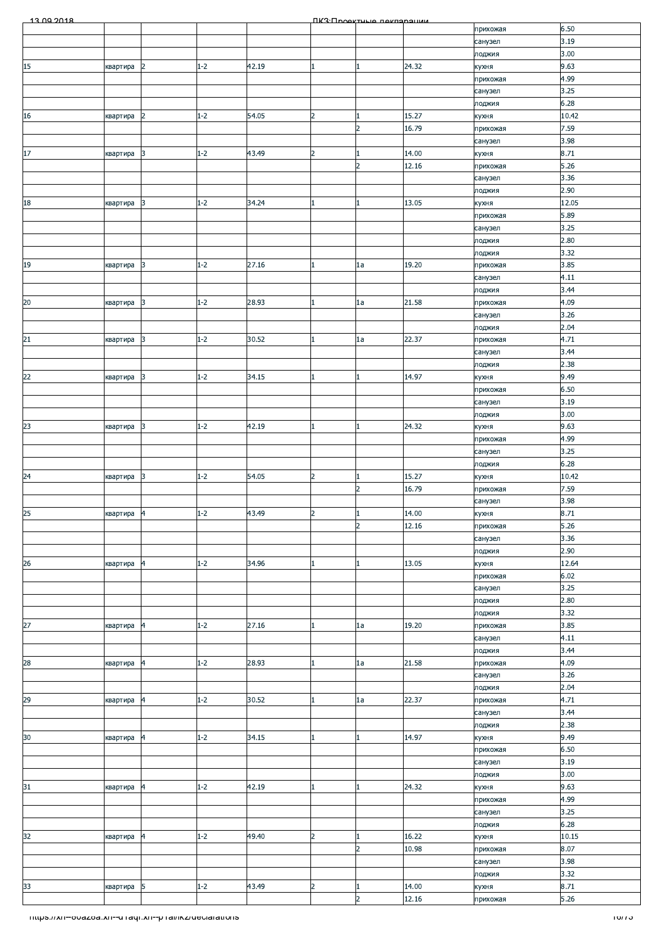| 13.00.2018                                              |          |                         |         |       |                         | <b><i><u>IK3: Проектные пекларации</u></i></b> |       |                   |                  |
|---------------------------------------------------------|----------|-------------------------|---------|-------|-------------------------|------------------------------------------------|-------|-------------------|------------------|
|                                                         |          |                         |         |       |                         |                                                |       | прихожая          | 6.50             |
|                                                         |          |                         |         |       |                         |                                                |       | санузел           | 3.19             |
|                                                         |          |                         |         |       |                         |                                                |       | лоджия            | 3.00             |
| 15                                                      | квартира | $\overline{2}$          | $1 - 2$ | 42.19 | 1                       |                                                | 24.32 | кухня             | 9.63             |
|                                                         |          |                         |         |       |                         |                                                |       | прихожая          | 4.99             |
|                                                         |          |                         |         |       |                         |                                                |       | санузел           | 3.25             |
|                                                         |          |                         |         |       |                         |                                                |       | лоджия            | 6.28             |
| $16\,$                                                  | квартира | $\overline{2}$          | $1 - 2$ | 54.05 | $\overline{2}$          |                                                | 15.27 | кухня             | 10.42            |
|                                                         |          |                         |         |       |                         | $\overline{2}$                                 | 16.79 | прихожая          | 7.59<br>3.98     |
| $17\,$                                                  |          | 3                       | $1 - 2$ | 43.49 | $\overline{2}$          |                                                | 14.00 | санузел           | 8.71             |
|                                                         | квартира |                         |         |       |                         | $\overline{2}$                                 | 12.16 | кухня<br>прихожая | 5.26             |
|                                                         |          |                         |         |       |                         |                                                |       | санузел           | 3.36             |
|                                                         |          |                         |         |       |                         |                                                |       | лоджия            | 2.90             |
| 18                                                      | квартира | 3                       | $1 - 2$ | 34.24 |                         |                                                | 13.05 | кухня             | 12.05            |
|                                                         |          |                         |         |       |                         |                                                |       | прихожая          | 5.89             |
|                                                         |          |                         |         |       |                         |                                                |       | санузел           | 3.25             |
|                                                         |          |                         |         |       |                         |                                                |       | лоджия            | 2.80             |
|                                                         |          |                         |         |       |                         |                                                |       | лоджия            | 3.32             |
| 19                                                      | квартира | 3                       | $1 - 2$ | 27.16 |                         | 1a                                             | 19.20 | прихожая          | 3.85             |
|                                                         |          |                         |         |       |                         |                                                |       | санузел           | 4.11             |
|                                                         |          |                         |         |       |                         |                                                |       | лоджия            | 3.44             |
| $20\,$                                                  | квартира | 3                       | $1 - 2$ | 28.93 |                         | 1a                                             | 21.58 | прихожая          | 4.09             |
|                                                         |          |                         |         |       |                         |                                                |       | санузел           | 3.26             |
|                                                         |          |                         |         |       |                         |                                                |       | лоджия            | 2.04             |
| 21                                                      | квартира | 3                       | $1 - 2$ | 30.52 |                         | 1a                                             | 22.37 | прихожая          | 4.71             |
|                                                         |          |                         |         |       |                         |                                                |       | санузел           | 3.44             |
|                                                         |          |                         |         |       |                         |                                                |       | лоджия            | 2.38             |
| 22                                                      | квартира | $\overline{3}$          | $1 - 2$ | 34.15 |                         |                                                | 14.97 | кухня             | 9.49             |
|                                                         |          |                         |         |       |                         |                                                |       | прихожая          | 6.50             |
|                                                         |          |                         |         |       |                         |                                                |       | санузел           | 3.19             |
|                                                         |          |                         |         |       |                         |                                                |       | лоджия            | 3.00             |
| 23                                                      | квартира | 3                       | $1 - 2$ | 42.19 |                         |                                                | 24.32 | кухня             | 9.63             |
|                                                         |          |                         |         |       |                         |                                                |       | прихожая          | 4.99             |
|                                                         |          |                         |         |       |                         |                                                |       | санузел           | 3.25             |
|                                                         |          |                         |         |       |                         |                                                |       | лоджия            | 6.28             |
| 24                                                      | квартира | 3                       | $1 - 2$ | 54.05 | $\overline{2}$          |                                                | 15.27 | кухня             | 10.42            |
|                                                         |          |                         |         |       |                         | $\overline{2}$                                 | 16.79 | прихожая          | 7.59             |
|                                                         |          |                         |         |       |                         |                                                |       | санузел           | 3.98             |
| 25                                                      | квартира |                         | $1 - 2$ | 43.49 | $\overline{\mathbf{c}}$ |                                                | 14.00 | кухня             | 8.71             |
|                                                         |          |                         |         |       |                         | $\overline{2}$                                 | 12.16 | прихожая          | 5.26             |
|                                                         |          |                         |         |       |                         |                                                |       | санузел           | 3.36             |
|                                                         |          |                         |         |       |                         |                                                |       | лоджия            | 2.90             |
| 26                                                      | квартира | 4                       | $1 - 2$ | 34.96 |                         |                                                | 13.05 | кухня             | 12.64            |
|                                                         |          |                         |         |       |                         |                                                |       | прихожая          | 6.02             |
|                                                         |          |                         |         |       |                         |                                                |       | санузел           | 3.25             |
|                                                         |          |                         |         |       |                         |                                                |       | лоджия            | 2.80             |
|                                                         |          |                         |         |       |                         |                                                |       | лоджия            | 3.32             |
| $\overline{27}$                                         | квартира | 4                       | $1 - 2$ | 27.16 |                         | 1a                                             | 19.20 | прихожая          | 3.85             |
|                                                         |          |                         |         |       |                         |                                                |       | санузел           | 4.11             |
|                                                         |          |                         |         |       |                         |                                                |       | лоджия            | 3.44             |
| 28                                                      | квартира | 4                       | $1 - 2$ | 28.93 | 1                       | 1a                                             | 21.58 | прихожая          | 4.09             |
|                                                         |          |                         |         |       |                         |                                                |       | санузел           | 3.26             |
|                                                         |          |                         |         |       |                         |                                                | 22.37 | лоджия            | 2.04<br>4.71     |
| 29                                                      | квартира | $\overline{4}$          | $1 - 2$ | 30.52 |                         | 1a                                             |       | прихожая          |                  |
|                                                         |          |                         |         |       |                         |                                                |       | санузел           | 3.44<br>2.38     |
| 30 <sub>o</sub>                                         | квартира | 4                       | $1 - 2$ | 34.15 |                         |                                                | 14.97 | лоджия<br>кухня   | 9.49             |
|                                                         |          |                         |         |       |                         |                                                |       | прихожая          | 6.50             |
|                                                         |          |                         |         |       |                         |                                                |       | санузел           | 3.19             |
|                                                         |          |                         |         |       |                         |                                                |       | лоджия            | 3.00             |
| 31                                                      | квартира | $\overline{\mathbf{4}}$ | $1 - 2$ | 42.19 |                         |                                                | 24.32 | кухня             | 9.63             |
|                                                         |          |                         |         |       |                         |                                                |       | прихожая          | 4.99             |
|                                                         |          |                         |         |       |                         |                                                |       | санузел           | 3.25             |
|                                                         |          |                         |         |       |                         |                                                |       | лоджия            | 6.28             |
| 32                                                      | квартира | 4                       | $1 - 2$ | 49.40 | $\overline{2}$          |                                                | 16.22 | кухня             | 10.15            |
|                                                         |          |                         |         |       |                         | $\overline{2}$                                 | 10.98 | прихожая          | 8.07             |
|                                                         |          |                         |         |       |                         |                                                |       | санузел           | 3.98             |
|                                                         |          |                         |         |       |                         |                                                |       | лоджия            | 3.32             |
| 33                                                      | квартира | 5                       | $1 - 2$ | 43.49 | $\overline{a}$          |                                                | 14.00 | кухня             | 8.71             |
|                                                         |          |                         |         |       |                         | $\overline{2}$                                 | 12.16 | прихожая          | 5.26             |
|                                                         |          |                         |         |       |                         |                                                |       |                   |                  |
| Thttps://xn--ovazoa.xn--u-raqr.xn--p-ramkz/declarations |          |                         |         |       |                         |                                                |       |                   | <del>ט וסו</del> |
|                                                         |          |                         |         |       |                         |                                                |       |                   |                  |
|                                                         |          |                         |         |       |                         |                                                |       |                   |                  |
|                                                         |          |                         |         |       |                         |                                                |       |                   |                  |
|                                                         |          |                         |         |       |                         |                                                |       |                   |                  |
|                                                         |          |                         |         |       |                         |                                                |       |                   |                  |
|                                                         |          |                         |         |       |                         |                                                |       |                   |                  |
|                                                         |          |                         |         |       |                         |                                                |       |                   |                  |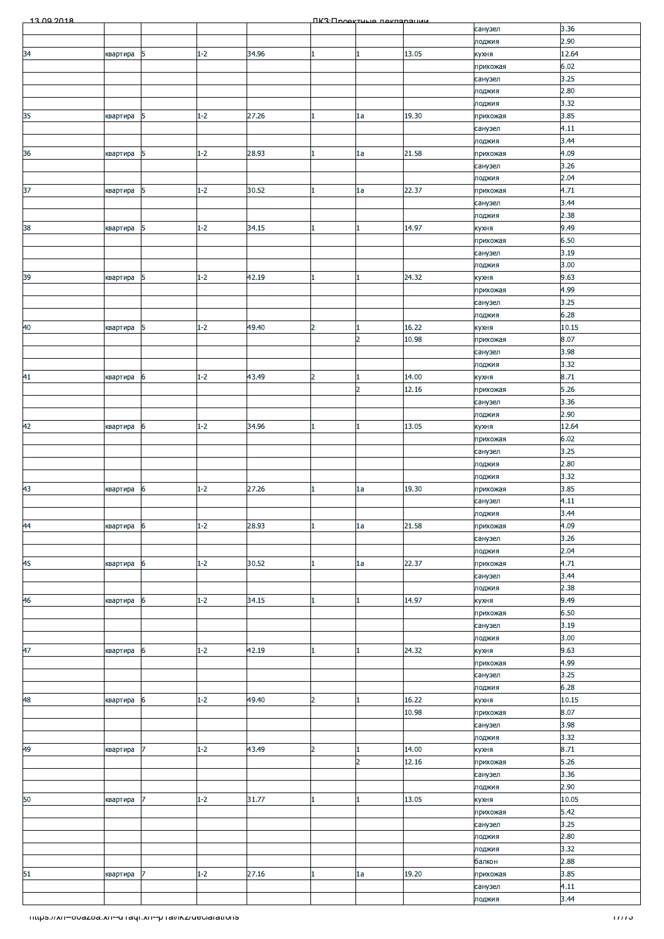| 13.00.2018                                             |          |            |         |       |                | ПКЗ: Проектиче пеклярации |                |                     |              |
|--------------------------------------------------------|----------|------------|---------|-------|----------------|---------------------------|----------------|---------------------|--------------|
|                                                        |          |            |         |       |                |                           |                | санузел             | 3.36         |
|                                                        |          |            |         |       |                |                           |                | лоджия              | 2.90         |
| 34                                                     | квартира | 5          | $1 - 2$ | 34.96 |                | $\mathbf{1}$              | 13.05          | кухня               | 12.64        |
|                                                        |          |            |         |       |                |                           |                | прихожая            | 6.02         |
|                                                        |          |            |         |       |                |                           |                | санузел<br>лоджия   | 3.25<br>2.80 |
|                                                        |          |            |         |       |                |                           |                | лоджия              | 3.32         |
| 35                                                     | квартира | 5          | $1 - 2$ | 27.26 |                | 1a                        | 19.30          | прихожая            | 3.85         |
|                                                        |          |            |         |       |                |                           |                | санузел             | 4.11         |
|                                                        |          |            |         |       |                |                           |                | лоджия              | 3.44         |
| 36                                                     | квартира | $\sqrt{5}$ | $1 - 2$ | 28.93 |                | 1a                        | 21.58          | прихожая            | 4.09         |
|                                                        |          |            |         |       |                |                           |                | санузел             | 3.26         |
|                                                        |          |            |         |       |                |                           |                | лоджия              | 2.04         |
| 37                                                     | квартира | 5          | $1 - 2$ | 30.52 |                | 1a                        | 22.37          | прихожая            | 4.71         |
|                                                        |          |            |         |       |                |                           |                | санузел             | 3.44         |
|                                                        |          |            |         |       |                |                           |                | лоджия              | 2.38         |
| 38                                                     | квартира | 5          | $1 - 2$ | 34.15 |                | $\mathbf{1}$              | 14.97          | кухня               | 9.49         |
|                                                        |          |            |         |       |                |                           |                | прихожая            | 6.50         |
|                                                        |          |            |         |       |                |                           |                | санузел             | 3.19<br>3.00 |
| 39                                                     | квартира | 5          | $1 - 2$ | 42.19 |                | 1                         | 24.32          | лоджия<br>кухня     | 9.63         |
|                                                        |          |            |         |       |                |                           |                | прихожая            | 4.99         |
|                                                        |          |            |         |       |                |                           |                | санузел             | 3.25         |
|                                                        |          |            |         |       |                |                           |                | лоджия              | 6.28         |
| 40                                                     | квартира | $\sqrt{5}$ | $1 - 2$ | 49.40 | $\overline{2}$ | $\mathbf{1}$              | 16.22          | кухня               | 10.15        |
|                                                        |          |            |         |       |                | $\overline{2}$            | 10.98          | прихожая            | 8.07         |
|                                                        |          |            |         |       |                |                           |                | санузел             | 3.98         |
|                                                        |          |            |         |       |                |                           |                | лоджия              | 3.32         |
| 41                                                     | квартира | 6          | $1 - 2$ | 43.49 | $\overline{2}$ | 1                         | 14.00          | кухня               | 8.71         |
|                                                        |          |            |         |       |                | $\overline{2}$            | 12.16          | прихожая            | 5.26         |
|                                                        |          |            |         |       |                |                           |                | санузел             | 3.36         |
|                                                        |          |            |         |       |                |                           |                | лоджия              | 2.90         |
| 42                                                     | квартира | 6          | $1 - 2$ | 34.96 |                | $\mathbf{1}$              | 13.05          | кухня               | 12.64        |
|                                                        |          |            |         |       |                |                           |                | прихожая            | 6.02<br>3.25 |
|                                                        |          |            |         |       |                |                           |                | санузел<br>лоджия   | 2.80         |
|                                                        |          |            |         |       |                |                           |                | лоджия              | 3.32         |
| 43                                                     | квартира | 6          | $1 - 2$ | 27.26 |                | 1a                        | 19.30          | прихожая            | 3.85         |
|                                                        |          |            |         |       |                |                           |                | санузел             | 4.11         |
|                                                        |          |            |         |       |                |                           |                | лоджия              | 3.44         |
| 44                                                     | квартира | 6          | $1 - 2$ | 28.93 |                | 1a                        | 21.58          | прихожая            | 4.09         |
|                                                        |          |            |         |       |                |                           |                | санузел             | 3.26         |
|                                                        |          |            |         |       |                |                           |                | лоджия              | 2.04         |
| 45                                                     | квартира | 6          | $1 - 2$ | 30.52 |                | 1a                        | 22.37          | прихожая            | 4.71         |
|                                                        |          |            |         |       |                |                           |                | санузел             | 3.44         |
|                                                        |          |            |         |       |                |                           |                | лоджия              | 2.38         |
| 46                                                     | квартира | 6          | $1 - 2$ | 34.15 |                | $\mathbf{1}$              | 14.97          | кухня               | 9.49<br>6.50 |
|                                                        |          |            |         |       |                |                           |                | прихожая<br>санузел | 3.19         |
|                                                        |          |            |         |       |                |                           |                | лоджия              | 3.00         |
| 47                                                     | квартира | 6          | $1 - 2$ | 42.19 |                | 1                         | 24.32          | кухня               | 9.63         |
|                                                        |          |            |         |       |                |                           |                | прихожая            | 4.99         |
|                                                        |          |            |         |       |                |                           |                | санузел             | 3.25         |
|                                                        |          |            |         |       |                |                           |                | лоджия              | 6.28         |
| 48                                                     | квартира | 6          | $1 - 2$ | 49.40 | 2              | 1                         | 16.22          | кухня               | 10.15        |
|                                                        |          |            |         |       |                |                           | 10.98          | прихожая            | 8.07         |
|                                                        |          |            |         |       |                |                           |                | санузел             | 3.98         |
|                                                        |          |            |         |       |                |                           |                | лоджия              | 3.32         |
| 49                                                     | квартира | 17         | $1 - 2$ | 43.49 | 2              | 1<br>$\overline{2}$       | 14.00<br>12.16 | кухня               | 8.71         |
|                                                        |          |            |         |       |                |                           |                | прихожая<br>санузел | 5.26<br>3.36 |
|                                                        |          |            |         |       |                |                           |                | лоджия              | 2.90         |
| 50                                                     | квартира | 7          | $1 - 2$ | 31.77 |                | 1                         | 13.05          | кухня               | 10.05        |
|                                                        |          |            |         |       |                |                           |                | прихожая            | 5.42         |
|                                                        |          |            |         |       |                |                           |                | санузел             | 3.25         |
|                                                        |          |            |         |       |                |                           |                | лоджия              | 2.80         |
|                                                        |          |            |         |       |                |                           |                | лоджия              | 3.32         |
|                                                        |          |            |         |       |                |                           |                | балкон              | 2.88         |
| 51                                                     | квартира | 17         | $1 - 2$ | 27.16 |                | 1a                        | 19.20          | прихожая            | 3.85         |
|                                                        |          |            |         |       |                |                           |                | санузел             | 4.11         |
|                                                        |          |            |         |       |                |                           |                | лоджия              | 3.44         |
| https://xn--ovazoa.xn--unaqr.xn--phai/ikz/declarations |          |            |         |       |                |                           |                |                     | 1777 J       |
|                                                        |          |            |         |       |                |                           |                |                     |              |
|                                                        |          |            |         |       |                |                           |                |                     |              |
|                                                        |          |            |         |       |                |                           |                |                     |              |
|                                                        |          |            |         |       |                |                           |                |                     |              |
|                                                        |          |            |         |       |                |                           |                |                     |              |
|                                                        |          |            |         |       |                |                           |                |                     |              |
|                                                        |          |            |         |       |                |                           |                |                     |              |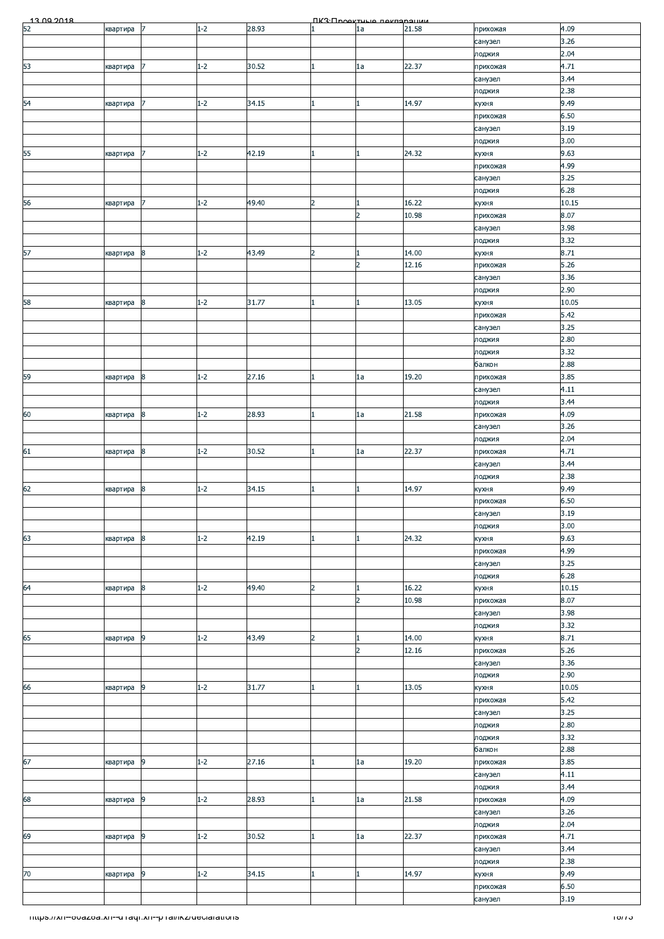|                                                          |          |                  |         |       |                | <b>NK3</b> · <b>NookTHLIO</b> Rekreepelikk |       |                     |                   |
|----------------------------------------------------------|----------|------------------|---------|-------|----------------|--------------------------------------------|-------|---------------------|-------------------|
| $\frac{13002018}{52}$                                    | квартира | 17               | $1 - 2$ | 28.93 |                | 1a                                         | 21.58 | прихожая            | 4.09              |
|                                                          |          |                  |         |       |                |                                            |       | санузел             | 3.26              |
|                                                          |          | 7                | $1 - 2$ | 30.52 |                |                                            | 22.37 | лоджия              | 2.04<br>4.71      |
| 53                                                       | квартира |                  |         |       | 1.             | 1a                                         |       | прихожая<br>санузел | 3.44              |
|                                                          |          |                  |         |       |                |                                            |       | лоджия              | 2.38              |
| 54                                                       | квартира |                  | $1 - 2$ | 34.15 |                | $\mathbf{1}$                               | 14.97 | кухня               | 9.49              |
|                                                          |          |                  |         |       |                |                                            |       | прихожая            | 6.50              |
|                                                          |          |                  |         |       |                |                                            |       | санузел             | 3.19              |
|                                                          |          |                  |         |       |                |                                            |       | лоджия              | 3.00              |
| 55                                                       | квартира | 7                | $1 - 2$ | 42.19 |                | $\mathbf{1}$                               | 24.32 | кухня               | 9.63              |
|                                                          |          |                  |         |       |                |                                            |       | прихожая<br>санузел | 4.99<br>3.25      |
|                                                          |          |                  |         |       |                |                                            |       | лоджия              | 6.28              |
| 56                                                       | квартира | 7                | $1 - 2$ | 49.40 | $\overline{2}$ | $\mathbf{1}$                               | 16.22 | кухня               | 10.15             |
|                                                          |          |                  |         |       |                | $\overline{2}$                             | 10.98 | прихожая            | 8.07              |
|                                                          |          |                  |         |       |                |                                            |       | санузел             | 3.98              |
|                                                          |          |                  |         |       |                |                                            |       | лоджия              | 3.32              |
| 57                                                       | квартира | $\boldsymbol{8}$ | $1 - 2$ | 43.49 | $\overline{2}$ | $\mathbf{1}$<br>$\overline{2}$             | 14.00 | кухня               | 8.71              |
|                                                          |          |                  |         |       |                |                                            | 12.16 | прихожая<br>санузел | 5.26<br>3.36      |
|                                                          |          |                  |         |       |                |                                            |       | лоджия              | 2.90              |
| 58                                                       | квартира | 8                | $1 - 2$ | 31.77 |                | 1                                          | 13.05 | кухня               | 10.05             |
|                                                          |          |                  |         |       |                |                                            |       | прихожая            | 5.42              |
|                                                          |          |                  |         |       |                |                                            |       | санузел             | 3.25              |
|                                                          |          |                  |         |       |                |                                            |       | лоджия              | 2.80              |
|                                                          |          |                  |         |       |                |                                            |       | лоджия              | 3.32              |
| 59                                                       | квартира | 8                | $1 - 2$ | 27.16 |                | 1a                                         | 19.20 | балкон<br>прихожая  | 2.88<br>3.85      |
|                                                          |          |                  |         |       |                |                                            |       | санузел             | 4.11              |
|                                                          |          |                  |         |       |                |                                            |       | лоджия              | 3.44              |
| 60                                                       | квартира | $\bf{8}$         | $1 - 2$ | 28.93 | 1              | 1a                                         | 21.58 | прихожая            | 4.09              |
|                                                          |          |                  |         |       |                |                                            |       | санузел             | 3.26              |
|                                                          |          |                  |         |       |                |                                            |       | лоджия              | 2.04              |
| 61                                                       | квартира | $\boldsymbol{8}$ | $1 - 2$ | 30.52 |                | 1a                                         | 22.37 | прихожая            | 4.71              |
|                                                          |          |                  |         |       |                |                                            |       | санузел<br>лоджия   | 3.44<br>2.38      |
| 62                                                       | квартира | 8                | $1 - 2$ | 34.15 |                | $\mathbf{1}$                               | 14.97 | кухня               | 9.49              |
|                                                          |          |                  |         |       |                |                                            |       | прихожая            | 6.50              |
|                                                          |          |                  |         |       |                |                                            |       | санузел             | 3.19              |
|                                                          |          |                  |         |       |                |                                            |       | лоджия              | 3.00              |
| 63                                                       | квартира | 8                | $1 - 2$ | 42.19 |                | $\mathbf{1}$                               | 24.32 | кухня               | 9.63              |
|                                                          |          |                  |         |       |                |                                            |       | прихожая            | 4.99<br>3.25      |
|                                                          |          |                  |         |       |                |                                            |       | санузел<br>лоджия   | 6.28              |
| 64                                                       | квартира | 8                | $1 - 2$ | 49.40 | $\overline{2}$ | $\mathbf{1}$                               | 16.22 | кухня               | 10.15             |
|                                                          |          |                  |         |       |                | $\overline{2}$                             | 10.98 | прихожая            | 8.07              |
|                                                          |          |                  |         |       |                |                                            |       | санузел             | 3.98              |
|                                                          |          |                  |         |       |                |                                            |       | лоджия              | 3.32              |
| 65                                                       | квартира | 9                | $1 - 2$ | 43.49 | $\overline{2}$ | $\mathbf{1}$                               | 14.00 | кухня               | 8.71              |
|                                                          |          |                  |         |       |                | $\overline{2}$                             | 12.16 | прихожая<br>санузел | 5.26<br>3.36      |
|                                                          |          |                  |         |       |                |                                            |       | лоджия              | 2.90              |
| 66                                                       | квартира | $\overline{9}$   | $1 - 2$ | 31.77 |                | 1                                          | 13.05 | кухня               | 10.05             |
|                                                          |          |                  |         |       |                |                                            |       | прихожая            | 5.42              |
|                                                          |          |                  |         |       |                |                                            |       | санузел             | 3.25              |
|                                                          |          |                  |         |       |                |                                            |       | лоджия              | 2.80              |
|                                                          |          |                  |         |       |                |                                            |       | лоджия              | 3.32<br>2.88      |
| 67                                                       | квартира | 9                | $1 - 2$ | 27.16 |                | 1a                                         | 19.20 | балкон<br>прихожая  | 3.85              |
|                                                          |          |                  |         |       |                |                                            |       | санузел             | 4.11              |
|                                                          |          |                  |         |       |                |                                            |       | лоджия              | 3.44              |
| 68                                                       | квартира | 9                | $1 - 2$ | 28.93 |                | 1a                                         | 21.58 | прихожая            | 4.09              |
|                                                          |          |                  |         |       |                |                                            |       | санузел             | 3.26              |
|                                                          |          |                  |         |       |                |                                            |       | лоджия              | 2.04              |
| 69                                                       | квартира | 9                | $1 - 2$ | 30.52 |                | 1a                                         | 22.37 | прихожая            | 4.71<br>3.44      |
|                                                          |          |                  |         |       |                |                                            |       | санузел<br>лоджия   | 2.38              |
| $70\,$                                                   | квартира | 9                | $1 - 2$ | 34.15 |                | 1                                          | 14.97 | кухня               | 9.49              |
|                                                          |          |                  |         |       |                |                                            |       | прихожая            | 6.50              |
|                                                          |          |                  |         |       |                |                                            |       | санузел             | 3.19              |
| - mups.//xn--ooazoa.xn--u raqr.xn--p ramicz/ueciarations |          |                  |         |       |                |                                            |       |                     | <del>נ</del> זוסו |
|                                                          |          |                  |         |       |                |                                            |       |                     |                   |
|                                                          |          |                  |         |       |                |                                            |       |                     |                   |
|                                                          |          |                  |         |       |                |                                            |       |                     |                   |
|                                                          |          |                  |         |       |                |                                            |       |                     |                   |
|                                                          |          |                  |         |       |                |                                            |       |                     |                   |
|                                                          |          |                  |         |       |                |                                            |       |                     |                   |
|                                                          |          |                  |         |       |                |                                            |       |                     |                   |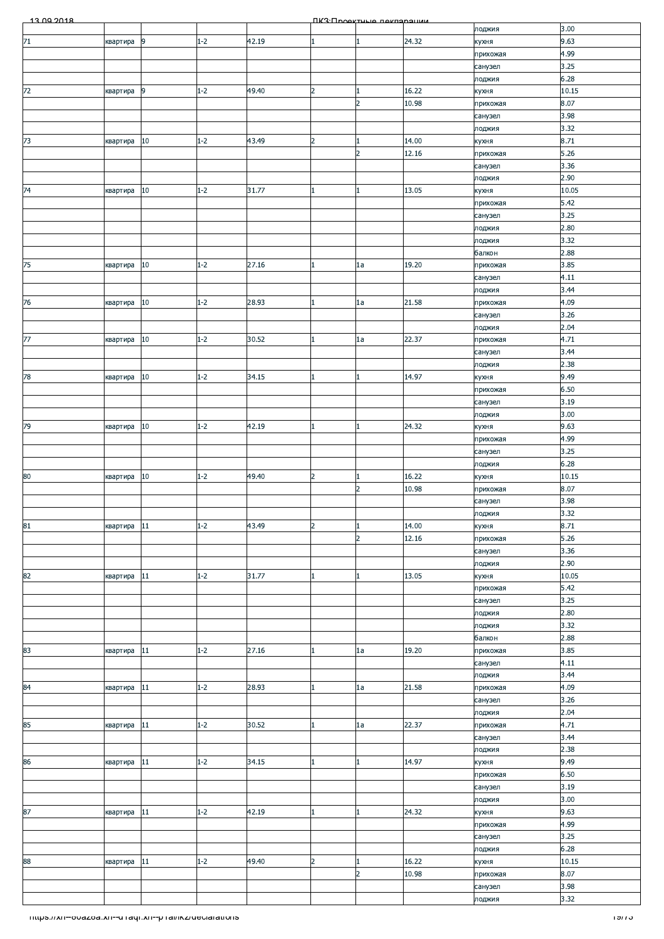| 13.00.2018                                            |          |        |         |       |                | ПКЗ Проектине пеклоронии       |                |                     |                  |
|-------------------------------------------------------|----------|--------|---------|-------|----------------|--------------------------------|----------------|---------------------|------------------|
|                                                       |          |        |         |       |                |                                |                | лоджия              | 3.00             |
| $71$                                                  | квартира | 9      | $1 - 2$ | 42.19 |                | 1                              | 24.32          | кухня<br>прихожая   | 9.63<br>4.99     |
|                                                       |          |        |         |       |                |                                |                | санузел             | 3.25             |
|                                                       |          |        |         |       |                |                                |                | лоджия              | 6.28             |
| 72                                                    | квартира | 9      | $1 - 2$ | 49.40 | $\overline{2}$ | $\overline{1}$                 | 16.22          | кухня               | 10.15            |
|                                                       |          |        |         |       |                | $\overline{2}$                 | 10.98          | прихожая            | 8.07             |
|                                                       |          |        |         |       |                |                                |                | санузел             | 3.98<br>3.32     |
| 73                                                    | квартира | 10     | $1 - 2$ | 43.49 | $\overline{2}$ | $\mathbf{1}$                   | 14.00          | лоджия<br>кухня     | 8.71             |
|                                                       |          |        |         |       |                | $\overline{2}$                 | 12.16          | прихожая            | 5.26             |
|                                                       |          |        |         |       |                |                                |                | санузел             | 3.36             |
|                                                       |          |        |         |       |                |                                |                | лоджия              | 2.90             |
| 74                                                    | квартира | 10     | $1 - 2$ | 31.77 |                | $\blacksquare$                 | 13.05          | кухня               | 10.05<br>5.42    |
|                                                       |          |        |         |       |                |                                |                | прихожая<br>санузел | 3.25             |
|                                                       |          |        |         |       |                |                                |                | лоджия              | 2.80             |
|                                                       |          |        |         |       |                |                                |                | лоджия              | 3.32             |
|                                                       |          |        |         |       |                |                                |                | балкон              | 2.88             |
| 75                                                    | квартира | 10     | $1 - 2$ | 27.16 |                | 1a                             | 19.20          | прихожая            | 3.85             |
|                                                       |          |        |         |       |                |                                |                | санузел<br>лоджия   | 4.11<br>3.44     |
| 76                                                    | квартира | $10\,$ | $1 - 2$ | 28.93 |                | 1a                             | 21.58          | прихожая            | 4.09             |
|                                                       |          |        |         |       |                |                                |                | санузел             | 3.26             |
|                                                       |          |        |         |       |                |                                |                | лоджия              | 2.04             |
| 77                                                    | квартира | $10\,$ | $1 - 2$ | 30.52 |                | 1a                             | 22.37          | прихожая            | 4.71             |
|                                                       |          |        |         |       |                |                                |                | санузел             | 3.44<br>2.38     |
| 78                                                    | квартира | 10     | $1 - 2$ | 34.15 |                | $\mathbf{1}$                   | 14.97          | лоджия<br>кухня     | 9.49             |
|                                                       |          |        |         |       |                |                                |                | прихожая            | 6.50             |
|                                                       |          |        |         |       |                |                                |                | санузел             | 3.19             |
|                                                       |          |        |         |       |                |                                |                | лоджия              | 3.00             |
| 79                                                    | квартира | $10\,$ | $1 - 2$ | 42.19 |                | $\mathbf{1}$                   | 24.32          | кухня               | 9.63             |
|                                                       |          |        |         |       |                |                                |                | прихожая            | 4.99<br>3.25     |
|                                                       |          |        |         |       |                |                                |                | санузел<br>лоджия   | 6.28             |
| 80                                                    | квартира | 10     | $1 - 2$ | 49.40 | $\overline{2}$ | $\mathbf{1}$                   | 16.22          | кухня               | 10.15            |
|                                                       |          |        |         |       |                | $\overline{2}$                 | 10.98          | прихожая            | 8.07             |
|                                                       |          |        |         |       |                |                                |                | санузел             | 3.98             |
|                                                       |          |        |         |       |                |                                |                | лоджия              | 3.32             |
| 81                                                    | квартира | 11     | $1 - 2$ | 43.49 | $\overline{2}$ | $\mathbf{1}$<br>$\overline{2}$ | 14.00<br>12.16 | кухня<br>прихожая   | 8.71<br>5.26     |
|                                                       |          |        |         |       |                |                                |                | санузел             | 3.36             |
|                                                       |          |        |         |       |                |                                |                | лоджия              | 2.90             |
| 82                                                    | квартира | 11     | $1 - 2$ | 31.77 |                | $\mathbf{1}$                   | 13.05          | кухня               | 10.05            |
|                                                       |          |        |         |       |                |                                |                | прихожая            | 5.42             |
|                                                       |          |        |         |       |                |                                |                | санузел             | 3.25<br>2.80     |
|                                                       |          |        |         |       |                |                                |                | лоджия<br>лоджия    | 3.32             |
|                                                       |          |        |         |       |                |                                |                | балкон              | 2.88             |
| 83                                                    | квартира | 11     | $1 - 2$ | 27.16 |                | 1a                             | 19.20          | прихожая            | 3.85             |
|                                                       |          |        |         |       |                |                                |                | санузел             | 4.11             |
|                                                       |          |        |         |       |                |                                |                | лоджия              | 3.44             |
| 84                                                    | квартира | $11\,$ | $1 - 2$ | 28.93 |                | 1a                             | 21.58          | прихожая<br>санузел | 4.09<br>3.26     |
|                                                       |          |        |         |       |                |                                |                | лоджия              | 2.04             |
| 85                                                    | квартира | $11\,$ | $1 - 2$ | 30.52 |                | 1a                             | 22.37          | прихожая            | 4.71             |
|                                                       |          |        |         |       |                |                                |                | санузел             | 3.44             |
|                                                       |          |        |         |       |                |                                |                | лоджия              | 2.38             |
| 86                                                    | квартира | 11     | $1 - 2$ | 34.15 |                | $\mathbf{1}$                   | 14.97          | кухня<br>прихожая   | 9.49<br>6.50     |
|                                                       |          |        |         |       |                |                                |                | санузел             | 3.19             |
|                                                       |          |        |         |       |                |                                |                | лоджия              | 3.00             |
| 87                                                    | квартира | $11\,$ | $1 - 2$ | 42.19 |                | $\mathbf{1}$                   | 24.32          | кухня               | 9.63             |
|                                                       |          |        |         |       |                |                                |                | прихожая            | 4.99             |
|                                                       |          |        |         |       |                |                                |                | санузел             | 3.25<br>6.28     |
| 88                                                    | квартира | 11     | $1 - 2$ | 49.40 | $\overline{2}$ | $\mathbf{1}$                   | 16.22          | лоджия<br>кухня     | 10.15            |
|                                                       |          |        |         |       |                | $\overline{2}$                 | 10.98          | прихожая            | 8.07             |
|                                                       |          |        |         |       |                |                                |                | санузел             | 3.98             |
|                                                       |          |        |         |       |                |                                |                | лоджия              | 3.32             |
| mups.//xn--ovazoa.xn--o raqr.xn--p ramxz/declarations |          |        |         |       |                |                                |                |                     | <del>נזופו</del> |
|                                                       |          |        |         |       |                |                                |                |                     |                  |
|                                                       |          |        |         |       |                |                                |                |                     |                  |
|                                                       |          |        |         |       |                |                                |                |                     |                  |
|                                                       |          |        |         |       |                |                                |                |                     |                  |
|                                                       |          |        |         |       |                |                                |                |                     |                  |
|                                                       |          |        |         |       |                |                                |                |                     |                  |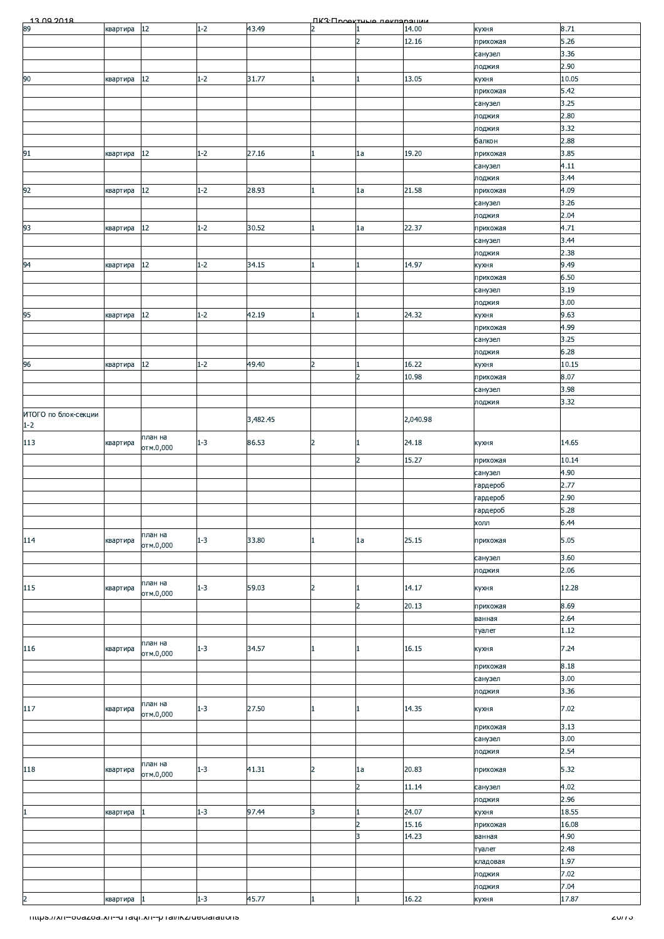| <u>13.00.2018</u>    |            |           |         |          |                | ПКЗ:Проектице пекларации |          |          |       |
|----------------------|------------|-----------|---------|----------|----------------|--------------------------|----------|----------|-------|
| 68                   | квартира   | $12\,$    | $1 - 2$ | 43.49    | $\overline{2}$ | $\mathbf{1}$             | 14.00    | кухня    | 8.71  |
|                      |            |           |         |          |                | $\overline{2}$           | 12.16    | прихожая | 5.26  |
|                      |            |           |         |          |                |                          |          | санузел  | 3.36  |
|                      |            |           |         |          |                |                          |          |          |       |
|                      |            |           |         |          |                |                          |          | лоджия   | 2.90  |
| 90                   | квартира   | 12        | $1 - 2$ | 31.77    |                | $\mathbf{1}$             | 13.05    | кухня    | 10.05 |
|                      |            |           |         |          |                |                          |          | прихожая | 5.42  |
|                      |            |           |         |          |                |                          |          | санузел  | 3.25  |
|                      |            |           |         |          |                |                          |          |          |       |
|                      |            |           |         |          |                |                          |          | лоджия   | 2.80  |
|                      |            |           |         |          |                |                          |          | лоджия   | 3.32  |
|                      |            |           |         |          |                |                          |          | балкон   | 2.88  |
| 91                   | квартира   | $12\,$    | $1 - 2$ | 27.16    | 1.             | 1a                       | 19.20    | прихожая | 3.85  |
|                      |            |           |         |          |                |                          |          |          |       |
|                      |            |           |         |          |                |                          |          | санузел  | 4.11  |
|                      |            |           |         |          |                |                          |          | лоджия   | 3.44  |
| 92                   | квартира   | 12        | $1 - 2$ | 28.93    |                | 1a                       | 21.58    | прихожая | 4.09  |
|                      |            |           |         |          |                |                          |          | санузел  | 3.26  |
|                      |            |           |         |          |                |                          |          |          | 2.04  |
|                      |            |           |         |          |                |                          |          | лоджия   |       |
| 93                   | квартира   | 12        | $1 - 2$ | 30.52    |                | 1a                       | 22.37    | прихожая | 4.71  |
|                      |            |           |         |          |                |                          |          | санузел  | 3.44  |
|                      |            |           |         |          |                |                          |          | лоджия   | 2.38  |
| 94                   |            | $12\,$    | $1 - 2$ | 34.15    |                | 1                        | 14.97    |          | 9.49  |
|                      | квартира   |           |         |          |                |                          |          | кухня    |       |
|                      |            |           |         |          |                |                          |          | прихожая | 6.50  |
|                      |            |           |         |          |                |                          |          | санузел  | 3.19  |
|                      |            |           |         |          |                |                          |          | лоджия   | 3.00  |
|                      |            |           |         |          |                |                          |          |          |       |
| 95                   | квартира   | 12        | $1 - 2$ | 42.19    |                | $\mathbf{1}$             | 24.32    | кухня    | 9.63  |
|                      |            |           |         |          |                |                          |          | прихожая | 4.99  |
|                      |            |           |         |          |                |                          |          | санузел  | 3.25  |
|                      |            |           |         |          |                |                          |          | лоджия   | 6.28  |
|                      |            |           |         |          |                |                          |          |          |       |
| 96                   | квартира   | 12        | $1 - 2$ | 49.40    | 2              | 1                        | 16.22    | кухня    | 10.15 |
|                      |            |           |         |          |                | $\overline{2}$           | 10.98    | прихожая | 8.07  |
|                      |            |           |         |          |                |                          |          | санузел  | 3.98  |
|                      |            |           |         |          |                |                          |          | лоджия   | 3.32  |
|                      |            |           |         |          |                |                          |          |          |       |
| ИТОГО по блок-секции |            |           |         | 3,482.45 |                |                          | 2,040.98 |          |       |
| $1-2$                |            |           |         |          |                |                          |          |          |       |
| 113                  |            | план на   | $1 - 3$ | 86.53    | $\overline{2}$ | $\mathbf{1}$             | 24.18    |          | 14.65 |
|                      | квартира   | отм.0,000 |         |          |                |                          |          | кухня    |       |
|                      |            |           |         |          |                | $\overline{2}$           | 15.27    | прихожая | 10.14 |
|                      |            |           |         |          |                |                          |          |          | 4.90  |
|                      |            |           |         |          |                |                          |          | санузел  |       |
|                      |            |           |         |          |                |                          |          | гардероб | 2.77  |
|                      |            |           |         |          |                |                          |          | гардероб | 2.90  |
|                      |            |           |         |          |                |                          |          | гардероб | 5.28  |
|                      |            |           |         |          |                |                          |          |          |       |
|                      |            |           |         |          |                |                          |          | холл     | 6.44  |
| 114                  | квартира   | план на   | $1 - 3$ | 33.80    | 1              | 1a                       | 25.15    | прихожая | 5.05  |
|                      |            | отм.0,000 |         |          |                |                          |          |          |       |
|                      |            |           |         |          |                |                          |          | санузел  | 3.60  |
|                      |            |           |         |          |                |                          |          | лоджия   | 2.06  |
|                      |            |           |         |          |                |                          |          |          |       |
| 115                  | квартира   | план на   | $1 - 3$ | 59.03    | $\overline{2}$ | $\mathbf{1}$             | 14.17    | кухня    | 12.28 |
|                      |            | отм.0,000 |         |          |                |                          |          |          |       |
|                      |            |           |         |          |                | $\overline{2}$           | 20.13    | прихожая | 8.69  |
|                      |            |           |         |          |                |                          |          | ванная   | 2.64  |
|                      |            |           |         |          |                |                          |          | туалет   | 1.12  |
|                      |            |           |         |          |                |                          |          |          |       |
| 116                  | квартира   | план на   | $1 - 3$ | 34.57    | 1              | 1                        | 16.15    | кухня    | 7.24  |
|                      |            | отм.0,000 |         |          |                |                          |          |          |       |
|                      |            |           |         |          |                |                          |          | прихожая | 8.18  |
|                      |            |           |         |          |                |                          |          | санузел  | 3.00  |
|                      |            |           |         |          |                |                          |          | лоджия   | 3.36  |
|                      |            | план на   |         |          |                |                          |          |          |       |
| 117                  | квартира   |           | $1 - 3$ | 27.50    | 1              | $\mathbf{1}$             | 14.35    | кухня    | 7.02  |
|                      |            | отм.0,000 |         |          |                |                          |          |          |       |
|                      |            |           |         |          |                |                          |          | прихожая | 3.13  |
|                      |            |           |         |          |                |                          |          | санузел  | 3.00  |
|                      |            |           |         |          |                |                          |          | лоджия   | 2.54  |
|                      |            | план на   |         |          |                |                          |          |          |       |
| 118                  | квартира   |           | $1 - 3$ | 41.31    | 2              | 1a                       | 20.83    | прихожая | 5.32  |
|                      |            | отм.0,000 |         |          |                |                          |          |          |       |
|                      |            |           |         |          |                | $\overline{2}$           | 11.14    | санузел  | 4.02  |
|                      |            |           |         |          |                |                          |          | лоджия   | 2.96  |
| $\mathbf{1}$         | квартира   |           | $1 - 3$ | 97.44    | 3              | 1                        | 24.07    | кухня    | 18.55 |
|                      |            |           |         |          |                |                          |          |          |       |
|                      |            |           |         |          |                | $\overline{2}$           | 15.16    | прихожая | 16.08 |
|                      |            |           |         |          |                | 3                        | 14.23    | ванная   | 4.90  |
|                      |            |           |         |          |                |                          |          | туалет   | 2.48  |
|                      |            |           |         |          |                |                          |          | кладовая | 1.97  |
|                      |            |           |         |          |                |                          |          |          | 7.02  |
|                      |            |           |         |          |                |                          |          | лоджия   |       |
|                      |            |           |         |          |                |                          |          | лоджия   | 7.04  |
| $\overline{2}$       | квартира 1 |           | $1 - 3$ | 45.77    |                | 1                        | 16.22    | кухня    | 17.87 |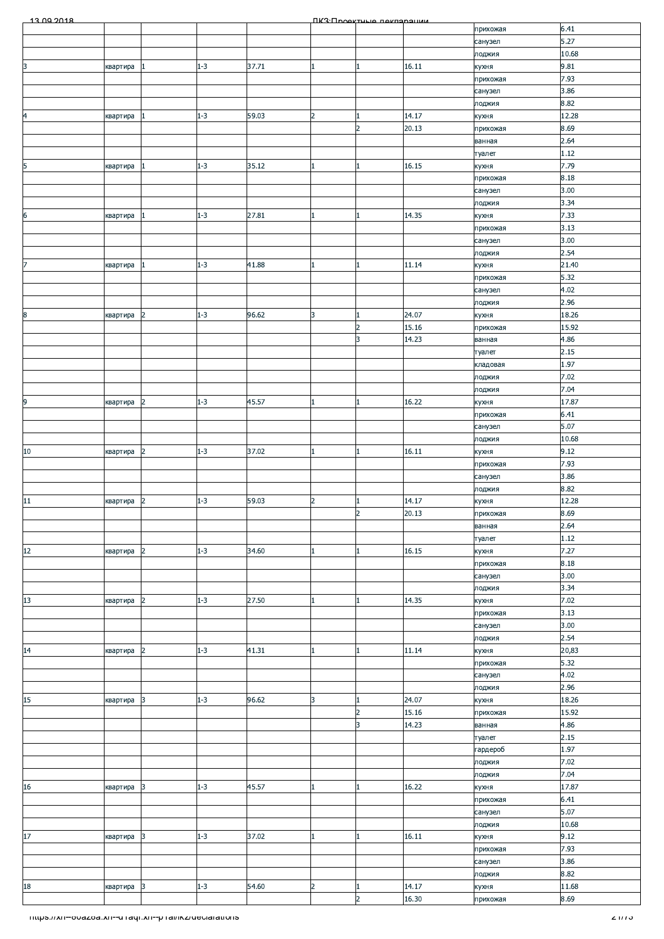| 13.00.2018                                            |          |                |         |       |                | <b><i><u>IK3: Проектные пеклоронии</u></i></b> |       |          |        |
|-------------------------------------------------------|----------|----------------|---------|-------|----------------|------------------------------------------------|-------|----------|--------|
|                                                       |          |                |         |       |                |                                                |       | прихожая | 6.41   |
|                                                       |          |                |         |       |                |                                                |       | санузел  | 5.27   |
|                                                       |          |                |         |       |                |                                                |       | лоджия   | 10.68  |
| 3                                                     | квартира |                | $1 - 3$ | 37.71 | 1              | $\mathbf{1}$                                   | 16.11 | кухня    | 9.81   |
|                                                       |          |                |         |       |                |                                                |       | прихожая | 7.93   |
|                                                       |          |                |         |       |                |                                                |       | санузел  | 3.86   |
|                                                       |          |                |         |       |                |                                                |       | лоджия   | 8.82   |
| $\overline{a}$                                        | квартира |                | $1 - 3$ | 59.03 | $\overline{2}$ | $\mathbf{1}$                                   | 14.17 | кухня    | 12.28  |
|                                                       |          |                |         |       |                | $\overline{2}$                                 | 20.13 | прихожая | 8.69   |
|                                                       |          |                |         |       |                |                                                |       | ванная   | 2.64   |
|                                                       |          |                |         |       |                |                                                |       | туалет   | 1.12   |
| 5                                                     | квартира |                | $1 - 3$ | 35.12 | $\mathbf{1}$   | $\mathbf{1}$                                   | 16.15 | кухня    | 7.79   |
|                                                       |          |                |         |       |                |                                                |       | прихожая | 8.18   |
|                                                       |          |                |         |       |                |                                                |       | санузел  | 3.00   |
|                                                       |          |                |         |       |                |                                                |       | лоджия   | 3.34   |
| $\overline{6}$                                        | квартира |                | $1 - 3$ | 27.81 | $\mathbf{1}$   | $\mathbf{1}$                                   | 14.35 | кухня    | 7.33   |
|                                                       |          |                |         |       |                |                                                |       | прихожая | 3.13   |
|                                                       |          |                |         |       |                |                                                |       | санузел  | 3.00   |
|                                                       |          |                |         |       |                |                                                |       | лоджия   | 2.54   |
| $\overline{7}$                                        | квартира |                | $1 - 3$ | 41.88 | $\mathbf{1}$   | $\mathbf{1}$                                   | 11.14 | кухня    | 21.40  |
|                                                       |          |                |         |       |                |                                                |       | прихожая | 5.32   |
|                                                       |          |                |         |       |                |                                                |       |          | 4.02   |
|                                                       |          |                |         |       |                |                                                |       | санузел  | 2.96   |
|                                                       |          |                | $1 - 3$ | 96.62 | 3              |                                                | 24.07 | лоджия   | 18.26  |
| 8                                                     | квартира | 2              |         |       |                | $\vert$ 1<br>$\overline{2}$                    | 15.16 | кухня    | 15.92  |
|                                                       |          |                |         |       |                | $\overline{3}$                                 |       | прихожая |        |
|                                                       |          |                |         |       |                |                                                | 14.23 | ванная   | 4.86   |
|                                                       |          |                |         |       |                |                                                |       | туалет   | 2.15   |
|                                                       |          |                |         |       |                |                                                |       | кладовая | 1.97   |
|                                                       |          |                |         |       |                |                                                |       | лоджия   | 7.02   |
|                                                       |          |                |         |       |                |                                                |       | лоджия   | 7.04   |
| $\overline{9}$                                        | квартира | 2              | $1 - 3$ | 45.57 | 1              | $\mathbf{1}$                                   | 16.22 | кухня    | 17.87  |
|                                                       |          |                |         |       |                |                                                |       | прихожая | 6.41   |
|                                                       |          |                |         |       |                |                                                |       | санузел  | 5.07   |
|                                                       |          |                |         |       |                |                                                |       | лоджия   | 10.68  |
| ${\bf 10}$                                            | квартира | $\overline{2}$ | $1 - 3$ | 37.02 | $\mathbf{1}$   | $\mathbf{1}$                                   | 16.11 | кухня    | 9.12   |
|                                                       |          |                |         |       |                |                                                |       | прихожая | 7.93   |
|                                                       |          |                |         |       |                |                                                |       | санузел  | 3.86   |
|                                                       |          |                |         |       |                |                                                |       | лоджия   | 8.82   |
| ${\bf 11}$                                            | квартира | $\overline{2}$ | $1 - 3$ | 59.03 | $\overline{2}$ | $\mathbf{1}$                                   | 14.17 | кухня    | 12.28  |
|                                                       |          |                |         |       |                | $\overline{2}$                                 | 20.13 | прихожая | 8.69   |
|                                                       |          |                |         |       |                |                                                |       | ванная   | 2.64   |
|                                                       |          |                |         |       |                |                                                |       | туалет   | 1.12   |
| 12                                                    | квартира | $\overline{2}$ | $1 - 3$ | 34.60 | 1              | $\mathbf{1}$                                   | 16.15 | кухня    | 7.27   |
|                                                       |          |                |         |       |                |                                                |       | прихожая | 8.18   |
|                                                       |          |                |         |       |                |                                                |       | санузел  | 3.00   |
|                                                       |          |                |         |       |                |                                                |       | лоджия   | 3.34   |
| 13                                                    | квартира | $\overline{2}$ | $1 - 3$ | 27.50 | $\mathbf{1}$   | $\mathbf{1}$                                   | 14.35 | кухня    | 7.02   |
|                                                       |          |                |         |       |                |                                                |       | прихожая | 3.13   |
|                                                       |          |                |         |       |                |                                                |       | санузел  | 3.00   |
|                                                       |          |                |         |       |                |                                                |       | лоджия   | 2.54   |
| 14                                                    | квартира | $\overline{2}$ | $1 - 3$ | 41.31 | 1              | $\mathbf{1}$                                   | 11.14 | кухня    | 20,83  |
|                                                       |          |                |         |       |                |                                                |       | прихожая | 5.32   |
|                                                       |          |                |         |       |                |                                                |       | санузел  | 4.02   |
|                                                       |          |                |         |       |                |                                                |       | лоджия   | 2.96   |
| 15                                                    | квартира | 3              | $1 - 3$ | 96.62 | 3              | $\mathbf{1}$                                   | 24.07 | кухня    | 18.26  |
|                                                       |          |                |         |       |                | $\overline{2}$                                 | 15.16 | прихожая | 15.92  |
|                                                       |          |                |         |       |                | 3                                              | 14.23 | ванная   | 4.86   |
|                                                       |          |                |         |       |                |                                                |       | туалет   | 2.15   |
|                                                       |          |                |         |       |                |                                                |       | гардероб | 1.97   |
|                                                       |          |                |         |       |                |                                                |       | лоджия   | 7.02   |
|                                                       |          |                |         |       |                |                                                |       | лоджия   | 7.04   |
| $16\,$                                                | квартира | 3              | $1 - 3$ | 45.57 | $\mathbf{1}$   | $\mathbf{1}$                                   | 16.22 | кухня    | 17.87  |
|                                                       |          |                |         |       |                |                                                |       | прихожая | 6.41   |
|                                                       |          |                |         |       |                |                                                |       | санузел  | 5.07   |
|                                                       |          |                |         |       |                |                                                |       | лоджия   | 10.68  |
| $17$                                                  | квартира | 3              | $1 - 3$ | 37.02 | 1              | $\mathbf{1}$                                   | 16.11 | кухня    | 9.12   |
|                                                       |          |                |         |       |                |                                                |       | прихожая | 7.93   |
|                                                       |          |                |         |       |                |                                                |       | санузел  | 3.86   |
|                                                       |          |                |         |       |                |                                                |       | лоджия   | 8.82   |
| $18\,$                                                | квартира | 3              | $1 - 3$ | 54.60 | $\overline{a}$ | $\mathbf{1}$                                   | 14.17 | кухня    | 11.68  |
|                                                       |          |                |         |       |                | $\overline{2}$                                 | 16.30 | прихожая | 8.69   |
|                                                       |          |                |         |       |                |                                                |       |          |        |
| mups.//xn--ovazoa.xn--unaqr.xn--prai/ikz/ueclarations |          |                |         |       |                |                                                |       |          | 2111 J |
|                                                       |          |                |         |       |                |                                                |       |          |        |
|                                                       |          |                |         |       |                |                                                |       |          |        |
|                                                       |          |                |         |       |                |                                                |       |          |        |
|                                                       |          |                |         |       |                |                                                |       |          |        |
|                                                       |          |                |         |       |                |                                                |       |          |        |
|                                                       |          |                |         |       |                |                                                |       |          |        |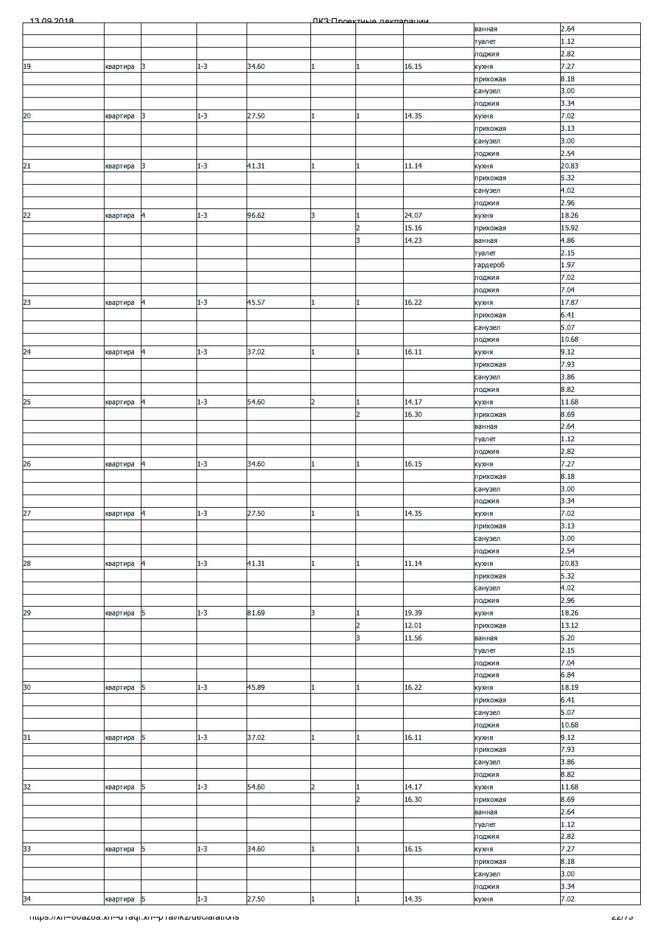| 13.00.2018                                             |            |                         |         |       |                | <b><i><u>RK3: Rhoektuule Rekrensumme</u></i></b> |       |          |        |
|--------------------------------------------------------|------------|-------------------------|---------|-------|----------------|--------------------------------------------------|-------|----------|--------|
|                                                        |            |                         |         |       |                |                                                  |       | ванная   | 2.64   |
|                                                        |            |                         |         |       |                |                                                  |       | туалет   | 1.12   |
|                                                        |            |                         |         |       |                |                                                  |       | лоджия   | 2.82   |
| 19                                                     | квартира   | 3                       | $1 - 3$ | 34.60 | 1              | 1                                                | 16.15 | кухня    | 7.27   |
|                                                        |            |                         |         |       |                |                                                  |       | прихожая | 8.18   |
|                                                        |            |                         |         |       |                |                                                  |       | санузел  | 3.00   |
|                                                        |            |                         |         |       |                |                                                  |       | лоджия   | 3.34   |
| 20                                                     | квартира   | 3                       | $1 - 3$ | 27.50 | 1              | 1                                                | 14.35 | кухня    | 7.02   |
|                                                        |            |                         |         |       |                |                                                  |       | прихожая | 3.13   |
|                                                        |            |                         |         |       |                |                                                  |       | санузел  | 3.00   |
|                                                        |            |                         |         |       |                |                                                  |       | лоджия   | 2.54   |
| 21                                                     | квартира   | 3                       | $1 - 3$ | 41.31 | $\mathbf{1}$   | 1                                                | 11.14 | кухня    | 20.83  |
|                                                        |            |                         |         |       |                |                                                  |       | прихожая | 5.32   |
|                                                        |            |                         |         |       |                |                                                  |       | санузел  | 4.02   |
|                                                        |            |                         |         |       |                |                                                  |       | лоджия   | 2.96   |
| 22                                                     | квартира   | 4                       | $1 - 3$ | 96.62 | 3              | 1                                                | 24.07 | кухня    | 18.26  |
|                                                        |            |                         |         |       |                | $\overline{2}$                                   | 15.16 |          | 15.92  |
|                                                        |            |                         |         |       |                | 3                                                | 14.23 | прихожая | 4.86   |
|                                                        |            |                         |         |       |                |                                                  |       | ванная   | 2.15   |
|                                                        |            |                         |         |       |                |                                                  |       | туалет   |        |
|                                                        |            |                         |         |       |                |                                                  |       | гардероб | 1.97   |
|                                                        |            |                         |         |       |                |                                                  |       | лоджия   | 7.02   |
|                                                        |            |                         |         |       |                |                                                  |       | лоджия   | 7.04   |
| 23                                                     | квартира   | 4                       | $1 - 3$ | 45.57 | $\mathbf{1}$   | 1                                                | 16.22 | кухня    | 17.87  |
|                                                        |            |                         |         |       |                |                                                  |       | прихожая | 6.41   |
|                                                        |            |                         |         |       |                |                                                  |       | санузел  | 5.07   |
|                                                        |            |                         |         |       |                |                                                  |       | лоджия   | 10.68  |
| 24                                                     | квартира   | $\overline{4}$          | $1 - 3$ | 37.02 | 1              | 1                                                | 16.11 | кухня    | 9.12   |
|                                                        |            |                         |         |       |                |                                                  |       | прихожая | 7.93   |
|                                                        |            |                         |         |       |                |                                                  |       | санузел  | 3.86   |
|                                                        |            |                         |         |       |                |                                                  |       | лоджия   | 8.82   |
| 25                                                     | квартира   | 4                       | $1 - 3$ | 54.60 | $\overline{2}$ | 1                                                | 14.17 | кухня    | 11.68  |
|                                                        |            |                         |         |       |                | $\overline{2}$                                   | 16.30 | прихожая | 8.69   |
|                                                        |            |                         |         |       |                |                                                  |       | ванная   | 2.64   |
|                                                        |            |                         |         |       |                |                                                  |       | туалет   | 1.12   |
|                                                        |            |                         |         |       |                |                                                  |       | лоджия   | 2.82   |
| 26                                                     | квартира   | 4                       | $1 - 3$ | 34.60 | 1              |                                                  | 16.15 | кухня    | 7.27   |
|                                                        |            |                         |         |       |                |                                                  |       | прихожая | 8.18   |
|                                                        |            |                         |         |       |                |                                                  |       | санузел  | 3.00   |
|                                                        |            |                         |         |       |                |                                                  |       | лоджия   | 3.34   |
| 27                                                     | квартира 4 |                         | $1 - 3$ | 27.50 |                |                                                  | 14.35 | кухня    | 7.02   |
|                                                        |            |                         |         |       |                |                                                  |       | прихожая | 3.13   |
|                                                        |            |                         |         |       |                |                                                  |       | санузел  | 3.00   |
|                                                        |            |                         |         |       |                |                                                  |       | лоджия   | 2.54   |
| 28                                                     | квартира   | 4                       | $1 - 3$ | 41.31 | $\mathbf{1}$   | $\mathbf{1}$                                     | 11.14 | кухня    | 20.83  |
|                                                        |            |                         |         |       |                |                                                  |       | прихожая | 5.32   |
|                                                        |            |                         |         |       |                |                                                  |       | санузел  | 4.02   |
|                                                        |            |                         |         |       |                |                                                  |       | лоджия   | 2.96   |
| 29                                                     | квартира   | $\sqrt{5}$              | $1 - 3$ | 81.69 | 3              | 1                                                | 19.39 | кухня    | 18.26  |
|                                                        |            |                         |         |       |                | $\overline{2}$                                   | 12.01 | прихожая | 13.12  |
|                                                        |            |                         |         |       |                | 3                                                | 11.56 | ванная   | 5.20   |
|                                                        |            |                         |         |       |                |                                                  |       | туалет   | 2.15   |
|                                                        |            |                         |         |       |                |                                                  |       | лоджия   | 7.04   |
|                                                        |            |                         |         |       |                |                                                  |       | лоджия   | 6.84   |
| 30                                                     | квартира   | 5                       | $1 - 3$ | 45.89 | 1              | 1                                                | 16.22 | кухня    | 18.19  |
|                                                        |            |                         |         |       |                |                                                  |       |          | 6.41   |
|                                                        |            |                         |         |       |                |                                                  |       | прихожая | 5.07   |
|                                                        |            |                         |         |       |                |                                                  |       | санузел  | 10.68  |
|                                                        |            |                         |         |       | $\mathbf{1}$   | $\mathbf{1}$                                     |       | лоджия   | 9.12   |
| 31                                                     | квартира   | 5                       | $1 - 3$ | 37.02 |                |                                                  | 16.11 | кухня    |        |
|                                                        |            |                         |         |       |                |                                                  |       | прихожая | 7.93   |
|                                                        |            |                         |         |       |                |                                                  |       | санузел  | 3.86   |
|                                                        |            |                         |         |       |                |                                                  |       | лоджия   | 8.82   |
| 32                                                     | квартира   | $\overline{\mathbf{5}}$ | $1 - 3$ | 54.60 | $\overline{2}$ | $\mathbf{1}$                                     | 14.17 | кухня    | 11.68  |
|                                                        |            |                         |         |       |                | $\overline{2}$                                   | 16.30 | прихожая | 8.69   |
|                                                        |            |                         |         |       |                |                                                  |       | ванная   | 2.64   |
|                                                        |            |                         |         |       |                |                                                  |       | туалет   | 1.12   |
|                                                        |            |                         |         |       |                |                                                  |       | лоджия   | 2.82   |
| 33                                                     | квартира   | 5                       | $1 - 3$ | 34.60 | 1              |                                                  | 16.15 | кухня    | 7.27   |
|                                                        |            |                         |         |       |                |                                                  |       | прихожая | 8.18   |
|                                                        |            |                         |         |       |                |                                                  |       | санузел  | 3.00   |
|                                                        |            |                         |         |       |                |                                                  |       | лоджия   | 3.34   |
| 34                                                     | квартира 5 |                         | $1 - 3$ | 27.50 | $\mathbf{1}$   | $\mathbf{1}$                                     | 14.35 | кухня    | 7.02   |
|                                                        |            |                         |         |       |                |                                                  |       |          |        |
| https://xn--ovazoa.xn--unaqr.xn--phai/ikz/ueciarations |            |                         |         |       |                |                                                  |       |          | 2211 J |
|                                                        |            |                         |         |       |                |                                                  |       |          |        |
|                                                        |            |                         |         |       |                |                                                  |       |          |        |
|                                                        |            |                         |         |       |                |                                                  |       |          |        |
|                                                        |            |                         |         |       |                |                                                  |       |          |        |
|                                                        |            |                         |         |       |                |                                                  |       |          |        |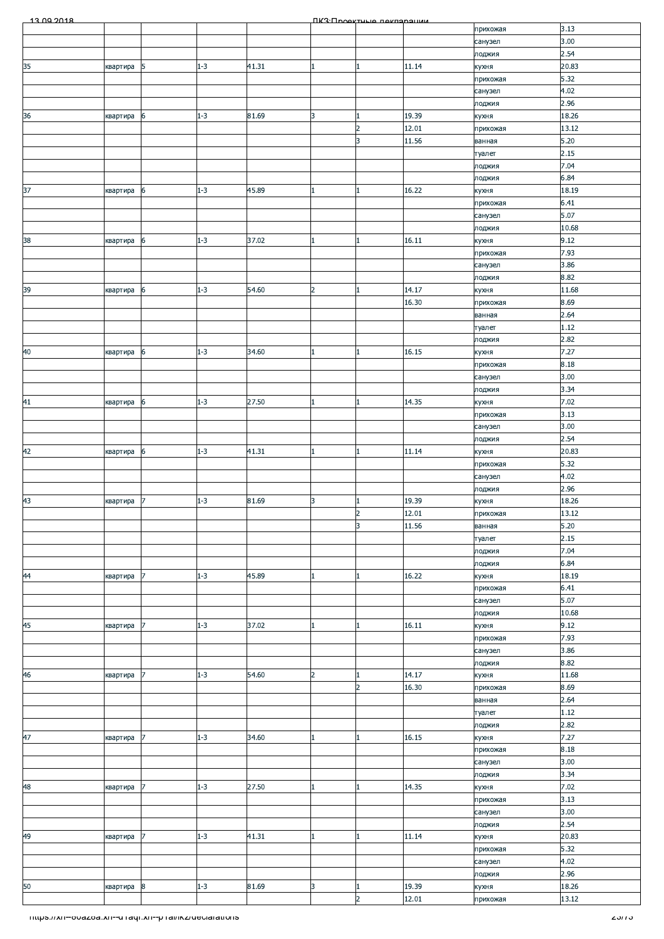| 13.09.2018                                                      |          |                  |         |       |                | <b><i><u>IK3: Проектные пекларации</u></i></b> |                |                    |                |
|-----------------------------------------------------------------|----------|------------------|---------|-------|----------------|------------------------------------------------|----------------|--------------------|----------------|
|                                                                 |          |                  |         |       |                |                                                |                | прихожая           | 3.13           |
|                                                                 |          |                  |         |       |                |                                                |                | санузел            | 3.00           |
|                                                                 |          |                  |         |       |                |                                                |                | лоджия             | 2.54           |
| 35                                                              | квартира | 5                | $1 - 3$ | 41.31 | 1              | 1.                                             | 11.14          | кухня              | 20.83          |
|                                                                 |          |                  |         |       |                |                                                |                | прихожая           | 5.32           |
|                                                                 |          |                  |         |       |                |                                                |                | санузел            | 4.02           |
|                                                                 |          |                  |         |       |                |                                                |                | лоджия             | 2.96           |
| 36                                                              | квартира | 6                | $1 - 3$ | 81.69 | 3              |                                                | 19.39<br>12.01 | кухня              | 18.26<br>13.12 |
|                                                                 |          |                  |         |       |                | $\overline{2}$<br>3                            | 11.56          | прихожая<br>ванная | 5.20           |
|                                                                 |          |                  |         |       |                |                                                |                | туалет             | 2.15           |
|                                                                 |          |                  |         |       |                |                                                |                | лоджия             | 7.04           |
|                                                                 |          |                  |         |       |                |                                                |                | лоджия             | 6.84           |
| 37                                                              | квартира | 6                | $1 - 3$ | 45.89 | 1              | 1                                              | 16.22          | кухня              | 18.19          |
|                                                                 |          |                  |         |       |                |                                                |                | прихожая           | 6.41           |
|                                                                 |          |                  |         |       |                |                                                |                | санузел            | 5.07           |
|                                                                 |          |                  |         |       |                |                                                |                | лоджия             | 10.68          |
| 38                                                              | квартира | 6                | $1 - 3$ | 37.02 | 1              | 1                                              | 16.11          | кухня              | 9.12           |
|                                                                 |          |                  |         |       |                |                                                |                | прихожая           | 7.93           |
|                                                                 |          |                  |         |       |                |                                                |                | санузел            | 3.86           |
|                                                                 |          |                  |         |       |                |                                                |                | лоджия             | 8.82           |
| 39                                                              | квартира | 6                | $1 - 3$ | 54.60 | $\overline{2}$ |                                                | 14.17          | кухня              | 11.68          |
|                                                                 |          |                  |         |       |                |                                                | 16.30          | прихожая           | 8.69           |
|                                                                 |          |                  |         |       |                |                                                |                | ванная             | 2.64           |
|                                                                 |          |                  |         |       |                |                                                |                | туалет             | 1.12           |
|                                                                 |          |                  |         |       |                |                                                |                | лоджия             | 2.82           |
| 40                                                              | квартира | 6                | $1 - 3$ | 34.60 |                |                                                | 16.15          | кухня              | 7.27           |
|                                                                 |          |                  |         |       |                |                                                |                | прихожая           | 8.18           |
|                                                                 |          |                  |         |       |                |                                                |                | санузел            | 3.00           |
|                                                                 |          |                  |         |       |                |                                                |                | лоджия             | 3.34           |
| 41                                                              | квартира | 6                | $1 - 3$ | 27.50 | 1              | $\mathbf{1}$                                   | 14.35          | кухня              | 7.02           |
|                                                                 |          |                  |         |       |                |                                                |                | прихожая           | 3.13           |
|                                                                 |          |                  |         |       |                |                                                |                | санузел            | 3.00           |
|                                                                 |          |                  |         |       |                |                                                |                | лоджия             | 2.54           |
| 42                                                              | квартира | 6                | $1 - 3$ | 41.31 | 1              | 1                                              | 11.14          | кухня              | 20.83<br>5.32  |
|                                                                 |          |                  |         |       |                |                                                |                | прихожая           | 4.02           |
|                                                                 |          |                  |         |       |                |                                                |                | санузел<br>лоджия  | 2.96           |
|                                                                 | квартира | 7                | $1 - 3$ | 81.69 | 3              |                                                | 19.39          | кухня              | 18.26          |
| $\frac{43}{1}$                                                  |          |                  |         |       |                | z                                              | 12.01          |                    | 13.12          |
|                                                                 |          |                  |         |       |                | 3                                              | 11.56          | прихожая<br>ванная | 5.20           |
|                                                                 |          |                  |         |       |                |                                                |                | туалет             | 2.15           |
|                                                                 |          |                  |         |       |                |                                                |                | лоджия             | 7.04           |
|                                                                 |          |                  |         |       |                |                                                |                | лоджия             | 6.84           |
| 44                                                              | квартира | 7                | $1 - 3$ | 45.89 | 1              | $\mathbf{1}$                                   | 16.22          | кухня              | 18.19          |
|                                                                 |          |                  |         |       |                |                                                |                | прихожая           | 6.41           |
|                                                                 |          |                  |         |       |                |                                                |                | санузел            | 5.07           |
|                                                                 |          |                  |         |       |                |                                                |                | лоджия             | 10.68          |
| 45                                                              | квартира | 7                | $1 - 3$ | 37.02 | 1              | 1.                                             | 16.11          | кухня              | 9.12           |
|                                                                 |          |                  |         |       |                |                                                |                | прихожая           | 7.93           |
|                                                                 |          |                  |         |       |                |                                                |                | санузел            | 3.86           |
|                                                                 |          |                  |         |       |                |                                                |                | лоджия             | 8.82           |
| 46                                                              | квартира |                  | $1 - 3$ | 54.60 | $\overline{a}$ | 1                                              | 14.17          | кухня              | 11.68          |
|                                                                 |          |                  |         |       |                | $\overline{2}$                                 | 16.30          | прихожая           | 8.69           |
|                                                                 |          |                  |         |       |                |                                                |                | ванная             | 2.64           |
|                                                                 |          |                  |         |       |                |                                                |                | туалет             | 1.12           |
|                                                                 |          |                  |         |       |                |                                                |                | лоджия             | 2.82           |
| 47                                                              | квартира | 7                | $1 - 3$ | 34.60 |                |                                                | 16.15          | кухня              | 7.27           |
|                                                                 |          |                  |         |       |                |                                                |                | прихожая           | 8.18           |
|                                                                 |          |                  |         |       |                |                                                |                | санузел            | 3.00<br>3.34   |
| 48                                                              | квартира | $\overline{7}$   | $1 - 3$ | 27.50 |                |                                                | 14.35          | лоджия<br>кухня    | 7.02           |
|                                                                 |          |                  |         |       |                |                                                |                | прихожая           | 3.13           |
|                                                                 |          |                  |         |       |                |                                                |                | санузел            | 3.00           |
|                                                                 |          |                  |         |       |                |                                                |                | лоджия             | 2.54           |
| 49                                                              | квартира | 7                | $1 - 3$ | 41.31 | 1              | 1                                              | 11.14          | кухня              | 20.83          |
|                                                                 |          |                  |         |       |                |                                                |                | прихожая           | 5.32           |
|                                                                 |          |                  |         |       |                |                                                |                | санузел            | 4.02           |
|                                                                 |          |                  |         |       |                |                                                |                | лоджия             | 2.96           |
| 50                                                              | квартира | $\boldsymbol{8}$ | $1 - 3$ | 81.69 | 3              | 1                                              | 19.39          | кухня              | 18.26          |
|                                                                 |          |                  |         |       |                | $\overline{2}$                                 | 12.01          | прихожая           | 13.12          |
|                                                                 |          |                  |         |       |                |                                                |                |                    |                |
| <u> Thttps://xn--ovazoa.xn--uTaqi.xn--pTal/ikz/ueciarations</u> |          |                  |         |       |                |                                                |                |                    | 2 <i>311</i> 3 |
|                                                                 |          |                  |         |       |                |                                                |                |                    |                |
|                                                                 |          |                  |         |       |                |                                                |                |                    |                |
|                                                                 |          |                  |         |       |                |                                                |                |                    |                |
|                                                                 |          |                  |         |       |                |                                                |                |                    |                |
|                                                                 |          |                  |         |       |                |                                                |                |                    |                |
|                                                                 |          |                  |         |       |                |                                                |                |                    |                |
|                                                                 |          |                  |         |       |                |                                                |                |                    |                |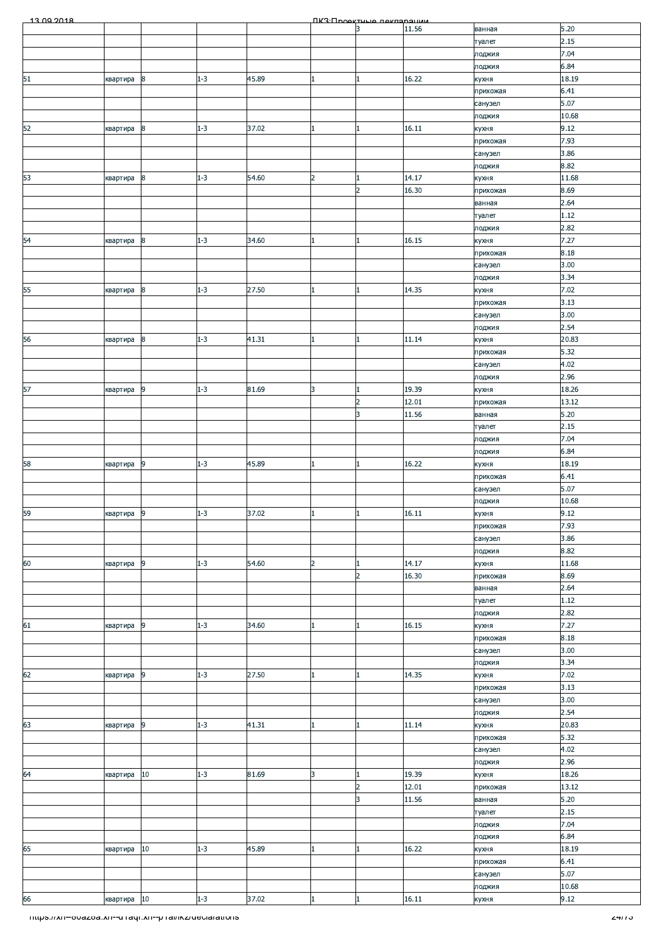| 13.00.2018                                              |             |                  |         |       |                | ПКЗ-Проектине пекларации |       |                     |               |
|---------------------------------------------------------|-------------|------------------|---------|-------|----------------|--------------------------|-------|---------------------|---------------|
|                                                         |             |                  |         |       |                |                          | 11.56 | ванная              | 5.20          |
|                                                         |             |                  |         |       |                |                          |       | туалет              | 2.15          |
|                                                         |             |                  |         |       |                |                          |       | лоджия              | 7.04          |
|                                                         |             |                  |         |       |                |                          |       | лоджия              | 6.84          |
| 51                                                      | квартира    | 8                | $1 - 3$ | 45.89 |                |                          | 16.22 | кухня               | 18.19         |
|                                                         |             |                  |         |       |                |                          |       | прихожая            | 6.41          |
|                                                         |             |                  |         |       |                |                          |       | санузел<br>лоджия   | 5.07<br>10.68 |
| 52                                                      | квартира    | $\boldsymbol{8}$ | $1 - 3$ | 37.02 |                |                          | 16.11 | кухня               | 9.12          |
|                                                         |             |                  |         |       |                |                          |       | прихожая            | 7.93          |
|                                                         |             |                  |         |       |                |                          |       | санузел             | 3.86          |
|                                                         |             |                  |         |       |                |                          |       | лоджия              | 8.82          |
| 53                                                      | квартира    | $\bf8$           | $1 - 3$ | 54.60 | $\overline{2}$ |                          | 14.17 | кухня               | 11.68         |
|                                                         |             |                  |         |       |                | $\overline{2}$           | 16.30 | прихожая            | 8.69          |
|                                                         |             |                  |         |       |                |                          |       | ванная              | 2.64          |
|                                                         |             |                  |         |       |                |                          |       | туалет              | 1.12          |
|                                                         |             |                  |         |       |                |                          |       | лоджия              | 2.82          |
| 54                                                      | квартира    | $\boldsymbol{8}$ | $1 - 3$ | 34.60 | 1              | 1                        | 16.15 | кухня               | 7.27          |
|                                                         |             |                  |         |       |                |                          |       | прихожая            | 8.18          |
|                                                         |             |                  |         |       |                |                          |       | санузел             | 3.00          |
|                                                         |             |                  |         |       |                |                          |       | лоджия              | 3.34          |
| 55                                                      | квартира    | 8                | $1 - 3$ | 27.50 |                |                          | 14.35 | кухня               | 7.02<br>3.13  |
|                                                         |             |                  |         |       |                |                          |       | прихожая<br>санузел | 3.00          |
|                                                         |             |                  |         |       |                |                          |       | лоджия              | 2.54          |
| 56                                                      | квартира    | $\bf8$           | $1 - 3$ | 41.31 |                |                          | 11.14 | кухня               | 20.83         |
|                                                         |             |                  |         |       |                |                          |       | прихожая            | 5.32          |
|                                                         |             |                  |         |       |                |                          |       | санузел             | 4.02          |
|                                                         |             |                  |         |       |                |                          |       | лоджия              | 2.96          |
| 57                                                      | квартира    | $\overline{9}$   | $1 - 3$ | 81.69 | 3              |                          | 19.39 | кухня               | 18.26         |
|                                                         |             |                  |         |       |                | $\overline{2}$           | 12.01 | прихожая            | 13.12         |
|                                                         |             |                  |         |       |                | 3                        | 11.56 | ванная              | 5.20          |
|                                                         |             |                  |         |       |                |                          |       | туалет              | 2.15          |
|                                                         |             |                  |         |       |                |                          |       | лоджия              | 7.04          |
|                                                         |             |                  |         |       |                |                          |       | лоджия              | 6.84          |
| 58                                                      | квартира    | 9                | $1 - 3$ | 45.89 |                |                          | 16.22 | кухня               | 18.19         |
|                                                         |             |                  |         |       |                |                          |       | прихожая            | 6.41          |
|                                                         |             |                  |         |       |                |                          |       | санузел             | 5.07<br>10.68 |
| 59                                                      | квартира 9  |                  | $1 - 3$ | 37.02 |                |                          | 16.11 | лоджия              | 9.12          |
|                                                         |             |                  |         |       | Щ              |                          |       | кухня<br>прихожая   | 7.93          |
|                                                         |             |                  |         |       |                |                          |       | санузел             | 3.86          |
|                                                         |             |                  |         |       |                |                          |       | лоджия              | 8.82          |
| 60                                                      | квартира    | $\overline{9}$   | $1 - 3$ | 54.60 | $\overline{2}$ |                          | 14.17 | кухня               | 11.68         |
|                                                         |             |                  |         |       |                | $\overline{2}$           | 16.30 | прихожая            | 8.69          |
|                                                         |             |                  |         |       |                |                          |       | ванная              | 2.64          |
|                                                         |             |                  |         |       |                |                          |       | туалет              | 1.12          |
|                                                         |             |                  |         |       |                |                          |       | лоджия              | 2.82          |
| 61                                                      | квартира    | 9                | $1 - 3$ | 34.60 | 1              |                          | 16.15 | кухня               | 7.27          |
|                                                         |             |                  |         |       |                |                          |       | прихожая            | 8.18          |
|                                                         |             |                  |         |       |                |                          |       | санузел             | 3.00          |
| 62                                                      |             | 9                | $1 - 3$ | 27.50 | 1              |                          | 14.35 | лоджия              | 3.34<br>7.02  |
|                                                         | квартира    |                  |         |       |                |                          |       | кухня<br>прихожая   | 3.13          |
|                                                         |             |                  |         |       |                |                          |       | санузел             | 3.00          |
|                                                         |             |                  |         |       |                |                          |       | лоджия              | 2.54          |
| 63                                                      | квартира    | 9                | $1 - 3$ | 41.31 |                |                          | 11.14 | кухня               | 20.83         |
|                                                         |             |                  |         |       |                |                          |       | прихожая            | 5.32          |
|                                                         |             |                  |         |       |                |                          |       | санузел             | 4.02          |
|                                                         |             |                  |         |       |                |                          |       | лоджия              | 2.96          |
| 64                                                      | квартира    | 10               | $1 - 3$ | 81.69 | 3              |                          | 19.39 | кухня               | 18.26         |
|                                                         |             |                  |         |       |                | $\overline{2}$           | 12.01 | прихожая            | 13.12         |
|                                                         |             |                  |         |       |                | 3                        | 11.56 | ванная              | 5.20          |
|                                                         |             |                  |         |       |                |                          |       | туалет              | 2.15          |
|                                                         |             |                  |         |       |                |                          |       | лоджия              | 7.04<br>6.84  |
|                                                         |             | 10               | $1 - 3$ | 45.89 | 1              |                          | 16.22 | лоджия              | 18.19         |
| 65                                                      | квартира    |                  |         |       |                |                          |       | кухня<br>прихожая   | 6.41          |
|                                                         |             |                  |         |       |                |                          |       | санузел             | 5.07          |
|                                                         |             |                  |         |       |                |                          |       | лоджия              | 10.68         |
| 66                                                      | квартира 10 |                  | $1 - 3$ | 37.02 | 1              |                          | 16.11 | кухня               | 9.12          |
|                                                         |             |                  |         |       |                |                          |       |                     |               |
| Thttps://xn--ovazoa.xn--unaqr.xn--phai/ikz/ueciarations |             |                  |         |       |                |                          |       |                     | 2411 J        |
|                                                         |             |                  |         |       |                |                          |       |                     |               |
|                                                         |             |                  |         |       |                |                          |       |                     |               |
|                                                         |             |                  |         |       |                |                          |       |                     |               |
|                                                         |             |                  |         |       |                |                          |       |                     |               |
|                                                         |             |                  |         |       |                |                          |       |                     |               |
|                                                         |             |                  |         |       |                |                          |       |                     |               |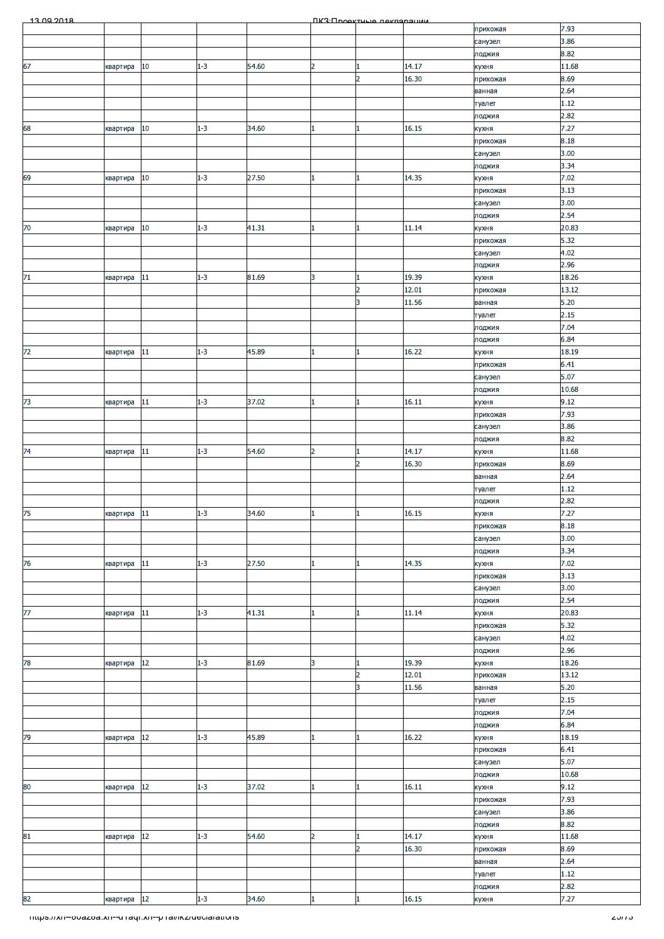| 13.00.2018 |             |        |         |       |                | <b><i><u>IK3: Проектично покларации</u></i></b> |       |                 |              |
|------------|-------------|--------|---------|-------|----------------|-------------------------------------------------|-------|-----------------|--------------|
|            |             |        |         |       |                |                                                 |       | прихожая        | 7.93         |
|            |             |        |         |       |                |                                                 |       | санузел         | 3.86         |
|            |             |        |         |       |                |                                                 |       | лоджия          | 8.82         |
| 67         | квартира    | 10     | $1 - 3$ | 54.60 | $\overline{2}$ |                                                 | 14.17 | кухня           | 11.68        |
|            |             |        |         |       |                | $\overline{2}$                                  | 16.30 |                 | 8.69         |
|            |             |        |         |       |                |                                                 |       | прихожая        |              |
|            |             |        |         |       |                |                                                 |       | ванная          | 2.64         |
|            |             |        |         |       |                |                                                 |       | туалет          | 1.12         |
|            |             |        |         |       |                |                                                 |       | лоджия          | 2.82         |
| 68         | квартира    | 10     | $1 - 3$ | 34.60 |                |                                                 | 16.15 | кухня           | 7.27         |
|            |             |        |         |       |                |                                                 |       | прихожая        | 8.18         |
|            |             |        |         |       |                |                                                 |       | санузел         | 3.00         |
|            |             |        |         |       |                |                                                 |       | лоджия          | 3.34         |
| 69         | квартира    | 10     | $1 - 3$ | 27.50 |                |                                                 | 14.35 | кухня           | 7.02         |
|            |             |        |         |       |                |                                                 |       |                 | 3.13         |
|            |             |        |         |       |                |                                                 |       | прихожая        |              |
|            |             |        |         |       |                |                                                 |       | санузел         | 3.00         |
|            |             |        |         |       |                |                                                 |       | лоджия          | 2.54         |
| 70         | квартира    | 10     | $1 - 3$ | 41.31 | $\mathbf{1}$   |                                                 | 11.14 | кухня           | 20.83        |
|            |             |        |         |       |                |                                                 |       | прихожая        | 5.32         |
|            |             |        |         |       |                |                                                 |       | санузел         | 4.02         |
|            |             |        |         |       |                |                                                 |       | лоджия          | 2.96         |
| $71$       | квартира    | 11     | $1 - 3$ | 81.69 | 3              |                                                 | 19.39 | кухня           | 18.26        |
|            |             |        |         |       |                | $\overline{2}$                                  | 12.01 | прихожая        | 13.12        |
|            |             |        |         |       |                | 3                                               | 11.56 | ванная          | 5.20         |
|            |             |        |         |       |                |                                                 |       |                 | 2.15         |
|            |             |        |         |       |                |                                                 |       | туалет          |              |
|            |             |        |         |       |                |                                                 |       | лоджия          | 7.04         |
|            |             |        |         |       |                |                                                 |       | лоджия          | 6.84         |
| 72         | квартира    | 11     | $1 - 3$ | 45.89 |                |                                                 | 16.22 | кухня           | 18.19        |
|            |             |        |         |       |                |                                                 |       | прихожая        | 6.41         |
|            |             |        |         |       |                |                                                 |       | санузел         | 5.07         |
|            |             |        |         |       |                |                                                 |       | лоджия          | 10.68        |
| 73         | квартира    | 11     | $1 - 3$ | 37.02 | $\mathbf{1}$   |                                                 | 16.11 | кухня           | 9.12         |
|            |             |        |         |       |                |                                                 |       | прихожая        | 7.93         |
|            |             |        |         |       |                |                                                 |       | санузел         | 3.86         |
|            |             |        |         |       |                |                                                 |       | лоджия          | 8.82         |
| 74         | квартира    | 11     | $1 - 3$ | 54.60 | $\overline{2}$ |                                                 | 14.17 | кухня           | 11.68        |
|            |             |        |         |       |                | $\overline{2}$                                  | 16.30 | прихожая        | 8.69         |
|            |             |        |         |       |                |                                                 |       | ванная          | 2.64         |
|            |             |        |         |       |                |                                                 |       |                 | 1.12         |
|            |             |        |         |       |                |                                                 |       | туалет          |              |
|            |             |        |         |       |                |                                                 |       | лоджия          | 2.82         |
| 75         | квартира 11 |        | $1 - 3$ | 34.60 |                |                                                 | 16.15 | кухня           | 7.27         |
|            |             |        |         |       |                |                                                 |       | прихожая        | 8.18         |
|            |             |        |         |       |                |                                                 |       | санузел         | 3.00         |
|            |             |        |         |       |                |                                                 |       | лоджия          | 3.34         |
| 76         | квартира    | 11     | $1 - 3$ | 27.50 |                |                                                 | 14.35 | кухня           | 7.02         |
|            |             |        |         |       |                |                                                 |       | прихожая        | 3.13         |
|            |             |        |         |       |                |                                                 |       | санузел         | 3.00         |
|            |             |        |         |       |                |                                                 |       | лоджия          | 2.54         |
| 77         | квартира    | 11     | $1 - 3$ | 41.31 | 1              |                                                 | 11.14 | кухня           | 20.83        |
|            |             |        |         |       |                |                                                 |       |                 | 5.32         |
|            |             |        |         |       |                |                                                 |       | прихожая        |              |
|            |             |        |         |       |                |                                                 |       | санузел         | 4.02         |
|            |             |        |         |       |                |                                                 |       | лоджия          | 2.96         |
| 78         | квартира    | $12\,$ | $1 - 3$ | 81.69 | 3              |                                                 | 19.39 | кухня           | 18.26        |
|            |             |        |         |       |                | $\overline{2}$                                  | 12.01 | прихожая        | 13.12        |
|            |             |        |         |       |                | 3                                               | 11.56 | ванная          | $5.20$       |
|            |             |        |         |       |                |                                                 |       | туалет          | 2.15         |
|            |             |        |         |       |                |                                                 |       | лоджия          | 7.04         |
|            |             |        |         |       |                |                                                 |       | лоджия          | 6.84         |
| 79         | квартира    | 12     | $1 - 3$ | 45.89 |                |                                                 | 16.22 | кухня           | 18.19        |
|            |             |        |         |       |                |                                                 |       | прихожая        | 6.41         |
|            |             |        |         |       |                |                                                 |       | санузел         | 5.07         |
|            |             |        |         |       |                |                                                 |       | лоджия          | 10.68        |
| 80         | квартира    | $12\,$ | $1 - 3$ | 37.02 |                |                                                 | 16.11 | кухня           | 9.12         |
|            |             |        |         |       |                |                                                 |       | прихожая        | 7.93         |
|            |             |        |         |       |                |                                                 |       | санузел         | 3.86         |
|            |             |        |         |       |                |                                                 |       | лоджия          | 8.82         |
| 81         | квартира    | 12     | $1 - 3$ | 54.60 | $\overline{2}$ |                                                 | 14.17 | кухня           | 11.68        |
|            |             |        |         |       |                | $\overline{2}$                                  | 16.30 |                 | 8.69         |
|            |             |        |         |       |                |                                                 |       | прихожая        | 2.64         |
|            |             |        |         |       |                |                                                 |       | ванная          |              |
|            |             |        |         |       |                |                                                 |       |                 |              |
|            |             |        |         |       |                |                                                 |       | туалет          | 1.12         |
| 82         | квартира 12 |        | $1 - 3$ | 34.60 |                |                                                 | 16.15 | лоджия<br>кухня | 2.82<br>7.27 |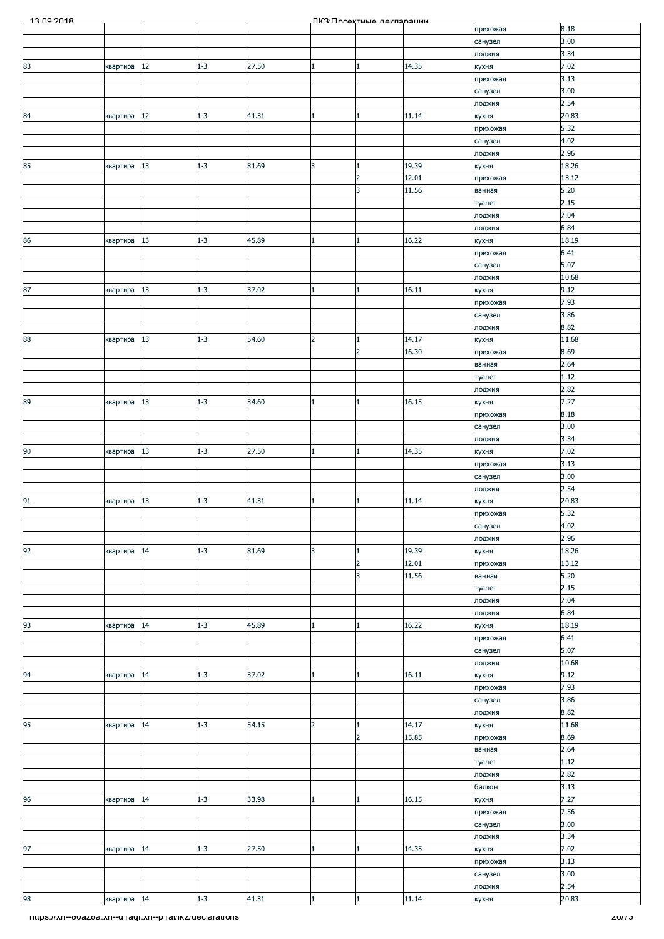| 13.00.2018                                            |          |    |         |       |                | ПКЗ Проектине пекларации |       |                     |               |
|-------------------------------------------------------|----------|----|---------|-------|----------------|--------------------------|-------|---------------------|---------------|
|                                                       |          |    |         |       |                |                          |       | прихожая            | 8.18          |
|                                                       |          |    |         |       |                |                          |       | санузел             | 3.00          |
|                                                       |          |    |         |       |                |                          |       | лоджия              | 3.34          |
| 83                                                    | квартира | 12 | $1 - 3$ | 27.50 |                |                          | 14.35 | кухня               | 7.02          |
|                                                       |          |    |         |       |                |                          |       | прихожая            | 3.13          |
|                                                       |          |    |         |       |                |                          |       | санузел             | 3.00          |
|                                                       |          | 12 | $1 - 3$ | 41.31 |                |                          | 11.14 | лоджия              | 2.54<br>20.83 |
| 84                                                    | квартира |    |         |       |                |                          |       | кухня               | 5.32          |
|                                                       |          |    |         |       |                |                          |       | прихожая<br>санузел | 4.02          |
|                                                       |          |    |         |       |                |                          |       | лоджия              | 2.96          |
| 85                                                    | квартира | 13 | $1 - 3$ | 81.69 | 3              |                          | 19.39 | кухня               | 18.26         |
|                                                       |          |    |         |       |                | $\overline{2}$           | 12.01 | прихожая            | 13.12         |
|                                                       |          |    |         |       |                | 3                        | 11.56 | ванная              | 5.20          |
|                                                       |          |    |         |       |                |                          |       | туалет              | 2.15          |
|                                                       |          |    |         |       |                |                          |       | лоджия              | 7.04          |
|                                                       |          |    |         |       |                |                          |       | лоджия              | 6.84          |
| 86                                                    | квартира | 13 | $1 - 3$ | 45.89 |                |                          | 16.22 | кухня               | 18.19         |
|                                                       |          |    |         |       |                |                          |       | прихожая            | 6.41          |
|                                                       |          |    |         |       |                |                          |       | санузел             | 5.07          |
|                                                       |          |    |         |       |                |                          |       | лоджия              | 10.68         |
| 87                                                    | квартира | 13 | $1 - 3$ | 37.02 |                |                          | 16.11 | кухня               | 9.12          |
|                                                       |          |    |         |       |                |                          |       | прихожая            | 7.93          |
|                                                       |          |    |         |       |                |                          |       | санузел             | 3.86          |
|                                                       |          |    |         |       |                |                          |       | лоджия              | 8.82          |
| 88                                                    | квартира | 13 | $1 - 3$ | 54.60 | $\overline{2}$ |                          | 14.17 | кухня               | 11.68         |
|                                                       |          |    |         |       |                | $\overline{2}$           | 16.30 | прихожая            | 8.69          |
|                                                       |          |    |         |       |                |                          |       | ванная              | 2.64          |
|                                                       |          |    |         |       |                |                          |       | туалет              | 1.12          |
|                                                       |          |    |         |       |                |                          |       | лоджия              | 2.82          |
| 89                                                    | квартира | 13 | $1 - 3$ | 34.60 |                |                          | 16.15 | кухня               | 7.27          |
|                                                       |          |    |         |       |                |                          |       | прихожая            | 8.18          |
|                                                       |          |    |         |       |                |                          |       | санузел             | 3.00          |
|                                                       |          |    |         |       |                |                          |       | лоджия              | 3.34          |
| 90                                                    | квартира | 13 | $1 - 3$ | 27.50 |                |                          | 14.35 | кухня               | 7.02          |
|                                                       |          |    |         |       |                |                          |       | прихожая            | 3.13          |
|                                                       |          |    |         |       |                |                          |       | санузел             | 3.00          |
|                                                       |          | 13 | $1 - 3$ | 41.31 |                |                          | 11.14 | лоджия              | 2.54<br>20.83 |
| 91                                                    | квартира |    |         |       |                |                          |       | кухня               | 5.32          |
|                                                       |          |    |         |       |                |                          |       | прихожая            | 4.02          |
|                                                       |          |    |         |       |                |                          |       | санузел<br>лоджия   | 2.96          |
| 92                                                    | квартира | 14 | $1 - 3$ | 81.69 | 3              |                          | 19.39 | кухня               | 18.26         |
|                                                       |          |    |         |       |                | $\overline{2}$           | 12.01 | прихожая            | 13.12         |
|                                                       |          |    |         |       |                | 3                        | 11.56 | ванная              | 5.20          |
|                                                       |          |    |         |       |                |                          |       | туалет              | 2.15          |
|                                                       |          |    |         |       |                |                          |       | лоджия              | 7.04          |
|                                                       |          |    |         |       |                |                          |       | лоджия              | 6.84          |
| 93                                                    | квартира | 14 | $1 - 3$ | 45.89 |                |                          | 16.22 | кухня               | 18.19         |
|                                                       |          |    |         |       |                |                          |       | прихожая            | 6.41          |
|                                                       |          |    |         |       |                |                          |       | санузел             | 5.07          |
|                                                       |          |    |         |       |                |                          |       | лоджия              | 10.68         |
| 94                                                    | квартира | 14 | $1 - 3$ | 37.02 |                |                          | 16.11 | кухня               | 9.12          |
|                                                       |          |    |         |       |                |                          |       | прихожая            | 7.93          |
|                                                       |          |    |         |       |                |                          |       | санузел             | 3.86          |
|                                                       |          |    |         |       |                |                          |       | лоджия              | 8.82          |
| 95                                                    | квартира | 14 | $1 - 3$ | 54.15 | $\overline{2}$ |                          | 14.17 | кухня               | 11.68         |
|                                                       |          |    |         |       |                | $\overline{2}$           | 15.85 | прихожая            | 8.69          |
|                                                       |          |    |         |       |                |                          |       | ванная              | 2.64          |
|                                                       |          |    |         |       |                |                          |       | туалет              | 1.12          |
|                                                       |          |    |         |       |                |                          |       | лоджия              | 2.82          |
|                                                       |          |    |         |       |                |                          |       | балкон              | 3.13          |
| 96                                                    | квартира | 14 | $1 - 3$ | 33.98 |                |                          | 16.15 | кухня               | 7.27          |
|                                                       |          |    |         |       |                |                          |       | прихожая            | 7.56          |
|                                                       |          |    |         |       |                |                          |       | санузел             | 3.00<br>3.34  |
|                                                       |          |    |         |       |                |                          |       | лоджия              | 7.02          |
| 97                                                    | квартира | 14 | $1 - 3$ | 27.50 |                |                          | 14.35 | кухня               | 3.13          |
|                                                       |          |    |         |       |                |                          |       | прихожая            | 3.00          |
|                                                       |          |    |         |       |                |                          |       | санузел<br>лоджия   | 2.54          |
| 98                                                    | квартира | 14 | $1 - 3$ | 41.31 |                |                          | 11.14 | кухня               | 20.83         |
|                                                       |          |    |         |       |                |                          |       |                     |               |
| mups.//xn--ooazoa.xn--u+aqr.xn--p+al/ikz/ueciarations |          |    |         |       |                |                          |       |                     | 2077 J        |
|                                                       |          |    |         |       |                |                          |       |                     |               |
|                                                       |          |    |         |       |                |                          |       |                     |               |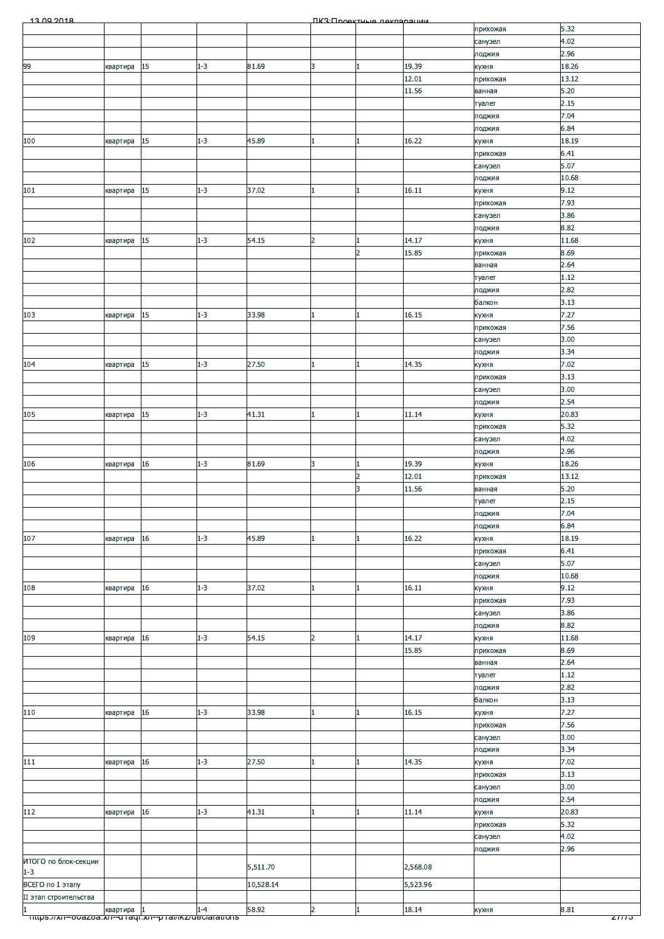| 13.00.2018            |            |    |         |           |                | ПКЗ-Проектине пекларации |          |                     |              |
|-----------------------|------------|----|---------|-----------|----------------|--------------------------|----------|---------------------|--------------|
|                       |            |    |         |           |                |                          |          | прихожая            | 5.32         |
|                       |            |    |         |           |                |                          |          | санузел             | 4.02         |
|                       |            |    |         |           |                |                          |          | лоджия              | 2.96         |
| 99                    | квартира   | 15 | $1 - 3$ | 81.69     | 3              | 1                        | 19.39    | кухня               | 18.26        |
|                       |            |    |         |           |                |                          | 12.01    | прихожая            | 13.12        |
|                       |            |    |         |           |                |                          | 11.56    | ванная              | 5.20         |
|                       |            |    |         |           |                |                          |          | туалет              | 2.15         |
|                       |            |    |         |           |                |                          |          | лоджия              | 7.04         |
|                       |            |    |         |           |                |                          |          | лоджия              | 6.84         |
| 100                   | квартира   | 15 | $1 - 3$ | 45.89     |                | 1                        | 16.22    | кухня               | 18.19        |
|                       |            |    |         |           |                |                          |          | прихожая            | 6.41         |
|                       |            |    |         |           |                |                          |          | санузел             | 5.07         |
|                       |            |    |         |           |                |                          |          | лоджия              | 10.68        |
| 101                   | квартира   | 15 | $1 - 3$ | 37.02     |                | 1                        | 16.11    | кухня               | 9.12         |
|                       |            |    |         |           |                |                          |          | прихожая            | 7.93         |
|                       |            |    |         |           |                |                          |          | санузел             | 3.86         |
|                       |            |    |         |           |                |                          |          | лоджия              | 8.82         |
| 102                   | квартира   | 15 | $1 - 3$ | 54.15     | $\overline{2}$ | $\mathbf{1}$             | 14.17    | кухня               | 11.68        |
|                       |            |    |         |           |                | $\overline{2}$           | 15.85    | прихожая            | 8.69         |
|                       |            |    |         |           |                |                          |          | ванная              | 2.64         |
|                       |            |    |         |           |                |                          |          | туалет              | 1.12         |
|                       |            |    |         |           |                |                          |          | лоджия              | 2.82         |
|                       |            |    |         |           |                |                          |          | балкон              | 3.13         |
| 103                   | квартира   | 15 | $1 - 3$ | 33.98     |                | $\mathbf{1}$             | 16.15    | кухня               | 7.27         |
|                       |            |    |         |           |                |                          |          | прихожая            | 7.56         |
|                       |            |    |         |           |                |                          |          | санузел             | 3.00         |
|                       |            |    |         |           |                |                          |          | лоджия              | 3.34         |
| 104                   | квартира   | 15 | $1 - 3$ | 27.50     |                | $\vert$ 1                | 14.35    | кухня               | 7.02         |
|                       |            |    |         |           |                |                          |          | прихожая            | 3.13         |
|                       |            |    |         |           |                |                          |          | санузел             | 3.00         |
|                       |            |    |         |           |                |                          |          | лоджия              | 2.54         |
| 105                   | квартира   | 15 | $1 - 3$ | 41.31     | 1              | 1                        | 11.14    | кухня               | 20.83        |
|                       |            |    |         |           |                |                          |          | прихожая            | 5.32         |
|                       |            |    |         |           |                |                          |          | санузел             | 4.02         |
|                       |            |    |         |           |                |                          |          | лоджия              | 2.96         |
| 106                   | квартира   | 16 | $1 - 3$ | 81.69     | 3              | $\mathbf{1}$             | 19.39    | кухня               | 18.26        |
|                       |            |    |         |           |                | $\overline{2}$           | 12.01    | прихожая            | 13.12        |
|                       |            |    |         |           |                | 3                        | 11.56    | ванная              | 5.20         |
|                       |            |    |         |           |                |                          |          | туалет              | 2.15         |
|                       |            |    |         |           |                |                          |          | лоджия              | 7.04<br>6.84 |
| 107                   |            | 16 | $1 - 3$ | 45.89     |                | $\vert$ 1                | 16.22    | лоджия              | 18.19        |
|                       | квартира   |    |         |           |                |                          |          | кухня               | 6.41         |
|                       |            |    |         |           |                |                          |          | прихожая<br>санузел | 5.07         |
|                       |            |    |         |           |                |                          |          | лоджия              | 10.68        |
| 108                   | квартира   | 16 | $1 - 3$ | 37.02     |                | $\mathbf{1}$             | 16.11    | кухня               | 9.12         |
|                       |            |    |         |           |                |                          |          | прихожая            | 7.93         |
|                       |            |    |         |           |                |                          |          | санузел             | 3.86         |
|                       |            |    |         |           |                |                          |          | лоджия              | 8.82         |
| 109                   | квартира   | 16 | $1 - 3$ | 54.15     | $\overline{2}$ | $\mathbf{1}$             | 14.17    | кухня               | 11.68        |
|                       |            |    |         |           |                |                          | 15.85    | прихожая            | 8.69         |
|                       |            |    |         |           |                |                          |          | ванная              | 2.64         |
|                       |            |    |         |           |                |                          |          | туалет              | 1.12         |
|                       |            |    |         |           |                |                          |          | лоджия              | 2.82         |
|                       |            |    |         |           |                |                          |          | балкон              | 3.13         |
| 110                   | квартира   | 16 | $1 - 3$ | 33.98     |                | 1                        | 16.15    | кухня               | 7.27         |
|                       |            |    |         |           |                |                          |          | прихожая            | 7.56         |
|                       |            |    |         |           |                |                          |          | санузел             | 3.00         |
|                       |            |    |         |           |                |                          |          | лоджия              | 3.34         |
| 111                   | квартира   | 16 | $1 - 3$ | 27.50     |                | $\mathbf{1}$             | 14.35    | кухня               | 7.02         |
|                       |            |    |         |           |                |                          |          | прихожая            | 3.13         |
|                       |            |    |         |           |                |                          |          | санузел             | 3.00         |
|                       |            |    |         |           |                |                          |          | лоджия              | 2.54         |
| 112                   | квартира   | 16 | $1 - 3$ | 41.31     |                | $\mathbf{1}$             | 11.14    | кухня               | 20.83        |
|                       |            |    |         |           |                |                          |          | прихожая            | 5.32         |
|                       |            |    |         |           |                |                          |          | санузел             | 4.02         |
|                       |            |    |         |           |                |                          |          | лоджия              | 2.96         |
| ИТОГО по блок-секции  |            |    |         |           |                |                          |          |                     |              |
| $1 - 3$               |            |    |         | 5,511.70  |                |                          | 2,568.08 |                     |              |
| ВСЕГО по 1 этапу      |            |    |         | 10,528.14 |                |                          | 5,523.96 |                     |              |
| II этап строительства |            |    |         |           |                |                          |          |                     |              |
| $\mathbf{1}$          | квартира 1 |    | $1 - 4$ | 58.92     | $\overline{2}$ | l1                       | 18.14    | кухня               | 8.81         |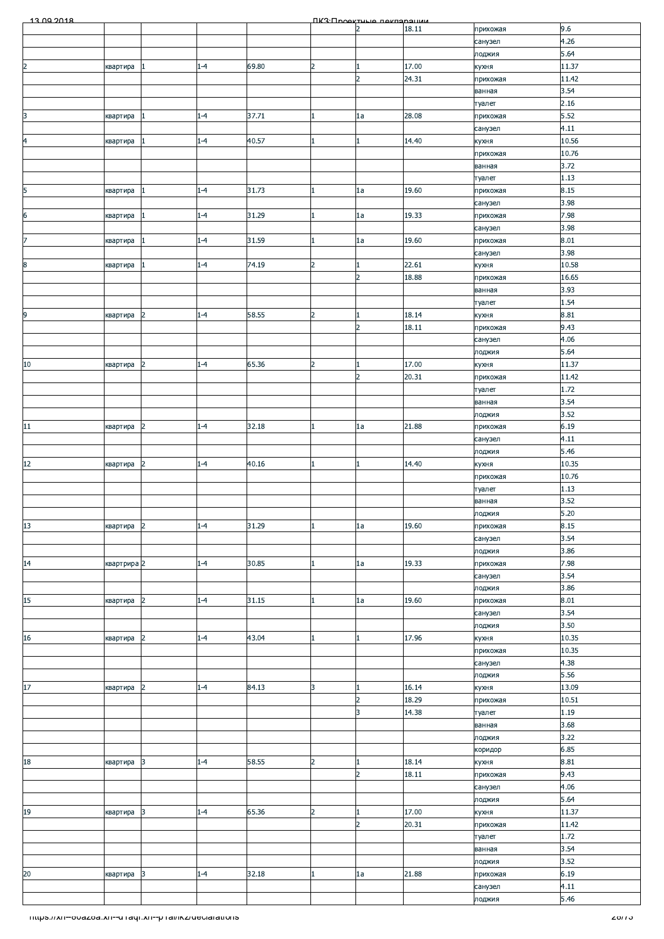| 13.00.2018                                            |             |                      |         |       |                | <b><i><u>IK3: Проектине пекларации</u></i></b> |       |                     |              |
|-------------------------------------------------------|-------------|----------------------|---------|-------|----------------|------------------------------------------------|-------|---------------------|--------------|
|                                                       |             |                      |         |       |                | $\overline{2}$                                 | 18.11 | прихожая            | 9.6          |
|                                                       |             |                      |         |       |                |                                                |       | санузел             | 4.26<br>5.64 |
| $\overline{c}$                                        | квартира    | 1                    | $1 - 4$ | 69.80 | $\overline{2}$ | $\mathbf{1}$                                   | 17.00 | лоджия<br>кухня     | 11.37        |
|                                                       |             |                      |         |       |                | $\overline{2}$                                 | 24.31 | прихожая            | 11.42        |
|                                                       |             |                      |         |       |                |                                                |       | ванная              | 3.54         |
|                                                       |             |                      |         |       |                |                                                |       | туалет              | 2.16         |
| 3                                                     | квартира    | 11                   | $1 - 4$ | 37.71 |                | 1a                                             | 28.08 | прихожая            | 5.52         |
|                                                       |             |                      |         |       |                |                                                |       | санузел             | 4.11         |
| $\overline{a}$                                        | квартира    | 1                    | $1 - 4$ | 40.57 |                | $\mathbf{1}$                                   | 14.40 | кухня               | 10.56        |
|                                                       |             |                      |         |       |                |                                                |       | прихожая            | 10.76        |
|                                                       |             |                      |         |       |                |                                                |       | ванная<br>туалет    | 3.72<br>1.13 |
| 5                                                     | квартира    | 1                    | $1 - 4$ | 31.73 |                | 1a                                             | 19.60 | прихожая            | 8.15         |
|                                                       |             |                      |         |       |                |                                                |       | санузел             | 3.98         |
| $\overline{6}$                                        | квартира    | 1                    | $1 - 4$ | 31.29 |                | 1a                                             | 19.33 | прихожая            | 7.98         |
|                                                       |             |                      |         |       |                |                                                |       | санузел             | 3.98         |
| $\overline{z}$                                        | квартира    | 1                    | $1 - 4$ | 31.59 |                | 1a                                             | 19.60 | прихожая            | 8.01         |
|                                                       |             |                      |         |       |                |                                                |       | санузел             | 3.98         |
| 8                                                     | квартира    | 1                    | $1 - 4$ | 74.19 | $\overline{2}$ | $\mathbf{1}$                                   | 22.61 | кухня               | 10.58        |
|                                                       |             |                      |         |       |                | $\overline{2}$                                 | 18.88 | прихожая            | 16.65        |
|                                                       |             |                      |         |       |                |                                                |       | ванная<br>туалет    | 3.93<br>1.54 |
| 9                                                     | квартира    | 2                    | $1 - 4$ | 58.55 | $\overline{2}$ | $\mathbf{1}$                                   | 18.14 | кухня               | 8.81         |
|                                                       |             |                      |         |       |                | $\overline{2}$                                 | 18.11 | прихожая            | 9.43         |
|                                                       |             |                      |         |       |                |                                                |       | санузел             | 4.06         |
|                                                       |             |                      |         |       |                |                                                |       | лоджия              | 5.64         |
| $10\,$                                                | квартира    | $\overline{2}$       | $1 - 4$ | 65.36 | 2              | 1                                              | 17.00 | кухня               | 11.37        |
|                                                       |             |                      |         |       |                | $\overline{2}$                                 | 20.31 | прихожая            | 11.42        |
|                                                       |             |                      |         |       |                |                                                |       | туалет              | 1.72         |
|                                                       |             |                      |         |       |                |                                                |       | ванная              | 3.54         |
|                                                       |             |                      |         |       |                |                                                |       | лоджия              | 3.52         |
| $11\,$                                                | квартира    | $\vert$ <sub>2</sub> | $1 - 4$ | 32.18 |                | 1a                                             | 21.88 | прихожая<br>санузел | 6.19<br>4.11 |
|                                                       |             |                      |         |       |                |                                                |       | лоджия              | 5.46         |
| $12$                                                  | квартира    | $\overline{2}$       | $1 - 4$ | 40.16 |                | 1                                              | 14.40 | кухня               | 10.35        |
|                                                       |             |                      |         |       |                |                                                |       | прихожая            | 10.76        |
|                                                       |             |                      |         |       |                |                                                |       | туалет              | 1.13         |
|                                                       |             |                      |         |       |                |                                                |       | ванная              | 3.52         |
|                                                       |             |                      |         |       |                |                                                |       | лоджия              | 5.20         |
| 13                                                    | квартира    | $\overline{2}$       | $1 - 4$ | 31.29 |                | 1a                                             | 19.60 | прихожая            | 8.15         |
|                                                       |             |                      |         |       |                |                                                |       | санузел             | 3.54         |
| 14                                                    | квартрира 2 |                      | $1 - 4$ | 30.85 |                | 1a                                             | 19.33 | лоджия<br>прихожая  | 3.86<br>7.98 |
|                                                       |             |                      |         |       |                |                                                |       | санузел             | 3.54         |
|                                                       |             |                      |         |       |                |                                                |       | лоджия              | 3.86         |
| 15                                                    | квартира    | $\overline{2}$       | $1 - 4$ | 31.15 |                | 1a                                             | 19.60 | прихожая            | 8.01         |
|                                                       |             |                      |         |       |                |                                                |       | санузел             | 3.54         |
|                                                       |             |                      |         |       |                |                                                |       | лоджия              | 3.50         |
| $16\,$                                                | квартира    | $\overline{2}$       | $1 - 4$ | 43.04 |                | 1                                              | 17.96 | кухня               | 10.35        |
|                                                       |             |                      |         |       |                |                                                |       | прихожая            | 10.35        |
|                                                       |             |                      |         |       |                |                                                |       | санузел             | 4.38<br>5.56 |
| $17\,$                                                | квартира    | $\overline{2}$       | $1 - 4$ | 84.13 | 3              | $\mathbf{1}$                                   | 16.14 | лоджия<br>кухня     | 13.09        |
|                                                       |             |                      |         |       |                | $\overline{2}$                                 | 18.29 | прихожая            | 10.51        |
|                                                       |             |                      |         |       |                | 3                                              | 14.38 | туалет              | 1.19         |
|                                                       |             |                      |         |       |                |                                                |       | ванная              | 3.68         |
|                                                       |             |                      |         |       |                |                                                |       | лоджия              | 3.22         |
|                                                       |             |                      |         |       |                |                                                |       | коридор             | 6.85         |
| $18\,$                                                | квартира    | 3                    | $1 - 4$ | 58.55 | $\overline{2}$ | $\mathbf{1}$                                   | 18.14 | кухня               | 8.81         |
|                                                       |             |                      |         |       |                | $\overline{2}$                                 | 18.11 | прихожая            | 9.43         |
|                                                       |             |                      |         |       |                |                                                |       | санузел<br>лоджия   | 4.06<br>5.64 |
| 19                                                    | квартира    | 3                    | $1 - 4$ | 65.36 | $\overline{2}$ | 1                                              | 17.00 | кухня               | 11.37        |
|                                                       |             |                      |         |       |                | $\overline{2}$                                 | 20.31 | прихожая            | 11.42        |
|                                                       |             |                      |         |       |                |                                                |       | туалет              | 1.72         |
|                                                       |             |                      |         |       |                |                                                |       | ванная              | 3.54         |
|                                                       |             |                      |         |       |                |                                                |       | лоджия              | 3.52         |
| $20\,$                                                | квартира    | 3                    | $1 - 4$ | 32.18 |                | 1a                                             | 21.88 | прихожая            | 6.19         |
|                                                       |             |                      |         |       |                |                                                |       | санузел             | 4.11         |
|                                                       |             |                      |         |       |                |                                                |       | лоджия              | 5.46         |
| mups.//xn--ovazoa.xn--u raqr.xn--p ramxz/ueciarations |             |                      |         |       |                |                                                |       |                     | 2011 J       |
|                                                       |             |                      |         |       |                |                                                |       |                     |              |
|                                                       |             |                      |         |       |                |                                                |       |                     |              |
|                                                       |             |                      |         |       |                |                                                |       |                     |              |
|                                                       |             |                      |         |       |                |                                                |       |                     |              |
|                                                       |             |                      |         |       |                |                                                |       |                     |              |
|                                                       |             |                      |         |       |                |                                                |       |                     |              |
|                                                       |             |                      |         |       |                |                                                |       |                     |              |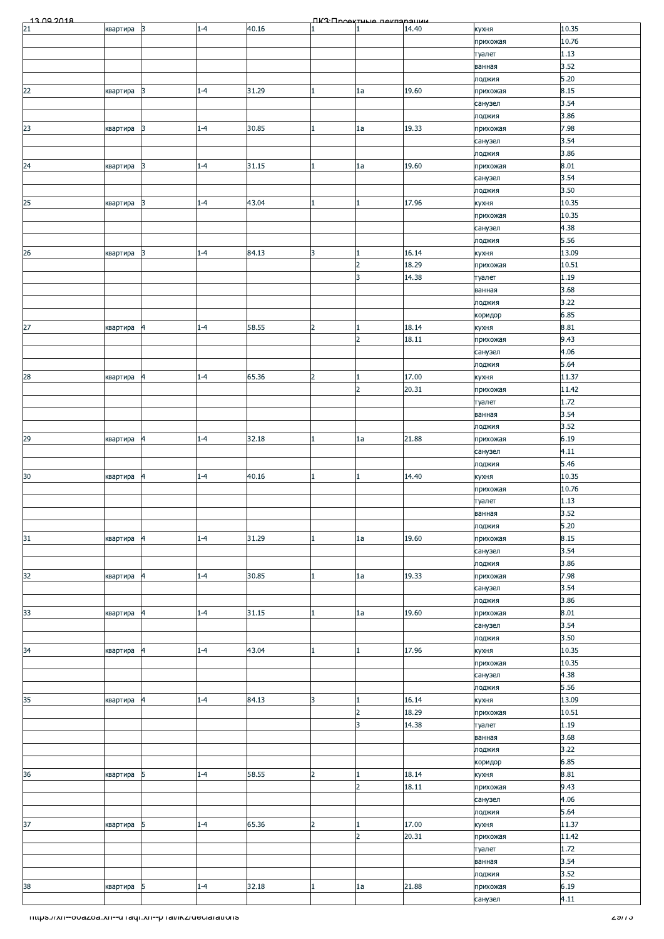|                                                       |          |                |         |       |                | <b><i><u>IK3: Проектина пекларации</u></i></b> |                |                     |               |
|-------------------------------------------------------|----------|----------------|---------|-------|----------------|------------------------------------------------|----------------|---------------------|---------------|
| $\frac{13.09.2018}{21}$                               | квартира | $\vert$ 3      | $1 - 4$ | 40.16 |                |                                                | 14.40          | кухня               | 10.35         |
|                                                       |          |                |         |       |                |                                                |                | прихожая            | 10.76         |
|                                                       |          |                |         |       |                |                                                |                | туалет<br>ванная    | 1.13<br>3.52  |
|                                                       |          |                |         |       |                |                                                |                | лоджия              | 5.20          |
| 22                                                    | квартира | 3              | $1 - 4$ | 31.29 |                | 1a                                             | 19.60          | прихожая            | 8.15          |
|                                                       |          |                |         |       |                |                                                |                | санузел             | 3.54          |
|                                                       |          |                |         |       |                |                                                |                | лоджия              | 3.86          |
| 23                                                    | квартира | 3              | $1 - 4$ | 30.85 |                | 1a                                             | 19.33          | прихожая            | 7.98          |
|                                                       |          |                |         |       |                |                                                |                | санузел<br>лоджия   | 3.54<br>3.86  |
| 24                                                    | квартира | 3              | $1 - 4$ | 31.15 |                | 1a                                             | 19.60          | прихожая            | 8.01          |
|                                                       |          |                |         |       |                |                                                |                | санузел             | 3.54          |
|                                                       |          |                |         |       |                |                                                |                | лоджия              | 3.50          |
| 25                                                    | квартира | 3              | $1 - 4$ | 43.04 |                | $\mathbf{1}$                                   | 17.96          | кухня               | 10.35         |
|                                                       |          |                |         |       |                |                                                |                | прихожая            | 10.35<br>4.38 |
|                                                       |          |                |         |       |                |                                                |                | санузел<br>лоджия   | 5.56          |
| 26                                                    | квартира | 3              | $1 - 4$ | 84.13 | 3              | $\mathbf{1}$                                   | 16.14          | кухня               | 13.09         |
|                                                       |          |                |         |       |                | $\overline{2}$                                 | 18.29          | прихожая            | 10.51         |
|                                                       |          |                |         |       |                | 3                                              | 14.38          | туалет              | 1.19          |
|                                                       |          |                |         |       |                |                                                |                | ванная              | 3.68          |
|                                                       |          |                |         |       |                |                                                |                | лоджия<br>коридор   | 3.22<br>6.85  |
| 27                                                    | квартира | $\overline{a}$ | $1 - 4$ | 58.55 | $\overline{2}$ | $\mathbf{1}$                                   | 18.14          | кухня               | 8.81          |
|                                                       |          |                |         |       |                | $\overline{2}$                                 | 18.11          | прихожая            | 9.43          |
|                                                       |          |                |         |       |                |                                                |                | санузел             | 4.06          |
|                                                       |          |                |         |       |                |                                                |                | лоджия              | 5.64          |
| 28                                                    | квартира | $\overline{4}$ | $1 - 4$ | 65.36 | $\overline{2}$ | $\mathbf{1}$                                   | 17.00          | кухня               | 11.37         |
|                                                       |          |                |         |       |                | $\overline{2}$                                 | 20.31          | прихожая<br>туалет  | 11.42<br>1.72 |
|                                                       |          |                |         |       |                |                                                |                | ванная              | 3.54          |
|                                                       |          |                |         |       |                |                                                |                | лоджия              | 3.52          |
| 29                                                    | квартира | $\overline{a}$ | $1 - 4$ | 32.18 |                | 1a                                             | 21.88          | прихожая            | 6.19          |
|                                                       |          |                |         |       |                |                                                |                | санузел             | 4.11          |
|                                                       |          |                |         |       |                |                                                |                | лоджия              | 5.46          |
| 30 <sub>o</sub>                                       | квартира | 4              | $1 - 4$ | 40.16 |                | 1                                              | 14.40          | кухня               | 10.35         |
|                                                       |          |                |         |       |                |                                                |                | прихожая            | 10.76         |
|                                                       |          |                |         |       |                |                                                |                | туалет              | 1.13<br>3.52  |
|                                                       |          |                |         |       |                |                                                |                | ванная<br>лоджия    | 5.20          |
| 31                                                    | квартира | 4              | $1 - 4$ | 31.29 |                | 1a                                             | 19.60          | прихожая            | 8.15          |
|                                                       |          |                |         |       |                |                                                |                | санузел             | 3.54          |
|                                                       |          |                |         |       |                |                                                |                | лоджия              | 3.86          |
| 32                                                    | квартира | $\overline{4}$ | $1 - 4$ | 30.85 |                | 1a                                             | 19.33          | прихожая            | 7.98          |
|                                                       |          |                |         |       |                |                                                |                | санузел             | 3.54<br>3.86  |
| 33                                                    | квартира | $\overline{a}$ | $1 - 4$ | 31.15 |                | 1a                                             | 19.60          | лоджия<br>прихожая  | 8.01          |
|                                                       |          |                |         |       |                |                                                |                | санузел             | 3.54          |
|                                                       |          |                |         |       |                |                                                |                | лоджия              | 3.50          |
| 34                                                    | квартира | 4              | $1 - 4$ | 43.04 |                | 1                                              | 17.96          | кухня               | 10.35         |
|                                                       |          |                |         |       |                |                                                |                | прихожая            | 10.35         |
|                                                       |          |                |         |       |                |                                                |                | санузел             | 4.38          |
| 35                                                    | квартира | 4              | $1 - 4$ | 84.13 | 3              | $\mathbf{1}$                                   | 16.14          | лоджия<br>кухня     | 5.56<br>13.09 |
|                                                       |          |                |         |       |                | $\overline{2}$                                 | 18.29          | прихожая            | 10.51         |
|                                                       |          |                |         |       |                | 3                                              | 14.38          | туалет              | 1.19          |
|                                                       |          |                |         |       |                |                                                |                | ванная              | 3.68          |
|                                                       |          |                |         |       |                |                                                |                | лоджия              | 3.22          |
|                                                       |          |                |         |       |                |                                                |                | коридор             | 6.85          |
| 36                                                    | квартира | 5              | $1 - 4$ | 58.55 | $\overline{2}$ | $\mathbf{1}$<br>$\overline{2}$                 | 18.14<br>18.11 | кухня<br>прихожая   | 8.81<br>9.43  |
|                                                       |          |                |         |       |                |                                                |                | санузел             | 4.06          |
|                                                       |          |                |         |       |                |                                                |                | лоджия              | 5.64          |
| 37                                                    | квартира | 5              | $1 - 4$ | 65.36 | $\overline{2}$ | 1                                              | 17.00          | кухня               | 11.37         |
|                                                       |          |                |         |       |                | $\overline{2}$                                 | 20.31          | прихожая            | 11.42         |
|                                                       |          |                |         |       |                |                                                |                | туалет              | 1.72          |
|                                                       |          |                |         |       |                |                                                |                | ванная              | 3.54          |
|                                                       |          | 5              |         | 32.18 |                |                                                | 21.88          | лоджия              | 3.52          |
| 38                                                    | квартира |                | $1 - 4$ |       |                | 1a                                             |                | прихожая<br>санузел | 6.19<br>4.11  |
|                                                       |          |                |         |       |                |                                                |                |                     |               |
| mups.//xn--ovazoa.xn--u raqr.xn--p ramxz/ueciarations |          |                |         |       |                |                                                |                |                     |               |
|                                                       |          |                |         |       |                |                                                |                |                     |               |
|                                                       |          |                |         |       |                |                                                |                |                     |               |
|                                                       |          |                |         |       |                |                                                |                |                     |               |
|                                                       |          |                |         |       |                |                                                |                |                     |               |
|                                                       |          |                |         |       |                |                                                |                |                     |               |
|                                                       |          |                |         |       |                |                                                |                |                     |               |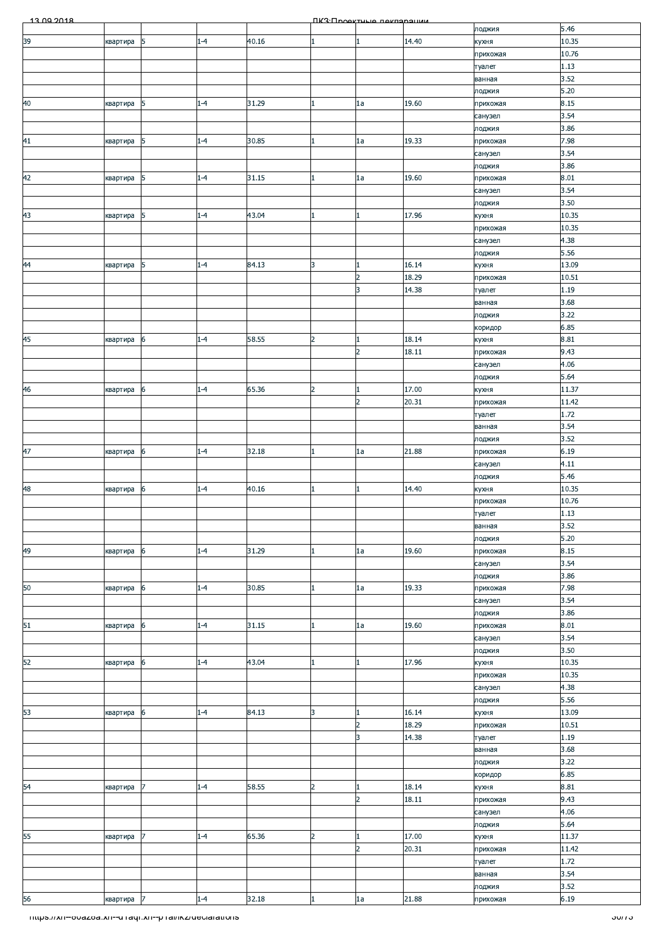| 13.00.2018                                                        |          |                |         |       |                | <b><i><u>IK3: Проектична пакларации</u></i></b> |       |                    |                |
|-------------------------------------------------------------------|----------|----------------|---------|-------|----------------|-------------------------------------------------|-------|--------------------|----------------|
|                                                                   |          |                |         |       |                |                                                 |       | лоджия             | 5.46           |
| 39                                                                | квартира | 5              | $1 - 4$ | 40.16 |                | 1                                               | 14.40 | кухня<br>прихожая  | 10.35<br>10.76 |
|                                                                   |          |                |         |       |                |                                                 |       | туалет             | 1.13           |
|                                                                   |          |                |         |       |                |                                                 |       | ванная             | 3.52           |
|                                                                   |          |                |         |       |                |                                                 |       | лоджия             | 5.20           |
| 40                                                                | квартира | 5              | $1 - 4$ | 31.29 |                | 1a                                              | 19.60 | прихожая           | 8.15           |
|                                                                   |          |                |         |       |                |                                                 |       | санузел            | 3.54           |
| 41                                                                | квартира | 5              | $1 - 4$ | 30.85 |                | 1a                                              | 19.33 | лоджия<br>прихожая | 3.86<br>7.98   |
|                                                                   |          |                |         |       |                |                                                 |       | санузел            | 3.54           |
|                                                                   |          |                |         |       |                |                                                 |       | лоджия             | 3.86           |
| 42                                                                | квартира | 5              | $1 - 4$ | 31.15 |                | 1a                                              | 19.60 | прихожая           | 8.01           |
|                                                                   |          |                |         |       |                |                                                 |       | санузел            | 3.54           |
|                                                                   |          |                | $1 - 4$ | 43.04 |                | 1                                               | 17.96 | лоджия             | 3.50<br>10.35  |
| 43                                                                | квартира | 5              |         |       |                |                                                 |       | кухня<br>прихожая  | 10.35          |
|                                                                   |          |                |         |       |                |                                                 |       | санузел            | 4.38           |
|                                                                   |          |                |         |       |                |                                                 |       | лоджия             | 5.56           |
| 44                                                                | квартира | 5              | $1 - 4$ | 84.13 | 3              | $\mathbf{1}$                                    | 16.14 | кухня              | 13.09          |
|                                                                   |          |                |         |       |                | $\overline{2}$                                  | 18.29 | прихожая           | 10.51          |
|                                                                   |          |                |         |       |                | 3                                               | 14.38 | туалет<br>ванная   | 1.19<br>3.68   |
|                                                                   |          |                |         |       |                |                                                 |       | лоджия             | 3.22           |
|                                                                   |          |                |         |       |                |                                                 |       | коридор            | 6.85           |
| 45                                                                | квартира | 6              | $1 - 4$ | 58.55 | $\overline{2}$ | $\mathbf{1}$                                    | 18.14 | кухня              | 8.81           |
|                                                                   |          |                |         |       |                | $\overline{2}$                                  | 18.11 | прихожая           | 9.43           |
|                                                                   |          |                |         |       |                |                                                 |       | санузел            | 4.06           |
|                                                                   |          |                |         |       | $\overline{2}$ |                                                 | 17.00 | лоджия             | 5.64           |
| 46                                                                | квартира | 6              | $1 - 4$ | 65.36 |                | 1<br>$\overline{2}$                             | 20.31 | кухня<br>прихожая  | 11.37<br>11.42 |
|                                                                   |          |                |         |       |                |                                                 |       | туалет             | 1.72           |
|                                                                   |          |                |         |       |                |                                                 |       | ванная             | 3.54           |
|                                                                   |          |                |         |       |                |                                                 |       | лоджия             | 3.52           |
| 47                                                                | квартира | 6              | $1 - 4$ | 32.18 |                | 1a                                              | 21.88 | прихожая           | 6.19           |
|                                                                   |          |                |         |       |                |                                                 |       | санузел            | 4.11           |
|                                                                   |          |                |         |       |                |                                                 |       | лоджия             | 5.46           |
| 48                                                                | квартира | 6              | $1 - 4$ | 40.16 |                | $\mathbf{1}$                                    | 14.40 | кухня              | 10.35<br>10.76 |
|                                                                   |          |                |         |       |                |                                                 |       | прихожая<br>туалет | 1.13           |
|                                                                   |          |                |         |       |                |                                                 |       | ванная             | 3.52           |
|                                                                   |          |                |         |       |                |                                                 |       | лоджия             | 5.20           |
| 49                                                                | квартира | 6              | $1 - 4$ | 31.29 |                | 1a                                              | 19.60 | прихожая           | 8.15           |
|                                                                   |          |                |         |       |                |                                                 |       | санузел            | 3.54           |
|                                                                   |          |                |         |       |                |                                                 |       | лоджия             | 3.86           |
| 50                                                                | квартира | 6              | $1 - 4$ | 30.85 |                | 1a                                              | 19.33 | прихожая           | 7.98<br>3.54   |
|                                                                   |          |                |         |       |                |                                                 |       | санузел<br>лоджия  | 3.86           |
| 51                                                                | квартира | 6              | $1 - 4$ | 31.15 |                | 1a                                              | 19.60 | прихожая           | 8.01           |
|                                                                   |          |                |         |       |                |                                                 |       | санузел            | 3.54           |
|                                                                   |          |                |         |       |                |                                                 |       | лоджия             | 3.50           |
| 52                                                                | квартира | 6              | $1 - 4$ | 43.04 |                | 1                                               | 17.96 | кухня              | 10.35          |
|                                                                   |          |                |         |       |                |                                                 |       | прихожая           | 10.35          |
|                                                                   |          |                |         |       |                |                                                 |       | санузел<br>лоджия  | 4.38<br>5.56   |
| 53                                                                | квартира | 6              | $1 - 4$ | 84.13 | 3              | 1                                               | 16.14 | кухня              | 13.09          |
|                                                                   |          |                |         |       |                | $\overline{2}$                                  | 18.29 | прихожая           | 10.51          |
|                                                                   |          |                |         |       |                | 3                                               | 14.38 | туалет             | 1.19           |
|                                                                   |          |                |         |       |                |                                                 |       | ванная             | 3.68           |
|                                                                   |          |                |         |       |                |                                                 |       | лоджия             | 3.22           |
|                                                                   |          | 17             | $1 - 4$ | 58.55 | $\overline{2}$ | $\mathbf{1}$                                    | 18.14 | коридор            | 6.85<br>8.81   |
| 54                                                                | квартира |                |         |       |                | $\overline{2}$                                  | 18.11 | кухня<br>прихожая  | 9.43           |
|                                                                   |          |                |         |       |                |                                                 |       | санузел            | 4.06           |
|                                                                   |          |                |         |       |                |                                                 |       | лоджия             | 5.64           |
| 55                                                                | квартира | 17             | $1 - 4$ | 65.36 | 2              | 1                                               | 17.00 | кухня              | 11.37          |
|                                                                   |          |                |         |       |                | $\overline{2}$                                  | 20.31 | прихожая           | 11.42          |
|                                                                   |          |                |         |       |                |                                                 |       | туалет             | 1.72           |
|                                                                   |          |                |         |       |                |                                                 |       | ванная             | 3.54           |
| 56                                                                | квартира | $\overline{7}$ | $1 - 4$ | 32.18 |                | 1a                                              | 21.88 | лоджия<br>прихожая | 3.52<br>6.19   |
|                                                                   |          |                |         |       |                |                                                 |       |                    |                |
| <u> Thttps://xn--ovazoa.xn--u raqr.xn--p rai/ikz/declarations</u> |          |                |         |       |                |                                                 |       |                    | <u>ডদাত্র</u>  |
|                                                                   |          |                |         |       |                |                                                 |       |                    |                |
|                                                                   |          |                |         |       |                |                                                 |       |                    |                |
|                                                                   |          |                |         |       |                |                                                 |       |                    |                |
|                                                                   |          |                |         |       |                |                                                 |       |                    |                |
|                                                                   |          |                |         |       |                |                                                 |       |                    |                |
|                                                                   |          |                |         |       |                |                                                 |       |                    |                |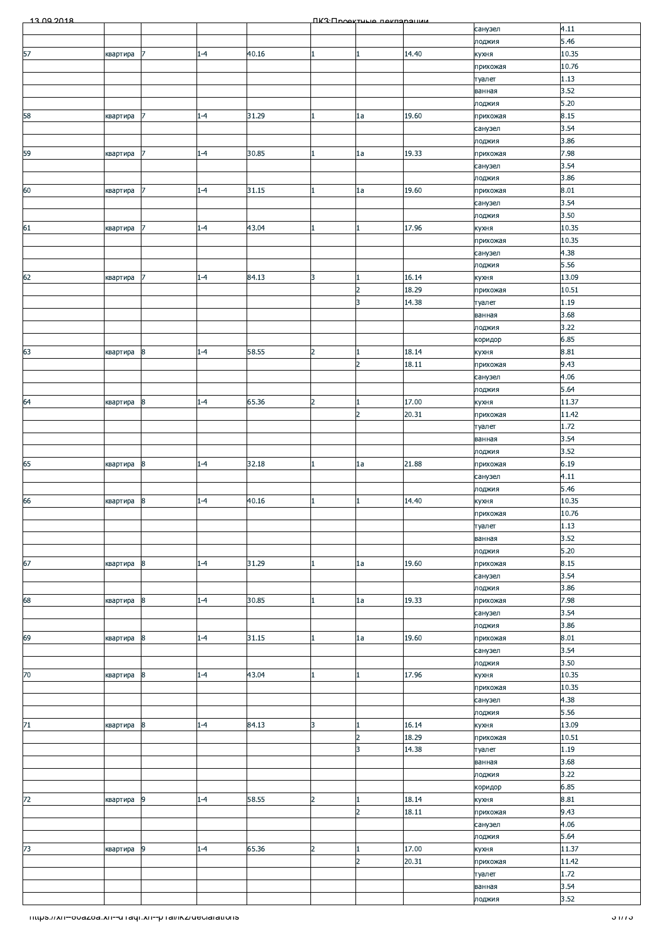| $-13,09,2018$                                          |          |                  |         |       |                | ПКЗ-Проектина пекларации |                |                     |                  |
|--------------------------------------------------------|----------|------------------|---------|-------|----------------|--------------------------|----------------|---------------------|------------------|
|                                                        |          |                  |         |       |                |                          |                | санузел             | 4.11             |
|                                                        |          |                  |         |       |                |                          |                | лоджия              | 5.46             |
| 57                                                     | квартира | 7                | $1 - 4$ | 40.16 | $\mathbf{1}$   | 1                        | 14.40          | кухня               | 10.35            |
|                                                        |          |                  |         |       |                |                          |                | прихожая            | 10.76<br>1.13    |
|                                                        |          |                  |         |       |                |                          |                | туалет<br>ванная    | 3.52             |
|                                                        |          |                  |         |       |                |                          |                | лоджия              | 5.20             |
| 58                                                     | квартира | 7                | $1 - 4$ | 31.29 |                | 1a                       | 19.60          | прихожая            | 8.15             |
|                                                        |          |                  |         |       |                |                          |                | санузел             | 3.54             |
|                                                        |          |                  |         |       |                |                          |                | лоджия              | 3.86             |
| 59                                                     | квартира | $\overline{7}$   | $1 - 4$ | 30.85 |                | 1a                       | 19.33          | прихожая            | 7.98             |
|                                                        |          |                  |         |       |                |                          |                | санузел             | 3.54             |
|                                                        |          |                  |         |       |                |                          |                | лоджия              | 3.86             |
| 60                                                     | квартира |                  | $1 - 4$ | 31.15 |                | 1a                       | 19.60          | прихожая            | 8.01             |
|                                                        |          |                  |         |       |                |                          |                | санузел             | 3.54             |
|                                                        |          |                  |         |       |                |                          |                | лоджия              | 3.50             |
| 61                                                     | квартира | 7                | $1 - 4$ | 43.04 | 1              |                          | 17.96          | кухня               | 10.35            |
|                                                        |          |                  |         |       |                |                          |                | прихожая<br>санузел | 10.35<br>4.38    |
|                                                        |          |                  |         |       |                |                          |                | лоджия              | 5.56             |
| 62                                                     | квартира |                  | $1 - 4$ | 84.13 | 3              |                          | 16.14          | кухня               | 13.09            |
|                                                        |          |                  |         |       |                | $\overline{2}$           | 18.29          | прихожая            | 10.51            |
|                                                        |          |                  |         |       |                | 3                        | 14.38          | туалет              | 1.19             |
|                                                        |          |                  |         |       |                |                          |                | ванная              | 3.68             |
|                                                        |          |                  |         |       |                |                          |                | лоджия              | 3.22             |
|                                                        |          |                  |         |       |                |                          |                | коридор             | 6.85             |
| 63                                                     | квартира | 8                | $1 - 4$ | 58.55 | $\overline{2}$ |                          | 18.14          | кухня               | 8.81             |
|                                                        |          |                  |         |       |                | $\overline{2}$           | 18.11          | прихожая            | 9.43             |
|                                                        |          |                  |         |       |                |                          |                | санузел             | 4.06             |
|                                                        |          |                  |         |       |                |                          |                | лоджия              | 5.64<br>11.37    |
| 64                                                     | квартира | 8                | $1 - 4$ | 65.36 | $\overline{2}$ | $\overline{2}$           | 17.00<br>20.31 | кухня               | 11.42            |
|                                                        |          |                  |         |       |                |                          |                | прихожая<br>туалет  | 1.72             |
|                                                        |          |                  |         |       |                |                          |                | ванная              | 3.54             |
|                                                        |          |                  |         |       |                |                          |                | лоджия              | 3.52             |
| 65                                                     | квартира | 8                | $1 - 4$ | 32.18 |                | 1a                       | 21.88          | прихожая            | 6.19             |
|                                                        |          |                  |         |       |                |                          |                | санузел             | 4.11             |
|                                                        |          |                  |         |       |                |                          |                | лоджия              | 5.46             |
| 66                                                     | квартира | 8                | $1 - 4$ | 40.16 |                |                          | 14.40          | кухня               | 10.35            |
|                                                        |          |                  |         |       |                |                          |                | прихожая            | 10.76            |
|                                                        |          |                  |         |       |                |                          |                | туалет              | 1.13             |
|                                                        |          |                  |         |       |                |                          |                | ванная              | 3.52             |
| 67                                                     |          | 8                | $1 - 4$ | 31.29 | 1              | 1a                       | 19.60          | лоджия              | 5.20<br>8.15     |
|                                                        | квартира |                  |         |       |                |                          |                | прихожая<br>санузел | 3.54             |
|                                                        |          |                  |         |       |                |                          |                | лоджия              | 3.86             |
| 68                                                     | квартира | $\boldsymbol{8}$ | $1 - 4$ | 30.85 | 1              | 1a                       | 19.33          | прихожая            | 7.98             |
|                                                        |          |                  |         |       |                |                          |                | санузел             | 3.54             |
|                                                        |          |                  |         |       |                |                          |                | лоджия              | 3.86             |
| 69                                                     | квартира | 8                | $1 - 4$ | 31.15 |                | 1a                       | 19.60          | прихожая            | 8.01             |
|                                                        |          |                  |         |       |                |                          |                | санузел             | 3.54             |
|                                                        |          |                  |         |       |                |                          |                | лоджия              | 3.50             |
| 70                                                     | квартира | 8                | $1 - 4$ | 43.04 |                |                          | 17.96          | кухня               | 10.35            |
|                                                        |          |                  |         |       |                |                          |                | прихожая            | 10.35<br>4.38    |
|                                                        |          |                  |         |       |                |                          |                | санузел<br>лоджия   | 5.56             |
| $71\,$                                                 | квартира | 8                | $1 - 4$ | 84.13 | 3              |                          | 16.14          | кухня               | 13.09            |
|                                                        |          |                  |         |       |                | $\overline{2}$           | 18.29          | прихожая            | 10.51            |
|                                                        |          |                  |         |       |                | 3                        | 14.38          | туалет              | 1.19             |
|                                                        |          |                  |         |       |                |                          |                | ванная              | 3.68             |
|                                                        |          |                  |         |       |                |                          |                | лоджия              | 3.22             |
|                                                        |          |                  |         |       |                |                          |                | коридор             | 6.85             |
| 72                                                     | квартира | 9                | $1 - 4$ | 58.55 | $\overline{2}$ |                          | 18.14          | кухня               | 8.81             |
|                                                        |          |                  |         |       |                | $\overline{2}$           | 18.11          | прихожая            | 9.43             |
|                                                        |          |                  |         |       |                |                          |                | санузел             | 4.06<br>5.64     |
| 73                                                     | квартира | 9                | $1 - 4$ | 65.36 | $\overline{2}$ |                          | 17.00          | лоджия<br>кухня     | 11.37            |
|                                                        |          |                  |         |       |                | $\overline{2}$           | 20.31          | прихожая            | 11.42            |
|                                                        |          |                  |         |       |                |                          |                | туалет              | 1.72             |
|                                                        |          |                  |         |       |                |                          |                | ванная              | 3.54             |
|                                                        |          |                  |         |       |                |                          |                | лоджия              | 3.52             |
|                                                        |          |                  |         |       |                |                          |                |                     |                  |
| https://xn--ovazoa.xn--unaqr.xn--phai/ikz/declarations |          |                  |         |       |                |                          |                |                     | <u> 31773 - </u> |
|                                                        |          |                  |         |       |                |                          |                |                     |                  |
|                                                        |          |                  |         |       |                |                          |                |                     |                  |
|                                                        |          |                  |         |       |                |                          |                |                     |                  |
|                                                        |          |                  |         |       |                |                          |                |                     |                  |
|                                                        |          |                  |         |       |                |                          |                |                     |                  |
|                                                        |          |                  |         |       |                |                          |                |                     |                  |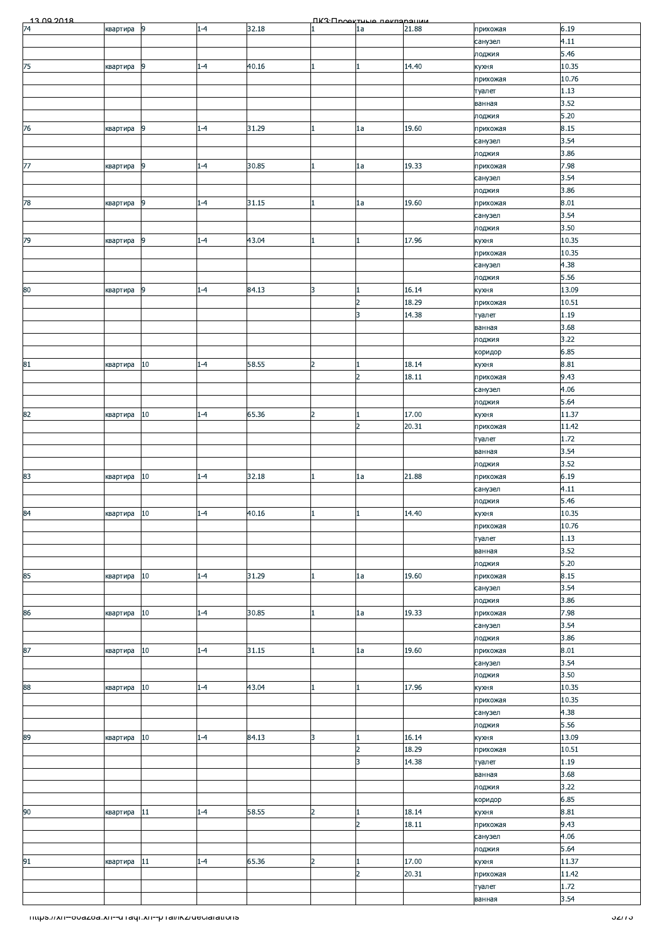| 13.00.2018                                            |             |                |         |       |                | ΠΚ3: Προοκτυμο ποκπαραμικικ |       |          |                |
|-------------------------------------------------------|-------------|----------------|---------|-------|----------------|-----------------------------|-------|----------|----------------|
| $\overline{74}$                                       | квартира    | 9              | $1 - 4$ | 32.18 |                | 1a                          | 21.88 | прихожая | 6.19           |
|                                                       |             |                |         |       |                |                             |       | санузел  | 4.11           |
|                                                       |             |                |         |       |                |                             |       | лоджия   | 5.46           |
| 75                                                    | квартира    | 9              | $1 - 4$ | 40.16 |                | $\mathbf{1}$                | 14.40 | кухня    | 10.35          |
|                                                       |             |                |         |       |                |                             |       | прихожая | 10.76          |
|                                                       |             |                |         |       |                |                             |       | туалет   | 1.13           |
|                                                       |             |                |         |       |                |                             |       | ванная   | 3.52           |
|                                                       |             |                |         |       |                |                             |       | лоджия   | 5.20           |
| 76                                                    | квартира    | 9              | $1 - 4$ | 31.29 |                | 1a                          | 19.60 | прихожая | 8.15           |
|                                                       |             |                |         |       |                |                             |       | санузел  | 3.54           |
|                                                       |             |                |         |       |                |                             |       |          | 3.86           |
| 77                                                    |             | $\overline{9}$ | $1 - 4$ | 30.85 | 1              | 1a                          | 19.33 | лоджия   | 7.98           |
|                                                       | квартира    |                |         |       |                |                             |       | прихожая |                |
|                                                       |             |                |         |       |                |                             |       | санузел  | 3.54           |
|                                                       |             |                |         |       |                |                             |       | лоджия   | 3.86           |
| 78                                                    | квартира    | $\overline{9}$ | $1 - 4$ | 31.15 |                | 1a                          | 19.60 | прихожая | 8.01           |
|                                                       |             |                |         |       |                |                             |       | санузел  | 3.54           |
|                                                       |             |                |         |       |                |                             |       | лоджия   | 3.50           |
| 79                                                    | квартира    | 9              | $1 - 4$ | 43.04 | 1              | $\mathbf{1}$                | 17.96 | кухня    | 10.35          |
|                                                       |             |                |         |       |                |                             |       | прихожая | 10.35          |
|                                                       |             |                |         |       |                |                             |       | санузел  | 4.38           |
|                                                       |             |                |         |       |                |                             |       | лоджия   | 5.56           |
| 80                                                    | квартира    | 9              | $1 - 4$ | 84.13 | 3              | 1                           | 16.14 | кухня    | 13.09          |
|                                                       |             |                |         |       |                | $\overline{2}$              | 18.29 | прихожая | 10.51          |
|                                                       |             |                |         |       |                | 3                           | 14.38 | туалет   | 1.19           |
|                                                       |             |                |         |       |                |                             |       | ванная   | 3.68           |
|                                                       |             |                |         |       |                |                             |       | лоджия   | 3.22           |
|                                                       |             |                |         |       |                |                             |       | коридор  | 6.85           |
| 81                                                    | квартира    | 10             | $1 - 4$ | 58.55 | $\overline{2}$ | $\mathbf{1}$                | 18.14 | кухня    | 8.81           |
|                                                       |             |                |         |       |                | 2                           | 18.11 | прихожая | 9.43           |
|                                                       |             |                |         |       |                |                             |       | санузел  | 4.06           |
|                                                       |             |                |         |       |                |                             |       | лоджия   | 5.64           |
| 82                                                    | квартира    | 10             | $1 - 4$ | 65.36 | $\overline{2}$ | $\mathbf{1}$                | 17.00 | кухня    | 11.37          |
|                                                       |             |                |         |       |                | $\overline{2}$              | 20.31 | прихожая | 11.42          |
|                                                       |             |                |         |       |                |                             |       | туалет   | 1.72           |
|                                                       |             |                |         |       |                |                             |       | ванная   | 3.54           |
|                                                       |             |                |         |       |                |                             |       | лоджия   | 3.52           |
| 83                                                    | квартира    | 10             | $1 - 4$ | 32.18 |                | 1a                          | 21.88 | прихожая | 6.19           |
|                                                       |             |                |         |       |                |                             |       |          |                |
|                                                       |             |                |         |       |                |                             |       | санузел  | 4.11           |
|                                                       |             |                |         |       |                |                             |       | лоджия   | 5.46           |
| 84                                                    | квартира 10 |                | $1 - 4$ | 40.16 | 11             | μ.                          | 14.40 | кухня    | 10.35          |
|                                                       |             |                |         |       |                |                             |       | прихожая | 10.76          |
|                                                       |             |                |         |       |                |                             |       | туалет   | 1.13           |
|                                                       |             |                |         |       |                |                             |       | ванная   | 3.52           |
|                                                       |             |                |         |       |                |                             |       |          |                |
|                                                       |             |                |         |       |                |                             |       | лоджия   | 5.20           |
| 85                                                    | квартира    | $10\,$         | $1 - 4$ | 31.29 |                | 1a                          | 19.60 | прихожая | 8.15           |
|                                                       |             |                |         |       |                |                             |       | санузел  | 3.54           |
|                                                       |             |                |         |       |                |                             |       | лоджия   | 3.86           |
| 86                                                    | квартира    | 10             | $1 - 4$ | 30.85 |                | 1a                          | 19.33 | прихожая | 7.98           |
|                                                       |             |                |         |       |                |                             |       | санузел  | 3.54           |
|                                                       |             |                |         |       |                |                             |       | лоджия   | 3.86           |
| 87                                                    | квартира    | $10\,$         | $1 - 4$ | 31.15 |                | 1a                          | 19.60 | прихожая | 8.01           |
|                                                       |             |                |         |       |                |                             |       | санузел  | 3.54           |
|                                                       |             |                |         |       |                |                             |       | лоджия   | 3.50           |
| 88                                                    | квартира    | $10\,$         | $1 - 4$ | 43.04 | 1.             | $\mathbf{1}$                | 17.96 | кухня    | 10.35          |
|                                                       |             |                |         |       |                |                             |       | прихожая | 10.35          |
|                                                       |             |                |         |       |                |                             |       | санузел  | 4.38           |
|                                                       |             |                |         |       |                |                             |       | лоджия   | 5.56           |
| 89                                                    | квартира    | 10             | $1 - 4$ | 84.13 | 3              | $\mathbf{1}$                | 16.14 | кухня    | 13.09          |
|                                                       |             |                |         |       |                | $\overline{2}$              | 18.29 | прихожая | 10.51          |
|                                                       |             |                |         |       |                | 3                           |       | туалет   | 1.19           |
|                                                       |             |                |         |       |                |                             | 14.38 |          |                |
|                                                       |             |                |         |       |                |                             |       | ванная   | 3.68           |
|                                                       |             |                |         |       |                |                             |       | лоджия   | 3.22           |
|                                                       |             |                |         |       |                |                             |       | коридор  | 6.85           |
| 90                                                    | квартира    | 11             | $1 - 4$ | 58.55 | $\overline{2}$ | 1                           | 18.14 | кухня    | 8.81           |
|                                                       |             |                |         |       |                | $\overline{2}$              | 18.11 | прихожая | 9.43           |
|                                                       |             |                |         |       |                |                             |       | санузел  | 4.06           |
|                                                       |             |                |         |       |                |                             |       | лоджия   | 5.64           |
| 91                                                    | квартира    | $11\,$         | $1 - 4$ | 65.36 | $\overline{2}$ | $\mathbf{1}$                | 17.00 | кухня    | 11.37          |
|                                                       |             |                |         |       |                | $\overline{2}$              | 20.31 | прихожая | 11.42          |
|                                                       |             |                |         |       |                |                             |       | туалет   | 1.72           |
|                                                       |             |                |         |       |                |                             |       | ванная   | 3.54           |
|                                                       |             |                |         |       |                |                             |       |          | <u>əzrrə -</u> |
| mups.//xn--ooazoa.xn--u+aqr.xn--p+al/ikz/ueciarations |             |                |         |       |                |                             |       |          |                |
|                                                       |             |                |         |       |                |                             |       |          |                |
|                                                       |             |                |         |       |                |                             |       |          |                |
|                                                       |             |                |         |       |                |                             |       |          |                |
|                                                       |             |                |         |       |                |                             |       |          |                |
|                                                       |             |                |         |       |                |                             |       |          |                |
|                                                       |             |                |         |       |                |                             |       |          |                |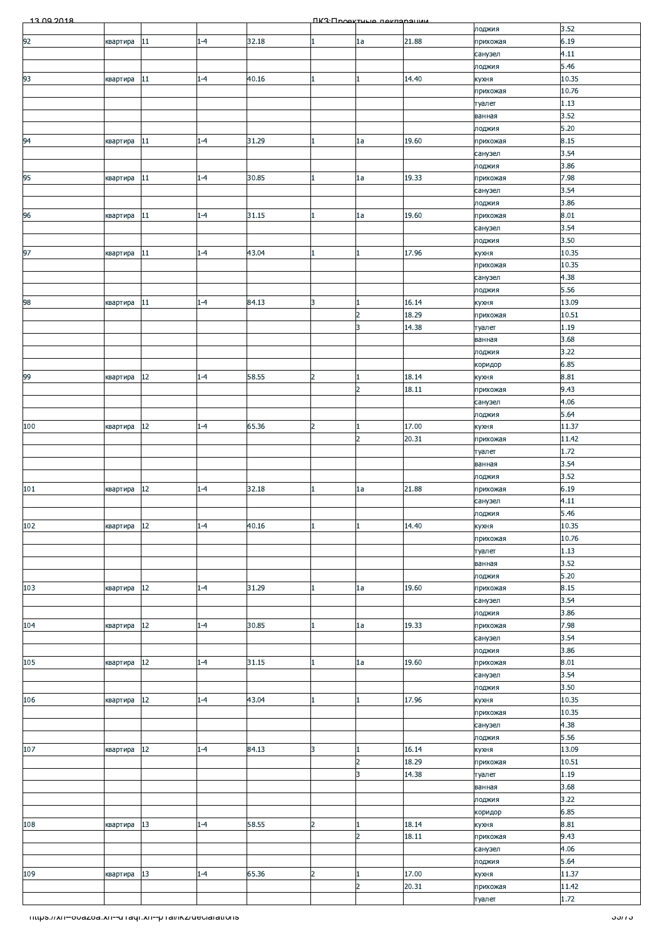| 13.00.2018                                            |          |        |         |       |                | ПКЗ Проектине пекларации |                |                     |                |
|-------------------------------------------------------|----------|--------|---------|-------|----------------|--------------------------|----------------|---------------------|----------------|
|                                                       |          |        |         |       |                |                          |                | лоджия              | 3.52           |
| 92                                                    | квартира | 11     | $1 - 4$ | 32.18 |                | 1a                       | 21.88          | прихожая            | 6.19           |
|                                                       |          |        |         |       |                |                          |                | санузел             | 4.11           |
|                                                       |          |        |         |       |                |                          | 14.40          | лоджия              | 5.46<br>10.35  |
| 93                                                    | квартира | 11     | $1 - 4$ | 40.16 |                |                          |                | кухня<br>прихожая   | 10.76          |
|                                                       |          |        |         |       |                |                          |                | туалет              | 1.13           |
|                                                       |          |        |         |       |                |                          |                | ванная              | 3.52           |
|                                                       |          |        |         |       |                |                          |                | лоджия              | 5.20           |
| 94                                                    | квартира | 11     | $1 - 4$ | 31.29 | 1              | 1a                       | 19.60          | прихожая            | 8.15           |
|                                                       |          |        |         |       |                |                          |                | санузел             | 3.54           |
|                                                       |          |        |         |       |                |                          |                | лоджия              | 3.86           |
| 95                                                    | квартира | 11     | $1 - 4$ | 30.85 | 1              | 1a                       | 19.33          | прихожая            | 7.98           |
|                                                       |          |        |         |       |                |                          |                | санузел             | 3.54           |
|                                                       |          |        |         | 31.15 |                |                          | 19.60          | лоджия              | 3.86<br>8.01   |
| 96                                                    | квартира | 11     | $1 - 4$ |       |                | 1a                       |                | прихожая<br>санузел | 3.54           |
|                                                       |          |        |         |       |                |                          |                | лоджия              | 3.50           |
| 97                                                    | квартира | 11     | $1 - 4$ | 43.04 |                |                          | 17.96          | кухня               | 10.35          |
|                                                       |          |        |         |       |                |                          |                | прихожая            | 10.35          |
|                                                       |          |        |         |       |                |                          |                | санузел             | 4.38           |
|                                                       |          |        |         |       |                |                          |                | лоджия              | 5.56           |
| 98                                                    | квартира | 11     | $1 - 4$ | 84.13 | 3              |                          | 16.14          | кухня               | 13.09          |
|                                                       |          |        |         |       |                | $\overline{2}$           | 18.29          | прихожая            | 10.51          |
|                                                       |          |        |         |       |                | 3                        | 14.38          | туалет              | 1.19           |
|                                                       |          |        |         |       |                |                          |                | ванная              | 3.68<br>3.22   |
|                                                       |          |        |         |       |                |                          |                | лоджия<br>коридор   | 6.85           |
| 99                                                    | квартира | 12     | $1 - 4$ | 58.55 | $\overline{2}$ |                          | 18.14          | кухня               | 8.81           |
|                                                       |          |        |         |       |                | $\overline{2}$           | 18.11          | прихожая            | 9.43           |
|                                                       |          |        |         |       |                |                          |                | санузел             | 4.06           |
|                                                       |          |        |         |       |                |                          |                | лоджия              | 5.64           |
| 100                                                   | квартира | $12\,$ | $1 - 4$ | 65.36 | $\overline{2}$ |                          | 17.00          | кухня               | 11.37          |
|                                                       |          |        |         |       |                | $\overline{2}$           | 20.31          | прихожая            | 11.42          |
|                                                       |          |        |         |       |                |                          |                | туалет              | 1.72           |
|                                                       |          |        |         |       |                |                          |                | ванная              | 3.54           |
|                                                       |          | 12     | $1 - 4$ |       | 1              |                          |                | лоджия              | 3.52<br>6.19   |
| 101                                                   | квартира |        |         | 32.18 |                | 1a                       | 21.88          | прихожая<br>санузел | 4.11           |
|                                                       |          |        |         |       |                |                          |                | лоджия              | 5.46           |
| 102                                                   | квартира | $12\,$ | $1 - 4$ | 40.16 |                |                          | 14.40          | кухня               | 10.35          |
|                                                       |          |        |         |       |                |                          |                | прихожая            | 10.76          |
|                                                       |          |        |         |       |                |                          |                | туалет              | 1.13           |
|                                                       |          |        |         |       |                |                          |                | ванная              | 3.52           |
|                                                       |          |        |         |       |                |                          |                | лоджия              | 5.20           |
| 103                                                   | квартира | $12\,$ | $1 - 4$ | 31.29 | 1              | 1a                       | 19.60          | прихожая            | 8.15           |
|                                                       |          |        |         |       |                |                          |                | санузел             | 3.54           |
|                                                       |          |        |         |       |                |                          |                | лоджия              | 3.86           |
| 104                                                   | квартира | $12\,$ | $1 - 4$ | 30.85 |                | 1a                       | 19.33          | прихожая<br>санузел | 7.98<br>3.54   |
|                                                       |          |        |         |       |                |                          |                | лоджия              | 3.86           |
| 105                                                   | квартира | $12\,$ | $1 - 4$ | 31.15 |                | 1a                       | 19.60          | прихожая            | 8.01           |
|                                                       |          |        |         |       |                |                          |                | санузел             | 3.54           |
|                                                       |          |        |         |       |                |                          |                | лоджия              | 3.50           |
| 106                                                   | квартира | $12\,$ | $1 - 4$ | 43.04 |                |                          | 17.96          | кухня               | 10.35          |
|                                                       |          |        |         |       |                |                          |                | прихожая            | 10.35          |
|                                                       |          |        |         |       |                |                          |                | санузел             | 4.38           |
|                                                       |          |        |         |       |                |                          |                | лоджия              | 5.56           |
| 107                                                   | квартира | 12     | $1 - 4$ | 84.13 | 3              |                          | 16.14          | кухня               | 13.09          |
|                                                       |          |        |         |       |                | $\overline{2}$<br>3      | 18.29<br>14.38 | прихожая            | 10.51<br>1.19  |
|                                                       |          |        |         |       |                |                          |                | туалет<br>ванная    | 3.68           |
|                                                       |          |        |         |       |                |                          |                | лоджия              | 3.22           |
|                                                       |          |        |         |       |                |                          |                | коридор             | 6.85           |
| 108                                                   | квартира | 13     | $1 - 4$ | 58.55 | $\overline{2}$ |                          | 18.14          | кухня               | 8.81           |
|                                                       |          |        |         |       |                | $\overline{2}$           | 18.11          | прихожая            | 9.43           |
|                                                       |          |        |         |       |                |                          |                | санузел             | 4.06           |
|                                                       |          |        |         |       |                |                          |                | лоджия              | 5.64           |
| 109                                                   | квартира | 13     | $1 - 4$ | 65.36 | $\overline{2}$ |                          | 17.00          | кухня               | 11.37          |
|                                                       |          |        |         |       |                | $\overline{2}$           | 20.31          | прихожая            | 11.42          |
|                                                       |          |        |         |       |                |                          |                | туалет              | 1.72           |
| mups.//xn--ovazoa.xn--u raqr.xn--p ramkz/ueciarations |          |        |         |       |                |                          |                |                     | <u>ააჩა - </u> |
|                                                       |          |        |         |       |                |                          |                |                     |                |
|                                                       |          |        |         |       |                |                          |                |                     |                |
|                                                       |          |        |         |       |                |                          |                |                     |                |
|                                                       |          |        |         |       |                |                          |                |                     |                |
|                                                       |          |        |         |       |                |                          |                |                     |                |
|                                                       |          |        |         |       |                |                          |                |                     |                |
|                                                       |          |        |         |       |                |                          |                |                     |                |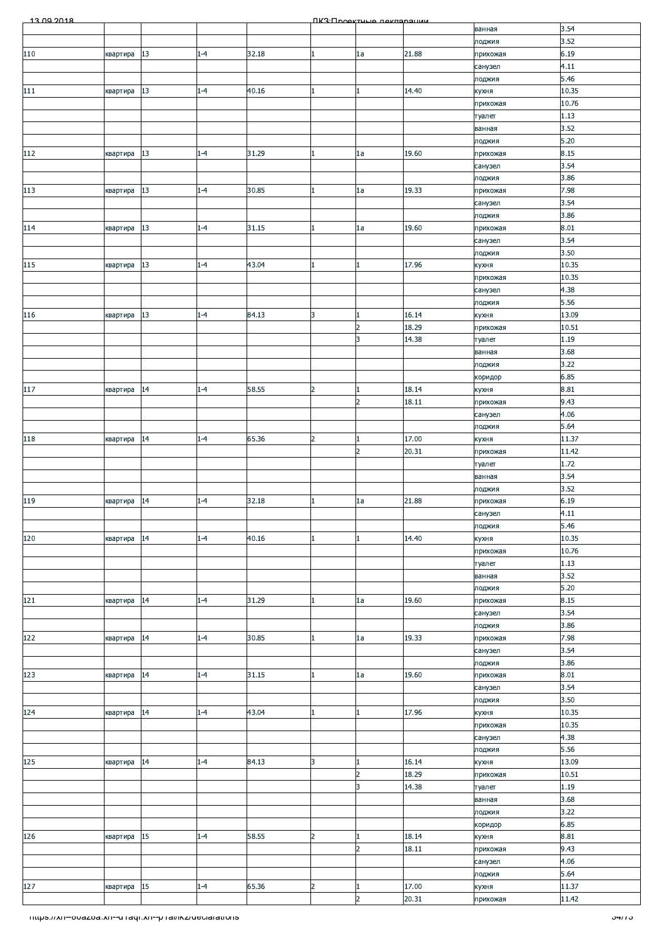| 13.00.2018                                            |          |        |         |       |                | <b><u> ПКЗ·Проектиче пекларации</u></b> |       |                     |                |
|-------------------------------------------------------|----------|--------|---------|-------|----------------|-----------------------------------------|-------|---------------------|----------------|
|                                                       |          |        |         |       |                |                                         |       | ванная              | 3.54           |
|                                                       |          |        |         |       |                |                                         |       | лоджия              | 3.52           |
| 110                                                   | квартира | 13     | $1 - 4$ | 32.18 | 1              | 1a                                      | 21.88 | прихожая            | 6.19           |
|                                                       |          |        |         |       |                |                                         |       | санузел<br>лоджия   | 4.11<br>5.46   |
| 111                                                   | квартира | 13     | $1 - 4$ | 40.16 |                |                                         | 14.40 | кухня               | 10.35          |
|                                                       |          |        |         |       |                |                                         |       | прихожая            | 10.76          |
|                                                       |          |        |         |       |                |                                         |       | туалет              | 1.13           |
|                                                       |          |        |         |       |                |                                         |       | ванная              | 3.52           |
|                                                       |          |        |         |       |                |                                         |       | лоджия              | 5.20           |
| 112                                                   | квартира | 13     | $1 - 4$ | 31.29 | 1              | 1a                                      | 19.60 | прихожая            | 8.15           |
|                                                       |          |        |         |       |                |                                         |       | санузел<br>лоджия   | 3.54<br>3.86   |
| 113                                                   | квартира | $13\,$ | $1 - 4$ | 30.85 |                | 1a                                      | 19.33 | прихожая            | 7.98           |
|                                                       |          |        |         |       |                |                                         |       | санузел             | 3.54           |
|                                                       |          |        |         |       |                |                                         |       | лоджия              | 3.86           |
| 114                                                   | квартира | 13     | $1 - 4$ | 31.15 | 1              | 1a                                      | 19.60 | прихожая            | 8.01           |
|                                                       |          |        |         |       |                |                                         |       | санузел             | 3.54           |
|                                                       |          |        |         |       |                |                                         |       | лоджия              | 3.50           |
| 115                                                   | квартира | 13     | $1 - 4$ | 43.04 |                |                                         | 17.96 | кухня               | 10.35<br>10.35 |
|                                                       |          |        |         |       |                |                                         |       | прихожая<br>санузел | 4.38           |
|                                                       |          |        |         |       |                |                                         |       | лоджия              | 5.56           |
| 116                                                   | квартира | 13     | $1 - 4$ | 84.13 | 3              |                                         | 16.14 | кухня               | 13.09          |
|                                                       |          |        |         |       |                | $\overline{2}$                          | 18.29 | прихожая            | 10.51          |
|                                                       |          |        |         |       |                | 3                                       | 14.38 | туалет              | 1.19           |
|                                                       |          |        |         |       |                |                                         |       | ванная              | 3.68           |
|                                                       |          |        |         |       |                |                                         |       | лоджия              | 3.22           |
| 117                                                   | квартира | 14     | $1 - 4$ | 58.55 | $\overline{2}$ |                                         | 18.14 | коридор<br>кухня    | 6.85<br>8.81   |
|                                                       |          |        |         |       |                | $\overline{2}$                          | 18.11 | прихожая            | 9.43           |
|                                                       |          |        |         |       |                |                                         |       | санузел             | 4.06           |
|                                                       |          |        |         |       |                |                                         |       | лоджия              | 5.64           |
| 118                                                   | квартира | 14     | $1 - 4$ | 65.36 | $\overline{2}$ |                                         | 17.00 | кухня               | 11.37          |
|                                                       |          |        |         |       |                | $\overline{2}$                          | 20.31 | прихожая            | 11.42          |
|                                                       |          |        |         |       |                |                                         |       | туалет              | 1.72           |
|                                                       |          |        |         |       |                |                                         |       | ванная<br>лоджия    | 3.54<br>3.52   |
|                                                       | квартира | 14     | $1 - 4$ | 32.18 |                | 1a                                      | 21.88 | прихожая            | 6.19           |
| 119                                                   |          |        |         |       |                |                                         |       | санузел             | 4.11           |
|                                                       |          |        |         |       |                |                                         |       | лоджия              | 5.46           |
| 120                                                   | квартира | 14     | $1 - 4$ | 40.16 |                |                                         | 14.40 | кухня               | 10.35          |
|                                                       |          |        |         |       |                |                                         |       | прихожая            | 10.76          |
|                                                       |          |        |         |       |                |                                         |       | туалет              | 1.13<br>3.52   |
|                                                       |          |        |         |       |                |                                         |       | ванная<br>лоджия    | $5.20$         |
| 121                                                   | квартира | 14     | $1 - 4$ | 31.29 |                | 1a                                      | 19.60 | прихожая            | 8.15           |
|                                                       |          |        |         |       |                |                                         |       | санузел             | 3.54           |
|                                                       |          |        |         |       |                |                                         |       | лоджия              | 3.86           |
| 122                                                   | квартира | 14     | $1 - 4$ | 30.85 |                | 1a                                      | 19.33 | прихожая            | 7.98           |
|                                                       |          |        |         |       |                |                                         |       | санузел             | 3.54           |
| 123                                                   |          | 14     | $1 - 4$ | 31.15 | 1              | 1a                                      | 19.60 | лоджия<br>прихожая  | 3.86<br>8.01   |
|                                                       | квартира |        |         |       |                |                                         |       | санузел             | 3.54           |
|                                                       |          |        |         |       |                |                                         |       | лоджия              | 3.50           |
| 124                                                   | квартира | 14     | $1 - 4$ | 43.04 |                |                                         | 17.96 | кухня               | 10.35          |
|                                                       |          |        |         |       |                |                                         |       | прихожая            | 10.35          |
|                                                       |          |        |         |       |                |                                         |       | санузел             | 4.38           |
| 125                                                   |          | 14     | $1 - 4$ | 84.13 | 3              |                                         | 16.14 | лоджия              | 5.56<br>13.09  |
|                                                       | квартира |        |         |       |                | $\overline{2}$                          | 18.29 | кухня<br>прихожая   | 10.51          |
|                                                       |          |        |         |       |                | 3                                       | 14.38 | туалет              | 1.19           |
|                                                       |          |        |         |       |                |                                         |       | ванная              | 3.68           |
|                                                       |          |        |         |       |                |                                         |       | лоджия              | 3.22           |
|                                                       |          |        |         |       |                |                                         |       | коридор             | 6.85           |
| 126                                                   | квартира | 15     | $1 - 4$ | 58.55 | $\overline{2}$ |                                         | 18.14 | кухня               | 8.81           |
|                                                       |          |        |         |       |                | $\overline{2}$                          | 18.11 | прихожая            | 9.43<br>4.06   |
|                                                       |          |        |         |       |                |                                         |       | санузел<br>лоджия   | 5.64           |
| 127                                                   | квартира | 15     | $1 - 4$ | 65.36 | $\overline{2}$ |                                         | 17.00 | кухня               | 11.37          |
|                                                       |          |        |         |       |                | $\overline{2}$                          | 20.31 | прихожая            | 11.42          |
|                                                       |          |        |         |       |                |                                         |       |                     |                |
| mups.//xn--ovazoa.xn--u raqr.xn--p ramkz/ueciarations |          |        |         |       |                |                                         |       |                     | <u>ড477ড -</u> |
|                                                       |          |        |         |       |                |                                         |       |                     |                |
|                                                       |          |        |         |       |                |                                         |       |                     |                |
|                                                       |          |        |         |       |                |                                         |       |                     |                |
|                                                       |          |        |         |       |                |                                         |       |                     |                |
|                                                       |          |        |         |       |                |                                         |       |                     |                |
|                                                       |          |        |         |       |                |                                         |       |                     |                |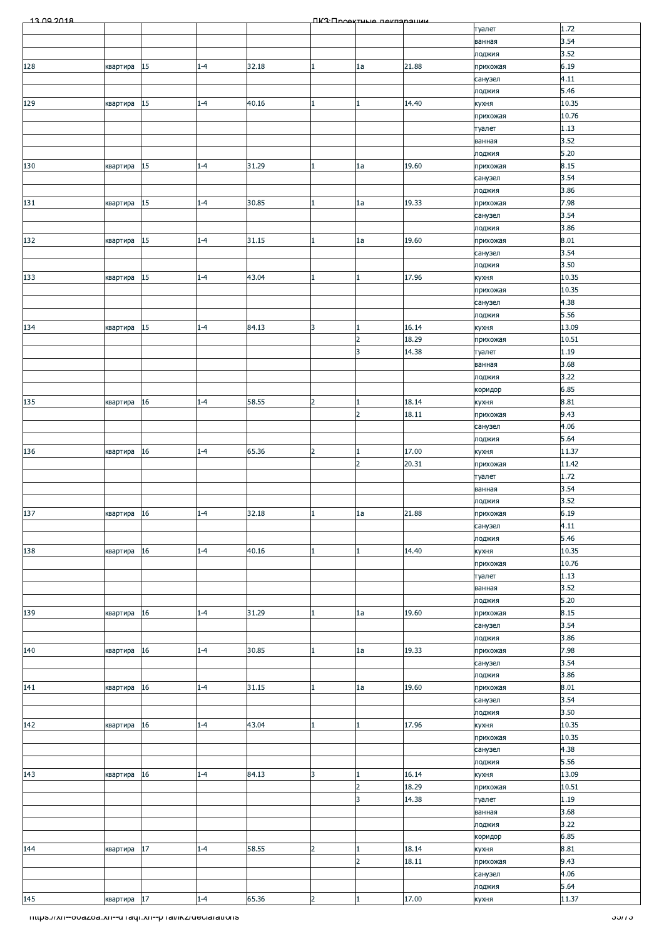| 1.72<br>туалет<br>3.54<br>ванная<br>3.52<br>лоджия<br>15<br>6.19<br>128<br>$1 - 4$<br>32.18<br>21.88<br>1a<br>прихожая<br>квартира<br>4.11<br>санузел<br>5.46<br>лоджия<br>15<br>40.16<br>10.35<br>$1 - 4$<br>14.40<br>129<br>квартира<br>кухня<br>10.76<br>прихожая<br>1.13<br>туалет<br>3.52<br>ванная<br>5.20<br>лоджия<br>15<br>31.29<br>19.60<br>8.15<br>$1 - 4$<br>1a<br>130<br>квартира<br>прихожая<br>3.54<br>санузел<br>3.86<br>лоджия<br>15<br>30.85<br>19.33<br>7.98<br>131<br>$1 - 4$<br>1a<br>прихожая<br>квартира<br>3.54<br>санузел<br>3.86<br>лоджия<br>15<br>132<br>$1 - 4$<br>31.15<br>19.60<br>8.01<br>1a<br>прихожая<br>квартира<br>1<br>3.54<br>санузел<br>3.50<br>лоджия<br>15<br>17.96<br>10.35<br>$1 - 4$<br>43.04<br>133<br>квартира<br>кухня<br>10.35<br>прихожая<br>4.38<br>санузел<br>5.56<br>лоджия<br>15<br>3<br>16.14<br>13.09<br>134<br>$1 - 4$<br>84.13<br>кухня<br>квартира<br>18.29<br>10.51<br>$\overline{2}$<br>прихожая<br>14.38<br>3<br>1.19<br>туалет<br>3.68<br>ванная<br>3.22<br>лоджия<br>6.85<br>коридор<br>18.14<br>$1 - 4$<br>58.55<br>$\overline{a}$<br>8.81<br>135<br>16<br>кухня<br>квартира<br>$\overline{2}$<br>18.11<br>9.43<br>прихожая<br>4.06<br>санузел<br>5.64<br>лоджия<br>17.00<br>65.36<br>16<br>$1 - 4$<br>$\overline{2}$<br>11.37<br>136<br>квартира<br>кухня<br>20.31<br>11.42<br>$\overline{2}$<br>прихожая<br>1.72<br>туалет<br>3.54<br>ванная<br>3.52<br>лоджия<br>137<br>32.18<br>6.19<br>квартира 16<br>21.88<br>$1 - 4$<br>1a<br>ш<br>прихожая<br>4.11<br>санузел<br>5.46<br>лоджия<br>10.35<br>16<br>$1 - 4$<br>40.16<br>14.40<br>138<br>кухня<br>квартира<br>10.76<br>прихожая<br>1.13<br>туалет<br>3.52<br>ванная<br>$5.20$<br>лоджия<br>8.15<br>$1 - 4$<br>31.29<br>19.60<br>139<br>16<br>1a<br>прихожая<br>квартира<br>3.54<br>санузел<br>3.86<br>лоджия<br>19.33<br>7.98<br>140<br>16<br>$1 - 4$<br>30.85<br>прихожая<br>квартира<br>1a<br>3.54<br>санузел<br>3.86<br>лоджия<br>31.15<br>8.01<br>16<br>19.60<br>141<br>$1 - 4$<br>1a<br>квартира<br>прихожая<br>3.54<br>санузел<br>3.50<br>лоджия<br>43.04<br>10.35<br>142<br>16<br>$1 - 4$<br>17.96<br>квартира<br>кухня<br>10.35<br>прихожая<br>4.38<br>санузел<br>5.56<br>лоджия<br>13.09<br>84.13<br>3<br>16.14<br>16<br>143<br>$1 - 4$<br>квартира<br>кухня<br>18.29<br>10.51<br>$\overline{2}$<br>прихожая<br>3<br>14.38<br>1.19<br>туалет<br>3.68<br>ванная<br>3.22<br>лоджия<br>6.85<br>коридор<br>17<br>58.55<br>8.81<br>144<br>$1 - 4$<br>$\overline{2}$<br>18.14<br>кухня<br>квартира<br>18.11<br>9.43<br>$\overline{2}$<br>прихожая<br>4.06<br>санузел<br>5.64<br>лоджия<br>$\overline{a}$<br>145<br>квартира 17<br>$1 - 4$<br>65.36<br>17.00<br>11.37<br>кухня<br><u> Thttps://xn--ovazoa.xn--uTaqi.xn--pTal/ikz/ueciarations</u> | 13.00.2018 |  |  | <b><u> ПКЗ·Проектична пакларации</u></b> |  |                |
|---------------------------------------------------------------------------------------------------------------------------------------------------------------------------------------------------------------------------------------------------------------------------------------------------------------------------------------------------------------------------------------------------------------------------------------------------------------------------------------------------------------------------------------------------------------------------------------------------------------------------------------------------------------------------------------------------------------------------------------------------------------------------------------------------------------------------------------------------------------------------------------------------------------------------------------------------------------------------------------------------------------------------------------------------------------------------------------------------------------------------------------------------------------------------------------------------------------------------------------------------------------------------------------------------------------------------------------------------------------------------------------------------------------------------------------------------------------------------------------------------------------------------------------------------------------------------------------------------------------------------------------------------------------------------------------------------------------------------------------------------------------------------------------------------------------------------------------------------------------------------------------------------------------------------------------------------------------------------------------------------------------------------------------------------------------------------------------------------------------------------------------------------------------------------------------------------------------------------------------------------------------------------------------------------------------------------------------------------------------------------------------------------------------------------------------------------------------------------------------------------------------------------------------------------------------------------------------------------------------------------------------------------------------------------------------------------------------------------------------------------------------------------|------------|--|--|------------------------------------------|--|----------------|
|                                                                                                                                                                                                                                                                                                                                                                                                                                                                                                                                                                                                                                                                                                                                                                                                                                                                                                                                                                                                                                                                                                                                                                                                                                                                                                                                                                                                                                                                                                                                                                                                                                                                                                                                                                                                                                                                                                                                                                                                                                                                                                                                                                                                                                                                                                                                                                                                                                                                                                                                                                                                                                                                                                                                                                           |            |  |  |                                          |  |                |
|                                                                                                                                                                                                                                                                                                                                                                                                                                                                                                                                                                                                                                                                                                                                                                                                                                                                                                                                                                                                                                                                                                                                                                                                                                                                                                                                                                                                                                                                                                                                                                                                                                                                                                                                                                                                                                                                                                                                                                                                                                                                                                                                                                                                                                                                                                                                                                                                                                                                                                                                                                                                                                                                                                                                                                           |            |  |  |                                          |  |                |
|                                                                                                                                                                                                                                                                                                                                                                                                                                                                                                                                                                                                                                                                                                                                                                                                                                                                                                                                                                                                                                                                                                                                                                                                                                                                                                                                                                                                                                                                                                                                                                                                                                                                                                                                                                                                                                                                                                                                                                                                                                                                                                                                                                                                                                                                                                                                                                                                                                                                                                                                                                                                                                                                                                                                                                           |            |  |  |                                          |  |                |
|                                                                                                                                                                                                                                                                                                                                                                                                                                                                                                                                                                                                                                                                                                                                                                                                                                                                                                                                                                                                                                                                                                                                                                                                                                                                                                                                                                                                                                                                                                                                                                                                                                                                                                                                                                                                                                                                                                                                                                                                                                                                                                                                                                                                                                                                                                                                                                                                                                                                                                                                                                                                                                                                                                                                                                           |            |  |  |                                          |  |                |
|                                                                                                                                                                                                                                                                                                                                                                                                                                                                                                                                                                                                                                                                                                                                                                                                                                                                                                                                                                                                                                                                                                                                                                                                                                                                                                                                                                                                                                                                                                                                                                                                                                                                                                                                                                                                                                                                                                                                                                                                                                                                                                                                                                                                                                                                                                                                                                                                                                                                                                                                                                                                                                                                                                                                                                           |            |  |  |                                          |  |                |
|                                                                                                                                                                                                                                                                                                                                                                                                                                                                                                                                                                                                                                                                                                                                                                                                                                                                                                                                                                                                                                                                                                                                                                                                                                                                                                                                                                                                                                                                                                                                                                                                                                                                                                                                                                                                                                                                                                                                                                                                                                                                                                                                                                                                                                                                                                                                                                                                                                                                                                                                                                                                                                                                                                                                                                           |            |  |  |                                          |  |                |
|                                                                                                                                                                                                                                                                                                                                                                                                                                                                                                                                                                                                                                                                                                                                                                                                                                                                                                                                                                                                                                                                                                                                                                                                                                                                                                                                                                                                                                                                                                                                                                                                                                                                                                                                                                                                                                                                                                                                                                                                                                                                                                                                                                                                                                                                                                                                                                                                                                                                                                                                                                                                                                                                                                                                                                           |            |  |  |                                          |  |                |
|                                                                                                                                                                                                                                                                                                                                                                                                                                                                                                                                                                                                                                                                                                                                                                                                                                                                                                                                                                                                                                                                                                                                                                                                                                                                                                                                                                                                                                                                                                                                                                                                                                                                                                                                                                                                                                                                                                                                                                                                                                                                                                                                                                                                                                                                                                                                                                                                                                                                                                                                                                                                                                                                                                                                                                           |            |  |  |                                          |  |                |
|                                                                                                                                                                                                                                                                                                                                                                                                                                                                                                                                                                                                                                                                                                                                                                                                                                                                                                                                                                                                                                                                                                                                                                                                                                                                                                                                                                                                                                                                                                                                                                                                                                                                                                                                                                                                                                                                                                                                                                                                                                                                                                                                                                                                                                                                                                                                                                                                                                                                                                                                                                                                                                                                                                                                                                           |            |  |  |                                          |  |                |
|                                                                                                                                                                                                                                                                                                                                                                                                                                                                                                                                                                                                                                                                                                                                                                                                                                                                                                                                                                                                                                                                                                                                                                                                                                                                                                                                                                                                                                                                                                                                                                                                                                                                                                                                                                                                                                                                                                                                                                                                                                                                                                                                                                                                                                                                                                                                                                                                                                                                                                                                                                                                                                                                                                                                                                           |            |  |  |                                          |  |                |
|                                                                                                                                                                                                                                                                                                                                                                                                                                                                                                                                                                                                                                                                                                                                                                                                                                                                                                                                                                                                                                                                                                                                                                                                                                                                                                                                                                                                                                                                                                                                                                                                                                                                                                                                                                                                                                                                                                                                                                                                                                                                                                                                                                                                                                                                                                                                                                                                                                                                                                                                                                                                                                                                                                                                                                           |            |  |  |                                          |  |                |
|                                                                                                                                                                                                                                                                                                                                                                                                                                                                                                                                                                                                                                                                                                                                                                                                                                                                                                                                                                                                                                                                                                                                                                                                                                                                                                                                                                                                                                                                                                                                                                                                                                                                                                                                                                                                                                                                                                                                                                                                                                                                                                                                                                                                                                                                                                                                                                                                                                                                                                                                                                                                                                                                                                                                                                           |            |  |  |                                          |  |                |
|                                                                                                                                                                                                                                                                                                                                                                                                                                                                                                                                                                                                                                                                                                                                                                                                                                                                                                                                                                                                                                                                                                                                                                                                                                                                                                                                                                                                                                                                                                                                                                                                                                                                                                                                                                                                                                                                                                                                                                                                                                                                                                                                                                                                                                                                                                                                                                                                                                                                                                                                                                                                                                                                                                                                                                           |            |  |  |                                          |  |                |
|                                                                                                                                                                                                                                                                                                                                                                                                                                                                                                                                                                                                                                                                                                                                                                                                                                                                                                                                                                                                                                                                                                                                                                                                                                                                                                                                                                                                                                                                                                                                                                                                                                                                                                                                                                                                                                                                                                                                                                                                                                                                                                                                                                                                                                                                                                                                                                                                                                                                                                                                                                                                                                                                                                                                                                           |            |  |  |                                          |  |                |
|                                                                                                                                                                                                                                                                                                                                                                                                                                                                                                                                                                                                                                                                                                                                                                                                                                                                                                                                                                                                                                                                                                                                                                                                                                                                                                                                                                                                                                                                                                                                                                                                                                                                                                                                                                                                                                                                                                                                                                                                                                                                                                                                                                                                                                                                                                                                                                                                                                                                                                                                                                                                                                                                                                                                                                           |            |  |  |                                          |  |                |
|                                                                                                                                                                                                                                                                                                                                                                                                                                                                                                                                                                                                                                                                                                                                                                                                                                                                                                                                                                                                                                                                                                                                                                                                                                                                                                                                                                                                                                                                                                                                                                                                                                                                                                                                                                                                                                                                                                                                                                                                                                                                                                                                                                                                                                                                                                                                                                                                                                                                                                                                                                                                                                                                                                                                                                           |            |  |  |                                          |  |                |
|                                                                                                                                                                                                                                                                                                                                                                                                                                                                                                                                                                                                                                                                                                                                                                                                                                                                                                                                                                                                                                                                                                                                                                                                                                                                                                                                                                                                                                                                                                                                                                                                                                                                                                                                                                                                                                                                                                                                                                                                                                                                                                                                                                                                                                                                                                                                                                                                                                                                                                                                                                                                                                                                                                                                                                           |            |  |  |                                          |  |                |
|                                                                                                                                                                                                                                                                                                                                                                                                                                                                                                                                                                                                                                                                                                                                                                                                                                                                                                                                                                                                                                                                                                                                                                                                                                                                                                                                                                                                                                                                                                                                                                                                                                                                                                                                                                                                                                                                                                                                                                                                                                                                                                                                                                                                                                                                                                                                                                                                                                                                                                                                                                                                                                                                                                                                                                           |            |  |  |                                          |  |                |
|                                                                                                                                                                                                                                                                                                                                                                                                                                                                                                                                                                                                                                                                                                                                                                                                                                                                                                                                                                                                                                                                                                                                                                                                                                                                                                                                                                                                                                                                                                                                                                                                                                                                                                                                                                                                                                                                                                                                                                                                                                                                                                                                                                                                                                                                                                                                                                                                                                                                                                                                                                                                                                                                                                                                                                           |            |  |  |                                          |  |                |
|                                                                                                                                                                                                                                                                                                                                                                                                                                                                                                                                                                                                                                                                                                                                                                                                                                                                                                                                                                                                                                                                                                                                                                                                                                                                                                                                                                                                                                                                                                                                                                                                                                                                                                                                                                                                                                                                                                                                                                                                                                                                                                                                                                                                                                                                                                                                                                                                                                                                                                                                                                                                                                                                                                                                                                           |            |  |  |                                          |  |                |
|                                                                                                                                                                                                                                                                                                                                                                                                                                                                                                                                                                                                                                                                                                                                                                                                                                                                                                                                                                                                                                                                                                                                                                                                                                                                                                                                                                                                                                                                                                                                                                                                                                                                                                                                                                                                                                                                                                                                                                                                                                                                                                                                                                                                                                                                                                                                                                                                                                                                                                                                                                                                                                                                                                                                                                           |            |  |  |                                          |  |                |
|                                                                                                                                                                                                                                                                                                                                                                                                                                                                                                                                                                                                                                                                                                                                                                                                                                                                                                                                                                                                                                                                                                                                                                                                                                                                                                                                                                                                                                                                                                                                                                                                                                                                                                                                                                                                                                                                                                                                                                                                                                                                                                                                                                                                                                                                                                                                                                                                                                                                                                                                                                                                                                                                                                                                                                           |            |  |  |                                          |  |                |
|                                                                                                                                                                                                                                                                                                                                                                                                                                                                                                                                                                                                                                                                                                                                                                                                                                                                                                                                                                                                                                                                                                                                                                                                                                                                                                                                                                                                                                                                                                                                                                                                                                                                                                                                                                                                                                                                                                                                                                                                                                                                                                                                                                                                                                                                                                                                                                                                                                                                                                                                                                                                                                                                                                                                                                           |            |  |  |                                          |  |                |
|                                                                                                                                                                                                                                                                                                                                                                                                                                                                                                                                                                                                                                                                                                                                                                                                                                                                                                                                                                                                                                                                                                                                                                                                                                                                                                                                                                                                                                                                                                                                                                                                                                                                                                                                                                                                                                                                                                                                                                                                                                                                                                                                                                                                                                                                                                                                                                                                                                                                                                                                                                                                                                                                                                                                                                           |            |  |  |                                          |  |                |
|                                                                                                                                                                                                                                                                                                                                                                                                                                                                                                                                                                                                                                                                                                                                                                                                                                                                                                                                                                                                                                                                                                                                                                                                                                                                                                                                                                                                                                                                                                                                                                                                                                                                                                                                                                                                                                                                                                                                                                                                                                                                                                                                                                                                                                                                                                                                                                                                                                                                                                                                                                                                                                                                                                                                                                           |            |  |  |                                          |  |                |
|                                                                                                                                                                                                                                                                                                                                                                                                                                                                                                                                                                                                                                                                                                                                                                                                                                                                                                                                                                                                                                                                                                                                                                                                                                                                                                                                                                                                                                                                                                                                                                                                                                                                                                                                                                                                                                                                                                                                                                                                                                                                                                                                                                                                                                                                                                                                                                                                                                                                                                                                                                                                                                                                                                                                                                           |            |  |  |                                          |  |                |
|                                                                                                                                                                                                                                                                                                                                                                                                                                                                                                                                                                                                                                                                                                                                                                                                                                                                                                                                                                                                                                                                                                                                                                                                                                                                                                                                                                                                                                                                                                                                                                                                                                                                                                                                                                                                                                                                                                                                                                                                                                                                                                                                                                                                                                                                                                                                                                                                                                                                                                                                                                                                                                                                                                                                                                           |            |  |  |                                          |  |                |
|                                                                                                                                                                                                                                                                                                                                                                                                                                                                                                                                                                                                                                                                                                                                                                                                                                                                                                                                                                                                                                                                                                                                                                                                                                                                                                                                                                                                                                                                                                                                                                                                                                                                                                                                                                                                                                                                                                                                                                                                                                                                                                                                                                                                                                                                                                                                                                                                                                                                                                                                                                                                                                                                                                                                                                           |            |  |  |                                          |  |                |
|                                                                                                                                                                                                                                                                                                                                                                                                                                                                                                                                                                                                                                                                                                                                                                                                                                                                                                                                                                                                                                                                                                                                                                                                                                                                                                                                                                                                                                                                                                                                                                                                                                                                                                                                                                                                                                                                                                                                                                                                                                                                                                                                                                                                                                                                                                                                                                                                                                                                                                                                                                                                                                                                                                                                                                           |            |  |  |                                          |  |                |
|                                                                                                                                                                                                                                                                                                                                                                                                                                                                                                                                                                                                                                                                                                                                                                                                                                                                                                                                                                                                                                                                                                                                                                                                                                                                                                                                                                                                                                                                                                                                                                                                                                                                                                                                                                                                                                                                                                                                                                                                                                                                                                                                                                                                                                                                                                                                                                                                                                                                                                                                                                                                                                                                                                                                                                           |            |  |  |                                          |  |                |
|                                                                                                                                                                                                                                                                                                                                                                                                                                                                                                                                                                                                                                                                                                                                                                                                                                                                                                                                                                                                                                                                                                                                                                                                                                                                                                                                                                                                                                                                                                                                                                                                                                                                                                                                                                                                                                                                                                                                                                                                                                                                                                                                                                                                                                                                                                                                                                                                                                                                                                                                                                                                                                                                                                                                                                           |            |  |  |                                          |  |                |
|                                                                                                                                                                                                                                                                                                                                                                                                                                                                                                                                                                                                                                                                                                                                                                                                                                                                                                                                                                                                                                                                                                                                                                                                                                                                                                                                                                                                                                                                                                                                                                                                                                                                                                                                                                                                                                                                                                                                                                                                                                                                                                                                                                                                                                                                                                                                                                                                                                                                                                                                                                                                                                                                                                                                                                           |            |  |  |                                          |  |                |
|                                                                                                                                                                                                                                                                                                                                                                                                                                                                                                                                                                                                                                                                                                                                                                                                                                                                                                                                                                                                                                                                                                                                                                                                                                                                                                                                                                                                                                                                                                                                                                                                                                                                                                                                                                                                                                                                                                                                                                                                                                                                                                                                                                                                                                                                                                                                                                                                                                                                                                                                                                                                                                                                                                                                                                           |            |  |  |                                          |  |                |
|                                                                                                                                                                                                                                                                                                                                                                                                                                                                                                                                                                                                                                                                                                                                                                                                                                                                                                                                                                                                                                                                                                                                                                                                                                                                                                                                                                                                                                                                                                                                                                                                                                                                                                                                                                                                                                                                                                                                                                                                                                                                                                                                                                                                                                                                                                                                                                                                                                                                                                                                                                                                                                                                                                                                                                           |            |  |  |                                          |  |                |
|                                                                                                                                                                                                                                                                                                                                                                                                                                                                                                                                                                                                                                                                                                                                                                                                                                                                                                                                                                                                                                                                                                                                                                                                                                                                                                                                                                                                                                                                                                                                                                                                                                                                                                                                                                                                                                                                                                                                                                                                                                                                                                                                                                                                                                                                                                                                                                                                                                                                                                                                                                                                                                                                                                                                                                           |            |  |  |                                          |  |                |
|                                                                                                                                                                                                                                                                                                                                                                                                                                                                                                                                                                                                                                                                                                                                                                                                                                                                                                                                                                                                                                                                                                                                                                                                                                                                                                                                                                                                                                                                                                                                                                                                                                                                                                                                                                                                                                                                                                                                                                                                                                                                                                                                                                                                                                                                                                                                                                                                                                                                                                                                                                                                                                                                                                                                                                           |            |  |  |                                          |  |                |
|                                                                                                                                                                                                                                                                                                                                                                                                                                                                                                                                                                                                                                                                                                                                                                                                                                                                                                                                                                                                                                                                                                                                                                                                                                                                                                                                                                                                                                                                                                                                                                                                                                                                                                                                                                                                                                                                                                                                                                                                                                                                                                                                                                                                                                                                                                                                                                                                                                                                                                                                                                                                                                                                                                                                                                           |            |  |  |                                          |  |                |
|                                                                                                                                                                                                                                                                                                                                                                                                                                                                                                                                                                                                                                                                                                                                                                                                                                                                                                                                                                                                                                                                                                                                                                                                                                                                                                                                                                                                                                                                                                                                                                                                                                                                                                                                                                                                                                                                                                                                                                                                                                                                                                                                                                                                                                                                                                                                                                                                                                                                                                                                                                                                                                                                                                                                                                           |            |  |  |                                          |  |                |
|                                                                                                                                                                                                                                                                                                                                                                                                                                                                                                                                                                                                                                                                                                                                                                                                                                                                                                                                                                                                                                                                                                                                                                                                                                                                                                                                                                                                                                                                                                                                                                                                                                                                                                                                                                                                                                                                                                                                                                                                                                                                                                                                                                                                                                                                                                                                                                                                                                                                                                                                                                                                                                                                                                                                                                           |            |  |  |                                          |  |                |
|                                                                                                                                                                                                                                                                                                                                                                                                                                                                                                                                                                                                                                                                                                                                                                                                                                                                                                                                                                                                                                                                                                                                                                                                                                                                                                                                                                                                                                                                                                                                                                                                                                                                                                                                                                                                                                                                                                                                                                                                                                                                                                                                                                                                                                                                                                                                                                                                                                                                                                                                                                                                                                                                                                                                                                           |            |  |  |                                          |  |                |
|                                                                                                                                                                                                                                                                                                                                                                                                                                                                                                                                                                                                                                                                                                                                                                                                                                                                                                                                                                                                                                                                                                                                                                                                                                                                                                                                                                                                                                                                                                                                                                                                                                                                                                                                                                                                                                                                                                                                                                                                                                                                                                                                                                                                                                                                                                                                                                                                                                                                                                                                                                                                                                                                                                                                                                           |            |  |  |                                          |  |                |
|                                                                                                                                                                                                                                                                                                                                                                                                                                                                                                                                                                                                                                                                                                                                                                                                                                                                                                                                                                                                                                                                                                                                                                                                                                                                                                                                                                                                                                                                                                                                                                                                                                                                                                                                                                                                                                                                                                                                                                                                                                                                                                                                                                                                                                                                                                                                                                                                                                                                                                                                                                                                                                                                                                                                                                           |            |  |  |                                          |  |                |
|                                                                                                                                                                                                                                                                                                                                                                                                                                                                                                                                                                                                                                                                                                                                                                                                                                                                                                                                                                                                                                                                                                                                                                                                                                                                                                                                                                                                                                                                                                                                                                                                                                                                                                                                                                                                                                                                                                                                                                                                                                                                                                                                                                                                                                                                                                                                                                                                                                                                                                                                                                                                                                                                                                                                                                           |            |  |  |                                          |  |                |
|                                                                                                                                                                                                                                                                                                                                                                                                                                                                                                                                                                                                                                                                                                                                                                                                                                                                                                                                                                                                                                                                                                                                                                                                                                                                                                                                                                                                                                                                                                                                                                                                                                                                                                                                                                                                                                                                                                                                                                                                                                                                                                                                                                                                                                                                                                                                                                                                                                                                                                                                                                                                                                                                                                                                                                           |            |  |  |                                          |  |                |
|                                                                                                                                                                                                                                                                                                                                                                                                                                                                                                                                                                                                                                                                                                                                                                                                                                                                                                                                                                                                                                                                                                                                                                                                                                                                                                                                                                                                                                                                                                                                                                                                                                                                                                                                                                                                                                                                                                                                                                                                                                                                                                                                                                                                                                                                                                                                                                                                                                                                                                                                                                                                                                                                                                                                                                           |            |  |  |                                          |  |                |
|                                                                                                                                                                                                                                                                                                                                                                                                                                                                                                                                                                                                                                                                                                                                                                                                                                                                                                                                                                                                                                                                                                                                                                                                                                                                                                                                                                                                                                                                                                                                                                                                                                                                                                                                                                                                                                                                                                                                                                                                                                                                                                                                                                                                                                                                                                                                                                                                                                                                                                                                                                                                                                                                                                                                                                           |            |  |  |                                          |  |                |
|                                                                                                                                                                                                                                                                                                                                                                                                                                                                                                                                                                                                                                                                                                                                                                                                                                                                                                                                                                                                                                                                                                                                                                                                                                                                                                                                                                                                                                                                                                                                                                                                                                                                                                                                                                                                                                                                                                                                                                                                                                                                                                                                                                                                                                                                                                                                                                                                                                                                                                                                                                                                                                                                                                                                                                           |            |  |  |                                          |  |                |
|                                                                                                                                                                                                                                                                                                                                                                                                                                                                                                                                                                                                                                                                                                                                                                                                                                                                                                                                                                                                                                                                                                                                                                                                                                                                                                                                                                                                                                                                                                                                                                                                                                                                                                                                                                                                                                                                                                                                                                                                                                                                                                                                                                                                                                                                                                                                                                                                                                                                                                                                                                                                                                                                                                                                                                           |            |  |  |                                          |  |                |
|                                                                                                                                                                                                                                                                                                                                                                                                                                                                                                                                                                                                                                                                                                                                                                                                                                                                                                                                                                                                                                                                                                                                                                                                                                                                                                                                                                                                                                                                                                                                                                                                                                                                                                                                                                                                                                                                                                                                                                                                                                                                                                                                                                                                                                                                                                                                                                                                                                                                                                                                                                                                                                                                                                                                                                           |            |  |  |                                          |  |                |
|                                                                                                                                                                                                                                                                                                                                                                                                                                                                                                                                                                                                                                                                                                                                                                                                                                                                                                                                                                                                                                                                                                                                                                                                                                                                                                                                                                                                                                                                                                                                                                                                                                                                                                                                                                                                                                                                                                                                                                                                                                                                                                                                                                                                                                                                                                                                                                                                                                                                                                                                                                                                                                                                                                                                                                           |            |  |  |                                          |  |                |
|                                                                                                                                                                                                                                                                                                                                                                                                                                                                                                                                                                                                                                                                                                                                                                                                                                                                                                                                                                                                                                                                                                                                                                                                                                                                                                                                                                                                                                                                                                                                                                                                                                                                                                                                                                                                                                                                                                                                                                                                                                                                                                                                                                                                                                                                                                                                                                                                                                                                                                                                                                                                                                                                                                                                                                           |            |  |  |                                          |  |                |
|                                                                                                                                                                                                                                                                                                                                                                                                                                                                                                                                                                                                                                                                                                                                                                                                                                                                                                                                                                                                                                                                                                                                                                                                                                                                                                                                                                                                                                                                                                                                                                                                                                                                                                                                                                                                                                                                                                                                                                                                                                                                                                                                                                                                                                                                                                                                                                                                                                                                                                                                                                                                                                                                                                                                                                           |            |  |  |                                          |  |                |
|                                                                                                                                                                                                                                                                                                                                                                                                                                                                                                                                                                                                                                                                                                                                                                                                                                                                                                                                                                                                                                                                                                                                                                                                                                                                                                                                                                                                                                                                                                                                                                                                                                                                                                                                                                                                                                                                                                                                                                                                                                                                                                                                                                                                                                                                                                                                                                                                                                                                                                                                                                                                                                                                                                                                                                           |            |  |  |                                          |  |                |
|                                                                                                                                                                                                                                                                                                                                                                                                                                                                                                                                                                                                                                                                                                                                                                                                                                                                                                                                                                                                                                                                                                                                                                                                                                                                                                                                                                                                                                                                                                                                                                                                                                                                                                                                                                                                                                                                                                                                                                                                                                                                                                                                                                                                                                                                                                                                                                                                                                                                                                                                                                                                                                                                                                                                                                           |            |  |  |                                          |  |                |
|                                                                                                                                                                                                                                                                                                                                                                                                                                                                                                                                                                                                                                                                                                                                                                                                                                                                                                                                                                                                                                                                                                                                                                                                                                                                                                                                                                                                                                                                                                                                                                                                                                                                                                                                                                                                                                                                                                                                                                                                                                                                                                                                                                                                                                                                                                                                                                                                                                                                                                                                                                                                                                                                                                                                                                           |            |  |  |                                          |  |                |
|                                                                                                                                                                                                                                                                                                                                                                                                                                                                                                                                                                                                                                                                                                                                                                                                                                                                                                                                                                                                                                                                                                                                                                                                                                                                                                                                                                                                                                                                                                                                                                                                                                                                                                                                                                                                                                                                                                                                                                                                                                                                                                                                                                                                                                                                                                                                                                                                                                                                                                                                                                                                                                                                                                                                                                           |            |  |  |                                          |  |                |
|                                                                                                                                                                                                                                                                                                                                                                                                                                                                                                                                                                                                                                                                                                                                                                                                                                                                                                                                                                                                                                                                                                                                                                                                                                                                                                                                                                                                                                                                                                                                                                                                                                                                                                                                                                                                                                                                                                                                                                                                                                                                                                                                                                                                                                                                                                                                                                                                                                                                                                                                                                                                                                                                                                                                                                           |            |  |  |                                          |  |                |
|                                                                                                                                                                                                                                                                                                                                                                                                                                                                                                                                                                                                                                                                                                                                                                                                                                                                                                                                                                                                                                                                                                                                                                                                                                                                                                                                                                                                                                                                                                                                                                                                                                                                                                                                                                                                                                                                                                                                                                                                                                                                                                                                                                                                                                                                                                                                                                                                                                                                                                                                                                                                                                                                                                                                                                           |            |  |  |                                          |  |                |
|                                                                                                                                                                                                                                                                                                                                                                                                                                                                                                                                                                                                                                                                                                                                                                                                                                                                                                                                                                                                                                                                                                                                                                                                                                                                                                                                                                                                                                                                                                                                                                                                                                                                                                                                                                                                                                                                                                                                                                                                                                                                                                                                                                                                                                                                                                                                                                                                                                                                                                                                                                                                                                                                                                                                                                           |            |  |  |                                          |  |                |
|                                                                                                                                                                                                                                                                                                                                                                                                                                                                                                                                                                                                                                                                                                                                                                                                                                                                                                                                                                                                                                                                                                                                                                                                                                                                                                                                                                                                                                                                                                                                                                                                                                                                                                                                                                                                                                                                                                                                                                                                                                                                                                                                                                                                                                                                                                                                                                                                                                                                                                                                                                                                                                                                                                                                                                           |            |  |  |                                          |  |                |
|                                                                                                                                                                                                                                                                                                                                                                                                                                                                                                                                                                                                                                                                                                                                                                                                                                                                                                                                                                                                                                                                                                                                                                                                                                                                                                                                                                                                                                                                                                                                                                                                                                                                                                                                                                                                                                                                                                                                                                                                                                                                                                                                                                                                                                                                                                                                                                                                                                                                                                                                                                                                                                                                                                                                                                           |            |  |  |                                          |  |                |
|                                                                                                                                                                                                                                                                                                                                                                                                                                                                                                                                                                                                                                                                                                                                                                                                                                                                                                                                                                                                                                                                                                                                                                                                                                                                                                                                                                                                                                                                                                                                                                                                                                                                                                                                                                                                                                                                                                                                                                                                                                                                                                                                                                                                                                                                                                                                                                                                                                                                                                                                                                                                                                                                                                                                                                           |            |  |  |                                          |  |                |
|                                                                                                                                                                                                                                                                                                                                                                                                                                                                                                                                                                                                                                                                                                                                                                                                                                                                                                                                                                                                                                                                                                                                                                                                                                                                                                                                                                                                                                                                                                                                                                                                                                                                                                                                                                                                                                                                                                                                                                                                                                                                                                                                                                                                                                                                                                                                                                                                                                                                                                                                                                                                                                                                                                                                                                           |            |  |  |                                          |  |                |
|                                                                                                                                                                                                                                                                                                                                                                                                                                                                                                                                                                                                                                                                                                                                                                                                                                                                                                                                                                                                                                                                                                                                                                                                                                                                                                                                                                                                                                                                                                                                                                                                                                                                                                                                                                                                                                                                                                                                                                                                                                                                                                                                                                                                                                                                                                                                                                                                                                                                                                                                                                                                                                                                                                                                                                           |            |  |  |                                          |  | <u>ათია - </u> |
|                                                                                                                                                                                                                                                                                                                                                                                                                                                                                                                                                                                                                                                                                                                                                                                                                                                                                                                                                                                                                                                                                                                                                                                                                                                                                                                                                                                                                                                                                                                                                                                                                                                                                                                                                                                                                                                                                                                                                                                                                                                                                                                                                                                                                                                                                                                                                                                                                                                                                                                                                                                                                                                                                                                                                                           |            |  |  |                                          |  |                |
|                                                                                                                                                                                                                                                                                                                                                                                                                                                                                                                                                                                                                                                                                                                                                                                                                                                                                                                                                                                                                                                                                                                                                                                                                                                                                                                                                                                                                                                                                                                                                                                                                                                                                                                                                                                                                                                                                                                                                                                                                                                                                                                                                                                                                                                                                                                                                                                                                                                                                                                                                                                                                                                                                                                                                                           |            |  |  |                                          |  |                |
|                                                                                                                                                                                                                                                                                                                                                                                                                                                                                                                                                                                                                                                                                                                                                                                                                                                                                                                                                                                                                                                                                                                                                                                                                                                                                                                                                                                                                                                                                                                                                                                                                                                                                                                                                                                                                                                                                                                                                                                                                                                                                                                                                                                                                                                                                                                                                                                                                                                                                                                                                                                                                                                                                                                                                                           |            |  |  |                                          |  |                |
|                                                                                                                                                                                                                                                                                                                                                                                                                                                                                                                                                                                                                                                                                                                                                                                                                                                                                                                                                                                                                                                                                                                                                                                                                                                                                                                                                                                                                                                                                                                                                                                                                                                                                                                                                                                                                                                                                                                                                                                                                                                                                                                                                                                                                                                                                                                                                                                                                                                                                                                                                                                                                                                                                                                                                                           |            |  |  |                                          |  |                |
|                                                                                                                                                                                                                                                                                                                                                                                                                                                                                                                                                                                                                                                                                                                                                                                                                                                                                                                                                                                                                                                                                                                                                                                                                                                                                                                                                                                                                                                                                                                                                                                                                                                                                                                                                                                                                                                                                                                                                                                                                                                                                                                                                                                                                                                                                                                                                                                                                                                                                                                                                                                                                                                                                                                                                                           |            |  |  |                                          |  |                |
|                                                                                                                                                                                                                                                                                                                                                                                                                                                                                                                                                                                                                                                                                                                                                                                                                                                                                                                                                                                                                                                                                                                                                                                                                                                                                                                                                                                                                                                                                                                                                                                                                                                                                                                                                                                                                                                                                                                                                                                                                                                                                                                                                                                                                                                                                                                                                                                                                                                                                                                                                                                                                                                                                                                                                                           |            |  |  |                                          |  |                |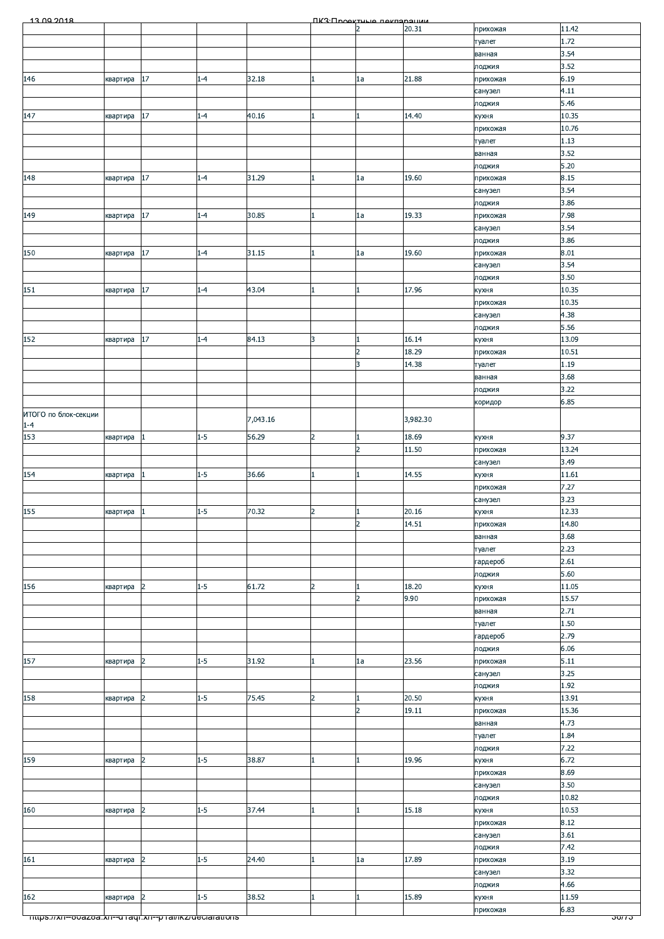| 20.31<br>11.42<br>C<br>прихожая<br>1.72<br>туалет<br>3.54<br>ванная<br>3.52<br>лоджия<br>6.19<br>17<br>32.18<br>21.88<br>146<br>$1 - 4$<br>1a<br>квартира<br>прихожая<br>4.11<br>санузел<br>5.46<br>лоджия<br>14.40<br>10.35<br>147<br>17<br>$1 - 4$<br>40.16<br>квартира<br>кухня<br>10.76<br>прихожая<br>1.13<br>туалет<br>3.52<br>ванная<br>5.20<br>лоджия<br>17<br>$1 - 4$<br>31.29<br>19.60<br>8.15<br>148<br>1a<br>квартира<br>прихожая<br>3.54<br>санузел<br>3.86<br>лоджия<br>19.33<br>7.98<br>149<br>17<br>$1 - 4$<br>30.85<br>1a<br>прихожая<br>квартира<br>3.54<br>санузел<br>3.86<br>лоджия<br>150<br>17<br>31.15<br>19.60<br>8.01<br>$1 - 4$<br>1a<br>квартира<br>прихожая<br>3.54<br>санузел<br>3.50<br>лоджия<br>10.35<br>151<br>17<br>$1 - 4$<br>43.04<br>17.96<br>квартира<br>кухня<br>10.35<br>прихожая<br>4.38<br>санузел<br>5.56<br>лоджия<br>152<br>17<br>$1 - 4$<br>84.13<br>16.14<br>13.09<br>3<br>квартира<br>кухня<br>18.29<br>10.51<br>$\overline{2}$<br>прихожая<br>3<br>14.38<br>1.19<br>туалет<br>3.68<br>ванная<br>3.22<br>лоджия<br>6.85<br>коридор<br>ИТОГО по блок-секции<br>7,043.16<br>3,982.30<br>$1 - 4$<br>153<br>$1 - 5$<br>56.29<br>$\overline{2}$<br>18.69<br>9.37<br>квартира<br>кухня<br>$\blacksquare$<br>13.24<br>$\overline{2}$<br>11.50<br>прихожая<br>3.49<br>санузел<br>$1 - 5$<br>14.55<br>11.61<br>154<br>36.66<br>кухня<br>квартира<br>7.27<br>прихожая<br>3.23<br>санузел<br>155<br>12.33<br>квартира $\boxed{1}$<br>$1 - 5$<br>70.32<br>$\overline{2}$<br>20.16<br>кухня<br>$\overline{2}$<br>14.51<br>14.80<br>прихожая<br>3.68<br>ванная<br>2.23<br>туалет<br>2.61<br>гардероб<br>5.60<br>лоджия<br>$1 - 5$<br>61.72<br>18.20<br>11.05<br>156<br>$\overline{2}$<br>$\overline{2}$<br>кухня<br>квартира<br>$\overline{2}$<br>9.90<br>15.57<br>прихожая<br>2.71<br>ванная<br>1.50<br>туалет<br>2.79<br>гардероб<br>6.06<br>лоджия<br>5.11<br>$\overline{2}$<br>$1 - 5$<br>31.92<br>23.56<br>157<br>1a<br>прихожая<br>квартира<br>3.25<br>санузел<br>1.92<br>лоджия<br>$1 - 5$<br>20.50<br>158<br>$\vert$ <sub>2</sub><br>75.45<br>$\overline{2}$<br>13.91<br>кухня<br>квартира<br>15.36<br>19.11<br>$\overline{2}$<br>прихожая<br>4.73<br>ванная<br>1.84<br>туалет<br>7.22<br>лоджия<br>$1 - 5$<br>19.96<br>6.72<br>159<br>$\overline{2}$<br>38.87<br>кухня<br>квартира<br>8.69<br>прихожая<br>3.50<br>санузел<br>10.82<br>лоджия<br>$1 - 5$<br>15.18<br>10.53<br>160<br>37.44<br>кухня<br>квартира<br>2<br>1<br>8.12<br>прихожая<br>3.61<br>санузел<br>7.42<br>лоджия<br>$1 - 5$<br>17.89<br>3.19<br>161<br>$\overline{2}$<br>24.40<br>1a<br>квартира<br>прихожая<br>3.32<br>санузел<br>4.66<br>лоджия<br>162<br>$1 - 5$<br>15.89<br>11.59<br>$\vert$ <sub>2</sub><br>38.52<br>квартира<br>кухня<br>6.83<br>прихожая<br><del>πιτρs.//xn--o∪azoa.xn--α raqi.xn--p ramκz/deciarations</del><br><u>ათი ა</u> | 13.00.2018 |  |  | <b><i><u>IK3: Проектине пекларации</u></i></b> |  |  |
|------------------------------------------------------------------------------------------------------------------------------------------------------------------------------------------------------------------------------------------------------------------------------------------------------------------------------------------------------------------------------------------------------------------------------------------------------------------------------------------------------------------------------------------------------------------------------------------------------------------------------------------------------------------------------------------------------------------------------------------------------------------------------------------------------------------------------------------------------------------------------------------------------------------------------------------------------------------------------------------------------------------------------------------------------------------------------------------------------------------------------------------------------------------------------------------------------------------------------------------------------------------------------------------------------------------------------------------------------------------------------------------------------------------------------------------------------------------------------------------------------------------------------------------------------------------------------------------------------------------------------------------------------------------------------------------------------------------------------------------------------------------------------------------------------------------------------------------------------------------------------------------------------------------------------------------------------------------------------------------------------------------------------------------------------------------------------------------------------------------------------------------------------------------------------------------------------------------------------------------------------------------------------------------------------------------------------------------------------------------------------------------------------------------------------------------------------------------------------------------------------------------------------------------------------------------------------------------------------------------------------------------------------------------------------------------------------------------------------------------------------------------------------------------------------------------------------------------------------------------|------------|--|--|------------------------------------------------|--|--|
|                                                                                                                                                                                                                                                                                                                                                                                                                                                                                                                                                                                                                                                                                                                                                                                                                                                                                                                                                                                                                                                                                                                                                                                                                                                                                                                                                                                                                                                                                                                                                                                                                                                                                                                                                                                                                                                                                                                                                                                                                                                                                                                                                                                                                                                                                                                                                                                                                                                                                                                                                                                                                                                                                                                                                                                                                                                                  |            |  |  |                                                |  |  |
|                                                                                                                                                                                                                                                                                                                                                                                                                                                                                                                                                                                                                                                                                                                                                                                                                                                                                                                                                                                                                                                                                                                                                                                                                                                                                                                                                                                                                                                                                                                                                                                                                                                                                                                                                                                                                                                                                                                                                                                                                                                                                                                                                                                                                                                                                                                                                                                                                                                                                                                                                                                                                                                                                                                                                                                                                                                                  |            |  |  |                                                |  |  |
|                                                                                                                                                                                                                                                                                                                                                                                                                                                                                                                                                                                                                                                                                                                                                                                                                                                                                                                                                                                                                                                                                                                                                                                                                                                                                                                                                                                                                                                                                                                                                                                                                                                                                                                                                                                                                                                                                                                                                                                                                                                                                                                                                                                                                                                                                                                                                                                                                                                                                                                                                                                                                                                                                                                                                                                                                                                                  |            |  |  |                                                |  |  |
|                                                                                                                                                                                                                                                                                                                                                                                                                                                                                                                                                                                                                                                                                                                                                                                                                                                                                                                                                                                                                                                                                                                                                                                                                                                                                                                                                                                                                                                                                                                                                                                                                                                                                                                                                                                                                                                                                                                                                                                                                                                                                                                                                                                                                                                                                                                                                                                                                                                                                                                                                                                                                                                                                                                                                                                                                                                                  |            |  |  |                                                |  |  |
|                                                                                                                                                                                                                                                                                                                                                                                                                                                                                                                                                                                                                                                                                                                                                                                                                                                                                                                                                                                                                                                                                                                                                                                                                                                                                                                                                                                                                                                                                                                                                                                                                                                                                                                                                                                                                                                                                                                                                                                                                                                                                                                                                                                                                                                                                                                                                                                                                                                                                                                                                                                                                                                                                                                                                                                                                                                                  |            |  |  |                                                |  |  |
|                                                                                                                                                                                                                                                                                                                                                                                                                                                                                                                                                                                                                                                                                                                                                                                                                                                                                                                                                                                                                                                                                                                                                                                                                                                                                                                                                                                                                                                                                                                                                                                                                                                                                                                                                                                                                                                                                                                                                                                                                                                                                                                                                                                                                                                                                                                                                                                                                                                                                                                                                                                                                                                                                                                                                                                                                                                                  |            |  |  |                                                |  |  |
|                                                                                                                                                                                                                                                                                                                                                                                                                                                                                                                                                                                                                                                                                                                                                                                                                                                                                                                                                                                                                                                                                                                                                                                                                                                                                                                                                                                                                                                                                                                                                                                                                                                                                                                                                                                                                                                                                                                                                                                                                                                                                                                                                                                                                                                                                                                                                                                                                                                                                                                                                                                                                                                                                                                                                                                                                                                                  |            |  |  |                                                |  |  |
|                                                                                                                                                                                                                                                                                                                                                                                                                                                                                                                                                                                                                                                                                                                                                                                                                                                                                                                                                                                                                                                                                                                                                                                                                                                                                                                                                                                                                                                                                                                                                                                                                                                                                                                                                                                                                                                                                                                                                                                                                                                                                                                                                                                                                                                                                                                                                                                                                                                                                                                                                                                                                                                                                                                                                                                                                                                                  |            |  |  |                                                |  |  |
|                                                                                                                                                                                                                                                                                                                                                                                                                                                                                                                                                                                                                                                                                                                                                                                                                                                                                                                                                                                                                                                                                                                                                                                                                                                                                                                                                                                                                                                                                                                                                                                                                                                                                                                                                                                                                                                                                                                                                                                                                                                                                                                                                                                                                                                                                                                                                                                                                                                                                                                                                                                                                                                                                                                                                                                                                                                                  |            |  |  |                                                |  |  |
|                                                                                                                                                                                                                                                                                                                                                                                                                                                                                                                                                                                                                                                                                                                                                                                                                                                                                                                                                                                                                                                                                                                                                                                                                                                                                                                                                                                                                                                                                                                                                                                                                                                                                                                                                                                                                                                                                                                                                                                                                                                                                                                                                                                                                                                                                                                                                                                                                                                                                                                                                                                                                                                                                                                                                                                                                                                                  |            |  |  |                                                |  |  |
|                                                                                                                                                                                                                                                                                                                                                                                                                                                                                                                                                                                                                                                                                                                                                                                                                                                                                                                                                                                                                                                                                                                                                                                                                                                                                                                                                                                                                                                                                                                                                                                                                                                                                                                                                                                                                                                                                                                                                                                                                                                                                                                                                                                                                                                                                                                                                                                                                                                                                                                                                                                                                                                                                                                                                                                                                                                                  |            |  |  |                                                |  |  |
|                                                                                                                                                                                                                                                                                                                                                                                                                                                                                                                                                                                                                                                                                                                                                                                                                                                                                                                                                                                                                                                                                                                                                                                                                                                                                                                                                                                                                                                                                                                                                                                                                                                                                                                                                                                                                                                                                                                                                                                                                                                                                                                                                                                                                                                                                                                                                                                                                                                                                                                                                                                                                                                                                                                                                                                                                                                                  |            |  |  |                                                |  |  |
|                                                                                                                                                                                                                                                                                                                                                                                                                                                                                                                                                                                                                                                                                                                                                                                                                                                                                                                                                                                                                                                                                                                                                                                                                                                                                                                                                                                                                                                                                                                                                                                                                                                                                                                                                                                                                                                                                                                                                                                                                                                                                                                                                                                                                                                                                                                                                                                                                                                                                                                                                                                                                                                                                                                                                                                                                                                                  |            |  |  |                                                |  |  |
|                                                                                                                                                                                                                                                                                                                                                                                                                                                                                                                                                                                                                                                                                                                                                                                                                                                                                                                                                                                                                                                                                                                                                                                                                                                                                                                                                                                                                                                                                                                                                                                                                                                                                                                                                                                                                                                                                                                                                                                                                                                                                                                                                                                                                                                                                                                                                                                                                                                                                                                                                                                                                                                                                                                                                                                                                                                                  |            |  |  |                                                |  |  |
|                                                                                                                                                                                                                                                                                                                                                                                                                                                                                                                                                                                                                                                                                                                                                                                                                                                                                                                                                                                                                                                                                                                                                                                                                                                                                                                                                                                                                                                                                                                                                                                                                                                                                                                                                                                                                                                                                                                                                                                                                                                                                                                                                                                                                                                                                                                                                                                                                                                                                                                                                                                                                                                                                                                                                                                                                                                                  |            |  |  |                                                |  |  |
|                                                                                                                                                                                                                                                                                                                                                                                                                                                                                                                                                                                                                                                                                                                                                                                                                                                                                                                                                                                                                                                                                                                                                                                                                                                                                                                                                                                                                                                                                                                                                                                                                                                                                                                                                                                                                                                                                                                                                                                                                                                                                                                                                                                                                                                                                                                                                                                                                                                                                                                                                                                                                                                                                                                                                                                                                                                                  |            |  |  |                                                |  |  |
|                                                                                                                                                                                                                                                                                                                                                                                                                                                                                                                                                                                                                                                                                                                                                                                                                                                                                                                                                                                                                                                                                                                                                                                                                                                                                                                                                                                                                                                                                                                                                                                                                                                                                                                                                                                                                                                                                                                                                                                                                                                                                                                                                                                                                                                                                                                                                                                                                                                                                                                                                                                                                                                                                                                                                                                                                                                                  |            |  |  |                                                |  |  |
|                                                                                                                                                                                                                                                                                                                                                                                                                                                                                                                                                                                                                                                                                                                                                                                                                                                                                                                                                                                                                                                                                                                                                                                                                                                                                                                                                                                                                                                                                                                                                                                                                                                                                                                                                                                                                                                                                                                                                                                                                                                                                                                                                                                                                                                                                                                                                                                                                                                                                                                                                                                                                                                                                                                                                                                                                                                                  |            |  |  |                                                |  |  |
|                                                                                                                                                                                                                                                                                                                                                                                                                                                                                                                                                                                                                                                                                                                                                                                                                                                                                                                                                                                                                                                                                                                                                                                                                                                                                                                                                                                                                                                                                                                                                                                                                                                                                                                                                                                                                                                                                                                                                                                                                                                                                                                                                                                                                                                                                                                                                                                                                                                                                                                                                                                                                                                                                                                                                                                                                                                                  |            |  |  |                                                |  |  |
|                                                                                                                                                                                                                                                                                                                                                                                                                                                                                                                                                                                                                                                                                                                                                                                                                                                                                                                                                                                                                                                                                                                                                                                                                                                                                                                                                                                                                                                                                                                                                                                                                                                                                                                                                                                                                                                                                                                                                                                                                                                                                                                                                                                                                                                                                                                                                                                                                                                                                                                                                                                                                                                                                                                                                                                                                                                                  |            |  |  |                                                |  |  |
|                                                                                                                                                                                                                                                                                                                                                                                                                                                                                                                                                                                                                                                                                                                                                                                                                                                                                                                                                                                                                                                                                                                                                                                                                                                                                                                                                                                                                                                                                                                                                                                                                                                                                                                                                                                                                                                                                                                                                                                                                                                                                                                                                                                                                                                                                                                                                                                                                                                                                                                                                                                                                                                                                                                                                                                                                                                                  |            |  |  |                                                |  |  |
|                                                                                                                                                                                                                                                                                                                                                                                                                                                                                                                                                                                                                                                                                                                                                                                                                                                                                                                                                                                                                                                                                                                                                                                                                                                                                                                                                                                                                                                                                                                                                                                                                                                                                                                                                                                                                                                                                                                                                                                                                                                                                                                                                                                                                                                                                                                                                                                                                                                                                                                                                                                                                                                                                                                                                                                                                                                                  |            |  |  |                                                |  |  |
|                                                                                                                                                                                                                                                                                                                                                                                                                                                                                                                                                                                                                                                                                                                                                                                                                                                                                                                                                                                                                                                                                                                                                                                                                                                                                                                                                                                                                                                                                                                                                                                                                                                                                                                                                                                                                                                                                                                                                                                                                                                                                                                                                                                                                                                                                                                                                                                                                                                                                                                                                                                                                                                                                                                                                                                                                                                                  |            |  |  |                                                |  |  |
|                                                                                                                                                                                                                                                                                                                                                                                                                                                                                                                                                                                                                                                                                                                                                                                                                                                                                                                                                                                                                                                                                                                                                                                                                                                                                                                                                                                                                                                                                                                                                                                                                                                                                                                                                                                                                                                                                                                                                                                                                                                                                                                                                                                                                                                                                                                                                                                                                                                                                                                                                                                                                                                                                                                                                                                                                                                                  |            |  |  |                                                |  |  |
|                                                                                                                                                                                                                                                                                                                                                                                                                                                                                                                                                                                                                                                                                                                                                                                                                                                                                                                                                                                                                                                                                                                                                                                                                                                                                                                                                                                                                                                                                                                                                                                                                                                                                                                                                                                                                                                                                                                                                                                                                                                                                                                                                                                                                                                                                                                                                                                                                                                                                                                                                                                                                                                                                                                                                                                                                                                                  |            |  |  |                                                |  |  |
|                                                                                                                                                                                                                                                                                                                                                                                                                                                                                                                                                                                                                                                                                                                                                                                                                                                                                                                                                                                                                                                                                                                                                                                                                                                                                                                                                                                                                                                                                                                                                                                                                                                                                                                                                                                                                                                                                                                                                                                                                                                                                                                                                                                                                                                                                                                                                                                                                                                                                                                                                                                                                                                                                                                                                                                                                                                                  |            |  |  |                                                |  |  |
|                                                                                                                                                                                                                                                                                                                                                                                                                                                                                                                                                                                                                                                                                                                                                                                                                                                                                                                                                                                                                                                                                                                                                                                                                                                                                                                                                                                                                                                                                                                                                                                                                                                                                                                                                                                                                                                                                                                                                                                                                                                                                                                                                                                                                                                                                                                                                                                                                                                                                                                                                                                                                                                                                                                                                                                                                                                                  |            |  |  |                                                |  |  |
|                                                                                                                                                                                                                                                                                                                                                                                                                                                                                                                                                                                                                                                                                                                                                                                                                                                                                                                                                                                                                                                                                                                                                                                                                                                                                                                                                                                                                                                                                                                                                                                                                                                                                                                                                                                                                                                                                                                                                                                                                                                                                                                                                                                                                                                                                                                                                                                                                                                                                                                                                                                                                                                                                                                                                                                                                                                                  |            |  |  |                                                |  |  |
|                                                                                                                                                                                                                                                                                                                                                                                                                                                                                                                                                                                                                                                                                                                                                                                                                                                                                                                                                                                                                                                                                                                                                                                                                                                                                                                                                                                                                                                                                                                                                                                                                                                                                                                                                                                                                                                                                                                                                                                                                                                                                                                                                                                                                                                                                                                                                                                                                                                                                                                                                                                                                                                                                                                                                                                                                                                                  |            |  |  |                                                |  |  |
|                                                                                                                                                                                                                                                                                                                                                                                                                                                                                                                                                                                                                                                                                                                                                                                                                                                                                                                                                                                                                                                                                                                                                                                                                                                                                                                                                                                                                                                                                                                                                                                                                                                                                                                                                                                                                                                                                                                                                                                                                                                                                                                                                                                                                                                                                                                                                                                                                                                                                                                                                                                                                                                                                                                                                                                                                                                                  |            |  |  |                                                |  |  |
|                                                                                                                                                                                                                                                                                                                                                                                                                                                                                                                                                                                                                                                                                                                                                                                                                                                                                                                                                                                                                                                                                                                                                                                                                                                                                                                                                                                                                                                                                                                                                                                                                                                                                                                                                                                                                                                                                                                                                                                                                                                                                                                                                                                                                                                                                                                                                                                                                                                                                                                                                                                                                                                                                                                                                                                                                                                                  |            |  |  |                                                |  |  |
|                                                                                                                                                                                                                                                                                                                                                                                                                                                                                                                                                                                                                                                                                                                                                                                                                                                                                                                                                                                                                                                                                                                                                                                                                                                                                                                                                                                                                                                                                                                                                                                                                                                                                                                                                                                                                                                                                                                                                                                                                                                                                                                                                                                                                                                                                                                                                                                                                                                                                                                                                                                                                                                                                                                                                                                                                                                                  |            |  |  |                                                |  |  |
|                                                                                                                                                                                                                                                                                                                                                                                                                                                                                                                                                                                                                                                                                                                                                                                                                                                                                                                                                                                                                                                                                                                                                                                                                                                                                                                                                                                                                                                                                                                                                                                                                                                                                                                                                                                                                                                                                                                                                                                                                                                                                                                                                                                                                                                                                                                                                                                                                                                                                                                                                                                                                                                                                                                                                                                                                                                                  |            |  |  |                                                |  |  |
|                                                                                                                                                                                                                                                                                                                                                                                                                                                                                                                                                                                                                                                                                                                                                                                                                                                                                                                                                                                                                                                                                                                                                                                                                                                                                                                                                                                                                                                                                                                                                                                                                                                                                                                                                                                                                                                                                                                                                                                                                                                                                                                                                                                                                                                                                                                                                                                                                                                                                                                                                                                                                                                                                                                                                                                                                                                                  |            |  |  |                                                |  |  |
|                                                                                                                                                                                                                                                                                                                                                                                                                                                                                                                                                                                                                                                                                                                                                                                                                                                                                                                                                                                                                                                                                                                                                                                                                                                                                                                                                                                                                                                                                                                                                                                                                                                                                                                                                                                                                                                                                                                                                                                                                                                                                                                                                                                                                                                                                                                                                                                                                                                                                                                                                                                                                                                                                                                                                                                                                                                                  |            |  |  |                                                |  |  |
|                                                                                                                                                                                                                                                                                                                                                                                                                                                                                                                                                                                                                                                                                                                                                                                                                                                                                                                                                                                                                                                                                                                                                                                                                                                                                                                                                                                                                                                                                                                                                                                                                                                                                                                                                                                                                                                                                                                                                                                                                                                                                                                                                                                                                                                                                                                                                                                                                                                                                                                                                                                                                                                                                                                                                                                                                                                                  |            |  |  |                                                |  |  |
|                                                                                                                                                                                                                                                                                                                                                                                                                                                                                                                                                                                                                                                                                                                                                                                                                                                                                                                                                                                                                                                                                                                                                                                                                                                                                                                                                                                                                                                                                                                                                                                                                                                                                                                                                                                                                                                                                                                                                                                                                                                                                                                                                                                                                                                                                                                                                                                                                                                                                                                                                                                                                                                                                                                                                                                                                                                                  |            |  |  |                                                |  |  |
|                                                                                                                                                                                                                                                                                                                                                                                                                                                                                                                                                                                                                                                                                                                                                                                                                                                                                                                                                                                                                                                                                                                                                                                                                                                                                                                                                                                                                                                                                                                                                                                                                                                                                                                                                                                                                                                                                                                                                                                                                                                                                                                                                                                                                                                                                                                                                                                                                                                                                                                                                                                                                                                                                                                                                                                                                                                                  |            |  |  |                                                |  |  |
|                                                                                                                                                                                                                                                                                                                                                                                                                                                                                                                                                                                                                                                                                                                                                                                                                                                                                                                                                                                                                                                                                                                                                                                                                                                                                                                                                                                                                                                                                                                                                                                                                                                                                                                                                                                                                                                                                                                                                                                                                                                                                                                                                                                                                                                                                                                                                                                                                                                                                                                                                                                                                                                                                                                                                                                                                                                                  |            |  |  |                                                |  |  |
|                                                                                                                                                                                                                                                                                                                                                                                                                                                                                                                                                                                                                                                                                                                                                                                                                                                                                                                                                                                                                                                                                                                                                                                                                                                                                                                                                                                                                                                                                                                                                                                                                                                                                                                                                                                                                                                                                                                                                                                                                                                                                                                                                                                                                                                                                                                                                                                                                                                                                                                                                                                                                                                                                                                                                                                                                                                                  |            |  |  |                                                |  |  |
|                                                                                                                                                                                                                                                                                                                                                                                                                                                                                                                                                                                                                                                                                                                                                                                                                                                                                                                                                                                                                                                                                                                                                                                                                                                                                                                                                                                                                                                                                                                                                                                                                                                                                                                                                                                                                                                                                                                                                                                                                                                                                                                                                                                                                                                                                                                                                                                                                                                                                                                                                                                                                                                                                                                                                                                                                                                                  |            |  |  |                                                |  |  |
|                                                                                                                                                                                                                                                                                                                                                                                                                                                                                                                                                                                                                                                                                                                                                                                                                                                                                                                                                                                                                                                                                                                                                                                                                                                                                                                                                                                                                                                                                                                                                                                                                                                                                                                                                                                                                                                                                                                                                                                                                                                                                                                                                                                                                                                                                                                                                                                                                                                                                                                                                                                                                                                                                                                                                                                                                                                                  |            |  |  |                                                |  |  |
|                                                                                                                                                                                                                                                                                                                                                                                                                                                                                                                                                                                                                                                                                                                                                                                                                                                                                                                                                                                                                                                                                                                                                                                                                                                                                                                                                                                                                                                                                                                                                                                                                                                                                                                                                                                                                                                                                                                                                                                                                                                                                                                                                                                                                                                                                                                                                                                                                                                                                                                                                                                                                                                                                                                                                                                                                                                                  |            |  |  |                                                |  |  |
|                                                                                                                                                                                                                                                                                                                                                                                                                                                                                                                                                                                                                                                                                                                                                                                                                                                                                                                                                                                                                                                                                                                                                                                                                                                                                                                                                                                                                                                                                                                                                                                                                                                                                                                                                                                                                                                                                                                                                                                                                                                                                                                                                                                                                                                                                                                                                                                                                                                                                                                                                                                                                                                                                                                                                                                                                                                                  |            |  |  |                                                |  |  |
|                                                                                                                                                                                                                                                                                                                                                                                                                                                                                                                                                                                                                                                                                                                                                                                                                                                                                                                                                                                                                                                                                                                                                                                                                                                                                                                                                                                                                                                                                                                                                                                                                                                                                                                                                                                                                                                                                                                                                                                                                                                                                                                                                                                                                                                                                                                                                                                                                                                                                                                                                                                                                                                                                                                                                                                                                                                                  |            |  |  |                                                |  |  |
|                                                                                                                                                                                                                                                                                                                                                                                                                                                                                                                                                                                                                                                                                                                                                                                                                                                                                                                                                                                                                                                                                                                                                                                                                                                                                                                                                                                                                                                                                                                                                                                                                                                                                                                                                                                                                                                                                                                                                                                                                                                                                                                                                                                                                                                                                                                                                                                                                                                                                                                                                                                                                                                                                                                                                                                                                                                                  |            |  |  |                                                |  |  |
|                                                                                                                                                                                                                                                                                                                                                                                                                                                                                                                                                                                                                                                                                                                                                                                                                                                                                                                                                                                                                                                                                                                                                                                                                                                                                                                                                                                                                                                                                                                                                                                                                                                                                                                                                                                                                                                                                                                                                                                                                                                                                                                                                                                                                                                                                                                                                                                                                                                                                                                                                                                                                                                                                                                                                                                                                                                                  |            |  |  |                                                |  |  |
|                                                                                                                                                                                                                                                                                                                                                                                                                                                                                                                                                                                                                                                                                                                                                                                                                                                                                                                                                                                                                                                                                                                                                                                                                                                                                                                                                                                                                                                                                                                                                                                                                                                                                                                                                                                                                                                                                                                                                                                                                                                                                                                                                                                                                                                                                                                                                                                                                                                                                                                                                                                                                                                                                                                                                                                                                                                                  |            |  |  |                                                |  |  |
|                                                                                                                                                                                                                                                                                                                                                                                                                                                                                                                                                                                                                                                                                                                                                                                                                                                                                                                                                                                                                                                                                                                                                                                                                                                                                                                                                                                                                                                                                                                                                                                                                                                                                                                                                                                                                                                                                                                                                                                                                                                                                                                                                                                                                                                                                                                                                                                                                                                                                                                                                                                                                                                                                                                                                                                                                                                                  |            |  |  |                                                |  |  |
|                                                                                                                                                                                                                                                                                                                                                                                                                                                                                                                                                                                                                                                                                                                                                                                                                                                                                                                                                                                                                                                                                                                                                                                                                                                                                                                                                                                                                                                                                                                                                                                                                                                                                                                                                                                                                                                                                                                                                                                                                                                                                                                                                                                                                                                                                                                                                                                                                                                                                                                                                                                                                                                                                                                                                                                                                                                                  |            |  |  |                                                |  |  |
|                                                                                                                                                                                                                                                                                                                                                                                                                                                                                                                                                                                                                                                                                                                                                                                                                                                                                                                                                                                                                                                                                                                                                                                                                                                                                                                                                                                                                                                                                                                                                                                                                                                                                                                                                                                                                                                                                                                                                                                                                                                                                                                                                                                                                                                                                                                                                                                                                                                                                                                                                                                                                                                                                                                                                                                                                                                                  |            |  |  |                                                |  |  |
|                                                                                                                                                                                                                                                                                                                                                                                                                                                                                                                                                                                                                                                                                                                                                                                                                                                                                                                                                                                                                                                                                                                                                                                                                                                                                                                                                                                                                                                                                                                                                                                                                                                                                                                                                                                                                                                                                                                                                                                                                                                                                                                                                                                                                                                                                                                                                                                                                                                                                                                                                                                                                                                                                                                                                                                                                                                                  |            |  |  |                                                |  |  |
|                                                                                                                                                                                                                                                                                                                                                                                                                                                                                                                                                                                                                                                                                                                                                                                                                                                                                                                                                                                                                                                                                                                                                                                                                                                                                                                                                                                                                                                                                                                                                                                                                                                                                                                                                                                                                                                                                                                                                                                                                                                                                                                                                                                                                                                                                                                                                                                                                                                                                                                                                                                                                                                                                                                                                                                                                                                                  |            |  |  |                                                |  |  |
|                                                                                                                                                                                                                                                                                                                                                                                                                                                                                                                                                                                                                                                                                                                                                                                                                                                                                                                                                                                                                                                                                                                                                                                                                                                                                                                                                                                                                                                                                                                                                                                                                                                                                                                                                                                                                                                                                                                                                                                                                                                                                                                                                                                                                                                                                                                                                                                                                                                                                                                                                                                                                                                                                                                                                                                                                                                                  |            |  |  |                                                |  |  |
|                                                                                                                                                                                                                                                                                                                                                                                                                                                                                                                                                                                                                                                                                                                                                                                                                                                                                                                                                                                                                                                                                                                                                                                                                                                                                                                                                                                                                                                                                                                                                                                                                                                                                                                                                                                                                                                                                                                                                                                                                                                                                                                                                                                                                                                                                                                                                                                                                                                                                                                                                                                                                                                                                                                                                                                                                                                                  |            |  |  |                                                |  |  |
|                                                                                                                                                                                                                                                                                                                                                                                                                                                                                                                                                                                                                                                                                                                                                                                                                                                                                                                                                                                                                                                                                                                                                                                                                                                                                                                                                                                                                                                                                                                                                                                                                                                                                                                                                                                                                                                                                                                                                                                                                                                                                                                                                                                                                                                                                                                                                                                                                                                                                                                                                                                                                                                                                                                                                                                                                                                                  |            |  |  |                                                |  |  |
|                                                                                                                                                                                                                                                                                                                                                                                                                                                                                                                                                                                                                                                                                                                                                                                                                                                                                                                                                                                                                                                                                                                                                                                                                                                                                                                                                                                                                                                                                                                                                                                                                                                                                                                                                                                                                                                                                                                                                                                                                                                                                                                                                                                                                                                                                                                                                                                                                                                                                                                                                                                                                                                                                                                                                                                                                                                                  |            |  |  |                                                |  |  |
|                                                                                                                                                                                                                                                                                                                                                                                                                                                                                                                                                                                                                                                                                                                                                                                                                                                                                                                                                                                                                                                                                                                                                                                                                                                                                                                                                                                                                                                                                                                                                                                                                                                                                                                                                                                                                                                                                                                                                                                                                                                                                                                                                                                                                                                                                                                                                                                                                                                                                                                                                                                                                                                                                                                                                                                                                                                                  |            |  |  |                                                |  |  |
|                                                                                                                                                                                                                                                                                                                                                                                                                                                                                                                                                                                                                                                                                                                                                                                                                                                                                                                                                                                                                                                                                                                                                                                                                                                                                                                                                                                                                                                                                                                                                                                                                                                                                                                                                                                                                                                                                                                                                                                                                                                                                                                                                                                                                                                                                                                                                                                                                                                                                                                                                                                                                                                                                                                                                                                                                                                                  |            |  |  |                                                |  |  |
|                                                                                                                                                                                                                                                                                                                                                                                                                                                                                                                                                                                                                                                                                                                                                                                                                                                                                                                                                                                                                                                                                                                                                                                                                                                                                                                                                                                                                                                                                                                                                                                                                                                                                                                                                                                                                                                                                                                                                                                                                                                                                                                                                                                                                                                                                                                                                                                                                                                                                                                                                                                                                                                                                                                                                                                                                                                                  |            |  |  |                                                |  |  |
|                                                                                                                                                                                                                                                                                                                                                                                                                                                                                                                                                                                                                                                                                                                                                                                                                                                                                                                                                                                                                                                                                                                                                                                                                                                                                                                                                                                                                                                                                                                                                                                                                                                                                                                                                                                                                                                                                                                                                                                                                                                                                                                                                                                                                                                                                                                                                                                                                                                                                                                                                                                                                                                                                                                                                                                                                                                                  |            |  |  |                                                |  |  |
|                                                                                                                                                                                                                                                                                                                                                                                                                                                                                                                                                                                                                                                                                                                                                                                                                                                                                                                                                                                                                                                                                                                                                                                                                                                                                                                                                                                                                                                                                                                                                                                                                                                                                                                                                                                                                                                                                                                                                                                                                                                                                                                                                                                                                                                                                                                                                                                                                                                                                                                                                                                                                                                                                                                                                                                                                                                                  |            |  |  |                                                |  |  |
|                                                                                                                                                                                                                                                                                                                                                                                                                                                                                                                                                                                                                                                                                                                                                                                                                                                                                                                                                                                                                                                                                                                                                                                                                                                                                                                                                                                                                                                                                                                                                                                                                                                                                                                                                                                                                                                                                                                                                                                                                                                                                                                                                                                                                                                                                                                                                                                                                                                                                                                                                                                                                                                                                                                                                                                                                                                                  |            |  |  |                                                |  |  |
|                                                                                                                                                                                                                                                                                                                                                                                                                                                                                                                                                                                                                                                                                                                                                                                                                                                                                                                                                                                                                                                                                                                                                                                                                                                                                                                                                                                                                                                                                                                                                                                                                                                                                                                                                                                                                                                                                                                                                                                                                                                                                                                                                                                                                                                                                                                                                                                                                                                                                                                                                                                                                                                                                                                                                                                                                                                                  |            |  |  |                                                |  |  |
|                                                                                                                                                                                                                                                                                                                                                                                                                                                                                                                                                                                                                                                                                                                                                                                                                                                                                                                                                                                                                                                                                                                                                                                                                                                                                                                                                                                                                                                                                                                                                                                                                                                                                                                                                                                                                                                                                                                                                                                                                                                                                                                                                                                                                                                                                                                                                                                                                                                                                                                                                                                                                                                                                                                                                                                                                                                                  |            |  |  |                                                |  |  |
|                                                                                                                                                                                                                                                                                                                                                                                                                                                                                                                                                                                                                                                                                                                                                                                                                                                                                                                                                                                                                                                                                                                                                                                                                                                                                                                                                                                                                                                                                                                                                                                                                                                                                                                                                                                                                                                                                                                                                                                                                                                                                                                                                                                                                                                                                                                                                                                                                                                                                                                                                                                                                                                                                                                                                                                                                                                                  |            |  |  |                                                |  |  |
|                                                                                                                                                                                                                                                                                                                                                                                                                                                                                                                                                                                                                                                                                                                                                                                                                                                                                                                                                                                                                                                                                                                                                                                                                                                                                                                                                                                                                                                                                                                                                                                                                                                                                                                                                                                                                                                                                                                                                                                                                                                                                                                                                                                                                                                                                                                                                                                                                                                                                                                                                                                                                                                                                                                                                                                                                                                                  |            |  |  |                                                |  |  |
|                                                                                                                                                                                                                                                                                                                                                                                                                                                                                                                                                                                                                                                                                                                                                                                                                                                                                                                                                                                                                                                                                                                                                                                                                                                                                                                                                                                                                                                                                                                                                                                                                                                                                                                                                                                                                                                                                                                                                                                                                                                                                                                                                                                                                                                                                                                                                                                                                                                                                                                                                                                                                                                                                                                                                                                                                                                                  |            |  |  |                                                |  |  |
|                                                                                                                                                                                                                                                                                                                                                                                                                                                                                                                                                                                                                                                                                                                                                                                                                                                                                                                                                                                                                                                                                                                                                                                                                                                                                                                                                                                                                                                                                                                                                                                                                                                                                                                                                                                                                                                                                                                                                                                                                                                                                                                                                                                                                                                                                                                                                                                                                                                                                                                                                                                                                                                                                                                                                                                                                                                                  |            |  |  |                                                |  |  |
|                                                                                                                                                                                                                                                                                                                                                                                                                                                                                                                                                                                                                                                                                                                                                                                                                                                                                                                                                                                                                                                                                                                                                                                                                                                                                                                                                                                                                                                                                                                                                                                                                                                                                                                                                                                                                                                                                                                                                                                                                                                                                                                                                                                                                                                                                                                                                                                                                                                                                                                                                                                                                                                                                                                                                                                                                                                                  |            |  |  |                                                |  |  |
|                                                                                                                                                                                                                                                                                                                                                                                                                                                                                                                                                                                                                                                                                                                                                                                                                                                                                                                                                                                                                                                                                                                                                                                                                                                                                                                                                                                                                                                                                                                                                                                                                                                                                                                                                                                                                                                                                                                                                                                                                                                                                                                                                                                                                                                                                                                                                                                                                                                                                                                                                                                                                                                                                                                                                                                                                                                                  |            |  |  |                                                |  |  |
|                                                                                                                                                                                                                                                                                                                                                                                                                                                                                                                                                                                                                                                                                                                                                                                                                                                                                                                                                                                                                                                                                                                                                                                                                                                                                                                                                                                                                                                                                                                                                                                                                                                                                                                                                                                                                                                                                                                                                                                                                                                                                                                                                                                                                                                                                                                                                                                                                                                                                                                                                                                                                                                                                                                                                                                                                                                                  |            |  |  |                                                |  |  |
|                                                                                                                                                                                                                                                                                                                                                                                                                                                                                                                                                                                                                                                                                                                                                                                                                                                                                                                                                                                                                                                                                                                                                                                                                                                                                                                                                                                                                                                                                                                                                                                                                                                                                                                                                                                                                                                                                                                                                                                                                                                                                                                                                                                                                                                                                                                                                                                                                                                                                                                                                                                                                                                                                                                                                                                                                                                                  |            |  |  |                                                |  |  |
|                                                                                                                                                                                                                                                                                                                                                                                                                                                                                                                                                                                                                                                                                                                                                                                                                                                                                                                                                                                                                                                                                                                                                                                                                                                                                                                                                                                                                                                                                                                                                                                                                                                                                                                                                                                                                                                                                                                                                                                                                                                                                                                                                                                                                                                                                                                                                                                                                                                                                                                                                                                                                                                                                                                                                                                                                                                                  |            |  |  |                                                |  |  |
|                                                                                                                                                                                                                                                                                                                                                                                                                                                                                                                                                                                                                                                                                                                                                                                                                                                                                                                                                                                                                                                                                                                                                                                                                                                                                                                                                                                                                                                                                                                                                                                                                                                                                                                                                                                                                                                                                                                                                                                                                                                                                                                                                                                                                                                                                                                                                                                                                                                                                                                                                                                                                                                                                                                                                                                                                                                                  |            |  |  |                                                |  |  |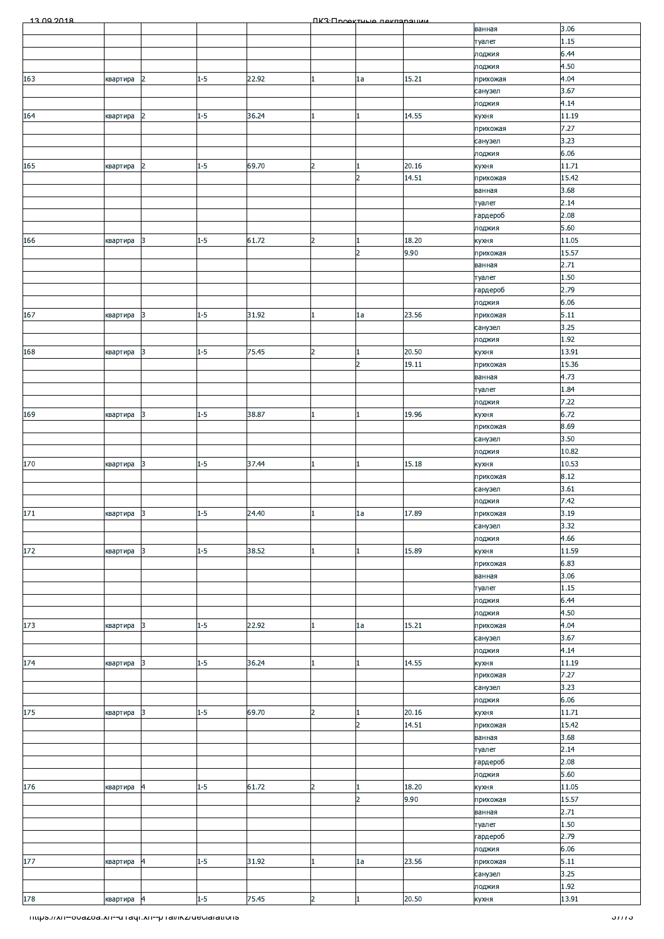| 13.00.2018                                            |            |                |         |       |                | ПКЗ Проектине пеклоронии |       |                    |                   |
|-------------------------------------------------------|------------|----------------|---------|-------|----------------|--------------------------|-------|--------------------|-------------------|
|                                                       |            |                |         |       |                |                          |       | ванная             | 3.06              |
|                                                       |            |                |         |       |                |                          |       | туалет             | 1.15              |
|                                                       |            |                |         |       |                |                          |       | лоджия             | 6.44              |
|                                                       |            |                |         |       |                |                          |       | лоджия             | 4.50              |
| 163                                                   | квартира   | 2              | $1 - 5$ | 22.92 |                | 1a                       | 15.21 | прихожая           | 4.04              |
|                                                       |            |                |         |       |                |                          |       | санузел            | 3.67              |
|                                                       |            |                |         |       |                |                          |       | лоджия             | 4.14              |
| 164                                                   | квартира   | 2              | $1 - 5$ | 36.24 |                |                          | 14.55 | кухня              | 11.19             |
|                                                       |            |                |         |       |                |                          |       | прихожая           | 7.27              |
|                                                       |            |                |         |       |                |                          |       | санузел            | 3.23              |
|                                                       |            |                |         |       |                |                          |       | лоджия             | 6.06              |
| 165                                                   | квартира   | 2              | $1 - 5$ | 69.70 | $\overline{2}$ |                          | 20.16 | кухня              | 11.71             |
|                                                       |            |                |         |       |                | $\overline{2}$           | 14.51 | прихожая           | 15.42             |
|                                                       |            |                |         |       |                |                          |       | ванная             | 3.68              |
|                                                       |            |                |         |       |                |                          |       | туалет             | 2.14              |
|                                                       |            |                |         |       |                |                          |       | гардероб           | 2.08              |
|                                                       |            |                |         |       |                |                          |       | лоджия             | 5.60              |
| 166                                                   | квартира   | 3              | $1 - 5$ | 61.72 | $\overline{2}$ |                          | 18.20 | кухня              | 11.05             |
|                                                       |            |                |         |       |                | $\overline{2}$           | 9.90  | прихожая           | 15.57             |
|                                                       |            |                |         |       |                |                          |       | ванная             | 2.71              |
|                                                       |            |                |         |       |                |                          |       | туалет             | 1.50              |
|                                                       |            |                |         |       |                |                          |       |                    | 2.79              |
|                                                       |            |                |         |       |                |                          |       | гардероб<br>лоджия | 6.06              |
|                                                       |            | 3              | $1 - 5$ | 31.92 |                |                          | 23.56 |                    |                   |
| 167                                                   | квартира   |                |         |       |                | 1a                       |       | прихожая           | 5.11<br>3.25      |
|                                                       |            |                |         |       |                |                          |       | санузел            |                   |
|                                                       |            |                |         |       |                |                          |       | лоджия             | 1.92              |
| 168                                                   | квартира   | 3              | $1 - 5$ | 75.45 | $\overline{2}$ |                          | 20.50 | кухня              | 13.91             |
|                                                       |            |                |         |       |                | $\overline{2}$           | 19.11 | прихожая           | 15.36             |
|                                                       |            |                |         |       |                |                          |       | ванная             | 4.73              |
|                                                       |            |                |         |       |                |                          |       | туалет             | 1.84              |
|                                                       |            |                |         |       |                |                          |       | лоджия             | 7.22              |
| 169                                                   | квартира   | 3              | $1 - 5$ | 38.87 |                |                          | 19.96 | кухня              | 6.72              |
|                                                       |            |                |         |       |                |                          |       | прихожая           | 8.69              |
|                                                       |            |                |         |       |                |                          |       | санузел            | 3.50              |
|                                                       |            |                |         |       |                |                          |       | лоджия             | 10.82             |
| 170                                                   | квартира   | 3              | $1 - 5$ | 37.44 |                |                          | 15.18 | кухня              | 10.53             |
|                                                       |            |                |         |       |                |                          |       | прихожая           | 8.12              |
|                                                       |            |                |         |       |                |                          |       | санузел            | 3.61              |
|                                                       |            |                |         |       |                |                          |       | лоджия             | 7.42              |
| 171                                                   | квартира 3 |                | $1-5$   | 24.40 |                | $1\mathrm{a}$            | 17.89 | прихожая           | 3.19              |
|                                                       |            |                |         |       |                |                          |       | санузел            | 3.32              |
|                                                       |            |                |         |       |                |                          |       | лоджия             | 4.66              |
| 172                                                   | квартира   | 3              | $1 - 5$ | 38.52 |                |                          | 15.89 | кухня              | 11.59             |
|                                                       |            |                |         |       |                |                          |       | прихожая           | 6.83              |
|                                                       |            |                |         |       |                |                          |       | ванная             | 3.06              |
|                                                       |            |                |         |       |                |                          |       | туалет             | 1.15              |
|                                                       |            |                |         |       |                |                          |       | лоджия             | 6.44              |
|                                                       |            |                |         |       |                |                          |       | лоджия             | 4.50              |
| 173                                                   | квартира   | 3              | $1 - 5$ | 22.92 |                | 1a                       | 15.21 | прихожая           | 4.04              |
|                                                       |            |                |         |       |                |                          |       | санузел            | 3.67              |
|                                                       |            |                |         |       |                |                          |       | лоджия             | 4.14              |
| 174                                                   | квартира   | 3              | $1 - 5$ | 36.24 |                |                          | 14.55 | кухня              | 11.19             |
|                                                       |            |                |         |       |                |                          |       | прихожая           | 7.27              |
|                                                       |            |                |         |       |                |                          |       | санузел            | 3.23              |
|                                                       |            |                |         |       |                |                          |       | лоджия             | 6.06              |
| 175                                                   | квартира   | 3              | $1 - 5$ | 69.70 | $\overline{2}$ |                          | 20.16 | кухня              | 11.71             |
|                                                       |            |                |         |       |                | $\overline{2}$           | 14.51 | прихожая           | 15.42             |
|                                                       |            |                |         |       |                |                          |       | ванная             | 3.68              |
|                                                       |            |                |         |       |                |                          |       | туалет             | 2.14              |
|                                                       |            |                |         |       |                |                          |       | гардероб           | 2.08              |
|                                                       |            |                |         |       |                |                          |       | лоджия             | 5.60              |
| 176                                                   | квартира   | $\overline{a}$ | $1 - 5$ | 61.72 | $\overline{2}$ |                          | 18.20 | кухня              | 11.05             |
|                                                       |            |                |         |       |                | $\overline{2}$           | 9.90  | прихожая           | 15.57             |
|                                                       |            |                |         |       |                |                          |       | ванная             | 2.71              |
|                                                       |            |                |         |       |                |                          |       | туалет             | 1.50              |
|                                                       |            |                |         |       |                |                          |       |                    | 2.79              |
|                                                       |            |                |         |       |                |                          |       | гардероб<br>лоджия | 6.06              |
| 177                                                   | квартира   | 4              | $1 - 5$ | 31.92 |                | 1a                       | 23.56 | прихожая           | 5.11              |
|                                                       |            |                |         |       |                |                          |       | санузел            | 3.25              |
|                                                       |            |                |         |       |                |                          |       | лоджия             | 1.92              |
| 178                                                   | квартира 4 |                | $1 - 5$ | 75.45 | $\overline{2}$ |                          | 20.50 |                    | 13.91             |
|                                                       |            |                |         |       |                |                          |       | кухня              |                   |
| mups.//xn--ovazoa.xn--anaqr.xn--phai/ikz/declarations |            |                |         |       |                |                          |       |                    | <i><b>ama</b></i> |
|                                                       |            |                |         |       |                |                          |       |                    |                   |
|                                                       |            |                |         |       |                |                          |       |                    |                   |
|                                                       |            |                |         |       |                |                          |       |                    |                   |
|                                                       |            |                |         |       |                |                          |       |                    |                   |
|                                                       |            |                |         |       |                |                          |       |                    |                   |
|                                                       |            |                |         |       |                |                          |       |                    |                   |
|                                                       |            |                |         |       |                |                          |       |                    |                   |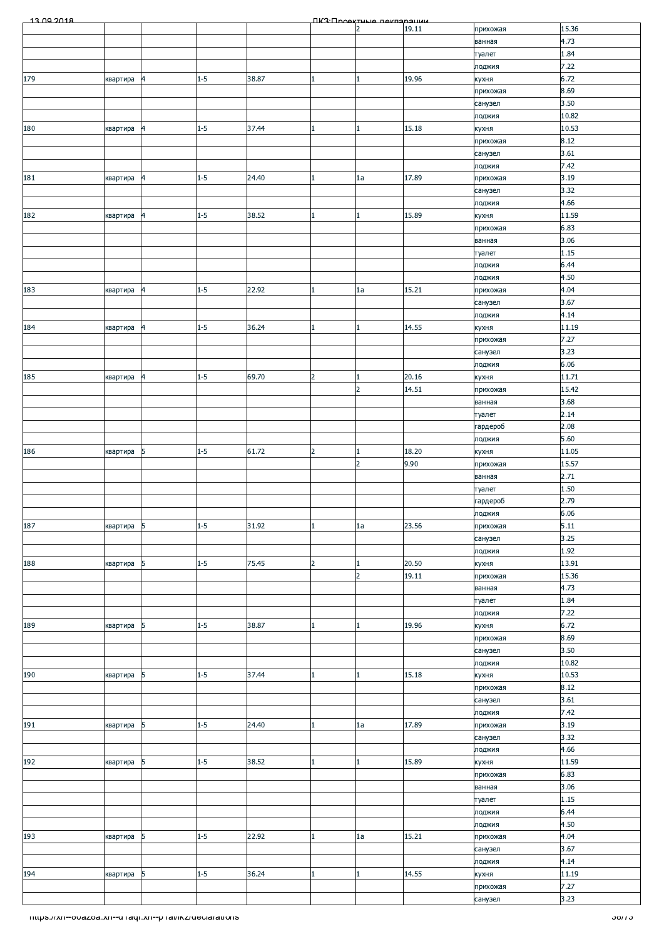| 13.00.2018                                            |          |                 |         |       |                | ΠΚ3:Προοκτυμιο ποκπαραμικικ |       |                     |                 |
|-------------------------------------------------------|----------|-----------------|---------|-------|----------------|-----------------------------|-------|---------------------|-----------------|
|                                                       |          |                 |         |       |                | $\overline{2}$              | 19.11 | прихожая            | 15.36           |
|                                                       |          |                 |         |       |                |                             |       | ванная              | 4.73            |
|                                                       |          |                 |         |       |                |                             |       | туалет<br>лоджия    | 1.84<br>7.22    |
| 179                                                   | квартира | $\vert 4 \vert$ | $1 - 5$ | 38.87 |                | 1                           | 19.96 | кухня               | 6.72            |
|                                                       |          |                 |         |       |                |                             |       | прихожая            | 8.69            |
|                                                       |          |                 |         |       |                |                             |       | санузел             | 3.50            |
|                                                       |          |                 |         |       |                |                             |       | лоджия              | 10.82           |
| 180                                                   | квартира | 4               | $1 - 5$ | 37.44 |                | 1                           | 15.18 | кухня<br>прихожая   | 10.53<br>8.12   |
|                                                       |          |                 |         |       |                |                             |       | санузел             | 3.61            |
|                                                       |          |                 |         |       |                |                             |       | лоджия              | 7.42            |
| 181                                                   | квартира | $\overline{4}$  | $1 - 5$ | 24.40 |                | 1a                          | 17.89 | прихожая            | 3.19            |
|                                                       |          |                 |         |       |                |                             |       | санузел             | 3.32            |
|                                                       |          |                 |         |       |                |                             |       | лоджия              | 4.66            |
| 182                                                   | квартира | 4               | $1 - 5$ | 38.52 |                | 1                           | 15.89 | кухня<br>прихожая   | 11.59<br>6.83   |
|                                                       |          |                 |         |       |                |                             |       | ванная              | 3.06            |
|                                                       |          |                 |         |       |                |                             |       | туалет              | 1.15            |
|                                                       |          |                 |         |       |                |                             |       | лоджия              | 6.44            |
|                                                       |          |                 |         |       |                |                             |       | лоджия              | 4.50            |
| 183                                                   | квартира | $\vert 4 \vert$ | $1 - 5$ | 22.92 |                | 1a                          | 15.21 | прихожая            | 4.04            |
|                                                       |          |                 |         |       |                |                             |       | санузел<br>лоджия   | 3.67<br>4.14    |
| 184                                                   | квартира | $\overline{a}$  | $1 - 5$ | 36.24 |                | $\mathbf{1}$                | 14.55 | кухня               | 11.19           |
|                                                       |          |                 |         |       |                |                             |       | прихожая            | 7.27            |
|                                                       |          |                 |         |       |                |                             |       | санузел             | 3.23            |
|                                                       |          |                 |         |       |                |                             |       | лоджия              | 6.06            |
| 185                                                   | квартира | $\vert 4 \vert$ | $1 - 5$ | 69.70 | $\overline{2}$ | $\mathbf{1}$                | 20.16 | кухня               | 11.71           |
|                                                       |          |                 |         |       |                | $\overline{2}$              | 14.51 | прихожая            | 15.42           |
|                                                       |          |                 |         |       |                |                             |       | ванная<br>туалет    | 3.68<br>2.14    |
|                                                       |          |                 |         |       |                |                             |       | гардероб            | 2.08            |
|                                                       |          |                 |         |       |                |                             |       | лоджия              | 5.60            |
| 186                                                   | квартира | 5               | $1 - 5$ | 61.72 | $\overline{2}$ | $\mathbf{1}$                | 18.20 | кухня               | 11.05           |
|                                                       |          |                 |         |       |                | $\overline{2}$              | 9.90  | прихожая            | 15.57           |
|                                                       |          |                 |         |       |                |                             |       | ванная              | 2.71            |
|                                                       |          |                 |         |       |                |                             |       | туалет              | 1.50            |
|                                                       |          |                 |         |       |                |                             |       | гардероб            | 2.79            |
| 187                                                   |          | 5               | $1 - 5$ | 31.92 |                | 1a                          | 23.56 | лоджия              | 6.06<br>5.11    |
|                                                       | квартира |                 |         |       |                |                             |       | прихожая<br>санузел | 3.25            |
|                                                       |          |                 |         |       |                |                             |       | лоджия              | 1.92            |
| 188                                                   | квартира | 5               | $1 - 5$ | 75.45 | $\overline{2}$ | 1                           | 20.50 | кухня               | 13.91           |
|                                                       |          |                 |         |       |                | $\overline{2}$              | 19.11 | прихожая            | 15.36           |
|                                                       |          |                 |         |       |                |                             |       | ванная              | 4.73            |
|                                                       |          |                 |         |       |                |                             |       | туалет              | 1.84            |
| 189                                                   |          | 5               | $1 - 5$ | 38.87 |                | 1                           | 19.96 | лоджия              | 7.22<br>6.72    |
|                                                       | квартира |                 |         |       |                |                             |       | кухня<br>прихожая   | 8.69            |
|                                                       |          |                 |         |       |                |                             |       | санузел             | 3.50            |
|                                                       |          |                 |         |       |                |                             |       | лоджия              | 10.82           |
| 190                                                   | квартира | 5               | $1 - 5$ | 37.44 |                | 1                           | 15.18 | кухня               | 10.53           |
|                                                       |          |                 |         |       |                |                             |       | прихожая            | 8.12            |
|                                                       |          |                 |         |       |                |                             |       | санузел             | 3.61            |
| 191                                                   | квартира | 5               | $1 - 5$ | 24.40 |                | 1a                          | 17.89 | лоджия<br>прихожая  | 7.42<br>3.19    |
|                                                       |          |                 |         |       |                |                             |       | санузел             | 3.32            |
|                                                       |          |                 |         |       |                |                             |       | лоджия              | 4.66            |
| 192                                                   | квартира | 5               | $1 - 5$ | 38.52 |                | $\mathbf{1}$                | 15.89 | кухня               | 11.59           |
|                                                       |          |                 |         |       |                |                             |       | прихожая            | 6.83            |
|                                                       |          |                 |         |       |                |                             |       | ванная              | 3.06            |
|                                                       |          |                 |         |       |                |                             |       | туалет              | 1.15            |
|                                                       |          |                 |         |       |                |                             |       | лоджия<br>лоджия    | 6.44<br>4.50    |
| 193                                                   | квартира | 15              | $1 - 5$ | 22.92 |                | 1a                          | 15.21 | прихожая            | 4.04            |
|                                                       |          |                 |         |       |                |                             |       | санузел             | 3.67            |
|                                                       |          |                 |         |       |                |                             |       | лоджия              | 4.14            |
| 194                                                   | квартира | 5               | $1 - 5$ | 36.24 |                | $\mathbf{1}$                | 14.55 | кухня               | 11.19           |
|                                                       |          |                 |         |       |                |                             |       | прихожая            | 7.27            |
|                                                       |          |                 |         |       |                |                             |       | санузел             | 3.23            |
| mups.//xn--ovazoa.xn--u raqr.xn--p ramkz/ueciarations |          |                 |         |       |                |                             |       |                     | <u>50775 - </u> |
|                                                       |          |                 |         |       |                |                             |       |                     |                 |
|                                                       |          |                 |         |       |                |                             |       |                     |                 |
|                                                       |          |                 |         |       |                |                             |       |                     |                 |
|                                                       |          |                 |         |       |                |                             |       |                     |                 |
|                                                       |          |                 |         |       |                |                             |       |                     |                 |
|                                                       |          |                 |         |       |                |                             |       |                     |                 |
|                                                       |          |                 |         |       |                |                             |       |                     |                 |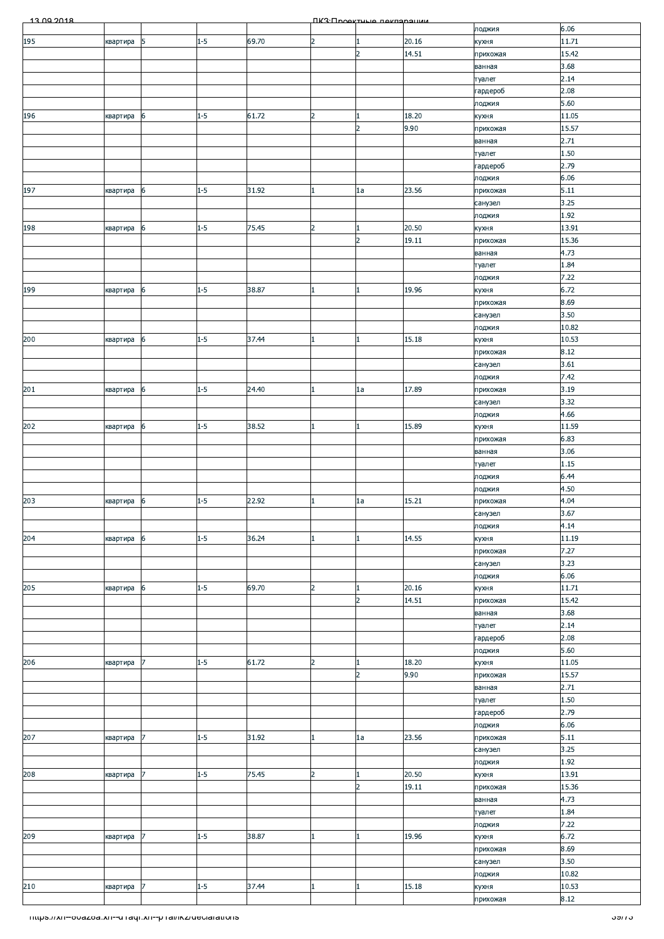| 13.00.2018                                            |          |            |         |       |                | <b><i><u>IK3: Проектина пекларации</u></i></b> |       |                     |                |
|-------------------------------------------------------|----------|------------|---------|-------|----------------|------------------------------------------------|-------|---------------------|----------------|
|                                                       |          |            |         |       |                |                                                |       | лоджия              | 6.06           |
| 195                                                   | квартира | $\sqrt{5}$ | $1 - 5$ | 69.70 | $\overline{2}$ |                                                | 20.16 | кухня               | 11.71          |
|                                                       |          |            |         |       |                | $\overline{2}$                                 | 14.51 | прихожая            | 15.42          |
|                                                       |          |            |         |       |                |                                                |       | ванная<br>туалет    | 3.68<br>2.14   |
|                                                       |          |            |         |       |                |                                                |       | гардероб            | 2.08           |
|                                                       |          |            |         |       |                |                                                |       | лоджия              | 5.60           |
| 196                                                   | квартира | 6          | $1 - 5$ | 61.72 | $\overline{2}$ |                                                | 18.20 | кухня               | 11.05          |
|                                                       |          |            |         |       |                | $\overline{2}$                                 | 9.90  | прихожая            | 15.57          |
|                                                       |          |            |         |       |                |                                                |       | ванная              | 2.71           |
|                                                       |          |            |         |       |                |                                                |       | туалет              | 1.50           |
|                                                       |          |            |         |       |                |                                                |       | гардероб            | 2.79           |
|                                                       |          |            |         |       |                |                                                |       | лоджия              | 6.06           |
| 197                                                   | квартира | 6          | $1 - 5$ | 31.92 | $\mathbf{1}$   | 1a                                             | 23.56 | прихожая            | 5.11           |
|                                                       |          |            |         |       |                |                                                |       | санузел<br>лоджия   | 3.25<br>1.92   |
| 198                                                   | квартира | 6          | $1 - 5$ | 75.45 | 2              |                                                | 20.50 | кухня               | 13.91          |
|                                                       |          |            |         |       |                | $\overline{2}$                                 | 19.11 | прихожая            | 15.36          |
|                                                       |          |            |         |       |                |                                                |       | ванная              | 4.73           |
|                                                       |          |            |         |       |                |                                                |       | туалет              | 1.84           |
|                                                       |          |            |         |       |                |                                                |       | лоджия              | 7.22           |
| 199                                                   | квартира | 6          | $1 - 5$ | 38.87 |                |                                                | 19.96 | кухня               | 6.72           |
|                                                       |          |            |         |       |                |                                                |       | прихожая            | 8.69           |
|                                                       |          |            |         |       |                |                                                |       | санузел             | 3.50           |
|                                                       |          |            |         |       |                |                                                |       | лоджия              | 10.82          |
| 200                                                   | квартира | 6          | $1 - 5$ | 37.44 |                |                                                | 15.18 | кухня               | 10.53<br>8.12  |
|                                                       |          |            |         |       |                |                                                |       | прихожая<br>санузел | 3.61           |
|                                                       |          |            |         |       |                |                                                |       | лоджия              | 7.42           |
| 201                                                   | квартира | 6          | $1 - 5$ | 24.40 |                | 1a                                             | 17.89 | прихожая            | 3.19           |
|                                                       |          |            |         |       |                |                                                |       | санузел             | 3.32           |
|                                                       |          |            |         |       |                |                                                |       | лоджия              | 4.66           |
| 202                                                   | квартира | 6          | $1 - 5$ | 38.52 |                |                                                | 15.89 | кухня               | 11.59          |
|                                                       |          |            |         |       |                |                                                |       | прихожая            | 6.83           |
|                                                       |          |            |         |       |                |                                                |       | ванная              | 3.06           |
|                                                       |          |            |         |       |                |                                                |       | туалет              | 1.15           |
|                                                       |          |            |         |       |                |                                                |       | лоджия              | 6.44<br>4.50   |
|                                                       | квартира | 6          | $1 - 5$ | 22.92 |                | 1a                                             | 15.21 | лоджия<br>прихожая  | 4.04           |
| $\frac{203}{2}$                                       |          |            |         |       |                |                                                |       | санузел             | 3.67           |
|                                                       |          |            |         |       |                |                                                |       | лоджия              | 4.14           |
| 204                                                   | квартира | 6          | $1 - 5$ | 36.24 |                |                                                | 14.55 | кухня               | 11.19          |
|                                                       |          |            |         |       |                |                                                |       | прихожая            | 7.27           |
|                                                       |          |            |         |       |                |                                                |       | санузел             | 3.23           |
|                                                       |          |            |         |       |                |                                                |       | лоджия              | 6.06           |
| 205                                                   | квартира | 6          | $1 - 5$ | 69.70 | $\overline{2}$ | 1.                                             | 20.16 | кухня               | 11.71          |
|                                                       |          |            |         |       |                | $\overline{2}$                                 | 14.51 | прихожая            | 15.42          |
|                                                       |          |            |         |       |                |                                                |       | ванная              | 3.68           |
|                                                       |          |            |         |       |                |                                                |       | туалет              | 2.14<br>2.08   |
|                                                       |          |            |         |       |                |                                                |       | гардероб<br>лоджия  | 5.60           |
| 206                                                   | квартира |            | $1 - 5$ | 61.72 | $\overline{2}$ |                                                | 18.20 | кухня               | 11.05          |
|                                                       |          |            |         |       |                | $\overline{2}$                                 | 9.90  | прихожая            | 15.57          |
|                                                       |          |            |         |       |                |                                                |       | ванная              | 2.71           |
|                                                       |          |            |         |       |                |                                                |       | туалет              | 1.50           |
|                                                       |          |            |         |       |                |                                                |       | гардероб            | 2.79           |
|                                                       |          |            |         |       |                |                                                |       | лоджия              | 6.06           |
| 207                                                   | квартира | 7          | $1 - 5$ | 31.92 |                | 1a                                             | 23.56 | прихожая            | 5.11           |
|                                                       |          |            |         |       |                |                                                |       | санузел             | 3.25           |
| 208                                                   |          | 7          | $1 - 5$ | 75.45 | $\overline{2}$ |                                                | 20.50 | лоджия              | 1.92<br>13.91  |
|                                                       | квартира |            |         |       |                | $\overline{2}$                                 | 19.11 | кухня<br>прихожая   | 15.36          |
|                                                       |          |            |         |       |                |                                                |       | ванная              | 4.73           |
|                                                       |          |            |         |       |                |                                                |       | туалет              | 1.84           |
|                                                       |          |            |         |       |                |                                                |       | лоджия              | 7.22           |
| 209                                                   | квартира | 7          | $1 - 5$ | 38.87 | $\mathbf{1}$   |                                                | 19.96 | кухня               | 6.72           |
|                                                       |          |            |         |       |                |                                                |       | прихожая            | 8.69           |
|                                                       |          |            |         |       |                |                                                |       | санузел             | 3.50           |
|                                                       |          |            |         |       |                |                                                |       | лоджия              | 10.82          |
| 210                                                   | квартира | 7          | $1 - 5$ | 37.44 |                |                                                | 15.18 | кухня               | 10.53          |
|                                                       |          |            |         |       |                |                                                |       | прихожая            | 8.12           |
| mups.//xn--ovazoa.xn--u raqr.xn--p ramkz/ueciarations |          |            |         |       |                |                                                |       |                     | <u>ວອ/1 ວັ</u> |
|                                                       |          |            |         |       |                |                                                |       |                     |                |
|                                                       |          |            |         |       |                |                                                |       |                     |                |
|                                                       |          |            |         |       |                |                                                |       |                     |                |
|                                                       |          |            |         |       |                |                                                |       |                     |                |
|                                                       |          |            |         |       |                |                                                |       |                     |                |
|                                                       |          |            |         |       |                |                                                |       |                     |                |
|                                                       |          |            |         |       |                |                                                |       |                     |                |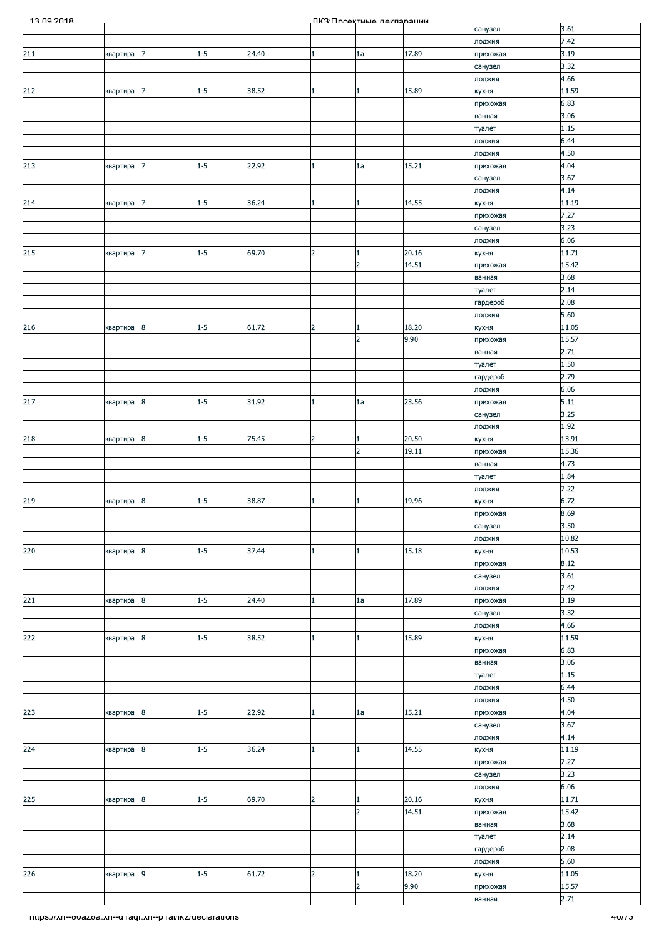| 13.00.2018                                              |          |                  |         |       |                | ΠΚ3:Προοκτυμιο ποκπαραμικικ    |                |                     |                |
|---------------------------------------------------------|----------|------------------|---------|-------|----------------|--------------------------------|----------------|---------------------|----------------|
|                                                         |          |                  |         |       |                |                                |                | санузел             | 3.61           |
| 211                                                     | квартира | 17               | $1 - 5$ | 24.40 |                | 1a                             | 17.89          | лоджия<br>прихожая  | 7.42<br>3.19   |
|                                                         |          |                  |         |       |                |                                |                | санузел             | 3.32           |
|                                                         |          |                  |         |       |                |                                |                | лоджия              | 4.66           |
| 212                                                     | квартира | 17               | $1 - 5$ | 38.52 |                | 1                              | 15.89          | кухня               | 11.59          |
|                                                         |          |                  |         |       |                |                                |                | прихожая            | 6.83           |
|                                                         |          |                  |         |       |                |                                |                | ванная<br>туалет    | 3.06<br>1.15   |
|                                                         |          |                  |         |       |                |                                |                | лоджия              | 6.44           |
|                                                         |          |                  |         |       |                |                                |                | лоджия              | 4.50           |
| 213                                                     | квартира | 17               | $1 - 5$ | 22.92 |                | 1a                             | 15.21          | прихожая            | 4.04           |
|                                                         |          |                  |         |       |                |                                |                | санузел             | 3.67           |
| 214                                                     | квартира | 7                | $1 - 5$ | 36.24 |                | $\mathbf{1}$                   | 14.55          | лоджия<br>кухня     | 4.14<br>11.19  |
|                                                         |          |                  |         |       |                |                                |                | прихожая            | 7.27           |
|                                                         |          |                  |         |       |                |                                |                | санузел             | 3.23           |
|                                                         |          |                  |         |       |                |                                |                | лоджия              | 6.06           |
| 215                                                     | квартира | 17               | $1 - 5$ | 69.70 | 2              | 1                              | 20.16          | кухня               | 11.71          |
|                                                         |          |                  |         |       |                | $\overline{2}$                 | 14.51          | прихожая            | 15.42<br>3.68  |
|                                                         |          |                  |         |       |                |                                |                | ванная<br>туалет    | 2.14           |
|                                                         |          |                  |         |       |                |                                |                | гардероб            | 2.08           |
|                                                         |          |                  |         |       |                |                                |                | лоджия              | 5.60           |
| 216                                                     | квартира | $\boldsymbol{8}$ | $1 - 5$ | 61.72 | $\overline{2}$ | $\mathbf{1}$                   | 18.20          | кухня               | 11.05          |
|                                                         |          |                  |         |       |                | $\overline{2}$                 | 9.90           | прихожая            | 15.57          |
|                                                         |          |                  |         |       |                |                                |                | ванная<br>туалет    | 2.71<br>1.50   |
|                                                         |          |                  |         |       |                |                                |                | гардероб            | 2.79           |
|                                                         |          |                  |         |       |                |                                |                | лоджия              | 6.06           |
| 217                                                     | квартира | 8                | $1 - 5$ | 31.92 |                | 1a                             | 23.56          | прихожая            | 5.11           |
|                                                         |          |                  |         |       |                |                                |                | санузел             | 3.25           |
|                                                         |          |                  |         |       |                |                                |                | лоджия              | 1.92           |
| 218                                                     | квартира | $\boldsymbol{8}$ | $1 - 5$ | 75.45 | $\overline{2}$ | $\mathbf{1}$<br>$\overline{2}$ | 20.50<br>19.11 | кухня<br>прихожая   | 13.91<br>15.36 |
|                                                         |          |                  |         |       |                |                                |                | ванная              | 4.73           |
|                                                         |          |                  |         |       |                |                                |                | туалет              | 1.84           |
|                                                         |          |                  |         |       |                |                                |                | лоджия              | 7.22           |
| 219                                                     | квартира | $\boldsymbol{8}$ | $1 - 5$ | 38.87 |                | 1                              | 19.96          | кухня               | 6.72           |
|                                                         |          |                  |         |       |                |                                |                | прихожая            | 8.69<br>3.50   |
|                                                         |          |                  |         |       |                |                                |                | санузел<br>лоджия   | 10.82          |
| 220                                                     | квартира | 8                | $1 - 5$ | 37.44 |                | 1                              | 15.18          | кухня               | 10.53          |
|                                                         |          |                  |         |       |                |                                |                | прихожая            | 8.12           |
|                                                         |          |                  |         |       |                |                                |                | санузел             | 3.61           |
|                                                         |          |                  |         |       |                |                                |                | лоджия              | 7.42           |
| 221                                                     | квартира | $\boldsymbol{8}$ | $1 - 5$ | 24.40 |                | 1a                             | 17.89          | прихожая<br>санузел | 3.19<br>3.32   |
|                                                         |          |                  |         |       |                |                                |                | лоджия              | 4.66           |
| 222                                                     | квартира | $\boldsymbol{8}$ | $1 - 5$ | 38.52 |                | 1                              | 15.89          | кухня               | 11.59          |
|                                                         |          |                  |         |       |                |                                |                | прихожая            | 6.83           |
|                                                         |          |                  |         |       |                |                                |                | ванная              | 3.06           |
|                                                         |          |                  |         |       |                |                                |                | туалет<br>лоджия    | 1.15<br>6.44   |
|                                                         |          |                  |         |       |                |                                |                | лоджия              | 4.50           |
| 223                                                     | квартира | 8                | $1 - 5$ | 22.92 |                | 1a                             | 15.21          | прихожая            | 4.04           |
|                                                         |          |                  |         |       |                |                                |                | санузел             | 3.67           |
|                                                         |          |                  |         |       |                |                                |                | лоджия              | 4.14           |
| 224                                                     | квартира | 8                | $1 - 5$ | 36.24 |                | $\mathbf{1}$                   | 14.55          | кухня               | 11.19<br>7.27  |
|                                                         |          |                  |         |       |                |                                |                | прихожая<br>санузел | 3.23           |
|                                                         |          |                  |         |       |                |                                |                | лоджия              | 6.06           |
| 225                                                     | квартира | 8                | $1 - 5$ | 69.70 | $\overline{2}$ | 1                              | 20.16          | кухня               | 11.71          |
|                                                         |          |                  |         |       |                | $\overline{2}$                 | 14.51          | прихожая            | 15.42          |
|                                                         |          |                  |         |       |                |                                |                | ванная              | 3.68           |
|                                                         |          |                  |         |       |                |                                |                | туалет<br>гардероб  | 2.14<br>2.08   |
|                                                         |          |                  |         |       |                |                                |                | лоджия              | 5.60           |
| 226                                                     | квартира | $\vert 9 \vert$  | $1 - 5$ | 61.72 | $\overline{2}$ | $\mathbf{1}$                   | 18.20          | кухня               | 11.05          |
|                                                         |          |                  |         |       |                | $\overline{2}$                 | 9.90           | прихожая            | 15.57          |
|                                                         |          |                  |         |       |                |                                |                | ванная              | 2.71           |
| mups.//xn--ovazoa.xn--u raqr.xn--p rai/ikz/deciarations |          |                  |         |       |                |                                |                |                     | <u>4077 उप</u> |
|                                                         |          |                  |         |       |                |                                |                |                     |                |
|                                                         |          |                  |         |       |                |                                |                |                     |                |
|                                                         |          |                  |         |       |                |                                |                |                     |                |
|                                                         |          |                  |         |       |                |                                |                |                     |                |
|                                                         |          |                  |         |       |                |                                |                |                     |                |
|                                                         |          |                  |         |       |                |                                |                |                     |                |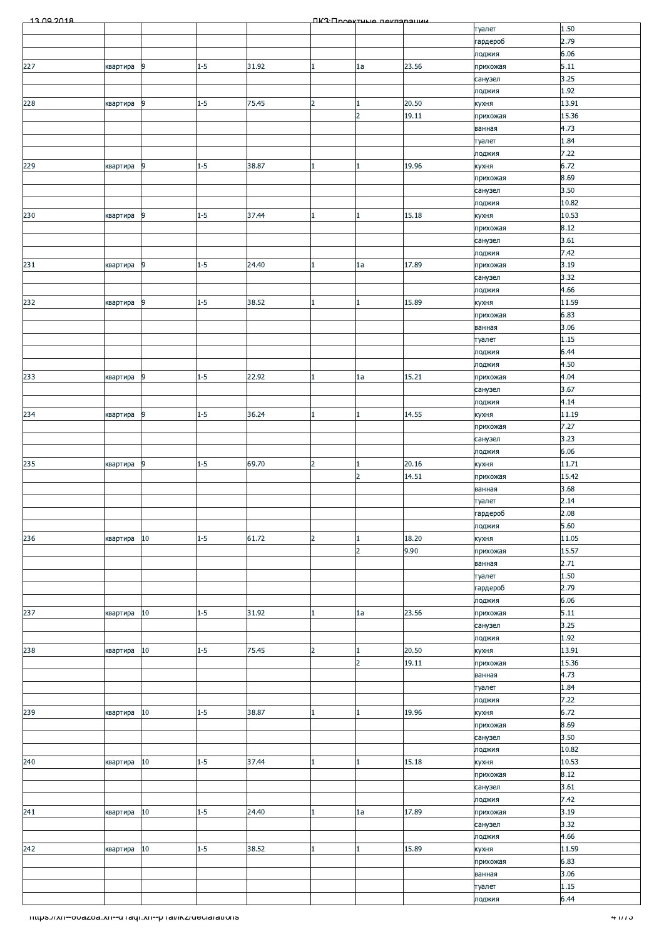| 13.00.2018                                               |          |                |         |       |                | <b><i><u>IK3: Проектина пекларации</u></i></b> |       |                     |               |
|----------------------------------------------------------|----------|----------------|---------|-------|----------------|------------------------------------------------|-------|---------------------|---------------|
|                                                          |          |                |         |       |                |                                                |       | туалет              | 1.50          |
|                                                          |          |                |         |       |                |                                                |       | гардероб            | 2.79          |
|                                                          |          |                |         |       |                |                                                |       | лоджия              | 6.06          |
| 227                                                      | квартира | 9              | $1 - 5$ | 31.92 | 1              | 1a                                             | 23.56 | прихожая<br>санузел | 5.11<br>3.25  |
|                                                          |          |                |         |       |                |                                                |       | лоджия              | 1.92          |
| 228                                                      | квартира | 9              | $1 - 5$ | 75.45 | $\overline{2}$ |                                                | 20.50 | кухня               | 13.91         |
|                                                          |          |                |         |       |                | $\overline{2}$                                 | 19.11 | прихожая            | 15.36         |
|                                                          |          |                |         |       |                |                                                |       | ванная              | 4.73          |
|                                                          |          |                |         |       |                |                                                |       | туалет              | 1.84          |
|                                                          |          |                |         |       |                |                                                |       | лоджия              | 7.22          |
| 229                                                      | квартира | 9              | $1 - 5$ | 38.87 |                |                                                | 19.96 | кухня               | 6.72          |
|                                                          |          |                |         |       |                |                                                |       | прихожая            | 8.69<br>3.50  |
|                                                          |          |                |         |       |                |                                                |       | санузел<br>лоджия   | 10.82         |
| 230                                                      | квартира | 9              | $1 - 5$ | 37.44 |                |                                                | 15.18 | кухня               | 10.53         |
|                                                          |          |                |         |       |                |                                                |       | прихожая            | 8.12          |
|                                                          |          |                |         |       |                |                                                |       | санузел             | 3.61          |
|                                                          |          |                |         |       |                |                                                |       | лоджия              | 7.42          |
| 231                                                      | квартира | 9              | $1 - 5$ | 24.40 |                | 1a                                             | 17.89 | прихожая            | 3.19          |
|                                                          |          |                |         |       |                |                                                |       | санузел             | 3.32          |
|                                                          |          |                |         |       |                |                                                |       | лоджия              | 4.66          |
| 232                                                      | квартира | $\overline{9}$ | $1 - 5$ | 38.52 |                |                                                | 15.89 | кухня<br>прихожая   | 11.59<br>6.83 |
|                                                          |          |                |         |       |                |                                                |       | ванная              | 3.06          |
|                                                          |          |                |         |       |                |                                                |       | туалет              | 1.15          |
|                                                          |          |                |         |       |                |                                                |       | лоджия              | 6.44          |
|                                                          |          |                |         |       |                |                                                |       | лоджия              | 4.50          |
| 233                                                      | квартира | 9              | $1 - 5$ | 22.92 |                | 1a                                             | 15.21 | прихожая            | 4.04          |
|                                                          |          |                |         |       |                |                                                |       | санузел             | 3.67          |
|                                                          |          |                |         |       |                |                                                |       | лоджия              | 4.14          |
| 234                                                      | квартира | 9              | $1 - 5$ | 36.24 | 1              | 1.                                             | 14.55 | кухня               | 11.19         |
|                                                          |          |                |         |       |                |                                                |       | прихожая            | 7.27          |
|                                                          |          |                |         |       |                |                                                |       | санузел<br>лоджия   | 3.23<br>6.06  |
| 235                                                      | квартира | 9              | $1 - 5$ | 69.70 | $\overline{2}$ |                                                | 20.16 | кухня               | 11.71         |
|                                                          |          |                |         |       |                | 2                                              | 14.51 | прихожая            | 15.42         |
|                                                          |          |                |         |       |                |                                                |       | ванная              | 3.68          |
|                                                          |          |                |         |       |                |                                                |       | туалет              | 2.14          |
|                                                          |          |                |         |       |                |                                                |       | гардероб            | 2.08          |
|                                                          |          |                |         |       |                |                                                |       | лоджия              | 5.60          |
| 236                                                      | квартира | 10             | $1 - 5$ | 61.72 | $\overline{2}$ |                                                | 18.20 | кухня               | 11.05         |
|                                                          |          |                |         |       |                | $\overline{2}$                                 | 9.90  | прихожая            | 15.57         |
|                                                          |          |                |         |       |                |                                                |       | ванная              | 2.71<br>1.50  |
|                                                          |          |                |         |       |                |                                                |       | туалет<br>гардероб  | 2.79          |
|                                                          |          |                |         |       |                |                                                |       | лоджия              | 6.06          |
| 237                                                      | квартира | $10\,$         | $1 - 5$ | 31.92 |                | 1a                                             | 23.56 | прихожая            | 5.11          |
|                                                          |          |                |         |       |                |                                                |       | санузел             | 3.25          |
|                                                          |          |                |         |       |                |                                                |       | лоджия              | 1.92          |
| 238                                                      | квартира | 10             | $1 - 5$ | 75.45 | $\overline{2}$ |                                                | 20.50 | кухня               | 13.91         |
|                                                          |          |                |         |       |                | $\overline{2}$                                 | 19.11 | прихожая            | 15.36         |
|                                                          |          |                |         |       |                |                                                |       | ванная              | 4.73          |
|                                                          |          |                |         |       |                |                                                |       | туалет<br>лоджия    | 1.84<br>7.22  |
| 239                                                      | квартира | $10\,$         | $1 - 5$ | 38.87 |                |                                                | 19.96 | кухня               | 6.72          |
|                                                          |          |                |         |       |                |                                                |       | прихожая            | 8.69          |
|                                                          |          |                |         |       |                |                                                |       | санузел             | 3.50          |
|                                                          |          |                |         |       |                |                                                |       | лоджия              | 10.82         |
| 240                                                      | квартира | $10\,$         | $1 - 5$ | 37.44 | 11             |                                                | 15.18 | кухня               | 10.53         |
|                                                          |          |                |         |       |                |                                                |       | прихожая            | 8.12          |
|                                                          |          |                |         |       |                |                                                |       | санузел             | 3.61          |
| 241                                                      |          | 10             | $1 - 5$ | 24.40 |                | 1a                                             | 17.89 | лоджия<br>прихожая  | 7.42<br>3.19  |
|                                                          | квартира |                |         |       |                |                                                |       | санузел             | 3.32          |
|                                                          |          |                |         |       |                |                                                |       | лоджия              | 4.66          |
| 242                                                      | квартира | 10             | $1 - 5$ | 38.52 | 1              |                                                | 15.89 | кухня               | 11.59         |
|                                                          |          |                |         |       |                |                                                |       | прихожая            | 6.83          |
|                                                          |          |                |         |       |                |                                                |       | ванная              | 3.06          |
|                                                          |          |                |         |       |                |                                                |       | туалет              | 1.15          |
|                                                          |          |                |         |       |                |                                                |       | лоджия              | 6.44          |
| nttps.//xn--ovazoa.xn--u.raqr.xn--p.rai/ikz/declarations |          |                |         |       |                |                                                |       |                     | काराज         |
|                                                          |          |                |         |       |                |                                                |       |                     |               |
|                                                          |          |                |         |       |                |                                                |       |                     |               |
|                                                          |          |                |         |       |                |                                                |       |                     |               |
|                                                          |          |                |         |       |                |                                                |       |                     |               |
|                                                          |          |                |         |       |                |                                                |       |                     |               |
|                                                          |          |                |         |       |                |                                                |       |                     |               |
|                                                          |          |                |         |       |                |                                                |       |                     |               |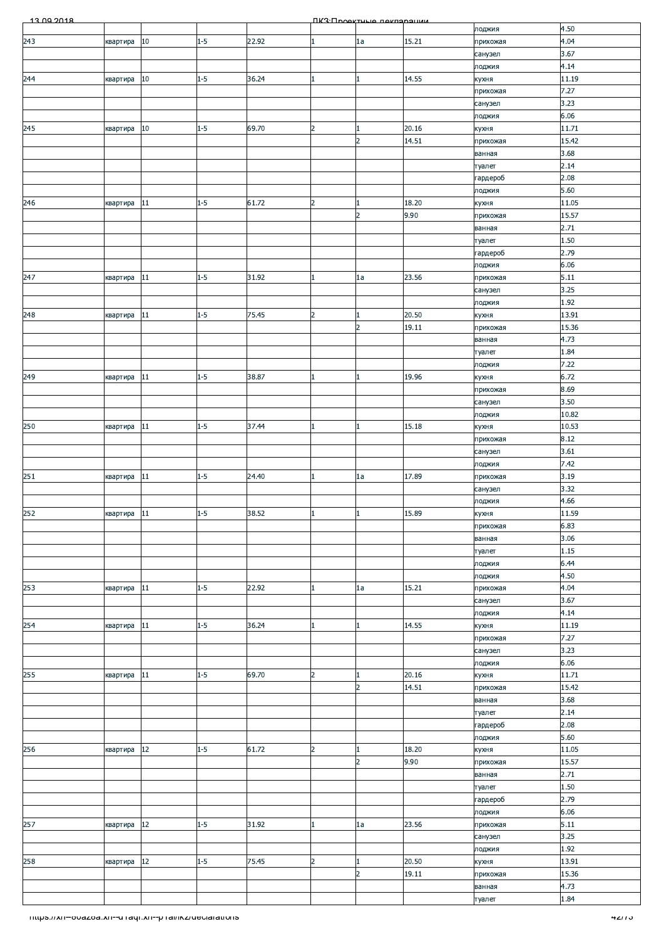| 13.00.2018                                                        |             |        |         |       |                | ΠΚ3: Προοκτυμιο ποκπαραμικικ   |       |                     |               |
|-------------------------------------------------------------------|-------------|--------|---------|-------|----------------|--------------------------------|-------|---------------------|---------------|
|                                                                   |             |        |         |       |                |                                |       | лоджия              | 4.50          |
| 243                                                               | квартира    | $10\,$ | $1 - 5$ | 22.92 | 1              | 1a                             | 15.21 | прихожая            | 4.04          |
|                                                                   |             |        |         |       |                |                                |       | санузел             | 3.67          |
|                                                                   |             |        |         |       |                |                                |       | лоджия              | 4.14          |
| 244                                                               | квартира    | $10\,$ | $1 - 5$ | 36.24 | $\mathbf{1}$   | $\mathbf{1}$                   | 14.55 | кухня               | 11.19<br>7.27 |
|                                                                   |             |        |         |       |                |                                |       | прихожая<br>санузел | 3.23          |
|                                                                   |             |        |         |       |                |                                |       | лоджия              | 6.06          |
| 245                                                               | квартира    | $10\,$ | $1 - 5$ | 69.70 | $\overline{2}$ | $\mathbf{1}$                   | 20.16 | кухня               | 11.71         |
|                                                                   |             |        |         |       |                | $\overline{2}$                 | 14.51 | прихожая            | 15.42         |
|                                                                   |             |        |         |       |                |                                |       | ванная              | 3.68          |
|                                                                   |             |        |         |       |                |                                |       | туалет              | 2.14          |
|                                                                   |             |        |         |       |                |                                |       | гардероб            | 2.08          |
|                                                                   |             |        |         |       |                |                                |       | лоджия              | 5.60          |
| 246                                                               | квартира    | 11     | $1 - 5$ | 61.72 | $\overline{2}$ | $\mathbf{1}$                   | 18.20 | кухня               | 11.05         |
|                                                                   |             |        |         |       |                | $\overline{2}$                 | 9.90  | прихожая            | 15.57         |
|                                                                   |             |        |         |       |                |                                |       | ванная              | 2.71          |
|                                                                   |             |        |         |       |                |                                |       | туалет              | 1.50          |
|                                                                   |             |        |         |       |                |                                |       | гардероб            | 2.79          |
|                                                                   |             |        |         |       |                |                                |       | лоджия              | 6.06          |
| 247                                                               | квартира    | 11     | $1 - 5$ | 31.92 | 1              | 1a                             | 23.56 | прихожая            | 5.11<br>3.25  |
|                                                                   |             |        |         |       |                |                                |       | санузел             | 1.92          |
| 248                                                               | квартира    | $11\,$ | $1 - 5$ | 75.45 | $\overline{2}$ | $\mathbf{1}$                   | 20.50 | лоджия<br>кухня     | 13.91         |
|                                                                   |             |        |         |       |                | $\overline{2}$                 | 19.11 | прихожая            | 15.36         |
|                                                                   |             |        |         |       |                |                                |       | ванная              | 4.73          |
|                                                                   |             |        |         |       |                |                                |       | туалет              | 1.84          |
|                                                                   |             |        |         |       |                |                                |       | лоджия              | 7.22          |
| 249                                                               | квартира    | $11\,$ | $1 - 5$ | 38.87 | $\mathbf{1}$   | $\mathbf{1}$                   | 19.96 | кухня               | 6.72          |
|                                                                   |             |        |         |       |                |                                |       | прихожая            | 8.69          |
|                                                                   |             |        |         |       |                |                                |       | санузел             | 3.50          |
|                                                                   |             |        |         |       |                |                                |       | лоджия              | 10.82         |
| 250                                                               | квартира    | 11     | $1 - 5$ | 37.44 | $\mathbf{1}$   | $\mathbf{1}$                   | 15.18 | кухня               | 10.53         |
|                                                                   |             |        |         |       |                |                                |       | прихожая            | 8.12          |
|                                                                   |             |        |         |       |                |                                |       | санузел             | 3.61          |
|                                                                   |             |        |         |       |                |                                |       | лоджия              | 7.42          |
| 251                                                               | квартира    | 11     | $1 - 5$ | 24.40 | 1              | 1a                             | 17.89 | прихожая            | 3.19          |
|                                                                   |             |        |         |       |                |                                |       | санузел             | 3.32<br>4.66  |
| 252                                                               | квартира 11 |        | $1 - 5$ | 38.52 |                | $\mathbf{1}$                   | 15.89 | лоджия<br>кухня     | 11.59         |
|                                                                   |             |        |         |       |                |                                |       | прихожая            | 6.83          |
|                                                                   |             |        |         |       |                |                                |       | ванная              | 3.06          |
|                                                                   |             |        |         |       |                |                                |       | туалет              | 1.15          |
|                                                                   |             |        |         |       |                |                                |       | лоджия              | 6.44          |
|                                                                   |             |        |         |       |                |                                |       | лоджия              | 4.50          |
| 253                                                               | квартира    | 11     | $1 - 5$ | 22.92 | 1              | 1a                             | 15.21 | прихожая            | 4.04          |
|                                                                   |             |        |         |       |                |                                |       | санузел             | 3.67          |
|                                                                   |             |        |         |       |                |                                |       | лоджия              | 4.14          |
| 254                                                               | квартира    | 11     | $1-5$   | 36.24 | 1              | $\mathbf{1}$                   | 14.55 | кухня               | 11.19         |
|                                                                   |             |        |         |       |                |                                |       | прихожая            | 7.27          |
|                                                                   |             |        |         |       |                |                                |       | санузел             | 3.23          |
|                                                                   |             |        |         |       |                |                                |       | лоджия              | 6.06          |
| 255                                                               | квартира    | 11     | $1 - 5$ | 69.70 | $\overline{a}$ | $\mathbf{1}$                   | 20.16 | кухня               | 11.71         |
|                                                                   |             |        |         |       |                | $\overline{2}$                 | 14.51 | прихожая            | 15.42<br>3.68 |
|                                                                   |             |        |         |       |                |                                |       | ванная<br>туалет    | 2.14          |
|                                                                   |             |        |         |       |                |                                |       | гардероб            | 2.08          |
|                                                                   |             |        |         |       |                |                                |       | лоджия              | 5.60          |
| 256                                                               | квартира    | 12     | $1 - 5$ | 61.72 | $\overline{2}$ | $\mathbf{1}$                   | 18.20 | кухня               | 11.05         |
|                                                                   |             |        |         |       |                | $\overline{2}$                 | 9.90  | прихожая            | 15.57         |
|                                                                   |             |        |         |       |                |                                |       | ванная              | 2.71          |
|                                                                   |             |        |         |       |                |                                |       | туалет              | 1.50          |
|                                                                   |             |        |         |       |                |                                |       | гардероб            | 2.79          |
|                                                                   |             |        |         |       |                |                                |       | лоджия              | 6.06          |
| 257                                                               | квартира    | $12\,$ | $1 - 5$ | 31.92 | 1              | 1a                             | 23.56 | прихожая            | 5.11          |
|                                                                   |             |        |         |       |                |                                |       | санузел             | 3.25          |
|                                                                   |             |        |         |       |                |                                |       | лоджия              | 1.92          |
| 258                                                               | квартира    | $12\,$ | $1 - 5$ | 75.45 | $\overline{2}$ | $\mathbf{1}$<br>$\overline{2}$ | 20.50 | кухня               | 13.91         |
|                                                                   |             |        |         |       |                |                                | 19.11 | прихожая            | 15.36<br>4.73 |
|                                                                   |             |        |         |       |                |                                |       | ванная<br>туалет    | 1.84          |
|                                                                   |             |        |         |       |                |                                |       |                     |               |
| <u> Thttps://xn--ovazoa.xn--u raqr.xn--p rai/ikz/declarations</u> |             |        |         |       |                |                                |       |                     | 4277 J        |
|                                                                   |             |        |         |       |                |                                |       |                     |               |
|                                                                   |             |        |         |       |                |                                |       |                     |               |
|                                                                   |             |        |         |       |                |                                |       |                     |               |
|                                                                   |             |        |         |       |                |                                |       |                     |               |
|                                                                   |             |        |         |       |                |                                |       |                     |               |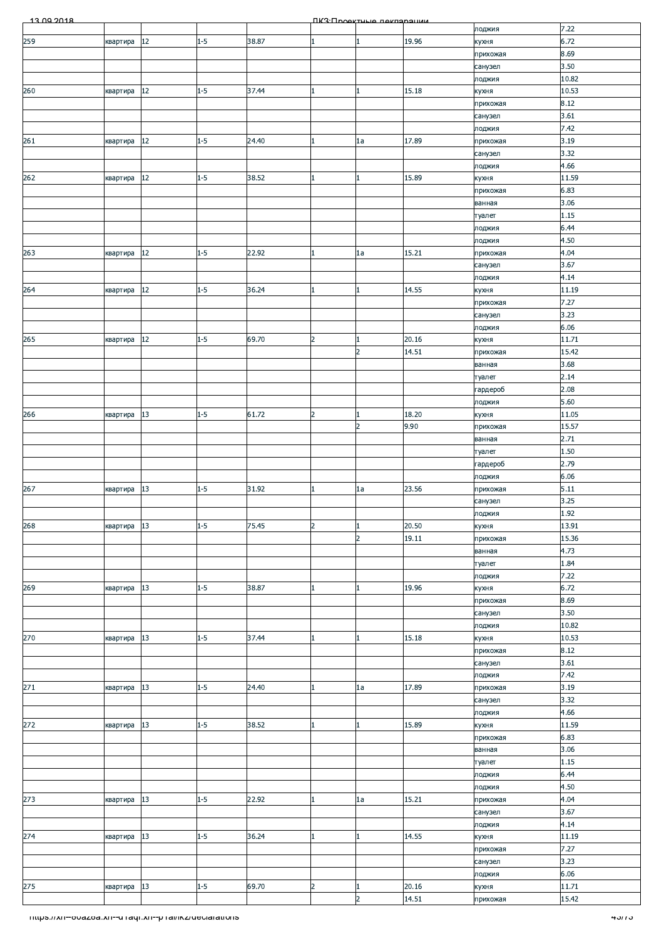| 13.00.2018                                                      |          |        |         |       |                | <b><u> ПКЗ·Проектиче пекларации</u></b> |       |                    |                |
|-----------------------------------------------------------------|----------|--------|---------|-------|----------------|-----------------------------------------|-------|--------------------|----------------|
|                                                                 |          |        |         |       |                |                                         |       | лоджия             | 7.22           |
| 259                                                             | квартира | 12     | $1 - 5$ | 38.87 |                |                                         | 19.96 | кухня              | 6.72           |
|                                                                 |          |        |         |       |                |                                         |       | прихожая           | 8.69           |
|                                                                 |          |        |         |       |                |                                         |       | санузел            | 3.50<br>10.82  |
| 260                                                             | квартира | 12     | $1 - 5$ | 37.44 |                |                                         | 15.18 | лоджия<br>кухня    | 10.53          |
|                                                                 |          |        |         |       |                |                                         |       | прихожая           | 8.12           |
|                                                                 |          |        |         |       |                |                                         |       | санузел            | 3.61           |
|                                                                 |          |        |         |       |                |                                         |       | лоджия             | 7.42           |
| 261                                                             | квартира | 12     | $1 - 5$ | 24.40 | 1              | 1a                                      | 17.89 | прихожая           | 3.19           |
|                                                                 |          |        |         |       |                |                                         |       | санузел            | 3.32           |
|                                                                 |          |        |         |       |                |                                         |       | лоджия             | 4.66           |
| 262                                                             | квартира | $12\,$ | $1 - 5$ | 38.52 |                |                                         | 15.89 | кухня              | 11.59          |
|                                                                 |          |        |         |       |                |                                         |       | прихожая           | 6.83           |
|                                                                 |          |        |         |       |                |                                         |       | ванная             | 3.06           |
|                                                                 |          |        |         |       |                |                                         |       | туалет<br>лоджия   | 1.15<br>6.44   |
|                                                                 |          |        |         |       |                |                                         |       | лоджия             | 4.50           |
| 263                                                             | квартира | 12     | $1 - 5$ | 22.92 |                | 1a                                      | 15.21 | прихожая           | 4.04           |
|                                                                 |          |        |         |       |                |                                         |       | санузел            | 3.67           |
|                                                                 |          |        |         |       |                |                                         |       | лоджия             | 4.14           |
| 264                                                             | квартира | 12     | $1 - 5$ | 36.24 |                |                                         | 14.55 | кухня              | 11.19          |
|                                                                 |          |        |         |       |                |                                         |       | прихожая           | 7.27           |
|                                                                 |          |        |         |       |                |                                         |       | санузел            | 3.23           |
|                                                                 |          |        |         |       |                |                                         |       | лоджия             | 6.06           |
| 265                                                             | квартира | 12     | $1 - 5$ | 69.70 | $\overline{2}$ |                                         | 20.16 | кухня              | 11.71          |
|                                                                 |          |        |         |       |                | $\overline{2}$                          | 14.51 | прихожая           | 15.42<br>3.68  |
|                                                                 |          |        |         |       |                |                                         |       | ванная<br>туалет   | 2.14           |
|                                                                 |          |        |         |       |                |                                         |       | гардероб           | 2.08           |
|                                                                 |          |        |         |       |                |                                         |       | лоджия             | 5.60           |
| 266                                                             | квартира | 13     | $1 - 5$ | 61.72 | $\overline{2}$ |                                         | 18.20 | кухня              | 11.05          |
|                                                                 |          |        |         |       |                | $\overline{2}$                          | 9.90  | прихожая           | 15.57          |
|                                                                 |          |        |         |       |                |                                         |       | ванная             | 2.71           |
|                                                                 |          |        |         |       |                |                                         |       | туалет             | 1.50           |
|                                                                 |          |        |         |       |                |                                         |       | гардероб           | 2.79           |
|                                                                 |          |        |         |       |                |                                         |       | лоджия             | 6.06           |
| 267                                                             | квартира | 13     | $1 - 5$ | 31.92 | 1              | 1a                                      | 23.56 | прихожая           | 5.11<br>3.25   |
|                                                                 |          |        |         |       |                |                                         |       | санузел            | 1.92           |
| 268                                                             | квартира | 13     | $1 - 5$ | 75.45 | $\overline{2}$ |                                         | 20.50 | лоджия<br>кухня    | 13.91          |
|                                                                 |          |        |         |       |                | $\overline{2}$                          | 19.11 | прихожая           | 15.36          |
|                                                                 |          |        |         |       |                |                                         |       | ванная             | 4.73           |
|                                                                 |          |        |         |       |                |                                         |       | туалет             | 1.84           |
|                                                                 |          |        |         |       |                |                                         |       | лоджия             | 7.22           |
| 269                                                             | квартира | 13     | $1 - 5$ | 38.87 | 1              |                                         | 19.96 | кухня              | 6.72           |
|                                                                 |          |        |         |       |                |                                         |       | прихожая           | 8.69           |
|                                                                 |          |        |         |       |                |                                         |       | санузел            | 3.50           |
|                                                                 |          |        | $1 - 5$ |       |                |                                         | 15.18 | лоджия             | 10.82<br>10.53 |
| 270                                                             | квартира | $13\,$ |         | 37.44 |                |                                         |       | кухня<br>прихожая  | 8.12           |
|                                                                 |          |        |         |       |                |                                         |       | санузел            | 3.61           |
|                                                                 |          |        |         |       |                |                                         |       | лоджия             | 7.42           |
| 271                                                             | квартира | 13     | $1 - 5$ | 24.40 |                | 1a                                      | 17.89 | прихожая           | 3.19           |
|                                                                 |          |        |         |       |                |                                         |       | санузел            | 3.32           |
|                                                                 |          |        |         |       |                |                                         |       | лоджия             | 4.66           |
| 272                                                             | квартира | 13     | $1 - 5$ | 38.52 |                |                                         | 15.89 | кухня              | 11.59          |
|                                                                 |          |        |         |       |                |                                         |       | прихожая           | 6.83           |
|                                                                 |          |        |         |       |                |                                         |       | ванная             | 3.06           |
|                                                                 |          |        |         |       |                |                                         |       | туалет             | 1.15           |
|                                                                 |          |        |         |       |                |                                         |       | лоджия             | 6.44<br>4.50   |
| 273                                                             | квартира | 13     | $1 - 5$ | 22.92 |                | 1a                                      | 15.21 | лоджия<br>прихожая | 4.04           |
|                                                                 |          |        |         |       |                |                                         |       | санузел            | 3.67           |
|                                                                 |          |        |         |       |                |                                         |       | лоджия             | 4.14           |
| 274                                                             | квартира | 13     | $1 - 5$ | 36.24 |                |                                         | 14.55 | кухня              | 11.19          |
|                                                                 |          |        |         |       |                |                                         |       | прихожая           | 7.27           |
|                                                                 |          |        |         |       |                |                                         |       | санузел            | 3.23           |
|                                                                 |          |        |         |       |                |                                         |       | лоджия             | 6.06           |
| 275                                                             | квартира | 13     | $1 - 5$ | 69.70 | $\overline{2}$ |                                         | 20.16 | кухня              | 11.71          |
|                                                                 |          |        |         |       |                | $\overline{2}$                          | 14.51 | прихожая           | 15.42          |
| <u> Thttps://xn--ovazoa.xn--uTaqr.xn--pTal/ikz/declarations</u> |          |        |         |       |                |                                         |       |                    | <u>4577 ა</u>  |
|                                                                 |          |        |         |       |                |                                         |       |                    |                |
|                                                                 |          |        |         |       |                |                                         |       |                    |                |
|                                                                 |          |        |         |       |                |                                         |       |                    |                |
|                                                                 |          |        |         |       |                |                                         |       |                    |                |
|                                                                 |          |        |         |       |                |                                         |       |                    |                |
|                                                                 |          |        |         |       |                |                                         |       |                    |                |
|                                                                 |          |        |         |       |                |                                         |       |                    |                |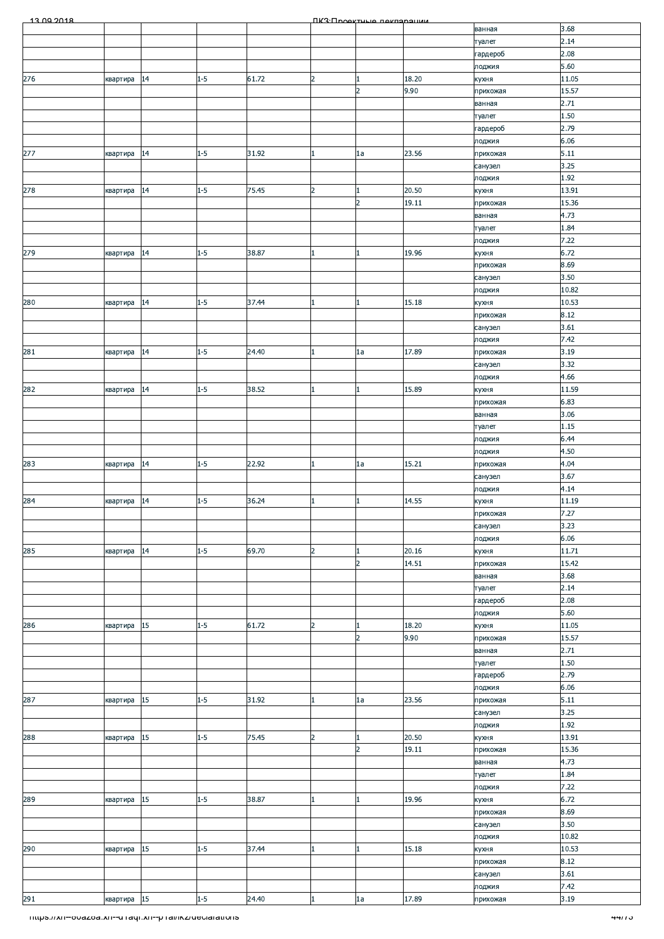| 13.00.2018                                                        |             |        |         |       |                | ПКЗ Проектине пеклоронии |       |          |        |
|-------------------------------------------------------------------|-------------|--------|---------|-------|----------------|--------------------------|-------|----------|--------|
|                                                                   |             |        |         |       |                |                          |       | ванная   | 3.68   |
|                                                                   |             |        |         |       |                |                          |       | туалет   | 2.14   |
|                                                                   |             |        |         |       |                |                          |       | гардероб | 2.08   |
|                                                                   |             |        |         |       |                |                          |       | лоджия   | 5.60   |
| 276                                                               | квартира    | 14     | $1 - 5$ | 61.72 | $\overline{2}$ |                          | 18.20 | кухня    | 11.05  |
|                                                                   |             |        |         |       |                | $\overline{2}$           | 9.90  | прихожая | 15.57  |
|                                                                   |             |        |         |       |                |                          |       | ванная   | 2.71   |
|                                                                   |             |        |         |       |                |                          |       | туалет   | 1.50   |
|                                                                   |             |        |         |       |                |                          |       | гардероб | 2.79   |
|                                                                   |             |        |         |       |                |                          |       | лоджия   | 6.06   |
| 277                                                               | квартира    | 14     | $1 - 5$ | 31.92 | $\mathbf{1}$   | 1a                       | 23.56 | прихожая | 5.11   |
|                                                                   |             |        |         |       |                |                          |       | санузел  | 3.25   |
|                                                                   |             |        |         |       |                |                          |       | лоджия   | 1.92   |
| 278                                                               |             | 14     | $1 - 5$ | 75.45 | $\overline{2}$ | 1                        | 20.50 |          | 13.91  |
|                                                                   | квартира    |        |         |       |                | $\overline{2}$           | 19.11 | кухня    | 15.36  |
|                                                                   |             |        |         |       |                |                          |       | прихожая |        |
|                                                                   |             |        |         |       |                |                          |       | ванная   | 4.73   |
|                                                                   |             |        |         |       |                |                          |       | туалет   | 1.84   |
|                                                                   |             |        |         |       |                |                          |       | лоджия   | 7.22   |
| 279                                                               | квартира    | 14     | $1 - 5$ | 38.87 | $\mathbf{1}$   |                          | 19.96 | кухня    | 6.72   |
|                                                                   |             |        |         |       |                |                          |       | прихожая | 8.69   |
|                                                                   |             |        |         |       |                |                          |       | санузел  | 3.50   |
|                                                                   |             |        |         |       |                |                          |       | лоджия   | 10.82  |
| 280                                                               | квартира    | 14     | $1 - 5$ | 37.44 | $\mathbf{1}$   | $\mathbf{1}$             | 15.18 | кухня    | 10.53  |
|                                                                   |             |        |         |       |                |                          |       | прихожая | 8.12   |
|                                                                   |             |        |         |       |                |                          |       | санузел  | 3.61   |
|                                                                   |             |        |         |       |                |                          |       | лоджия   | 7.42   |
| 281                                                               | квартира    | 14     | $1 - 5$ | 24.40 | $\mathbf{1}$   | 1a                       | 17.89 | прихожая | 3.19   |
|                                                                   |             |        |         |       |                |                          |       | санузел  | 3.32   |
|                                                                   |             |        |         |       |                |                          |       | лоджия   | 4.66   |
| 282                                                               | квартира    | 14     | $1 - 5$ | 38.52 | $\mathbf{1}$   | $\mathbf{1}$             | 15.89 | кухня    | 11.59  |
|                                                                   |             |        |         |       |                |                          |       | прихожая | 6.83   |
|                                                                   |             |        |         |       |                |                          |       | ванная   | 3.06   |
|                                                                   |             |        |         |       |                |                          |       | туалет   | 1.15   |
|                                                                   |             |        |         |       |                |                          |       | лоджия   | 6.44   |
|                                                                   |             |        |         |       |                |                          |       | лоджия   | 4.50   |
| 283                                                               | квартира    | 14     | $1 - 5$ | 22.92 | 1              | 1a                       | 15.21 | прихожая | 4.04   |
|                                                                   |             |        |         |       |                |                          |       | санузел  | 3.67   |
|                                                                   |             |        |         |       |                |                          |       | лоджия   | 4.14   |
| 284                                                               |             | 14     | $1 - 5$ | 36.24 | $\mathbf{1}$   |                          | 14.55 |          | 11.19  |
|                                                                   | квартира    |        |         |       |                |                          |       | кухня    | 7.27   |
|                                                                   |             |        |         |       |                |                          |       | прихожая |        |
|                                                                   |             |        |         |       |                |                          |       | санузел  | 3.23   |
|                                                                   |             |        |         |       |                |                          |       | лоджия   | 6.06   |
| 285                                                               | квартира    | 14     | $1 - 5$ | 69.70 | $\overline{2}$ |                          | 20.16 | кухня    | 11.71  |
|                                                                   |             |        |         |       |                | $\overline{2}$           | 14.51 | прихожая | 15.42  |
|                                                                   |             |        |         |       |                |                          |       | ванная   | 3.68   |
|                                                                   |             |        |         |       |                |                          |       | туалет   | 2.14   |
|                                                                   |             |        |         |       |                |                          |       | гардероб | 2.08   |
|                                                                   |             |        |         |       |                |                          |       | лоджия   | 5.60   |
| 286                                                               | квартира    | 15     | $1 - 5$ | 61.72 | $\overline{2}$ |                          | 18.20 | кухня    | 11.05  |
|                                                                   |             |        |         |       |                | $\overline{2}$           | 9.90  | прихожая | 15.57  |
|                                                                   |             |        |         |       |                |                          |       | ванная   | 2.71   |
|                                                                   |             |        |         |       |                |                          |       | туалет   | 1.50   |
|                                                                   |             |        |         |       |                |                          |       | гардероб | 2.79   |
|                                                                   |             |        |         |       |                |                          |       | лоджия   | 6.06   |
| 287                                                               | квартира    | 15     | $1-5$   | 31.92 | $\mathbf{1}$   | 1a                       | 23.56 | прихожая | 5.11   |
|                                                                   |             |        |         |       |                |                          |       | санузел  | 3.25   |
|                                                                   |             |        |         |       |                |                          |       | лоджия   | 1.92   |
| 288                                                               | квартира    | 15     | $1 - 5$ | 75.45 | $\overline{2}$ | $\mathbf{1}$             | 20.50 | кухня    | 13.91  |
|                                                                   |             |        |         |       |                | $\overline{2}$           | 19.11 | прихожая | 15.36  |
|                                                                   |             |        |         |       |                |                          |       | ванная   | 4.73   |
|                                                                   |             |        |         |       |                |                          |       | туалет   | 1.84   |
|                                                                   |             |        |         |       |                |                          |       | лоджия   | 7.22   |
| 289                                                               | квартира    | $15\,$ | $1 - 5$ | 38.87 | $\mathbf{1}$   | 1                        | 19.96 | кухня    | 6.72   |
|                                                                   |             |        |         |       |                |                          |       | прихожая | 8.69   |
|                                                                   |             |        |         |       |                |                          |       | санузел  | 3.50   |
|                                                                   |             |        |         |       |                |                          |       | лоджия   | 10.82  |
| 290                                                               | квартира    | 15     | $1 - 5$ | 37.44 | 1              |                          | 15.18 | кухня    | 10.53  |
|                                                                   |             |        |         |       |                |                          |       | прихожая | 8.12   |
|                                                                   |             |        |         |       |                |                          |       |          | 3.61   |
|                                                                   |             |        |         |       |                |                          |       | санузел  | 7.42   |
|                                                                   |             |        | $1 - 5$ | 24.40 |                |                          | 17.89 | лоджия   | 3.19   |
| 291                                                               | квартира 15 |        |         |       | $\mathbf{1}$   | 1a                       |       | прихожая |        |
| <del>https://xn--ouazoa.xn--unaqr.xn--phai/ikz/ueciarations</del> |             |        |         |       |                |                          |       |          | 4477 J |
|                                                                   |             |        |         |       |                |                          |       |          |        |
|                                                                   |             |        |         |       |                |                          |       |          |        |
|                                                                   |             |        |         |       |                |                          |       |          |        |
|                                                                   |             |        |         |       |                |                          |       |          |        |
|                                                                   |             |        |         |       |                |                          |       |          |        |
|                                                                   |             |        |         |       |                |                          |       |          |        |
|                                                                   |             |        |         |       |                |                          |       |          |        |
|                                                                   |             |        |         |       |                |                          |       |          |        |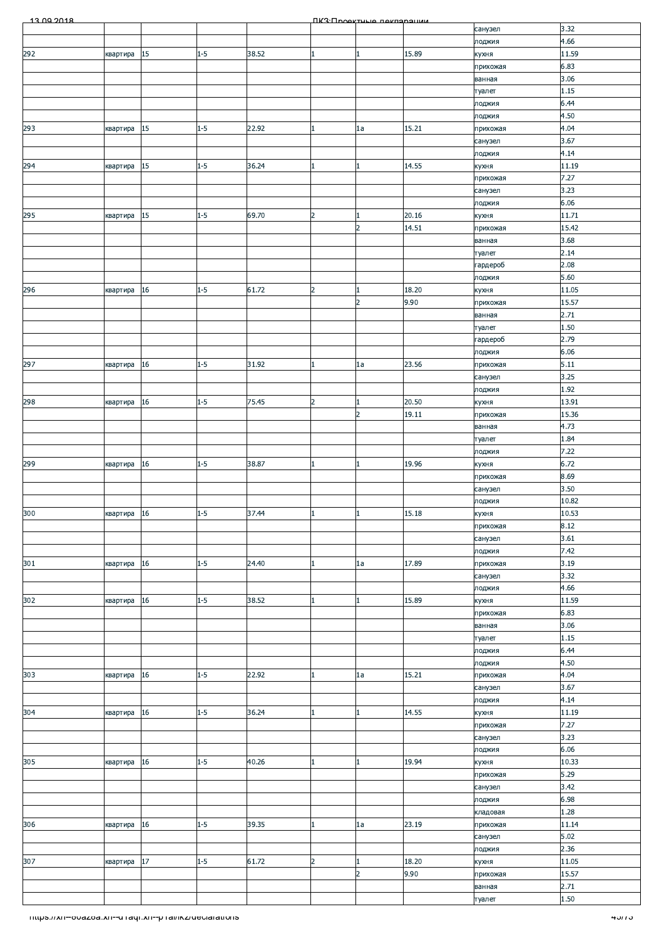| 3.32<br>санузел<br>4.66<br>лоджия<br>292<br>$1 - 5$<br>15<br>38.52<br>15.89<br>11.59<br>квартира<br>кухня<br>$\mathbf{1}$<br>6.83<br>прихожая<br>3.06<br>ванная<br>1.15<br>туалет<br>6.44<br>лоджия<br>4.50<br>лоджия<br>15<br>$1 - 5$<br>22.92<br>15.21<br>4.04<br>квартира<br>1a<br>прихожая<br>3.67<br>санузел<br>4.14<br>лоджия<br>294<br>15<br>$1-5$<br>36.24<br>14.55<br>11.19<br>квартира<br>кухня<br>7.27<br>прихожая<br>3.23<br>санузел<br>6.06<br>лоджия<br>295<br>$15\,$<br>$1 - 5$<br>69.70<br>20.16<br>11.71<br>$\overline{2}$<br>квартира<br>кухня<br>14.51<br>15.42<br>$\overline{2}$<br>прихожая<br>3.68<br>ванная<br>2.14<br>туалет<br>2.08<br>гардероб<br>5.60<br>лоджия<br>$1 - 5$<br>61.72<br>18.20<br>11.05<br>296<br>16<br>$\overline{2}$<br>квартира<br>кухня<br>$\overline{2}$<br>9.90<br>15.57<br>прихожая<br>2.71<br>ванная<br>1.50<br>туалет<br>2.79<br>гардероб<br>6.06<br>лоджия<br>16<br>$1 - 5$<br>31.92<br>23.56<br>5.11<br>1a<br>прихожая<br>квартира<br>$\mathbf{1}$<br>3.25<br>санузел<br>1.92<br>лоджия<br>$1 - 5$<br>13.91<br>16<br>$\overline{2}$<br>20.50<br>75.45<br>квартира<br>кухня<br>$\overline{2}$<br>19.11<br>15.36<br>прихожая<br>4.73<br>ванная<br>1.84<br>туалет<br>7.22<br>лоджия<br>6.72<br>$1 - 5$<br>38.87<br>19.96<br>299<br>16<br>квартира<br>кухня<br>8.69<br>прихожая<br>3.50<br>санузел<br>10.82<br>лоджия<br>300<br>10.53<br>$1-5$<br>37.44<br>квартира 16<br>15.18<br>кухня<br>8.12<br>прихожая<br>3.61<br>санузел<br>7.42<br>лоджия<br>301<br>$1 - 5$<br>17.89<br>квартира 16<br>24.40<br>3.19<br>прихожая<br>1a<br>3.32<br>санузел<br>4.66<br>лоджия<br>16<br>$1 - 5$<br>38.52<br>15.89<br>11.59<br>квартира<br>кухня<br>6.83<br>прихожая<br>3.06<br>ванная<br>1.15<br>туалет<br>6.44<br>лоджия<br>4.50<br>лоджия<br>4.04<br>303<br>16<br>$1 - 5$<br>22.92<br>15.21<br>1a<br>квартира<br>прихожая<br>1<br>3.67<br>санузел<br>4.14<br>лоджия<br>$1-5$<br>16<br>36.24<br>14.55<br>11.19<br>кухня<br>квартира<br>7.27<br>прихожая<br>3.23<br>санузел<br>6.06<br>лоджия<br>10.33<br>305<br>16<br>$1 - 5$<br>40.26<br>19.94<br>квартира<br>кухня<br>$\mathbf{1}$<br>5.29<br>прихожая<br>3.42<br>санузел<br>6.98<br>лоджия<br>1.28<br>кладовая<br>$1 - 5$<br>23.19<br>16<br>39.35<br>11.14<br>1a<br>прихожая<br>квартира<br>$5.02$<br>санузел<br>2.36<br>лоджия<br>307<br>$17\,$<br>61.72<br>11.05<br>$1 - 5$<br>18.20<br>$\overline{2}$<br>квартира<br>кухня<br>$\overline{2}$<br>9.90<br>15.57<br>прихожая<br>2.71<br>ванная<br>1.50<br>туалет<br>nttps.//xn--ovazoa.xn--u raqr.xn--p ramkz/ueciarations<br><del>י ג <i>ו</i>ט ז</del> | 13.00.2018 |  |  | <b><i><u>IK3: Проектично покларации</u></i></b> |  |  |
|---------------------------------------------------------------------------------------------------------------------------------------------------------------------------------------------------------------------------------------------------------------------------------------------------------------------------------------------------------------------------------------------------------------------------------------------------------------------------------------------------------------------------------------------------------------------------------------------------------------------------------------------------------------------------------------------------------------------------------------------------------------------------------------------------------------------------------------------------------------------------------------------------------------------------------------------------------------------------------------------------------------------------------------------------------------------------------------------------------------------------------------------------------------------------------------------------------------------------------------------------------------------------------------------------------------------------------------------------------------------------------------------------------------------------------------------------------------------------------------------------------------------------------------------------------------------------------------------------------------------------------------------------------------------------------------------------------------------------------------------------------------------------------------------------------------------------------------------------------------------------------------------------------------------------------------------------------------------------------------------------------------------------------------------------------------------------------------------------------------------------------------------------------------------------------------------------------------------------------------------------------------------------------------------------------------------------------------------------------------------------------------------------------------------------------------------------------------------------------------------------------------------------------------------------------------------------------------------------|------------|--|--|-------------------------------------------------|--|--|
|                                                                                                                                                                                                                                                                                                                                                                                                                                                                                                                                                                                                                                                                                                                                                                                                                                                                                                                                                                                                                                                                                                                                                                                                                                                                                                                                                                                                                                                                                                                                                                                                                                                                                                                                                                                                                                                                                                                                                                                                                                                                                                                                                                                                                                                                                                                                                                                                                                                                                                                                                                                                   |            |  |  |                                                 |  |  |
|                                                                                                                                                                                                                                                                                                                                                                                                                                                                                                                                                                                                                                                                                                                                                                                                                                                                                                                                                                                                                                                                                                                                                                                                                                                                                                                                                                                                                                                                                                                                                                                                                                                                                                                                                                                                                                                                                                                                                                                                                                                                                                                                                                                                                                                                                                                                                                                                                                                                                                                                                                                                   |            |  |  |                                                 |  |  |
|                                                                                                                                                                                                                                                                                                                                                                                                                                                                                                                                                                                                                                                                                                                                                                                                                                                                                                                                                                                                                                                                                                                                                                                                                                                                                                                                                                                                                                                                                                                                                                                                                                                                                                                                                                                                                                                                                                                                                                                                                                                                                                                                                                                                                                                                                                                                                                                                                                                                                                                                                                                                   |            |  |  |                                                 |  |  |
|                                                                                                                                                                                                                                                                                                                                                                                                                                                                                                                                                                                                                                                                                                                                                                                                                                                                                                                                                                                                                                                                                                                                                                                                                                                                                                                                                                                                                                                                                                                                                                                                                                                                                                                                                                                                                                                                                                                                                                                                                                                                                                                                                                                                                                                                                                                                                                                                                                                                                                                                                                                                   |            |  |  |                                                 |  |  |
|                                                                                                                                                                                                                                                                                                                                                                                                                                                                                                                                                                                                                                                                                                                                                                                                                                                                                                                                                                                                                                                                                                                                                                                                                                                                                                                                                                                                                                                                                                                                                                                                                                                                                                                                                                                                                                                                                                                                                                                                                                                                                                                                                                                                                                                                                                                                                                                                                                                                                                                                                                                                   |            |  |  |                                                 |  |  |
|                                                                                                                                                                                                                                                                                                                                                                                                                                                                                                                                                                                                                                                                                                                                                                                                                                                                                                                                                                                                                                                                                                                                                                                                                                                                                                                                                                                                                                                                                                                                                                                                                                                                                                                                                                                                                                                                                                                                                                                                                                                                                                                                                                                                                                                                                                                                                                                                                                                                                                                                                                                                   |            |  |  |                                                 |  |  |
|                                                                                                                                                                                                                                                                                                                                                                                                                                                                                                                                                                                                                                                                                                                                                                                                                                                                                                                                                                                                                                                                                                                                                                                                                                                                                                                                                                                                                                                                                                                                                                                                                                                                                                                                                                                                                                                                                                                                                                                                                                                                                                                                                                                                                                                                                                                                                                                                                                                                                                                                                                                                   |            |  |  |                                                 |  |  |
|                                                                                                                                                                                                                                                                                                                                                                                                                                                                                                                                                                                                                                                                                                                                                                                                                                                                                                                                                                                                                                                                                                                                                                                                                                                                                                                                                                                                                                                                                                                                                                                                                                                                                                                                                                                                                                                                                                                                                                                                                                                                                                                                                                                                                                                                                                                                                                                                                                                                                                                                                                                                   | 293        |  |  |                                                 |  |  |
|                                                                                                                                                                                                                                                                                                                                                                                                                                                                                                                                                                                                                                                                                                                                                                                                                                                                                                                                                                                                                                                                                                                                                                                                                                                                                                                                                                                                                                                                                                                                                                                                                                                                                                                                                                                                                                                                                                                                                                                                                                                                                                                                                                                                                                                                                                                                                                                                                                                                                                                                                                                                   |            |  |  |                                                 |  |  |
|                                                                                                                                                                                                                                                                                                                                                                                                                                                                                                                                                                                                                                                                                                                                                                                                                                                                                                                                                                                                                                                                                                                                                                                                                                                                                                                                                                                                                                                                                                                                                                                                                                                                                                                                                                                                                                                                                                                                                                                                                                                                                                                                                                                                                                                                                                                                                                                                                                                                                                                                                                                                   |            |  |  |                                                 |  |  |
|                                                                                                                                                                                                                                                                                                                                                                                                                                                                                                                                                                                                                                                                                                                                                                                                                                                                                                                                                                                                                                                                                                                                                                                                                                                                                                                                                                                                                                                                                                                                                                                                                                                                                                                                                                                                                                                                                                                                                                                                                                                                                                                                                                                                                                                                                                                                                                                                                                                                                                                                                                                                   |            |  |  |                                                 |  |  |
|                                                                                                                                                                                                                                                                                                                                                                                                                                                                                                                                                                                                                                                                                                                                                                                                                                                                                                                                                                                                                                                                                                                                                                                                                                                                                                                                                                                                                                                                                                                                                                                                                                                                                                                                                                                                                                                                                                                                                                                                                                                                                                                                                                                                                                                                                                                                                                                                                                                                                                                                                                                                   |            |  |  |                                                 |  |  |
|                                                                                                                                                                                                                                                                                                                                                                                                                                                                                                                                                                                                                                                                                                                                                                                                                                                                                                                                                                                                                                                                                                                                                                                                                                                                                                                                                                                                                                                                                                                                                                                                                                                                                                                                                                                                                                                                                                                                                                                                                                                                                                                                                                                                                                                                                                                                                                                                                                                                                                                                                                                                   |            |  |  |                                                 |  |  |
|                                                                                                                                                                                                                                                                                                                                                                                                                                                                                                                                                                                                                                                                                                                                                                                                                                                                                                                                                                                                                                                                                                                                                                                                                                                                                                                                                                                                                                                                                                                                                                                                                                                                                                                                                                                                                                                                                                                                                                                                                                                                                                                                                                                                                                                                                                                                                                                                                                                                                                                                                                                                   |            |  |  |                                                 |  |  |
|                                                                                                                                                                                                                                                                                                                                                                                                                                                                                                                                                                                                                                                                                                                                                                                                                                                                                                                                                                                                                                                                                                                                                                                                                                                                                                                                                                                                                                                                                                                                                                                                                                                                                                                                                                                                                                                                                                                                                                                                                                                                                                                                                                                                                                                                                                                                                                                                                                                                                                                                                                                                   |            |  |  |                                                 |  |  |
|                                                                                                                                                                                                                                                                                                                                                                                                                                                                                                                                                                                                                                                                                                                                                                                                                                                                                                                                                                                                                                                                                                                                                                                                                                                                                                                                                                                                                                                                                                                                                                                                                                                                                                                                                                                                                                                                                                                                                                                                                                                                                                                                                                                                                                                                                                                                                                                                                                                                                                                                                                                                   |            |  |  |                                                 |  |  |
|                                                                                                                                                                                                                                                                                                                                                                                                                                                                                                                                                                                                                                                                                                                                                                                                                                                                                                                                                                                                                                                                                                                                                                                                                                                                                                                                                                                                                                                                                                                                                                                                                                                                                                                                                                                                                                                                                                                                                                                                                                                                                                                                                                                                                                                                                                                                                                                                                                                                                                                                                                                                   |            |  |  |                                                 |  |  |
|                                                                                                                                                                                                                                                                                                                                                                                                                                                                                                                                                                                                                                                                                                                                                                                                                                                                                                                                                                                                                                                                                                                                                                                                                                                                                                                                                                                                                                                                                                                                                                                                                                                                                                                                                                                                                                                                                                                                                                                                                                                                                                                                                                                                                                                                                                                                                                                                                                                                                                                                                                                                   |            |  |  |                                                 |  |  |
|                                                                                                                                                                                                                                                                                                                                                                                                                                                                                                                                                                                                                                                                                                                                                                                                                                                                                                                                                                                                                                                                                                                                                                                                                                                                                                                                                                                                                                                                                                                                                                                                                                                                                                                                                                                                                                                                                                                                                                                                                                                                                                                                                                                                                                                                                                                                                                                                                                                                                                                                                                                                   |            |  |  |                                                 |  |  |
|                                                                                                                                                                                                                                                                                                                                                                                                                                                                                                                                                                                                                                                                                                                                                                                                                                                                                                                                                                                                                                                                                                                                                                                                                                                                                                                                                                                                                                                                                                                                                                                                                                                                                                                                                                                                                                                                                                                                                                                                                                                                                                                                                                                                                                                                                                                                                                                                                                                                                                                                                                                                   |            |  |  |                                                 |  |  |
|                                                                                                                                                                                                                                                                                                                                                                                                                                                                                                                                                                                                                                                                                                                                                                                                                                                                                                                                                                                                                                                                                                                                                                                                                                                                                                                                                                                                                                                                                                                                                                                                                                                                                                                                                                                                                                                                                                                                                                                                                                                                                                                                                                                                                                                                                                                                                                                                                                                                                                                                                                                                   |            |  |  |                                                 |  |  |
|                                                                                                                                                                                                                                                                                                                                                                                                                                                                                                                                                                                                                                                                                                                                                                                                                                                                                                                                                                                                                                                                                                                                                                                                                                                                                                                                                                                                                                                                                                                                                                                                                                                                                                                                                                                                                                                                                                                                                                                                                                                                                                                                                                                                                                                                                                                                                                                                                                                                                                                                                                                                   |            |  |  |                                                 |  |  |
|                                                                                                                                                                                                                                                                                                                                                                                                                                                                                                                                                                                                                                                                                                                                                                                                                                                                                                                                                                                                                                                                                                                                                                                                                                                                                                                                                                                                                                                                                                                                                                                                                                                                                                                                                                                                                                                                                                                                                                                                                                                                                                                                                                                                                                                                                                                                                                                                                                                                                                                                                                                                   |            |  |  |                                                 |  |  |
|                                                                                                                                                                                                                                                                                                                                                                                                                                                                                                                                                                                                                                                                                                                                                                                                                                                                                                                                                                                                                                                                                                                                                                                                                                                                                                                                                                                                                                                                                                                                                                                                                                                                                                                                                                                                                                                                                                                                                                                                                                                                                                                                                                                                                                                                                                                                                                                                                                                                                                                                                                                                   |            |  |  |                                                 |  |  |
|                                                                                                                                                                                                                                                                                                                                                                                                                                                                                                                                                                                                                                                                                                                                                                                                                                                                                                                                                                                                                                                                                                                                                                                                                                                                                                                                                                                                                                                                                                                                                                                                                                                                                                                                                                                                                                                                                                                                                                                                                                                                                                                                                                                                                                                                                                                                                                                                                                                                                                                                                                                                   | 297        |  |  |                                                 |  |  |
|                                                                                                                                                                                                                                                                                                                                                                                                                                                                                                                                                                                                                                                                                                                                                                                                                                                                                                                                                                                                                                                                                                                                                                                                                                                                                                                                                                                                                                                                                                                                                                                                                                                                                                                                                                                                                                                                                                                                                                                                                                                                                                                                                                                                                                                                                                                                                                                                                                                                                                                                                                                                   |            |  |  |                                                 |  |  |
|                                                                                                                                                                                                                                                                                                                                                                                                                                                                                                                                                                                                                                                                                                                                                                                                                                                                                                                                                                                                                                                                                                                                                                                                                                                                                                                                                                                                                                                                                                                                                                                                                                                                                                                                                                                                                                                                                                                                                                                                                                                                                                                                                                                                                                                                                                                                                                                                                                                                                                                                                                                                   |            |  |  |                                                 |  |  |
|                                                                                                                                                                                                                                                                                                                                                                                                                                                                                                                                                                                                                                                                                                                                                                                                                                                                                                                                                                                                                                                                                                                                                                                                                                                                                                                                                                                                                                                                                                                                                                                                                                                                                                                                                                                                                                                                                                                                                                                                                                                                                                                                                                                                                                                                                                                                                                                                                                                                                                                                                                                                   | 298        |  |  |                                                 |  |  |
|                                                                                                                                                                                                                                                                                                                                                                                                                                                                                                                                                                                                                                                                                                                                                                                                                                                                                                                                                                                                                                                                                                                                                                                                                                                                                                                                                                                                                                                                                                                                                                                                                                                                                                                                                                                                                                                                                                                                                                                                                                                                                                                                                                                                                                                                                                                                                                                                                                                                                                                                                                                                   |            |  |  |                                                 |  |  |
|                                                                                                                                                                                                                                                                                                                                                                                                                                                                                                                                                                                                                                                                                                                                                                                                                                                                                                                                                                                                                                                                                                                                                                                                                                                                                                                                                                                                                                                                                                                                                                                                                                                                                                                                                                                                                                                                                                                                                                                                                                                                                                                                                                                                                                                                                                                                                                                                                                                                                                                                                                                                   |            |  |  |                                                 |  |  |
|                                                                                                                                                                                                                                                                                                                                                                                                                                                                                                                                                                                                                                                                                                                                                                                                                                                                                                                                                                                                                                                                                                                                                                                                                                                                                                                                                                                                                                                                                                                                                                                                                                                                                                                                                                                                                                                                                                                                                                                                                                                                                                                                                                                                                                                                                                                                                                                                                                                                                                                                                                                                   |            |  |  |                                                 |  |  |
|                                                                                                                                                                                                                                                                                                                                                                                                                                                                                                                                                                                                                                                                                                                                                                                                                                                                                                                                                                                                                                                                                                                                                                                                                                                                                                                                                                                                                                                                                                                                                                                                                                                                                                                                                                                                                                                                                                                                                                                                                                                                                                                                                                                                                                                                                                                                                                                                                                                                                                                                                                                                   |            |  |  |                                                 |  |  |
|                                                                                                                                                                                                                                                                                                                                                                                                                                                                                                                                                                                                                                                                                                                                                                                                                                                                                                                                                                                                                                                                                                                                                                                                                                                                                                                                                                                                                                                                                                                                                                                                                                                                                                                                                                                                                                                                                                                                                                                                                                                                                                                                                                                                                                                                                                                                                                                                                                                                                                                                                                                                   |            |  |  |                                                 |  |  |
|                                                                                                                                                                                                                                                                                                                                                                                                                                                                                                                                                                                                                                                                                                                                                                                                                                                                                                                                                                                                                                                                                                                                                                                                                                                                                                                                                                                                                                                                                                                                                                                                                                                                                                                                                                                                                                                                                                                                                                                                                                                                                                                                                                                                                                                                                                                                                                                                                                                                                                                                                                                                   |            |  |  |                                                 |  |  |
|                                                                                                                                                                                                                                                                                                                                                                                                                                                                                                                                                                                                                                                                                                                                                                                                                                                                                                                                                                                                                                                                                                                                                                                                                                                                                                                                                                                                                                                                                                                                                                                                                                                                                                                                                                                                                                                                                                                                                                                                                                                                                                                                                                                                                                                                                                                                                                                                                                                                                                                                                                                                   |            |  |  |                                                 |  |  |
|                                                                                                                                                                                                                                                                                                                                                                                                                                                                                                                                                                                                                                                                                                                                                                                                                                                                                                                                                                                                                                                                                                                                                                                                                                                                                                                                                                                                                                                                                                                                                                                                                                                                                                                                                                                                                                                                                                                                                                                                                                                                                                                                                                                                                                                                                                                                                                                                                                                                                                                                                                                                   |            |  |  |                                                 |  |  |
|                                                                                                                                                                                                                                                                                                                                                                                                                                                                                                                                                                                                                                                                                                                                                                                                                                                                                                                                                                                                                                                                                                                                                                                                                                                                                                                                                                                                                                                                                                                                                                                                                                                                                                                                                                                                                                                                                                                                                                                                                                                                                                                                                                                                                                                                                                                                                                                                                                                                                                                                                                                                   |            |  |  |                                                 |  |  |
|                                                                                                                                                                                                                                                                                                                                                                                                                                                                                                                                                                                                                                                                                                                                                                                                                                                                                                                                                                                                                                                                                                                                                                                                                                                                                                                                                                                                                                                                                                                                                                                                                                                                                                                                                                                                                                                                                                                                                                                                                                                                                                                                                                                                                                                                                                                                                                                                                                                                                                                                                                                                   |            |  |  |                                                 |  |  |
|                                                                                                                                                                                                                                                                                                                                                                                                                                                                                                                                                                                                                                                                                                                                                                                                                                                                                                                                                                                                                                                                                                                                                                                                                                                                                                                                                                                                                                                                                                                                                                                                                                                                                                                                                                                                                                                                                                                                                                                                                                                                                                                                                                                                                                                                                                                                                                                                                                                                                                                                                                                                   |            |  |  |                                                 |  |  |
|                                                                                                                                                                                                                                                                                                                                                                                                                                                                                                                                                                                                                                                                                                                                                                                                                                                                                                                                                                                                                                                                                                                                                                                                                                                                                                                                                                                                                                                                                                                                                                                                                                                                                                                                                                                                                                                                                                                                                                                                                                                                                                                                                                                                                                                                                                                                                                                                                                                                                                                                                                                                   |            |  |  |                                                 |  |  |
|                                                                                                                                                                                                                                                                                                                                                                                                                                                                                                                                                                                                                                                                                                                                                                                                                                                                                                                                                                                                                                                                                                                                                                                                                                                                                                                                                                                                                                                                                                                                                                                                                                                                                                                                                                                                                                                                                                                                                                                                                                                                                                                                                                                                                                                                                                                                                                                                                                                                                                                                                                                                   |            |  |  |                                                 |  |  |
|                                                                                                                                                                                                                                                                                                                                                                                                                                                                                                                                                                                                                                                                                                                                                                                                                                                                                                                                                                                                                                                                                                                                                                                                                                                                                                                                                                                                                                                                                                                                                                                                                                                                                                                                                                                                                                                                                                                                                                                                                                                                                                                                                                                                                                                                                                                                                                                                                                                                                                                                                                                                   | 302        |  |  |                                                 |  |  |
|                                                                                                                                                                                                                                                                                                                                                                                                                                                                                                                                                                                                                                                                                                                                                                                                                                                                                                                                                                                                                                                                                                                                                                                                                                                                                                                                                                                                                                                                                                                                                                                                                                                                                                                                                                                                                                                                                                                                                                                                                                                                                                                                                                                                                                                                                                                                                                                                                                                                                                                                                                                                   |            |  |  |                                                 |  |  |
|                                                                                                                                                                                                                                                                                                                                                                                                                                                                                                                                                                                                                                                                                                                                                                                                                                                                                                                                                                                                                                                                                                                                                                                                                                                                                                                                                                                                                                                                                                                                                                                                                                                                                                                                                                                                                                                                                                                                                                                                                                                                                                                                                                                                                                                                                                                                                                                                                                                                                                                                                                                                   |            |  |  |                                                 |  |  |
|                                                                                                                                                                                                                                                                                                                                                                                                                                                                                                                                                                                                                                                                                                                                                                                                                                                                                                                                                                                                                                                                                                                                                                                                                                                                                                                                                                                                                                                                                                                                                                                                                                                                                                                                                                                                                                                                                                                                                                                                                                                                                                                                                                                                                                                                                                                                                                                                                                                                                                                                                                                                   |            |  |  |                                                 |  |  |
|                                                                                                                                                                                                                                                                                                                                                                                                                                                                                                                                                                                                                                                                                                                                                                                                                                                                                                                                                                                                                                                                                                                                                                                                                                                                                                                                                                                                                                                                                                                                                                                                                                                                                                                                                                                                                                                                                                                                                                                                                                                                                                                                                                                                                                                                                                                                                                                                                                                                                                                                                                                                   |            |  |  |                                                 |  |  |
|                                                                                                                                                                                                                                                                                                                                                                                                                                                                                                                                                                                                                                                                                                                                                                                                                                                                                                                                                                                                                                                                                                                                                                                                                                                                                                                                                                                                                                                                                                                                                                                                                                                                                                                                                                                                                                                                                                                                                                                                                                                                                                                                                                                                                                                                                                                                                                                                                                                                                                                                                                                                   |            |  |  |                                                 |  |  |
|                                                                                                                                                                                                                                                                                                                                                                                                                                                                                                                                                                                                                                                                                                                                                                                                                                                                                                                                                                                                                                                                                                                                                                                                                                                                                                                                                                                                                                                                                                                                                                                                                                                                                                                                                                                                                                                                                                                                                                                                                                                                                                                                                                                                                                                                                                                                                                                                                                                                                                                                                                                                   |            |  |  |                                                 |  |  |
|                                                                                                                                                                                                                                                                                                                                                                                                                                                                                                                                                                                                                                                                                                                                                                                                                                                                                                                                                                                                                                                                                                                                                                                                                                                                                                                                                                                                                                                                                                                                                                                                                                                                                                                                                                                                                                                                                                                                                                                                                                                                                                                                                                                                                                                                                                                                                                                                                                                                                                                                                                                                   |            |  |  |                                                 |  |  |
|                                                                                                                                                                                                                                                                                                                                                                                                                                                                                                                                                                                                                                                                                                                                                                                                                                                                                                                                                                                                                                                                                                                                                                                                                                                                                                                                                                                                                                                                                                                                                                                                                                                                                                                                                                                                                                                                                                                                                                                                                                                                                                                                                                                                                                                                                                                                                                                                                                                                                                                                                                                                   | 304        |  |  |                                                 |  |  |
|                                                                                                                                                                                                                                                                                                                                                                                                                                                                                                                                                                                                                                                                                                                                                                                                                                                                                                                                                                                                                                                                                                                                                                                                                                                                                                                                                                                                                                                                                                                                                                                                                                                                                                                                                                                                                                                                                                                                                                                                                                                                                                                                                                                                                                                                                                                                                                                                                                                                                                                                                                                                   |            |  |  |                                                 |  |  |
|                                                                                                                                                                                                                                                                                                                                                                                                                                                                                                                                                                                                                                                                                                                                                                                                                                                                                                                                                                                                                                                                                                                                                                                                                                                                                                                                                                                                                                                                                                                                                                                                                                                                                                                                                                                                                                                                                                                                                                                                                                                                                                                                                                                                                                                                                                                                                                                                                                                                                                                                                                                                   |            |  |  |                                                 |  |  |
|                                                                                                                                                                                                                                                                                                                                                                                                                                                                                                                                                                                                                                                                                                                                                                                                                                                                                                                                                                                                                                                                                                                                                                                                                                                                                                                                                                                                                                                                                                                                                                                                                                                                                                                                                                                                                                                                                                                                                                                                                                                                                                                                                                                                                                                                                                                                                                                                                                                                                                                                                                                                   |            |  |  |                                                 |  |  |
|                                                                                                                                                                                                                                                                                                                                                                                                                                                                                                                                                                                                                                                                                                                                                                                                                                                                                                                                                                                                                                                                                                                                                                                                                                                                                                                                                                                                                                                                                                                                                                                                                                                                                                                                                                                                                                                                                                                                                                                                                                                                                                                                                                                                                                                                                                                                                                                                                                                                                                                                                                                                   |            |  |  |                                                 |  |  |
|                                                                                                                                                                                                                                                                                                                                                                                                                                                                                                                                                                                                                                                                                                                                                                                                                                                                                                                                                                                                                                                                                                                                                                                                                                                                                                                                                                                                                                                                                                                                                                                                                                                                                                                                                                                                                                                                                                                                                                                                                                                                                                                                                                                                                                                                                                                                                                                                                                                                                                                                                                                                   |            |  |  |                                                 |  |  |
|                                                                                                                                                                                                                                                                                                                                                                                                                                                                                                                                                                                                                                                                                                                                                                                                                                                                                                                                                                                                                                                                                                                                                                                                                                                                                                                                                                                                                                                                                                                                                                                                                                                                                                                                                                                                                                                                                                                                                                                                                                                                                                                                                                                                                                                                                                                                                                                                                                                                                                                                                                                                   |            |  |  |                                                 |  |  |
|                                                                                                                                                                                                                                                                                                                                                                                                                                                                                                                                                                                                                                                                                                                                                                                                                                                                                                                                                                                                                                                                                                                                                                                                                                                                                                                                                                                                                                                                                                                                                                                                                                                                                                                                                                                                                                                                                                                                                                                                                                                                                                                                                                                                                                                                                                                                                                                                                                                                                                                                                                                                   |            |  |  |                                                 |  |  |
|                                                                                                                                                                                                                                                                                                                                                                                                                                                                                                                                                                                                                                                                                                                                                                                                                                                                                                                                                                                                                                                                                                                                                                                                                                                                                                                                                                                                                                                                                                                                                                                                                                                                                                                                                                                                                                                                                                                                                                                                                                                                                                                                                                                                                                                                                                                                                                                                                                                                                                                                                                                                   | 306        |  |  |                                                 |  |  |
|                                                                                                                                                                                                                                                                                                                                                                                                                                                                                                                                                                                                                                                                                                                                                                                                                                                                                                                                                                                                                                                                                                                                                                                                                                                                                                                                                                                                                                                                                                                                                                                                                                                                                                                                                                                                                                                                                                                                                                                                                                                                                                                                                                                                                                                                                                                                                                                                                                                                                                                                                                                                   |            |  |  |                                                 |  |  |
|                                                                                                                                                                                                                                                                                                                                                                                                                                                                                                                                                                                                                                                                                                                                                                                                                                                                                                                                                                                                                                                                                                                                                                                                                                                                                                                                                                                                                                                                                                                                                                                                                                                                                                                                                                                                                                                                                                                                                                                                                                                                                                                                                                                                                                                                                                                                                                                                                                                                                                                                                                                                   |            |  |  |                                                 |  |  |
|                                                                                                                                                                                                                                                                                                                                                                                                                                                                                                                                                                                                                                                                                                                                                                                                                                                                                                                                                                                                                                                                                                                                                                                                                                                                                                                                                                                                                                                                                                                                                                                                                                                                                                                                                                                                                                                                                                                                                                                                                                                                                                                                                                                                                                                                                                                                                                                                                                                                                                                                                                                                   |            |  |  |                                                 |  |  |
|                                                                                                                                                                                                                                                                                                                                                                                                                                                                                                                                                                                                                                                                                                                                                                                                                                                                                                                                                                                                                                                                                                                                                                                                                                                                                                                                                                                                                                                                                                                                                                                                                                                                                                                                                                                                                                                                                                                                                                                                                                                                                                                                                                                                                                                                                                                                                                                                                                                                                                                                                                                                   |            |  |  |                                                 |  |  |
|                                                                                                                                                                                                                                                                                                                                                                                                                                                                                                                                                                                                                                                                                                                                                                                                                                                                                                                                                                                                                                                                                                                                                                                                                                                                                                                                                                                                                                                                                                                                                                                                                                                                                                                                                                                                                                                                                                                                                                                                                                                                                                                                                                                                                                                                                                                                                                                                                                                                                                                                                                                                   |            |  |  |                                                 |  |  |
|                                                                                                                                                                                                                                                                                                                                                                                                                                                                                                                                                                                                                                                                                                                                                                                                                                                                                                                                                                                                                                                                                                                                                                                                                                                                                                                                                                                                                                                                                                                                                                                                                                                                                                                                                                                                                                                                                                                                                                                                                                                                                                                                                                                                                                                                                                                                                                                                                                                                                                                                                                                                   |            |  |  |                                                 |  |  |
|                                                                                                                                                                                                                                                                                                                                                                                                                                                                                                                                                                                                                                                                                                                                                                                                                                                                                                                                                                                                                                                                                                                                                                                                                                                                                                                                                                                                                                                                                                                                                                                                                                                                                                                                                                                                                                                                                                                                                                                                                                                                                                                                                                                                                                                                                                                                                                                                                                                                                                                                                                                                   |            |  |  |                                                 |  |  |
|                                                                                                                                                                                                                                                                                                                                                                                                                                                                                                                                                                                                                                                                                                                                                                                                                                                                                                                                                                                                                                                                                                                                                                                                                                                                                                                                                                                                                                                                                                                                                                                                                                                                                                                                                                                                                                                                                                                                                                                                                                                                                                                                                                                                                                                                                                                                                                                                                                                                                                                                                                                                   |            |  |  |                                                 |  |  |
|                                                                                                                                                                                                                                                                                                                                                                                                                                                                                                                                                                                                                                                                                                                                                                                                                                                                                                                                                                                                                                                                                                                                                                                                                                                                                                                                                                                                                                                                                                                                                                                                                                                                                                                                                                                                                                                                                                                                                                                                                                                                                                                                                                                                                                                                                                                                                                                                                                                                                                                                                                                                   |            |  |  |                                                 |  |  |
|                                                                                                                                                                                                                                                                                                                                                                                                                                                                                                                                                                                                                                                                                                                                                                                                                                                                                                                                                                                                                                                                                                                                                                                                                                                                                                                                                                                                                                                                                                                                                                                                                                                                                                                                                                                                                                                                                                                                                                                                                                                                                                                                                                                                                                                                                                                                                                                                                                                                                                                                                                                                   |            |  |  |                                                 |  |  |
|                                                                                                                                                                                                                                                                                                                                                                                                                                                                                                                                                                                                                                                                                                                                                                                                                                                                                                                                                                                                                                                                                                                                                                                                                                                                                                                                                                                                                                                                                                                                                                                                                                                                                                                                                                                                                                                                                                                                                                                                                                                                                                                                                                                                                                                                                                                                                                                                                                                                                                                                                                                                   |            |  |  |                                                 |  |  |
|                                                                                                                                                                                                                                                                                                                                                                                                                                                                                                                                                                                                                                                                                                                                                                                                                                                                                                                                                                                                                                                                                                                                                                                                                                                                                                                                                                                                                                                                                                                                                                                                                                                                                                                                                                                                                                                                                                                                                                                                                                                                                                                                                                                                                                                                                                                                                                                                                                                                                                                                                                                                   |            |  |  |                                                 |  |  |
|                                                                                                                                                                                                                                                                                                                                                                                                                                                                                                                                                                                                                                                                                                                                                                                                                                                                                                                                                                                                                                                                                                                                                                                                                                                                                                                                                                                                                                                                                                                                                                                                                                                                                                                                                                                                                                                                                                                                                                                                                                                                                                                                                                                                                                                                                                                                                                                                                                                                                                                                                                                                   |            |  |  |                                                 |  |  |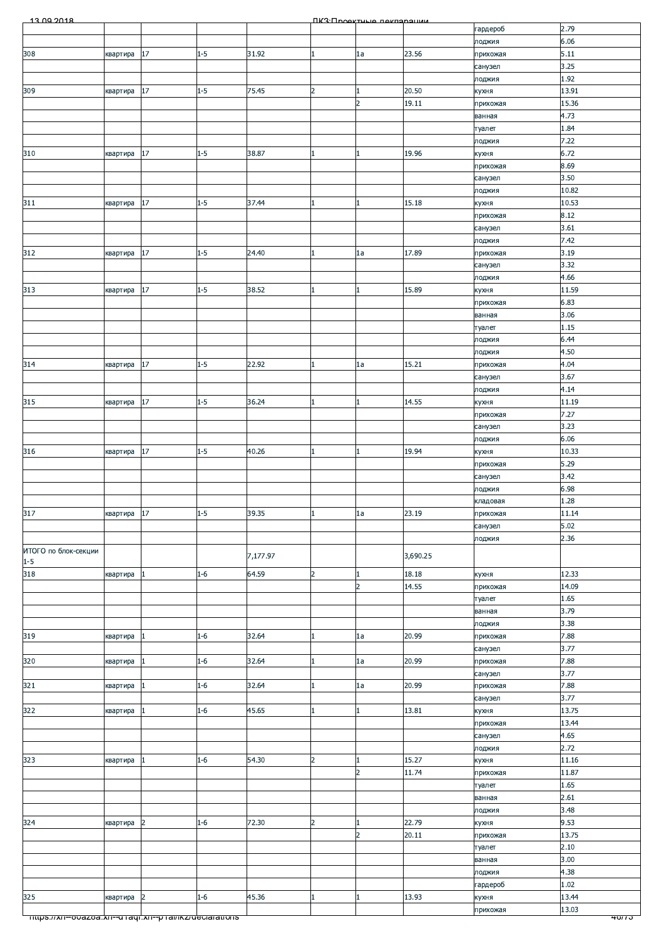| <b>ΠΚ</b> 3: Προοκτυμίο ποκπαραμικικ<br>2.79<br>гардероб<br>6.06<br>лоджия<br>308<br>17<br>$1 - 5$<br>31.92<br>23.56<br>5.11<br>квартира<br>1a<br>прихожая<br>3.25<br>санузел<br>1.92<br>лоджия<br>75.45<br>20.50<br>17<br>$1 - 5$<br>$\overline{2}$<br>13.91<br>309<br>кухня<br>квартира<br>19.11<br>15.36<br>$\overline{2}$<br>прихожая<br>4.73<br>ванная<br>1.84<br>туалет<br>7.22<br>лоджия<br>310<br>$1 - 5$<br>6.72<br>17<br>38.87<br>19.96<br>квартира<br>$\mathbf{1}$<br>кухня<br>8.69<br>прихожая<br>3.50<br>санузел<br>10.82<br>лоджия<br>17<br>$1 - 5$<br>37.44<br>15.18<br>10.53<br>311<br>кухня<br>квартира<br>8.12<br>прихожая<br>3.61<br>санузел<br>7.42<br>лоджия<br>17<br>$1 - 5$<br>312<br>24.40<br>17.89<br>3.19<br>1a<br>квартира<br>прихожая<br>1<br>3.32<br>санузел<br>4.66<br>лоджия<br>17<br>$1 - 5$<br>38.52<br>15.89<br>313<br>11.59<br>квартира<br>кухня<br>6.83<br>прихожая<br>3.06<br>ванная<br>1.15<br>туалет<br>6.44<br>лоджия<br>4.50<br>лоджия<br>17<br>22.92<br>$1 - 5$<br>15.21<br>4.04<br>314<br>1a<br>прихожая<br>квартира<br>3.67<br>санузел<br>4.14<br>лоджия<br>315<br>17<br>$1 - 5$<br>36.24<br>14.55<br>11.19<br>квартира<br>кухня<br>7.27<br>прихожая<br>3.23<br>санузел<br>6.06<br>лоджия<br>17<br>40.26<br>316<br>$1 - 5$<br>19.94<br>10.33<br>кухня<br>квартира<br>5.29<br>прихожая<br>3.42<br>санузел<br>6.98<br>лоджия<br>1.28<br>кладовая<br>квартира 17<br>39.35<br>23.19<br>$1 - 5$<br>11.14<br>1<br> la<br>прихожая<br>5.02<br>санузел<br>2.36<br>лоджия<br>7,177.97<br>3,690.25<br>$1 - 5$<br>318<br>$\overline{a}$<br>12.33<br>$1 - 6$<br>64.59<br>18.18<br>квартира<br>1<br>кухня<br>$\overline{2}$<br>14.55<br>14.09<br>прихожая<br>1.65<br>туалет<br>3.79<br>ванная<br>3.38<br>лоджия<br>20.99<br>7.88<br>$1 - 6$<br>32.64<br>квартира<br>$\vert$ 1<br>1a<br>прихожая<br>3.77<br>санузел<br>320<br>7.88<br>$1 - 6$<br>32.64<br>20.99<br>1a<br>прихожая<br>квартира<br>1<br>1<br>3.77<br>санузел<br>20.99<br>7.88<br>321<br>$1 - 6$<br>32.64<br>квартира<br>$\mathbf{1}$<br>1a<br>прихожая<br>3.77<br>санузел<br>322<br>45.65<br>13.75<br>$1 - 6$<br>13.81<br>кухня<br>квартира<br>1<br>13.44<br>прихожая<br>4.65<br>санузел<br>2.72<br>лоджия<br>323<br>15.27<br>11.16<br>54.30<br>$\overline{2}$<br>$1 - 6$<br>квартира<br>$\vert$ 1<br>кухня<br>11.74<br>$\overline{2}$<br>11.87<br>прихожая<br>1.65<br>туалет<br>2.61<br>ванная<br>3.48<br>лоджия<br>9.53<br>324<br>$\overline{2}$<br>22.79<br>$1 - 6$<br>72.30<br>квартира<br>$\overline{2}$<br>кухня<br>1<br>$\overline{2}$<br>20.11<br>13.75<br>прихожая<br>2.10<br>туалет<br>3.00<br>ванная<br>4.38<br>лоджия<br>1.02<br>гардероб<br>325<br>45.36<br>13.93<br>13.44<br>$\overline{2}$<br>$1 - 6$<br>квартира<br>кухня<br>13.03<br>прихожая<br><u> mups.//xn--ooazoa.xn--o raqi.xn--p rai/ikz/deciarations</u><br>40/13 |  | 13.00.2018 |  |  |  |  |  |
|----------------------------------------------------------------------------------------------------------------------------------------------------------------------------------------------------------------------------------------------------------------------------------------------------------------------------------------------------------------------------------------------------------------------------------------------------------------------------------------------------------------------------------------------------------------------------------------------------------------------------------------------------------------------------------------------------------------------------------------------------------------------------------------------------------------------------------------------------------------------------------------------------------------------------------------------------------------------------------------------------------------------------------------------------------------------------------------------------------------------------------------------------------------------------------------------------------------------------------------------------------------------------------------------------------------------------------------------------------------------------------------------------------------------------------------------------------------------------------------------------------------------------------------------------------------------------------------------------------------------------------------------------------------------------------------------------------------------------------------------------------------------------------------------------------------------------------------------------------------------------------------------------------------------------------------------------------------------------------------------------------------------------------------------------------------------------------------------------------------------------------------------------------------------------------------------------------------------------------------------------------------------------------------------------------------------------------------------------------------------------------------------------------------------------------------------------------------------------------------------------------------------------------------------------------------------------------------------------------------------------------------------------------------------------------------------------------------------------------------------------------------------------------------------------------------------------------------|--|------------|--|--|--|--|--|
| 317<br>ИТОГО по блок-секции<br>319                                                                                                                                                                                                                                                                                                                                                                                                                                                                                                                                                                                                                                                                                                                                                                                                                                                                                                                                                                                                                                                                                                                                                                                                                                                                                                                                                                                                                                                                                                                                                                                                                                                                                                                                                                                                                                                                                                                                                                                                                                                                                                                                                                                                                                                                                                                                                                                                                                                                                                                                                                                                                                                                                                                                                                                                     |  |            |  |  |  |  |  |
|                                                                                                                                                                                                                                                                                                                                                                                                                                                                                                                                                                                                                                                                                                                                                                                                                                                                                                                                                                                                                                                                                                                                                                                                                                                                                                                                                                                                                                                                                                                                                                                                                                                                                                                                                                                                                                                                                                                                                                                                                                                                                                                                                                                                                                                                                                                                                                                                                                                                                                                                                                                                                                                                                                                                                                                                                                        |  |            |  |  |  |  |  |
|                                                                                                                                                                                                                                                                                                                                                                                                                                                                                                                                                                                                                                                                                                                                                                                                                                                                                                                                                                                                                                                                                                                                                                                                                                                                                                                                                                                                                                                                                                                                                                                                                                                                                                                                                                                                                                                                                                                                                                                                                                                                                                                                                                                                                                                                                                                                                                                                                                                                                                                                                                                                                                                                                                                                                                                                                                        |  |            |  |  |  |  |  |
|                                                                                                                                                                                                                                                                                                                                                                                                                                                                                                                                                                                                                                                                                                                                                                                                                                                                                                                                                                                                                                                                                                                                                                                                                                                                                                                                                                                                                                                                                                                                                                                                                                                                                                                                                                                                                                                                                                                                                                                                                                                                                                                                                                                                                                                                                                                                                                                                                                                                                                                                                                                                                                                                                                                                                                                                                                        |  |            |  |  |  |  |  |
|                                                                                                                                                                                                                                                                                                                                                                                                                                                                                                                                                                                                                                                                                                                                                                                                                                                                                                                                                                                                                                                                                                                                                                                                                                                                                                                                                                                                                                                                                                                                                                                                                                                                                                                                                                                                                                                                                                                                                                                                                                                                                                                                                                                                                                                                                                                                                                                                                                                                                                                                                                                                                                                                                                                                                                                                                                        |  |            |  |  |  |  |  |
|                                                                                                                                                                                                                                                                                                                                                                                                                                                                                                                                                                                                                                                                                                                                                                                                                                                                                                                                                                                                                                                                                                                                                                                                                                                                                                                                                                                                                                                                                                                                                                                                                                                                                                                                                                                                                                                                                                                                                                                                                                                                                                                                                                                                                                                                                                                                                                                                                                                                                                                                                                                                                                                                                                                                                                                                                                        |  |            |  |  |  |  |  |
|                                                                                                                                                                                                                                                                                                                                                                                                                                                                                                                                                                                                                                                                                                                                                                                                                                                                                                                                                                                                                                                                                                                                                                                                                                                                                                                                                                                                                                                                                                                                                                                                                                                                                                                                                                                                                                                                                                                                                                                                                                                                                                                                                                                                                                                                                                                                                                                                                                                                                                                                                                                                                                                                                                                                                                                                                                        |  |            |  |  |  |  |  |
|                                                                                                                                                                                                                                                                                                                                                                                                                                                                                                                                                                                                                                                                                                                                                                                                                                                                                                                                                                                                                                                                                                                                                                                                                                                                                                                                                                                                                                                                                                                                                                                                                                                                                                                                                                                                                                                                                                                                                                                                                                                                                                                                                                                                                                                                                                                                                                                                                                                                                                                                                                                                                                                                                                                                                                                                                                        |  |            |  |  |  |  |  |
|                                                                                                                                                                                                                                                                                                                                                                                                                                                                                                                                                                                                                                                                                                                                                                                                                                                                                                                                                                                                                                                                                                                                                                                                                                                                                                                                                                                                                                                                                                                                                                                                                                                                                                                                                                                                                                                                                                                                                                                                                                                                                                                                                                                                                                                                                                                                                                                                                                                                                                                                                                                                                                                                                                                                                                                                                                        |  |            |  |  |  |  |  |
|                                                                                                                                                                                                                                                                                                                                                                                                                                                                                                                                                                                                                                                                                                                                                                                                                                                                                                                                                                                                                                                                                                                                                                                                                                                                                                                                                                                                                                                                                                                                                                                                                                                                                                                                                                                                                                                                                                                                                                                                                                                                                                                                                                                                                                                                                                                                                                                                                                                                                                                                                                                                                                                                                                                                                                                                                                        |  |            |  |  |  |  |  |
|                                                                                                                                                                                                                                                                                                                                                                                                                                                                                                                                                                                                                                                                                                                                                                                                                                                                                                                                                                                                                                                                                                                                                                                                                                                                                                                                                                                                                                                                                                                                                                                                                                                                                                                                                                                                                                                                                                                                                                                                                                                                                                                                                                                                                                                                                                                                                                                                                                                                                                                                                                                                                                                                                                                                                                                                                                        |  |            |  |  |  |  |  |
|                                                                                                                                                                                                                                                                                                                                                                                                                                                                                                                                                                                                                                                                                                                                                                                                                                                                                                                                                                                                                                                                                                                                                                                                                                                                                                                                                                                                                                                                                                                                                                                                                                                                                                                                                                                                                                                                                                                                                                                                                                                                                                                                                                                                                                                                                                                                                                                                                                                                                                                                                                                                                                                                                                                                                                                                                                        |  |            |  |  |  |  |  |
|                                                                                                                                                                                                                                                                                                                                                                                                                                                                                                                                                                                                                                                                                                                                                                                                                                                                                                                                                                                                                                                                                                                                                                                                                                                                                                                                                                                                                                                                                                                                                                                                                                                                                                                                                                                                                                                                                                                                                                                                                                                                                                                                                                                                                                                                                                                                                                                                                                                                                                                                                                                                                                                                                                                                                                                                                                        |  |            |  |  |  |  |  |
|                                                                                                                                                                                                                                                                                                                                                                                                                                                                                                                                                                                                                                                                                                                                                                                                                                                                                                                                                                                                                                                                                                                                                                                                                                                                                                                                                                                                                                                                                                                                                                                                                                                                                                                                                                                                                                                                                                                                                                                                                                                                                                                                                                                                                                                                                                                                                                                                                                                                                                                                                                                                                                                                                                                                                                                                                                        |  |            |  |  |  |  |  |
|                                                                                                                                                                                                                                                                                                                                                                                                                                                                                                                                                                                                                                                                                                                                                                                                                                                                                                                                                                                                                                                                                                                                                                                                                                                                                                                                                                                                                                                                                                                                                                                                                                                                                                                                                                                                                                                                                                                                                                                                                                                                                                                                                                                                                                                                                                                                                                                                                                                                                                                                                                                                                                                                                                                                                                                                                                        |  |            |  |  |  |  |  |
|                                                                                                                                                                                                                                                                                                                                                                                                                                                                                                                                                                                                                                                                                                                                                                                                                                                                                                                                                                                                                                                                                                                                                                                                                                                                                                                                                                                                                                                                                                                                                                                                                                                                                                                                                                                                                                                                                                                                                                                                                                                                                                                                                                                                                                                                                                                                                                                                                                                                                                                                                                                                                                                                                                                                                                                                                                        |  |            |  |  |  |  |  |
|                                                                                                                                                                                                                                                                                                                                                                                                                                                                                                                                                                                                                                                                                                                                                                                                                                                                                                                                                                                                                                                                                                                                                                                                                                                                                                                                                                                                                                                                                                                                                                                                                                                                                                                                                                                                                                                                                                                                                                                                                                                                                                                                                                                                                                                                                                                                                                                                                                                                                                                                                                                                                                                                                                                                                                                                                                        |  |            |  |  |  |  |  |
|                                                                                                                                                                                                                                                                                                                                                                                                                                                                                                                                                                                                                                                                                                                                                                                                                                                                                                                                                                                                                                                                                                                                                                                                                                                                                                                                                                                                                                                                                                                                                                                                                                                                                                                                                                                                                                                                                                                                                                                                                                                                                                                                                                                                                                                                                                                                                                                                                                                                                                                                                                                                                                                                                                                                                                                                                                        |  |            |  |  |  |  |  |
|                                                                                                                                                                                                                                                                                                                                                                                                                                                                                                                                                                                                                                                                                                                                                                                                                                                                                                                                                                                                                                                                                                                                                                                                                                                                                                                                                                                                                                                                                                                                                                                                                                                                                                                                                                                                                                                                                                                                                                                                                                                                                                                                                                                                                                                                                                                                                                                                                                                                                                                                                                                                                                                                                                                                                                                                                                        |  |            |  |  |  |  |  |
|                                                                                                                                                                                                                                                                                                                                                                                                                                                                                                                                                                                                                                                                                                                                                                                                                                                                                                                                                                                                                                                                                                                                                                                                                                                                                                                                                                                                                                                                                                                                                                                                                                                                                                                                                                                                                                                                                                                                                                                                                                                                                                                                                                                                                                                                                                                                                                                                                                                                                                                                                                                                                                                                                                                                                                                                                                        |  |            |  |  |  |  |  |
|                                                                                                                                                                                                                                                                                                                                                                                                                                                                                                                                                                                                                                                                                                                                                                                                                                                                                                                                                                                                                                                                                                                                                                                                                                                                                                                                                                                                                                                                                                                                                                                                                                                                                                                                                                                                                                                                                                                                                                                                                                                                                                                                                                                                                                                                                                                                                                                                                                                                                                                                                                                                                                                                                                                                                                                                                                        |  |            |  |  |  |  |  |
|                                                                                                                                                                                                                                                                                                                                                                                                                                                                                                                                                                                                                                                                                                                                                                                                                                                                                                                                                                                                                                                                                                                                                                                                                                                                                                                                                                                                                                                                                                                                                                                                                                                                                                                                                                                                                                                                                                                                                                                                                                                                                                                                                                                                                                                                                                                                                                                                                                                                                                                                                                                                                                                                                                                                                                                                                                        |  |            |  |  |  |  |  |
|                                                                                                                                                                                                                                                                                                                                                                                                                                                                                                                                                                                                                                                                                                                                                                                                                                                                                                                                                                                                                                                                                                                                                                                                                                                                                                                                                                                                                                                                                                                                                                                                                                                                                                                                                                                                                                                                                                                                                                                                                                                                                                                                                                                                                                                                                                                                                                                                                                                                                                                                                                                                                                                                                                                                                                                                                                        |  |            |  |  |  |  |  |
|                                                                                                                                                                                                                                                                                                                                                                                                                                                                                                                                                                                                                                                                                                                                                                                                                                                                                                                                                                                                                                                                                                                                                                                                                                                                                                                                                                                                                                                                                                                                                                                                                                                                                                                                                                                                                                                                                                                                                                                                                                                                                                                                                                                                                                                                                                                                                                                                                                                                                                                                                                                                                                                                                                                                                                                                                                        |  |            |  |  |  |  |  |
|                                                                                                                                                                                                                                                                                                                                                                                                                                                                                                                                                                                                                                                                                                                                                                                                                                                                                                                                                                                                                                                                                                                                                                                                                                                                                                                                                                                                                                                                                                                                                                                                                                                                                                                                                                                                                                                                                                                                                                                                                                                                                                                                                                                                                                                                                                                                                                                                                                                                                                                                                                                                                                                                                                                                                                                                                                        |  |            |  |  |  |  |  |
|                                                                                                                                                                                                                                                                                                                                                                                                                                                                                                                                                                                                                                                                                                                                                                                                                                                                                                                                                                                                                                                                                                                                                                                                                                                                                                                                                                                                                                                                                                                                                                                                                                                                                                                                                                                                                                                                                                                                                                                                                                                                                                                                                                                                                                                                                                                                                                                                                                                                                                                                                                                                                                                                                                                                                                                                                                        |  |            |  |  |  |  |  |
|                                                                                                                                                                                                                                                                                                                                                                                                                                                                                                                                                                                                                                                                                                                                                                                                                                                                                                                                                                                                                                                                                                                                                                                                                                                                                                                                                                                                                                                                                                                                                                                                                                                                                                                                                                                                                                                                                                                                                                                                                                                                                                                                                                                                                                                                                                                                                                                                                                                                                                                                                                                                                                                                                                                                                                                                                                        |  |            |  |  |  |  |  |
|                                                                                                                                                                                                                                                                                                                                                                                                                                                                                                                                                                                                                                                                                                                                                                                                                                                                                                                                                                                                                                                                                                                                                                                                                                                                                                                                                                                                                                                                                                                                                                                                                                                                                                                                                                                                                                                                                                                                                                                                                                                                                                                                                                                                                                                                                                                                                                                                                                                                                                                                                                                                                                                                                                                                                                                                                                        |  |            |  |  |  |  |  |
|                                                                                                                                                                                                                                                                                                                                                                                                                                                                                                                                                                                                                                                                                                                                                                                                                                                                                                                                                                                                                                                                                                                                                                                                                                                                                                                                                                                                                                                                                                                                                                                                                                                                                                                                                                                                                                                                                                                                                                                                                                                                                                                                                                                                                                                                                                                                                                                                                                                                                                                                                                                                                                                                                                                                                                                                                                        |  |            |  |  |  |  |  |
|                                                                                                                                                                                                                                                                                                                                                                                                                                                                                                                                                                                                                                                                                                                                                                                                                                                                                                                                                                                                                                                                                                                                                                                                                                                                                                                                                                                                                                                                                                                                                                                                                                                                                                                                                                                                                                                                                                                                                                                                                                                                                                                                                                                                                                                                                                                                                                                                                                                                                                                                                                                                                                                                                                                                                                                                                                        |  |            |  |  |  |  |  |
|                                                                                                                                                                                                                                                                                                                                                                                                                                                                                                                                                                                                                                                                                                                                                                                                                                                                                                                                                                                                                                                                                                                                                                                                                                                                                                                                                                                                                                                                                                                                                                                                                                                                                                                                                                                                                                                                                                                                                                                                                                                                                                                                                                                                                                                                                                                                                                                                                                                                                                                                                                                                                                                                                                                                                                                                                                        |  |            |  |  |  |  |  |
|                                                                                                                                                                                                                                                                                                                                                                                                                                                                                                                                                                                                                                                                                                                                                                                                                                                                                                                                                                                                                                                                                                                                                                                                                                                                                                                                                                                                                                                                                                                                                                                                                                                                                                                                                                                                                                                                                                                                                                                                                                                                                                                                                                                                                                                                                                                                                                                                                                                                                                                                                                                                                                                                                                                                                                                                                                        |  |            |  |  |  |  |  |
|                                                                                                                                                                                                                                                                                                                                                                                                                                                                                                                                                                                                                                                                                                                                                                                                                                                                                                                                                                                                                                                                                                                                                                                                                                                                                                                                                                                                                                                                                                                                                                                                                                                                                                                                                                                                                                                                                                                                                                                                                                                                                                                                                                                                                                                                                                                                                                                                                                                                                                                                                                                                                                                                                                                                                                                                                                        |  |            |  |  |  |  |  |
|                                                                                                                                                                                                                                                                                                                                                                                                                                                                                                                                                                                                                                                                                                                                                                                                                                                                                                                                                                                                                                                                                                                                                                                                                                                                                                                                                                                                                                                                                                                                                                                                                                                                                                                                                                                                                                                                                                                                                                                                                                                                                                                                                                                                                                                                                                                                                                                                                                                                                                                                                                                                                                                                                                                                                                                                                                        |  |            |  |  |  |  |  |
|                                                                                                                                                                                                                                                                                                                                                                                                                                                                                                                                                                                                                                                                                                                                                                                                                                                                                                                                                                                                                                                                                                                                                                                                                                                                                                                                                                                                                                                                                                                                                                                                                                                                                                                                                                                                                                                                                                                                                                                                                                                                                                                                                                                                                                                                                                                                                                                                                                                                                                                                                                                                                                                                                                                                                                                                                                        |  |            |  |  |  |  |  |
|                                                                                                                                                                                                                                                                                                                                                                                                                                                                                                                                                                                                                                                                                                                                                                                                                                                                                                                                                                                                                                                                                                                                                                                                                                                                                                                                                                                                                                                                                                                                                                                                                                                                                                                                                                                                                                                                                                                                                                                                                                                                                                                                                                                                                                                                                                                                                                                                                                                                                                                                                                                                                                                                                                                                                                                                                                        |  |            |  |  |  |  |  |
|                                                                                                                                                                                                                                                                                                                                                                                                                                                                                                                                                                                                                                                                                                                                                                                                                                                                                                                                                                                                                                                                                                                                                                                                                                                                                                                                                                                                                                                                                                                                                                                                                                                                                                                                                                                                                                                                                                                                                                                                                                                                                                                                                                                                                                                                                                                                                                                                                                                                                                                                                                                                                                                                                                                                                                                                                                        |  |            |  |  |  |  |  |
|                                                                                                                                                                                                                                                                                                                                                                                                                                                                                                                                                                                                                                                                                                                                                                                                                                                                                                                                                                                                                                                                                                                                                                                                                                                                                                                                                                                                                                                                                                                                                                                                                                                                                                                                                                                                                                                                                                                                                                                                                                                                                                                                                                                                                                                                                                                                                                                                                                                                                                                                                                                                                                                                                                                                                                                                                                        |  |            |  |  |  |  |  |
|                                                                                                                                                                                                                                                                                                                                                                                                                                                                                                                                                                                                                                                                                                                                                                                                                                                                                                                                                                                                                                                                                                                                                                                                                                                                                                                                                                                                                                                                                                                                                                                                                                                                                                                                                                                                                                                                                                                                                                                                                                                                                                                                                                                                                                                                                                                                                                                                                                                                                                                                                                                                                                                                                                                                                                                                                                        |  |            |  |  |  |  |  |
|                                                                                                                                                                                                                                                                                                                                                                                                                                                                                                                                                                                                                                                                                                                                                                                                                                                                                                                                                                                                                                                                                                                                                                                                                                                                                                                                                                                                                                                                                                                                                                                                                                                                                                                                                                                                                                                                                                                                                                                                                                                                                                                                                                                                                                                                                                                                                                                                                                                                                                                                                                                                                                                                                                                                                                                                                                        |  |            |  |  |  |  |  |
|                                                                                                                                                                                                                                                                                                                                                                                                                                                                                                                                                                                                                                                                                                                                                                                                                                                                                                                                                                                                                                                                                                                                                                                                                                                                                                                                                                                                                                                                                                                                                                                                                                                                                                                                                                                                                                                                                                                                                                                                                                                                                                                                                                                                                                                                                                                                                                                                                                                                                                                                                                                                                                                                                                                                                                                                                                        |  |            |  |  |  |  |  |
|                                                                                                                                                                                                                                                                                                                                                                                                                                                                                                                                                                                                                                                                                                                                                                                                                                                                                                                                                                                                                                                                                                                                                                                                                                                                                                                                                                                                                                                                                                                                                                                                                                                                                                                                                                                                                                                                                                                                                                                                                                                                                                                                                                                                                                                                                                                                                                                                                                                                                                                                                                                                                                                                                                                                                                                                                                        |  |            |  |  |  |  |  |
|                                                                                                                                                                                                                                                                                                                                                                                                                                                                                                                                                                                                                                                                                                                                                                                                                                                                                                                                                                                                                                                                                                                                                                                                                                                                                                                                                                                                                                                                                                                                                                                                                                                                                                                                                                                                                                                                                                                                                                                                                                                                                                                                                                                                                                                                                                                                                                                                                                                                                                                                                                                                                                                                                                                                                                                                                                        |  |            |  |  |  |  |  |
|                                                                                                                                                                                                                                                                                                                                                                                                                                                                                                                                                                                                                                                                                                                                                                                                                                                                                                                                                                                                                                                                                                                                                                                                                                                                                                                                                                                                                                                                                                                                                                                                                                                                                                                                                                                                                                                                                                                                                                                                                                                                                                                                                                                                                                                                                                                                                                                                                                                                                                                                                                                                                                                                                                                                                                                                                                        |  |            |  |  |  |  |  |
|                                                                                                                                                                                                                                                                                                                                                                                                                                                                                                                                                                                                                                                                                                                                                                                                                                                                                                                                                                                                                                                                                                                                                                                                                                                                                                                                                                                                                                                                                                                                                                                                                                                                                                                                                                                                                                                                                                                                                                                                                                                                                                                                                                                                                                                                                                                                                                                                                                                                                                                                                                                                                                                                                                                                                                                                                                        |  |            |  |  |  |  |  |
|                                                                                                                                                                                                                                                                                                                                                                                                                                                                                                                                                                                                                                                                                                                                                                                                                                                                                                                                                                                                                                                                                                                                                                                                                                                                                                                                                                                                                                                                                                                                                                                                                                                                                                                                                                                                                                                                                                                                                                                                                                                                                                                                                                                                                                                                                                                                                                                                                                                                                                                                                                                                                                                                                                                                                                                                                                        |  |            |  |  |  |  |  |
|                                                                                                                                                                                                                                                                                                                                                                                                                                                                                                                                                                                                                                                                                                                                                                                                                                                                                                                                                                                                                                                                                                                                                                                                                                                                                                                                                                                                                                                                                                                                                                                                                                                                                                                                                                                                                                                                                                                                                                                                                                                                                                                                                                                                                                                                                                                                                                                                                                                                                                                                                                                                                                                                                                                                                                                                                                        |  |            |  |  |  |  |  |
|                                                                                                                                                                                                                                                                                                                                                                                                                                                                                                                                                                                                                                                                                                                                                                                                                                                                                                                                                                                                                                                                                                                                                                                                                                                                                                                                                                                                                                                                                                                                                                                                                                                                                                                                                                                                                                                                                                                                                                                                                                                                                                                                                                                                                                                                                                                                                                                                                                                                                                                                                                                                                                                                                                                                                                                                                                        |  |            |  |  |  |  |  |
|                                                                                                                                                                                                                                                                                                                                                                                                                                                                                                                                                                                                                                                                                                                                                                                                                                                                                                                                                                                                                                                                                                                                                                                                                                                                                                                                                                                                                                                                                                                                                                                                                                                                                                                                                                                                                                                                                                                                                                                                                                                                                                                                                                                                                                                                                                                                                                                                                                                                                                                                                                                                                                                                                                                                                                                                                                        |  |            |  |  |  |  |  |
|                                                                                                                                                                                                                                                                                                                                                                                                                                                                                                                                                                                                                                                                                                                                                                                                                                                                                                                                                                                                                                                                                                                                                                                                                                                                                                                                                                                                                                                                                                                                                                                                                                                                                                                                                                                                                                                                                                                                                                                                                                                                                                                                                                                                                                                                                                                                                                                                                                                                                                                                                                                                                                                                                                                                                                                                                                        |  |            |  |  |  |  |  |
|                                                                                                                                                                                                                                                                                                                                                                                                                                                                                                                                                                                                                                                                                                                                                                                                                                                                                                                                                                                                                                                                                                                                                                                                                                                                                                                                                                                                                                                                                                                                                                                                                                                                                                                                                                                                                                                                                                                                                                                                                                                                                                                                                                                                                                                                                                                                                                                                                                                                                                                                                                                                                                                                                                                                                                                                                                        |  |            |  |  |  |  |  |
|                                                                                                                                                                                                                                                                                                                                                                                                                                                                                                                                                                                                                                                                                                                                                                                                                                                                                                                                                                                                                                                                                                                                                                                                                                                                                                                                                                                                                                                                                                                                                                                                                                                                                                                                                                                                                                                                                                                                                                                                                                                                                                                                                                                                                                                                                                                                                                                                                                                                                                                                                                                                                                                                                                                                                                                                                                        |  |            |  |  |  |  |  |
|                                                                                                                                                                                                                                                                                                                                                                                                                                                                                                                                                                                                                                                                                                                                                                                                                                                                                                                                                                                                                                                                                                                                                                                                                                                                                                                                                                                                                                                                                                                                                                                                                                                                                                                                                                                                                                                                                                                                                                                                                                                                                                                                                                                                                                                                                                                                                                                                                                                                                                                                                                                                                                                                                                                                                                                                                                        |  |            |  |  |  |  |  |
|                                                                                                                                                                                                                                                                                                                                                                                                                                                                                                                                                                                                                                                                                                                                                                                                                                                                                                                                                                                                                                                                                                                                                                                                                                                                                                                                                                                                                                                                                                                                                                                                                                                                                                                                                                                                                                                                                                                                                                                                                                                                                                                                                                                                                                                                                                                                                                                                                                                                                                                                                                                                                                                                                                                                                                                                                                        |  |            |  |  |  |  |  |
|                                                                                                                                                                                                                                                                                                                                                                                                                                                                                                                                                                                                                                                                                                                                                                                                                                                                                                                                                                                                                                                                                                                                                                                                                                                                                                                                                                                                                                                                                                                                                                                                                                                                                                                                                                                                                                                                                                                                                                                                                                                                                                                                                                                                                                                                                                                                                                                                                                                                                                                                                                                                                                                                                                                                                                                                                                        |  |            |  |  |  |  |  |
|                                                                                                                                                                                                                                                                                                                                                                                                                                                                                                                                                                                                                                                                                                                                                                                                                                                                                                                                                                                                                                                                                                                                                                                                                                                                                                                                                                                                                                                                                                                                                                                                                                                                                                                                                                                                                                                                                                                                                                                                                                                                                                                                                                                                                                                                                                                                                                                                                                                                                                                                                                                                                                                                                                                                                                                                                                        |  |            |  |  |  |  |  |
|                                                                                                                                                                                                                                                                                                                                                                                                                                                                                                                                                                                                                                                                                                                                                                                                                                                                                                                                                                                                                                                                                                                                                                                                                                                                                                                                                                                                                                                                                                                                                                                                                                                                                                                                                                                                                                                                                                                                                                                                                                                                                                                                                                                                                                                                                                                                                                                                                                                                                                                                                                                                                                                                                                                                                                                                                                        |  |            |  |  |  |  |  |
|                                                                                                                                                                                                                                                                                                                                                                                                                                                                                                                                                                                                                                                                                                                                                                                                                                                                                                                                                                                                                                                                                                                                                                                                                                                                                                                                                                                                                                                                                                                                                                                                                                                                                                                                                                                                                                                                                                                                                                                                                                                                                                                                                                                                                                                                                                                                                                                                                                                                                                                                                                                                                                                                                                                                                                                                                                        |  |            |  |  |  |  |  |
|                                                                                                                                                                                                                                                                                                                                                                                                                                                                                                                                                                                                                                                                                                                                                                                                                                                                                                                                                                                                                                                                                                                                                                                                                                                                                                                                                                                                                                                                                                                                                                                                                                                                                                                                                                                                                                                                                                                                                                                                                                                                                                                                                                                                                                                                                                                                                                                                                                                                                                                                                                                                                                                                                                                                                                                                                                        |  |            |  |  |  |  |  |
|                                                                                                                                                                                                                                                                                                                                                                                                                                                                                                                                                                                                                                                                                                                                                                                                                                                                                                                                                                                                                                                                                                                                                                                                                                                                                                                                                                                                                                                                                                                                                                                                                                                                                                                                                                                                                                                                                                                                                                                                                                                                                                                                                                                                                                                                                                                                                                                                                                                                                                                                                                                                                                                                                                                                                                                                                                        |  |            |  |  |  |  |  |
|                                                                                                                                                                                                                                                                                                                                                                                                                                                                                                                                                                                                                                                                                                                                                                                                                                                                                                                                                                                                                                                                                                                                                                                                                                                                                                                                                                                                                                                                                                                                                                                                                                                                                                                                                                                                                                                                                                                                                                                                                                                                                                                                                                                                                                                                                                                                                                                                                                                                                                                                                                                                                                                                                                                                                                                                                                        |  |            |  |  |  |  |  |
|                                                                                                                                                                                                                                                                                                                                                                                                                                                                                                                                                                                                                                                                                                                                                                                                                                                                                                                                                                                                                                                                                                                                                                                                                                                                                                                                                                                                                                                                                                                                                                                                                                                                                                                                                                                                                                                                                                                                                                                                                                                                                                                                                                                                                                                                                                                                                                                                                                                                                                                                                                                                                                                                                                                                                                                                                                        |  |            |  |  |  |  |  |
|                                                                                                                                                                                                                                                                                                                                                                                                                                                                                                                                                                                                                                                                                                                                                                                                                                                                                                                                                                                                                                                                                                                                                                                                                                                                                                                                                                                                                                                                                                                                                                                                                                                                                                                                                                                                                                                                                                                                                                                                                                                                                                                                                                                                                                                                                                                                                                                                                                                                                                                                                                                                                                                                                                                                                                                                                                        |  |            |  |  |  |  |  |
|                                                                                                                                                                                                                                                                                                                                                                                                                                                                                                                                                                                                                                                                                                                                                                                                                                                                                                                                                                                                                                                                                                                                                                                                                                                                                                                                                                                                                                                                                                                                                                                                                                                                                                                                                                                                                                                                                                                                                                                                                                                                                                                                                                                                                                                                                                                                                                                                                                                                                                                                                                                                                                                                                                                                                                                                                                        |  |            |  |  |  |  |  |
|                                                                                                                                                                                                                                                                                                                                                                                                                                                                                                                                                                                                                                                                                                                                                                                                                                                                                                                                                                                                                                                                                                                                                                                                                                                                                                                                                                                                                                                                                                                                                                                                                                                                                                                                                                                                                                                                                                                                                                                                                                                                                                                                                                                                                                                                                                                                                                                                                                                                                                                                                                                                                                                                                                                                                                                                                                        |  |            |  |  |  |  |  |
|                                                                                                                                                                                                                                                                                                                                                                                                                                                                                                                                                                                                                                                                                                                                                                                                                                                                                                                                                                                                                                                                                                                                                                                                                                                                                                                                                                                                                                                                                                                                                                                                                                                                                                                                                                                                                                                                                                                                                                                                                                                                                                                                                                                                                                                                                                                                                                                                                                                                                                                                                                                                                                                                                                                                                                                                                                        |  |            |  |  |  |  |  |
|                                                                                                                                                                                                                                                                                                                                                                                                                                                                                                                                                                                                                                                                                                                                                                                                                                                                                                                                                                                                                                                                                                                                                                                                                                                                                                                                                                                                                                                                                                                                                                                                                                                                                                                                                                                                                                                                                                                                                                                                                                                                                                                                                                                                                                                                                                                                                                                                                                                                                                                                                                                                                                                                                                                                                                                                                                        |  |            |  |  |  |  |  |
|                                                                                                                                                                                                                                                                                                                                                                                                                                                                                                                                                                                                                                                                                                                                                                                                                                                                                                                                                                                                                                                                                                                                                                                                                                                                                                                                                                                                                                                                                                                                                                                                                                                                                                                                                                                                                                                                                                                                                                                                                                                                                                                                                                                                                                                                                                                                                                                                                                                                                                                                                                                                                                                                                                                                                                                                                                        |  |            |  |  |  |  |  |
|                                                                                                                                                                                                                                                                                                                                                                                                                                                                                                                                                                                                                                                                                                                                                                                                                                                                                                                                                                                                                                                                                                                                                                                                                                                                                                                                                                                                                                                                                                                                                                                                                                                                                                                                                                                                                                                                                                                                                                                                                                                                                                                                                                                                                                                                                                                                                                                                                                                                                                                                                                                                                                                                                                                                                                                                                                        |  |            |  |  |  |  |  |
|                                                                                                                                                                                                                                                                                                                                                                                                                                                                                                                                                                                                                                                                                                                                                                                                                                                                                                                                                                                                                                                                                                                                                                                                                                                                                                                                                                                                                                                                                                                                                                                                                                                                                                                                                                                                                                                                                                                                                                                                                                                                                                                                                                                                                                                                                                                                                                                                                                                                                                                                                                                                                                                                                                                                                                                                                                        |  |            |  |  |  |  |  |
|                                                                                                                                                                                                                                                                                                                                                                                                                                                                                                                                                                                                                                                                                                                                                                                                                                                                                                                                                                                                                                                                                                                                                                                                                                                                                                                                                                                                                                                                                                                                                                                                                                                                                                                                                                                                                                                                                                                                                                                                                                                                                                                                                                                                                                                                                                                                                                                                                                                                                                                                                                                                                                                                                                                                                                                                                                        |  |            |  |  |  |  |  |
|                                                                                                                                                                                                                                                                                                                                                                                                                                                                                                                                                                                                                                                                                                                                                                                                                                                                                                                                                                                                                                                                                                                                                                                                                                                                                                                                                                                                                                                                                                                                                                                                                                                                                                                                                                                                                                                                                                                                                                                                                                                                                                                                                                                                                                                                                                                                                                                                                                                                                                                                                                                                                                                                                                                                                                                                                                        |  |            |  |  |  |  |  |
|                                                                                                                                                                                                                                                                                                                                                                                                                                                                                                                                                                                                                                                                                                                                                                                                                                                                                                                                                                                                                                                                                                                                                                                                                                                                                                                                                                                                                                                                                                                                                                                                                                                                                                                                                                                                                                                                                                                                                                                                                                                                                                                                                                                                                                                                                                                                                                                                                                                                                                                                                                                                                                                                                                                                                                                                                                        |  |            |  |  |  |  |  |
|                                                                                                                                                                                                                                                                                                                                                                                                                                                                                                                                                                                                                                                                                                                                                                                                                                                                                                                                                                                                                                                                                                                                                                                                                                                                                                                                                                                                                                                                                                                                                                                                                                                                                                                                                                                                                                                                                                                                                                                                                                                                                                                                                                                                                                                                                                                                                                                                                                                                                                                                                                                                                                                                                                                                                                                                                                        |  |            |  |  |  |  |  |
|                                                                                                                                                                                                                                                                                                                                                                                                                                                                                                                                                                                                                                                                                                                                                                                                                                                                                                                                                                                                                                                                                                                                                                                                                                                                                                                                                                                                                                                                                                                                                                                                                                                                                                                                                                                                                                                                                                                                                                                                                                                                                                                                                                                                                                                                                                                                                                                                                                                                                                                                                                                                                                                                                                                                                                                                                                        |  |            |  |  |  |  |  |
|                                                                                                                                                                                                                                                                                                                                                                                                                                                                                                                                                                                                                                                                                                                                                                                                                                                                                                                                                                                                                                                                                                                                                                                                                                                                                                                                                                                                                                                                                                                                                                                                                                                                                                                                                                                                                                                                                                                                                                                                                                                                                                                                                                                                                                                                                                                                                                                                                                                                                                                                                                                                                                                                                                                                                                                                                                        |  |            |  |  |  |  |  |
|                                                                                                                                                                                                                                                                                                                                                                                                                                                                                                                                                                                                                                                                                                                                                                                                                                                                                                                                                                                                                                                                                                                                                                                                                                                                                                                                                                                                                                                                                                                                                                                                                                                                                                                                                                                                                                                                                                                                                                                                                                                                                                                                                                                                                                                                                                                                                                                                                                                                                                                                                                                                                                                                                                                                                                                                                                        |  |            |  |  |  |  |  |
|                                                                                                                                                                                                                                                                                                                                                                                                                                                                                                                                                                                                                                                                                                                                                                                                                                                                                                                                                                                                                                                                                                                                                                                                                                                                                                                                                                                                                                                                                                                                                                                                                                                                                                                                                                                                                                                                                                                                                                                                                                                                                                                                                                                                                                                                                                                                                                                                                                                                                                                                                                                                                                                                                                                                                                                                                                        |  |            |  |  |  |  |  |
|                                                                                                                                                                                                                                                                                                                                                                                                                                                                                                                                                                                                                                                                                                                                                                                                                                                                                                                                                                                                                                                                                                                                                                                                                                                                                                                                                                                                                                                                                                                                                                                                                                                                                                                                                                                                                                                                                                                                                                                                                                                                                                                                                                                                                                                                                                                                                                                                                                                                                                                                                                                                                                                                                                                                                                                                                                        |  |            |  |  |  |  |  |
|                                                                                                                                                                                                                                                                                                                                                                                                                                                                                                                                                                                                                                                                                                                                                                                                                                                                                                                                                                                                                                                                                                                                                                                                                                                                                                                                                                                                                                                                                                                                                                                                                                                                                                                                                                                                                                                                                                                                                                                                                                                                                                                                                                                                                                                                                                                                                                                                                                                                                                                                                                                                                                                                                                                                                                                                                                        |  |            |  |  |  |  |  |
|                                                                                                                                                                                                                                                                                                                                                                                                                                                                                                                                                                                                                                                                                                                                                                                                                                                                                                                                                                                                                                                                                                                                                                                                                                                                                                                                                                                                                                                                                                                                                                                                                                                                                                                                                                                                                                                                                                                                                                                                                                                                                                                                                                                                                                                                                                                                                                                                                                                                                                                                                                                                                                                                                                                                                                                                                                        |  |            |  |  |  |  |  |
|                                                                                                                                                                                                                                                                                                                                                                                                                                                                                                                                                                                                                                                                                                                                                                                                                                                                                                                                                                                                                                                                                                                                                                                                                                                                                                                                                                                                                                                                                                                                                                                                                                                                                                                                                                                                                                                                                                                                                                                                                                                                                                                                                                                                                                                                                                                                                                                                                                                                                                                                                                                                                                                                                                                                                                                                                                        |  |            |  |  |  |  |  |
|                                                                                                                                                                                                                                                                                                                                                                                                                                                                                                                                                                                                                                                                                                                                                                                                                                                                                                                                                                                                                                                                                                                                                                                                                                                                                                                                                                                                                                                                                                                                                                                                                                                                                                                                                                                                                                                                                                                                                                                                                                                                                                                                                                                                                                                                                                                                                                                                                                                                                                                                                                                                                                                                                                                                                                                                                                        |  |            |  |  |  |  |  |
|                                                                                                                                                                                                                                                                                                                                                                                                                                                                                                                                                                                                                                                                                                                                                                                                                                                                                                                                                                                                                                                                                                                                                                                                                                                                                                                                                                                                                                                                                                                                                                                                                                                                                                                                                                                                                                                                                                                                                                                                                                                                                                                                                                                                                                                                                                                                                                                                                                                                                                                                                                                                                                                                                                                                                                                                                                        |  |            |  |  |  |  |  |
|                                                                                                                                                                                                                                                                                                                                                                                                                                                                                                                                                                                                                                                                                                                                                                                                                                                                                                                                                                                                                                                                                                                                                                                                                                                                                                                                                                                                                                                                                                                                                                                                                                                                                                                                                                                                                                                                                                                                                                                                                                                                                                                                                                                                                                                                                                                                                                                                                                                                                                                                                                                                                                                                                                                                                                                                                                        |  |            |  |  |  |  |  |
|                                                                                                                                                                                                                                                                                                                                                                                                                                                                                                                                                                                                                                                                                                                                                                                                                                                                                                                                                                                                                                                                                                                                                                                                                                                                                                                                                                                                                                                                                                                                                                                                                                                                                                                                                                                                                                                                                                                                                                                                                                                                                                                                                                                                                                                                                                                                                                                                                                                                                                                                                                                                                                                                                                                                                                                                                                        |  |            |  |  |  |  |  |
|                                                                                                                                                                                                                                                                                                                                                                                                                                                                                                                                                                                                                                                                                                                                                                                                                                                                                                                                                                                                                                                                                                                                                                                                                                                                                                                                                                                                                                                                                                                                                                                                                                                                                                                                                                                                                                                                                                                                                                                                                                                                                                                                                                                                                                                                                                                                                                                                                                                                                                                                                                                                                                                                                                                                                                                                                                        |  |            |  |  |  |  |  |
|                                                                                                                                                                                                                                                                                                                                                                                                                                                                                                                                                                                                                                                                                                                                                                                                                                                                                                                                                                                                                                                                                                                                                                                                                                                                                                                                                                                                                                                                                                                                                                                                                                                                                                                                                                                                                                                                                                                                                                                                                                                                                                                                                                                                                                                                                                                                                                                                                                                                                                                                                                                                                                                                                                                                                                                                                                        |  |            |  |  |  |  |  |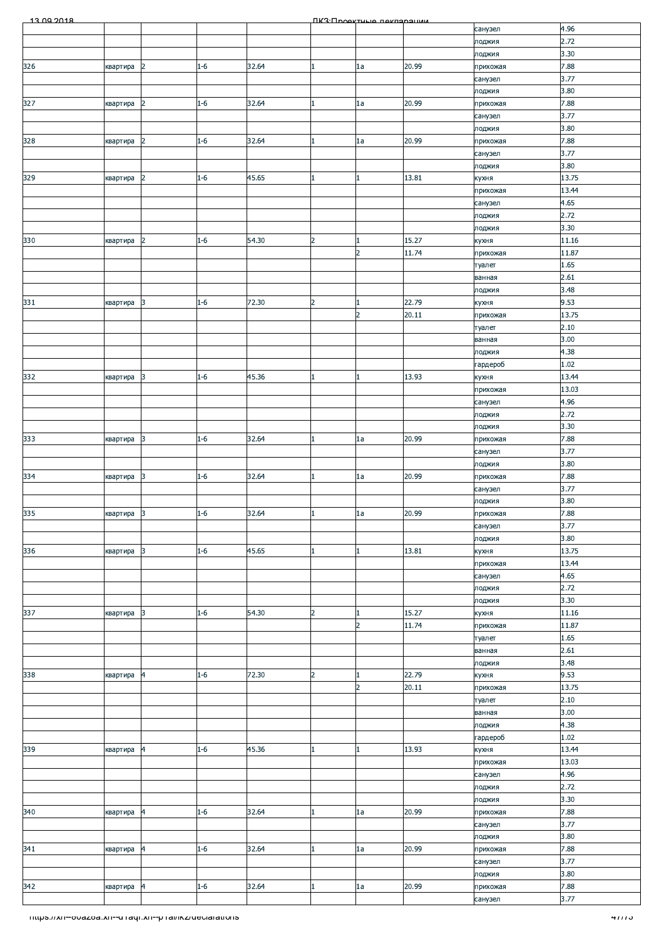| 13.00.2018                                              |             |                 |         |       |                | <b><i><u>IK3: Проектице пекларации</u></i></b> |       |                   | 4.96   |
|---------------------------------------------------------|-------------|-----------------|---------|-------|----------------|------------------------------------------------|-------|-------------------|--------|
|                                                         |             |                 |         |       |                |                                                |       | санузел<br>лоджия | 2.72   |
|                                                         |             |                 |         |       |                |                                                |       | лоджия            | 3.30   |
| 326                                                     | квартира    | 2               | $1 - 6$ | 32.64 | 1              | 1a                                             | 20.99 | прихожая          | 7.88   |
|                                                         |             |                 |         |       |                |                                                |       | санузел           | 3.77   |
|                                                         |             |                 |         |       |                |                                                |       | лоджия            | 3.80   |
| 327                                                     | квартира    | 2               | $1 - 6$ | 32.64 | 1              | 1a                                             | 20.99 | прихожая          | 7.88   |
|                                                         |             |                 |         |       |                |                                                |       | санузел           | 3.77   |
|                                                         |             |                 |         |       |                |                                                |       | лоджия            | 3.80   |
| 328                                                     | квартира    | $\overline{2}$  | $1 - 6$ | 32.64 |                | 1a                                             | 20.99 | прихожая          | 7.88   |
|                                                         |             |                 |         |       |                |                                                |       | санузел           | 3.77   |
|                                                         |             |                 |         |       |                |                                                |       | лоджия            | 3.80   |
| 329                                                     | квартира    | 2               | $1 - 6$ | 45.65 |                |                                                | 13.81 | кухня             | 13.75  |
|                                                         |             |                 |         |       |                |                                                |       | прихожая          | 13.44  |
|                                                         |             |                 |         |       |                |                                                |       | санузел           | 4.65   |
|                                                         |             |                 |         |       |                |                                                |       | лоджия            | 2.72   |
|                                                         |             |                 |         |       |                |                                                |       | лоджия            | 3.30   |
| 330                                                     | квартира    | 2               | $1 - 6$ | 54.30 | 2              | 1                                              | 15.27 | кухня             | 11.16  |
|                                                         |             |                 |         |       |                | $\overline{2}$                                 | 11.74 | прихожая          | 11.87  |
|                                                         |             |                 |         |       |                |                                                |       | туалет            | 1.65   |
|                                                         |             |                 |         |       |                |                                                |       | ванная            | 2.61   |
|                                                         |             |                 |         |       |                |                                                |       |                   | 3.48   |
| 331                                                     | квартира    | 3               | $1 - 6$ | 72.30 | $\overline{2}$ |                                                | 22.79 | лоджия<br>кухня   | 9.53   |
|                                                         |             |                 |         |       |                | $\overline{2}$                                 | 20.11 | прихожая          | 13.75  |
|                                                         |             |                 |         |       |                |                                                |       |                   | 2.10   |
|                                                         |             |                 |         |       |                |                                                |       | туалет            | 3.00   |
|                                                         |             |                 |         |       |                |                                                |       | ванная            |        |
|                                                         |             |                 |         |       |                |                                                |       | лоджия            | 4.38   |
|                                                         |             |                 |         |       |                |                                                |       | гардероб          | 1.02   |
| 332                                                     | квартира    | $\overline{3}$  | $1-6$   | 45.36 |                |                                                | 13.93 | кухня             | 13.44  |
|                                                         |             |                 |         |       |                |                                                |       | прихожая          | 13.03  |
|                                                         |             |                 |         |       |                |                                                |       | санузел           | 4.96   |
|                                                         |             |                 |         |       |                |                                                |       | лоджия            | 2.72   |
|                                                         |             |                 |         |       |                |                                                |       | лоджия            | 3.30   |
| 333                                                     | квартира    | 3               | $1 - 6$ | 32.64 |                | 1a                                             | 20.99 | прихожая          | 7.88   |
|                                                         |             |                 |         |       |                |                                                |       | санузел           | 3.77   |
|                                                         |             |                 |         |       |                |                                                |       | лоджия            | 3.80   |
| 334                                                     | квартира    | 3               | $1 - 6$ | 32.64 |                | 1a                                             | 20.99 | прихожая          | 7.88   |
|                                                         |             |                 |         |       |                |                                                |       | санузел           | 3.77   |
|                                                         |             |                 |         |       |                |                                                |       | лоджия            | 3.80   |
| 335                                                     | квартира  3 |                 | $1 - 6$ | 32.64 | μ.             | <sub>la</sub>                                  | 20.99 | прихожая          | 7.88   |
|                                                         |             |                 |         |       |                |                                                |       | санузел           | 3.77   |
|                                                         |             |                 |         |       |                |                                                |       | лоджия            | 3.80   |
| 336                                                     | квартира    | $\vert$ 3       | $1 - 6$ | 45.65 |                |                                                | 13.81 | кухня             | 13.75  |
|                                                         |             |                 |         |       |                |                                                |       | прихожая          | 13.44  |
|                                                         |             |                 |         |       |                |                                                |       | санузел           | 4.65   |
|                                                         |             |                 |         |       |                |                                                |       | лоджия            | 2.72   |
|                                                         |             |                 |         |       |                |                                                |       | лоджия            | 3.30   |
| 337                                                     | квартира    | $\overline{3}$  | $1 - 6$ | 54.30 | $\overline{2}$ |                                                | 15.27 | кухня             | 11.16  |
|                                                         |             |                 |         |       |                | $\overline{2}$                                 | 11.74 | прихожая          | 11.87  |
|                                                         |             |                 |         |       |                |                                                |       |                   |        |
|                                                         |             |                 |         |       |                |                                                |       | туалет            | 1.65   |
|                                                         |             |                 |         |       |                |                                                |       | ванная            | 2.61   |
|                                                         |             |                 |         |       |                |                                                |       | лоджия            | 3.48   |
| 338                                                     | квартира    | $\vert 4 \vert$ | $1 - 6$ | 72.30 | $\overline{2}$ | 1                                              | 22.79 | кухня             | 9.53   |
|                                                         |             |                 |         |       |                | $\overline{2}$                                 | 20.11 | прихожая          | 13.75  |
|                                                         |             |                 |         |       |                |                                                |       | туалет            | 2.10   |
|                                                         |             |                 |         |       |                |                                                |       | ванная            | 3.00   |
|                                                         |             |                 |         |       |                |                                                |       | лоджия            | 4.38   |
|                                                         |             |                 |         |       |                |                                                |       | гардероб          | 1.02   |
| 339                                                     | квартира    | $\vert 4 \vert$ | $1 - 6$ | 45.36 |                |                                                | 13.93 | кухня             | 13.44  |
|                                                         |             |                 |         |       |                |                                                |       | прихожая          | 13.03  |
|                                                         |             |                 |         |       |                |                                                |       | санузел           | 4.96   |
|                                                         |             |                 |         |       |                |                                                |       | лоджия            | 2.72   |
|                                                         |             |                 |         |       |                |                                                |       | лоджия            | 3.30   |
| 340                                                     | квартира    | $\overline{a}$  | $1 - 6$ | 32.64 | $\mathbf{1}$   | 1a                                             | 20.99 | прихожая          | 7.88   |
|                                                         |             |                 |         |       |                |                                                |       | санузел           | 3.77   |
|                                                         |             |                 |         |       |                |                                                |       | лоджия            | 3.80   |
| 341                                                     | квартира    | $\vert 4 \vert$ | $1 - 6$ | 32.64 | $\mathbf{1}$   | 1a                                             | 20.99 | прихожая          | 7.88   |
|                                                         |             |                 |         |       |                |                                                |       | санузел           | 3.77   |
|                                                         |             |                 |         |       |                |                                                |       | лоджия            | 3.80   |
| 342                                                     | квартира    | $\vert 4 \vert$ | $1 - 6$ | 32.64 | 1              | 1a                                             | 20.99 | прихожая          | 7.88   |
|                                                         |             |                 |         |       |                |                                                |       | санузел           | 3.77   |
|                                                         |             |                 |         |       |                |                                                |       |                   |        |
|                                                         |             |                 |         |       |                |                                                |       |                   | 4777 J |
|                                                         |             |                 |         |       |                |                                                |       |                   |        |
|                                                         |             |                 |         |       |                |                                                |       |                   |        |
| Thttps://xn--ovazoa.xn--u-raqr.xn--p-ramkz/ueclarations |             |                 |         |       |                |                                                |       |                   |        |
|                                                         |             |                 |         |       |                |                                                |       |                   |        |
|                                                         |             |                 |         |       |                |                                                |       |                   |        |
|                                                         |             |                 |         |       |                |                                                |       |                   |        |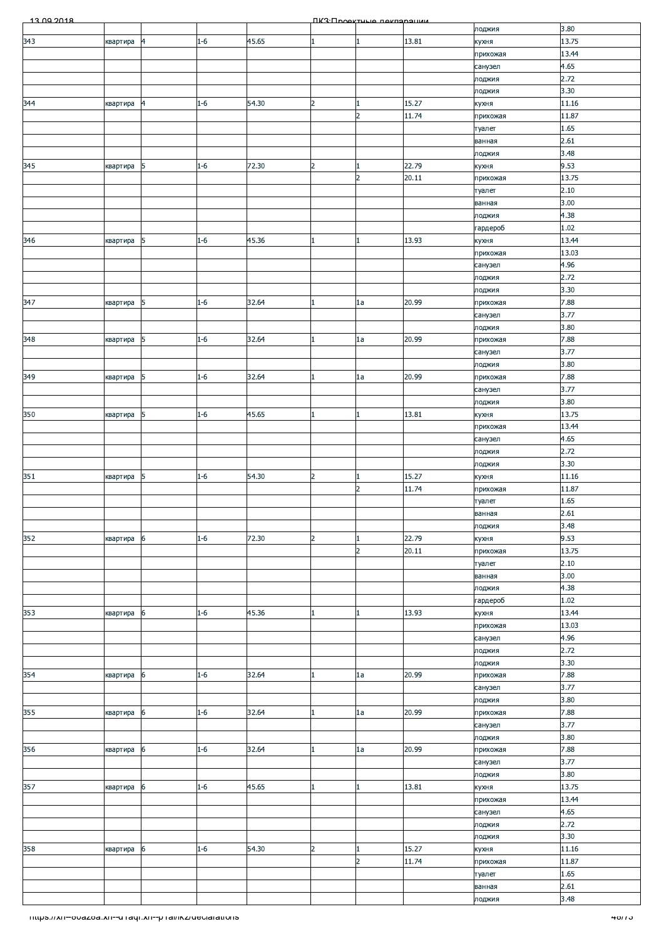| 13.00.2018                                                 |          |                          |         |       |                | ПКЗ Проектине пеклоронии    |                |                     |                |
|------------------------------------------------------------|----------|--------------------------|---------|-------|----------------|-----------------------------|----------------|---------------------|----------------|
|                                                            |          |                          |         |       |                |                             |                | лоджия              | 3.80           |
| 343                                                        | квартира | $\overline{\mathcal{A}}$ | $1 - 6$ | 45.65 |                | 1                           | 13.81          | кухня<br>прихожая   | 13.75<br>13.44 |
|                                                            |          |                          |         |       |                |                             |                | санузел             | 4.65           |
|                                                            |          |                          |         |       |                |                             |                | лоджия              | 2.72           |
|                                                            |          |                          |         |       |                |                             |                | лоджия              | 3.30           |
| 344                                                        | квартира | $\overline{4}$           | $1 - 6$ | 54.30 | $\overline{2}$ | $\mathbf{1}$                | 15.27          | кухня               | 11.16          |
|                                                            |          |                          |         |       |                | $\overline{2}$              | 11.74          | прихожая            | 11.87          |
|                                                            |          |                          |         |       |                |                             |                | туалет<br>ванная    | 1.65<br>2.61   |
|                                                            |          |                          |         |       |                |                             |                | лоджия              | 3.48           |
| 345                                                        | квартира | 5                        | $1 - 6$ | 72.30 | $\overline{2}$ | $\mathbf{1}$                | 22.79          | кухня               | 9.53           |
|                                                            |          |                          |         |       |                | $\overline{2}$              | 20.11          | прихожая            | 13.75          |
|                                                            |          |                          |         |       |                |                             |                | туалет              | 2.10           |
|                                                            |          |                          |         |       |                |                             |                | ванная              | 3.00           |
|                                                            |          |                          |         |       |                |                             |                | лоджия<br>гардероб  | 4.38<br>1.02   |
| 346                                                        | квартира | 5                        | $1 - 6$ | 45.36 | 1              | $\mathbf{1}$                | 13.93          | кухня               | 13.44          |
|                                                            |          |                          |         |       |                |                             |                | прихожая            | 13.03          |
|                                                            |          |                          |         |       |                |                             |                | санузел             | 4.96           |
|                                                            |          |                          |         |       |                |                             |                | лоджия              | 2.72           |
| 347                                                        | квартира | 5                        | $1 - 6$ | 32.64 |                | 1a                          | 20.99          | лоджия<br>прихожая  | 3.30<br>7.88   |
|                                                            |          |                          |         |       |                |                             |                | санузел             | 3.77           |
|                                                            |          |                          |         |       |                |                             |                | лоджия              | 3.80           |
| 348                                                        | квартира | 5                        | $1 - 6$ | 32.64 |                | 1a                          | 20.99          | прихожая            | 7.88           |
|                                                            |          |                          |         |       |                |                             |                | санузел             | 3.77           |
|                                                            |          |                          |         |       |                |                             |                | лоджия              | 3.80           |
| 349                                                        | квартира | 5                        | $1 - 6$ | 32.64 |                | 1a                          | 20.99          | прихожая<br>санузел | 7.88<br>3.77   |
|                                                            |          |                          |         |       |                |                             |                | лоджия              | 3.80           |
| 350                                                        | квартира | 5                        | $1 - 6$ | 45.65 | 1              | $\mathbf{1}$                | 13.81          | кухня               | 13.75          |
|                                                            |          |                          |         |       |                |                             |                | прихожая            | 13.44          |
|                                                            |          |                          |         |       |                |                             |                | санузел             | 4.65           |
|                                                            |          |                          |         |       |                |                             |                | лоджия              | 2.72<br>3.30   |
| 351                                                        | квартира | 5                        | $1 - 6$ | 54.30 | $\overline{2}$ | $\mathbf{1}$                | 15.27          | лоджия<br>кухня     | 11.16          |
|                                                            |          |                          |         |       |                | $\overline{2}$              | 11.74          | прихожая            | 11.87          |
|                                                            |          |                          |         |       |                |                             |                | туалет              | 1.65           |
|                                                            |          |                          |         |       |                |                             |                | ванная              | 2.61           |
|                                                            |          |                          |         |       |                |                             |                | лоджия              | 3.48           |
| 352                                                        | квартира | 6                        | $1 - 6$ | 72.30 | $\overline{2}$ | $\vert$ 1<br>$\overline{2}$ | 22.79<br>20.11 | кухня               | 9.53<br>13.75  |
|                                                            |          |                          |         |       |                |                             |                | прихожая<br>туалет  | 2.10           |
|                                                            |          |                          |         |       |                |                             |                | ванная              | 3.00           |
|                                                            |          |                          |         |       |                |                             |                | лоджия              | 4.38           |
|                                                            |          |                          |         |       |                |                             |                | гардероб            | 1.02           |
| 353                                                        | квартира | 6                        | $1 - 6$ | 45.36 |                | 1                           | 13.93          | кухня               | 13.44<br>13.03 |
|                                                            |          |                          |         |       |                |                             |                | прихожая<br>санузел | 4.96           |
|                                                            |          |                          |         |       |                |                             |                | лоджия              | 2.72           |
|                                                            |          |                          |         |       |                |                             |                | лоджия              | 3.30           |
| 354                                                        | квартира | 6                        | $1 - 6$ | 32.64 |                | 1a                          | 20.99          | прихожая            | 7.88           |
|                                                            |          |                          |         |       |                |                             |                | санузел             | 3.77           |
| 355                                                        | квартира | 6                        | $1 - 6$ | 32.64 |                | 1a                          | 20.99          | лоджия<br>прихожая  | 3.80<br>7.88   |
|                                                            |          |                          |         |       |                |                             |                | санузел             | 3.77           |
|                                                            |          |                          |         |       |                |                             |                | лоджия              | 3.80           |
| 356                                                        | квартира | 6                        | $1 - 6$ | 32.64 |                | 1a                          | 20.99          | прихожая            | 7.88           |
|                                                            |          |                          |         |       |                |                             |                | санузел             | 3.77           |
| 357                                                        |          | 6                        | $1 - 6$ | 45.65 |                | 1                           | 13.81          | лоджия              | 3.80<br>13.75  |
|                                                            | квартира |                          |         |       |                |                             |                | кухня<br>прихожая   | 13.44          |
|                                                            |          |                          |         |       |                |                             |                | санузел             | 4.65           |
|                                                            |          |                          |         |       |                |                             |                | лоджия              | 2.72           |
|                                                            |          |                          |         |       |                |                             |                | лоджия              | 3.30           |
| 358                                                        | квартира | 6                        | $1 - 6$ | 54.30 | $\overline{2}$ | 1                           | 15.27          | кухня               | 11.16          |
|                                                            |          |                          |         |       |                | $\overline{2}$              | 11.74          | прихожая            | 11.87<br>1.65  |
|                                                            |          |                          |         |       |                |                             |                | туалет<br>ванная    | 2.61           |
|                                                            |          |                          |         |       |                |                             |                | лоджия              | 3.48           |
| - https.//xn--ovazoa.xn--u raqr.xn--p rai/ikz/declarations |          |                          |         |       |                |                             |                |                     | 40/13          |
|                                                            |          |                          |         |       |                |                             |                |                     |                |
|                                                            |          |                          |         |       |                |                             |                |                     |                |
|                                                            |          |                          |         |       |                |                             |                |                     |                |
|                                                            |          |                          |         |       |                |                             |                |                     |                |
|                                                            |          |                          |         |       |                |                             |                |                     |                |
|                                                            |          |                          |         |       |                |                             |                |                     |                |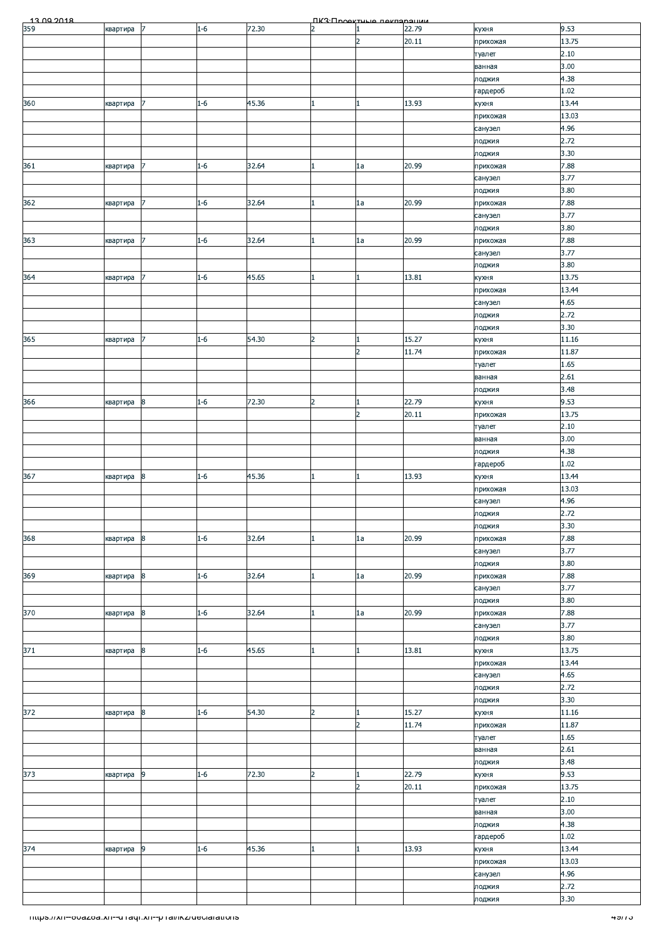|                                                       |          |                  |         |       |                | <b>NK3</b> · <b>NookTULIO</b> Rekreament |       |                     |                 |
|-------------------------------------------------------|----------|------------------|---------|-------|----------------|------------------------------------------|-------|---------------------|-----------------|
|                                                       | квартира | 17               | $1-6$   | 72.30 | $\overline{2}$ |                                          | 22.79 | кухня               | 9.53            |
|                                                       |          |                  |         |       |                | $\overline{2}$                           | 20.11 | прихожая            | 13.75           |
|                                                       |          |                  |         |       |                |                                          |       | туалет              | 2.10<br>3.00    |
|                                                       |          |                  |         |       |                |                                          |       | ванная<br>лоджия    | 4.38            |
|                                                       |          |                  |         |       |                |                                          |       | гардероб            | 1.02            |
| 360                                                   | квартира |                  | $1 - 6$ | 45.36 |                | 1                                        | 13.93 | кухня               | 13.44           |
|                                                       |          |                  |         |       |                |                                          |       | прихожая            | 13.03           |
|                                                       |          |                  |         |       |                |                                          |       | санузел             | 4.96            |
|                                                       |          |                  |         |       |                |                                          |       | лоджия              | 2.72            |
|                                                       |          |                  |         |       |                |                                          |       | лоджия              | 3.30            |
| 361                                                   | квартира | $\overline{7}$   | $1 - 6$ | 32.64 |                | 1a                                       | 20.99 | прихожая<br>санузел | 7.88<br>3.77    |
|                                                       |          |                  |         |       |                |                                          |       | лоджия              | 3.80            |
| 362                                                   | квартира |                  | $1 - 6$ | 32.64 |                | 1a                                       | 20.99 | прихожая            | 7.88            |
|                                                       |          |                  |         |       |                |                                          |       | санузел             | 3.77            |
|                                                       |          |                  |         |       |                |                                          |       | лоджия              | 3.80            |
| 363                                                   | квартира | 7                | $1 - 6$ | 32.64 | 1              | 1a                                       | 20.99 | прихожая            | 7.88            |
|                                                       |          |                  |         |       |                |                                          |       | санузел             | 3.77            |
|                                                       |          | 7                | $1 - 6$ | 45.65 |                | $\mathbf{1}$                             | 13.81 | лоджия              | 3.80<br>13.75   |
| 364                                                   | квартира |                  |         |       |                |                                          |       | кухня<br>прихожая   | 13.44           |
|                                                       |          |                  |         |       |                |                                          |       | санузел             | 4.65            |
|                                                       |          |                  |         |       |                |                                          |       | лоджия              | 2.72            |
|                                                       |          |                  |         |       |                |                                          |       | лоджия              | 3.30            |
| 365                                                   | квартира | 7                | $1 - 6$ | 54.30 | $\overline{2}$ | $\mathbf{1}$                             | 15.27 | кухня               | 11.16           |
|                                                       |          |                  |         |       |                | $\overline{2}$                           | 11.74 | прихожая            | 11.87           |
|                                                       |          |                  |         |       |                |                                          |       | туалет              | 1.65<br>2.61    |
|                                                       |          |                  |         |       |                |                                          |       | ванная<br>лоджия    | 3.48            |
| 366                                                   | квартира | 8                | $1 - 6$ | 72.30 | $\overline{2}$ | 1                                        | 22.79 | кухня               | 9.53            |
|                                                       |          |                  |         |       |                | $\overline{2}$                           | 20.11 | прихожая            | 13.75           |
|                                                       |          |                  |         |       |                |                                          |       | туалет              | 2.10            |
|                                                       |          |                  |         |       |                |                                          |       | ванная              | 3.00            |
|                                                       |          |                  |         |       |                |                                          |       | лоджия              | 4.38            |
|                                                       |          |                  |         |       |                |                                          |       | гардероб            | 1.02            |
| 367                                                   | квартира | $\boldsymbol{8}$ | $1 - 6$ | 45.36 |                | $\mathbf{1}$                             | 13.93 | кухня<br>прихожая   | 13.44<br>13.03  |
|                                                       |          |                  |         |       |                |                                          |       | санузел             | 4.96            |
|                                                       |          |                  |         |       |                |                                          |       | лоджия              | 2.72            |
|                                                       |          |                  |         |       |                |                                          |       | лоджия              | 3.30            |
| 368                                                   | квартира | 8                | $1 - 6$ | 32.64 |                | 1a                                       | 20.99 | прихожая            | 7.88            |
|                                                       |          |                  |         |       |                |                                          |       | санузел             | 3.77            |
|                                                       |          |                  |         |       |                |                                          |       | лоджия              | 3.80            |
| 369                                                   | квартира | 8                | $1 - 6$ | 32.64 |                | 1a                                       | 20.99 | прихожая<br>санузел | 7.88<br>3.77    |
|                                                       |          |                  |         |       |                |                                          |       | лоджия              | 3.80            |
| 370                                                   | квартира | $\overline{8}$   | $1 - 6$ | 32.64 |                | 1a                                       | 20.99 | прихожая            | 7.88            |
|                                                       |          |                  |         |       |                |                                          |       | санузел             | 3.77            |
|                                                       |          |                  |         |       |                |                                          |       | лоджия              | 3.80            |
| 371                                                   | квартира | $\boldsymbol{8}$ | $1 - 6$ | 45.65 |                | $\mathbf{1}$                             | 13.81 | кухня               | 13.75           |
|                                                       |          |                  |         |       |                |                                          |       | прихожая<br>санузел | 13.44<br>4.65   |
|                                                       |          |                  |         |       |                |                                          |       | лоджия              | 2.72            |
|                                                       |          |                  |         |       |                |                                          |       | лоджия              | 3.30            |
| 372                                                   | квартира | 8                | $1 - 6$ | 54.30 | $\overline{2}$ | 1                                        | 15.27 | кухня               | 11.16           |
|                                                       |          |                  |         |       |                | $\overline{2}$                           | 11.74 | прихожая            | 11.87           |
|                                                       |          |                  |         |       |                |                                          |       | туалет              | 1.65            |
|                                                       |          |                  |         |       |                |                                          |       | ванная              | 2.61<br>3.48    |
| 373                                                   | квартира | $\overline{9}$   | $1 - 6$ | 72.30 | $\overline{2}$ | $\mathbf{1}$                             | 22.79 | лоджия<br>кухня     | 9.53            |
|                                                       |          |                  |         |       |                | $\overline{2}$                           | 20.11 | прихожая            | 13.75           |
|                                                       |          |                  |         |       |                |                                          |       | туалет              | 2.10            |
|                                                       |          |                  |         |       |                |                                          |       | ванная              | 3.00            |
|                                                       |          |                  |         |       |                |                                          |       | лоджия              | 4.38            |
|                                                       |          |                  |         |       |                |                                          |       | гардероб            | 1.02            |
| 374                                                   | квартира | 9                | $1 - 6$ | 45.36 |                | 1                                        | 13.93 | кухня               | 13.44<br>13.03  |
|                                                       |          |                  |         |       |                |                                          |       | прихожая<br>санузел | 4.96            |
|                                                       |          |                  |         |       |                |                                          |       | лоджия              | 2.72            |
|                                                       |          |                  |         |       |                |                                          |       | лоджия              | 3.30            |
|                                                       |          |                  |         |       |                |                                          |       |                     |                 |
| mups.//xn--ovazoa.xn--u raqr.xn--p ramxz/declarations |          |                  |         |       |                |                                          |       |                     | <u>4খা ১ - </u> |
|                                                       |          |                  |         |       |                |                                          |       |                     |                 |
|                                                       |          |                  |         |       |                |                                          |       |                     |                 |
|                                                       |          |                  |         |       |                |                                          |       |                     |                 |
|                                                       |          |                  |         |       |                |                                          |       |                     |                 |
|                                                       |          |                  |         |       |                |                                          |       |                     |                 |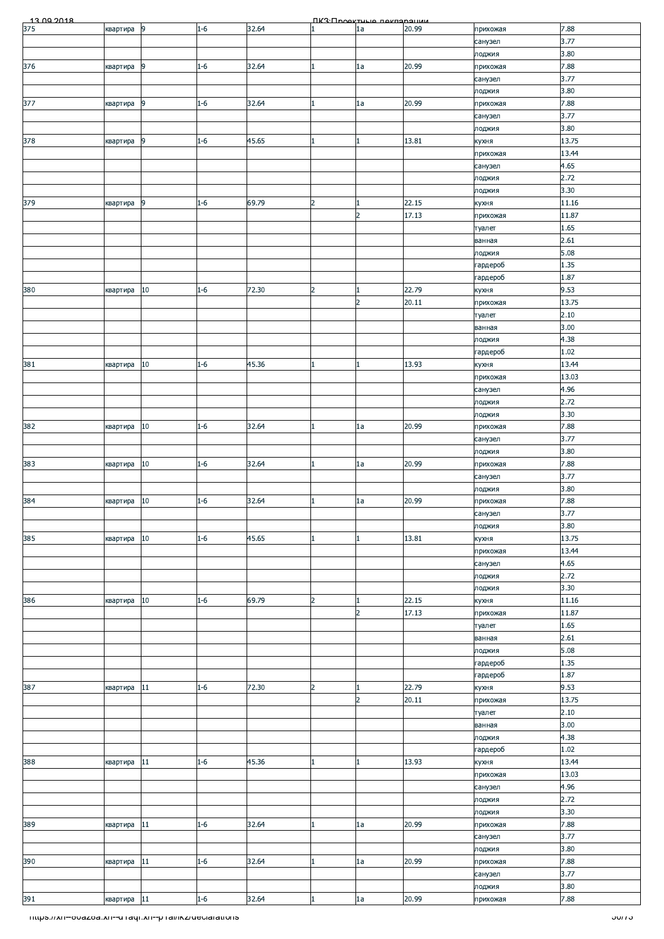|                                                         |          |                |         |       |                | ПКЗ Проектине пекларации |                |                    |                |
|---------------------------------------------------------|----------|----------------|---------|-------|----------------|--------------------------|----------------|--------------------|----------------|
|                                                         | квартира | 9              | $1 - 6$ | 32.64 |                | 1a                       | 20.99          | прихожая           | 7.88           |
|                                                         |          |                |         |       |                |                          |                | санузел            | 3.77           |
|                                                         |          |                |         |       |                |                          |                | лоджия             | 3.80           |
| 376                                                     | квартира | 9              | $1 - 6$ | 32.64 | 1.             | 1a                       | 20.99          | прихожая           | 7.88           |
|                                                         |          |                |         |       |                |                          |                | санузел            | 3.77<br>3.80   |
| 377                                                     | квартира | 9              | $1 - 6$ | 32.64 |                | 1a                       | 20.99          | лоджия<br>прихожая | 7.88           |
|                                                         |          |                |         |       |                |                          |                | санузел            | 3.77           |
|                                                         |          |                |         |       |                |                          |                | лоджия             | 3.80           |
| 378                                                     | квартира | 9              | $1 - 6$ | 45.65 |                | 1                        | 13.81          | кухня              | 13.75          |
|                                                         |          |                |         |       |                |                          |                | прихожая           | 13.44          |
|                                                         |          |                |         |       |                |                          |                | санузел            | 4.65           |
|                                                         |          |                |         |       |                |                          |                | лоджия             | 2.72           |
|                                                         |          |                |         |       |                |                          |                | лоджия             | 3.30           |
| 379                                                     | квартира | $\overline{9}$ | $1 - 6$ | 69.79 | $\overline{2}$ | 1<br>$\overline{2}$      | 22.15<br>17.13 | кухня<br>прихожая  | 11.16<br>11.87 |
|                                                         |          |                |         |       |                |                          |                | туалет             | 1.65           |
|                                                         |          |                |         |       |                |                          |                | ванная             | 2.61           |
|                                                         |          |                |         |       |                |                          |                | лоджия             | 5.08           |
|                                                         |          |                |         |       |                |                          |                | гардероб           | 1.35           |
|                                                         |          |                |         |       |                |                          |                | гардероб           | 1.87           |
| 380                                                     | квартира | 10             | $1 - 6$ | 72.30 | $\overline{2}$ | 1                        | 22.79          | кухня              | 9.53           |
|                                                         |          |                |         |       |                | $\overline{2}$           | 20.11          | прихожая           | 13.75          |
|                                                         |          |                |         |       |                |                          |                | туалет             | 2.10<br>3.00   |
|                                                         |          |                |         |       |                |                          |                | ванная<br>лоджия   | 4.38           |
|                                                         |          |                |         |       |                |                          |                | гардероб           | 1.02           |
| 381                                                     | квартира | 10             | $1 - 6$ | 45.36 |                | 1                        | 13.93          | кухня              | 13.44          |
|                                                         |          |                |         |       |                |                          |                | прихожая           | 13.03          |
|                                                         |          |                |         |       |                |                          |                | санузел            | 4.96           |
|                                                         |          |                |         |       |                |                          |                | лоджия             | 2.72           |
|                                                         |          |                |         |       |                |                          |                | лоджия             | 3.30           |
| 382                                                     | квартира | $10\,$         | $1 - 6$ | 32.64 |                | 1a                       | 20.99          | прихожая           | 7.88           |
|                                                         |          |                |         |       |                |                          |                | санузел            | 3.77<br>3.80   |
| 383                                                     | квартира | 10             | $1 - 6$ | 32.64 |                | 1a                       | 20.99          | лоджия<br>прихожая | 7.88           |
|                                                         |          |                |         |       |                |                          |                | санузел            | 3.77           |
|                                                         |          |                |         |       |                |                          |                | лоджия             | 3.80           |
| 384                                                     | квартира | 10             | $1 - 6$ | 32.64 |                | 1a                       | 20.99          | прихожая           | 7.88           |
|                                                         |          |                |         |       |                |                          |                | санузел            | 3.77           |
|                                                         |          |                |         |       |                |                          |                | лоджия             | 3.80           |
| 385                                                     | квартира | 10             | $1 - 6$ | 45.65 |                | $\mathbf{1}$             | 13.81          | кухня              | 13.75          |
|                                                         |          |                |         |       |                |                          |                | прихожая           | 13.44          |
|                                                         |          |                |         |       |                |                          |                | санузел<br>лоджия  | 4.65<br>2.72   |
|                                                         |          |                |         |       |                |                          |                | лоджия             | 3.30           |
| 386                                                     | квартира | 10             | $1 - 6$ | 69.79 | $\overline{2}$ | $\mathbf{1}$             | 22.15          | кухня              | 11.16          |
|                                                         |          |                |         |       |                | $\overline{2}$           | 17.13          | прихожая           | 11.87          |
|                                                         |          |                |         |       |                |                          |                | туалет             | 1.65           |
|                                                         |          |                |         |       |                |                          |                | ванная             | 2.61           |
|                                                         |          |                |         |       |                |                          |                | лоджия             | 5.08           |
|                                                         |          |                |         |       |                |                          |                | гардероб           | 1.35<br>1.87   |
| 387                                                     | квартира | 11             | $1 - 6$ | 72.30 | $\overline{2}$ | $\mathbf{1}$             | 22.79          | гардероб<br>кухня  | 9.53           |
|                                                         |          |                |         |       |                | $\overline{2}$           | 20.11          | прихожая           | 13.75          |
|                                                         |          |                |         |       |                |                          |                | туалет             | 2.10           |
|                                                         |          |                |         |       |                |                          |                | ванная             | 3.00           |
|                                                         |          |                |         |       |                |                          |                | лоджия             | 4.38           |
|                                                         |          |                |         |       |                |                          |                | гардероб           | $1.02\,$       |
| 388                                                     | квартира | 11             | $1 - 6$ | 45.36 |                | 1                        | 13.93          | кухня              | 13.44          |
|                                                         |          |                |         |       |                |                          |                | прихожая           | 13.03<br>4.96  |
|                                                         |          |                |         |       |                |                          |                | санузел<br>лоджия  | 2.72           |
|                                                         |          |                |         |       |                |                          |                | лоджия             | 3.30           |
| 389                                                     | квартира | 11             | $1 - 6$ | 32.64 |                | 1a                       | 20.99          | прихожая           | 7.88           |
|                                                         |          |                |         |       |                |                          |                | санузел            | 3.77           |
|                                                         |          |                |         |       |                |                          |                | лоджия             | 3.80           |
| 390                                                     | квартира | 11             | $1 - 6$ | 32.64 |                | 1a                       | 20.99          | прихожая           | 7.88           |
|                                                         |          |                |         |       |                |                          |                | санузел            | 3.77           |
|                                                         |          |                |         |       |                |                          |                | лоджия             | 3.80           |
| 391                                                     | квартира | 11             | $1 - 6$ | 32.64 |                | 1a                       | 20.99          | прихожая           | 7.88           |
| - mups.//xn--ovazoa.xn--u raqr.xn--p ramkz/ueciarations |          |                |         |       |                |                          |                |                    | <u>ວຫາ ວ</u>   |
|                                                         |          |                |         |       |                |                          |                |                    |                |
|                                                         |          |                |         |       |                |                          |                |                    |                |
|                                                         |          |                |         |       |                |                          |                |                    |                |
|                                                         |          |                |         |       |                |                          |                |                    |                |
|                                                         |          |                |         |       |                |                          |                |                    |                |
|                                                         |          |                |         |       |                |                          |                |                    |                |
|                                                         |          |                |         |       |                |                          |                |                    |                |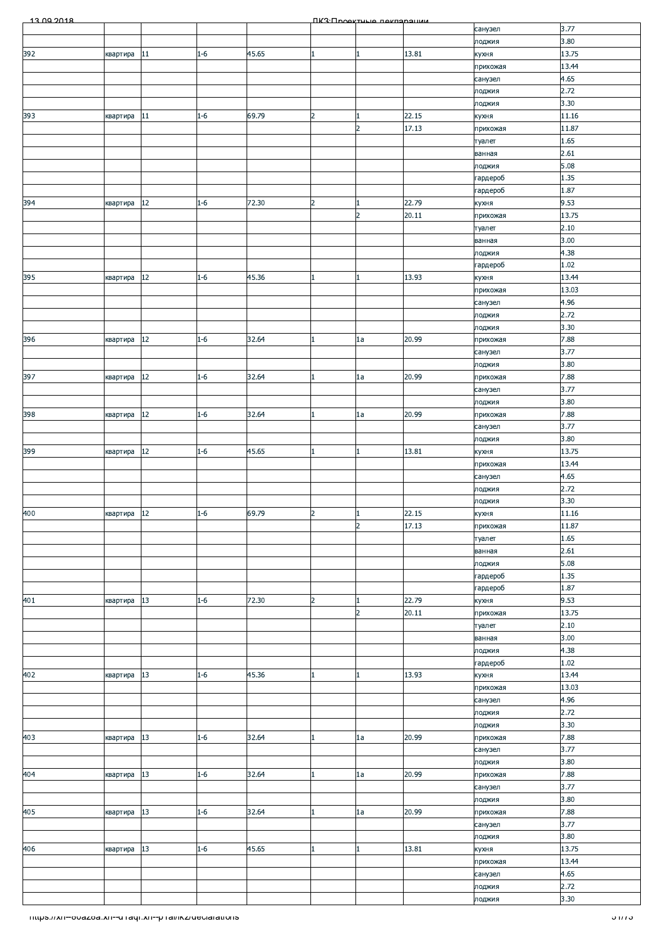| 13.00.2018                                             |             |        |         |       |                | <b><i><u>IK3: Проектично покларации</u></i></b> |                |                    |                |
|--------------------------------------------------------|-------------|--------|---------|-------|----------------|-------------------------------------------------|----------------|--------------------|----------------|
|                                                        |             |        |         |       |                |                                                 |                | санузел            | 3.77           |
|                                                        |             |        |         |       |                |                                                 |                | лоджия             | 3.80           |
| 392                                                    | квартира    | 11     | $1 - 6$ | 45.65 |                | $\mathbf{1}$                                    | 13.81          | кухня              | 13.75          |
|                                                        |             |        |         |       |                |                                                 |                | прихожая           | 13.44          |
|                                                        |             |        |         |       |                |                                                 |                | санузел            | 4.65<br>2.72   |
|                                                        |             |        |         |       |                |                                                 |                | лоджия<br>лоджия   | 3.30           |
| 393                                                    | квартира    | 11     | $1 - 6$ | 69.79 | 2              |                                                 | 22.15          | кухня              | 11.16          |
|                                                        |             |        |         |       |                | $\overline{2}$                                  | 17.13          | прихожая           | 11.87          |
|                                                        |             |        |         |       |                |                                                 |                | туалет             | 1.65           |
|                                                        |             |        |         |       |                |                                                 |                | ванная             | 2.61           |
|                                                        |             |        |         |       |                |                                                 |                | лоджия             | 5.08           |
|                                                        |             |        |         |       |                |                                                 |                | гардероб           | 1.35           |
|                                                        |             |        |         |       |                |                                                 |                | гардероб           | 1.87           |
| 394                                                    | квартира    | $12\,$ | $1 - 6$ | 72.30 | $\overline{2}$ | 1                                               | 22.79          | кухня              | 9.53           |
|                                                        |             |        |         |       |                | $\overline{2}$                                  | 20.11          | прихожая           | 13.75          |
|                                                        |             |        |         |       |                |                                                 |                | туалет             | 2.10           |
|                                                        |             |        |         |       |                |                                                 |                | ванная             | 3.00           |
|                                                        |             |        |         |       |                |                                                 |                | лоджия             | 4.38<br>1.02   |
| 395                                                    | квартира    | 12     | $1 - 6$ | 45.36 |                | 1                                               | 13.93          | гардероб<br>кухня  | 13.44          |
|                                                        |             |        |         |       |                |                                                 |                | прихожая           | 13.03          |
|                                                        |             |        |         |       |                |                                                 |                | санузел            | 4.96           |
|                                                        |             |        |         |       |                |                                                 |                | лоджия             | 2.72           |
|                                                        |             |        |         |       |                |                                                 |                | лоджия             | 3.30           |
| 396                                                    | квартира    | $12\,$ | $1 - 6$ | 32.64 |                | 1a                                              | 20.99          | прихожая           | 7.88           |
|                                                        |             |        |         |       |                |                                                 |                | санузел            | 3.77           |
|                                                        |             |        |         |       |                |                                                 |                | лоджия             | 3.80           |
| 397                                                    | квартира    | $12\,$ | $1 - 6$ | 32.64 |                | 1a                                              | 20.99          | прихожая           | 7.88           |
|                                                        |             |        |         |       |                |                                                 |                | санузел            | 3.77           |
|                                                        |             |        |         |       |                |                                                 |                | лоджия             | 3.80           |
| 398                                                    | квартира    | $12\,$ | $1 - 6$ | 32.64 |                | 1a                                              | 20.99          | прихожая           | 7.88           |
|                                                        |             |        |         |       |                |                                                 |                | санузел            | 3.77           |
| 399                                                    | квартира    | 12     | $1 - 6$ | 45.65 |                | $\mathbf{1}$                                    | 13.81          | лоджия             | 3.80<br>13.75  |
|                                                        |             |        |         |       |                |                                                 |                | кухня<br>прихожая  | 13.44          |
|                                                        |             |        |         |       |                |                                                 |                | санузел            | 4.65           |
|                                                        |             |        |         |       |                |                                                 |                | лоджия             | 2.72           |
|                                                        |             |        |         |       |                |                                                 |                | лоджия             | 3.30           |
| 400                                                    | квартира 12 |        | $1 - 6$ | 69.79 | 2              | $\vert$ 1                                       | 22.15          | кухня              | 11.16          |
|                                                        |             |        |         |       |                | $\overline{2}$                                  | 17.13          | прихожая           | 11.87          |
|                                                        |             |        |         |       |                |                                                 |                | туалет             | 1.65           |
|                                                        |             |        |         |       |                |                                                 |                | ванная             | 2.61           |
|                                                        |             |        |         |       |                |                                                 |                | лоджия             | 5.08           |
|                                                        |             |        |         |       |                |                                                 |                | гардероб           | 1.35           |
|                                                        |             |        |         |       |                |                                                 |                | гардероб           | 1.87           |
| 401                                                    | квартира    | 13     | $1 - 6$ | 72.30 | $\overline{2}$ | $\mathbf{1}$<br>$\overline{2}$                  | 22.79<br>20.11 | кухня              | 9.53<br>13.75  |
|                                                        |             |        |         |       |                |                                                 |                | прихожая<br>туалет | 2.10           |
|                                                        |             |        |         |       |                |                                                 |                | ванная             | 3.00           |
|                                                        |             |        |         |       |                |                                                 |                | лоджия             | 4.38           |
|                                                        |             |        |         |       |                |                                                 |                | гардероб           | 1.02           |
| 402                                                    | квартира    | 13     | $1 - 6$ | 45.36 |                | $\mathbf{1}$                                    | 13.93          | кухня              | 13.44          |
|                                                        |             |        |         |       |                |                                                 |                | прихожая           | 13.03          |
|                                                        |             |        |         |       |                |                                                 |                | санузел            | 4.96           |
|                                                        |             |        |         |       |                |                                                 |                | лоджия             | 2.72           |
|                                                        |             |        |         |       |                |                                                 |                | лоджия             | 3.30           |
| 403                                                    | квартира    | 13     | $1 - 6$ | 32.64 |                | 1a                                              | 20.99          | прихожая           | 7.88           |
|                                                        |             |        |         |       |                |                                                 |                | санузел<br>лоджия  | 3.77<br>3.80   |
| 404                                                    | квартира    | 13     | $1 - 6$ | 32.64 |                | 1a                                              | 20.99          | прихожая           | 7.88           |
|                                                        |             |        |         |       |                |                                                 |                | санузел            | 3.77           |
|                                                        |             |        |         |       |                |                                                 |                | лоджия             | 3.80           |
| 405                                                    | квартира    | 13     | $1 - 6$ | 32.64 |                | 1a                                              | 20.99          | прихожая           | 7.88           |
|                                                        |             |        |         |       |                |                                                 |                | санузел            | 3.77           |
|                                                        |             |        |         |       |                |                                                 |                | лоджия             | 3.80           |
| 406                                                    | квартира    | 13     | $1 - 6$ | 45.65 |                | 1                                               | 13.81          | кухня              | 13.75          |
|                                                        |             |        |         |       |                |                                                 |                | прихожая           | 13.44          |
|                                                        |             |        |         |       |                |                                                 |                | санузел            | 4.65           |
|                                                        |             |        |         |       |                |                                                 |                | лоджия             | 2.72           |
|                                                        |             |        |         |       |                |                                                 |                | лоджия             | 3.30           |
| https://xn--ovazoa.xn--unaqr.xn--phai/ikz/declarations |             |        |         |       |                |                                                 |                |                    | <u>হায়ে -</u> |
|                                                        |             |        |         |       |                |                                                 |                |                    |                |
|                                                        |             |        |         |       |                |                                                 |                |                    |                |
|                                                        |             |        |         |       |                |                                                 |                |                    |                |
|                                                        |             |        |         |       |                |                                                 |                |                    |                |
|                                                        |             |        |         |       |                |                                                 |                |                    |                |
|                                                        |             |        |         |       |                |                                                 |                |                    |                |
|                                                        |             |        |         |       |                |                                                 |                |                    |                |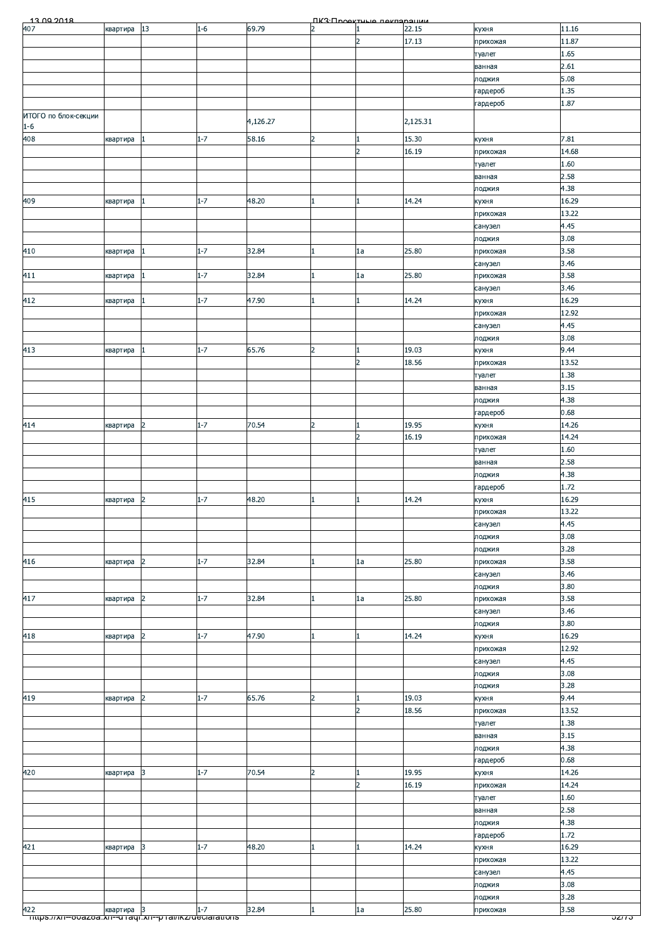| $\overline{2}$<br>17.13<br>11.87<br>прихожая<br>1.65<br>туалет<br>2.61<br>ванная<br>5.08<br>лоджия<br>1.35<br>гардероб<br>1.87<br>гардероб<br>2,125.31<br>4,126.27<br>$1 - 6$<br>15.30<br>$1 - 7$<br>58.16<br>квартира<br>$\overline{2}$<br>7.81<br>кухня<br>$\overline{2}$<br>16.19<br>14.68<br>прихожая<br>1.60<br>туалет<br>2.58<br>ванная<br>4.38<br>лоджия<br>$1 - 7$<br>16.29<br>48.20<br>14.24<br>409<br>квартира<br>$\mathbf{1}$<br>кухня<br>13.22<br>прихожая<br>4.45<br>санузел<br>3.08<br>лоджия<br>32.84<br>25.80<br>3.58<br>$1 - 7$<br>1a<br>410<br>1<br>квартира<br>прихожая<br>3.46<br>санузел<br>$1 - 7$<br>32.84<br>25.80<br>3.58<br>411<br>1a<br>1<br>прихожая<br>квартира<br>3.46<br>санузел<br>$1 - 7$<br>47.90<br>14.24<br>16.29<br>$\mathbf{1}$<br>квартира<br>кухня<br>1<br>12.92<br>прихожая<br>4.45<br>санузел<br>3.08<br>лоджия<br>19.03<br>9.44<br>413<br>$1 - 7$<br>65.76<br>$\overline{2}$<br>кухня<br>квартира<br>$\overline{2}$<br>13.52<br>18.56<br>прихожая<br>1.38<br>туалет<br>3.15<br>ванная<br>4.38<br>лоджия<br>0.68<br>гардероб<br>$1 - 7$<br>70.54<br>$\overline{2}$<br>14.26<br>19.95<br>414<br>квартира<br>$\overline{2}$<br>кухня<br>14.24<br>16.19<br>$\overline{z}$<br>прихожая<br>1.60<br>туалет<br>2.58<br>ванная<br>4.38<br>лоджия<br>1.72<br>гардероб<br>48.20<br>16.29<br>$1 - 7$<br>14.24<br>квартира<br>$\overline{2}$<br>кухня<br>1<br>13.22<br>прихожая<br>4.45<br>санузел<br>3.08<br>лоджия<br>3.28<br>лоджия<br>$1 - 7$<br>3.58<br>416<br>32.84<br>25.80<br>1a<br>квартира<br>$\mathbf{1}$<br>прихожая<br>2<br>3.46<br>санузел<br>3.80<br>лоджия<br>32.84<br>25.80<br>3.58<br>$1 - 7$<br>417<br>$\overline{2}$<br>1a<br>квартира<br>1<br>прихожая<br>3.46<br>санузел<br>3.80<br>лоджия<br>$1 - 7$<br>16.29<br>418<br>47.90<br>14.24<br>$\overline{2}$<br>$\mathbf{1}$<br>$\mathbf{1}$<br>квартира<br>кухня<br>12.92<br>прихожая<br>4.45<br>санузел<br>3.08<br>лоджия<br>3.28<br>лоджия<br>$1 - 7$<br>65.76<br>$\overline{2}$<br>19.03<br>9.44<br>$\overline{2}$<br>кухня<br>квартира<br>$\overline{2}$<br>18.56<br>13.52<br>прихожая<br>1.38<br>туалет<br>3.15<br>ванная<br>4.38<br>лоджия<br>0.68<br>гардероб<br>$\overline{2}$<br>$1 - 7$<br>70.54<br>19.95<br>14.26<br>420<br>3<br>квартира<br>кухня<br>14.24<br>$\overline{2}$<br>16.19<br>прихожая<br>1.60<br>туалет<br>2.58<br>ванная<br>4.38<br>лоджия<br>1.72<br>гардероб<br>421<br>$1 - 7$<br>48.20<br>14.24<br>16.29<br>3<br>квартира<br>кухня<br>13.22<br>прихожая<br>4.45<br>санузел<br>3.08<br>лоджия<br>3.28<br>лоджия<br>$1 - 7$<br>32.84<br>$\mathbf{1}$<br>25.80<br>3.58<br>1a<br>квартира<br>3<br>прихожая<br><del>⊤nups.//xn--o∪azoa.xn--u raql.xn--p rai/ikz/deciarations</del><br>ວ <i>zπ</i> ວ | 13.00.2018<br>407    | квартира | 13 | $1 - 6$ | 69.79 | $\overline{2}$ | ПКЗ:Проектица пекларацки<br>1 | 22.15 | кухня | 11.16 |
|------------------------------------------------------------------------------------------------------------------------------------------------------------------------------------------------------------------------------------------------------------------------------------------------------------------------------------------------------------------------------------------------------------------------------------------------------------------------------------------------------------------------------------------------------------------------------------------------------------------------------------------------------------------------------------------------------------------------------------------------------------------------------------------------------------------------------------------------------------------------------------------------------------------------------------------------------------------------------------------------------------------------------------------------------------------------------------------------------------------------------------------------------------------------------------------------------------------------------------------------------------------------------------------------------------------------------------------------------------------------------------------------------------------------------------------------------------------------------------------------------------------------------------------------------------------------------------------------------------------------------------------------------------------------------------------------------------------------------------------------------------------------------------------------------------------------------------------------------------------------------------------------------------------------------------------------------------------------------------------------------------------------------------------------------------------------------------------------------------------------------------------------------------------------------------------------------------------------------------------------------------------------------------------------------------------------------------------------------------------------------------------------------------------------------------------------------------------------------------------------------------------------------------------------------------------------------------------------------------------------------------------------------------------------------------------------------------------------------|----------------------|----------|----|---------|-------|----------------|-------------------------------|-------|-------|-------|
|                                                                                                                                                                                                                                                                                                                                                                                                                                                                                                                                                                                                                                                                                                                                                                                                                                                                                                                                                                                                                                                                                                                                                                                                                                                                                                                                                                                                                                                                                                                                                                                                                                                                                                                                                                                                                                                                                                                                                                                                                                                                                                                                                                                                                                                                                                                                                                                                                                                                                                                                                                                                                                                                                                                              |                      |          |    |         |       |                |                               |       |       |       |
|                                                                                                                                                                                                                                                                                                                                                                                                                                                                                                                                                                                                                                                                                                                                                                                                                                                                                                                                                                                                                                                                                                                                                                                                                                                                                                                                                                                                                                                                                                                                                                                                                                                                                                                                                                                                                                                                                                                                                                                                                                                                                                                                                                                                                                                                                                                                                                                                                                                                                                                                                                                                                                                                                                                              |                      |          |    |         |       |                |                               |       |       |       |
|                                                                                                                                                                                                                                                                                                                                                                                                                                                                                                                                                                                                                                                                                                                                                                                                                                                                                                                                                                                                                                                                                                                                                                                                                                                                                                                                                                                                                                                                                                                                                                                                                                                                                                                                                                                                                                                                                                                                                                                                                                                                                                                                                                                                                                                                                                                                                                                                                                                                                                                                                                                                                                                                                                                              |                      |          |    |         |       |                |                               |       |       |       |
|                                                                                                                                                                                                                                                                                                                                                                                                                                                                                                                                                                                                                                                                                                                                                                                                                                                                                                                                                                                                                                                                                                                                                                                                                                                                                                                                                                                                                                                                                                                                                                                                                                                                                                                                                                                                                                                                                                                                                                                                                                                                                                                                                                                                                                                                                                                                                                                                                                                                                                                                                                                                                                                                                                                              |                      |          |    |         |       |                |                               |       |       |       |
|                                                                                                                                                                                                                                                                                                                                                                                                                                                                                                                                                                                                                                                                                                                                                                                                                                                                                                                                                                                                                                                                                                                                                                                                                                                                                                                                                                                                                                                                                                                                                                                                                                                                                                                                                                                                                                                                                                                                                                                                                                                                                                                                                                                                                                                                                                                                                                                                                                                                                                                                                                                                                                                                                                                              |                      |          |    |         |       |                |                               |       |       |       |
|                                                                                                                                                                                                                                                                                                                                                                                                                                                                                                                                                                                                                                                                                                                                                                                                                                                                                                                                                                                                                                                                                                                                                                                                                                                                                                                                                                                                                                                                                                                                                                                                                                                                                                                                                                                                                                                                                                                                                                                                                                                                                                                                                                                                                                                                                                                                                                                                                                                                                                                                                                                                                                                                                                                              |                      |          |    |         |       |                |                               |       |       |       |
|                                                                                                                                                                                                                                                                                                                                                                                                                                                                                                                                                                                                                                                                                                                                                                                                                                                                                                                                                                                                                                                                                                                                                                                                                                                                                                                                                                                                                                                                                                                                                                                                                                                                                                                                                                                                                                                                                                                                                                                                                                                                                                                                                                                                                                                                                                                                                                                                                                                                                                                                                                                                                                                                                                                              |                      |          |    |         |       |                |                               |       |       |       |
|                                                                                                                                                                                                                                                                                                                                                                                                                                                                                                                                                                                                                                                                                                                                                                                                                                                                                                                                                                                                                                                                                                                                                                                                                                                                                                                                                                                                                                                                                                                                                                                                                                                                                                                                                                                                                                                                                                                                                                                                                                                                                                                                                                                                                                                                                                                                                                                                                                                                                                                                                                                                                                                                                                                              | ИТОГО по блок-секции |          |    |         |       |                |                               |       |       |       |
|                                                                                                                                                                                                                                                                                                                                                                                                                                                                                                                                                                                                                                                                                                                                                                                                                                                                                                                                                                                                                                                                                                                                                                                                                                                                                                                                                                                                                                                                                                                                                                                                                                                                                                                                                                                                                                                                                                                                                                                                                                                                                                                                                                                                                                                                                                                                                                                                                                                                                                                                                                                                                                                                                                                              |                      |          |    |         |       |                |                               |       |       |       |
|                                                                                                                                                                                                                                                                                                                                                                                                                                                                                                                                                                                                                                                                                                                                                                                                                                                                                                                                                                                                                                                                                                                                                                                                                                                                                                                                                                                                                                                                                                                                                                                                                                                                                                                                                                                                                                                                                                                                                                                                                                                                                                                                                                                                                                                                                                                                                                                                                                                                                                                                                                                                                                                                                                                              | 408                  |          |    |         |       |                |                               |       |       |       |
|                                                                                                                                                                                                                                                                                                                                                                                                                                                                                                                                                                                                                                                                                                                                                                                                                                                                                                                                                                                                                                                                                                                                                                                                                                                                                                                                                                                                                                                                                                                                                                                                                                                                                                                                                                                                                                                                                                                                                                                                                                                                                                                                                                                                                                                                                                                                                                                                                                                                                                                                                                                                                                                                                                                              |                      |          |    |         |       |                |                               |       |       |       |
|                                                                                                                                                                                                                                                                                                                                                                                                                                                                                                                                                                                                                                                                                                                                                                                                                                                                                                                                                                                                                                                                                                                                                                                                                                                                                                                                                                                                                                                                                                                                                                                                                                                                                                                                                                                                                                                                                                                                                                                                                                                                                                                                                                                                                                                                                                                                                                                                                                                                                                                                                                                                                                                                                                                              |                      |          |    |         |       |                |                               |       |       |       |
|                                                                                                                                                                                                                                                                                                                                                                                                                                                                                                                                                                                                                                                                                                                                                                                                                                                                                                                                                                                                                                                                                                                                                                                                                                                                                                                                                                                                                                                                                                                                                                                                                                                                                                                                                                                                                                                                                                                                                                                                                                                                                                                                                                                                                                                                                                                                                                                                                                                                                                                                                                                                                                                                                                                              |                      |          |    |         |       |                |                               |       |       |       |
|                                                                                                                                                                                                                                                                                                                                                                                                                                                                                                                                                                                                                                                                                                                                                                                                                                                                                                                                                                                                                                                                                                                                                                                                                                                                                                                                                                                                                                                                                                                                                                                                                                                                                                                                                                                                                                                                                                                                                                                                                                                                                                                                                                                                                                                                                                                                                                                                                                                                                                                                                                                                                                                                                                                              |                      |          |    |         |       |                |                               |       |       |       |
|                                                                                                                                                                                                                                                                                                                                                                                                                                                                                                                                                                                                                                                                                                                                                                                                                                                                                                                                                                                                                                                                                                                                                                                                                                                                                                                                                                                                                                                                                                                                                                                                                                                                                                                                                                                                                                                                                                                                                                                                                                                                                                                                                                                                                                                                                                                                                                                                                                                                                                                                                                                                                                                                                                                              |                      |          |    |         |       |                |                               |       |       |       |
|                                                                                                                                                                                                                                                                                                                                                                                                                                                                                                                                                                                                                                                                                                                                                                                                                                                                                                                                                                                                                                                                                                                                                                                                                                                                                                                                                                                                                                                                                                                                                                                                                                                                                                                                                                                                                                                                                                                                                                                                                                                                                                                                                                                                                                                                                                                                                                                                                                                                                                                                                                                                                                                                                                                              |                      |          |    |         |       |                |                               |       |       |       |
|                                                                                                                                                                                                                                                                                                                                                                                                                                                                                                                                                                                                                                                                                                                                                                                                                                                                                                                                                                                                                                                                                                                                                                                                                                                                                                                                                                                                                                                                                                                                                                                                                                                                                                                                                                                                                                                                                                                                                                                                                                                                                                                                                                                                                                                                                                                                                                                                                                                                                                                                                                                                                                                                                                                              |                      |          |    |         |       |                |                               |       |       |       |
|                                                                                                                                                                                                                                                                                                                                                                                                                                                                                                                                                                                                                                                                                                                                                                                                                                                                                                                                                                                                                                                                                                                                                                                                                                                                                                                                                                                                                                                                                                                                                                                                                                                                                                                                                                                                                                                                                                                                                                                                                                                                                                                                                                                                                                                                                                                                                                                                                                                                                                                                                                                                                                                                                                                              |                      |          |    |         |       |                |                               |       |       |       |
|                                                                                                                                                                                                                                                                                                                                                                                                                                                                                                                                                                                                                                                                                                                                                                                                                                                                                                                                                                                                                                                                                                                                                                                                                                                                                                                                                                                                                                                                                                                                                                                                                                                                                                                                                                                                                                                                                                                                                                                                                                                                                                                                                                                                                                                                                                                                                                                                                                                                                                                                                                                                                                                                                                                              |                      |          |    |         |       |                |                               |       |       |       |
|                                                                                                                                                                                                                                                                                                                                                                                                                                                                                                                                                                                                                                                                                                                                                                                                                                                                                                                                                                                                                                                                                                                                                                                                                                                                                                                                                                                                                                                                                                                                                                                                                                                                                                                                                                                                                                                                                                                                                                                                                                                                                                                                                                                                                                                                                                                                                                                                                                                                                                                                                                                                                                                                                                                              |                      |          |    |         |       |                |                               |       |       |       |
|                                                                                                                                                                                                                                                                                                                                                                                                                                                                                                                                                                                                                                                                                                                                                                                                                                                                                                                                                                                                                                                                                                                                                                                                                                                                                                                                                                                                                                                                                                                                                                                                                                                                                                                                                                                                                                                                                                                                                                                                                                                                                                                                                                                                                                                                                                                                                                                                                                                                                                                                                                                                                                                                                                                              |                      |          |    |         |       |                |                               |       |       |       |
|                                                                                                                                                                                                                                                                                                                                                                                                                                                                                                                                                                                                                                                                                                                                                                                                                                                                                                                                                                                                                                                                                                                                                                                                                                                                                                                                                                                                                                                                                                                                                                                                                                                                                                                                                                                                                                                                                                                                                                                                                                                                                                                                                                                                                                                                                                                                                                                                                                                                                                                                                                                                                                                                                                                              |                      |          |    |         |       |                |                               |       |       |       |
|                                                                                                                                                                                                                                                                                                                                                                                                                                                                                                                                                                                                                                                                                                                                                                                                                                                                                                                                                                                                                                                                                                                                                                                                                                                                                                                                                                                                                                                                                                                                                                                                                                                                                                                                                                                                                                                                                                                                                                                                                                                                                                                                                                                                                                                                                                                                                                                                                                                                                                                                                                                                                                                                                                                              |                      |          |    |         |       |                |                               |       |       |       |
|                                                                                                                                                                                                                                                                                                                                                                                                                                                                                                                                                                                                                                                                                                                                                                                                                                                                                                                                                                                                                                                                                                                                                                                                                                                                                                                                                                                                                                                                                                                                                                                                                                                                                                                                                                                                                                                                                                                                                                                                                                                                                                                                                                                                                                                                                                                                                                                                                                                                                                                                                                                                                                                                                                                              | 412                  |          |    |         |       |                |                               |       |       |       |
|                                                                                                                                                                                                                                                                                                                                                                                                                                                                                                                                                                                                                                                                                                                                                                                                                                                                                                                                                                                                                                                                                                                                                                                                                                                                                                                                                                                                                                                                                                                                                                                                                                                                                                                                                                                                                                                                                                                                                                                                                                                                                                                                                                                                                                                                                                                                                                                                                                                                                                                                                                                                                                                                                                                              |                      |          |    |         |       |                |                               |       |       |       |
|                                                                                                                                                                                                                                                                                                                                                                                                                                                                                                                                                                                                                                                                                                                                                                                                                                                                                                                                                                                                                                                                                                                                                                                                                                                                                                                                                                                                                                                                                                                                                                                                                                                                                                                                                                                                                                                                                                                                                                                                                                                                                                                                                                                                                                                                                                                                                                                                                                                                                                                                                                                                                                                                                                                              |                      |          |    |         |       |                |                               |       |       |       |
|                                                                                                                                                                                                                                                                                                                                                                                                                                                                                                                                                                                                                                                                                                                                                                                                                                                                                                                                                                                                                                                                                                                                                                                                                                                                                                                                                                                                                                                                                                                                                                                                                                                                                                                                                                                                                                                                                                                                                                                                                                                                                                                                                                                                                                                                                                                                                                                                                                                                                                                                                                                                                                                                                                                              |                      |          |    |         |       |                |                               |       |       |       |
|                                                                                                                                                                                                                                                                                                                                                                                                                                                                                                                                                                                                                                                                                                                                                                                                                                                                                                                                                                                                                                                                                                                                                                                                                                                                                                                                                                                                                                                                                                                                                                                                                                                                                                                                                                                                                                                                                                                                                                                                                                                                                                                                                                                                                                                                                                                                                                                                                                                                                                                                                                                                                                                                                                                              |                      |          |    |         |       |                |                               |       |       |       |
|                                                                                                                                                                                                                                                                                                                                                                                                                                                                                                                                                                                                                                                                                                                                                                                                                                                                                                                                                                                                                                                                                                                                                                                                                                                                                                                                                                                                                                                                                                                                                                                                                                                                                                                                                                                                                                                                                                                                                                                                                                                                                                                                                                                                                                                                                                                                                                                                                                                                                                                                                                                                                                                                                                                              |                      |          |    |         |       |                |                               |       |       |       |
|                                                                                                                                                                                                                                                                                                                                                                                                                                                                                                                                                                                                                                                                                                                                                                                                                                                                                                                                                                                                                                                                                                                                                                                                                                                                                                                                                                                                                                                                                                                                                                                                                                                                                                                                                                                                                                                                                                                                                                                                                                                                                                                                                                                                                                                                                                                                                                                                                                                                                                                                                                                                                                                                                                                              |                      |          |    |         |       |                |                               |       |       |       |
|                                                                                                                                                                                                                                                                                                                                                                                                                                                                                                                                                                                                                                                                                                                                                                                                                                                                                                                                                                                                                                                                                                                                                                                                                                                                                                                                                                                                                                                                                                                                                                                                                                                                                                                                                                                                                                                                                                                                                                                                                                                                                                                                                                                                                                                                                                                                                                                                                                                                                                                                                                                                                                                                                                                              |                      |          |    |         |       |                |                               |       |       |       |
|                                                                                                                                                                                                                                                                                                                                                                                                                                                                                                                                                                                                                                                                                                                                                                                                                                                                                                                                                                                                                                                                                                                                                                                                                                                                                                                                                                                                                                                                                                                                                                                                                                                                                                                                                                                                                                                                                                                                                                                                                                                                                                                                                                                                                                                                                                                                                                                                                                                                                                                                                                                                                                                                                                                              |                      |          |    |         |       |                |                               |       |       |       |
|                                                                                                                                                                                                                                                                                                                                                                                                                                                                                                                                                                                                                                                                                                                                                                                                                                                                                                                                                                                                                                                                                                                                                                                                                                                                                                                                                                                                                                                                                                                                                                                                                                                                                                                                                                                                                                                                                                                                                                                                                                                                                                                                                                                                                                                                                                                                                                                                                                                                                                                                                                                                                                                                                                                              |                      |          |    |         |       |                |                               |       |       |       |
|                                                                                                                                                                                                                                                                                                                                                                                                                                                                                                                                                                                                                                                                                                                                                                                                                                                                                                                                                                                                                                                                                                                                                                                                                                                                                                                                                                                                                                                                                                                                                                                                                                                                                                                                                                                                                                                                                                                                                                                                                                                                                                                                                                                                                                                                                                                                                                                                                                                                                                                                                                                                                                                                                                                              |                      |          |    |         |       |                |                               |       |       |       |
|                                                                                                                                                                                                                                                                                                                                                                                                                                                                                                                                                                                                                                                                                                                                                                                                                                                                                                                                                                                                                                                                                                                                                                                                                                                                                                                                                                                                                                                                                                                                                                                                                                                                                                                                                                                                                                                                                                                                                                                                                                                                                                                                                                                                                                                                                                                                                                                                                                                                                                                                                                                                                                                                                                                              |                      |          |    |         |       |                |                               |       |       |       |
|                                                                                                                                                                                                                                                                                                                                                                                                                                                                                                                                                                                                                                                                                                                                                                                                                                                                                                                                                                                                                                                                                                                                                                                                                                                                                                                                                                                                                                                                                                                                                                                                                                                                                                                                                                                                                                                                                                                                                                                                                                                                                                                                                                                                                                                                                                                                                                                                                                                                                                                                                                                                                                                                                                                              |                      |          |    |         |       |                |                               |       |       |       |
|                                                                                                                                                                                                                                                                                                                                                                                                                                                                                                                                                                                                                                                                                                                                                                                                                                                                                                                                                                                                                                                                                                                                                                                                                                                                                                                                                                                                                                                                                                                                                                                                                                                                                                                                                                                                                                                                                                                                                                                                                                                                                                                                                                                                                                                                                                                                                                                                                                                                                                                                                                                                                                                                                                                              |                      |          |    |         |       |                |                               |       |       |       |
|                                                                                                                                                                                                                                                                                                                                                                                                                                                                                                                                                                                                                                                                                                                                                                                                                                                                                                                                                                                                                                                                                                                                                                                                                                                                                                                                                                                                                                                                                                                                                                                                                                                                                                                                                                                                                                                                                                                                                                                                                                                                                                                                                                                                                                                                                                                                                                                                                                                                                                                                                                                                                                                                                                                              |                      |          |    |         |       |                |                               |       |       |       |
|                                                                                                                                                                                                                                                                                                                                                                                                                                                                                                                                                                                                                                                                                                                                                                                                                                                                                                                                                                                                                                                                                                                                                                                                                                                                                                                                                                                                                                                                                                                                                                                                                                                                                                                                                                                                                                                                                                                                                                                                                                                                                                                                                                                                                                                                                                                                                                                                                                                                                                                                                                                                                                                                                                                              |                      |          |    |         |       |                |                               |       |       |       |
|                                                                                                                                                                                                                                                                                                                                                                                                                                                                                                                                                                                                                                                                                                                                                                                                                                                                                                                                                                                                                                                                                                                                                                                                                                                                                                                                                                                                                                                                                                                                                                                                                                                                                                                                                                                                                                                                                                                                                                                                                                                                                                                                                                                                                                                                                                                                                                                                                                                                                                                                                                                                                                                                                                                              |                      |          |    |         |       |                |                               |       |       |       |
|                                                                                                                                                                                                                                                                                                                                                                                                                                                                                                                                                                                                                                                                                                                                                                                                                                                                                                                                                                                                                                                                                                                                                                                                                                                                                                                                                                                                                                                                                                                                                                                                                                                                                                                                                                                                                                                                                                                                                                                                                                                                                                                                                                                                                                                                                                                                                                                                                                                                                                                                                                                                                                                                                                                              | 415                  |          |    |         |       |                |                               |       |       |       |
|                                                                                                                                                                                                                                                                                                                                                                                                                                                                                                                                                                                                                                                                                                                                                                                                                                                                                                                                                                                                                                                                                                                                                                                                                                                                                                                                                                                                                                                                                                                                                                                                                                                                                                                                                                                                                                                                                                                                                                                                                                                                                                                                                                                                                                                                                                                                                                                                                                                                                                                                                                                                                                                                                                                              |                      |          |    |         |       |                |                               |       |       |       |
|                                                                                                                                                                                                                                                                                                                                                                                                                                                                                                                                                                                                                                                                                                                                                                                                                                                                                                                                                                                                                                                                                                                                                                                                                                                                                                                                                                                                                                                                                                                                                                                                                                                                                                                                                                                                                                                                                                                                                                                                                                                                                                                                                                                                                                                                                                                                                                                                                                                                                                                                                                                                                                                                                                                              |                      |          |    |         |       |                |                               |       |       |       |
|                                                                                                                                                                                                                                                                                                                                                                                                                                                                                                                                                                                                                                                                                                                                                                                                                                                                                                                                                                                                                                                                                                                                                                                                                                                                                                                                                                                                                                                                                                                                                                                                                                                                                                                                                                                                                                                                                                                                                                                                                                                                                                                                                                                                                                                                                                                                                                                                                                                                                                                                                                                                                                                                                                                              |                      |          |    |         |       |                |                               |       |       |       |
|                                                                                                                                                                                                                                                                                                                                                                                                                                                                                                                                                                                                                                                                                                                                                                                                                                                                                                                                                                                                                                                                                                                                                                                                                                                                                                                                                                                                                                                                                                                                                                                                                                                                                                                                                                                                                                                                                                                                                                                                                                                                                                                                                                                                                                                                                                                                                                                                                                                                                                                                                                                                                                                                                                                              |                      |          |    |         |       |                |                               |       |       |       |
|                                                                                                                                                                                                                                                                                                                                                                                                                                                                                                                                                                                                                                                                                                                                                                                                                                                                                                                                                                                                                                                                                                                                                                                                                                                                                                                                                                                                                                                                                                                                                                                                                                                                                                                                                                                                                                                                                                                                                                                                                                                                                                                                                                                                                                                                                                                                                                                                                                                                                                                                                                                                                                                                                                                              |                      |          |    |         |       |                |                               |       |       |       |
|                                                                                                                                                                                                                                                                                                                                                                                                                                                                                                                                                                                                                                                                                                                                                                                                                                                                                                                                                                                                                                                                                                                                                                                                                                                                                                                                                                                                                                                                                                                                                                                                                                                                                                                                                                                                                                                                                                                                                                                                                                                                                                                                                                                                                                                                                                                                                                                                                                                                                                                                                                                                                                                                                                                              |                      |          |    |         |       |                |                               |       |       |       |
|                                                                                                                                                                                                                                                                                                                                                                                                                                                                                                                                                                                                                                                                                                                                                                                                                                                                                                                                                                                                                                                                                                                                                                                                                                                                                                                                                                                                                                                                                                                                                                                                                                                                                                                                                                                                                                                                                                                                                                                                                                                                                                                                                                                                                                                                                                                                                                                                                                                                                                                                                                                                                                                                                                                              |                      |          |    |         |       |                |                               |       |       |       |
|                                                                                                                                                                                                                                                                                                                                                                                                                                                                                                                                                                                                                                                                                                                                                                                                                                                                                                                                                                                                                                                                                                                                                                                                                                                                                                                                                                                                                                                                                                                                                                                                                                                                                                                                                                                                                                                                                                                                                                                                                                                                                                                                                                                                                                                                                                                                                                                                                                                                                                                                                                                                                                                                                                                              |                      |          |    |         |       |                |                               |       |       |       |
|                                                                                                                                                                                                                                                                                                                                                                                                                                                                                                                                                                                                                                                                                                                                                                                                                                                                                                                                                                                                                                                                                                                                                                                                                                                                                                                                                                                                                                                                                                                                                                                                                                                                                                                                                                                                                                                                                                                                                                                                                                                                                                                                                                                                                                                                                                                                                                                                                                                                                                                                                                                                                                                                                                                              |                      |          |    |         |       |                |                               |       |       |       |
|                                                                                                                                                                                                                                                                                                                                                                                                                                                                                                                                                                                                                                                                                                                                                                                                                                                                                                                                                                                                                                                                                                                                                                                                                                                                                                                                                                                                                                                                                                                                                                                                                                                                                                                                                                                                                                                                                                                                                                                                                                                                                                                                                                                                                                                                                                                                                                                                                                                                                                                                                                                                                                                                                                                              |                      |          |    |         |       |                |                               |       |       |       |
|                                                                                                                                                                                                                                                                                                                                                                                                                                                                                                                                                                                                                                                                                                                                                                                                                                                                                                                                                                                                                                                                                                                                                                                                                                                                                                                                                                                                                                                                                                                                                                                                                                                                                                                                                                                                                                                                                                                                                                                                                                                                                                                                                                                                                                                                                                                                                                                                                                                                                                                                                                                                                                                                                                                              |                      |          |    |         |       |                |                               |       |       |       |
|                                                                                                                                                                                                                                                                                                                                                                                                                                                                                                                                                                                                                                                                                                                                                                                                                                                                                                                                                                                                                                                                                                                                                                                                                                                                                                                                                                                                                                                                                                                                                                                                                                                                                                                                                                                                                                                                                                                                                                                                                                                                                                                                                                                                                                                                                                                                                                                                                                                                                                                                                                                                                                                                                                                              |                      |          |    |         |       |                |                               |       |       |       |
|                                                                                                                                                                                                                                                                                                                                                                                                                                                                                                                                                                                                                                                                                                                                                                                                                                                                                                                                                                                                                                                                                                                                                                                                                                                                                                                                                                                                                                                                                                                                                                                                                                                                                                                                                                                                                                                                                                                                                                                                                                                                                                                                                                                                                                                                                                                                                                                                                                                                                                                                                                                                                                                                                                                              |                      |          |    |         |       |                |                               |       |       |       |
|                                                                                                                                                                                                                                                                                                                                                                                                                                                                                                                                                                                                                                                                                                                                                                                                                                                                                                                                                                                                                                                                                                                                                                                                                                                                                                                                                                                                                                                                                                                                                                                                                                                                                                                                                                                                                                                                                                                                                                                                                                                                                                                                                                                                                                                                                                                                                                                                                                                                                                                                                                                                                                                                                                                              |                      |          |    |         |       |                |                               |       |       |       |
|                                                                                                                                                                                                                                                                                                                                                                                                                                                                                                                                                                                                                                                                                                                                                                                                                                                                                                                                                                                                                                                                                                                                                                                                                                                                                                                                                                                                                                                                                                                                                                                                                                                                                                                                                                                                                                                                                                                                                                                                                                                                                                                                                                                                                                                                                                                                                                                                                                                                                                                                                                                                                                                                                                                              |                      |          |    |         |       |                |                               |       |       |       |
|                                                                                                                                                                                                                                                                                                                                                                                                                                                                                                                                                                                                                                                                                                                                                                                                                                                                                                                                                                                                                                                                                                                                                                                                                                                                                                                                                                                                                                                                                                                                                                                                                                                                                                                                                                                                                                                                                                                                                                                                                                                                                                                                                                                                                                                                                                                                                                                                                                                                                                                                                                                                                                                                                                                              |                      |          |    |         |       |                |                               |       |       |       |
|                                                                                                                                                                                                                                                                                                                                                                                                                                                                                                                                                                                                                                                                                                                                                                                                                                                                                                                                                                                                                                                                                                                                                                                                                                                                                                                                                                                                                                                                                                                                                                                                                                                                                                                                                                                                                                                                                                                                                                                                                                                                                                                                                                                                                                                                                                                                                                                                                                                                                                                                                                                                                                                                                                                              | 419                  |          |    |         |       |                |                               |       |       |       |
|                                                                                                                                                                                                                                                                                                                                                                                                                                                                                                                                                                                                                                                                                                                                                                                                                                                                                                                                                                                                                                                                                                                                                                                                                                                                                                                                                                                                                                                                                                                                                                                                                                                                                                                                                                                                                                                                                                                                                                                                                                                                                                                                                                                                                                                                                                                                                                                                                                                                                                                                                                                                                                                                                                                              |                      |          |    |         |       |                |                               |       |       |       |
|                                                                                                                                                                                                                                                                                                                                                                                                                                                                                                                                                                                                                                                                                                                                                                                                                                                                                                                                                                                                                                                                                                                                                                                                                                                                                                                                                                                                                                                                                                                                                                                                                                                                                                                                                                                                                                                                                                                                                                                                                                                                                                                                                                                                                                                                                                                                                                                                                                                                                                                                                                                                                                                                                                                              |                      |          |    |         |       |                |                               |       |       |       |
|                                                                                                                                                                                                                                                                                                                                                                                                                                                                                                                                                                                                                                                                                                                                                                                                                                                                                                                                                                                                                                                                                                                                                                                                                                                                                                                                                                                                                                                                                                                                                                                                                                                                                                                                                                                                                                                                                                                                                                                                                                                                                                                                                                                                                                                                                                                                                                                                                                                                                                                                                                                                                                                                                                                              |                      |          |    |         |       |                |                               |       |       |       |
|                                                                                                                                                                                                                                                                                                                                                                                                                                                                                                                                                                                                                                                                                                                                                                                                                                                                                                                                                                                                                                                                                                                                                                                                                                                                                                                                                                                                                                                                                                                                                                                                                                                                                                                                                                                                                                                                                                                                                                                                                                                                                                                                                                                                                                                                                                                                                                                                                                                                                                                                                                                                                                                                                                                              |                      |          |    |         |       |                |                               |       |       |       |
|                                                                                                                                                                                                                                                                                                                                                                                                                                                                                                                                                                                                                                                                                                                                                                                                                                                                                                                                                                                                                                                                                                                                                                                                                                                                                                                                                                                                                                                                                                                                                                                                                                                                                                                                                                                                                                                                                                                                                                                                                                                                                                                                                                                                                                                                                                                                                                                                                                                                                                                                                                                                                                                                                                                              |                      |          |    |         |       |                |                               |       |       |       |
|                                                                                                                                                                                                                                                                                                                                                                                                                                                                                                                                                                                                                                                                                                                                                                                                                                                                                                                                                                                                                                                                                                                                                                                                                                                                                                                                                                                                                                                                                                                                                                                                                                                                                                                                                                                                                                                                                                                                                                                                                                                                                                                                                                                                                                                                                                                                                                                                                                                                                                                                                                                                                                                                                                                              |                      |          |    |         |       |                |                               |       |       |       |
|                                                                                                                                                                                                                                                                                                                                                                                                                                                                                                                                                                                                                                                                                                                                                                                                                                                                                                                                                                                                                                                                                                                                                                                                                                                                                                                                                                                                                                                                                                                                                                                                                                                                                                                                                                                                                                                                                                                                                                                                                                                                                                                                                                                                                                                                                                                                                                                                                                                                                                                                                                                                                                                                                                                              |                      |          |    |         |       |                |                               |       |       |       |
|                                                                                                                                                                                                                                                                                                                                                                                                                                                                                                                                                                                                                                                                                                                                                                                                                                                                                                                                                                                                                                                                                                                                                                                                                                                                                                                                                                                                                                                                                                                                                                                                                                                                                                                                                                                                                                                                                                                                                                                                                                                                                                                                                                                                                                                                                                                                                                                                                                                                                                                                                                                                                                                                                                                              |                      |          |    |         |       |                |                               |       |       |       |
|                                                                                                                                                                                                                                                                                                                                                                                                                                                                                                                                                                                                                                                                                                                                                                                                                                                                                                                                                                                                                                                                                                                                                                                                                                                                                                                                                                                                                                                                                                                                                                                                                                                                                                                                                                                                                                                                                                                                                                                                                                                                                                                                                                                                                                                                                                                                                                                                                                                                                                                                                                                                                                                                                                                              |                      |          |    |         |       |                |                               |       |       |       |
|                                                                                                                                                                                                                                                                                                                                                                                                                                                                                                                                                                                                                                                                                                                                                                                                                                                                                                                                                                                                                                                                                                                                                                                                                                                                                                                                                                                                                                                                                                                                                                                                                                                                                                                                                                                                                                                                                                                                                                                                                                                                                                                                                                                                                                                                                                                                                                                                                                                                                                                                                                                                                                                                                                                              |                      |          |    |         |       |                |                               |       |       |       |
|                                                                                                                                                                                                                                                                                                                                                                                                                                                                                                                                                                                                                                                                                                                                                                                                                                                                                                                                                                                                                                                                                                                                                                                                                                                                                                                                                                                                                                                                                                                                                                                                                                                                                                                                                                                                                                                                                                                                                                                                                                                                                                                                                                                                                                                                                                                                                                                                                                                                                                                                                                                                                                                                                                                              |                      |          |    |         |       |                |                               |       |       |       |
|                                                                                                                                                                                                                                                                                                                                                                                                                                                                                                                                                                                                                                                                                                                                                                                                                                                                                                                                                                                                                                                                                                                                                                                                                                                                                                                                                                                                                                                                                                                                                                                                                                                                                                                                                                                                                                                                                                                                                                                                                                                                                                                                                                                                                                                                                                                                                                                                                                                                                                                                                                                                                                                                                                                              |                      |          |    |         |       |                |                               |       |       |       |
|                                                                                                                                                                                                                                                                                                                                                                                                                                                                                                                                                                                                                                                                                                                                                                                                                                                                                                                                                                                                                                                                                                                                                                                                                                                                                                                                                                                                                                                                                                                                                                                                                                                                                                                                                                                                                                                                                                                                                                                                                                                                                                                                                                                                                                                                                                                                                                                                                                                                                                                                                                                                                                                                                                                              |                      |          |    |         |       |                |                               |       |       |       |
|                                                                                                                                                                                                                                                                                                                                                                                                                                                                                                                                                                                                                                                                                                                                                                                                                                                                                                                                                                                                                                                                                                                                                                                                                                                                                                                                                                                                                                                                                                                                                                                                                                                                                                                                                                                                                                                                                                                                                                                                                                                                                                                                                                                                                                                                                                                                                                                                                                                                                                                                                                                                                                                                                                                              |                      |          |    |         |       |                |                               |       |       |       |
|                                                                                                                                                                                                                                                                                                                                                                                                                                                                                                                                                                                                                                                                                                                                                                                                                                                                                                                                                                                                                                                                                                                                                                                                                                                                                                                                                                                                                                                                                                                                                                                                                                                                                                                                                                                                                                                                                                                                                                                                                                                                                                                                                                                                                                                                                                                                                                                                                                                                                                                                                                                                                                                                                                                              |                      |          |    |         |       |                |                               |       |       |       |
|                                                                                                                                                                                                                                                                                                                                                                                                                                                                                                                                                                                                                                                                                                                                                                                                                                                                                                                                                                                                                                                                                                                                                                                                                                                                                                                                                                                                                                                                                                                                                                                                                                                                                                                                                                                                                                                                                                                                                                                                                                                                                                                                                                                                                                                                                                                                                                                                                                                                                                                                                                                                                                                                                                                              |                      |          |    |         |       |                |                               |       |       |       |
|                                                                                                                                                                                                                                                                                                                                                                                                                                                                                                                                                                                                                                                                                                                                                                                                                                                                                                                                                                                                                                                                                                                                                                                                                                                                                                                                                                                                                                                                                                                                                                                                                                                                                                                                                                                                                                                                                                                                                                                                                                                                                                                                                                                                                                                                                                                                                                                                                                                                                                                                                                                                                                                                                                                              |                      |          |    |         |       |                |                               |       |       |       |
|                                                                                                                                                                                                                                                                                                                                                                                                                                                                                                                                                                                                                                                                                                                                                                                                                                                                                                                                                                                                                                                                                                                                                                                                                                                                                                                                                                                                                                                                                                                                                                                                                                                                                                                                                                                                                                                                                                                                                                                                                                                                                                                                                                                                                                                                                                                                                                                                                                                                                                                                                                                                                                                                                                                              | 422                  |          |    |         |       |                |                               |       |       |       |
|                                                                                                                                                                                                                                                                                                                                                                                                                                                                                                                                                                                                                                                                                                                                                                                                                                                                                                                                                                                                                                                                                                                                                                                                                                                                                                                                                                                                                                                                                                                                                                                                                                                                                                                                                                                                                                                                                                                                                                                                                                                                                                                                                                                                                                                                                                                                                                                                                                                                                                                                                                                                                                                                                                                              |                      |          |    |         |       |                |                               |       |       |       |
|                                                                                                                                                                                                                                                                                                                                                                                                                                                                                                                                                                                                                                                                                                                                                                                                                                                                                                                                                                                                                                                                                                                                                                                                                                                                                                                                                                                                                                                                                                                                                                                                                                                                                                                                                                                                                                                                                                                                                                                                                                                                                                                                                                                                                                                                                                                                                                                                                                                                                                                                                                                                                                                                                                                              |                      |          |    |         |       |                |                               |       |       |       |
|                                                                                                                                                                                                                                                                                                                                                                                                                                                                                                                                                                                                                                                                                                                                                                                                                                                                                                                                                                                                                                                                                                                                                                                                                                                                                                                                                                                                                                                                                                                                                                                                                                                                                                                                                                                                                                                                                                                                                                                                                                                                                                                                                                                                                                                                                                                                                                                                                                                                                                                                                                                                                                                                                                                              |                      |          |    |         |       |                |                               |       |       |       |
|                                                                                                                                                                                                                                                                                                                                                                                                                                                                                                                                                                                                                                                                                                                                                                                                                                                                                                                                                                                                                                                                                                                                                                                                                                                                                                                                                                                                                                                                                                                                                                                                                                                                                                                                                                                                                                                                                                                                                                                                                                                                                                                                                                                                                                                                                                                                                                                                                                                                                                                                                                                                                                                                                                                              |                      |          |    |         |       |                |                               |       |       |       |
|                                                                                                                                                                                                                                                                                                                                                                                                                                                                                                                                                                                                                                                                                                                                                                                                                                                                                                                                                                                                                                                                                                                                                                                                                                                                                                                                                                                                                                                                                                                                                                                                                                                                                                                                                                                                                                                                                                                                                                                                                                                                                                                                                                                                                                                                                                                                                                                                                                                                                                                                                                                                                                                                                                                              |                      |          |    |         |       |                |                               |       |       |       |
|                                                                                                                                                                                                                                                                                                                                                                                                                                                                                                                                                                                                                                                                                                                                                                                                                                                                                                                                                                                                                                                                                                                                                                                                                                                                                                                                                                                                                                                                                                                                                                                                                                                                                                                                                                                                                                                                                                                                                                                                                                                                                                                                                                                                                                                                                                                                                                                                                                                                                                                                                                                                                                                                                                                              |                      |          |    |         |       |                |                               |       |       |       |
|                                                                                                                                                                                                                                                                                                                                                                                                                                                                                                                                                                                                                                                                                                                                                                                                                                                                                                                                                                                                                                                                                                                                                                                                                                                                                                                                                                                                                                                                                                                                                                                                                                                                                                                                                                                                                                                                                                                                                                                                                                                                                                                                                                                                                                                                                                                                                                                                                                                                                                                                                                                                                                                                                                                              |                      |          |    |         |       |                |                               |       |       |       |
|                                                                                                                                                                                                                                                                                                                                                                                                                                                                                                                                                                                                                                                                                                                                                                                                                                                                                                                                                                                                                                                                                                                                                                                                                                                                                                                                                                                                                                                                                                                                                                                                                                                                                                                                                                                                                                                                                                                                                                                                                                                                                                                                                                                                                                                                                                                                                                                                                                                                                                                                                                                                                                                                                                                              |                      |          |    |         |       |                |                               |       |       |       |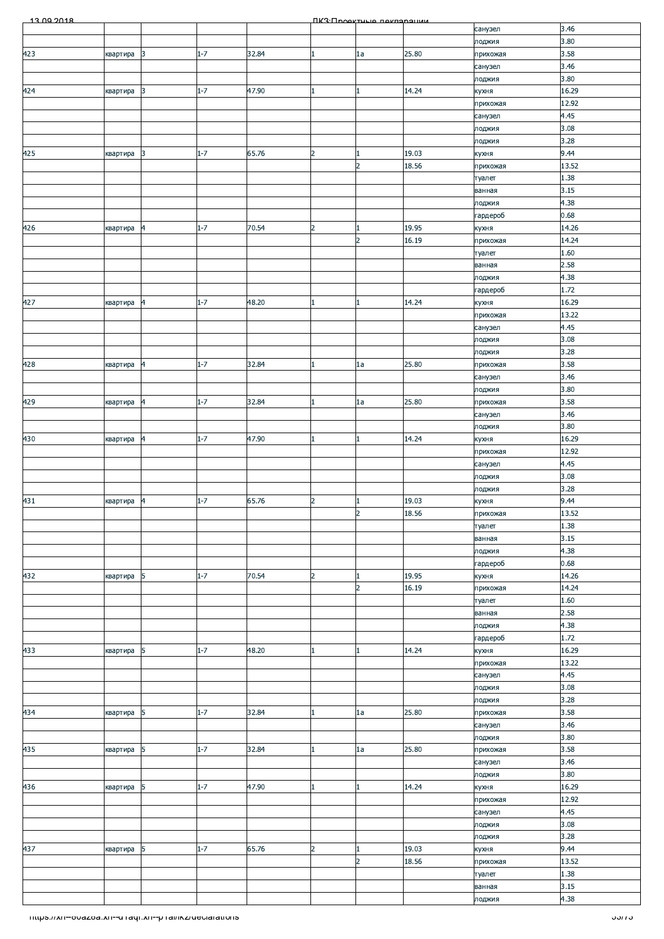| 13.00.2018                                              |          |                |         |       |                | ΠΚ3:Προοκτυμιο ποκπαραμικικ |                |                     |                |
|---------------------------------------------------------|----------|----------------|---------|-------|----------------|-----------------------------|----------------|---------------------|----------------|
|                                                         |          |                |         |       |                |                             |                | санузел             | 3.46           |
| 423                                                     | квартира | 3              | $1 - 7$ | 32.84 |                | 1a                          | 25.80          | лоджия<br>прихожая  | 3.80<br>3.58   |
|                                                         |          |                |         |       |                |                             |                | санузел             | 3.46           |
|                                                         |          |                |         |       |                |                             |                | лоджия              | 3.80           |
| 424                                                     | квартира | 3              | $1 - 7$ | 47.90 |                | 1                           | 14.24          | кухня               | 16.29          |
|                                                         |          |                |         |       |                |                             |                | прихожая            | 12.92          |
|                                                         |          |                |         |       |                |                             |                | санузел             | 4.45<br>3.08   |
|                                                         |          |                |         |       |                |                             |                | лоджия<br>лоджия    | 3.28           |
| 425                                                     | квартира | 3              | $1 - 7$ | 65.76 | $\overline{2}$ | $\mathbf{1}$                | 19.03          | кухня               | 9.44           |
|                                                         |          |                |         |       |                | $\overline{2}$              | 18.56          | прихожая            | 13.52          |
|                                                         |          |                |         |       |                |                             |                | туалет              | 1.38           |
|                                                         |          |                |         |       |                |                             |                | ванная              | 3.15           |
|                                                         |          |                |         |       |                |                             |                | лоджия<br>гардероб  | 4.38<br>0.68   |
| 426                                                     | квартира | $\overline{a}$ | $1 - 7$ | 70.54 | 2              | $\mathbf{1}$                | 19.95          | кухня               | 14.26          |
|                                                         |          |                |         |       |                | $\overline{2}$              | 16.19          | прихожая            | 14.24          |
|                                                         |          |                |         |       |                |                             |                | туалет              | 1.60           |
|                                                         |          |                |         |       |                |                             |                | ванная              | 2.58           |
|                                                         |          |                |         |       |                |                             |                | лоджия<br>гардероб  | 4.38<br>1.72   |
| 427                                                     | квартира | 4              | $1 - 7$ | 48.20 |                | 1                           | 14.24          | кухня               | 16.29          |
|                                                         |          |                |         |       |                |                             |                | прихожая            | 13.22          |
|                                                         |          |                |         |       |                |                             |                | санузел             | 4.45           |
|                                                         |          |                |         |       |                |                             |                | лоджия              | 3.08           |
|                                                         |          | 14             | $1 - 7$ | 32.84 |                | 1a                          | 25.80          | лоджия              | 3.28<br>3.58   |
| 428                                                     | квартира |                |         |       |                |                             |                | прихожая<br>санузел | 3.46           |
|                                                         |          |                |         |       |                |                             |                | лоджия              | 3.80           |
| 429                                                     | квартира | 14             | $1 - 7$ | 32.84 |                | 1a                          | 25.80          | прихожая            | 3.58           |
|                                                         |          |                |         |       |                |                             |                | санузел             | 3.46           |
|                                                         |          |                |         |       |                |                             |                | лоджия              | 3.80           |
| 430                                                     | квартира | $\overline{a}$ | $1 - 7$ | 47.90 |                | $\mathbf{1}$                | 14.24          | кухня               | 16.29<br>12.92 |
|                                                         |          |                |         |       |                |                             |                | прихожая<br>санузел | 4.45           |
|                                                         |          |                |         |       |                |                             |                | лоджия              | 3.08           |
|                                                         |          |                |         |       |                |                             |                | лоджия              | 3.28           |
| 431                                                     | квартира | 4              | $1 - 7$ | 65.76 | $\overline{2}$ | 1                           | 19.03          | кухня               | 9.44           |
|                                                         |          |                |         |       |                | $\overline{2}$              | 18.56          | прихожая            | 13.52          |
|                                                         |          |                |         |       |                |                             |                | туалет<br>ванная    | 1.38<br>3.15   |
|                                                         |          |                |         |       |                |                             |                | лоджия              | 4.38           |
|                                                         |          |                |         |       |                |                             |                | гардероб            | 0.68           |
| 432                                                     | квартира | 5              | $1 - 7$ | 70.54 | 2              | 1                           | 19.95          | кухня               | 14.26          |
|                                                         |          |                |         |       |                | $\overline{2}$              | 16.19          | прихожая            | 14.24          |
|                                                         |          |                |         |       |                |                             |                | туалет              | 1.60<br>2.58   |
|                                                         |          |                |         |       |                |                             |                | ванная<br>лоджия    | 4.38           |
|                                                         |          |                |         |       |                |                             |                | гардероб            | 1.72           |
| 433                                                     | квартира | 5              | $1 - 7$ | 48.20 |                | 1                           | 14.24          | кухня               | 16.29          |
|                                                         |          |                |         |       |                |                             |                | прихожая            | 13.22          |
|                                                         |          |                |         |       |                |                             |                | санузел             | 4.45           |
|                                                         |          |                |         |       |                |                             |                | лоджия<br>лоджия    | 3.08<br>3.28   |
| 434                                                     | квартира | 5              | $1 - 7$ | 32.84 |                | 1a                          | 25.80          | прихожая            | 3.58           |
|                                                         |          |                |         |       |                |                             |                | санузел             | 3.46           |
|                                                         |          |                |         |       |                |                             |                | лоджия              | 3.80           |
| 435                                                     | квартира | 5              | $1 - 7$ | 32.84 |                | 1a                          | 25.80          | прихожая            | 3.58           |
|                                                         |          |                |         |       |                |                             |                | санузел             | 3.46<br>3.80   |
| 436                                                     | квартира | 5              | $1 - 7$ | 47.90 |                | $\mathbf{1}$                | 14.24          | лоджия<br>кухня     | 16.29          |
|                                                         |          |                |         |       |                |                             |                | прихожая            | 12.92          |
|                                                         |          |                |         |       |                |                             |                | санузел             | 4.45           |
|                                                         |          |                |         |       |                |                             |                | лоджия              | 3.08           |
|                                                         |          |                |         |       |                |                             |                | лоджия              | 3.28           |
| 437                                                     | квартира | 5              | $1 - 7$ | 65.76 | 2              | 1<br>$\overline{2}$         | 19.03<br>18.56 | кухня<br>прихожая   | 9.44<br>13.52  |
|                                                         |          |                |         |       |                |                             |                | туалет              | 1.38           |
|                                                         |          |                |         |       |                |                             |                | ванная              | 3.15           |
|                                                         |          |                |         |       |                |                             |                | лоджия              | 4.38           |
| mups.//xn--ovazoa.xn--u raqr.xn--p rai/ikz/deciarations |          |                |         |       |                |                             |                |                     | ວວ/7 ວ         |
|                                                         |          |                |         |       |                |                             |                |                     |                |
|                                                         |          |                |         |       |                |                             |                |                     |                |
|                                                         |          |                |         |       |                |                             |                |                     |                |
|                                                         |          |                |         |       |                |                             |                |                     |                |
|                                                         |          |                |         |       |                |                             |                |                     |                |
|                                                         |          |                |         |       |                |                             |                |                     |                |
|                                                         |          |                |         |       |                |                             |                |                     |                |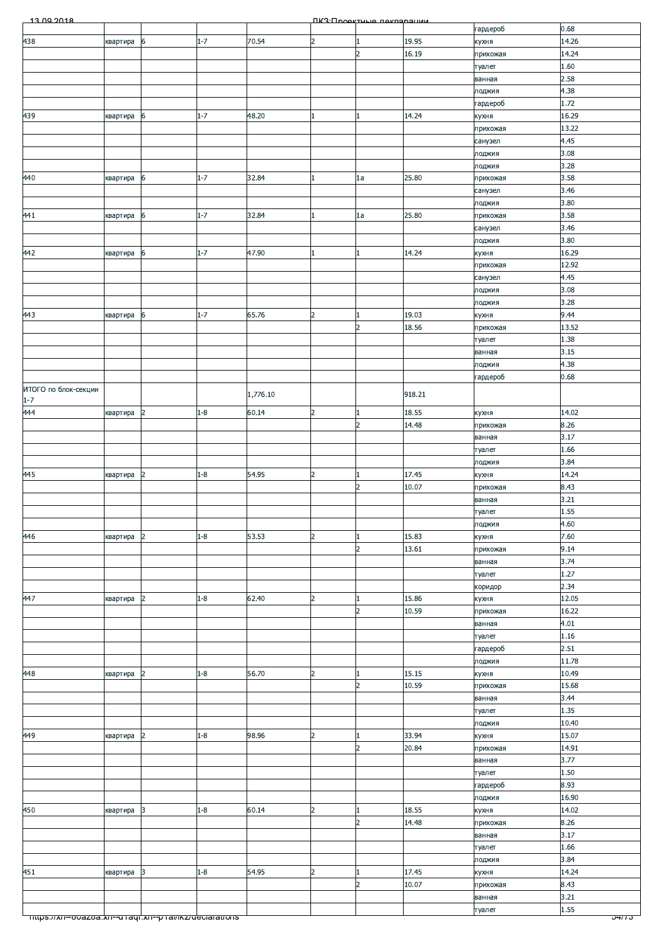| 13.00.2018                                                    |          |                |         |          |                | <b><i><u>IK3: Проектные пекларации</u></i></b> |                |                    |                |
|---------------------------------------------------------------|----------|----------------|---------|----------|----------------|------------------------------------------------|----------------|--------------------|----------------|
|                                                               |          |                |         |          |                |                                                |                | гардероб           | 0.68           |
| 438                                                           | квартира | 6              | $1 - 7$ | 70.54    | 2              |                                                | 19.95          | кухня              | 14.26          |
|                                                               |          |                |         |          |                | $\overline{2}$                                 | 16.19          | прихожая           | 14.24          |
|                                                               |          |                |         |          |                |                                                |                | туалет<br>ванная   | 1.60<br>2.58   |
|                                                               |          |                |         |          |                |                                                |                | лоджия             | 4.38           |
|                                                               |          |                |         |          |                |                                                |                | гардероб           | 1.72           |
| 439                                                           | квартира | 6              | $1 - 7$ | 48.20    |                |                                                | 14.24          | кухня              | 16.29          |
|                                                               |          |                |         |          |                |                                                |                | прихожая           | 13.22          |
|                                                               |          |                |         |          |                |                                                |                | санузел            | 4.45           |
|                                                               |          |                |         |          |                |                                                |                | лоджия             | 3.08           |
|                                                               |          |                |         |          |                |                                                |                | лоджия             | 3.28           |
| 440                                                           | квартира | 6              | $1 - 7$ | 32.84    |                | 1a                                             | 25.80          | прихожая           | 3.58           |
|                                                               |          |                |         |          |                |                                                |                | санузел            | 3.46           |
| 441                                                           |          | 6              | $1 - 7$ | 32.84    |                | 1a                                             | 25.80          | лоджия<br>прихожая | 3.80<br>3.58   |
|                                                               | квартира |                |         |          |                |                                                |                | санузел            | 3.46           |
|                                                               |          |                |         |          |                |                                                |                | лоджия             | 3.80           |
| 442                                                           | квартира | 6              | $1 - 7$ | 47.90    |                |                                                | 14.24          | кухня              | 16.29          |
|                                                               |          |                |         |          |                |                                                |                | прихожая           | 12.92          |
|                                                               |          |                |         |          |                |                                                |                | санузел            | 4.45           |
|                                                               |          |                |         |          |                |                                                |                | лоджия             | 3.08           |
|                                                               |          |                |         |          |                |                                                |                | лоджия             | 3.28           |
| 443                                                           | квартира | 6              | $1 - 7$ | 65.76    | $\overline{2}$ |                                                | 19.03          | кухня              | 9.44           |
|                                                               |          |                |         |          |                | $\overline{2}$                                 | 18.56          | прихожая           | 13.52          |
|                                                               |          |                |         |          |                |                                                |                | туалет             | 1.38<br>3.15   |
|                                                               |          |                |         |          |                |                                                |                | ванная<br>лоджия   | 4.38           |
|                                                               |          |                |         |          |                |                                                |                | гардероб           | 0.68           |
| ИТОГО по блок-секции                                          |          |                |         |          |                |                                                |                |                    |                |
| $1 - 7$                                                       |          |                |         | 1,776.10 |                |                                                | 918.21         |                    |                |
| 444                                                           | квартира | 2              | $1 - 8$ | 60.14    | $\overline{2}$ |                                                | 18.55          | кухня              | 14.02          |
|                                                               |          |                |         |          |                | $\overline{2}$                                 | 14.48          | прихожая           | 8.26           |
|                                                               |          |                |         |          |                |                                                |                | ванная             | 3.17           |
|                                                               |          |                |         |          |                |                                                |                | туалет             | 1.66           |
| 445                                                           |          | $\overline{2}$ | $1 - 8$ | 54.95    | 2              |                                                | 17.45          | лоджия             | 3.84<br>14.24  |
|                                                               | квартира |                |         |          |                | $\overline{2}$                                 | 10.07          | кухня<br>прихожая  | 8.43           |
|                                                               |          |                |         |          |                |                                                |                | ванная             | 3.21           |
|                                                               |          |                |         |          |                |                                                |                | туалет             | 1.55           |
|                                                               |          |                |         |          |                |                                                |                | лоджия             | 4.60           |
| 446                                                           | квартира | $\overline{2}$ | $1 - 8$ | 53.53    | $\overline{2}$ |                                                | 15.83          | кухня              | 7.60           |
|                                                               |          |                |         |          |                | $\overline{2}$                                 | 13.61          | прихожая           | 9.14           |
|                                                               |          |                |         |          |                |                                                |                | ванная             | 3.74           |
|                                                               |          |                |         |          |                |                                                |                | туалет             | 1.27           |
|                                                               |          |                |         |          |                |                                                |                | коридор            | 2.34           |
| 447                                                           | квартира | $\overline{2}$ | $1 - 8$ | 62.40    | $\overline{2}$ | $\overline{2}$                                 | 15.86<br>10.59 | кухня              | 12.05<br>16.22 |
|                                                               |          |                |         |          |                |                                                |                | прихожая<br>ванная | 4.01           |
|                                                               |          |                |         |          |                |                                                |                | туалет             | 1.16           |
|                                                               |          |                |         |          |                |                                                |                | гардероб           | 2.51           |
|                                                               |          |                |         |          |                |                                                |                | лоджия             | 11.78          |
| 448                                                           | квартира | $\overline{2}$ | $1 - 8$ | 56.70    | $\overline{2}$ |                                                | 15.15          | кухня              | 10.49          |
|                                                               |          |                |         |          |                | $\overline{2}$                                 | 10.59          | прихожая           | 15.68          |
|                                                               |          |                |         |          |                |                                                |                | ванная             | 3.44           |
|                                                               |          |                |         |          |                |                                                |                | туалет             | 1.35           |
|                                                               |          |                |         |          |                |                                                |                | лоджия             | 10.40          |
| 449                                                           | квартира | 2              | $1 - 8$ | 98.96    | 2              | $\overline{2}$                                 | 33.94<br>20.84 | кухня              | 15.07<br>14.91 |
|                                                               |          |                |         |          |                |                                                |                | прихожая<br>ванная | 3.77           |
|                                                               |          |                |         |          |                |                                                |                | туалет             | 1.50           |
|                                                               |          |                |         |          |                |                                                |                | гардероб           | 8.93           |
|                                                               |          |                |         |          |                |                                                |                | лоджия             | 16.90          |
| 450                                                           | квартира | 3              | $1 - 8$ | 60.14    | $\overline{2}$ |                                                | 18.55          | кухня              | 14.02          |
|                                                               |          |                |         |          |                | $\overline{2}$                                 | 14.48          | прихожая           | 8.26           |
|                                                               |          |                |         |          |                |                                                |                | ванная             | 3.17           |
|                                                               |          |                |         |          |                |                                                |                | туалет             | 1.66           |
|                                                               |          |                |         |          |                |                                                |                | лоджия             | 3.84           |
| 451                                                           | квартира | $\vert$ 3      | $1 - 8$ | 54.95    | $\overline{2}$ |                                                | 17.45          | кухня              | 14.24          |
|                                                               |          |                |         |          |                | $\mathcal{P}$                                  | 10.07          | прихожая           | 8.43<br>3.21   |
|                                                               |          |                |         |          |                |                                                |                | ванная<br>туалет   | 1.55           |
| <u> mups.//xn--ooazoa.xn--o+aqi.xn--p+ai/ikz/deciarations</u> |          |                |         |          |                |                                                |                |                    | 0477 J         |
|                                                               |          |                |         |          |                |                                                |                |                    |                |
|                                                               |          |                |         |          |                |                                                |                |                    |                |
|                                                               |          |                |         |          |                |                                                |                |                    |                |
|                                                               |          |                |         |          |                |                                                |                |                    |                |
|                                                               |          |                |         |          |                |                                                |                |                    |                |
|                                                               |          |                |         |          |                |                                                |                |                    |                |
|                                                               |          |                |         |          |                |                                                |                |                    |                |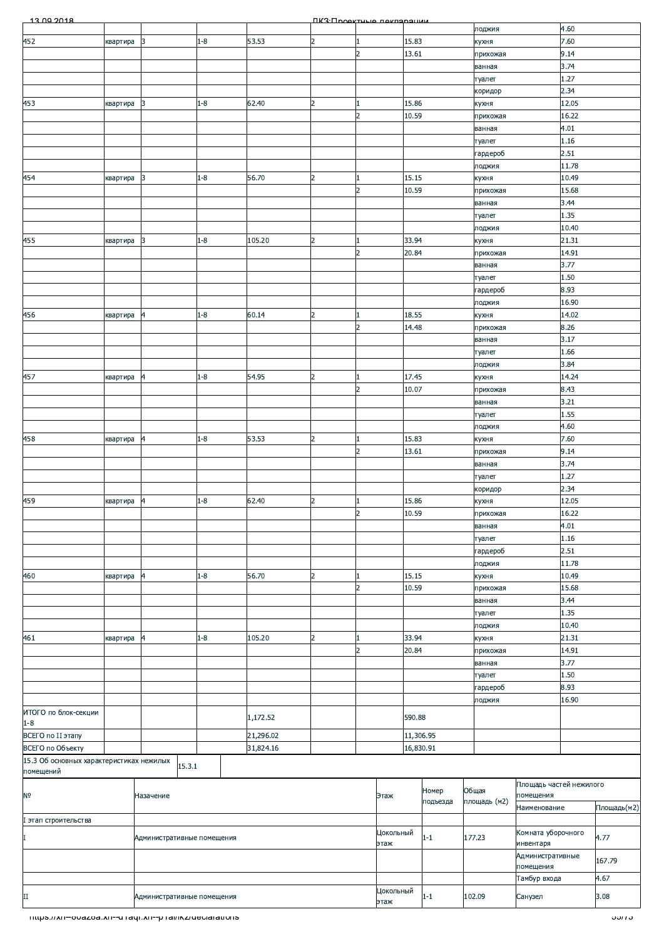| 13.00.2018                                             |          |                            |                  |           | <b><i><u>IK3: Проектично покларации</u></i></b> |                |                   |           |          |              |                                      |       |               |
|--------------------------------------------------------|----------|----------------------------|------------------|-----------|-------------------------------------------------|----------------|-------------------|-----------|----------|--------------|--------------------------------------|-------|---------------|
|                                                        |          |                            |                  |           |                                                 |                |                   |           |          | лоджия       |                                      | 4.60  |               |
| 452                                                    | квартира | 3                          | $1 - 8$          | 53.53     | $\overline{2}$                                  | 1              |                   | 15.83     |          | кухня        |                                      | 7.60  |               |
|                                                        |          |                            |                  |           |                                                 | $\overline{2}$ |                   | 13.61     |          | прихожая     |                                      | 9.14  |               |
|                                                        |          |                            |                  |           |                                                 |                |                   |           |          | ванная       |                                      | 3.74  |               |
|                                                        |          |                            |                  |           |                                                 |                |                   |           |          | туалет       |                                      | 1.27  |               |
|                                                        |          |                            |                  |           |                                                 |                |                   |           |          | коридор      |                                      | 2.34  |               |
| 453                                                    | квартира | 3                          | $1 - 8$          | 62.40     | $\overline{2}$                                  | 1              |                   | 15.86     |          | кухня        |                                      | 12.05 |               |
|                                                        |          |                            |                  |           |                                                 | $\overline{2}$ |                   | 10.59     |          | прихожая     |                                      | 16.22 |               |
|                                                        |          |                            |                  |           |                                                 |                |                   |           |          |              |                                      | 4.01  |               |
|                                                        |          |                            |                  |           |                                                 |                |                   |           |          | ванная       |                                      |       |               |
|                                                        |          |                            |                  |           |                                                 |                |                   |           |          | туалет       |                                      | 1.16  |               |
|                                                        |          |                            |                  |           |                                                 |                |                   |           |          | гардероб     |                                      | 2.51  |               |
|                                                        |          |                            |                  |           |                                                 |                |                   |           |          | лоджия       |                                      | 11.78 |               |
| 454                                                    | квартира | 3                          | $1 - 8$          | 56.70     | $\overline{2}$                                  | 1              |                   | 15.15     |          | кухня        |                                      | 10.49 |               |
|                                                        |          |                            |                  |           |                                                 | $\overline{2}$ |                   | 10.59     |          | прихожая     |                                      | 15.68 |               |
|                                                        |          |                            |                  |           |                                                 |                |                   |           |          | ванная       |                                      | 3.44  |               |
|                                                        |          |                            |                  |           |                                                 |                |                   |           |          | туалет       |                                      | 1.35  |               |
|                                                        |          |                            |                  |           |                                                 |                |                   |           |          | лоджия       |                                      | 10.40 |               |
| 455                                                    | квартира | 3                          | $1 - 8$          | 105.20    | $\overline{2}$                                  | 1              |                   | 33.94     |          | кухня        |                                      | 21.31 |               |
|                                                        |          |                            |                  |           |                                                 | $\overline{2}$ |                   | 20.84     |          | прихожая     |                                      | 14.91 |               |
|                                                        |          |                            |                  |           |                                                 |                |                   |           |          | ванная       |                                      | 3.77  |               |
|                                                        |          |                            |                  |           |                                                 |                |                   |           |          | туалет       |                                      | 1.50  |               |
|                                                        |          |                            |                  |           |                                                 |                |                   |           |          |              |                                      | 8.93  |               |
|                                                        |          |                            |                  |           |                                                 |                |                   |           |          | гардероб     |                                      | 16.90 |               |
|                                                        |          |                            |                  |           |                                                 |                |                   |           |          | лоджия       |                                      |       |               |
| 456                                                    | квартира | 4                          | $1 - 8$          | 60.14     | $\overline{2}$                                  | 1              |                   | 18.55     |          | кухня        |                                      | 14.02 |               |
|                                                        |          | $\overline{2}$<br>14.48    |                  | прихожая  |                                                 | 8.26           |                   |           |          |              |                                      |       |               |
|                                                        |          |                            |                  |           |                                                 |                |                   |           |          | ванная       |                                      | 3.17  |               |
|                                                        |          |                            |                  |           |                                                 |                |                   |           |          | туалет       |                                      | 1.66  |               |
|                                                        |          |                            |                  |           |                                                 |                |                   |           |          | лоджия       | 3.84                                 |       |               |
| 457                                                    | квартира | 4                          | $1 - 8$          | 54.95     | $\overline{2}$                                  | 1              |                   | 17.45     |          | кухня        |                                      | 14.24 |               |
|                                                        |          |                            |                  |           |                                                 | $\overline{2}$ |                   | 10.07     |          | прихожая     | 8.43                                 |       |               |
|                                                        |          |                            |                  |           |                                                 |                |                   |           |          | ванная       |                                      | 3.21  |               |
|                                                        |          |                            |                  |           |                                                 |                |                   |           |          | туалет       |                                      | 1.55  |               |
|                                                        |          |                            |                  |           |                                                 |                |                   |           |          | лоджия       |                                      | 4.60  |               |
| 458                                                    | квартира | 4                          | $1 - 8$          | 53.53     | $\overline{2}$                                  | $\mathbf{1}$   |                   | 15.83     |          | кухня        |                                      | 7.60  |               |
|                                                        |          |                            |                  |           |                                                 | $\overline{2}$ |                   | 13.61     |          | прихожая     | 9.14                                 |       |               |
|                                                        |          |                            |                  |           |                                                 |                |                   |           |          | ванная       |                                      | 3.74  |               |
|                                                        |          |                            |                  |           |                                                 |                |                   |           |          | туалет       |                                      | 1.27  |               |
|                                                        |          |                            |                  |           |                                                 |                |                   |           |          | коридор      |                                      | 2.34  |               |
| 459                                                    | квартира | $\overline{\mathbf{4}}$    | $1 - 8$<br>62.40 |           | $\overline{2}$                                  | 1              |                   | 15.86     |          | кухня        |                                      | 12.05 |               |
|                                                        |          |                            |                  |           |                                                 | $\overline{2}$ |                   | 10.59     |          | прихожая     |                                      | 16.22 |               |
|                                                        |          |                            |                  |           |                                                 |                |                   |           |          |              |                                      | 4.01  |               |
|                                                        |          |                            |                  |           |                                                 |                |                   |           |          | ванная       |                                      |       |               |
|                                                        |          |                            |                  |           |                                                 |                |                   |           |          | туалет       |                                      | 1.16  |               |
|                                                        |          |                            |                  |           |                                                 |                |                   |           |          | гардероб     |                                      | 2.51  |               |
|                                                        |          |                            |                  |           |                                                 |                |                   |           |          | лоджия       |                                      | 11.78 |               |
| 460                                                    | квартира | 4                          | $1 - 8$          | 56.70     | $\overline{2}$                                  | 1              |                   | 15.15     |          | кухня        |                                      | 10.49 |               |
|                                                        |          |                            |                  |           |                                                 | $\overline{2}$ |                   | 10.59     |          | прихожая     |                                      | 15.68 |               |
|                                                        |          |                            |                  |           |                                                 |                |                   |           |          | ванная       |                                      | 3.44  |               |
|                                                        |          |                            |                  |           |                                                 |                |                   |           |          | туалет       |                                      | 1.35  |               |
|                                                        |          |                            |                  |           |                                                 |                |                   |           |          | лоджия       |                                      | 10.40 |               |
| 461                                                    | квартира | 4                          | $1 - 8$          | 105.20    | $\overline{2}$                                  | 1              |                   | 33.94     |          | кухня        |                                      | 21.31 |               |
|                                                        |          |                            |                  |           |                                                 | $\overline{2}$ |                   | 20.84     |          | прихожая     |                                      | 14.91 |               |
|                                                        |          |                            |                  |           |                                                 |                |                   |           |          | ванная       |                                      | 3.77  |               |
|                                                        |          |                            |                  |           |                                                 |                |                   |           |          | туалет       |                                      | 1.50  |               |
|                                                        |          |                            |                  |           |                                                 |                |                   |           |          | гардероб     |                                      | 8.93  |               |
|                                                        |          |                            |                  |           |                                                 |                |                   |           |          |              |                                      | 16.90 |               |
| ИТОГО по блок-секции                                   |          |                            |                  |           |                                                 |                |                   |           |          | лоджия       |                                      |       |               |
| $1 - 8$                                                |          |                            |                  | 1,172.52  |                                                 |                |                   | 590.88    |          |              |                                      |       |               |
| ВСЕГО по II этапу                                      |          |                            |                  | 21,296.02 |                                                 |                |                   | 11,306.95 |          |              |                                      |       |               |
| ВСЕГО по Объекту                                       |          |                            |                  | 31,824.16 |                                                 |                |                   | 16,830.91 |          |              |                                      |       |               |
|                                                        |          |                            |                  |           |                                                 |                |                   |           |          |              |                                      |       |               |
| 15.3 Об основных характеристиках нежилых<br>помещений  |          | 15.3.1                     |                  |           |                                                 |                |                   |           |          |              |                                      |       |               |
|                                                        |          |                            |                  |           |                                                 |                |                   |           |          |              |                                      |       |               |
| $\mathsf{N}^{\mathsf{O}}$                              |          | Назачение                  |                  |           |                                                 |                | Этаж              |           | Номер    | Общая        | Площадь частей нежилого<br>помещения |       |               |
|                                                        |          |                            |                  |           |                                                 |                |                   |           | подъезда | площадь (м2) | Наименование                         |       | Площадь(м2)   |
|                                                        |          |                            |                  |           |                                                 |                |                   |           |          |              |                                      |       |               |
| I этап строительства                                   |          |                            |                  |           |                                                 |                |                   |           |          |              |                                      |       |               |
| I                                                      |          | Административные помещения |                  |           |                                                 |                | Цокольный         |           | $1 - 1$  | 177.23       | Комната уборочного                   |       | 4.77          |
|                                                        |          |                            |                  |           |                                                 |                | этаж              |           |          |              | инвентаря                            |       |               |
|                                                        |          |                            |                  |           |                                                 |                |                   |           |          |              | Административные<br>помещения        |       | 167.79        |
|                                                        |          |                            |                  |           |                                                 |                |                   |           |          |              | Тамбур входа                         |       | 4.67          |
|                                                        |          |                            |                  |           |                                                 |                |                   |           |          |              |                                      |       |               |
| $_{\rm II}$                                            |          | Административные помещения |                  |           |                                                 |                | Цокольный<br>этаж |           | $1 - 1$  | 102.09       | Санузел                              |       | 3.08          |
|                                                        |          |                            |                  |           |                                                 |                |                   |           |          |              |                                      |       |               |
| mups.//xn--ovazoa.xn--u raqr.xn--p rawikz/declarations |          |                            |                  |           |                                                 |                |                   |           |          |              |                                      |       | ວວ <i>ກ</i> ວ |
|                                                        |          |                            |                  |           |                                                 |                |                   |           |          |              |                                      |       |               |
|                                                        |          |                            |                  |           |                                                 |                |                   |           |          |              |                                      |       |               |
|                                                        |          |                            |                  |           |                                                 |                |                   |           |          |              |                                      |       |               |
|                                                        |          |                            |                  |           |                                                 |                |                   |           |          |              |                                      |       |               |
|                                                        |          |                            |                  |           |                                                 |                |                   |           |          |              |                                      |       |               |
|                                                        |          |                            |                  |           |                                                 |                |                   |           |          |              |                                      |       |               |
|                                                        |          |                            |                  |           |                                                 |                |                   |           |          |              |                                      |       |               |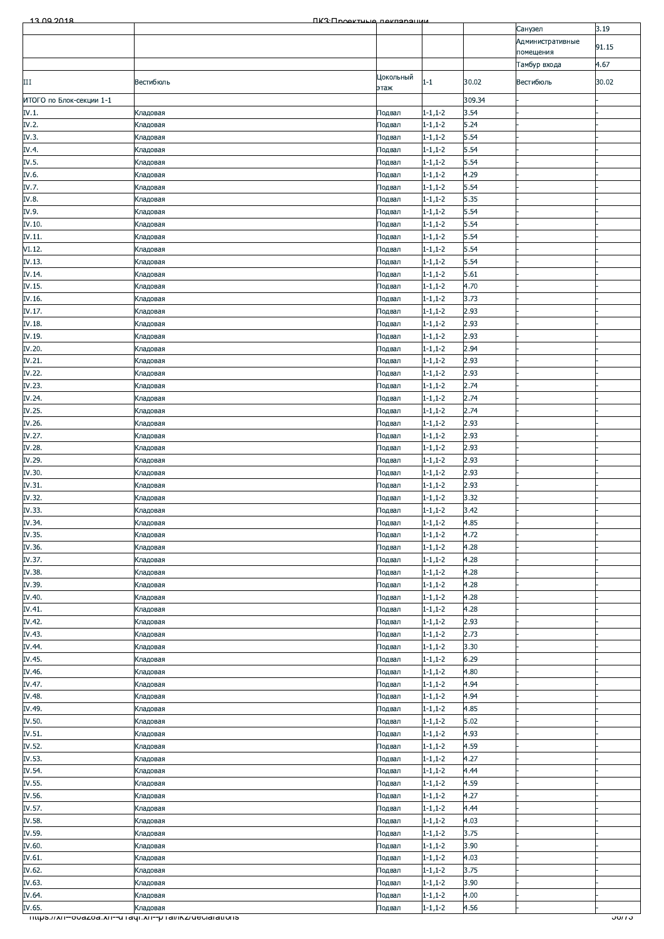| 13.00.2018               | ПКЗ Проектине пекларации                              |                  |                                  |              |                               |                    |
|--------------------------|-------------------------------------------------------|------------------|----------------------------------|--------------|-------------------------------|--------------------|
|                          |                                                       |                  |                                  |              | Санузел                       | 3.19               |
|                          |                                                       |                  |                                  |              | Административные<br>помещения | 91.15              |
|                          |                                                       |                  |                                  |              | Тамбур входа                  | 4.67               |
|                          |                                                       | Цокольный        |                                  |              |                               |                    |
| Ш                        | Вестибюль                                             | этаж             | $1 - 1$                          | 30.02        | Вестибюль                     | 30.02              |
| ИТОГО по Блок-секции 1-1 |                                                       |                  |                                  | 309.34       |                               |                    |
| IV.1.                    | Кладовая                                              | Подвал           | $1 - 1, 1 - 2$                   | 3.54         |                               |                    |
| IV.2.                    | Кладовая                                              | Подвал           | $1 - 1, 1 - 2$                   | 5.24         |                               |                    |
| IV.3.                    | Кладовая                                              | Подвал           | $1 - 1, 1 - 2$                   | 5.54         |                               |                    |
| IV.4.                    | Кладовая                                              | Подвал           | $1 - 1, 1 - 2$                   | 5.54         |                               |                    |
| IV.5.<br>IV.6.           | Кладовая                                              | Подвал           | $1 - 1, 1 - 2$                   | 5.54<br>4.29 |                               |                    |
| IV.7.                    | Кладовая<br>Кладовая                                  | Подвал<br>Подвал | $1 - 1, 1 - 2$<br>$1 - 1, 1 - 2$ | 5.54         |                               |                    |
| IV.8.                    | Кладовая                                              | Подвал           | $1 - 1, 1 - 2$                   | 5.35         |                               |                    |
| IV.9.                    | Кладовая                                              | Подвал           | $1 - 1, 1 - 2$                   | 5.54         |                               |                    |
| IV.10.                   | Кладовая                                              | Подвал           | $1 - 1, 1 - 2$                   | 5.54         |                               |                    |
| IV.11.                   | Кладовая                                              | Подвал           | $1 - 1, 1 - 2$                   | 5.54         |                               |                    |
| VI.12.                   | Кладовая                                              | Подвал           | $1 - 1, 1 - 2$                   | 5.54         |                               |                    |
| IV.13.                   | Кладовая                                              | Подвал           | $1 - 1, 1 - 2$                   | 5.54         |                               |                    |
| IV.14.                   | Кладовая                                              | Подвал           | $1 - 1, 1 - 2$                   | 5.61         |                               |                    |
| IV.15.                   | Кладовая                                              | Подвал           | $1 - 1, 1 - 2$                   | 4.70         |                               |                    |
| IV.16.                   | Кладовая                                              | Подвал           | $1 - 1, 1 - 2$                   | 3.73         |                               |                    |
| IV.17.                   | Кладовая                                              | Подвал           | $1 - 1, 1 - 2$                   | 2.93         |                               |                    |
| IV.18.<br>IV.19.         | Кладовая                                              | Подвал           | $1 - 1, 1 - 2$<br>$1 - 1, 1 - 2$ | 2.93<br>2.93 |                               |                    |
| IV.20.                   | Кладовая<br>Кладовая                                  | Подвал<br>Подвал | $1 - 1, 1 - 2$                   | 2.94         |                               |                    |
| IV.21.                   | Кладовая                                              | Подвал           | $1 - 1, 1 - 2$                   | 2.93         |                               |                    |
| IV.22.                   | Кладовая                                              | Подвал           | $1 - 1, 1 - 2$                   | 2.93         |                               |                    |
| IV.23.                   | Кладовая                                              | Подвал           | $1 - 1, 1 - 2$                   | 2.74         |                               |                    |
| IV.24.                   | Кладовая                                              | Подвал           | $1 - 1, 1 - 2$                   | 2.74         |                               |                    |
| IV.25.                   | Кладовая                                              | Подвал           | $1 - 1, 1 - 2$                   | 2.74         |                               |                    |
| IV.26.                   | Кладовая                                              | Подвал           | $1 - 1, 1 - 2$                   | 2.93         |                               |                    |
| IV.27.                   | Кладовая                                              | Подвал           | $1 - 1, 1 - 2$                   | 2.93         |                               |                    |
| IV.28.                   | Кладовая                                              | Подвал           | $1 - 1, 1 - 2$                   | 2.93         |                               |                    |
| IV.29.                   | Кладовая                                              | Подвал           | $1 - 1, 1 - 2$                   | 2.93         |                               |                    |
| IV.30.                   | Кладовая                                              | Подвал           | $1 - 1, 1 - 2$                   | 2.93         |                               |                    |
| IV.31.                   | Кладовая                                              | Подвал           | $1 - 1, 1 - 2$                   | 2.93         |                               |                    |
| IV.32.<br>IV.33.         | Кладовая<br>Кладовая                                  | Подвал<br>Подвал | $1 - 1, 1 - 2$<br>$1 - 1, 1 - 2$ | 3.32<br>3.42 |                               |                    |
| IV.34.                   | Кладовая                                              | Подвал           | $1 - 1, 1 - 2$                   | 4.85         |                               |                    |
| IV.35.                   | Кладовая                                              | Тодвал           | $1 - 1, 1 - 2$                   | 4.72         |                               |                    |
| IV.36.                   | Кладовая                                              | Подвал           | $1 - 1, 1 - 2$                   | 4.28         |                               |                    |
| IV.37.                   | Кладовая                                              | Подвал           | $1 - 1, 1 - 2$                   | 4.28         |                               |                    |
| IV.38.                   | Кладовая                                              | Подвал           | $1 - 1, 1 - 2$                   | 4.28         |                               |                    |
| IV.39.                   | Кладовая                                              | Подвал           | $1 - 1, 1 - 2$                   | 4.28         |                               |                    |
| IV.40.                   | Кладовая                                              | Подвал           | $1 - 1, 1 - 2$                   | 4.28         |                               |                    |
| IV.41.                   | Кладовая                                              | Подвал           | $1 - 1, 1 - 2$                   | 4.28         |                               |                    |
| IV.42.                   | Кладовая                                              | Тодвал           | 1-1,1-2                          | 2.93         |                               |                    |
| IV.43.                   | Кладовая                                              | Подвал           | $1 - 1, 1 - 2$                   | 2.73         |                               |                    |
| IV.44.                   | Кладовая                                              | Подвал           | $1 - 1, 1 - 2$                   | 3.30         |                               |                    |
| IV.45.<br>IV.46.         | Кладовая<br>Кладовая                                  | Подвал<br>Подвал | $1 - 1, 1 - 2$<br>$1 - 1, 1 - 2$ | 6.29<br>4.80 |                               |                    |
| IV.47.                   | Кладовая                                              | Подвал           | $1 - 1, 1 - 2$                   | 4.94         |                               |                    |
| IV.48.                   | Кладовая                                              | Подвал           | $1 - 1, 1 - 2$                   | 4.94         |                               |                    |
| IV.49.                   | Кладовая                                              | Тодвал           | 1-1,1-2                          | 4.85         |                               |                    |
| IV.50.                   | Кладовая                                              | Подвал           | $1 - 1, 1 - 2$                   | 5.02         |                               |                    |
| IV.51.                   | Кладовая                                              | Подвал           | $1 - 1, 1 - 2$                   | 4.93         |                               |                    |
| IV.52.                   | Кладовая                                              | Подвал           | $1 - 1, 1 - 2$                   | 4.59         |                               |                    |
| IV.53.                   | Кладовая                                              | Подвал           | $1 - 1, 1 - 2$                   | 4.27         |                               |                    |
| IV.54.                   | Кладовая                                              | Подвал           | $1 - 1, 1 - 2$                   | 4.44         |                               |                    |
| IV.55.                   | Кладовая                                              | Подвал           | $1 - 1, 1 - 2$                   | 4.59         |                               |                    |
| IV.56.<br>IV.57.         | Кладовая                                              | Тодвал           | 1-1,1-2<br>$1 - 1, 1 - 2$        | 4.27<br>4.44 |                               |                    |
| IV.58.                   | Кладовая<br>Кладовая                                  | Подвал<br>Подвал | $1 - 1, 1 - 2$                   | 4.03         |                               |                    |
| IV.59.                   | Кладовая                                              | Подвал           | $1 - 1, 1 - 2$                   | 3.75         |                               |                    |
| IV.60.                   | Кладовая                                              | Подвал           | $1 - 1, 1 - 2$                   | 3.90         |                               |                    |
| IV.61.                   | Кладовая                                              | Подвал           | $1 - 1, 1 - 2$                   | 4.03         |                               |                    |
| IV.62.                   | Кладовая                                              | Подвал           | $1 - 1, 1 - 2$                   | 3.75         |                               |                    |
| IV.63.                   | Кладовая                                              | Тодвал           | $1 - 1, 1 - 2$                   | 3.90         |                               |                    |
| IV.64.                   | Кладовая                                              | Подвал           | $1 - 1, 1 - 2$                   | 4.00         |                               |                    |
| IV.65.                   | Кладовая                                              | Подвал           | $1 - 1, 1 - 2$                   | 4.56         |                               |                    |
|                          | mups.//xn--ovazoa.xn--u raqr.xn--p ramkz/declarations |                  |                                  |              |                               | <del>ס ו וסכ</del> |
|                          |                                                       |                  |                                  |              |                               |                    |
|                          |                                                       |                  |                                  |              |                               |                    |
|                          |                                                       |                  |                                  |              |                               |                    |
|                          |                                                       |                  |                                  |              |                               |                    |
|                          |                                                       |                  |                                  |              |                               |                    |
|                          |                                                       |                  |                                  |              |                               |                    |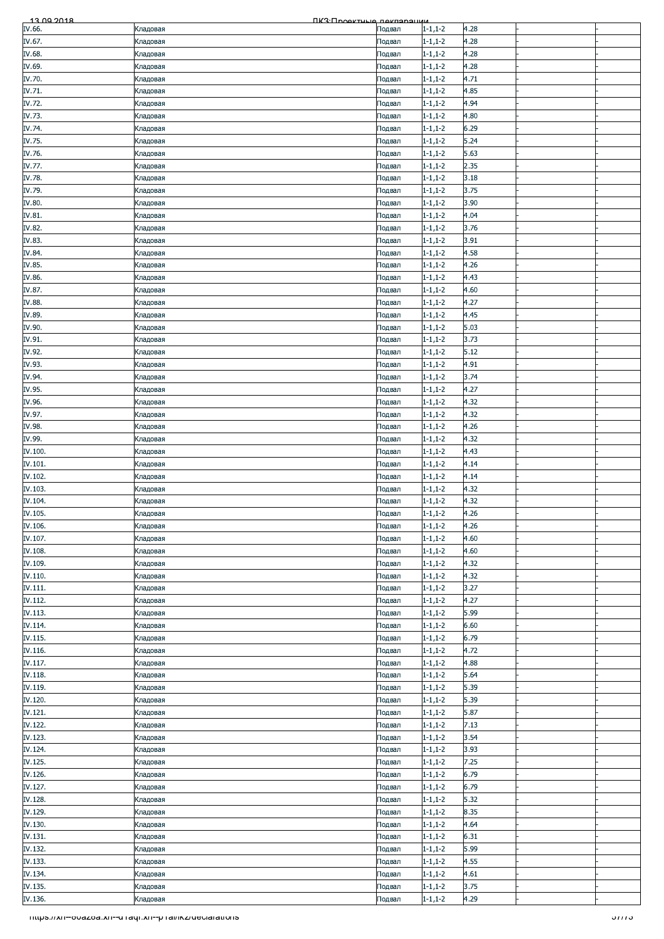| 4.28<br>$1 - 1, 1 - 2$<br>Кладовая<br>Подвал<br>IV.67.<br>$1 - 1, 1 - 2$<br>4.28<br>Кладовая<br>Подвал<br>IV.68.<br>$1 - 1, 1 - 2$<br>4.28<br>Кладовая<br>Подвал<br>IV.69.<br>$1 - 1, 1 - 2$<br>4.28<br>Кладовая<br>Подвал<br>IV.70.<br>4.71<br>$1 - 1, 1 - 2$<br>Кладовая<br>Подвал<br>$1 - 1, 1 - 2$<br>4.85<br>Кладовая<br>Подвал<br>IV.72.<br>4.94<br>$1 - 1, 1 - 2$<br>Кладовая<br>Подвал<br>IV.73.<br>$1 - 1, 1 - 2$<br>4.80<br>Кладовая<br>Подвал<br>IV.74.<br>$1 - 1, 1 - 2$<br>6.29<br>Кладовая<br>Подвал<br>IV.75.<br>$1 - 1, 1 - 2$<br>5.24<br>Кладовая<br>Подвал<br>5.63<br>$1 - 1, 1 - 2$<br>Подвал<br>Кладовая<br>IV.77.<br>2.35<br>$1 - 1, 1 - 2$<br>Кладовая<br>Подвал<br>IV.78.<br>3.18<br>$1 - 1, 1 - 2$<br>Кладовая<br>Подвал<br>IV.79.<br>$1 - 1, 1 - 2$<br>3.75<br>Кладовая<br>Подвал<br>IV.80.<br>3.90<br>$1 - 1, 1 - 2$<br>Кладовая<br>Подвал<br>$1 - 1, 1 - 2$<br>4.04<br>Кладовая<br>Подвал<br>IV.82.<br>$1 - 1, 1 - 2$<br>3.76<br>Кладовая<br>Подвал<br>IV.83.<br>3.91<br>$1 - 1, 1 - 2$<br>Кладовая<br>Подвал<br>IV.84.<br>$1 - 1, 1 - 2$<br>4.58<br>Кладовая<br>Подвал<br>IV.85.<br>$1 - 1, 1 - 2$<br>4.26<br>Кладовая<br>Подвал<br>4.43<br>$1 - 1, 1 - 2$<br>Кладовая<br>Подвал<br>IV.87.<br>$1 - 1, 1 - 2$<br>4.60<br>Кладовая<br>Подвал<br>IV.88.<br>$1 - 1, 1 - 2$<br>4.27<br>Кладовая<br>Подвал<br>IV.89.<br>$1 - 1, 1 - 2$<br>4.45<br>Кладовая<br>Подвал<br>5.03<br>$1 - 1, 1 - 2$<br>Подвал<br>Кладовая<br>3.73<br>$1 - 1, 1 - 2$<br>Подвал<br>Кладовая<br>IV.92.<br>5.12<br>$1 - 1, 1 - 2$<br>Кладовая<br>Подвал<br>IV.93.<br>$1 - 1, 1 - 2$<br>4.91<br>Кладовая<br>Подвал<br>IV.94.<br>3.74<br>$1 - 1, 1 - 2$<br>Кладовая<br>Подвал<br>IV.95.<br>4.27<br>$1 - 1, 1 - 2$<br>Кладовая<br>Подвал<br>$1 - 1, 1 - 2$<br>4.32<br>Кладовая<br>Подвал<br>IV.97.<br>4.32<br>$1 - 1, 1 - 2$<br>Кладовая<br>Подвал<br>IV.98.<br>4.26<br>$1 - 1, 1 - 2$<br>Кладовая<br>Подвал<br>4.32<br>IV.99.<br>$1 - 1, 1 - 2$<br>Кладовая<br>Подвал<br>4.43<br>$1 - 1, 1 - 2$<br>Кладовая<br>Подвал<br>IV.101.<br>$1 - 1, 1 - 2$<br>4.14<br>Кладовая<br>Подвал<br>IV.102.<br>$1 - 1, 1 - 2$<br>4.14<br>Кладовая<br>Подвал<br>IV.103.<br>$1 - 1, 1 - 2$<br>4.32<br>Кладовая<br>Подвал<br>4.32<br>IV.104.<br>$1 - 1, 1 - 2$<br>Подвал<br>Кладовая<br>4.26<br>$1 - 1, 1 - 2$<br>Кладовая<br>Подвал<br>4.26<br>IV.106.<br>$1 - 1, 1 - 2$<br>Подвал<br>Кладовая<br>IV.107.<br>4.60<br>$1 - 1, 1 - 2$<br>Подвал<br>Кладовая<br>IV.108.<br>$1 - 1, 1 - 2$<br>4.60<br>Кладовая<br>Подвал<br>IV.109.<br>$1 - 1, 1 - 2$<br>4.32<br>Кладовая<br>Подвал<br>$1 - 1, 1 - 2$<br>4.32<br>Кладовая<br>Подвал<br>IV.111.<br>3.27<br>$1 - 1, 1 - 2$<br>Кладовая<br>Подвал<br>IV.112.<br>$1 - 1, 1 - 2$<br>4.27<br>Кладовая<br>Подвал<br>IV.113.<br>5.99<br>$1 - 1, 1 - 2$<br>Кладовая<br>Подвал<br>IV.114.<br>$1 - 1, 1 - 2$<br>6.60<br>Подвал<br>Кладовая<br>$1 - 1, 1 - 2$<br>6.79<br>Кладовая<br>Подвал<br>IV.116.<br>$1 - 1, 1 - 2$<br>4.72<br>Кладовая<br>Подвал<br>IV.117.<br>$1 - 1, 1 - 2$<br>4.88<br>Кладовая<br>Подвал<br>IV.118.<br>$1 - 1, 1 - 2$<br>5.64<br>Кладовая<br>Подвал<br>IV.119.<br>$1 - 1, 1 - 2$<br>5.39<br>Кладовая<br>Подвал<br>5.39<br>$1 - 1, 1 - 2$<br>Кладовая<br>Подвал<br>5.87<br>$1 - 1, 1 - 2$<br>Подвал<br>Кладовая<br>IV.122.<br>$1 - 1, 1 - 2$<br>7.13<br>Кладовая<br>Подвал<br>IV.123.<br>3.54<br>$1 - 1, 1 - 2$<br>Кладовая<br>Подвал<br>IV.124.<br>$1 - 1, 1 - 2$<br>3.93<br>Кладовая<br>Подвал<br>$1 - 1, 1 - 2$<br>7.25<br>Кладовая<br>Подвал<br>$1 - 1, 1 - 2$<br>6.79<br>Кладовая<br>Подвал<br>6.79<br>$1 - 1, 1 - 2$<br>Кладовая<br>Подвал<br>IV.128.<br>5.32<br>$1 - 1, 1 - 2$<br>Кладовая<br>Подвал<br>IV.129.<br>$1 - 1, 1 - 2$<br>8.35<br>Кладовая<br>Подвал<br>IV.130.<br>$1 - 1, 1 - 2$<br>4.64<br>Кладовая<br>Подвал<br>$1 - 1, 1 - 2$<br>6.31<br>Кладовая<br>Подвал<br>$1 - 1, 1 - 2$<br>5.99<br>Кладовая<br>Подвал<br>IV.133.<br>$1 - 1, 1 - 2$<br>4.55<br>Кладовая<br>Подвал<br>IV.134.<br>$1 - 1, 1 - 2$<br>4.61<br>Кладовая<br>Подвал<br>3.75<br>$1 - 1, 1 - 2$<br>Кладовая<br>Подвал<br>4.29<br>$1 - 1, 1 - 2$<br>Кладовая<br>Подвал<br>mups.//xn--ovazoa.xn--u raqr.xn--p rai/ikz/deciarations<br><del>57775</del> | <u>13 00 2018</u> | ПКЗ Проектине пекларации |  |  |  |
|-------------------------------------------------------------------------------------------------------------------------------------------------------------------------------------------------------------------------------------------------------------------------------------------------------------------------------------------------------------------------------------------------------------------------------------------------------------------------------------------------------------------------------------------------------------------------------------------------------------------------------------------------------------------------------------------------------------------------------------------------------------------------------------------------------------------------------------------------------------------------------------------------------------------------------------------------------------------------------------------------------------------------------------------------------------------------------------------------------------------------------------------------------------------------------------------------------------------------------------------------------------------------------------------------------------------------------------------------------------------------------------------------------------------------------------------------------------------------------------------------------------------------------------------------------------------------------------------------------------------------------------------------------------------------------------------------------------------------------------------------------------------------------------------------------------------------------------------------------------------------------------------------------------------------------------------------------------------------------------------------------------------------------------------------------------------------------------------------------------------------------------------------------------------------------------------------------------------------------------------------------------------------------------------------------------------------------------------------------------------------------------------------------------------------------------------------------------------------------------------------------------------------------------------------------------------------------------------------------------------------------------------------------------------------------------------------------------------------------------------------------------------------------------------------------------------------------------------------------------------------------------------------------------------------------------------------------------------------------------------------------------------------------------------------------------------------------------------------------------------------------------------------------------------------------------------------------------------------------------------------------------------------------------------------------------------------------------------------------------------------------------------------------------------------------------------------------------------------------------------------------------------------------------------------------------------------------------------------------------------------------------------------------------------------------------------------------------------------------------------------------------------------------------------------------------------------------------------------------------------------------------------------------------------------------------------------------------------------------------------------------------------------------------------------------------------------------------------------------------------------------------------------------------------------|-------------------|--------------------------|--|--|--|
|                                                                                                                                                                                                                                                                                                                                                                                                                                                                                                                                                                                                                                                                                                                                                                                                                                                                                                                                                                                                                                                                                                                                                                                                                                                                                                                                                                                                                                                                                                                                                                                                                                                                                                                                                                                                                                                                                                                                                                                                                                                                                                                                                                                                                                                                                                                                                                                                                                                                                                                                                                                                                                                                                                                                                                                                                                                                                                                                                                                                                                                                                                                                                                                                                                                                                                                                                                                                                                                                                                                                                                                                                                                                                                                                                                                                                                                                                                                                                                                                                                                                                                                                                                         | IV.66.            |                          |  |  |  |
|                                                                                                                                                                                                                                                                                                                                                                                                                                                                                                                                                                                                                                                                                                                                                                                                                                                                                                                                                                                                                                                                                                                                                                                                                                                                                                                                                                                                                                                                                                                                                                                                                                                                                                                                                                                                                                                                                                                                                                                                                                                                                                                                                                                                                                                                                                                                                                                                                                                                                                                                                                                                                                                                                                                                                                                                                                                                                                                                                                                                                                                                                                                                                                                                                                                                                                                                                                                                                                                                                                                                                                                                                                                                                                                                                                                                                                                                                                                                                                                                                                                                                                                                                                         |                   |                          |  |  |  |
|                                                                                                                                                                                                                                                                                                                                                                                                                                                                                                                                                                                                                                                                                                                                                                                                                                                                                                                                                                                                                                                                                                                                                                                                                                                                                                                                                                                                                                                                                                                                                                                                                                                                                                                                                                                                                                                                                                                                                                                                                                                                                                                                                                                                                                                                                                                                                                                                                                                                                                                                                                                                                                                                                                                                                                                                                                                                                                                                                                                                                                                                                                                                                                                                                                                                                                                                                                                                                                                                                                                                                                                                                                                                                                                                                                                                                                                                                                                                                                                                                                                                                                                                                                         |                   |                          |  |  |  |
|                                                                                                                                                                                                                                                                                                                                                                                                                                                                                                                                                                                                                                                                                                                                                                                                                                                                                                                                                                                                                                                                                                                                                                                                                                                                                                                                                                                                                                                                                                                                                                                                                                                                                                                                                                                                                                                                                                                                                                                                                                                                                                                                                                                                                                                                                                                                                                                                                                                                                                                                                                                                                                                                                                                                                                                                                                                                                                                                                                                                                                                                                                                                                                                                                                                                                                                                                                                                                                                                                                                                                                                                                                                                                                                                                                                                                                                                                                                                                                                                                                                                                                                                                                         |                   |                          |  |  |  |
|                                                                                                                                                                                                                                                                                                                                                                                                                                                                                                                                                                                                                                                                                                                                                                                                                                                                                                                                                                                                                                                                                                                                                                                                                                                                                                                                                                                                                                                                                                                                                                                                                                                                                                                                                                                                                                                                                                                                                                                                                                                                                                                                                                                                                                                                                                                                                                                                                                                                                                                                                                                                                                                                                                                                                                                                                                                                                                                                                                                                                                                                                                                                                                                                                                                                                                                                                                                                                                                                                                                                                                                                                                                                                                                                                                                                                                                                                                                                                                                                                                                                                                                                                                         |                   |                          |  |  |  |
|                                                                                                                                                                                                                                                                                                                                                                                                                                                                                                                                                                                                                                                                                                                                                                                                                                                                                                                                                                                                                                                                                                                                                                                                                                                                                                                                                                                                                                                                                                                                                                                                                                                                                                                                                                                                                                                                                                                                                                                                                                                                                                                                                                                                                                                                                                                                                                                                                                                                                                                                                                                                                                                                                                                                                                                                                                                                                                                                                                                                                                                                                                                                                                                                                                                                                                                                                                                                                                                                                                                                                                                                                                                                                                                                                                                                                                                                                                                                                                                                                                                                                                                                                                         |                   |                          |  |  |  |
|                                                                                                                                                                                                                                                                                                                                                                                                                                                                                                                                                                                                                                                                                                                                                                                                                                                                                                                                                                                                                                                                                                                                                                                                                                                                                                                                                                                                                                                                                                                                                                                                                                                                                                                                                                                                                                                                                                                                                                                                                                                                                                                                                                                                                                                                                                                                                                                                                                                                                                                                                                                                                                                                                                                                                                                                                                                                                                                                                                                                                                                                                                                                                                                                                                                                                                                                                                                                                                                                                                                                                                                                                                                                                                                                                                                                                                                                                                                                                                                                                                                                                                                                                                         | IV.71.            |                          |  |  |  |
|                                                                                                                                                                                                                                                                                                                                                                                                                                                                                                                                                                                                                                                                                                                                                                                                                                                                                                                                                                                                                                                                                                                                                                                                                                                                                                                                                                                                                                                                                                                                                                                                                                                                                                                                                                                                                                                                                                                                                                                                                                                                                                                                                                                                                                                                                                                                                                                                                                                                                                                                                                                                                                                                                                                                                                                                                                                                                                                                                                                                                                                                                                                                                                                                                                                                                                                                                                                                                                                                                                                                                                                                                                                                                                                                                                                                                                                                                                                                                                                                                                                                                                                                                                         |                   |                          |  |  |  |
|                                                                                                                                                                                                                                                                                                                                                                                                                                                                                                                                                                                                                                                                                                                                                                                                                                                                                                                                                                                                                                                                                                                                                                                                                                                                                                                                                                                                                                                                                                                                                                                                                                                                                                                                                                                                                                                                                                                                                                                                                                                                                                                                                                                                                                                                                                                                                                                                                                                                                                                                                                                                                                                                                                                                                                                                                                                                                                                                                                                                                                                                                                                                                                                                                                                                                                                                                                                                                                                                                                                                                                                                                                                                                                                                                                                                                                                                                                                                                                                                                                                                                                                                                                         |                   |                          |  |  |  |
|                                                                                                                                                                                                                                                                                                                                                                                                                                                                                                                                                                                                                                                                                                                                                                                                                                                                                                                                                                                                                                                                                                                                                                                                                                                                                                                                                                                                                                                                                                                                                                                                                                                                                                                                                                                                                                                                                                                                                                                                                                                                                                                                                                                                                                                                                                                                                                                                                                                                                                                                                                                                                                                                                                                                                                                                                                                                                                                                                                                                                                                                                                                                                                                                                                                                                                                                                                                                                                                                                                                                                                                                                                                                                                                                                                                                                                                                                                                                                                                                                                                                                                                                                                         |                   |                          |  |  |  |
|                                                                                                                                                                                                                                                                                                                                                                                                                                                                                                                                                                                                                                                                                                                                                                                                                                                                                                                                                                                                                                                                                                                                                                                                                                                                                                                                                                                                                                                                                                                                                                                                                                                                                                                                                                                                                                                                                                                                                                                                                                                                                                                                                                                                                                                                                                                                                                                                                                                                                                                                                                                                                                                                                                                                                                                                                                                                                                                                                                                                                                                                                                                                                                                                                                                                                                                                                                                                                                                                                                                                                                                                                                                                                                                                                                                                                                                                                                                                                                                                                                                                                                                                                                         |                   |                          |  |  |  |
|                                                                                                                                                                                                                                                                                                                                                                                                                                                                                                                                                                                                                                                                                                                                                                                                                                                                                                                                                                                                                                                                                                                                                                                                                                                                                                                                                                                                                                                                                                                                                                                                                                                                                                                                                                                                                                                                                                                                                                                                                                                                                                                                                                                                                                                                                                                                                                                                                                                                                                                                                                                                                                                                                                                                                                                                                                                                                                                                                                                                                                                                                                                                                                                                                                                                                                                                                                                                                                                                                                                                                                                                                                                                                                                                                                                                                                                                                                                                                                                                                                                                                                                                                                         |                   |                          |  |  |  |
|                                                                                                                                                                                                                                                                                                                                                                                                                                                                                                                                                                                                                                                                                                                                                                                                                                                                                                                                                                                                                                                                                                                                                                                                                                                                                                                                                                                                                                                                                                                                                                                                                                                                                                                                                                                                                                                                                                                                                                                                                                                                                                                                                                                                                                                                                                                                                                                                                                                                                                                                                                                                                                                                                                                                                                                                                                                                                                                                                                                                                                                                                                                                                                                                                                                                                                                                                                                                                                                                                                                                                                                                                                                                                                                                                                                                                                                                                                                                                                                                                                                                                                                                                                         | IV.76.            |                          |  |  |  |
|                                                                                                                                                                                                                                                                                                                                                                                                                                                                                                                                                                                                                                                                                                                                                                                                                                                                                                                                                                                                                                                                                                                                                                                                                                                                                                                                                                                                                                                                                                                                                                                                                                                                                                                                                                                                                                                                                                                                                                                                                                                                                                                                                                                                                                                                                                                                                                                                                                                                                                                                                                                                                                                                                                                                                                                                                                                                                                                                                                                                                                                                                                                                                                                                                                                                                                                                                                                                                                                                                                                                                                                                                                                                                                                                                                                                                                                                                                                                                                                                                                                                                                                                                                         |                   |                          |  |  |  |
|                                                                                                                                                                                                                                                                                                                                                                                                                                                                                                                                                                                                                                                                                                                                                                                                                                                                                                                                                                                                                                                                                                                                                                                                                                                                                                                                                                                                                                                                                                                                                                                                                                                                                                                                                                                                                                                                                                                                                                                                                                                                                                                                                                                                                                                                                                                                                                                                                                                                                                                                                                                                                                                                                                                                                                                                                                                                                                                                                                                                                                                                                                                                                                                                                                                                                                                                                                                                                                                                                                                                                                                                                                                                                                                                                                                                                                                                                                                                                                                                                                                                                                                                                                         |                   |                          |  |  |  |
|                                                                                                                                                                                                                                                                                                                                                                                                                                                                                                                                                                                                                                                                                                                                                                                                                                                                                                                                                                                                                                                                                                                                                                                                                                                                                                                                                                                                                                                                                                                                                                                                                                                                                                                                                                                                                                                                                                                                                                                                                                                                                                                                                                                                                                                                                                                                                                                                                                                                                                                                                                                                                                                                                                                                                                                                                                                                                                                                                                                                                                                                                                                                                                                                                                                                                                                                                                                                                                                                                                                                                                                                                                                                                                                                                                                                                                                                                                                                                                                                                                                                                                                                                                         |                   |                          |  |  |  |
|                                                                                                                                                                                                                                                                                                                                                                                                                                                                                                                                                                                                                                                                                                                                                                                                                                                                                                                                                                                                                                                                                                                                                                                                                                                                                                                                                                                                                                                                                                                                                                                                                                                                                                                                                                                                                                                                                                                                                                                                                                                                                                                                                                                                                                                                                                                                                                                                                                                                                                                                                                                                                                                                                                                                                                                                                                                                                                                                                                                                                                                                                                                                                                                                                                                                                                                                                                                                                                                                                                                                                                                                                                                                                                                                                                                                                                                                                                                                                                                                                                                                                                                                                                         |                   |                          |  |  |  |
|                                                                                                                                                                                                                                                                                                                                                                                                                                                                                                                                                                                                                                                                                                                                                                                                                                                                                                                                                                                                                                                                                                                                                                                                                                                                                                                                                                                                                                                                                                                                                                                                                                                                                                                                                                                                                                                                                                                                                                                                                                                                                                                                                                                                                                                                                                                                                                                                                                                                                                                                                                                                                                                                                                                                                                                                                                                                                                                                                                                                                                                                                                                                                                                                                                                                                                                                                                                                                                                                                                                                                                                                                                                                                                                                                                                                                                                                                                                                                                                                                                                                                                                                                                         |                   |                          |  |  |  |
|                                                                                                                                                                                                                                                                                                                                                                                                                                                                                                                                                                                                                                                                                                                                                                                                                                                                                                                                                                                                                                                                                                                                                                                                                                                                                                                                                                                                                                                                                                                                                                                                                                                                                                                                                                                                                                                                                                                                                                                                                                                                                                                                                                                                                                                                                                                                                                                                                                                                                                                                                                                                                                                                                                                                                                                                                                                                                                                                                                                                                                                                                                                                                                                                                                                                                                                                                                                                                                                                                                                                                                                                                                                                                                                                                                                                                                                                                                                                                                                                                                                                                                                                                                         | IV.81.            |                          |  |  |  |
|                                                                                                                                                                                                                                                                                                                                                                                                                                                                                                                                                                                                                                                                                                                                                                                                                                                                                                                                                                                                                                                                                                                                                                                                                                                                                                                                                                                                                                                                                                                                                                                                                                                                                                                                                                                                                                                                                                                                                                                                                                                                                                                                                                                                                                                                                                                                                                                                                                                                                                                                                                                                                                                                                                                                                                                                                                                                                                                                                                                                                                                                                                                                                                                                                                                                                                                                                                                                                                                                                                                                                                                                                                                                                                                                                                                                                                                                                                                                                                                                                                                                                                                                                                         |                   |                          |  |  |  |
|                                                                                                                                                                                                                                                                                                                                                                                                                                                                                                                                                                                                                                                                                                                                                                                                                                                                                                                                                                                                                                                                                                                                                                                                                                                                                                                                                                                                                                                                                                                                                                                                                                                                                                                                                                                                                                                                                                                                                                                                                                                                                                                                                                                                                                                                                                                                                                                                                                                                                                                                                                                                                                                                                                                                                                                                                                                                                                                                                                                                                                                                                                                                                                                                                                                                                                                                                                                                                                                                                                                                                                                                                                                                                                                                                                                                                                                                                                                                                                                                                                                                                                                                                                         |                   |                          |  |  |  |
|                                                                                                                                                                                                                                                                                                                                                                                                                                                                                                                                                                                                                                                                                                                                                                                                                                                                                                                                                                                                                                                                                                                                                                                                                                                                                                                                                                                                                                                                                                                                                                                                                                                                                                                                                                                                                                                                                                                                                                                                                                                                                                                                                                                                                                                                                                                                                                                                                                                                                                                                                                                                                                                                                                                                                                                                                                                                                                                                                                                                                                                                                                                                                                                                                                                                                                                                                                                                                                                                                                                                                                                                                                                                                                                                                                                                                                                                                                                                                                                                                                                                                                                                                                         |                   |                          |  |  |  |
|                                                                                                                                                                                                                                                                                                                                                                                                                                                                                                                                                                                                                                                                                                                                                                                                                                                                                                                                                                                                                                                                                                                                                                                                                                                                                                                                                                                                                                                                                                                                                                                                                                                                                                                                                                                                                                                                                                                                                                                                                                                                                                                                                                                                                                                                                                                                                                                                                                                                                                                                                                                                                                                                                                                                                                                                                                                                                                                                                                                                                                                                                                                                                                                                                                                                                                                                                                                                                                                                                                                                                                                                                                                                                                                                                                                                                                                                                                                                                                                                                                                                                                                                                                         |                   |                          |  |  |  |
|                                                                                                                                                                                                                                                                                                                                                                                                                                                                                                                                                                                                                                                                                                                                                                                                                                                                                                                                                                                                                                                                                                                                                                                                                                                                                                                                                                                                                                                                                                                                                                                                                                                                                                                                                                                                                                                                                                                                                                                                                                                                                                                                                                                                                                                                                                                                                                                                                                                                                                                                                                                                                                                                                                                                                                                                                                                                                                                                                                                                                                                                                                                                                                                                                                                                                                                                                                                                                                                                                                                                                                                                                                                                                                                                                                                                                                                                                                                                                                                                                                                                                                                                                                         |                   |                          |  |  |  |
|                                                                                                                                                                                                                                                                                                                                                                                                                                                                                                                                                                                                                                                                                                                                                                                                                                                                                                                                                                                                                                                                                                                                                                                                                                                                                                                                                                                                                                                                                                                                                                                                                                                                                                                                                                                                                                                                                                                                                                                                                                                                                                                                                                                                                                                                                                                                                                                                                                                                                                                                                                                                                                                                                                                                                                                                                                                                                                                                                                                                                                                                                                                                                                                                                                                                                                                                                                                                                                                                                                                                                                                                                                                                                                                                                                                                                                                                                                                                                                                                                                                                                                                                                                         | IV.86.            |                          |  |  |  |
|                                                                                                                                                                                                                                                                                                                                                                                                                                                                                                                                                                                                                                                                                                                                                                                                                                                                                                                                                                                                                                                                                                                                                                                                                                                                                                                                                                                                                                                                                                                                                                                                                                                                                                                                                                                                                                                                                                                                                                                                                                                                                                                                                                                                                                                                                                                                                                                                                                                                                                                                                                                                                                                                                                                                                                                                                                                                                                                                                                                                                                                                                                                                                                                                                                                                                                                                                                                                                                                                                                                                                                                                                                                                                                                                                                                                                                                                                                                                                                                                                                                                                                                                                                         |                   |                          |  |  |  |
|                                                                                                                                                                                                                                                                                                                                                                                                                                                                                                                                                                                                                                                                                                                                                                                                                                                                                                                                                                                                                                                                                                                                                                                                                                                                                                                                                                                                                                                                                                                                                                                                                                                                                                                                                                                                                                                                                                                                                                                                                                                                                                                                                                                                                                                                                                                                                                                                                                                                                                                                                                                                                                                                                                                                                                                                                                                                                                                                                                                                                                                                                                                                                                                                                                                                                                                                                                                                                                                                                                                                                                                                                                                                                                                                                                                                                                                                                                                                                                                                                                                                                                                                                                         |                   |                          |  |  |  |
|                                                                                                                                                                                                                                                                                                                                                                                                                                                                                                                                                                                                                                                                                                                                                                                                                                                                                                                                                                                                                                                                                                                                                                                                                                                                                                                                                                                                                                                                                                                                                                                                                                                                                                                                                                                                                                                                                                                                                                                                                                                                                                                                                                                                                                                                                                                                                                                                                                                                                                                                                                                                                                                                                                                                                                                                                                                                                                                                                                                                                                                                                                                                                                                                                                                                                                                                                                                                                                                                                                                                                                                                                                                                                                                                                                                                                                                                                                                                                                                                                                                                                                                                                                         |                   |                          |  |  |  |
|                                                                                                                                                                                                                                                                                                                                                                                                                                                                                                                                                                                                                                                                                                                                                                                                                                                                                                                                                                                                                                                                                                                                                                                                                                                                                                                                                                                                                                                                                                                                                                                                                                                                                                                                                                                                                                                                                                                                                                                                                                                                                                                                                                                                                                                                                                                                                                                                                                                                                                                                                                                                                                                                                                                                                                                                                                                                                                                                                                                                                                                                                                                                                                                                                                                                                                                                                                                                                                                                                                                                                                                                                                                                                                                                                                                                                                                                                                                                                                                                                                                                                                                                                                         |                   |                          |  |  |  |
|                                                                                                                                                                                                                                                                                                                                                                                                                                                                                                                                                                                                                                                                                                                                                                                                                                                                                                                                                                                                                                                                                                                                                                                                                                                                                                                                                                                                                                                                                                                                                                                                                                                                                                                                                                                                                                                                                                                                                                                                                                                                                                                                                                                                                                                                                                                                                                                                                                                                                                                                                                                                                                                                                                                                                                                                                                                                                                                                                                                                                                                                                                                                                                                                                                                                                                                                                                                                                                                                                                                                                                                                                                                                                                                                                                                                                                                                                                                                                                                                                                                                                                                                                                         | IV.90.            |                          |  |  |  |
|                                                                                                                                                                                                                                                                                                                                                                                                                                                                                                                                                                                                                                                                                                                                                                                                                                                                                                                                                                                                                                                                                                                                                                                                                                                                                                                                                                                                                                                                                                                                                                                                                                                                                                                                                                                                                                                                                                                                                                                                                                                                                                                                                                                                                                                                                                                                                                                                                                                                                                                                                                                                                                                                                                                                                                                                                                                                                                                                                                                                                                                                                                                                                                                                                                                                                                                                                                                                                                                                                                                                                                                                                                                                                                                                                                                                                                                                                                                                                                                                                                                                                                                                                                         | IV.91.            |                          |  |  |  |
|                                                                                                                                                                                                                                                                                                                                                                                                                                                                                                                                                                                                                                                                                                                                                                                                                                                                                                                                                                                                                                                                                                                                                                                                                                                                                                                                                                                                                                                                                                                                                                                                                                                                                                                                                                                                                                                                                                                                                                                                                                                                                                                                                                                                                                                                                                                                                                                                                                                                                                                                                                                                                                                                                                                                                                                                                                                                                                                                                                                                                                                                                                                                                                                                                                                                                                                                                                                                                                                                                                                                                                                                                                                                                                                                                                                                                                                                                                                                                                                                                                                                                                                                                                         |                   |                          |  |  |  |
|                                                                                                                                                                                                                                                                                                                                                                                                                                                                                                                                                                                                                                                                                                                                                                                                                                                                                                                                                                                                                                                                                                                                                                                                                                                                                                                                                                                                                                                                                                                                                                                                                                                                                                                                                                                                                                                                                                                                                                                                                                                                                                                                                                                                                                                                                                                                                                                                                                                                                                                                                                                                                                                                                                                                                                                                                                                                                                                                                                                                                                                                                                                                                                                                                                                                                                                                                                                                                                                                                                                                                                                                                                                                                                                                                                                                                                                                                                                                                                                                                                                                                                                                                                         |                   |                          |  |  |  |
|                                                                                                                                                                                                                                                                                                                                                                                                                                                                                                                                                                                                                                                                                                                                                                                                                                                                                                                                                                                                                                                                                                                                                                                                                                                                                                                                                                                                                                                                                                                                                                                                                                                                                                                                                                                                                                                                                                                                                                                                                                                                                                                                                                                                                                                                                                                                                                                                                                                                                                                                                                                                                                                                                                                                                                                                                                                                                                                                                                                                                                                                                                                                                                                                                                                                                                                                                                                                                                                                                                                                                                                                                                                                                                                                                                                                                                                                                                                                                                                                                                                                                                                                                                         |                   |                          |  |  |  |
|                                                                                                                                                                                                                                                                                                                                                                                                                                                                                                                                                                                                                                                                                                                                                                                                                                                                                                                                                                                                                                                                                                                                                                                                                                                                                                                                                                                                                                                                                                                                                                                                                                                                                                                                                                                                                                                                                                                                                                                                                                                                                                                                                                                                                                                                                                                                                                                                                                                                                                                                                                                                                                                                                                                                                                                                                                                                                                                                                                                                                                                                                                                                                                                                                                                                                                                                                                                                                                                                                                                                                                                                                                                                                                                                                                                                                                                                                                                                                                                                                                                                                                                                                                         |                   |                          |  |  |  |
|                                                                                                                                                                                                                                                                                                                                                                                                                                                                                                                                                                                                                                                                                                                                                                                                                                                                                                                                                                                                                                                                                                                                                                                                                                                                                                                                                                                                                                                                                                                                                                                                                                                                                                                                                                                                                                                                                                                                                                                                                                                                                                                                                                                                                                                                                                                                                                                                                                                                                                                                                                                                                                                                                                                                                                                                                                                                                                                                                                                                                                                                                                                                                                                                                                                                                                                                                                                                                                                                                                                                                                                                                                                                                                                                                                                                                                                                                                                                                                                                                                                                                                                                                                         |                   |                          |  |  |  |
|                                                                                                                                                                                                                                                                                                                                                                                                                                                                                                                                                                                                                                                                                                                                                                                                                                                                                                                                                                                                                                                                                                                                                                                                                                                                                                                                                                                                                                                                                                                                                                                                                                                                                                                                                                                                                                                                                                                                                                                                                                                                                                                                                                                                                                                                                                                                                                                                                                                                                                                                                                                                                                                                                                                                                                                                                                                                                                                                                                                                                                                                                                                                                                                                                                                                                                                                                                                                                                                                                                                                                                                                                                                                                                                                                                                                                                                                                                                                                                                                                                                                                                                                                                         | IV.96.            |                          |  |  |  |
|                                                                                                                                                                                                                                                                                                                                                                                                                                                                                                                                                                                                                                                                                                                                                                                                                                                                                                                                                                                                                                                                                                                                                                                                                                                                                                                                                                                                                                                                                                                                                                                                                                                                                                                                                                                                                                                                                                                                                                                                                                                                                                                                                                                                                                                                                                                                                                                                                                                                                                                                                                                                                                                                                                                                                                                                                                                                                                                                                                                                                                                                                                                                                                                                                                                                                                                                                                                                                                                                                                                                                                                                                                                                                                                                                                                                                                                                                                                                                                                                                                                                                                                                                                         |                   |                          |  |  |  |
|                                                                                                                                                                                                                                                                                                                                                                                                                                                                                                                                                                                                                                                                                                                                                                                                                                                                                                                                                                                                                                                                                                                                                                                                                                                                                                                                                                                                                                                                                                                                                                                                                                                                                                                                                                                                                                                                                                                                                                                                                                                                                                                                                                                                                                                                                                                                                                                                                                                                                                                                                                                                                                                                                                                                                                                                                                                                                                                                                                                                                                                                                                                                                                                                                                                                                                                                                                                                                                                                                                                                                                                                                                                                                                                                                                                                                                                                                                                                                                                                                                                                                                                                                                         |                   |                          |  |  |  |
|                                                                                                                                                                                                                                                                                                                                                                                                                                                                                                                                                                                                                                                                                                                                                                                                                                                                                                                                                                                                                                                                                                                                                                                                                                                                                                                                                                                                                                                                                                                                                                                                                                                                                                                                                                                                                                                                                                                                                                                                                                                                                                                                                                                                                                                                                                                                                                                                                                                                                                                                                                                                                                                                                                                                                                                                                                                                                                                                                                                                                                                                                                                                                                                                                                                                                                                                                                                                                                                                                                                                                                                                                                                                                                                                                                                                                                                                                                                                                                                                                                                                                                                                                                         |                   |                          |  |  |  |
|                                                                                                                                                                                                                                                                                                                                                                                                                                                                                                                                                                                                                                                                                                                                                                                                                                                                                                                                                                                                                                                                                                                                                                                                                                                                                                                                                                                                                                                                                                                                                                                                                                                                                                                                                                                                                                                                                                                                                                                                                                                                                                                                                                                                                                                                                                                                                                                                                                                                                                                                                                                                                                                                                                                                                                                                                                                                                                                                                                                                                                                                                                                                                                                                                                                                                                                                                                                                                                                                                                                                                                                                                                                                                                                                                                                                                                                                                                                                                                                                                                                                                                                                                                         |                   |                          |  |  |  |
|                                                                                                                                                                                                                                                                                                                                                                                                                                                                                                                                                                                                                                                                                                                                                                                                                                                                                                                                                                                                                                                                                                                                                                                                                                                                                                                                                                                                                                                                                                                                                                                                                                                                                                                                                                                                                                                                                                                                                                                                                                                                                                                                                                                                                                                                                                                                                                                                                                                                                                                                                                                                                                                                                                                                                                                                                                                                                                                                                                                                                                                                                                                                                                                                                                                                                                                                                                                                                                                                                                                                                                                                                                                                                                                                                                                                                                                                                                                                                                                                                                                                                                                                                                         | IV.100.           |                          |  |  |  |
|                                                                                                                                                                                                                                                                                                                                                                                                                                                                                                                                                                                                                                                                                                                                                                                                                                                                                                                                                                                                                                                                                                                                                                                                                                                                                                                                                                                                                                                                                                                                                                                                                                                                                                                                                                                                                                                                                                                                                                                                                                                                                                                                                                                                                                                                                                                                                                                                                                                                                                                                                                                                                                                                                                                                                                                                                                                                                                                                                                                                                                                                                                                                                                                                                                                                                                                                                                                                                                                                                                                                                                                                                                                                                                                                                                                                                                                                                                                                                                                                                                                                                                                                                                         |                   |                          |  |  |  |
|                                                                                                                                                                                                                                                                                                                                                                                                                                                                                                                                                                                                                                                                                                                                                                                                                                                                                                                                                                                                                                                                                                                                                                                                                                                                                                                                                                                                                                                                                                                                                                                                                                                                                                                                                                                                                                                                                                                                                                                                                                                                                                                                                                                                                                                                                                                                                                                                                                                                                                                                                                                                                                                                                                                                                                                                                                                                                                                                                                                                                                                                                                                                                                                                                                                                                                                                                                                                                                                                                                                                                                                                                                                                                                                                                                                                                                                                                                                                                                                                                                                                                                                                                                         |                   |                          |  |  |  |
|                                                                                                                                                                                                                                                                                                                                                                                                                                                                                                                                                                                                                                                                                                                                                                                                                                                                                                                                                                                                                                                                                                                                                                                                                                                                                                                                                                                                                                                                                                                                                                                                                                                                                                                                                                                                                                                                                                                                                                                                                                                                                                                                                                                                                                                                                                                                                                                                                                                                                                                                                                                                                                                                                                                                                                                                                                                                                                                                                                                                                                                                                                                                                                                                                                                                                                                                                                                                                                                                                                                                                                                                                                                                                                                                                                                                                                                                                                                                                                                                                                                                                                                                                                         |                   |                          |  |  |  |
|                                                                                                                                                                                                                                                                                                                                                                                                                                                                                                                                                                                                                                                                                                                                                                                                                                                                                                                                                                                                                                                                                                                                                                                                                                                                                                                                                                                                                                                                                                                                                                                                                                                                                                                                                                                                                                                                                                                                                                                                                                                                                                                                                                                                                                                                                                                                                                                                                                                                                                                                                                                                                                                                                                                                                                                                                                                                                                                                                                                                                                                                                                                                                                                                                                                                                                                                                                                                                                                                                                                                                                                                                                                                                                                                                                                                                                                                                                                                                                                                                                                                                                                                                                         |                   |                          |  |  |  |
|                                                                                                                                                                                                                                                                                                                                                                                                                                                                                                                                                                                                                                                                                                                                                                                                                                                                                                                                                                                                                                                                                                                                                                                                                                                                                                                                                                                                                                                                                                                                                                                                                                                                                                                                                                                                                                                                                                                                                                                                                                                                                                                                                                                                                                                                                                                                                                                                                                                                                                                                                                                                                                                                                                                                                                                                                                                                                                                                                                                                                                                                                                                                                                                                                                                                                                                                                                                                                                                                                                                                                                                                                                                                                                                                                                                                                                                                                                                                                                                                                                                                                                                                                                         |                   |                          |  |  |  |
|                                                                                                                                                                                                                                                                                                                                                                                                                                                                                                                                                                                                                                                                                                                                                                                                                                                                                                                                                                                                                                                                                                                                                                                                                                                                                                                                                                                                                                                                                                                                                                                                                                                                                                                                                                                                                                                                                                                                                                                                                                                                                                                                                                                                                                                                                                                                                                                                                                                                                                                                                                                                                                                                                                                                                                                                                                                                                                                                                                                                                                                                                                                                                                                                                                                                                                                                                                                                                                                                                                                                                                                                                                                                                                                                                                                                                                                                                                                                                                                                                                                                                                                                                                         | IV.105.           |                          |  |  |  |
|                                                                                                                                                                                                                                                                                                                                                                                                                                                                                                                                                                                                                                                                                                                                                                                                                                                                                                                                                                                                                                                                                                                                                                                                                                                                                                                                                                                                                                                                                                                                                                                                                                                                                                                                                                                                                                                                                                                                                                                                                                                                                                                                                                                                                                                                                                                                                                                                                                                                                                                                                                                                                                                                                                                                                                                                                                                                                                                                                                                                                                                                                                                                                                                                                                                                                                                                                                                                                                                                                                                                                                                                                                                                                                                                                                                                                                                                                                                                                                                                                                                                                                                                                                         |                   |                          |  |  |  |
|                                                                                                                                                                                                                                                                                                                                                                                                                                                                                                                                                                                                                                                                                                                                                                                                                                                                                                                                                                                                                                                                                                                                                                                                                                                                                                                                                                                                                                                                                                                                                                                                                                                                                                                                                                                                                                                                                                                                                                                                                                                                                                                                                                                                                                                                                                                                                                                                                                                                                                                                                                                                                                                                                                                                                                                                                                                                                                                                                                                                                                                                                                                                                                                                                                                                                                                                                                                                                                                                                                                                                                                                                                                                                                                                                                                                                                                                                                                                                                                                                                                                                                                                                                         |                   |                          |  |  |  |
|                                                                                                                                                                                                                                                                                                                                                                                                                                                                                                                                                                                                                                                                                                                                                                                                                                                                                                                                                                                                                                                                                                                                                                                                                                                                                                                                                                                                                                                                                                                                                                                                                                                                                                                                                                                                                                                                                                                                                                                                                                                                                                                                                                                                                                                                                                                                                                                                                                                                                                                                                                                                                                                                                                                                                                                                                                                                                                                                                                                                                                                                                                                                                                                                                                                                                                                                                                                                                                                                                                                                                                                                                                                                                                                                                                                                                                                                                                                                                                                                                                                                                                                                                                         |                   |                          |  |  |  |
|                                                                                                                                                                                                                                                                                                                                                                                                                                                                                                                                                                                                                                                                                                                                                                                                                                                                                                                                                                                                                                                                                                                                                                                                                                                                                                                                                                                                                                                                                                                                                                                                                                                                                                                                                                                                                                                                                                                                                                                                                                                                                                                                                                                                                                                                                                                                                                                                                                                                                                                                                                                                                                                                                                                                                                                                                                                                                                                                                                                                                                                                                                                                                                                                                                                                                                                                                                                                                                                                                                                                                                                                                                                                                                                                                                                                                                                                                                                                                                                                                                                                                                                                                                         |                   |                          |  |  |  |
|                                                                                                                                                                                                                                                                                                                                                                                                                                                                                                                                                                                                                                                                                                                                                                                                                                                                                                                                                                                                                                                                                                                                                                                                                                                                                                                                                                                                                                                                                                                                                                                                                                                                                                                                                                                                                                                                                                                                                                                                                                                                                                                                                                                                                                                                                                                                                                                                                                                                                                                                                                                                                                                                                                                                                                                                                                                                                                                                                                                                                                                                                                                                                                                                                                                                                                                                                                                                                                                                                                                                                                                                                                                                                                                                                                                                                                                                                                                                                                                                                                                                                                                                                                         |                   |                          |  |  |  |
|                                                                                                                                                                                                                                                                                                                                                                                                                                                                                                                                                                                                                                                                                                                                                                                                                                                                                                                                                                                                                                                                                                                                                                                                                                                                                                                                                                                                                                                                                                                                                                                                                                                                                                                                                                                                                                                                                                                                                                                                                                                                                                                                                                                                                                                                                                                                                                                                                                                                                                                                                                                                                                                                                                                                                                                                                                                                                                                                                                                                                                                                                                                                                                                                                                                                                                                                                                                                                                                                                                                                                                                                                                                                                                                                                                                                                                                                                                                                                                                                                                                                                                                                                                         | IV.110.           |                          |  |  |  |
|                                                                                                                                                                                                                                                                                                                                                                                                                                                                                                                                                                                                                                                                                                                                                                                                                                                                                                                                                                                                                                                                                                                                                                                                                                                                                                                                                                                                                                                                                                                                                                                                                                                                                                                                                                                                                                                                                                                                                                                                                                                                                                                                                                                                                                                                                                                                                                                                                                                                                                                                                                                                                                                                                                                                                                                                                                                                                                                                                                                                                                                                                                                                                                                                                                                                                                                                                                                                                                                                                                                                                                                                                                                                                                                                                                                                                                                                                                                                                                                                                                                                                                                                                                         |                   |                          |  |  |  |
|                                                                                                                                                                                                                                                                                                                                                                                                                                                                                                                                                                                                                                                                                                                                                                                                                                                                                                                                                                                                                                                                                                                                                                                                                                                                                                                                                                                                                                                                                                                                                                                                                                                                                                                                                                                                                                                                                                                                                                                                                                                                                                                                                                                                                                                                                                                                                                                                                                                                                                                                                                                                                                                                                                                                                                                                                                                                                                                                                                                                                                                                                                                                                                                                                                                                                                                                                                                                                                                                                                                                                                                                                                                                                                                                                                                                                                                                                                                                                                                                                                                                                                                                                                         |                   |                          |  |  |  |
|                                                                                                                                                                                                                                                                                                                                                                                                                                                                                                                                                                                                                                                                                                                                                                                                                                                                                                                                                                                                                                                                                                                                                                                                                                                                                                                                                                                                                                                                                                                                                                                                                                                                                                                                                                                                                                                                                                                                                                                                                                                                                                                                                                                                                                                                                                                                                                                                                                                                                                                                                                                                                                                                                                                                                                                                                                                                                                                                                                                                                                                                                                                                                                                                                                                                                                                                                                                                                                                                                                                                                                                                                                                                                                                                                                                                                                                                                                                                                                                                                                                                                                                                                                         |                   |                          |  |  |  |
|                                                                                                                                                                                                                                                                                                                                                                                                                                                                                                                                                                                                                                                                                                                                                                                                                                                                                                                                                                                                                                                                                                                                                                                                                                                                                                                                                                                                                                                                                                                                                                                                                                                                                                                                                                                                                                                                                                                                                                                                                                                                                                                                                                                                                                                                                                                                                                                                                                                                                                                                                                                                                                                                                                                                                                                                                                                                                                                                                                                                                                                                                                                                                                                                                                                                                                                                                                                                                                                                                                                                                                                                                                                                                                                                                                                                                                                                                                                                                                                                                                                                                                                                                                         |                   |                          |  |  |  |
|                                                                                                                                                                                                                                                                                                                                                                                                                                                                                                                                                                                                                                                                                                                                                                                                                                                                                                                                                                                                                                                                                                                                                                                                                                                                                                                                                                                                                                                                                                                                                                                                                                                                                                                                                                                                                                                                                                                                                                                                                                                                                                                                                                                                                                                                                                                                                                                                                                                                                                                                                                                                                                                                                                                                                                                                                                                                                                                                                                                                                                                                                                                                                                                                                                                                                                                                                                                                                                                                                                                                                                                                                                                                                                                                                                                                                                                                                                                                                                                                                                                                                                                                                                         |                   |                          |  |  |  |
|                                                                                                                                                                                                                                                                                                                                                                                                                                                                                                                                                                                                                                                                                                                                                                                                                                                                                                                                                                                                                                                                                                                                                                                                                                                                                                                                                                                                                                                                                                                                                                                                                                                                                                                                                                                                                                                                                                                                                                                                                                                                                                                                                                                                                                                                                                                                                                                                                                                                                                                                                                                                                                                                                                                                                                                                                                                                                                                                                                                                                                                                                                                                                                                                                                                                                                                                                                                                                                                                                                                                                                                                                                                                                                                                                                                                                                                                                                                                                                                                                                                                                                                                                                         | IV.115.           |                          |  |  |  |
|                                                                                                                                                                                                                                                                                                                                                                                                                                                                                                                                                                                                                                                                                                                                                                                                                                                                                                                                                                                                                                                                                                                                                                                                                                                                                                                                                                                                                                                                                                                                                                                                                                                                                                                                                                                                                                                                                                                                                                                                                                                                                                                                                                                                                                                                                                                                                                                                                                                                                                                                                                                                                                                                                                                                                                                                                                                                                                                                                                                                                                                                                                                                                                                                                                                                                                                                                                                                                                                                                                                                                                                                                                                                                                                                                                                                                                                                                                                                                                                                                                                                                                                                                                         |                   |                          |  |  |  |
|                                                                                                                                                                                                                                                                                                                                                                                                                                                                                                                                                                                                                                                                                                                                                                                                                                                                                                                                                                                                                                                                                                                                                                                                                                                                                                                                                                                                                                                                                                                                                                                                                                                                                                                                                                                                                                                                                                                                                                                                                                                                                                                                                                                                                                                                                                                                                                                                                                                                                                                                                                                                                                                                                                                                                                                                                                                                                                                                                                                                                                                                                                                                                                                                                                                                                                                                                                                                                                                                                                                                                                                                                                                                                                                                                                                                                                                                                                                                                                                                                                                                                                                                                                         |                   |                          |  |  |  |
|                                                                                                                                                                                                                                                                                                                                                                                                                                                                                                                                                                                                                                                                                                                                                                                                                                                                                                                                                                                                                                                                                                                                                                                                                                                                                                                                                                                                                                                                                                                                                                                                                                                                                                                                                                                                                                                                                                                                                                                                                                                                                                                                                                                                                                                                                                                                                                                                                                                                                                                                                                                                                                                                                                                                                                                                                                                                                                                                                                                                                                                                                                                                                                                                                                                                                                                                                                                                                                                                                                                                                                                                                                                                                                                                                                                                                                                                                                                                                                                                                                                                                                                                                                         |                   |                          |  |  |  |
|                                                                                                                                                                                                                                                                                                                                                                                                                                                                                                                                                                                                                                                                                                                                                                                                                                                                                                                                                                                                                                                                                                                                                                                                                                                                                                                                                                                                                                                                                                                                                                                                                                                                                                                                                                                                                                                                                                                                                                                                                                                                                                                                                                                                                                                                                                                                                                                                                                                                                                                                                                                                                                                                                                                                                                                                                                                                                                                                                                                                                                                                                                                                                                                                                                                                                                                                                                                                                                                                                                                                                                                                                                                                                                                                                                                                                                                                                                                                                                                                                                                                                                                                                                         |                   |                          |  |  |  |
|                                                                                                                                                                                                                                                                                                                                                                                                                                                                                                                                                                                                                                                                                                                                                                                                                                                                                                                                                                                                                                                                                                                                                                                                                                                                                                                                                                                                                                                                                                                                                                                                                                                                                                                                                                                                                                                                                                                                                                                                                                                                                                                                                                                                                                                                                                                                                                                                                                                                                                                                                                                                                                                                                                                                                                                                                                                                                                                                                                                                                                                                                                                                                                                                                                                                                                                                                                                                                                                                                                                                                                                                                                                                                                                                                                                                                                                                                                                                                                                                                                                                                                                                                                         |                   |                          |  |  |  |
|                                                                                                                                                                                                                                                                                                                                                                                                                                                                                                                                                                                                                                                                                                                                                                                                                                                                                                                                                                                                                                                                                                                                                                                                                                                                                                                                                                                                                                                                                                                                                                                                                                                                                                                                                                                                                                                                                                                                                                                                                                                                                                                                                                                                                                                                                                                                                                                                                                                                                                                                                                                                                                                                                                                                                                                                                                                                                                                                                                                                                                                                                                                                                                                                                                                                                                                                                                                                                                                                                                                                                                                                                                                                                                                                                                                                                                                                                                                                                                                                                                                                                                                                                                         | IV.120.           |                          |  |  |  |
|                                                                                                                                                                                                                                                                                                                                                                                                                                                                                                                                                                                                                                                                                                                                                                                                                                                                                                                                                                                                                                                                                                                                                                                                                                                                                                                                                                                                                                                                                                                                                                                                                                                                                                                                                                                                                                                                                                                                                                                                                                                                                                                                                                                                                                                                                                                                                                                                                                                                                                                                                                                                                                                                                                                                                                                                                                                                                                                                                                                                                                                                                                                                                                                                                                                                                                                                                                                                                                                                                                                                                                                                                                                                                                                                                                                                                                                                                                                                                                                                                                                                                                                                                                         | IV.121.           |                          |  |  |  |
|                                                                                                                                                                                                                                                                                                                                                                                                                                                                                                                                                                                                                                                                                                                                                                                                                                                                                                                                                                                                                                                                                                                                                                                                                                                                                                                                                                                                                                                                                                                                                                                                                                                                                                                                                                                                                                                                                                                                                                                                                                                                                                                                                                                                                                                                                                                                                                                                                                                                                                                                                                                                                                                                                                                                                                                                                                                                                                                                                                                                                                                                                                                                                                                                                                                                                                                                                                                                                                                                                                                                                                                                                                                                                                                                                                                                                                                                                                                                                                                                                                                                                                                                                                         |                   |                          |  |  |  |
|                                                                                                                                                                                                                                                                                                                                                                                                                                                                                                                                                                                                                                                                                                                                                                                                                                                                                                                                                                                                                                                                                                                                                                                                                                                                                                                                                                                                                                                                                                                                                                                                                                                                                                                                                                                                                                                                                                                                                                                                                                                                                                                                                                                                                                                                                                                                                                                                                                                                                                                                                                                                                                                                                                                                                                                                                                                                                                                                                                                                                                                                                                                                                                                                                                                                                                                                                                                                                                                                                                                                                                                                                                                                                                                                                                                                                                                                                                                                                                                                                                                                                                                                                                         |                   |                          |  |  |  |
|                                                                                                                                                                                                                                                                                                                                                                                                                                                                                                                                                                                                                                                                                                                                                                                                                                                                                                                                                                                                                                                                                                                                                                                                                                                                                                                                                                                                                                                                                                                                                                                                                                                                                                                                                                                                                                                                                                                                                                                                                                                                                                                                                                                                                                                                                                                                                                                                                                                                                                                                                                                                                                                                                                                                                                                                                                                                                                                                                                                                                                                                                                                                                                                                                                                                                                                                                                                                                                                                                                                                                                                                                                                                                                                                                                                                                                                                                                                                                                                                                                                                                                                                                                         |                   |                          |  |  |  |
|                                                                                                                                                                                                                                                                                                                                                                                                                                                                                                                                                                                                                                                                                                                                                                                                                                                                                                                                                                                                                                                                                                                                                                                                                                                                                                                                                                                                                                                                                                                                                                                                                                                                                                                                                                                                                                                                                                                                                                                                                                                                                                                                                                                                                                                                                                                                                                                                                                                                                                                                                                                                                                                                                                                                                                                                                                                                                                                                                                                                                                                                                                                                                                                                                                                                                                                                                                                                                                                                                                                                                                                                                                                                                                                                                                                                                                                                                                                                                                                                                                                                                                                                                                         |                   |                          |  |  |  |
|                                                                                                                                                                                                                                                                                                                                                                                                                                                                                                                                                                                                                                                                                                                                                                                                                                                                                                                                                                                                                                                                                                                                                                                                                                                                                                                                                                                                                                                                                                                                                                                                                                                                                                                                                                                                                                                                                                                                                                                                                                                                                                                                                                                                                                                                                                                                                                                                                                                                                                                                                                                                                                                                                                                                                                                                                                                                                                                                                                                                                                                                                                                                                                                                                                                                                                                                                                                                                                                                                                                                                                                                                                                                                                                                                                                                                                                                                                                                                                                                                                                                                                                                                                         | IV.125.           |                          |  |  |  |
|                                                                                                                                                                                                                                                                                                                                                                                                                                                                                                                                                                                                                                                                                                                                                                                                                                                                                                                                                                                                                                                                                                                                                                                                                                                                                                                                                                                                                                                                                                                                                                                                                                                                                                                                                                                                                                                                                                                                                                                                                                                                                                                                                                                                                                                                                                                                                                                                                                                                                                                                                                                                                                                                                                                                                                                                                                                                                                                                                                                                                                                                                                                                                                                                                                                                                                                                                                                                                                                                                                                                                                                                                                                                                                                                                                                                                                                                                                                                                                                                                                                                                                                                                                         | IV.126.           |                          |  |  |  |
|                                                                                                                                                                                                                                                                                                                                                                                                                                                                                                                                                                                                                                                                                                                                                                                                                                                                                                                                                                                                                                                                                                                                                                                                                                                                                                                                                                                                                                                                                                                                                                                                                                                                                                                                                                                                                                                                                                                                                                                                                                                                                                                                                                                                                                                                                                                                                                                                                                                                                                                                                                                                                                                                                                                                                                                                                                                                                                                                                                                                                                                                                                                                                                                                                                                                                                                                                                                                                                                                                                                                                                                                                                                                                                                                                                                                                                                                                                                                                                                                                                                                                                                                                                         | IV.127.           |                          |  |  |  |
|                                                                                                                                                                                                                                                                                                                                                                                                                                                                                                                                                                                                                                                                                                                                                                                                                                                                                                                                                                                                                                                                                                                                                                                                                                                                                                                                                                                                                                                                                                                                                                                                                                                                                                                                                                                                                                                                                                                                                                                                                                                                                                                                                                                                                                                                                                                                                                                                                                                                                                                                                                                                                                                                                                                                                                                                                                                                                                                                                                                                                                                                                                                                                                                                                                                                                                                                                                                                                                                                                                                                                                                                                                                                                                                                                                                                                                                                                                                                                                                                                                                                                                                                                                         |                   |                          |  |  |  |
|                                                                                                                                                                                                                                                                                                                                                                                                                                                                                                                                                                                                                                                                                                                                                                                                                                                                                                                                                                                                                                                                                                                                                                                                                                                                                                                                                                                                                                                                                                                                                                                                                                                                                                                                                                                                                                                                                                                                                                                                                                                                                                                                                                                                                                                                                                                                                                                                                                                                                                                                                                                                                                                                                                                                                                                                                                                                                                                                                                                                                                                                                                                                                                                                                                                                                                                                                                                                                                                                                                                                                                                                                                                                                                                                                                                                                                                                                                                                                                                                                                                                                                                                                                         |                   |                          |  |  |  |
|                                                                                                                                                                                                                                                                                                                                                                                                                                                                                                                                                                                                                                                                                                                                                                                                                                                                                                                                                                                                                                                                                                                                                                                                                                                                                                                                                                                                                                                                                                                                                                                                                                                                                                                                                                                                                                                                                                                                                                                                                                                                                                                                                                                                                                                                                                                                                                                                                                                                                                                                                                                                                                                                                                                                                                                                                                                                                                                                                                                                                                                                                                                                                                                                                                                                                                                                                                                                                                                                                                                                                                                                                                                                                                                                                                                                                                                                                                                                                                                                                                                                                                                                                                         |                   |                          |  |  |  |
|                                                                                                                                                                                                                                                                                                                                                                                                                                                                                                                                                                                                                                                                                                                                                                                                                                                                                                                                                                                                                                                                                                                                                                                                                                                                                                                                                                                                                                                                                                                                                                                                                                                                                                                                                                                                                                                                                                                                                                                                                                                                                                                                                                                                                                                                                                                                                                                                                                                                                                                                                                                                                                                                                                                                                                                                                                                                                                                                                                                                                                                                                                                                                                                                                                                                                                                                                                                                                                                                                                                                                                                                                                                                                                                                                                                                                                                                                                                                                                                                                                                                                                                                                                         |                   |                          |  |  |  |
|                                                                                                                                                                                                                                                                                                                                                                                                                                                                                                                                                                                                                                                                                                                                                                                                                                                                                                                                                                                                                                                                                                                                                                                                                                                                                                                                                                                                                                                                                                                                                                                                                                                                                                                                                                                                                                                                                                                                                                                                                                                                                                                                                                                                                                                                                                                                                                                                                                                                                                                                                                                                                                                                                                                                                                                                                                                                                                                                                                                                                                                                                                                                                                                                                                                                                                                                                                                                                                                                                                                                                                                                                                                                                                                                                                                                                                                                                                                                                                                                                                                                                                                                                                         | IV.131.           |                          |  |  |  |
|                                                                                                                                                                                                                                                                                                                                                                                                                                                                                                                                                                                                                                                                                                                                                                                                                                                                                                                                                                                                                                                                                                                                                                                                                                                                                                                                                                                                                                                                                                                                                                                                                                                                                                                                                                                                                                                                                                                                                                                                                                                                                                                                                                                                                                                                                                                                                                                                                                                                                                                                                                                                                                                                                                                                                                                                                                                                                                                                                                                                                                                                                                                                                                                                                                                                                                                                                                                                                                                                                                                                                                                                                                                                                                                                                                                                                                                                                                                                                                                                                                                                                                                                                                         | IV.132.           |                          |  |  |  |
|                                                                                                                                                                                                                                                                                                                                                                                                                                                                                                                                                                                                                                                                                                                                                                                                                                                                                                                                                                                                                                                                                                                                                                                                                                                                                                                                                                                                                                                                                                                                                                                                                                                                                                                                                                                                                                                                                                                                                                                                                                                                                                                                                                                                                                                                                                                                                                                                                                                                                                                                                                                                                                                                                                                                                                                                                                                                                                                                                                                                                                                                                                                                                                                                                                                                                                                                                                                                                                                                                                                                                                                                                                                                                                                                                                                                                                                                                                                                                                                                                                                                                                                                                                         |                   |                          |  |  |  |
|                                                                                                                                                                                                                                                                                                                                                                                                                                                                                                                                                                                                                                                                                                                                                                                                                                                                                                                                                                                                                                                                                                                                                                                                                                                                                                                                                                                                                                                                                                                                                                                                                                                                                                                                                                                                                                                                                                                                                                                                                                                                                                                                                                                                                                                                                                                                                                                                                                                                                                                                                                                                                                                                                                                                                                                                                                                                                                                                                                                                                                                                                                                                                                                                                                                                                                                                                                                                                                                                                                                                                                                                                                                                                                                                                                                                                                                                                                                                                                                                                                                                                                                                                                         |                   |                          |  |  |  |
|                                                                                                                                                                                                                                                                                                                                                                                                                                                                                                                                                                                                                                                                                                                                                                                                                                                                                                                                                                                                                                                                                                                                                                                                                                                                                                                                                                                                                                                                                                                                                                                                                                                                                                                                                                                                                                                                                                                                                                                                                                                                                                                                                                                                                                                                                                                                                                                                                                                                                                                                                                                                                                                                                                                                                                                                                                                                                                                                                                                                                                                                                                                                                                                                                                                                                                                                                                                                                                                                                                                                                                                                                                                                                                                                                                                                                                                                                                                                                                                                                                                                                                                                                                         |                   |                          |  |  |  |
|                                                                                                                                                                                                                                                                                                                                                                                                                                                                                                                                                                                                                                                                                                                                                                                                                                                                                                                                                                                                                                                                                                                                                                                                                                                                                                                                                                                                                                                                                                                                                                                                                                                                                                                                                                                                                                                                                                                                                                                                                                                                                                                                                                                                                                                                                                                                                                                                                                                                                                                                                                                                                                                                                                                                                                                                                                                                                                                                                                                                                                                                                                                                                                                                                                                                                                                                                                                                                                                                                                                                                                                                                                                                                                                                                                                                                                                                                                                                                                                                                                                                                                                                                                         | IV.135.           |                          |  |  |  |
|                                                                                                                                                                                                                                                                                                                                                                                                                                                                                                                                                                                                                                                                                                                                                                                                                                                                                                                                                                                                                                                                                                                                                                                                                                                                                                                                                                                                                                                                                                                                                                                                                                                                                                                                                                                                                                                                                                                                                                                                                                                                                                                                                                                                                                                                                                                                                                                                                                                                                                                                                                                                                                                                                                                                                                                                                                                                                                                                                                                                                                                                                                                                                                                                                                                                                                                                                                                                                                                                                                                                                                                                                                                                                                                                                                                                                                                                                                                                                                                                                                                                                                                                                                         | IV.136.           |                          |  |  |  |
|                                                                                                                                                                                                                                                                                                                                                                                                                                                                                                                                                                                                                                                                                                                                                                                                                                                                                                                                                                                                                                                                                                                                                                                                                                                                                                                                                                                                                                                                                                                                                                                                                                                                                                                                                                                                                                                                                                                                                                                                                                                                                                                                                                                                                                                                                                                                                                                                                                                                                                                                                                                                                                                                                                                                                                                                                                                                                                                                                                                                                                                                                                                                                                                                                                                                                                                                                                                                                                                                                                                                                                                                                                                                                                                                                                                                                                                                                                                                                                                                                                                                                                                                                                         |                   |                          |  |  |  |
|                                                                                                                                                                                                                                                                                                                                                                                                                                                                                                                                                                                                                                                                                                                                                                                                                                                                                                                                                                                                                                                                                                                                                                                                                                                                                                                                                                                                                                                                                                                                                                                                                                                                                                                                                                                                                                                                                                                                                                                                                                                                                                                                                                                                                                                                                                                                                                                                                                                                                                                                                                                                                                                                                                                                                                                                                                                                                                                                                                                                                                                                                                                                                                                                                                                                                                                                                                                                                                                                                                                                                                                                                                                                                                                                                                                                                                                                                                                                                                                                                                                                                                                                                                         |                   |                          |  |  |  |
|                                                                                                                                                                                                                                                                                                                                                                                                                                                                                                                                                                                                                                                                                                                                                                                                                                                                                                                                                                                                                                                                                                                                                                                                                                                                                                                                                                                                                                                                                                                                                                                                                                                                                                                                                                                                                                                                                                                                                                                                                                                                                                                                                                                                                                                                                                                                                                                                                                                                                                                                                                                                                                                                                                                                                                                                                                                                                                                                                                                                                                                                                                                                                                                                                                                                                                                                                                                                                                                                                                                                                                                                                                                                                                                                                                                                                                                                                                                                                                                                                                                                                                                                                                         |                   |                          |  |  |  |
|                                                                                                                                                                                                                                                                                                                                                                                                                                                                                                                                                                                                                                                                                                                                                                                                                                                                                                                                                                                                                                                                                                                                                                                                                                                                                                                                                                                                                                                                                                                                                                                                                                                                                                                                                                                                                                                                                                                                                                                                                                                                                                                                                                                                                                                                                                                                                                                                                                                                                                                                                                                                                                                                                                                                                                                                                                                                                                                                                                                                                                                                                                                                                                                                                                                                                                                                                                                                                                                                                                                                                                                                                                                                                                                                                                                                                                                                                                                                                                                                                                                                                                                                                                         |                   |                          |  |  |  |
|                                                                                                                                                                                                                                                                                                                                                                                                                                                                                                                                                                                                                                                                                                                                                                                                                                                                                                                                                                                                                                                                                                                                                                                                                                                                                                                                                                                                                                                                                                                                                                                                                                                                                                                                                                                                                                                                                                                                                                                                                                                                                                                                                                                                                                                                                                                                                                                                                                                                                                                                                                                                                                                                                                                                                                                                                                                                                                                                                                                                                                                                                                                                                                                                                                                                                                                                                                                                                                                                                                                                                                                                                                                                                                                                                                                                                                                                                                                                                                                                                                                                                                                                                                         |                   |                          |  |  |  |
|                                                                                                                                                                                                                                                                                                                                                                                                                                                                                                                                                                                                                                                                                                                                                                                                                                                                                                                                                                                                                                                                                                                                                                                                                                                                                                                                                                                                                                                                                                                                                                                                                                                                                                                                                                                                                                                                                                                                                                                                                                                                                                                                                                                                                                                                                                                                                                                                                                                                                                                                                                                                                                                                                                                                                                                                                                                                                                                                                                                                                                                                                                                                                                                                                                                                                                                                                                                                                                                                                                                                                                                                                                                                                                                                                                                                                                                                                                                                                                                                                                                                                                                                                                         |                   |                          |  |  |  |
|                                                                                                                                                                                                                                                                                                                                                                                                                                                                                                                                                                                                                                                                                                                                                                                                                                                                                                                                                                                                                                                                                                                                                                                                                                                                                                                                                                                                                                                                                                                                                                                                                                                                                                                                                                                                                                                                                                                                                                                                                                                                                                                                                                                                                                                                                                                                                                                                                                                                                                                                                                                                                                                                                                                                                                                                                                                                                                                                                                                                                                                                                                                                                                                                                                                                                                                                                                                                                                                                                                                                                                                                                                                                                                                                                                                                                                                                                                                                                                                                                                                                                                                                                                         |                   |                          |  |  |  |
|                                                                                                                                                                                                                                                                                                                                                                                                                                                                                                                                                                                                                                                                                                                                                                                                                                                                                                                                                                                                                                                                                                                                                                                                                                                                                                                                                                                                                                                                                                                                                                                                                                                                                                                                                                                                                                                                                                                                                                                                                                                                                                                                                                                                                                                                                                                                                                                                                                                                                                                                                                                                                                                                                                                                                                                                                                                                                                                                                                                                                                                                                                                                                                                                                                                                                                                                                                                                                                                                                                                                                                                                                                                                                                                                                                                                                                                                                                                                                                                                                                                                                                                                                                         |                   |                          |  |  |  |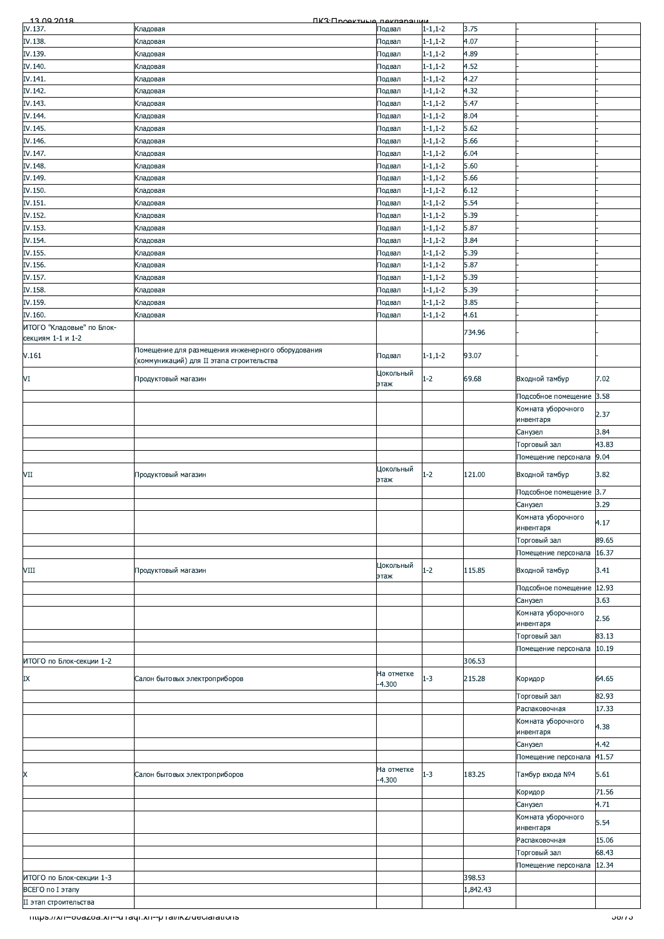| <u>13.00.2018</u>         | ПКЗ:Продитица пакларации                                                                       |            |                |          |                     |                          |
|---------------------------|------------------------------------------------------------------------------------------------|------------|----------------|----------|---------------------|--------------------------|
| IV.137.                   | Кладовая                                                                                       | Подвал     | $1 - 1, 1 - 2$ | 3.75     |                     |                          |
| IV.138.                   | Кладовая                                                                                       | Подвал     | $1 - 1, 1 - 2$ | 4.07     |                     |                          |
| IV.139.                   | Кладовая                                                                                       | Подвал     | $1 - 1, 1 - 2$ | 4.89     |                     |                          |
| IV.140.                   | Кладовая                                                                                       | Подвал     | $1 - 1, 1 - 2$ | 4.52     |                     |                          |
|                           |                                                                                                |            |                | 4.27     |                     |                          |
| IV.141.                   | Кладовая                                                                                       | Подвал     | $1 - 1, 1 - 2$ |          |                     |                          |
| IV.142.                   | Кладовая                                                                                       | Подвал     | $1 - 1, 1 - 2$ | 4.32     |                     |                          |
| IV.143.                   | Кладовая                                                                                       | Подвал     | $1 - 1, 1 - 2$ | 5.47     |                     |                          |
| IV.144.                   | Кладовая                                                                                       | Подвал     | $1 - 1, 1 - 2$ | 8.04     |                     |                          |
| IV.145.                   | Кладовая                                                                                       | Подвал     | $1 - 1, 1 - 2$ | 5.62     |                     |                          |
| IV.146.                   | Кладовая                                                                                       | Подвал     | $1 - 1, 1 - 2$ | 5.66     |                     |                          |
| IV.147.                   |                                                                                                |            | $1 - 1, 1 - 2$ | 6.04     |                     |                          |
|                           | Кладовая                                                                                       | Подвал     |                |          |                     |                          |
| IV.148.                   | Кладовая                                                                                       | Подвал     | $1 - 1, 1 - 2$ | 5.60     |                     |                          |
| IV.149.                   | Кладовая                                                                                       | Подвал     | $1 - 1, 1 - 2$ | 5.66     |                     |                          |
| IV.150.                   | Кладовая                                                                                       | Подвал     | $1 - 1, 1 - 2$ | 6.12     |                     |                          |
| IV.151.                   | Кладовая                                                                                       | Подвал     | $1 - 1, 1 - 2$ | 5.54     |                     |                          |
| IV.152.                   | Кладовая                                                                                       | Подвал     | $1 - 1, 1 - 2$ | 5.39     |                     |                          |
| IV.153.                   | Кладовая                                                                                       | Подвал     | $1 - 1, 1 - 2$ | 5.87     |                     |                          |
|                           |                                                                                                |            |                | 3.84     |                     |                          |
| IV.154.                   | Кладовая                                                                                       | Подвал     | $1 - 1, 1 - 2$ |          |                     |                          |
| IV.155.                   | Кладовая                                                                                       | Подвал     | $1 - 1, 1 - 2$ | 5.39     |                     |                          |
| IV.156.                   | Кладовая                                                                                       | Подвал     | $1 - 1, 1 - 2$ | 5.87     |                     |                          |
| IV.157.                   | Кладовая                                                                                       | Подвал     | $1 - 1, 1 - 2$ | 5.39     |                     |                          |
| IV.158.                   | Кладовая                                                                                       | Подвал     | $1 - 1, 1 - 2$ | 5.39     |                     |                          |
| IV.159.                   | Кладовая                                                                                       | Подвал     | $1 - 1, 1 - 2$ | 3.85     |                     |                          |
| IV.160.                   |                                                                                                |            | $1 - 1, 1 - 2$ | 4.61     |                     |                          |
|                           | Кладовая                                                                                       | Подвал     |                |          |                     |                          |
| ИТОГО "Кладовые" по Блок- |                                                                                                |            |                | 734.96   |                     |                          |
| секциям 1-1 и 1-2         |                                                                                                |            |                |          |                     |                          |
| V.161                     | Помещение для размещения инженерного оборудования<br>(коммуникаций) для II этапа строительства | Подвал     | $1 - 1, 1 - 2$ | 93.07    |                     |                          |
| VI                        | Продуктовый магазин                                                                            | Цокольный  | $1 - 2$        | 69.68    | Входной тамбур      | 7.02                     |
|                           |                                                                                                | этаж       |                |          |                     |                          |
|                           |                                                                                                |            |                |          | Подсобное помещение | 3.58                     |
|                           |                                                                                                |            |                |          | Комната уборочного  | 2.37                     |
|                           |                                                                                                |            |                |          | инвентаря           |                          |
|                           |                                                                                                |            |                |          | Санузел             | 3.84                     |
|                           |                                                                                                |            |                |          | Торговый зал        | 43.83                    |
|                           |                                                                                                |            |                |          | Помещение персонала | 9.04                     |
|                           |                                                                                                | Цокольный  |                |          |                     |                          |
| VII                       | Продуктовый магазин                                                                            | этаж       | 1-2            | 121.00   | Входной тамбур      | 3.82                     |
|                           |                                                                                                |            |                |          |                     |                          |
|                           |                                                                                                |            |                |          | Подсобное помещение | 3.7                      |
|                           |                                                                                                |            |                |          | Санузел             | 3.29                     |
|                           |                                                                                                |            |                |          | Комната уборочного  | 4.17                     |
|                           |                                                                                                |            |                |          | инвентаря           |                          |
|                           |                                                                                                |            |                |          | Торговый зал        | 89.65                    |
|                           |                                                                                                |            |                |          | Помещение персонала | 16.37                    |
|                           |                                                                                                | Цокольный  |                |          |                     |                          |
| VIII                      | Продуктовый магазин                                                                            | этаж       | $1-2$          | 115.85   | Входной тамбур      | 3.41                     |
|                           |                                                                                                |            |                |          | Подсобное помещение | 12.93                    |
|                           |                                                                                                |            |                |          |                     |                          |
|                           |                                                                                                |            |                |          | Санузел             | 3.63                     |
|                           |                                                                                                |            |                |          | Комната уборочного  | 2.56                     |
|                           |                                                                                                |            |                |          | инвентаря           |                          |
|                           |                                                                                                |            |                |          | Торговый зал        | 83.13                    |
|                           |                                                                                                |            |                |          | Помещение персонала | 10.19                    |
| ИТОГО по Блок-секции 1-2  |                                                                                                |            |                | 306.53   |                     |                          |
|                           |                                                                                                | На отметке |                |          |                     |                          |
| IX                        | Салон бытовых электроприборов                                                                  | $-4.300$   | $1 - 3$        | 215.28   | Коридор             | 64.65                    |
|                           |                                                                                                |            |                |          | Торговый зал        | 82.93                    |
|                           |                                                                                                |            |                |          |                     |                          |
|                           |                                                                                                |            |                |          | Распаковочная       | 17.33                    |
|                           |                                                                                                |            |                |          | Комната уборочного  | 4.38                     |
|                           |                                                                                                |            |                |          | инвентаря           |                          |
|                           |                                                                                                |            |                |          | Санузел             | 4.42                     |
|                           |                                                                                                |            |                |          | Помещение персонала | 41.57                    |
| X                         |                                                                                                | На отметке | $1 - 3$        | 183.25   | Тамбур входа №4     | 5.61                     |
|                           | Салон бытовых электроприборов                                                                  | $-4.300$   |                |          |                     |                          |
|                           |                                                                                                |            |                |          | Коридор             | 71.56                    |
|                           |                                                                                                |            |                |          | Санузел             | 4.71                     |
|                           |                                                                                                |            |                |          | Комната уборочного  |                          |
|                           |                                                                                                |            |                |          | инвентаря           | 5.54                     |
|                           |                                                                                                |            |                |          | Распаковочная       | 15.06                    |
|                           |                                                                                                |            |                |          |                     |                          |
|                           |                                                                                                |            |                |          | Торговый зал        | 68.43                    |
|                           |                                                                                                |            |                |          | Помещение персонала | 12.34                    |
| ИТОГО по Блок-секции 1-3  |                                                                                                |            |                | 398.53   |                     |                          |
| ВСЕГО по I этапу          |                                                                                                |            |                | 1,842.43 |                     |                          |
| II этап строительства     |                                                                                                |            |                |          |                     |                          |
|                           |                                                                                                |            |                |          |                     |                          |
|                           | mups.//xn--ovazoa.xn--unaqi.xn--phai/ikz/deciarations                                          |            |                |          |                     | <u>50715 - Septembri</u> |
|                           |                                                                                                |            |                |          |                     |                          |
|                           |                                                                                                |            |                |          |                     |                          |
|                           |                                                                                                |            |                |          |                     |                          |
|                           |                                                                                                |            |                |          |                     |                          |
|                           |                                                                                                |            |                |          |                     |                          |
|                           |                                                                                                |            |                |          |                     |                          |
|                           |                                                                                                |            |                |          |                     |                          |
|                           |                                                                                                |            |                |          |                     |                          |
|                           |                                                                                                |            |                |          |                     |                          |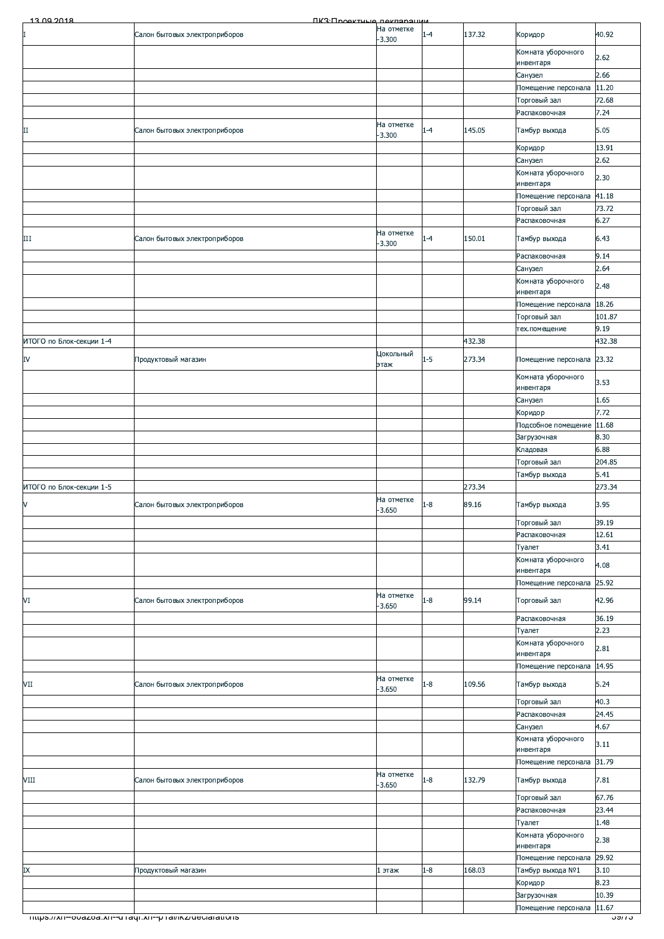| 13.00.2018               | <b><i><u>IK3: Проектине пекларации</u></i></b>        |                        |         |        |                                         |                 |
|--------------------------|-------------------------------------------------------|------------------------|---------|--------|-----------------------------------------|-----------------|
|                          | Салон бытовых электроприборов                         | На отметке<br>$-3.300$ | $-4$    | 137.32 | Коридор                                 | 40.92           |
|                          |                                                       |                        |         |        | Комната уборочного                      | 2.62            |
|                          |                                                       |                        |         |        | инвентаря<br>Санузел                    | 2.66            |
|                          |                                                       |                        |         |        | Помещение персонала                     | 11.20           |
|                          |                                                       |                        |         |        | Торговый зал                            | 72.68           |
|                          |                                                       |                        |         |        | Распаковочная                           | 7.24            |
| П                        | Салон бытовых электроприборов                         | На отметке<br>$-3.300$ | $1 - 4$ | 145.05 | Тамбур выхода                           | 5.05            |
|                          |                                                       |                        |         |        | Коридор                                 | 13.91           |
|                          |                                                       |                        |         |        | Санузел<br>Комната уборочного           | 2.62            |
|                          |                                                       |                        |         |        | инвентаря                               | 2.30            |
|                          |                                                       |                        |         |        | Помещение персонала                     | 41.18           |
|                          |                                                       |                        |         |        | Торговый зал<br>Распаковочная           | 73.72<br>6.27   |
| Ш                        | Салон бытовых электроприборов                         | На отметке             | $1 - 4$ | 150.01 | Тамбур выхода                           | 6.43            |
|                          |                                                       | $-3.300$               |         |        |                                         |                 |
|                          |                                                       |                        |         |        | Распаковочная<br>Санузел                | 9.14<br>2.64    |
|                          |                                                       |                        |         |        | Комната уборочного                      | 2.48            |
|                          |                                                       |                        |         |        | инвентаря                               | 18.26           |
|                          |                                                       |                        |         |        | Помещение персонала<br>Торговый зал     | 101.87          |
|                          |                                                       |                        |         |        | тех.помещение                           | 9.19            |
| ИТОГО по Блок-секции 1-4 |                                                       |                        |         | 432.38 |                                         | 432.38          |
| IV                       | Продуктовый магазин                                   | Цокольный<br>этаж      | $1 - 5$ | 273.34 | Помещение персонала 23.32               |                 |
|                          |                                                       |                        |         |        | Комната уборочного                      | 3.53            |
|                          |                                                       |                        |         |        | инвентаря                               | 1.65            |
|                          |                                                       |                        |         |        | Санузел<br>Коридор                      | 7.72            |
|                          |                                                       |                        |         |        | Подсобное помещение                     | 11.68           |
|                          |                                                       |                        |         |        | Загрузочная                             | 8.30            |
|                          |                                                       |                        |         |        | Кладовая<br>Торговый зал                | 6.88<br>204.85  |
|                          |                                                       |                        |         |        | Тамбур выхода                           | 5.41            |
| ИТОГО по Блок-секции 1-5 |                                                       |                        |         | 273.34 |                                         | 273.34          |
| V                        | Салон бытовых электроприборов                         | На отметке<br>$-3.650$ | $1 - 8$ | 89.16  | Тамбур выхода                           | 3.95            |
|                          |                                                       |                        |         |        | Торговый зал                            | 39.19           |
|                          |                                                       |                        |         |        | Распаковочная                           | 12.61           |
|                          |                                                       |                        |         |        | Туалет<br>Комната уборочного            | 3.41            |
|                          |                                                       |                        |         |        | инвентаря                               | 4.08            |
|                          |                                                       |                        |         |        | Помещение персонала                     | 25.92           |
| VI                       | Салон бытовых электроприборов                         | На отметке<br>$-3.650$ | $1 - 8$ | 99.14  | Торговый зал                            | 42.96           |
|                          |                                                       |                        |         |        | Распаковочная                           | 36.19           |
|                          |                                                       |                        |         |        | Туалет<br>Комната уборочного            | 2.23            |
|                          |                                                       |                        |         |        | инвентаря                               | 2.81            |
|                          |                                                       |                        |         |        | Помещение персонала                     | 14.95           |
| VII                      | Салон бытовых электроприборов                         | На отметке<br>$-3.650$ | $1 - 8$ | 109.56 | Тамбур выхода                           | 5.24            |
|                          |                                                       |                        |         |        | Торговый зал                            | 40.3            |
|                          |                                                       |                        |         |        | Распаковочная                           | 24.45           |
|                          |                                                       |                        |         |        | Санузел<br>Комната уборочного           | 4.67            |
|                          |                                                       |                        |         |        | инвентаря                               | 3.11            |
|                          |                                                       | На отметке             |         |        | Помещение персонала 31.79               |                 |
| VIII                     | Салон бытовых электроприборов                         | $-3.650$               | $1 - 8$ | 132.79 | Тамбур выхода                           | 7.81            |
|                          |                                                       |                        |         |        | Торговый зал                            | 67.76           |
|                          |                                                       |                        |         |        | Распаковочная<br>Туалет                 | 23.44<br>1.48   |
|                          |                                                       |                        |         |        | Комната уборочного                      | 2.38            |
|                          |                                                       |                        |         |        | инвентаря                               |                 |
| IX                       | Продуктовый магазин                                   | l этаж                 | $1 - 8$ | 168.03 | Помещение персонала<br>Тамбур выхода №1 | 29.92<br>3.10   |
|                          |                                                       |                        |         |        | Коридор                                 | 8.23            |
|                          |                                                       |                        |         |        | Загрузочная                             | 10.39           |
|                          | mups.//xn--ovazoa.xn--unaqr.xn--phai/ikz/declarations |                        |         |        | Помещение персонала                     | 11.67<br>ວອ/7 ວ |
|                          |                                                       |                        |         |        |                                         |                 |
|                          |                                                       |                        |         |        |                                         |                 |
|                          |                                                       |                        |         |        |                                         |                 |
|                          |                                                       |                        |         |        |                                         |                 |
|                          |                                                       |                        |         |        |                                         |                 |
|                          |                                                       |                        |         |        |                                         |                 |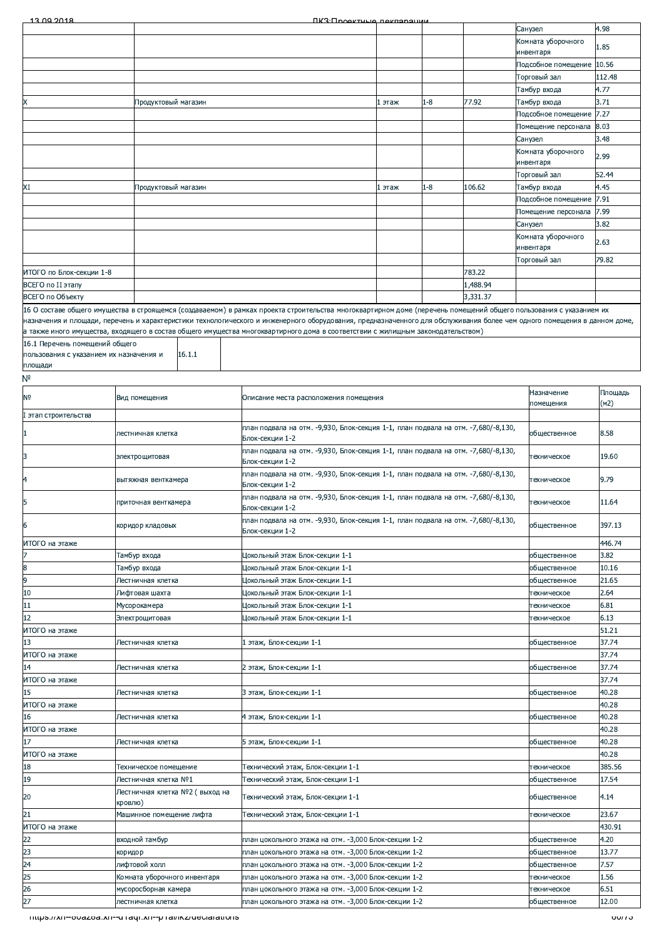| 13.00.2018                     |                                                                                                                                                                                                                                                                                                             | ПКЗ-Проектина покларации                                                                                                                                           |        |         |          |           |                     |                 |
|--------------------------------|-------------------------------------------------------------------------------------------------------------------------------------------------------------------------------------------------------------------------------------------------------------------------------------------------------------|--------------------------------------------------------------------------------------------------------------------------------------------------------------------|--------|---------|----------|-----------|---------------------|-----------------|
|                                |                                                                                                                                                                                                                                                                                                             |                                                                                                                                                                    |        |         |          | Санузел   |                     | 4.98            |
|                                |                                                                                                                                                                                                                                                                                                             |                                                                                                                                                                    |        |         |          |           | Комната уборочного  | 1.85            |
|                                |                                                                                                                                                                                                                                                                                                             |                                                                                                                                                                    |        |         |          | инвентаря |                     |                 |
|                                |                                                                                                                                                                                                                                                                                                             |                                                                                                                                                                    |        |         |          |           | Подсобное помещение | 10.56           |
|                                |                                                                                                                                                                                                                                                                                                             |                                                                                                                                                                    |        |         |          |           | Торговый зал        | 112.48          |
|                                |                                                                                                                                                                                                                                                                                                             |                                                                                                                                                                    |        |         |          |           | Тамбур входа        | 4.77            |
|                                | Продуктовый магазин                                                                                                                                                                                                                                                                                         |                                                                                                                                                                    | 1 этаж | $1 - 8$ | 77.92    |           | Тамбур входа        | 3.71            |
|                                |                                                                                                                                                                                                                                                                                                             |                                                                                                                                                                    |        |         |          |           | Подсобное помещение | 7.27            |
|                                |                                                                                                                                                                                                                                                                                                             |                                                                                                                                                                    |        |         |          |           | Помещение персонала | 8.03            |
|                                |                                                                                                                                                                                                                                                                                                             |                                                                                                                                                                    |        |         |          | Санузел   |                     | 3.48            |
|                                |                                                                                                                                                                                                                                                                                                             |                                                                                                                                                                    |        |         |          |           | Комната уборочного  |                 |
|                                |                                                                                                                                                                                                                                                                                                             |                                                                                                                                                                    |        |         |          | инвентаря |                     | 2.99            |
|                                |                                                                                                                                                                                                                                                                                                             |                                                                                                                                                                    |        |         |          |           | Торговый зал        | 52.44           |
| XI                             | Продуктовый магазин                                                                                                                                                                                                                                                                                         |                                                                                                                                                                    | l этаж | $1 - 8$ | 106.62   |           | Тамбур входа        | 4.45            |
|                                |                                                                                                                                                                                                                                                                                                             |                                                                                                                                                                    |        |         |          |           | Подсобное помещение | 7.91            |
|                                |                                                                                                                                                                                                                                                                                                             |                                                                                                                                                                    |        |         |          |           | Помещение персонала | 7.99            |
|                                |                                                                                                                                                                                                                                                                                                             |                                                                                                                                                                    |        |         |          | Санузел   |                     | 3.82            |
|                                |                                                                                                                                                                                                                                                                                                             |                                                                                                                                                                    |        |         |          |           | Комната уборочного  |                 |
|                                |                                                                                                                                                                                                                                                                                                             |                                                                                                                                                                    |        |         |          | инвентаря |                     | 2.63            |
|                                |                                                                                                                                                                                                                                                                                                             |                                                                                                                                                                    |        |         |          |           | Торговый зал        | 79.82           |
| ИТОГО по Блок-секции 1-8       |                                                                                                                                                                                                                                                                                                             |                                                                                                                                                                    |        |         | 783.22   |           |                     |                 |
| ВСЕГО по II этапу              |                                                                                                                                                                                                                                                                                                             |                                                                                                                                                                    |        |         | 1,488.94 |           |                     |                 |
|                                |                                                                                                                                                                                                                                                                                                             |                                                                                                                                                                    |        |         |          |           |                     |                 |
| ВСЕГО по Объекту               |                                                                                                                                                                                                                                                                                                             |                                                                                                                                                                    |        |         | 3,331.37 |           |                     |                 |
|                                |                                                                                                                                                                                                                                                                                                             | 16 О составе общего имущества в строящемся (создаваемом) в рамках проекта строительства многоквартирном доме (перечень помещений общего пользования с указанием их |        |         |          |           |                     |                 |
|                                | назначения и площади, перечень и характеристики технологического и инженерного оборудования, предназначенного для обслуживания более чем одного помещения в данном доме,<br>а также иного имущества, входящего в состав общего имущества многоквартирного дома в соответствии с жилищным законодательством) |                                                                                                                                                                    |        |         |          |           |                     |                 |
|                                |                                                                                                                                                                                                                                                                                                             |                                                                                                                                                                    |        |         |          |           |                     |                 |
| 16.1 Перечень помещений общего | 16.1.1                                                                                                                                                                                                                                                                                                      |                                                                                                                                                                    |        |         |          |           |                     |                 |
| площади                        | пользования с указанием их назначения и                                                                                                                                                                                                                                                                     |                                                                                                                                                                    |        |         |          |           |                     |                 |
| N٥                             |                                                                                                                                                                                                                                                                                                             |                                                                                                                                                                    |        |         |          |           |                     |                 |
|                                |                                                                                                                                                                                                                                                                                                             |                                                                                                                                                                    |        |         |          |           | Назначение          |                 |
| N0                             | Вид помещения                                                                                                                                                                                                                                                                                               | Описание места расположения помещения                                                                                                                              |        |         |          |           | помещения           | Площадь<br>(M2) |
|                                |                                                                                                                                                                                                                                                                                                             |                                                                                                                                                                    |        |         |          |           |                     |                 |
| I этап строительства           |                                                                                                                                                                                                                                                                                                             | план подвала на отм. -9,930, Блок-секция 1-1, план подвала на отм. -7,680/-8,130,                                                                                  |        |         |          |           |                     |                 |
| 1                              | пестничная клетка                                                                                                                                                                                                                                                                                           | Блок-секции 1-2                                                                                                                                                    |        |         |          |           | общественное        | 8.58            |
|                                |                                                                                                                                                                                                                                                                                                             | план подвала на отм. -9,930, Блок-секция 1-1, план подвала на отм. -7,680/-8,130,                                                                                  |        |         |          |           |                     |                 |
| 3                              | электрощитовая                                                                                                                                                                                                                                                                                              | Блок-секции 1-2                                                                                                                                                    |        |         |          |           | техническое         | 19.60           |
|                                |                                                                                                                                                                                                                                                                                                             | план подвала на отм. -9,930, Блок-секция 1-1, план подвала на отм. -7,680/-8,130,                                                                                  |        |         |          |           |                     |                 |
| 4                              | вытяжная венткамера                                                                                                                                                                                                                                                                                         | Блок-секции 1-2                                                                                                                                                    |        |         |          |           | техническое         | 9.79            |
| 5.                             | приточная венткамера                                                                                                                                                                                                                                                                                        | план подвала на отм. -9,930, Блок-секция 1-1, план подвала на отм. -7,680/-8,130,                                                                                  |        |         |          |           | техническое         | 11.64           |
|                                |                                                                                                                                                                                                                                                                                                             | Блок-секции 1-2                                                                                                                                                    |        |         |          |           |                     |                 |
| 6                              | коридор кладовых                                                                                                                                                                                                                                                                                            | план подвала на отм. -9,930, Блок-секция 1-1, план подвала на отм. -7,680/-8,130,                                                                                  |        |         |          |           | общественное        | 397.13          |
|                                |                                                                                                                                                                                                                                                                                                             | Блок-секции 1-2                                                                                                                                                    |        |         |          |           |                     |                 |
| ИТОГО на этаже                 |                                                                                                                                                                                                                                                                                                             |                                                                                                                                                                    |        |         |          |           |                     | 446.74          |
|                                | Гамбур входа                                                                                                                                                                                                                                                                                                | Цокольный этаж Блок-секции 1-1                                                                                                                                     |        |         |          |           | общественное        | 3.82            |
| 8                              | Гамбур входа                                                                                                                                                                                                                                                                                                | Цокольный этаж Блок-секции 1-1                                                                                                                                     |        |         |          |           | общественное        | 10.16           |
| 9                              | Лестничная клетка                                                                                                                                                                                                                                                                                           | Цокольный этаж Блок-секции 1-1                                                                                                                                     |        |         |          |           | общественное        | 21.65           |
| 10                             | Лифтовая шахта                                                                                                                                                                                                                                                                                              | Цокольный этаж Блок-секции 1-1                                                                                                                                     |        |         |          |           | техническое         | 2.64            |
| 11                             | Мусорокамера                                                                                                                                                                                                                                                                                                | Докольный этаж Блок-секции 1-1                                                                                                                                     |        |         |          |           | техническое         | 6.81            |
| 12                             | Электрощитовая                                                                                                                                                                                                                                                                                              | Цокольный этаж Блок-секции 1-1                                                                                                                                     |        |         |          |           | техническое         | 6.13            |
| ИТОГО на этаже                 |                                                                                                                                                                                                                                                                                                             |                                                                                                                                                                    |        |         |          |           |                     | 51.21           |
| 13                             | Лестничная клетка                                                                                                                                                                                                                                                                                           | . этаж, Блок-секции 1-1                                                                                                                                            |        |         |          |           | общественное        | 37.74           |
|                                |                                                                                                                                                                                                                                                                                                             |                                                                                                                                                                    |        |         |          |           |                     |                 |
| ИТОГО на этаже                 |                                                                                                                                                                                                                                                                                                             |                                                                                                                                                                    |        |         |          |           |                     | 37.74           |
| 14                             | Лестничная клетка                                                                                                                                                                                                                                                                                           | 2 этаж, Блок-секции 1-1                                                                                                                                            |        |         |          |           | общественное        | 37.74           |
| ИТОГО на этаже                 |                                                                                                                                                                                                                                                                                                             |                                                                                                                                                                    |        |         |          |           |                     | 37.74           |
| 15                             | Лестничная клетка                                                                                                                                                                                                                                                                                           | 3 этаж, Блок-секции 1-1                                                                                                                                            |        |         |          |           | общественное        | 40.28           |
| ИТОГО на этаже                 |                                                                                                                                                                                                                                                                                                             |                                                                                                                                                                    |        |         |          |           |                     | 40.28           |
| 16                             | Лестничная клетка                                                                                                                                                                                                                                                                                           | 4 этаж, Блок-секции 1-1                                                                                                                                            |        |         |          |           | общественное        | 40.28           |
| ИТОГО на этаже                 |                                                                                                                                                                                                                                                                                                             |                                                                                                                                                                    |        |         |          |           |                     | 40.28           |
| 17                             | Лестничная клетка                                                                                                                                                                                                                                                                                           | 5 этаж, Блок-секции 1-1                                                                                                                                            |        |         |          |           | общественное        | 40.28           |
| ИТОГО на этаже                 |                                                                                                                                                                                                                                                                                                             |                                                                                                                                                                    |        |         |          |           |                     | 40.28           |
| 18                             | Гехническое помещение                                                                                                                                                                                                                                                                                       | Гехнический этаж, Блок-секции 1-1                                                                                                                                  |        |         |          |           | техническое         | 385.56          |
| 19                             | Лестничная клетка №1                                                                                                                                                                                                                                                                                        | Гехнический этаж, Блок-секции 1-1                                                                                                                                  |        |         |          |           | общественное        | 17.54           |
| 20                             | Лестничная клетка №2 ( выход на                                                                                                                                                                                                                                                                             | Технический этаж, Блок-секции 1-1                                                                                                                                  |        |         |          |           | общественное        | 4.14            |
|                                | кровлю)                                                                                                                                                                                                                                                                                                     |                                                                                                                                                                    |        |         |          |           |                     |                 |
| 21                             | Машинное помещение лифта                                                                                                                                                                                                                                                                                    | Гехнический этаж, Блок-секции 1-1                                                                                                                                  |        |         |          |           | техническое         | 23.67           |
| ИТОГО на этаже                 |                                                                                                                                                                                                                                                                                                             |                                                                                                                                                                    |        |         |          |           |                     | 430.91          |
| 22                             | входной тамбур                                                                                                                                                                                                                                                                                              | план цокольного этажа на отм. -3,000 Блок-секции 1-2                                                                                                               |        |         |          |           | общественное        | 4.20            |
| 23                             | коридор                                                                                                                                                                                                                                                                                                     | план цокольного этажа на отм. -3,000 Блок-секции 1-2                                                                                                               |        |         |          |           | общественное        | 13.77           |
| 24                             | лифтовой холл                                                                                                                                                                                                                                                                                               | план цокольного этажа на отм. - 3,000 Блок-секции 1-2                                                                                                              |        |         |          |           | общественное        | 7.57            |
| 25                             | Комната уборочного инвентаря                                                                                                                                                                                                                                                                                | план цокольного этажа на отм. - 3,000 Блок-секции 1-2                                                                                                              |        |         |          |           | техническое         | 1.56            |
| 26                             | мусоросборная камера                                                                                                                                                                                                                                                                                        | план цокольного этажа на отм. -3,000 Блок-секции 1-2                                                                                                               |        |         |          |           | техническое         | 6.51            |
| 27                             | лестничная клетка                                                                                                                                                                                                                                                                                           | план цокольного этажа на отм. - 3,000 Блок-секции 1-2                                                                                                              |        |         |          |           | общественное        | 12.00           |
|                                | ilitps.//xii--ovazoa.xii--u raqi.xii--p rai/ikz/ueciarations                                                                                                                                                                                                                                                |                                                                                                                                                                    |        |         |          |           |                     | 00/15           |
|                                |                                                                                                                                                                                                                                                                                                             |                                                                                                                                                                    |        |         |          |           |                     |                 |
|                                |                                                                                                                                                                                                                                                                                                             |                                                                                                                                                                    |        |         |          |           |                     |                 |
|                                |                                                                                                                                                                                                                                                                                                             |                                                                                                                                                                    |        |         |          |           |                     |                 |
|                                |                                                                                                                                                                                                                                                                                                             |                                                                                                                                                                    |        |         |          |           |                     |                 |
|                                |                                                                                                                                                                                                                                                                                                             |                                                                                                                                                                    |        |         |          |           |                     |                 |
|                                |                                                                                                                                                                                                                                                                                                             |                                                                                                                                                                    |        |         |          |           |                     |                 |
|                                |                                                                                                                                                                                                                                                                                                             |                                                                                                                                                                    |        |         |          |           |                     |                 |
|                                |                                                                                                                                                                                                                                                                                                             |                                                                                                                                                                    |        |         |          |           |                     |                 |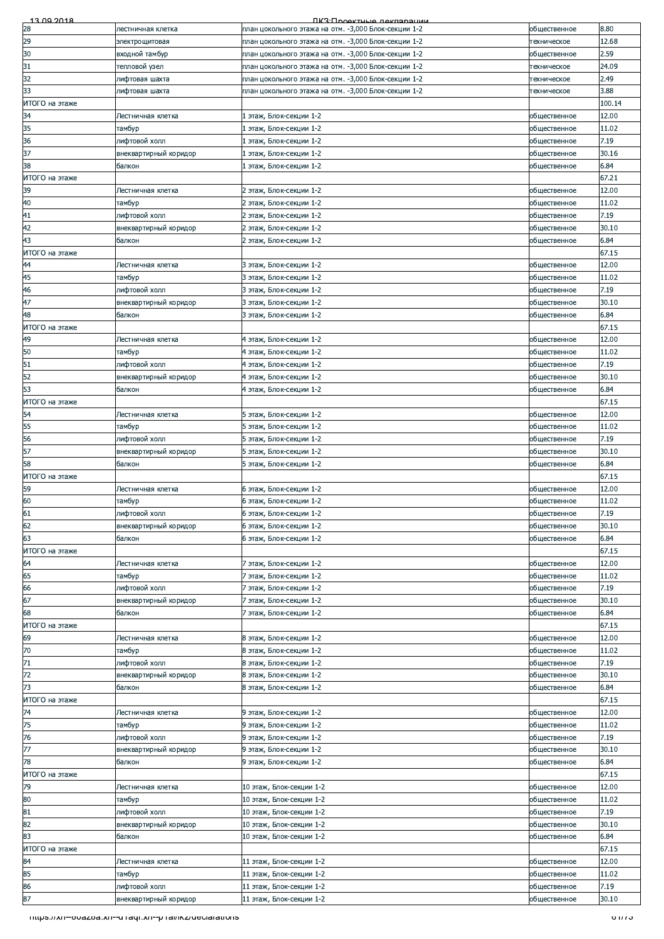| 13.00.2018           |                                                         | <b><i><u>IK3: Проектично покларации</u></i></b>                                                              |                              |                |
|----------------------|---------------------------------------------------------|--------------------------------------------------------------------------------------------------------------|------------------------------|----------------|
| 28                   | лестничная клетка                                       | план цокольного этажа на отм. -3,000 Блок-секции 1-2                                                         | общественное                 | 8.80           |
| 29                   | электрощитовая                                          | план цокольного этажа на отм. -3,000 Блок-секции 1-2                                                         | техническое                  | 12.68          |
| 30                   | входной тамбур                                          | план цокольного этажа на отм. -3,000 Блок-секции 1-2                                                         | общественное                 | 2.59           |
| 31                   | тепловой узел                                           | план цокольного этажа на отм. -3,000 Блок-секции 1-2                                                         | техническое                  | 24.09          |
| 32<br>33             | лифтовая шахта<br>лифтовая шахта                        | план цокольного этажа на отм. -3,000 Блок-секции 1-2<br>план цокольного этажа на отм. -3,000 Блок-секции 1-2 | техническое<br>техническое   | 2.49<br>3.88   |
| ИТОГО на этаже       |                                                         |                                                                                                              |                              | 100.14         |
| 34                   | Лестничная клетка                                       | 1 этаж, Блок-секции 1-2                                                                                      | общественное                 | 12.00          |
| 35                   | тамбур                                                  | 1 этаж, Блок-секции 1-2                                                                                      | общественное                 | 11.02          |
| 36                   | лифтовой холл                                           | 1 этаж, Блок-секции 1-2                                                                                      | общественное                 | 7.19           |
| 37                   | внеквартирный коридор                                   | 1 этаж, Блок-секции 1-2                                                                                      | общественное                 | 30.16          |
| 38                   | балкон                                                  | 1 этаж, Блок-секции 1-2                                                                                      | общественное                 | 6.84           |
| ИТОГО на этаже       |                                                         |                                                                                                              |                              | 67.21          |
| 39                   | Лестничная клетка                                       | 2 этаж, Блок-секции 1-2                                                                                      | общественное                 | 12.00          |
| 40                   | тамбур                                                  | 2 этаж, Блок-секции 1-2                                                                                      | общественное                 | 11.02          |
| 41                   | лифтовой холл                                           | 2 этаж, Блок-секции 1-2                                                                                      | общественное                 | 7.19           |
| 42<br>43             | внеквартирный коридор<br>балкон                         | 2 этаж, Блок-секции 1-2<br>2 этаж, Блок-секции 1-2                                                           | общественное<br>общественное | 30.10<br>6.84  |
| ИТОГО на этаже       |                                                         |                                                                                                              |                              | 67.15          |
| 44                   | Лестничная клетка                                       | 3 этаж, Блок-секции 1-2                                                                                      | общественное                 | 12.00          |
| 45                   | тамбур                                                  | 3 этаж, Блок-секции 1-2                                                                                      | общественное                 | 11.02          |
| 46                   | лифтовой холл                                           | 3 этаж, Блок-секции 1-2                                                                                      | общественное                 | 7.19           |
| 47                   | внеквартирный коридор                                   | 3 этаж, Блок-секции 1-2                                                                                      | общественное                 | 30.10          |
| 48                   | балкон                                                  | 3 этаж, Блок-секции 1-2                                                                                      | общественное                 | 6.84           |
| ИТОГО на этаже       |                                                         |                                                                                                              |                              | 67.15          |
| 49                   | Лестничная клетка                                       | 4 этаж, Блок-секции 1-2                                                                                      | общественное                 | 12.00          |
| 50                   | тамбур                                                  | 4 этаж, Блок-секции 1-2                                                                                      | общественное                 | 11.02          |
| 51                   | лифтовой холл                                           | 4 этаж, Блок-секции 1-2                                                                                      | общественное                 | 7.19           |
| 52                   | внеквартирный коридор                                   | 4 этаж, Блок-секции 1-2                                                                                      | общественное                 | 30.10          |
| 53<br>ИТОГО на этаже | балкон                                                  | 4 этаж, Блок-секции 1-2                                                                                      | общественное                 | 6.84<br>67.15  |
| 54                   | Лестничная клетка                                       | 5 этаж, Блок-секции 1-2                                                                                      | общественное                 | 12.00          |
| 55                   | тамбур                                                  | 5 этаж, Блок-секции 1-2                                                                                      | общественное                 | 11.02          |
| 56                   | лифтовой холл                                           | 5 этаж, Блок-секции 1-2                                                                                      | общественное                 | 7.19           |
| 57                   | внеквартирный коридор                                   | 5 этаж, Блок-секции 1-2                                                                                      | общественное                 | 30.10          |
| 58                   | балкон                                                  | 5 этаж, Блок-секции 1-2                                                                                      | общественное                 | 6.84           |
| ИТОГО на этаже       |                                                         |                                                                                                              |                              | 67.15          |
| 59                   | Лестничная клетка                                       | 6 этаж, Блок-секции 1-2                                                                                      | общественное                 | 12.00          |
| 60                   | тамбур                                                  | 6 этаж, Блок-секции 1-2                                                                                      | общественное                 | 11.02          |
| 61                   | лифтовой холл                                           | 6 этаж, Блок-секции 1-2                                                                                      | общественное                 | 7.19           |
| 62<br>63             | внеквартирный коридор<br>балкон                         | 6 этаж, Блок-секции 1-2<br>6 этаж, Блок-секции 1-2                                                           | общественное<br>общественное | 30.10<br>6.84  |
| ИТОГО на этаже       |                                                         |                                                                                                              |                              | 67.15          |
| 64                   | Лестничная клетка                                       | 7 этаж, Блок-секции 1-2                                                                                      | общественное                 | 12.00          |
| 65                   | тамбур                                                  | 7 этаж, Блок-секции 1-2                                                                                      | общественное                 | 11.02          |
| 66                   | лифтовой холл                                           | 7 этаж, Блок-секции 1-2                                                                                      | общественное                 | 7.19           |
| 67                   | внеквартирный коридор                                   | 7 этаж, Блок-секции 1-2                                                                                      | общественное                 | 30.10          |
| 68                   | балкон                                                  | 7 этаж, Блок-секции 1-2                                                                                      | общественное                 | 6.84           |
| ИТОГО на этаже       |                                                         |                                                                                                              |                              | 67.15          |
| 69                   | Лестничная клетка                                       | 8 этаж, Блок-секции 1-2                                                                                      | общественное                 | 12.00          |
| 70                   | тамбур                                                  | 8 этаж, Блок-секции 1-2                                                                                      | общественное                 | 11.02          |
| 71                   | лифтовой холл                                           | 8 этаж, Блок-секции 1-2                                                                                      | общественное                 | 7.19           |
| 72<br>73             | внеквартирный коридор                                   | 8 этаж, Блок-секции 1-2<br>8 этаж, Блок-секции 1-2                                                           | общественное<br>общественное | 30.10<br>6.84  |
| ИТОГО на этаже       | балкон                                                  |                                                                                                              |                              | 67.15          |
| 74                   | Лестничная клетка                                       | 9 этаж, Блок-секции 1-2                                                                                      | общественное                 | 12.00          |
| 75                   | тамбур                                                  | 9 этаж, Блок-секции 1-2                                                                                      | общественное                 | 11.02          |
| 76                   | лифтовой холл                                           | 9 этаж, Блок-секции 1-2                                                                                      | общественное                 | 7.19           |
| 77                   | внеквартирный коридор                                   | 9 этаж, Блок-секции 1-2                                                                                      | общественное                 | 30.10          |
| 78                   | балкон                                                  | 9 этаж, Блок-секции 1-2                                                                                      | общественное                 | 6.84           |
| ИТОГО на этаже       |                                                         |                                                                                                              |                              | 67.15          |
| 79                   | Лестничная клетка                                       | 10 этаж, Блок-секции 1-2                                                                                     | общественное                 | 12.00          |
| 80                   | тамбур                                                  | 10 этаж, Блок-секции 1-2                                                                                     | общественное                 | 11.02          |
| 81<br>82             | лифтовой холл                                           | 10 этаж, Блок-секции 1-2                                                                                     | общественное                 | 7.19           |
| 83                   | внеквартирный коридор<br>балкон                         | 10 этаж, Блок-секции 1-2<br>10 этаж, Блок-секции 1-2                                                         | общественное<br>общественное | 30.10<br>6.84  |
| ИТОГО на этаже       |                                                         |                                                                                                              |                              | 67.15          |
| 84                   | Лестничная клетка                                       | 11 этаж, Блок-секции 1-2                                                                                     | общественное                 | 12.00          |
| 85                   | тамбур                                                  | 11 этаж, Блок-секции 1-2                                                                                     | общественное                 | 11.02          |
| 86                   | лифтовой холл                                           | 11 этаж, Блок-секции 1-2                                                                                     | общественное                 | 7.19           |
| 87                   | внеквартирный коридор                                   | 11 этаж, Блок-секции 1-2                                                                                     | общественное                 | 30.10          |
|                      | mups.//xn--ouazoa.xn--u raqi.xn--p rai/ikz/ueciarations |                                                                                                              |                              | $\sigma$ $\pi$ |
|                      |                                                         |                                                                                                              |                              |                |
|                      |                                                         |                                                                                                              |                              |                |
|                      |                                                         |                                                                                                              |                              |                |
|                      |                                                         |                                                                                                              |                              |                |
|                      |                                                         |                                                                                                              |                              |                |
|                      |                                                         |                                                                                                              |                              |                |
|                      |                                                         |                                                                                                              |                              |                |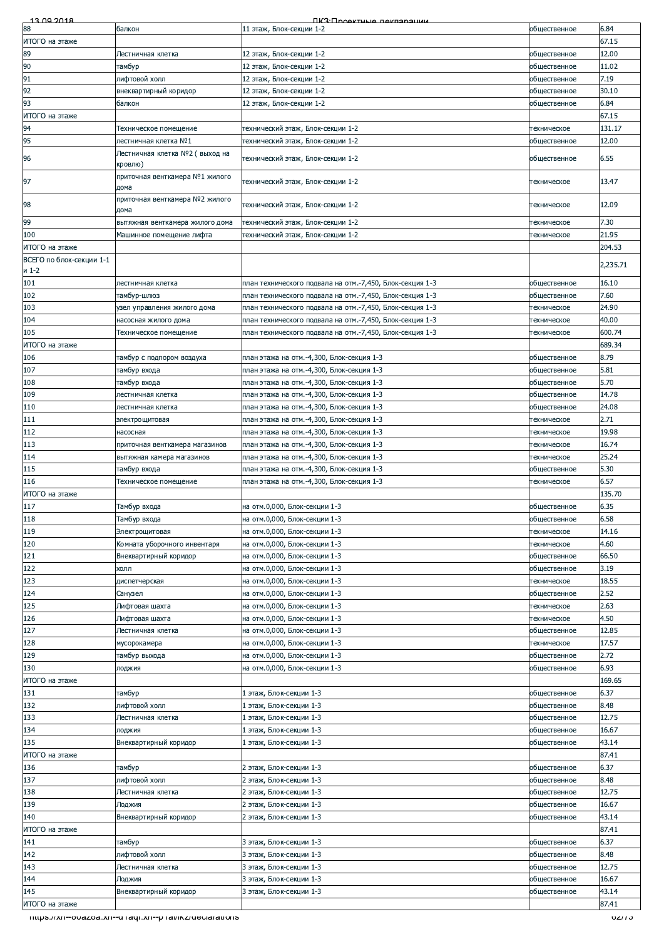| <u>13.00.2018</u>        |                                                                | <u> FIK3: Продитиціа паклараційн</u>                     |              |          |
|--------------------------|----------------------------------------------------------------|----------------------------------------------------------|--------------|----------|
| 88                       | балкон                                                         | 11 этаж, Блок-секции 1-2                                 | общественное | 6.84     |
| ИТОГО на этаже           |                                                                |                                                          |              | 67.15    |
|                          |                                                                |                                                          |              |          |
| 89                       | Лестничная клетка                                              | 12 этаж, Блок-секции 1-2                                 | общественное | 12.00    |
| 90                       | тамбур                                                         | 12 этаж, Блок-секции 1-2                                 | общественное | 11.02    |
| 91                       | лифтовой холл                                                  | 12 этаж, Блок-секции 1-2                                 | общественное | 7.19     |
| 92                       | внеквартирный коридор                                          | 12 этаж, Блок-секции 1-2                                 |              | 30.10    |
|                          |                                                                |                                                          | общественное |          |
| 93                       | балкон                                                         | 12 этаж, Блок-секции 1-2                                 | общественное | 6.84     |
| ИТОГО на этаже           |                                                                |                                                          |              | 67.15    |
| 94                       | Техническое помещение                                          | технический этаж, Блок-секции 1-2                        | техническое  | 131.17   |
|                          |                                                                |                                                          |              |          |
| 95                       | лестничная клетка №1                                           | технический этаж, Блок-секции 1-2                        | общественное | 12.00    |
|                          | Лестничная клетка №2 ( выход на                                | технический этаж, Блок-секции 1-2                        |              |          |
| 96                       | кровлю)                                                        |                                                          | общественное | 6.55     |
|                          | приточная венткамера №1 жилого                                 |                                                          |              |          |
| 97                       |                                                                | технический этаж, Блок-секции 1-2                        | техническое  | 13.47    |
|                          | дома                                                           |                                                          |              |          |
| 98                       | приточная венткамера №2 жилого                                 | технический этаж, Блок-секции 1-2                        | техническое  | 12.09    |
|                          | дома                                                           |                                                          |              |          |
| 99                       | вытяжная венткамера жилого дома                                | технический этаж, Блок-секции 1-2                        | техническое  | 7.30     |
| 100                      | Машинное помещение лифта                                       | технический этаж, Блок-секции 1-2                        | техническое  | 21.95    |
|                          |                                                                |                                                          |              |          |
| ИТОГО на этаже           |                                                                |                                                          |              | 204.53   |
| ВСЕГО по блок-секции 1-1 |                                                                |                                                          |              | 2,235.71 |
| и 1-2                    |                                                                |                                                          |              |          |
| 101                      | лестничная клетка                                              | план технического подвала на отм.-7,450, Блок-секция 1-3 | общественное | 16.10    |
|                          |                                                                |                                                          |              |          |
| 102                      | тамбур-шлюз                                                    | план технического подвала на отм.-7,450, Блок-секция 1-3 | общественное | 7.60     |
| 103                      | узел управления жилого дома                                    | план технического подвала на отм.-7,450, Блок-секция 1-3 | техническое  | 24.90    |
| 104                      | насосная жилого дома                                           | план технического подвала на отм.-7,450, Блок-секция 1-3 | техническое  | 40.00    |
| 105                      | Техническое помещение                                          | план технического подвала на отм.-7,450, Блок-секция 1-3 | техническое  | 600.74   |
|                          |                                                                |                                                          |              |          |
| ИТОГО на этаже           |                                                                |                                                          |              | 689.34   |
| 106                      | тамбур с подпором воздуха                                      | план этажа на отм.-4,300, Блок-секция 1-3                | общественное | 8.79     |
| 107                      | тамбур входа                                                   | план этажа на отм.-4,300, Блок-секция 1-3                | общественное | 5.81     |
|                          |                                                                |                                                          |              |          |
| 108                      | тамбур входа                                                   | план этажа на отм.-4,300, Блок-секция 1-3                | общественное | 5.70     |
| 109                      | лестничная клетка                                              | план этажа на отм.-4,300, Блок-секция 1-3                | общественное | 14.78    |
| 110                      | лестничная клетка                                              | план этажа на отм.-4,300, Блок-секция 1-3                | общественное | 24.08    |
| 111                      |                                                                | план этажа на отм.-4,300, Блок-секция 1-3                |              | 2.71     |
|                          | электрощитовая                                                 |                                                          | техническое  |          |
| 112                      | насосная                                                       | план этажа на отм.-4,300, Блок-секция 1-3                | техническое  | 19.98    |
| 113                      | приточная венткамера магазинов                                 | план этажа на отм.-4,300, Блок-секция 1-3                | техническое  | 16.74    |
| 114                      | вытяжная камера магазинов                                      | тлан этажа на отм.-4,300, Блок-секция 1-3                | техническое  | 25.24    |
|                          |                                                                |                                                          |              |          |
| 115                      | тамбур входа                                                   | план этажа на отм.-4,300, Блок-секция 1-3                | общественное | 5.30     |
| 116                      | Техническое помещение                                          | план этажа на отм.-4,300, Блок-секция 1-3                | техническое  | 6.57     |
| ИТОГО на этаже           |                                                                |                                                          |              | 135.70   |
| 117                      | Тамбур входа                                                   | на отм.0,000, Блок-секции 1-3                            | общественное | 6.35     |
|                          |                                                                |                                                          |              |          |
| 118                      | Тамбур входа                                                   | на отм.0,000, Блок-секции 1-3                            | общественное | 6.58     |
| 119                      | Электрощитовая                                                 | на отм.0,000, Блок-секции 1-3                            | техническое  | 14.16    |
| 120                      | Комната уборочного инвентаря                                   | на отм.0,000, Блок-секции 1-3                            | техническое  | 4.60     |
|                          |                                                                |                                                          |              |          |
| 121                      | Внеквартирный коридор                                          | на отм.0,000, Блок-секции 1-3                            | общественное | 66.50    |
| 122                      | холл                                                           | на отм.0,000, Блок-секции 1-3                            | общественное | 3.19     |
| 123                      | диспетчерская                                                  | на отм.0,000, Блок-секции 1-3                            | техническое  | 18.55    |
| 124                      | Санузел                                                        | на отм.0,000, Блок-секции 1-3                            | общественное | 2.52     |
|                          |                                                                |                                                          |              |          |
| 125                      | Лифтовая шахта                                                 | на отм.0,000, Блок-секции 1-3                            | техническое  | 2.63     |
| 126                      | Лифтовая шахта                                                 | на отм.0,000, Блок-секции 1-3                            | техническое  | 4.50     |
| 127                      | Лестничная клетка                                              | на отм.0,000, Блок-секции 1-3                            | общественное | 12.85    |
|                          |                                                                | на отм.0,000, Блок-секции 1-3                            | техническое  | 17.57    |
| 128                      | мусорокамера                                                   |                                                          |              |          |
| 129                      | тамбур выхода                                                  | на отм.0,000, Блок-секции 1-3                            | общественное | 2.72     |
| 130                      | лоджия                                                         | на отм.0,000, Блок-секции 1-3                            | общественное | 6.93     |
| ИТОГО на этаже           |                                                                |                                                          |              | 169.65   |
|                          |                                                                |                                                          |              | 6.37     |
| 131                      | тамбур                                                         | 1 этаж, Блок-секции 1-3                                  | общественное |          |
| 132                      | лифтовой холл                                                  | 1 этаж, Блок-секции 1-3                                  | общественное | 8.48     |
| 133                      | Лестничная клетка                                              | этаж, Блок-секции 1-3                                    | общественное | 12.75    |
| 134                      | лоджия                                                         | 1 этаж, Блок-секции 1-3                                  | общественное | 16.67    |
|                          |                                                                |                                                          |              |          |
| 135                      | Внеквартирный коридор                                          | 1 этаж, Блок-секции 1-3                                  | общественное | 43.14    |
| ИТОГО на этаже           |                                                                |                                                          |              | 87.41    |
| 136                      | тамбур                                                         | 2 этаж, Блок-секции 1-3                                  | общественное | 6.37     |
| 137                      | лифтовой холл                                                  | 2 этаж, Блок-секции 1-3                                  |              | 8.48     |
|                          |                                                                |                                                          | общественное |          |
| 138                      | Лестничная клетка                                              | 2 этаж, Блок-секции 1-3                                  | общественное | 12.75    |
| 139                      | Лоджия                                                         | 2 этаж, Блок-секции 1-3                                  | общественное | 16.67    |
| 140                      | Внеквартирный коридор                                          | 2 этаж, Блок-секции 1-3                                  | общественное | 43.14    |
|                          |                                                                |                                                          |              |          |
| ИТОГО на этаже           |                                                                |                                                          |              | 87.41    |
| 141                      | тамбур                                                         | 3 этаж, Блок-секции 1-3                                  | общественное | 6.37     |
| 142                      | пифтовой холл                                                  | 3 этаж, Блок-секции 1-3                                  | общественное | 8.48     |
| 143                      | Лестничная клетка                                              | 3 этаж, Блок-секции 1-3                                  | общественное | 12.75    |
|                          |                                                                |                                                          |              |          |
| 144                      | Лоджия                                                         | 3 этаж, Блок-секции 1-3                                  | общественное | 16.67    |
| 145                      | Внеквартирный коридор                                          | 3 этаж, Блок-секции 1-3                                  | общественное | 43.14    |
| ИТОГО на этаже           |                                                                |                                                          |              | 87.41    |
|                          |                                                                |                                                          |              |          |
|                          | <u>11ttps://xn--ovazoa.xn--u1aqi.xn--p1al/ikz/deciarations</u> |                                                          |              | 02/13    |
|                          |                                                                |                                                          |              |          |
|                          |                                                                |                                                          |              |          |
|                          |                                                                |                                                          |              |          |
|                          |                                                                |                                                          |              |          |
|                          |                                                                |                                                          |              |          |
|                          |                                                                |                                                          |              |          |
|                          |                                                                |                                                          |              |          |
|                          |                                                                |                                                          |              |          |
|                          |                                                                |                                                          |              |          |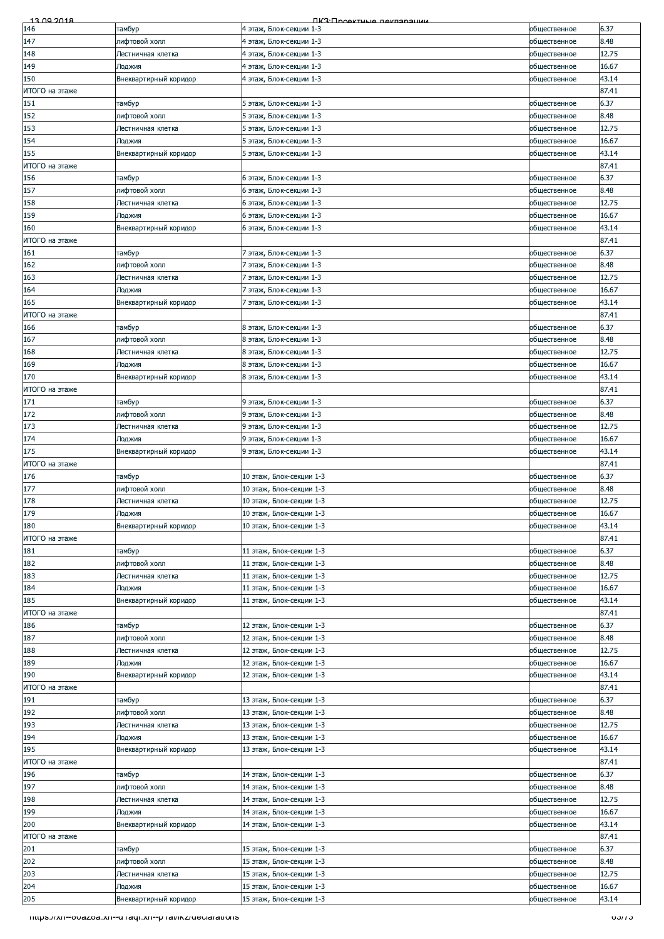| 6.37<br>146<br>тамбур<br>4 этаж, Блок-секции 1-3<br>общественное<br>147<br>лифтовой холл<br>4 этаж, Блок-секции 1-3<br>8.48<br>общественное<br>12.75<br>148<br>4 этаж, Блок-секции 1-3<br>общественное<br>Лестничная клетка<br>149<br>4 этаж, Блок-секции 1-3<br>16.67<br>общественное<br>Лоджия<br>150<br>Внеквартирный коридор<br>4 этаж, Блок-секции 1-3<br>43.14<br>общественное<br>87.41<br>151<br>6.37<br>тамбур<br>5 этаж, Блок-секции 1-3<br>общественное<br>152<br>8.48<br>лифтовой холл<br>5 этаж, Блок-секции 1-3<br>общественное<br>153<br>12.75<br>5 этаж, Блок-секции 1-3<br>Лестничная клетка<br>общественное<br>154<br>16.67<br>5 этаж, Блок-секции 1-3<br>Лоджия<br>общественное<br>43.14<br>155<br>Внеквартирный коридор<br>5 этаж, Блок-секции 1-3<br>общественное<br>ИТОГО на этаже<br>87.41<br>156<br>6.37<br>6 этаж, Блок-секции 1-3<br>общественное<br>тамбур<br>8.48<br>лифтовой холл<br>6 этаж, Блок-секции 1-3<br>общественное<br>12.75<br>158<br>6 этаж, Блок-секции 1-3<br>общественное<br>Лестничная клетка<br>159<br>6 этаж, Блок-секции 1-3<br>16.67<br>Лоджия<br>общественное<br>160<br>43.14<br>Внеквартирный коридор<br>6 этаж, Блок-секции 1-3<br>общественное<br>87.41<br>ИТОГО на этаже<br>161<br>7 этаж, Блок-секции 1-3<br>6.37<br>тамбур<br>общественное<br>162<br>лифтовой холл<br>7 этаж, Блок-секции 1-3<br>8.48<br>общественное<br>163<br>12.75<br>7 этаж, Блок-секции 1-3<br>Лестничная клетка<br>общественное<br>164<br>16.67<br>Лоджия<br>7 этаж, Блок-секции 1-3<br>общественное<br>165<br>43.14<br>Внеквартирный коридор<br>7 этаж, Блок-секции 1-3<br>общественное<br>ИТОГО на этаже<br>87.41<br>6.37<br>166<br>8 этаж, Блок-секции 1-3<br>тамбур<br>общественное<br>167<br>лифтовой холл<br>8 этаж, Блок-секции 1-3<br>8.48<br>общественное<br>168<br>8 этаж, Блок-секции 1-3<br>12.75<br>общественное<br>Лестничная клетка<br>169<br>16.67<br>8 этаж, Блок-секции 1-3<br>Лоджия<br>общественное<br>170<br>Внеквартирный коридор<br>8 этаж, Блок-секции 1-3<br>43.14<br>общественное<br>ИТОГО на этаже<br>87.41<br>171<br>6.37<br>тамбур<br>9 этаж, Блок-секции 1-3<br>общественное<br>172<br>лифтовой холл<br>9 этаж, Блок-секции 1-3<br>общественное<br>8.48<br>173<br>12.75<br>9 этаж, Блок-секции 1-3<br>Лестничная клетка<br>общественное<br>174<br>9 этаж, Блок-секции 1-3<br>16.67<br>Лоджия<br>общественное<br>175<br>9 этаж, Блок-секции 1-3<br>43.14<br>Внеквартирный коридор<br>общественное<br>87.41<br>ИТОГО на этаже<br>176<br>6.37<br>тамбур<br>10 этаж, Блок-секции 1-3<br>общественное<br>лифтовой холл<br>10 этаж, Блок-секции 1-3<br>8.48<br>общественное<br>178<br>12.75<br>10 этаж, Блок-секции 1-3<br>общественное<br>Лестничная клетка<br>179<br>10 этаж, Блок-секции 1-3<br>16.67<br>Лоджия<br>общественное<br>180<br>43.14<br>Внеквартирный коридор<br>10 этаж, Блок-секции 1-3<br>общественное<br>87.41<br>ИТОГО на этаже<br>6.37<br>181<br>тамбур<br>11 этаж, Блок-секции 1-3<br>общественное<br>182<br>лифтовой холл<br>11 этаж, Блок-секции 1-3<br>8.48<br>общественное<br>183<br>12.75<br>11 этаж, Блок-секции 1-3<br>Лестничная клетка<br>общественное<br>184<br>11 этаж, Блок-секции 1-3<br>общественное<br>16.67<br>Лоджия<br>185<br>Внеквартирный коридор<br>11 этаж, Блок-секции 1-3<br>43.14<br>общественное<br>ИТОГО на этаже<br>87.41<br>6.37<br>186<br>12 этаж, Блок-секции 1-3<br>общественное<br>тамбур<br>лифтовой холл<br>12 этаж, Блок-секции 1-3<br>общественное<br>8.48<br>188<br>12 этаж, Блок-секции 1-3<br>12.75<br>Лестничная клетка<br>общественное<br>189<br>12 этаж, Блок-секции 1-3<br>16.67<br>Лоджия<br>общественное<br>190<br>43.14<br>Внеквартирный коридор<br>12 этаж, Блок-секции 1-3<br>общественное<br>ИТОГО на этаже<br>87.41<br>191<br>13 этаж, Блок-секции 1-3<br>6.37<br>тамбур<br>общественное<br>192<br>лифтовой холл<br>8.48<br>13 этаж, Блок-секции 1-3<br>общественное<br>12.75<br>193<br>13 этаж, Блок-секции 1-3<br>общественное<br>Лестничная клетка<br>194<br>13 этаж, Блок-секции 1-3<br>16.67<br>Лоджия<br>общественное<br>195<br>Внеквартирный коридор<br>13 этаж, Блок-секции 1-3<br>43.14<br>общественное<br>87.41<br>ИТОГО на этаже<br>196<br>14 этаж, Блок-секции 1-3<br>6.37<br>тамбур<br>общественное<br>197<br>лифтовой холл<br>14 этаж, Блок-секции 1-3<br>8.48<br>общественное<br>12.75<br>198<br>14 этаж, Блок-секции 1-3<br>общественное<br>Лестничная клетка<br>199<br>14 этаж, Блок-секции 1-3<br>общественное<br>16.67<br>Лоджия<br>200<br>14 этаж, Блок-секции 1-3<br>43.14<br>Внеквартирный коридор<br>общественное<br>ИТОГО на этаже<br>87.41<br>6.37<br>201<br>15 этаж, Блок-секции 1-3<br>тамбур<br>общественное<br>202<br>лифтовой холл<br>15 этаж, Блок-секции 1-3<br>8.48<br>общественное<br>203<br>15 этаж, Блок-секции 1-3<br>12.75<br>Лестничная клетка<br>общественное<br>204<br>15 этаж, Блок-секции 1-3<br>16.67<br>Лоджия<br>общественное<br>205<br>43.14<br>Внеквартирный коридор<br>15 этаж, Блок-секции 1-3<br>общественное<br>03/13<br><u>11ttps://xn--ovazoa.xn--u raqi.xn--p rai/ikz/deciarations</u> | <u>13.00.2018</u> | <b><u> ПКЗ·Проектично покларации</u></b> |  |
|---------------------------------------------------------------------------------------------------------------------------------------------------------------------------------------------------------------------------------------------------------------------------------------------------------------------------------------------------------------------------------------------------------------------------------------------------------------------------------------------------------------------------------------------------------------------------------------------------------------------------------------------------------------------------------------------------------------------------------------------------------------------------------------------------------------------------------------------------------------------------------------------------------------------------------------------------------------------------------------------------------------------------------------------------------------------------------------------------------------------------------------------------------------------------------------------------------------------------------------------------------------------------------------------------------------------------------------------------------------------------------------------------------------------------------------------------------------------------------------------------------------------------------------------------------------------------------------------------------------------------------------------------------------------------------------------------------------------------------------------------------------------------------------------------------------------------------------------------------------------------------------------------------------------------------------------------------------------------------------------------------------------------------------------------------------------------------------------------------------------------------------------------------------------------------------------------------------------------------------------------------------------------------------------------------------------------------------------------------------------------------------------------------------------------------------------------------------------------------------------------------------------------------------------------------------------------------------------------------------------------------------------------------------------------------------------------------------------------------------------------------------------------------------------------------------------------------------------------------------------------------------------------------------------------------------------------------------------------------------------------------------------------------------------------------------------------------------------------------------------------------------------------------------------------------------------------------------------------------------------------------------------------------------------------------------------------------------------------------------------------------------------------------------------------------------------------------------------------------------------------------------------------------------------------------------------------------------------------------------------------------------------------------------------------------------------------------------------------------------------------------------------------------------------------------------------------------------------------------------------------------------------------------------------------------------------------------------------------------------------------------------------------------------------------------------------------------------------------------------------------------------------------------------------------------------------------------------------------------------------------------------------------------------------------------------------------------------------------------------------------------------------------------------------------------------------------------------------------------------------------------------------------------------------------------------------------------------------------------------------------------------------------------------------------------------------------------------------------------------------------------------------------------------------------------------------------------------------------------------------------------------------------------------------------------------------------------------------------------------------------------------------------------------------------------------------------|-------------------|------------------------------------------|--|
|                                                                                                                                                                                                                                                                                                                                                                                                                                                                                                                                                                                                                                                                                                                                                                                                                                                                                                                                                                                                                                                                                                                                                                                                                                                                                                                                                                                                                                                                                                                                                                                                                                                                                                                                                                                                                                                                                                                                                                                                                                                                                                                                                                                                                                                                                                                                                                                                                                                                                                                                                                                                                                                                                                                                                                                                                                                                                                                                                                                                                                                                                                                                                                                                                                                                                                                                                                                                                                                                                                                                                                                                                                                                                                                                                                                                                                                                                                                                                                                                                                                                                                                                                                                                                                                                                                                                                                                                                                                                                                                                                                                                                                                                                                                                                                                                                                                                                                                                                                                                                                                                           |                   |                                          |  |
|                                                                                                                                                                                                                                                                                                                                                                                                                                                                                                                                                                                                                                                                                                                                                                                                                                                                                                                                                                                                                                                                                                                                                                                                                                                                                                                                                                                                                                                                                                                                                                                                                                                                                                                                                                                                                                                                                                                                                                                                                                                                                                                                                                                                                                                                                                                                                                                                                                                                                                                                                                                                                                                                                                                                                                                                                                                                                                                                                                                                                                                                                                                                                                                                                                                                                                                                                                                                                                                                                                                                                                                                                                                                                                                                                                                                                                                                                                                                                                                                                                                                                                                                                                                                                                                                                                                                                                                                                                                                                                                                                                                                                                                                                                                                                                                                                                                                                                                                                                                                                                                                           |                   |                                          |  |
|                                                                                                                                                                                                                                                                                                                                                                                                                                                                                                                                                                                                                                                                                                                                                                                                                                                                                                                                                                                                                                                                                                                                                                                                                                                                                                                                                                                                                                                                                                                                                                                                                                                                                                                                                                                                                                                                                                                                                                                                                                                                                                                                                                                                                                                                                                                                                                                                                                                                                                                                                                                                                                                                                                                                                                                                                                                                                                                                                                                                                                                                                                                                                                                                                                                                                                                                                                                                                                                                                                                                                                                                                                                                                                                                                                                                                                                                                                                                                                                                                                                                                                                                                                                                                                                                                                                                                                                                                                                                                                                                                                                                                                                                                                                                                                                                                                                                                                                                                                                                                                                                           |                   |                                          |  |
|                                                                                                                                                                                                                                                                                                                                                                                                                                                                                                                                                                                                                                                                                                                                                                                                                                                                                                                                                                                                                                                                                                                                                                                                                                                                                                                                                                                                                                                                                                                                                                                                                                                                                                                                                                                                                                                                                                                                                                                                                                                                                                                                                                                                                                                                                                                                                                                                                                                                                                                                                                                                                                                                                                                                                                                                                                                                                                                                                                                                                                                                                                                                                                                                                                                                                                                                                                                                                                                                                                                                                                                                                                                                                                                                                                                                                                                                                                                                                                                                                                                                                                                                                                                                                                                                                                                                                                                                                                                                                                                                                                                                                                                                                                                                                                                                                                                                                                                                                                                                                                                                           |                   |                                          |  |
|                                                                                                                                                                                                                                                                                                                                                                                                                                                                                                                                                                                                                                                                                                                                                                                                                                                                                                                                                                                                                                                                                                                                                                                                                                                                                                                                                                                                                                                                                                                                                                                                                                                                                                                                                                                                                                                                                                                                                                                                                                                                                                                                                                                                                                                                                                                                                                                                                                                                                                                                                                                                                                                                                                                                                                                                                                                                                                                                                                                                                                                                                                                                                                                                                                                                                                                                                                                                                                                                                                                                                                                                                                                                                                                                                                                                                                                                                                                                                                                                                                                                                                                                                                                                                                                                                                                                                                                                                                                                                                                                                                                                                                                                                                                                                                                                                                                                                                                                                                                                                                                                           |                   |                                          |  |
|                                                                                                                                                                                                                                                                                                                                                                                                                                                                                                                                                                                                                                                                                                                                                                                                                                                                                                                                                                                                                                                                                                                                                                                                                                                                                                                                                                                                                                                                                                                                                                                                                                                                                                                                                                                                                                                                                                                                                                                                                                                                                                                                                                                                                                                                                                                                                                                                                                                                                                                                                                                                                                                                                                                                                                                                                                                                                                                                                                                                                                                                                                                                                                                                                                                                                                                                                                                                                                                                                                                                                                                                                                                                                                                                                                                                                                                                                                                                                                                                                                                                                                                                                                                                                                                                                                                                                                                                                                                                                                                                                                                                                                                                                                                                                                                                                                                                                                                                                                                                                                                                           |                   |                                          |  |
|                                                                                                                                                                                                                                                                                                                                                                                                                                                                                                                                                                                                                                                                                                                                                                                                                                                                                                                                                                                                                                                                                                                                                                                                                                                                                                                                                                                                                                                                                                                                                                                                                                                                                                                                                                                                                                                                                                                                                                                                                                                                                                                                                                                                                                                                                                                                                                                                                                                                                                                                                                                                                                                                                                                                                                                                                                                                                                                                                                                                                                                                                                                                                                                                                                                                                                                                                                                                                                                                                                                                                                                                                                                                                                                                                                                                                                                                                                                                                                                                                                                                                                                                                                                                                                                                                                                                                                                                                                                                                                                                                                                                                                                                                                                                                                                                                                                                                                                                                                                                                                                                           | ИТОГО на этаже    |                                          |  |
|                                                                                                                                                                                                                                                                                                                                                                                                                                                                                                                                                                                                                                                                                                                                                                                                                                                                                                                                                                                                                                                                                                                                                                                                                                                                                                                                                                                                                                                                                                                                                                                                                                                                                                                                                                                                                                                                                                                                                                                                                                                                                                                                                                                                                                                                                                                                                                                                                                                                                                                                                                                                                                                                                                                                                                                                                                                                                                                                                                                                                                                                                                                                                                                                                                                                                                                                                                                                                                                                                                                                                                                                                                                                                                                                                                                                                                                                                                                                                                                                                                                                                                                                                                                                                                                                                                                                                                                                                                                                                                                                                                                                                                                                                                                                                                                                                                                                                                                                                                                                                                                                           |                   |                                          |  |
|                                                                                                                                                                                                                                                                                                                                                                                                                                                                                                                                                                                                                                                                                                                                                                                                                                                                                                                                                                                                                                                                                                                                                                                                                                                                                                                                                                                                                                                                                                                                                                                                                                                                                                                                                                                                                                                                                                                                                                                                                                                                                                                                                                                                                                                                                                                                                                                                                                                                                                                                                                                                                                                                                                                                                                                                                                                                                                                                                                                                                                                                                                                                                                                                                                                                                                                                                                                                                                                                                                                                                                                                                                                                                                                                                                                                                                                                                                                                                                                                                                                                                                                                                                                                                                                                                                                                                                                                                                                                                                                                                                                                                                                                                                                                                                                                                                                                                                                                                                                                                                                                           |                   |                                          |  |
|                                                                                                                                                                                                                                                                                                                                                                                                                                                                                                                                                                                                                                                                                                                                                                                                                                                                                                                                                                                                                                                                                                                                                                                                                                                                                                                                                                                                                                                                                                                                                                                                                                                                                                                                                                                                                                                                                                                                                                                                                                                                                                                                                                                                                                                                                                                                                                                                                                                                                                                                                                                                                                                                                                                                                                                                                                                                                                                                                                                                                                                                                                                                                                                                                                                                                                                                                                                                                                                                                                                                                                                                                                                                                                                                                                                                                                                                                                                                                                                                                                                                                                                                                                                                                                                                                                                                                                                                                                                                                                                                                                                                                                                                                                                                                                                                                                                                                                                                                                                                                                                                           |                   |                                          |  |
|                                                                                                                                                                                                                                                                                                                                                                                                                                                                                                                                                                                                                                                                                                                                                                                                                                                                                                                                                                                                                                                                                                                                                                                                                                                                                                                                                                                                                                                                                                                                                                                                                                                                                                                                                                                                                                                                                                                                                                                                                                                                                                                                                                                                                                                                                                                                                                                                                                                                                                                                                                                                                                                                                                                                                                                                                                                                                                                                                                                                                                                                                                                                                                                                                                                                                                                                                                                                                                                                                                                                                                                                                                                                                                                                                                                                                                                                                                                                                                                                                                                                                                                                                                                                                                                                                                                                                                                                                                                                                                                                                                                                                                                                                                                                                                                                                                                                                                                                                                                                                                                                           |                   |                                          |  |
|                                                                                                                                                                                                                                                                                                                                                                                                                                                                                                                                                                                                                                                                                                                                                                                                                                                                                                                                                                                                                                                                                                                                                                                                                                                                                                                                                                                                                                                                                                                                                                                                                                                                                                                                                                                                                                                                                                                                                                                                                                                                                                                                                                                                                                                                                                                                                                                                                                                                                                                                                                                                                                                                                                                                                                                                                                                                                                                                                                                                                                                                                                                                                                                                                                                                                                                                                                                                                                                                                                                                                                                                                                                                                                                                                                                                                                                                                                                                                                                                                                                                                                                                                                                                                                                                                                                                                                                                                                                                                                                                                                                                                                                                                                                                                                                                                                                                                                                                                                                                                                                                           |                   |                                          |  |
|                                                                                                                                                                                                                                                                                                                                                                                                                                                                                                                                                                                                                                                                                                                                                                                                                                                                                                                                                                                                                                                                                                                                                                                                                                                                                                                                                                                                                                                                                                                                                                                                                                                                                                                                                                                                                                                                                                                                                                                                                                                                                                                                                                                                                                                                                                                                                                                                                                                                                                                                                                                                                                                                                                                                                                                                                                                                                                                                                                                                                                                                                                                                                                                                                                                                                                                                                                                                                                                                                                                                                                                                                                                                                                                                                                                                                                                                                                                                                                                                                                                                                                                                                                                                                                                                                                                                                                                                                                                                                                                                                                                                                                                                                                                                                                                                                                                                                                                                                                                                                                                                           |                   |                                          |  |
|                                                                                                                                                                                                                                                                                                                                                                                                                                                                                                                                                                                                                                                                                                                                                                                                                                                                                                                                                                                                                                                                                                                                                                                                                                                                                                                                                                                                                                                                                                                                                                                                                                                                                                                                                                                                                                                                                                                                                                                                                                                                                                                                                                                                                                                                                                                                                                                                                                                                                                                                                                                                                                                                                                                                                                                                                                                                                                                                                                                                                                                                                                                                                                                                                                                                                                                                                                                                                                                                                                                                                                                                                                                                                                                                                                                                                                                                                                                                                                                                                                                                                                                                                                                                                                                                                                                                                                                                                                                                                                                                                                                                                                                                                                                                                                                                                                                                                                                                                                                                                                                                           |                   |                                          |  |
|                                                                                                                                                                                                                                                                                                                                                                                                                                                                                                                                                                                                                                                                                                                                                                                                                                                                                                                                                                                                                                                                                                                                                                                                                                                                                                                                                                                                                                                                                                                                                                                                                                                                                                                                                                                                                                                                                                                                                                                                                                                                                                                                                                                                                                                                                                                                                                                                                                                                                                                                                                                                                                                                                                                                                                                                                                                                                                                                                                                                                                                                                                                                                                                                                                                                                                                                                                                                                                                                                                                                                                                                                                                                                                                                                                                                                                                                                                                                                                                                                                                                                                                                                                                                                                                                                                                                                                                                                                                                                                                                                                                                                                                                                                                                                                                                                                                                                                                                                                                                                                                                           |                   |                                          |  |
|                                                                                                                                                                                                                                                                                                                                                                                                                                                                                                                                                                                                                                                                                                                                                                                                                                                                                                                                                                                                                                                                                                                                                                                                                                                                                                                                                                                                                                                                                                                                                                                                                                                                                                                                                                                                                                                                                                                                                                                                                                                                                                                                                                                                                                                                                                                                                                                                                                                                                                                                                                                                                                                                                                                                                                                                                                                                                                                                                                                                                                                                                                                                                                                                                                                                                                                                                                                                                                                                                                                                                                                                                                                                                                                                                                                                                                                                                                                                                                                                                                                                                                                                                                                                                                                                                                                                                                                                                                                                                                                                                                                                                                                                                                                                                                                                                                                                                                                                                                                                                                                                           | 157               |                                          |  |
|                                                                                                                                                                                                                                                                                                                                                                                                                                                                                                                                                                                                                                                                                                                                                                                                                                                                                                                                                                                                                                                                                                                                                                                                                                                                                                                                                                                                                                                                                                                                                                                                                                                                                                                                                                                                                                                                                                                                                                                                                                                                                                                                                                                                                                                                                                                                                                                                                                                                                                                                                                                                                                                                                                                                                                                                                                                                                                                                                                                                                                                                                                                                                                                                                                                                                                                                                                                                                                                                                                                                                                                                                                                                                                                                                                                                                                                                                                                                                                                                                                                                                                                                                                                                                                                                                                                                                                                                                                                                                                                                                                                                                                                                                                                                                                                                                                                                                                                                                                                                                                                                           |                   |                                          |  |
|                                                                                                                                                                                                                                                                                                                                                                                                                                                                                                                                                                                                                                                                                                                                                                                                                                                                                                                                                                                                                                                                                                                                                                                                                                                                                                                                                                                                                                                                                                                                                                                                                                                                                                                                                                                                                                                                                                                                                                                                                                                                                                                                                                                                                                                                                                                                                                                                                                                                                                                                                                                                                                                                                                                                                                                                                                                                                                                                                                                                                                                                                                                                                                                                                                                                                                                                                                                                                                                                                                                                                                                                                                                                                                                                                                                                                                                                                                                                                                                                                                                                                                                                                                                                                                                                                                                                                                                                                                                                                                                                                                                                                                                                                                                                                                                                                                                                                                                                                                                                                                                                           |                   |                                          |  |
|                                                                                                                                                                                                                                                                                                                                                                                                                                                                                                                                                                                                                                                                                                                                                                                                                                                                                                                                                                                                                                                                                                                                                                                                                                                                                                                                                                                                                                                                                                                                                                                                                                                                                                                                                                                                                                                                                                                                                                                                                                                                                                                                                                                                                                                                                                                                                                                                                                                                                                                                                                                                                                                                                                                                                                                                                                                                                                                                                                                                                                                                                                                                                                                                                                                                                                                                                                                                                                                                                                                                                                                                                                                                                                                                                                                                                                                                                                                                                                                                                                                                                                                                                                                                                                                                                                                                                                                                                                                                                                                                                                                                                                                                                                                                                                                                                                                                                                                                                                                                                                                                           |                   |                                          |  |
|                                                                                                                                                                                                                                                                                                                                                                                                                                                                                                                                                                                                                                                                                                                                                                                                                                                                                                                                                                                                                                                                                                                                                                                                                                                                                                                                                                                                                                                                                                                                                                                                                                                                                                                                                                                                                                                                                                                                                                                                                                                                                                                                                                                                                                                                                                                                                                                                                                                                                                                                                                                                                                                                                                                                                                                                                                                                                                                                                                                                                                                                                                                                                                                                                                                                                                                                                                                                                                                                                                                                                                                                                                                                                                                                                                                                                                                                                                                                                                                                                                                                                                                                                                                                                                                                                                                                                                                                                                                                                                                                                                                                                                                                                                                                                                                                                                                                                                                                                                                                                                                                           |                   |                                          |  |
|                                                                                                                                                                                                                                                                                                                                                                                                                                                                                                                                                                                                                                                                                                                                                                                                                                                                                                                                                                                                                                                                                                                                                                                                                                                                                                                                                                                                                                                                                                                                                                                                                                                                                                                                                                                                                                                                                                                                                                                                                                                                                                                                                                                                                                                                                                                                                                                                                                                                                                                                                                                                                                                                                                                                                                                                                                                                                                                                                                                                                                                                                                                                                                                                                                                                                                                                                                                                                                                                                                                                                                                                                                                                                                                                                                                                                                                                                                                                                                                                                                                                                                                                                                                                                                                                                                                                                                                                                                                                                                                                                                                                                                                                                                                                                                                                                                                                                                                                                                                                                                                                           |                   |                                          |  |
|                                                                                                                                                                                                                                                                                                                                                                                                                                                                                                                                                                                                                                                                                                                                                                                                                                                                                                                                                                                                                                                                                                                                                                                                                                                                                                                                                                                                                                                                                                                                                                                                                                                                                                                                                                                                                                                                                                                                                                                                                                                                                                                                                                                                                                                                                                                                                                                                                                                                                                                                                                                                                                                                                                                                                                                                                                                                                                                                                                                                                                                                                                                                                                                                                                                                                                                                                                                                                                                                                                                                                                                                                                                                                                                                                                                                                                                                                                                                                                                                                                                                                                                                                                                                                                                                                                                                                                                                                                                                                                                                                                                                                                                                                                                                                                                                                                                                                                                                                                                                                                                                           |                   |                                          |  |
|                                                                                                                                                                                                                                                                                                                                                                                                                                                                                                                                                                                                                                                                                                                                                                                                                                                                                                                                                                                                                                                                                                                                                                                                                                                                                                                                                                                                                                                                                                                                                                                                                                                                                                                                                                                                                                                                                                                                                                                                                                                                                                                                                                                                                                                                                                                                                                                                                                                                                                                                                                                                                                                                                                                                                                                                                                                                                                                                                                                                                                                                                                                                                                                                                                                                                                                                                                                                                                                                                                                                                                                                                                                                                                                                                                                                                                                                                                                                                                                                                                                                                                                                                                                                                                                                                                                                                                                                                                                                                                                                                                                                                                                                                                                                                                                                                                                                                                                                                                                                                                                                           |                   |                                          |  |
|                                                                                                                                                                                                                                                                                                                                                                                                                                                                                                                                                                                                                                                                                                                                                                                                                                                                                                                                                                                                                                                                                                                                                                                                                                                                                                                                                                                                                                                                                                                                                                                                                                                                                                                                                                                                                                                                                                                                                                                                                                                                                                                                                                                                                                                                                                                                                                                                                                                                                                                                                                                                                                                                                                                                                                                                                                                                                                                                                                                                                                                                                                                                                                                                                                                                                                                                                                                                                                                                                                                                                                                                                                                                                                                                                                                                                                                                                                                                                                                                                                                                                                                                                                                                                                                                                                                                                                                                                                                                                                                                                                                                                                                                                                                                                                                                                                                                                                                                                                                                                                                                           |                   |                                          |  |
|                                                                                                                                                                                                                                                                                                                                                                                                                                                                                                                                                                                                                                                                                                                                                                                                                                                                                                                                                                                                                                                                                                                                                                                                                                                                                                                                                                                                                                                                                                                                                                                                                                                                                                                                                                                                                                                                                                                                                                                                                                                                                                                                                                                                                                                                                                                                                                                                                                                                                                                                                                                                                                                                                                                                                                                                                                                                                                                                                                                                                                                                                                                                                                                                                                                                                                                                                                                                                                                                                                                                                                                                                                                                                                                                                                                                                                                                                                                                                                                                                                                                                                                                                                                                                                                                                                                                                                                                                                                                                                                                                                                                                                                                                                                                                                                                                                                                                                                                                                                                                                                                           |                   |                                          |  |
|                                                                                                                                                                                                                                                                                                                                                                                                                                                                                                                                                                                                                                                                                                                                                                                                                                                                                                                                                                                                                                                                                                                                                                                                                                                                                                                                                                                                                                                                                                                                                                                                                                                                                                                                                                                                                                                                                                                                                                                                                                                                                                                                                                                                                                                                                                                                                                                                                                                                                                                                                                                                                                                                                                                                                                                                                                                                                                                                                                                                                                                                                                                                                                                                                                                                                                                                                                                                                                                                                                                                                                                                                                                                                                                                                                                                                                                                                                                                                                                                                                                                                                                                                                                                                                                                                                                                                                                                                                                                                                                                                                                                                                                                                                                                                                                                                                                                                                                                                                                                                                                                           |                   |                                          |  |
|                                                                                                                                                                                                                                                                                                                                                                                                                                                                                                                                                                                                                                                                                                                                                                                                                                                                                                                                                                                                                                                                                                                                                                                                                                                                                                                                                                                                                                                                                                                                                                                                                                                                                                                                                                                                                                                                                                                                                                                                                                                                                                                                                                                                                                                                                                                                                                                                                                                                                                                                                                                                                                                                                                                                                                                                                                                                                                                                                                                                                                                                                                                                                                                                                                                                                                                                                                                                                                                                                                                                                                                                                                                                                                                                                                                                                                                                                                                                                                                                                                                                                                                                                                                                                                                                                                                                                                                                                                                                                                                                                                                                                                                                                                                                                                                                                                                                                                                                                                                                                                                                           |                   |                                          |  |
|                                                                                                                                                                                                                                                                                                                                                                                                                                                                                                                                                                                                                                                                                                                                                                                                                                                                                                                                                                                                                                                                                                                                                                                                                                                                                                                                                                                                                                                                                                                                                                                                                                                                                                                                                                                                                                                                                                                                                                                                                                                                                                                                                                                                                                                                                                                                                                                                                                                                                                                                                                                                                                                                                                                                                                                                                                                                                                                                                                                                                                                                                                                                                                                                                                                                                                                                                                                                                                                                                                                                                                                                                                                                                                                                                                                                                                                                                                                                                                                                                                                                                                                                                                                                                                                                                                                                                                                                                                                                                                                                                                                                                                                                                                                                                                                                                                                                                                                                                                                                                                                                           |                   |                                          |  |
|                                                                                                                                                                                                                                                                                                                                                                                                                                                                                                                                                                                                                                                                                                                                                                                                                                                                                                                                                                                                                                                                                                                                                                                                                                                                                                                                                                                                                                                                                                                                                                                                                                                                                                                                                                                                                                                                                                                                                                                                                                                                                                                                                                                                                                                                                                                                                                                                                                                                                                                                                                                                                                                                                                                                                                                                                                                                                                                                                                                                                                                                                                                                                                                                                                                                                                                                                                                                                                                                                                                                                                                                                                                                                                                                                                                                                                                                                                                                                                                                                                                                                                                                                                                                                                                                                                                                                                                                                                                                                                                                                                                                                                                                                                                                                                                                                                                                                                                                                                                                                                                                           |                   |                                          |  |
|                                                                                                                                                                                                                                                                                                                                                                                                                                                                                                                                                                                                                                                                                                                                                                                                                                                                                                                                                                                                                                                                                                                                                                                                                                                                                                                                                                                                                                                                                                                                                                                                                                                                                                                                                                                                                                                                                                                                                                                                                                                                                                                                                                                                                                                                                                                                                                                                                                                                                                                                                                                                                                                                                                                                                                                                                                                                                                                                                                                                                                                                                                                                                                                                                                                                                                                                                                                                                                                                                                                                                                                                                                                                                                                                                                                                                                                                                                                                                                                                                                                                                                                                                                                                                                                                                                                                                                                                                                                                                                                                                                                                                                                                                                                                                                                                                                                                                                                                                                                                                                                                           |                   |                                          |  |
|                                                                                                                                                                                                                                                                                                                                                                                                                                                                                                                                                                                                                                                                                                                                                                                                                                                                                                                                                                                                                                                                                                                                                                                                                                                                                                                                                                                                                                                                                                                                                                                                                                                                                                                                                                                                                                                                                                                                                                                                                                                                                                                                                                                                                                                                                                                                                                                                                                                                                                                                                                                                                                                                                                                                                                                                                                                                                                                                                                                                                                                                                                                                                                                                                                                                                                                                                                                                                                                                                                                                                                                                                                                                                                                                                                                                                                                                                                                                                                                                                                                                                                                                                                                                                                                                                                                                                                                                                                                                                                                                                                                                                                                                                                                                                                                                                                                                                                                                                                                                                                                                           |                   |                                          |  |
|                                                                                                                                                                                                                                                                                                                                                                                                                                                                                                                                                                                                                                                                                                                                                                                                                                                                                                                                                                                                                                                                                                                                                                                                                                                                                                                                                                                                                                                                                                                                                                                                                                                                                                                                                                                                                                                                                                                                                                                                                                                                                                                                                                                                                                                                                                                                                                                                                                                                                                                                                                                                                                                                                                                                                                                                                                                                                                                                                                                                                                                                                                                                                                                                                                                                                                                                                                                                                                                                                                                                                                                                                                                                                                                                                                                                                                                                                                                                                                                                                                                                                                                                                                                                                                                                                                                                                                                                                                                                                                                                                                                                                                                                                                                                                                                                                                                                                                                                                                                                                                                                           |                   |                                          |  |
|                                                                                                                                                                                                                                                                                                                                                                                                                                                                                                                                                                                                                                                                                                                                                                                                                                                                                                                                                                                                                                                                                                                                                                                                                                                                                                                                                                                                                                                                                                                                                                                                                                                                                                                                                                                                                                                                                                                                                                                                                                                                                                                                                                                                                                                                                                                                                                                                                                                                                                                                                                                                                                                                                                                                                                                                                                                                                                                                                                                                                                                                                                                                                                                                                                                                                                                                                                                                                                                                                                                                                                                                                                                                                                                                                                                                                                                                                                                                                                                                                                                                                                                                                                                                                                                                                                                                                                                                                                                                                                                                                                                                                                                                                                                                                                                                                                                                                                                                                                                                                                                                           |                   |                                          |  |
|                                                                                                                                                                                                                                                                                                                                                                                                                                                                                                                                                                                                                                                                                                                                                                                                                                                                                                                                                                                                                                                                                                                                                                                                                                                                                                                                                                                                                                                                                                                                                                                                                                                                                                                                                                                                                                                                                                                                                                                                                                                                                                                                                                                                                                                                                                                                                                                                                                                                                                                                                                                                                                                                                                                                                                                                                                                                                                                                                                                                                                                                                                                                                                                                                                                                                                                                                                                                                                                                                                                                                                                                                                                                                                                                                                                                                                                                                                                                                                                                                                                                                                                                                                                                                                                                                                                                                                                                                                                                                                                                                                                                                                                                                                                                                                                                                                                                                                                                                                                                                                                                           |                   |                                          |  |
|                                                                                                                                                                                                                                                                                                                                                                                                                                                                                                                                                                                                                                                                                                                                                                                                                                                                                                                                                                                                                                                                                                                                                                                                                                                                                                                                                                                                                                                                                                                                                                                                                                                                                                                                                                                                                                                                                                                                                                                                                                                                                                                                                                                                                                                                                                                                                                                                                                                                                                                                                                                                                                                                                                                                                                                                                                                                                                                                                                                                                                                                                                                                                                                                                                                                                                                                                                                                                                                                                                                                                                                                                                                                                                                                                                                                                                                                                                                                                                                                                                                                                                                                                                                                                                                                                                                                                                                                                                                                                                                                                                                                                                                                                                                                                                                                                                                                                                                                                                                                                                                                           |                   |                                          |  |
|                                                                                                                                                                                                                                                                                                                                                                                                                                                                                                                                                                                                                                                                                                                                                                                                                                                                                                                                                                                                                                                                                                                                                                                                                                                                                                                                                                                                                                                                                                                                                                                                                                                                                                                                                                                                                                                                                                                                                                                                                                                                                                                                                                                                                                                                                                                                                                                                                                                                                                                                                                                                                                                                                                                                                                                                                                                                                                                                                                                                                                                                                                                                                                                                                                                                                                                                                                                                                                                                                                                                                                                                                                                                                                                                                                                                                                                                                                                                                                                                                                                                                                                                                                                                                                                                                                                                                                                                                                                                                                                                                                                                                                                                                                                                                                                                                                                                                                                                                                                                                                                                           |                   |                                          |  |
|                                                                                                                                                                                                                                                                                                                                                                                                                                                                                                                                                                                                                                                                                                                                                                                                                                                                                                                                                                                                                                                                                                                                                                                                                                                                                                                                                                                                                                                                                                                                                                                                                                                                                                                                                                                                                                                                                                                                                                                                                                                                                                                                                                                                                                                                                                                                                                                                                                                                                                                                                                                                                                                                                                                                                                                                                                                                                                                                                                                                                                                                                                                                                                                                                                                                                                                                                                                                                                                                                                                                                                                                                                                                                                                                                                                                                                                                                                                                                                                                                                                                                                                                                                                                                                                                                                                                                                                                                                                                                                                                                                                                                                                                                                                                                                                                                                                                                                                                                                                                                                                                           |                   |                                          |  |
|                                                                                                                                                                                                                                                                                                                                                                                                                                                                                                                                                                                                                                                                                                                                                                                                                                                                                                                                                                                                                                                                                                                                                                                                                                                                                                                                                                                                                                                                                                                                                                                                                                                                                                                                                                                                                                                                                                                                                                                                                                                                                                                                                                                                                                                                                                                                                                                                                                                                                                                                                                                                                                                                                                                                                                                                                                                                                                                                                                                                                                                                                                                                                                                                                                                                                                                                                                                                                                                                                                                                                                                                                                                                                                                                                                                                                                                                                                                                                                                                                                                                                                                                                                                                                                                                                                                                                                                                                                                                                                                                                                                                                                                                                                                                                                                                                                                                                                                                                                                                                                                                           |                   |                                          |  |
|                                                                                                                                                                                                                                                                                                                                                                                                                                                                                                                                                                                                                                                                                                                                                                                                                                                                                                                                                                                                                                                                                                                                                                                                                                                                                                                                                                                                                                                                                                                                                                                                                                                                                                                                                                                                                                                                                                                                                                                                                                                                                                                                                                                                                                                                                                                                                                                                                                                                                                                                                                                                                                                                                                                                                                                                                                                                                                                                                                                                                                                                                                                                                                                                                                                                                                                                                                                                                                                                                                                                                                                                                                                                                                                                                                                                                                                                                                                                                                                                                                                                                                                                                                                                                                                                                                                                                                                                                                                                                                                                                                                                                                                                                                                                                                                                                                                                                                                                                                                                                                                                           |                   |                                          |  |
|                                                                                                                                                                                                                                                                                                                                                                                                                                                                                                                                                                                                                                                                                                                                                                                                                                                                                                                                                                                                                                                                                                                                                                                                                                                                                                                                                                                                                                                                                                                                                                                                                                                                                                                                                                                                                                                                                                                                                                                                                                                                                                                                                                                                                                                                                                                                                                                                                                                                                                                                                                                                                                                                                                                                                                                                                                                                                                                                                                                                                                                                                                                                                                                                                                                                                                                                                                                                                                                                                                                                                                                                                                                                                                                                                                                                                                                                                                                                                                                                                                                                                                                                                                                                                                                                                                                                                                                                                                                                                                                                                                                                                                                                                                                                                                                                                                                                                                                                                                                                                                                                           |                   |                                          |  |
|                                                                                                                                                                                                                                                                                                                                                                                                                                                                                                                                                                                                                                                                                                                                                                                                                                                                                                                                                                                                                                                                                                                                                                                                                                                                                                                                                                                                                                                                                                                                                                                                                                                                                                                                                                                                                                                                                                                                                                                                                                                                                                                                                                                                                                                                                                                                                                                                                                                                                                                                                                                                                                                                                                                                                                                                                                                                                                                                                                                                                                                                                                                                                                                                                                                                                                                                                                                                                                                                                                                                                                                                                                                                                                                                                                                                                                                                                                                                                                                                                                                                                                                                                                                                                                                                                                                                                                                                                                                                                                                                                                                                                                                                                                                                                                                                                                                                                                                                                                                                                                                                           |                   |                                          |  |
|                                                                                                                                                                                                                                                                                                                                                                                                                                                                                                                                                                                                                                                                                                                                                                                                                                                                                                                                                                                                                                                                                                                                                                                                                                                                                                                                                                                                                                                                                                                                                                                                                                                                                                                                                                                                                                                                                                                                                                                                                                                                                                                                                                                                                                                                                                                                                                                                                                                                                                                                                                                                                                                                                                                                                                                                                                                                                                                                                                                                                                                                                                                                                                                                                                                                                                                                                                                                                                                                                                                                                                                                                                                                                                                                                                                                                                                                                                                                                                                                                                                                                                                                                                                                                                                                                                                                                                                                                                                                                                                                                                                                                                                                                                                                                                                                                                                                                                                                                                                                                                                                           |                   |                                          |  |
|                                                                                                                                                                                                                                                                                                                                                                                                                                                                                                                                                                                                                                                                                                                                                                                                                                                                                                                                                                                                                                                                                                                                                                                                                                                                                                                                                                                                                                                                                                                                                                                                                                                                                                                                                                                                                                                                                                                                                                                                                                                                                                                                                                                                                                                                                                                                                                                                                                                                                                                                                                                                                                                                                                                                                                                                                                                                                                                                                                                                                                                                                                                                                                                                                                                                                                                                                                                                                                                                                                                                                                                                                                                                                                                                                                                                                                                                                                                                                                                                                                                                                                                                                                                                                                                                                                                                                                                                                                                                                                                                                                                                                                                                                                                                                                                                                                                                                                                                                                                                                                                                           |                   |                                          |  |
|                                                                                                                                                                                                                                                                                                                                                                                                                                                                                                                                                                                                                                                                                                                                                                                                                                                                                                                                                                                                                                                                                                                                                                                                                                                                                                                                                                                                                                                                                                                                                                                                                                                                                                                                                                                                                                                                                                                                                                                                                                                                                                                                                                                                                                                                                                                                                                                                                                                                                                                                                                                                                                                                                                                                                                                                                                                                                                                                                                                                                                                                                                                                                                                                                                                                                                                                                                                                                                                                                                                                                                                                                                                                                                                                                                                                                                                                                                                                                                                                                                                                                                                                                                                                                                                                                                                                                                                                                                                                                                                                                                                                                                                                                                                                                                                                                                                                                                                                                                                                                                                                           | 177               |                                          |  |
|                                                                                                                                                                                                                                                                                                                                                                                                                                                                                                                                                                                                                                                                                                                                                                                                                                                                                                                                                                                                                                                                                                                                                                                                                                                                                                                                                                                                                                                                                                                                                                                                                                                                                                                                                                                                                                                                                                                                                                                                                                                                                                                                                                                                                                                                                                                                                                                                                                                                                                                                                                                                                                                                                                                                                                                                                                                                                                                                                                                                                                                                                                                                                                                                                                                                                                                                                                                                                                                                                                                                                                                                                                                                                                                                                                                                                                                                                                                                                                                                                                                                                                                                                                                                                                                                                                                                                                                                                                                                                                                                                                                                                                                                                                                                                                                                                                                                                                                                                                                                                                                                           |                   |                                          |  |
|                                                                                                                                                                                                                                                                                                                                                                                                                                                                                                                                                                                                                                                                                                                                                                                                                                                                                                                                                                                                                                                                                                                                                                                                                                                                                                                                                                                                                                                                                                                                                                                                                                                                                                                                                                                                                                                                                                                                                                                                                                                                                                                                                                                                                                                                                                                                                                                                                                                                                                                                                                                                                                                                                                                                                                                                                                                                                                                                                                                                                                                                                                                                                                                                                                                                                                                                                                                                                                                                                                                                                                                                                                                                                                                                                                                                                                                                                                                                                                                                                                                                                                                                                                                                                                                                                                                                                                                                                                                                                                                                                                                                                                                                                                                                                                                                                                                                                                                                                                                                                                                                           |                   |                                          |  |
|                                                                                                                                                                                                                                                                                                                                                                                                                                                                                                                                                                                                                                                                                                                                                                                                                                                                                                                                                                                                                                                                                                                                                                                                                                                                                                                                                                                                                                                                                                                                                                                                                                                                                                                                                                                                                                                                                                                                                                                                                                                                                                                                                                                                                                                                                                                                                                                                                                                                                                                                                                                                                                                                                                                                                                                                                                                                                                                                                                                                                                                                                                                                                                                                                                                                                                                                                                                                                                                                                                                                                                                                                                                                                                                                                                                                                                                                                                                                                                                                                                                                                                                                                                                                                                                                                                                                                                                                                                                                                                                                                                                                                                                                                                                                                                                                                                                                                                                                                                                                                                                                           |                   |                                          |  |
|                                                                                                                                                                                                                                                                                                                                                                                                                                                                                                                                                                                                                                                                                                                                                                                                                                                                                                                                                                                                                                                                                                                                                                                                                                                                                                                                                                                                                                                                                                                                                                                                                                                                                                                                                                                                                                                                                                                                                                                                                                                                                                                                                                                                                                                                                                                                                                                                                                                                                                                                                                                                                                                                                                                                                                                                                                                                                                                                                                                                                                                                                                                                                                                                                                                                                                                                                                                                                                                                                                                                                                                                                                                                                                                                                                                                                                                                                                                                                                                                                                                                                                                                                                                                                                                                                                                                                                                                                                                                                                                                                                                                                                                                                                                                                                                                                                                                                                                                                                                                                                                                           |                   |                                          |  |
|                                                                                                                                                                                                                                                                                                                                                                                                                                                                                                                                                                                                                                                                                                                                                                                                                                                                                                                                                                                                                                                                                                                                                                                                                                                                                                                                                                                                                                                                                                                                                                                                                                                                                                                                                                                                                                                                                                                                                                                                                                                                                                                                                                                                                                                                                                                                                                                                                                                                                                                                                                                                                                                                                                                                                                                                                                                                                                                                                                                                                                                                                                                                                                                                                                                                                                                                                                                                                                                                                                                                                                                                                                                                                                                                                                                                                                                                                                                                                                                                                                                                                                                                                                                                                                                                                                                                                                                                                                                                                                                                                                                                                                                                                                                                                                                                                                                                                                                                                                                                                                                                           |                   |                                          |  |
|                                                                                                                                                                                                                                                                                                                                                                                                                                                                                                                                                                                                                                                                                                                                                                                                                                                                                                                                                                                                                                                                                                                                                                                                                                                                                                                                                                                                                                                                                                                                                                                                                                                                                                                                                                                                                                                                                                                                                                                                                                                                                                                                                                                                                                                                                                                                                                                                                                                                                                                                                                                                                                                                                                                                                                                                                                                                                                                                                                                                                                                                                                                                                                                                                                                                                                                                                                                                                                                                                                                                                                                                                                                                                                                                                                                                                                                                                                                                                                                                                                                                                                                                                                                                                                                                                                                                                                                                                                                                                                                                                                                                                                                                                                                                                                                                                                                                                                                                                                                                                                                                           |                   |                                          |  |
|                                                                                                                                                                                                                                                                                                                                                                                                                                                                                                                                                                                                                                                                                                                                                                                                                                                                                                                                                                                                                                                                                                                                                                                                                                                                                                                                                                                                                                                                                                                                                                                                                                                                                                                                                                                                                                                                                                                                                                                                                                                                                                                                                                                                                                                                                                                                                                                                                                                                                                                                                                                                                                                                                                                                                                                                                                                                                                                                                                                                                                                                                                                                                                                                                                                                                                                                                                                                                                                                                                                                                                                                                                                                                                                                                                                                                                                                                                                                                                                                                                                                                                                                                                                                                                                                                                                                                                                                                                                                                                                                                                                                                                                                                                                                                                                                                                                                                                                                                                                                                                                                           |                   |                                          |  |
|                                                                                                                                                                                                                                                                                                                                                                                                                                                                                                                                                                                                                                                                                                                                                                                                                                                                                                                                                                                                                                                                                                                                                                                                                                                                                                                                                                                                                                                                                                                                                                                                                                                                                                                                                                                                                                                                                                                                                                                                                                                                                                                                                                                                                                                                                                                                                                                                                                                                                                                                                                                                                                                                                                                                                                                                                                                                                                                                                                                                                                                                                                                                                                                                                                                                                                                                                                                                                                                                                                                                                                                                                                                                                                                                                                                                                                                                                                                                                                                                                                                                                                                                                                                                                                                                                                                                                                                                                                                                                                                                                                                                                                                                                                                                                                                                                                                                                                                                                                                                                                                                           |                   |                                          |  |
|                                                                                                                                                                                                                                                                                                                                                                                                                                                                                                                                                                                                                                                                                                                                                                                                                                                                                                                                                                                                                                                                                                                                                                                                                                                                                                                                                                                                                                                                                                                                                                                                                                                                                                                                                                                                                                                                                                                                                                                                                                                                                                                                                                                                                                                                                                                                                                                                                                                                                                                                                                                                                                                                                                                                                                                                                                                                                                                                                                                                                                                                                                                                                                                                                                                                                                                                                                                                                                                                                                                                                                                                                                                                                                                                                                                                                                                                                                                                                                                                                                                                                                                                                                                                                                                                                                                                                                                                                                                                                                                                                                                                                                                                                                                                                                                                                                                                                                                                                                                                                                                                           |                   |                                          |  |
|                                                                                                                                                                                                                                                                                                                                                                                                                                                                                                                                                                                                                                                                                                                                                                                                                                                                                                                                                                                                                                                                                                                                                                                                                                                                                                                                                                                                                                                                                                                                                                                                                                                                                                                                                                                                                                                                                                                                                                                                                                                                                                                                                                                                                                                                                                                                                                                                                                                                                                                                                                                                                                                                                                                                                                                                                                                                                                                                                                                                                                                                                                                                                                                                                                                                                                                                                                                                                                                                                                                                                                                                                                                                                                                                                                                                                                                                                                                                                                                                                                                                                                                                                                                                                                                                                                                                                                                                                                                                                                                                                                                                                                                                                                                                                                                                                                                                                                                                                                                                                                                                           |                   |                                          |  |
|                                                                                                                                                                                                                                                                                                                                                                                                                                                                                                                                                                                                                                                                                                                                                                                                                                                                                                                                                                                                                                                                                                                                                                                                                                                                                                                                                                                                                                                                                                                                                                                                                                                                                                                                                                                                                                                                                                                                                                                                                                                                                                                                                                                                                                                                                                                                                                                                                                                                                                                                                                                                                                                                                                                                                                                                                                                                                                                                                                                                                                                                                                                                                                                                                                                                                                                                                                                                                                                                                                                                                                                                                                                                                                                                                                                                                                                                                                                                                                                                                                                                                                                                                                                                                                                                                                                                                                                                                                                                                                                                                                                                                                                                                                                                                                                                                                                                                                                                                                                                                                                                           |                   |                                          |  |
|                                                                                                                                                                                                                                                                                                                                                                                                                                                                                                                                                                                                                                                                                                                                                                                                                                                                                                                                                                                                                                                                                                                                                                                                                                                                                                                                                                                                                                                                                                                                                                                                                                                                                                                                                                                                                                                                                                                                                                                                                                                                                                                                                                                                                                                                                                                                                                                                                                                                                                                                                                                                                                                                                                                                                                                                                                                                                                                                                                                                                                                                                                                                                                                                                                                                                                                                                                                                                                                                                                                                                                                                                                                                                                                                                                                                                                                                                                                                                                                                                                                                                                                                                                                                                                                                                                                                                                                                                                                                                                                                                                                                                                                                                                                                                                                                                                                                                                                                                                                                                                                                           |                   |                                          |  |
|                                                                                                                                                                                                                                                                                                                                                                                                                                                                                                                                                                                                                                                                                                                                                                                                                                                                                                                                                                                                                                                                                                                                                                                                                                                                                                                                                                                                                                                                                                                                                                                                                                                                                                                                                                                                                                                                                                                                                                                                                                                                                                                                                                                                                                                                                                                                                                                                                                                                                                                                                                                                                                                                                                                                                                                                                                                                                                                                                                                                                                                                                                                                                                                                                                                                                                                                                                                                                                                                                                                                                                                                                                                                                                                                                                                                                                                                                                                                                                                                                                                                                                                                                                                                                                                                                                                                                                                                                                                                                                                                                                                                                                                                                                                                                                                                                                                                                                                                                                                                                                                                           |                   |                                          |  |
|                                                                                                                                                                                                                                                                                                                                                                                                                                                                                                                                                                                                                                                                                                                                                                                                                                                                                                                                                                                                                                                                                                                                                                                                                                                                                                                                                                                                                                                                                                                                                                                                                                                                                                                                                                                                                                                                                                                                                                                                                                                                                                                                                                                                                                                                                                                                                                                                                                                                                                                                                                                                                                                                                                                                                                                                                                                                                                                                                                                                                                                                                                                                                                                                                                                                                                                                                                                                                                                                                                                                                                                                                                                                                                                                                                                                                                                                                                                                                                                                                                                                                                                                                                                                                                                                                                                                                                                                                                                                                                                                                                                                                                                                                                                                                                                                                                                                                                                                                                                                                                                                           | 187               |                                          |  |
|                                                                                                                                                                                                                                                                                                                                                                                                                                                                                                                                                                                                                                                                                                                                                                                                                                                                                                                                                                                                                                                                                                                                                                                                                                                                                                                                                                                                                                                                                                                                                                                                                                                                                                                                                                                                                                                                                                                                                                                                                                                                                                                                                                                                                                                                                                                                                                                                                                                                                                                                                                                                                                                                                                                                                                                                                                                                                                                                                                                                                                                                                                                                                                                                                                                                                                                                                                                                                                                                                                                                                                                                                                                                                                                                                                                                                                                                                                                                                                                                                                                                                                                                                                                                                                                                                                                                                                                                                                                                                                                                                                                                                                                                                                                                                                                                                                                                                                                                                                                                                                                                           |                   |                                          |  |
|                                                                                                                                                                                                                                                                                                                                                                                                                                                                                                                                                                                                                                                                                                                                                                                                                                                                                                                                                                                                                                                                                                                                                                                                                                                                                                                                                                                                                                                                                                                                                                                                                                                                                                                                                                                                                                                                                                                                                                                                                                                                                                                                                                                                                                                                                                                                                                                                                                                                                                                                                                                                                                                                                                                                                                                                                                                                                                                                                                                                                                                                                                                                                                                                                                                                                                                                                                                                                                                                                                                                                                                                                                                                                                                                                                                                                                                                                                                                                                                                                                                                                                                                                                                                                                                                                                                                                                                                                                                                                                                                                                                                                                                                                                                                                                                                                                                                                                                                                                                                                                                                           |                   |                                          |  |
|                                                                                                                                                                                                                                                                                                                                                                                                                                                                                                                                                                                                                                                                                                                                                                                                                                                                                                                                                                                                                                                                                                                                                                                                                                                                                                                                                                                                                                                                                                                                                                                                                                                                                                                                                                                                                                                                                                                                                                                                                                                                                                                                                                                                                                                                                                                                                                                                                                                                                                                                                                                                                                                                                                                                                                                                                                                                                                                                                                                                                                                                                                                                                                                                                                                                                                                                                                                                                                                                                                                                                                                                                                                                                                                                                                                                                                                                                                                                                                                                                                                                                                                                                                                                                                                                                                                                                                                                                                                                                                                                                                                                                                                                                                                                                                                                                                                                                                                                                                                                                                                                           |                   |                                          |  |
|                                                                                                                                                                                                                                                                                                                                                                                                                                                                                                                                                                                                                                                                                                                                                                                                                                                                                                                                                                                                                                                                                                                                                                                                                                                                                                                                                                                                                                                                                                                                                                                                                                                                                                                                                                                                                                                                                                                                                                                                                                                                                                                                                                                                                                                                                                                                                                                                                                                                                                                                                                                                                                                                                                                                                                                                                                                                                                                                                                                                                                                                                                                                                                                                                                                                                                                                                                                                                                                                                                                                                                                                                                                                                                                                                                                                                                                                                                                                                                                                                                                                                                                                                                                                                                                                                                                                                                                                                                                                                                                                                                                                                                                                                                                                                                                                                                                                                                                                                                                                                                                                           |                   |                                          |  |
|                                                                                                                                                                                                                                                                                                                                                                                                                                                                                                                                                                                                                                                                                                                                                                                                                                                                                                                                                                                                                                                                                                                                                                                                                                                                                                                                                                                                                                                                                                                                                                                                                                                                                                                                                                                                                                                                                                                                                                                                                                                                                                                                                                                                                                                                                                                                                                                                                                                                                                                                                                                                                                                                                                                                                                                                                                                                                                                                                                                                                                                                                                                                                                                                                                                                                                                                                                                                                                                                                                                                                                                                                                                                                                                                                                                                                                                                                                                                                                                                                                                                                                                                                                                                                                                                                                                                                                                                                                                                                                                                                                                                                                                                                                                                                                                                                                                                                                                                                                                                                                                                           |                   |                                          |  |
|                                                                                                                                                                                                                                                                                                                                                                                                                                                                                                                                                                                                                                                                                                                                                                                                                                                                                                                                                                                                                                                                                                                                                                                                                                                                                                                                                                                                                                                                                                                                                                                                                                                                                                                                                                                                                                                                                                                                                                                                                                                                                                                                                                                                                                                                                                                                                                                                                                                                                                                                                                                                                                                                                                                                                                                                                                                                                                                                                                                                                                                                                                                                                                                                                                                                                                                                                                                                                                                                                                                                                                                                                                                                                                                                                                                                                                                                                                                                                                                                                                                                                                                                                                                                                                                                                                                                                                                                                                                                                                                                                                                                                                                                                                                                                                                                                                                                                                                                                                                                                                                                           |                   |                                          |  |
|                                                                                                                                                                                                                                                                                                                                                                                                                                                                                                                                                                                                                                                                                                                                                                                                                                                                                                                                                                                                                                                                                                                                                                                                                                                                                                                                                                                                                                                                                                                                                                                                                                                                                                                                                                                                                                                                                                                                                                                                                                                                                                                                                                                                                                                                                                                                                                                                                                                                                                                                                                                                                                                                                                                                                                                                                                                                                                                                                                                                                                                                                                                                                                                                                                                                                                                                                                                                                                                                                                                                                                                                                                                                                                                                                                                                                                                                                                                                                                                                                                                                                                                                                                                                                                                                                                                                                                                                                                                                                                                                                                                                                                                                                                                                                                                                                                                                                                                                                                                                                                                                           |                   |                                          |  |
|                                                                                                                                                                                                                                                                                                                                                                                                                                                                                                                                                                                                                                                                                                                                                                                                                                                                                                                                                                                                                                                                                                                                                                                                                                                                                                                                                                                                                                                                                                                                                                                                                                                                                                                                                                                                                                                                                                                                                                                                                                                                                                                                                                                                                                                                                                                                                                                                                                                                                                                                                                                                                                                                                                                                                                                                                                                                                                                                                                                                                                                                                                                                                                                                                                                                                                                                                                                                                                                                                                                                                                                                                                                                                                                                                                                                                                                                                                                                                                                                                                                                                                                                                                                                                                                                                                                                                                                                                                                                                                                                                                                                                                                                                                                                                                                                                                                                                                                                                                                                                                                                           |                   |                                          |  |
|                                                                                                                                                                                                                                                                                                                                                                                                                                                                                                                                                                                                                                                                                                                                                                                                                                                                                                                                                                                                                                                                                                                                                                                                                                                                                                                                                                                                                                                                                                                                                                                                                                                                                                                                                                                                                                                                                                                                                                                                                                                                                                                                                                                                                                                                                                                                                                                                                                                                                                                                                                                                                                                                                                                                                                                                                                                                                                                                                                                                                                                                                                                                                                                                                                                                                                                                                                                                                                                                                                                                                                                                                                                                                                                                                                                                                                                                                                                                                                                                                                                                                                                                                                                                                                                                                                                                                                                                                                                                                                                                                                                                                                                                                                                                                                                                                                                                                                                                                                                                                                                                           |                   |                                          |  |
|                                                                                                                                                                                                                                                                                                                                                                                                                                                                                                                                                                                                                                                                                                                                                                                                                                                                                                                                                                                                                                                                                                                                                                                                                                                                                                                                                                                                                                                                                                                                                                                                                                                                                                                                                                                                                                                                                                                                                                                                                                                                                                                                                                                                                                                                                                                                                                                                                                                                                                                                                                                                                                                                                                                                                                                                                                                                                                                                                                                                                                                                                                                                                                                                                                                                                                                                                                                                                                                                                                                                                                                                                                                                                                                                                                                                                                                                                                                                                                                                                                                                                                                                                                                                                                                                                                                                                                                                                                                                                                                                                                                                                                                                                                                                                                                                                                                                                                                                                                                                                                                                           |                   |                                          |  |
|                                                                                                                                                                                                                                                                                                                                                                                                                                                                                                                                                                                                                                                                                                                                                                                                                                                                                                                                                                                                                                                                                                                                                                                                                                                                                                                                                                                                                                                                                                                                                                                                                                                                                                                                                                                                                                                                                                                                                                                                                                                                                                                                                                                                                                                                                                                                                                                                                                                                                                                                                                                                                                                                                                                                                                                                                                                                                                                                                                                                                                                                                                                                                                                                                                                                                                                                                                                                                                                                                                                                                                                                                                                                                                                                                                                                                                                                                                                                                                                                                                                                                                                                                                                                                                                                                                                                                                                                                                                                                                                                                                                                                                                                                                                                                                                                                                                                                                                                                                                                                                                                           |                   |                                          |  |
|                                                                                                                                                                                                                                                                                                                                                                                                                                                                                                                                                                                                                                                                                                                                                                                                                                                                                                                                                                                                                                                                                                                                                                                                                                                                                                                                                                                                                                                                                                                                                                                                                                                                                                                                                                                                                                                                                                                                                                                                                                                                                                                                                                                                                                                                                                                                                                                                                                                                                                                                                                                                                                                                                                                                                                                                                                                                                                                                                                                                                                                                                                                                                                                                                                                                                                                                                                                                                                                                                                                                                                                                                                                                                                                                                                                                                                                                                                                                                                                                                                                                                                                                                                                                                                                                                                                                                                                                                                                                                                                                                                                                                                                                                                                                                                                                                                                                                                                                                                                                                                                                           |                   |                                          |  |
|                                                                                                                                                                                                                                                                                                                                                                                                                                                                                                                                                                                                                                                                                                                                                                                                                                                                                                                                                                                                                                                                                                                                                                                                                                                                                                                                                                                                                                                                                                                                                                                                                                                                                                                                                                                                                                                                                                                                                                                                                                                                                                                                                                                                                                                                                                                                                                                                                                                                                                                                                                                                                                                                                                                                                                                                                                                                                                                                                                                                                                                                                                                                                                                                                                                                                                                                                                                                                                                                                                                                                                                                                                                                                                                                                                                                                                                                                                                                                                                                                                                                                                                                                                                                                                                                                                                                                                                                                                                                                                                                                                                                                                                                                                                                                                                                                                                                                                                                                                                                                                                                           |                   |                                          |  |
|                                                                                                                                                                                                                                                                                                                                                                                                                                                                                                                                                                                                                                                                                                                                                                                                                                                                                                                                                                                                                                                                                                                                                                                                                                                                                                                                                                                                                                                                                                                                                                                                                                                                                                                                                                                                                                                                                                                                                                                                                                                                                                                                                                                                                                                                                                                                                                                                                                                                                                                                                                                                                                                                                                                                                                                                                                                                                                                                                                                                                                                                                                                                                                                                                                                                                                                                                                                                                                                                                                                                                                                                                                                                                                                                                                                                                                                                                                                                                                                                                                                                                                                                                                                                                                                                                                                                                                                                                                                                                                                                                                                                                                                                                                                                                                                                                                                                                                                                                                                                                                                                           |                   |                                          |  |
|                                                                                                                                                                                                                                                                                                                                                                                                                                                                                                                                                                                                                                                                                                                                                                                                                                                                                                                                                                                                                                                                                                                                                                                                                                                                                                                                                                                                                                                                                                                                                                                                                                                                                                                                                                                                                                                                                                                                                                                                                                                                                                                                                                                                                                                                                                                                                                                                                                                                                                                                                                                                                                                                                                                                                                                                                                                                                                                                                                                                                                                                                                                                                                                                                                                                                                                                                                                                                                                                                                                                                                                                                                                                                                                                                                                                                                                                                                                                                                                                                                                                                                                                                                                                                                                                                                                                                                                                                                                                                                                                                                                                                                                                                                                                                                                                                                                                                                                                                                                                                                                                           |                   |                                          |  |
|                                                                                                                                                                                                                                                                                                                                                                                                                                                                                                                                                                                                                                                                                                                                                                                                                                                                                                                                                                                                                                                                                                                                                                                                                                                                                                                                                                                                                                                                                                                                                                                                                                                                                                                                                                                                                                                                                                                                                                                                                                                                                                                                                                                                                                                                                                                                                                                                                                                                                                                                                                                                                                                                                                                                                                                                                                                                                                                                                                                                                                                                                                                                                                                                                                                                                                                                                                                                                                                                                                                                                                                                                                                                                                                                                                                                                                                                                                                                                                                                                                                                                                                                                                                                                                                                                                                                                                                                                                                                                                                                                                                                                                                                                                                                                                                                                                                                                                                                                                                                                                                                           |                   |                                          |  |
|                                                                                                                                                                                                                                                                                                                                                                                                                                                                                                                                                                                                                                                                                                                                                                                                                                                                                                                                                                                                                                                                                                                                                                                                                                                                                                                                                                                                                                                                                                                                                                                                                                                                                                                                                                                                                                                                                                                                                                                                                                                                                                                                                                                                                                                                                                                                                                                                                                                                                                                                                                                                                                                                                                                                                                                                                                                                                                                                                                                                                                                                                                                                                                                                                                                                                                                                                                                                                                                                                                                                                                                                                                                                                                                                                                                                                                                                                                                                                                                                                                                                                                                                                                                                                                                                                                                                                                                                                                                                                                                                                                                                                                                                                                                                                                                                                                                                                                                                                                                                                                                                           |                   |                                          |  |
|                                                                                                                                                                                                                                                                                                                                                                                                                                                                                                                                                                                                                                                                                                                                                                                                                                                                                                                                                                                                                                                                                                                                                                                                                                                                                                                                                                                                                                                                                                                                                                                                                                                                                                                                                                                                                                                                                                                                                                                                                                                                                                                                                                                                                                                                                                                                                                                                                                                                                                                                                                                                                                                                                                                                                                                                                                                                                                                                                                                                                                                                                                                                                                                                                                                                                                                                                                                                                                                                                                                                                                                                                                                                                                                                                                                                                                                                                                                                                                                                                                                                                                                                                                                                                                                                                                                                                                                                                                                                                                                                                                                                                                                                                                                                                                                                                                                                                                                                                                                                                                                                           |                   |                                          |  |
|                                                                                                                                                                                                                                                                                                                                                                                                                                                                                                                                                                                                                                                                                                                                                                                                                                                                                                                                                                                                                                                                                                                                                                                                                                                                                                                                                                                                                                                                                                                                                                                                                                                                                                                                                                                                                                                                                                                                                                                                                                                                                                                                                                                                                                                                                                                                                                                                                                                                                                                                                                                                                                                                                                                                                                                                                                                                                                                                                                                                                                                                                                                                                                                                                                                                                                                                                                                                                                                                                                                                                                                                                                                                                                                                                                                                                                                                                                                                                                                                                                                                                                                                                                                                                                                                                                                                                                                                                                                                                                                                                                                                                                                                                                                                                                                                                                                                                                                                                                                                                                                                           |                   |                                          |  |
|                                                                                                                                                                                                                                                                                                                                                                                                                                                                                                                                                                                                                                                                                                                                                                                                                                                                                                                                                                                                                                                                                                                                                                                                                                                                                                                                                                                                                                                                                                                                                                                                                                                                                                                                                                                                                                                                                                                                                                                                                                                                                                                                                                                                                                                                                                                                                                                                                                                                                                                                                                                                                                                                                                                                                                                                                                                                                                                                                                                                                                                                                                                                                                                                                                                                                                                                                                                                                                                                                                                                                                                                                                                                                                                                                                                                                                                                                                                                                                                                                                                                                                                                                                                                                                                                                                                                                                                                                                                                                                                                                                                                                                                                                                                                                                                                                                                                                                                                                                                                                                                                           |                   |                                          |  |
|                                                                                                                                                                                                                                                                                                                                                                                                                                                                                                                                                                                                                                                                                                                                                                                                                                                                                                                                                                                                                                                                                                                                                                                                                                                                                                                                                                                                                                                                                                                                                                                                                                                                                                                                                                                                                                                                                                                                                                                                                                                                                                                                                                                                                                                                                                                                                                                                                                                                                                                                                                                                                                                                                                                                                                                                                                                                                                                                                                                                                                                                                                                                                                                                                                                                                                                                                                                                                                                                                                                                                                                                                                                                                                                                                                                                                                                                                                                                                                                                                                                                                                                                                                                                                                                                                                                                                                                                                                                                                                                                                                                                                                                                                                                                                                                                                                                                                                                                                                                                                                                                           |                   |                                          |  |
|                                                                                                                                                                                                                                                                                                                                                                                                                                                                                                                                                                                                                                                                                                                                                                                                                                                                                                                                                                                                                                                                                                                                                                                                                                                                                                                                                                                                                                                                                                                                                                                                                                                                                                                                                                                                                                                                                                                                                                                                                                                                                                                                                                                                                                                                                                                                                                                                                                                                                                                                                                                                                                                                                                                                                                                                                                                                                                                                                                                                                                                                                                                                                                                                                                                                                                                                                                                                                                                                                                                                                                                                                                                                                                                                                                                                                                                                                                                                                                                                                                                                                                                                                                                                                                                                                                                                                                                                                                                                                                                                                                                                                                                                                                                                                                                                                                                                                                                                                                                                                                                                           |                   |                                          |  |
|                                                                                                                                                                                                                                                                                                                                                                                                                                                                                                                                                                                                                                                                                                                                                                                                                                                                                                                                                                                                                                                                                                                                                                                                                                                                                                                                                                                                                                                                                                                                                                                                                                                                                                                                                                                                                                                                                                                                                                                                                                                                                                                                                                                                                                                                                                                                                                                                                                                                                                                                                                                                                                                                                                                                                                                                                                                                                                                                                                                                                                                                                                                                                                                                                                                                                                                                                                                                                                                                                                                                                                                                                                                                                                                                                                                                                                                                                                                                                                                                                                                                                                                                                                                                                                                                                                                                                                                                                                                                                                                                                                                                                                                                                                                                                                                                                                                                                                                                                                                                                                                                           |                   |                                          |  |
|                                                                                                                                                                                                                                                                                                                                                                                                                                                                                                                                                                                                                                                                                                                                                                                                                                                                                                                                                                                                                                                                                                                                                                                                                                                                                                                                                                                                                                                                                                                                                                                                                                                                                                                                                                                                                                                                                                                                                                                                                                                                                                                                                                                                                                                                                                                                                                                                                                                                                                                                                                                                                                                                                                                                                                                                                                                                                                                                                                                                                                                                                                                                                                                                                                                                                                                                                                                                                                                                                                                                                                                                                                                                                                                                                                                                                                                                                                                                                                                                                                                                                                                                                                                                                                                                                                                                                                                                                                                                                                                                                                                                                                                                                                                                                                                                                                                                                                                                                                                                                                                                           |                   |                                          |  |
|                                                                                                                                                                                                                                                                                                                                                                                                                                                                                                                                                                                                                                                                                                                                                                                                                                                                                                                                                                                                                                                                                                                                                                                                                                                                                                                                                                                                                                                                                                                                                                                                                                                                                                                                                                                                                                                                                                                                                                                                                                                                                                                                                                                                                                                                                                                                                                                                                                                                                                                                                                                                                                                                                                                                                                                                                                                                                                                                                                                                                                                                                                                                                                                                                                                                                                                                                                                                                                                                                                                                                                                                                                                                                                                                                                                                                                                                                                                                                                                                                                                                                                                                                                                                                                                                                                                                                                                                                                                                                                                                                                                                                                                                                                                                                                                                                                                                                                                                                                                                                                                                           |                   |                                          |  |
|                                                                                                                                                                                                                                                                                                                                                                                                                                                                                                                                                                                                                                                                                                                                                                                                                                                                                                                                                                                                                                                                                                                                                                                                                                                                                                                                                                                                                                                                                                                                                                                                                                                                                                                                                                                                                                                                                                                                                                                                                                                                                                                                                                                                                                                                                                                                                                                                                                                                                                                                                                                                                                                                                                                                                                                                                                                                                                                                                                                                                                                                                                                                                                                                                                                                                                                                                                                                                                                                                                                                                                                                                                                                                                                                                                                                                                                                                                                                                                                                                                                                                                                                                                                                                                                                                                                                                                                                                                                                                                                                                                                                                                                                                                                                                                                                                                                                                                                                                                                                                                                                           |                   |                                          |  |
|                                                                                                                                                                                                                                                                                                                                                                                                                                                                                                                                                                                                                                                                                                                                                                                                                                                                                                                                                                                                                                                                                                                                                                                                                                                                                                                                                                                                                                                                                                                                                                                                                                                                                                                                                                                                                                                                                                                                                                                                                                                                                                                                                                                                                                                                                                                                                                                                                                                                                                                                                                                                                                                                                                                                                                                                                                                                                                                                                                                                                                                                                                                                                                                                                                                                                                                                                                                                                                                                                                                                                                                                                                                                                                                                                                                                                                                                                                                                                                                                                                                                                                                                                                                                                                                                                                                                                                                                                                                                                                                                                                                                                                                                                                                                                                                                                                                                                                                                                                                                                                                                           |                   |                                          |  |
|                                                                                                                                                                                                                                                                                                                                                                                                                                                                                                                                                                                                                                                                                                                                                                                                                                                                                                                                                                                                                                                                                                                                                                                                                                                                                                                                                                                                                                                                                                                                                                                                                                                                                                                                                                                                                                                                                                                                                                                                                                                                                                                                                                                                                                                                                                                                                                                                                                                                                                                                                                                                                                                                                                                                                                                                                                                                                                                                                                                                                                                                                                                                                                                                                                                                                                                                                                                                                                                                                                                                                                                                                                                                                                                                                                                                                                                                                                                                                                                                                                                                                                                                                                                                                                                                                                                                                                                                                                                                                                                                                                                                                                                                                                                                                                                                                                                                                                                                                                                                                                                                           |                   |                                          |  |
|                                                                                                                                                                                                                                                                                                                                                                                                                                                                                                                                                                                                                                                                                                                                                                                                                                                                                                                                                                                                                                                                                                                                                                                                                                                                                                                                                                                                                                                                                                                                                                                                                                                                                                                                                                                                                                                                                                                                                                                                                                                                                                                                                                                                                                                                                                                                                                                                                                                                                                                                                                                                                                                                                                                                                                                                                                                                                                                                                                                                                                                                                                                                                                                                                                                                                                                                                                                                                                                                                                                                                                                                                                                                                                                                                                                                                                                                                                                                                                                                                                                                                                                                                                                                                                                                                                                                                                                                                                                                                                                                                                                                                                                                                                                                                                                                                                                                                                                                                                                                                                                                           |                   |                                          |  |
|                                                                                                                                                                                                                                                                                                                                                                                                                                                                                                                                                                                                                                                                                                                                                                                                                                                                                                                                                                                                                                                                                                                                                                                                                                                                                                                                                                                                                                                                                                                                                                                                                                                                                                                                                                                                                                                                                                                                                                                                                                                                                                                                                                                                                                                                                                                                                                                                                                                                                                                                                                                                                                                                                                                                                                                                                                                                                                                                                                                                                                                                                                                                                                                                                                                                                                                                                                                                                                                                                                                                                                                                                                                                                                                                                                                                                                                                                                                                                                                                                                                                                                                                                                                                                                                                                                                                                                                                                                                                                                                                                                                                                                                                                                                                                                                                                                                                                                                                                                                                                                                                           |                   |                                          |  |
|                                                                                                                                                                                                                                                                                                                                                                                                                                                                                                                                                                                                                                                                                                                                                                                                                                                                                                                                                                                                                                                                                                                                                                                                                                                                                                                                                                                                                                                                                                                                                                                                                                                                                                                                                                                                                                                                                                                                                                                                                                                                                                                                                                                                                                                                                                                                                                                                                                                                                                                                                                                                                                                                                                                                                                                                                                                                                                                                                                                                                                                                                                                                                                                                                                                                                                                                                                                                                                                                                                                                                                                                                                                                                                                                                                                                                                                                                                                                                                                                                                                                                                                                                                                                                                                                                                                                                                                                                                                                                                                                                                                                                                                                                                                                                                                                                                                                                                                                                                                                                                                                           |                   |                                          |  |
|                                                                                                                                                                                                                                                                                                                                                                                                                                                                                                                                                                                                                                                                                                                                                                                                                                                                                                                                                                                                                                                                                                                                                                                                                                                                                                                                                                                                                                                                                                                                                                                                                                                                                                                                                                                                                                                                                                                                                                                                                                                                                                                                                                                                                                                                                                                                                                                                                                                                                                                                                                                                                                                                                                                                                                                                                                                                                                                                                                                                                                                                                                                                                                                                                                                                                                                                                                                                                                                                                                                                                                                                                                                                                                                                                                                                                                                                                                                                                                                                                                                                                                                                                                                                                                                                                                                                                                                                                                                                                                                                                                                                                                                                                                                                                                                                                                                                                                                                                                                                                                                                           |                   |                                          |  |
|                                                                                                                                                                                                                                                                                                                                                                                                                                                                                                                                                                                                                                                                                                                                                                                                                                                                                                                                                                                                                                                                                                                                                                                                                                                                                                                                                                                                                                                                                                                                                                                                                                                                                                                                                                                                                                                                                                                                                                                                                                                                                                                                                                                                                                                                                                                                                                                                                                                                                                                                                                                                                                                                                                                                                                                                                                                                                                                                                                                                                                                                                                                                                                                                                                                                                                                                                                                                                                                                                                                                                                                                                                                                                                                                                                                                                                                                                                                                                                                                                                                                                                                                                                                                                                                                                                                                                                                                                                                                                                                                                                                                                                                                                                                                                                                                                                                                                                                                                                                                                                                                           |                   |                                          |  |
|                                                                                                                                                                                                                                                                                                                                                                                                                                                                                                                                                                                                                                                                                                                                                                                                                                                                                                                                                                                                                                                                                                                                                                                                                                                                                                                                                                                                                                                                                                                                                                                                                                                                                                                                                                                                                                                                                                                                                                                                                                                                                                                                                                                                                                                                                                                                                                                                                                                                                                                                                                                                                                                                                                                                                                                                                                                                                                                                                                                                                                                                                                                                                                                                                                                                                                                                                                                                                                                                                                                                                                                                                                                                                                                                                                                                                                                                                                                                                                                                                                                                                                                                                                                                                                                                                                                                                                                                                                                                                                                                                                                                                                                                                                                                                                                                                                                                                                                                                                                                                                                                           |                   |                                          |  |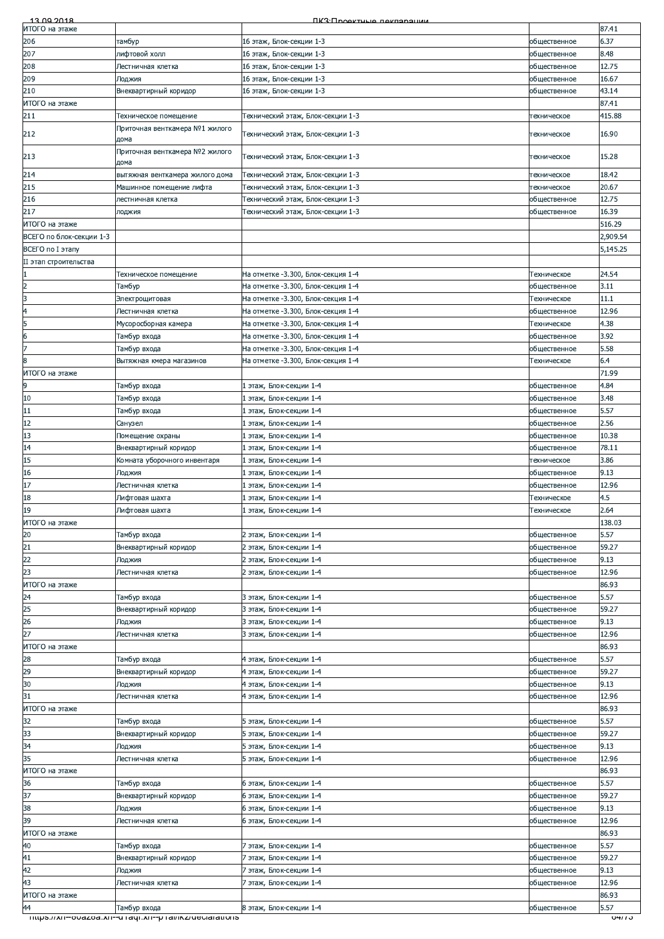| 13.00.2018               |                                                       | ПКЗ:Проектице пекларации           |              |                    |
|--------------------------|-------------------------------------------------------|------------------------------------|--------------|--------------------|
| ИТОГО на этаже           |                                                       |                                    |              | 87.41              |
| 206                      | тамбур                                                | 16 этаж, Блок-секции 1-3           | общественное | 6.37               |
| 207                      | лифтовой холл                                         | 16 этаж, Блок-секции 1-3           | общественное | 8.48               |
| 208                      | Лестничная клетка                                     | 16 этаж, Блок-секции 1-3           | общественное | 12.75              |
|                          |                                                       |                                    |              |                    |
| 209                      | Лоджия                                                | 16 этаж, Блок-секции 1-3           | общественное | 16.67              |
| 210                      | Внеквартирный коридор                                 | 16 этаж, Блок-секции 1-3           | общественное | 43.14              |
| ИТОГО на этаже           |                                                       |                                    |              | 87.41              |
| 211                      | Техническое помещение                                 | Гехнический этаж, Блок-секции 1-3  | техническое  | 415.88             |
|                          |                                                       |                                    |              |                    |
| 212                      | Приточная венткамера №1 жилого                        | Технический этаж, Блок-секции 1-3  | техническое  | 16.90              |
|                          | дома                                                  |                                    |              |                    |
|                          | Приточная венткамера №2 жилого                        |                                    |              | 15.28              |
| 213                      | дома                                                  | Технический этаж, Блок-секции 1-3  | техническое  |                    |
| 214                      | вытяжная венткамера жилого дома                       | Гехнический этаж, Блок-секции 1-3  | техническое  | 18.42              |
|                          |                                                       |                                    |              |                    |
| 215                      | Машинное помещение лифта                              | Гехнический этаж, Блок-секции 1-3  | техническое  | 20.67              |
| 216                      | лестничная клетка                                     | Гехнический этаж, Блок-секции 1-3  | общественное | 12.75              |
| 217                      | лоджия                                                | Гехнический этаж, Блок-секции 1-3  | общественное | 16.39              |
| ИТОГО на этаже           |                                                       |                                    |              | 516.29             |
| ВСЕГО по блок-секции 1-3 |                                                       |                                    |              | 2,909.54           |
|                          |                                                       |                                    |              |                    |
| ВСЕГО по I этапу         |                                                       |                                    |              | 5,145.25           |
| II этап строительства    |                                                       |                                    |              |                    |
|                          | Техническое помещение                                 | На отметке -3.300, Блок-секция 1-4 | Техническое  | 24.54              |
| $\overline{\mathbf{c}}$  |                                                       | На отметке -3.300, Блок-секция 1-4 |              | 3.11               |
|                          | Тамбур                                                |                                    | общественное |                    |
| 3                        | Электрощитовая                                        | На отметке -3.300, Блок-секция 1-4 | Техническое  | 11.1               |
| $\overline{4}$           | Лестничная клетка                                     | На отметке -3.300, Блок-секция 1-4 | общественное | 12.96              |
| 5                        | Мусоросборная камера                                  | На отметке -3.300, Блок-секция 1-4 | Техническое  | 4.38               |
| 6                        | Тамбур входа                                          | На отметке -3.300, Блок-секция 1-4 | общественное | 3.92               |
|                          |                                                       |                                    |              |                    |
| $\overline{7}$           | Тамбур входа                                          | На отметке -3.300, Блок-секция 1-4 | общественное | 5.58               |
| 8                        | Вытяжная кмера магазинов                              | На отметке -3.300, Блок-секция 1-4 | Техническое  | 6.4                |
| ИТОГО на этаже           |                                                       |                                    |              | 71.99              |
|                          |                                                       |                                    |              |                    |
| $\overline{9}$           | Тамбур входа                                          | l этаж, Блок-секции 1-4            | общественное | 4.84               |
| 10                       | Тамбур входа                                          | l этаж, Блок-секции 1-4            | общественное | 3.48               |
| 11                       | Тамбур входа                                          | l этаж, Блок-секции 1-4            | общественное | 5.57               |
| 12                       | Санузел                                               | . этаж, Блок-секции 1-4            | общественное | 2.56               |
|                          |                                                       |                                    |              |                    |
| 13                       | Помещение охраны                                      | . этаж, Блок-секции 1-4            | общественное | 10.38              |
| 14                       | Внеквартирный коридор                                 | . этаж, Блок-секции 1-4            | общественное | 78.11              |
| 15                       | Комната уборочного инвентаря                          | . этаж, Блок-секции 1-4            | техническое  | 3.86               |
| 16                       | Лоджия                                                | . этаж, Блок-секции 1-4            | общественное | 9.13               |
|                          |                                                       |                                    |              |                    |
| 17                       | Лестничная клетка                                     | . этаж, Блок-секции 1-4            | общественное | 12.96              |
| 18                       | Лифтовая шахта                                        | l этаж, Блок-секции 1-4            | Техническое  | 4.5                |
| 19                       | Лифтовая шахта                                        | . этаж, Блок-секции 1-4            | Техническое  | 2.64               |
| ИТОГО на этаже           |                                                       |                                    |              | 138.03             |
|                          |                                                       |                                    |              |                    |
| 20                       | Тамбур входа                                          | 2 этаж, Блок-секции 1-4            | общественное | 5.57               |
|                          | Внеквартирный коридор                                 | 2 этаж, Блок-секции 1-4            | общественное | 59.27              |
| $\frac{21}{22}$          | Лоджия                                                | 2 этаж, Блок-секции 1-4            | общественное | 9.13               |
| $\overline{23}$          | Лестничная клетка                                     | 2 этаж, Блок-секции 1-4            | общественное | 12.96              |
|                          |                                                       |                                    |              |                    |
| ИТОГО на этаже           |                                                       |                                    |              | 86.93              |
| 24                       | Тамбур входа                                          | 3 этаж, Блок-секции 1-4            | общественное | 5.57               |
| 25                       | Внеквартирный коридор                                 | 3 этаж, Блок-секции 1-4            | общественное | 59.27              |
| 26                       | Лоджия                                                | 3 этаж, Блок-секции 1-4            | общественное | 9.13               |
|                          |                                                       |                                    |              |                    |
| 27                       | Лестничная клетка                                     | 3 этаж, Блок-секции 1-4            | общественное | 12.96              |
| ИТОГО на этаже           |                                                       |                                    |              | 86.93              |
| 28                       | Тамбур входа                                          | 4 этаж, Блок-секции 1-4            | общественное | 5.57               |
| 29                       |                                                       |                                    |              | 59.27              |
|                          | Внеквартирный коридор                                 | 4 этаж, Блок-секции 1-4            | общественное |                    |
| 30                       | Лоджия                                                | 4 этаж, Блок-секции 1-4            | общественное | 9.13               |
| 31                       | Лестничная клетка                                     | 4 этаж, Блок-секции 1-4            | общественное | 12.96              |
| ИТОГО на этаже           |                                                       |                                    |              | 86.93              |
| 32                       | Тамбур входа                                          | 5 этаж, Блок-секции 1-4            | общественное | 5.57               |
|                          |                                                       |                                    |              |                    |
| 33                       | Внеквартирный коридор                                 | 5 этаж, Блок-секции 1-4            | общественное | 59.27              |
| 34                       | Лоджия                                                | 5 этаж, Блок-секции 1-4            | общественное | 9.13               |
| 35                       | Лестничная клетка                                     | 5 этаж, Блок-секции 1-4            | общественное | 12.96              |
| ИТОГО на этаже           |                                                       |                                    |              | 86.93              |
|                          |                                                       |                                    |              |                    |
| 36                       | Тамбур входа                                          | 6 этаж, Блок-секции 1-4            | общественное | 5.57               |
| 37                       | Внеквартирный коридор                                 | 6 этаж, Блок-секции 1-4            | общественное | 59.27              |
| 38                       | Лоджия                                                | 6 этаж, Блок-секции 1-4            | общественное | 9.13               |
| 39                       | Лестничная клетка                                     | 6 этаж, Блок-секции 1-4            | общественное | 12.96              |
|                          |                                                       |                                    |              |                    |
| ИТОГО на этаже           |                                                       |                                    |              | 86.93              |
| 40                       | Тамбур входа                                          | 7 этаж, Блок-секции 1-4            | общественное | 5.57               |
| 41                       | Внеквартирный коридор                                 | 7 этаж, Блок-секции 1-4            | общественное | 59.27              |
|                          |                                                       |                                    |              | 9.13               |
| 42                       | Лоджия                                                | ' этаж, Блок-секции 1-4            | общественное |                    |
| 43                       | Лестничная клетка                                     | 7 этаж, Блок-секции 1-4            | общественное | 12.96              |
| ИТОГО на этаже           |                                                       |                                    |              | 86.93              |
| 44                       | Тамбур входа                                          | 8 этаж, Блок-секции 1-4            | общественное | 5.57               |
|                          | mups.//xn--ovazoa.xn--u raqr.xn--p ramxz/ueclarations |                                    |              | ত <del>477 ১</del> |
|                          |                                                       |                                    |              |                    |
|                          |                                                       |                                    |              |                    |
|                          |                                                       |                                    |              |                    |
|                          |                                                       |                                    |              |                    |
|                          |                                                       |                                    |              |                    |
|                          |                                                       |                                    |              |                    |
|                          |                                                       |                                    |              |                    |
|                          |                                                       |                                    |              |                    |
|                          |                                                       |                                    |              |                    |
|                          |                                                       |                                    |              |                    |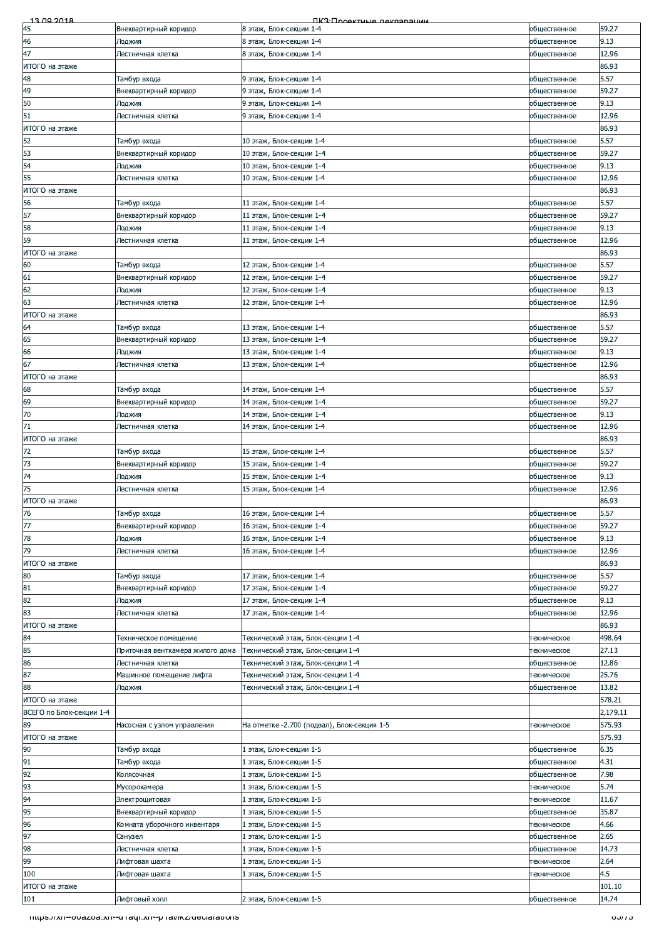| 13.00.2018               |                                                         | <b><i><u>IK3: Проектична паклярации</u></i></b> |              |          |
|--------------------------|---------------------------------------------------------|-------------------------------------------------|--------------|----------|
| 45                       | Внеквартирный коридор                                   | 8 этаж, Блок-секции 1-4                         | общественное | 59.27    |
| 46                       | Лоджия                                                  | 8 этаж, Блок-секции 1-4                         | общественное | 9.13     |
| 47                       | Лестничная клетка                                       | 8 этаж, Блок-секции 1-4                         | общественное | 12.96    |
| ИТОГО на этаже           |                                                         |                                                 |              | 86.93    |
| 48                       | Тамбур входа                                            | 9 этаж, Блок-секции 1-4                         | общественное | 5.57     |
| 49                       | Внеквартирный коридор                                   | 9 этаж, Блок-секции 1-4                         | общественное | 59.27    |
| 50                       | Лоджия                                                  | 9 этаж, Блок-секции 1-4                         | общественное | 9.13     |
| 51                       | Лестничная клетка                                       | 9 этаж, Блок-секции 1-4                         | общественное | 12.96    |
| ИТОГО на этаже           |                                                         |                                                 |              | 86.93    |
| 52                       | Тамбур входа                                            | 10 этаж, Блок-секции 1-4                        | общественное | 5.57     |
| 53                       |                                                         | 10 этаж, Блок-секции 1-4                        |              | 59.27    |
|                          | Внеквартирный коридор                                   |                                                 | общественное |          |
| 54                       | Лоджия                                                  | 10 этаж, Блок-секции 1-4                        | общественное | 9.13     |
| 55                       | Лестничная клетка                                       | 10 этаж, Блок-секции 1-4                        | общественное | 12.96    |
| ИТОГО на этаже           |                                                         |                                                 |              | 86.93    |
| 56                       | Тамбур входа                                            | 11 этаж, Блок-секции 1-4                        | общественное | 5.57     |
| 57                       | Внеквартирный коридор                                   | 11 этаж, Блок-секции 1-4                        | общественное | 59.27    |
| 58                       | Лоджия                                                  | 11 этаж, Блок-секции 1-4                        | общественное | 9.13     |
| 59                       | Лестничная клетка                                       | 11 этаж, Блок-секции 1-4                        | общественное | 12.96    |
| ИТОГО на этаже           |                                                         |                                                 |              | 86.93    |
| 60                       | Тамбур входа                                            | 12 этаж, Блок-секции 1-4                        | общественное | 5.57     |
| 61                       | Внеквартирный коридор                                   | 12 этаж, Блок-секции 1-4                        | общественное | 59.27    |
| 62                       | Лоджия                                                  | 12 этаж, Блок-секции 1-4                        | общественное | 9.13     |
| 63                       | Лестничная клетка                                       | 12 этаж, Блок-секции 1-4                        | общественное | 12.96    |
| ИТОГО на этаже           |                                                         |                                                 |              | 86.93    |
| 64                       | Тамбур входа                                            | 13 этаж, Блок-секции 1-4                        | общественное | 5.57     |
| 65                       | Внеквартирный коридор                                   | 13 этаж, Блок-секции 1-4                        | общественное | 59.27    |
| 66                       | Лоджия                                                  | 13 этаж, Блок-секции 1-4                        | общественное | 9.13     |
| 67                       |                                                         |                                                 |              | 12.96    |
|                          | Лестничная клетка                                       | 13 этаж, Блок-секции 1-4                        | общественное |          |
| ИТОГО на этаже           |                                                         |                                                 |              | 86.93    |
| 68                       | Тамбур входа                                            | 14 этаж, Блок-секции 1-4                        | общественное | 5.57     |
| 69                       | Внеквартирный коридор                                   | 14 этаж, Блок-секции 1-4                        | общественное | 59.27    |
| 70                       | Лоджия                                                  | 14 этаж, Блок-секции 1-4                        | общественное | 9.13     |
| 71                       | Лестничная клетка                                       | 14 этаж, Блок-секции 1-4                        | общественное | 12.96    |
| ИТОГО на этаже           |                                                         |                                                 |              | 86.93    |
| 72                       | Тамбур входа                                            | 15 этаж, Блок-секции 1-4                        | общественное | 5.57     |
| 73                       | Внеквартирный коридор                                   | 15 этаж, Блок-секции 1-4                        | общественное | 59.27    |
| 74                       | Лоджия                                                  | 15 этаж, Блок-секции 1-4                        | общественное | 9.13     |
| 75                       | Лестничная клетка                                       | 15 этаж, Блок-секции 1-4                        | общественное | 12.96    |
| ИТОГО на этаже           |                                                         |                                                 |              | 86.93    |
| 76                       | Тамбур входа                                            | 16 этаж, Блок-секции 1-4                        | общественное | 5.57     |
| 77                       | Внеквартирный коридор                                   | 16 этаж, Блок-секции 1-4                        | общественное | 59.27    |
| 78                       | Лоджия                                                  | 16 этаж, Блок-секции 1-4                        | общественное | 9.13     |
| 79                       | Лестничная клетка                                       | 16 этаж, Блок-секции 1-4                        | общественное | 12.96    |
| ИТОГО на этаже           |                                                         |                                                 |              | 86.93    |
|                          |                                                         |                                                 |              |          |
| 80                       | Тамбур входа                                            | 17 этаж, Блок-секции 1-4                        | общественное | 5.57     |
| 81                       | Внеквартирный коридор                                   | 17 этаж, Блок-секции 1-4                        | общественное | 59.27    |
| 82                       | Лоджия                                                  | 17 этаж, Блок-секции 1-4                        | общественное | 9.13     |
| 83                       | Лестничная клетка                                       | 17 этаж, Блок-секции 1-4                        | общественное | 12.96    |
| ИТОГО на этаже           |                                                         |                                                 |              | 86.93    |
| 84                       | Техническое помещение                                   | Технический этаж, Блок-секции 1-4               | техническое  | 498.64   |
| 85                       | Приточная венткамера жилого дома                        | Технический этаж, Блок-секции 1-4               | техническое  | 27.13    |
| 86                       | Лестничная клетка                                       | Гехнический этаж, Блок-секции 1-4               | общественное | 12.86    |
| 87                       | Машинное помещение лифта                                | Гехнический этаж, Блок-секции 1-4               | техническое  | 25.76    |
| 88                       | Лоджия                                                  | Технический этаж, Блок-секции 1-4               | общественное | 13.82    |
| ИТОГО на этаже           |                                                         |                                                 |              | 578.21   |
| ВСЕГО по Блок-секции 1-4 |                                                         |                                                 |              | 2,179.11 |
| 89                       | Насосная с узлом управления                             | На отметке -2.700 (подвал), Блок-секция 1-5     | техническое  | 575.93   |
| ИТОГО на этаже           |                                                         |                                                 |              | 575.93   |
| 90                       | Тамбур входа                                            | . этаж, Блок-секции 1-5                         | общественное | 6.35     |
| 91                       | Тамбур входа                                            | этаж, Блок-секции 1-5                           | общественное | 4.31     |
| 92                       | Колясочная                                              | . этаж, Блок-секции 1-5                         | общественное | 7.98     |
| 93                       | Мусорокамера                                            | l этаж, Блок-секции 1-5                         | техническое  | 5.74     |
| 94                       |                                                         |                                                 |              | 11.67    |
|                          | Электрощитовая                                          | этаж, Блок-секции 1-5                           | техническое  |          |
| 95                       | Внеквартирный коридор                                   | этаж, Блок-секции 1-5                           | общественное | 35.87    |
| 96                       | Комната уборочного инвентаря                            | . этаж, Блок-секции 1-5                         | техническое  | 4.66     |
| 97                       | Санузел                                                 | . этаж, Блок-секции 1-5                         | общественное | 2.65     |
| 98                       | Лестничная клетка                                       | этаж, Блок-секции 1-5                           | общественное | 14.73    |
| 99                       | Лифтовая шахта                                          | . этаж, Блок-секции 1-5                         | техническое  | 2.64     |
| 100                      | Лифтовая шахта                                          | . этаж, Блок-секции 1-5                         | техническое  | 4.5      |
| ИТОГО на этаже           |                                                         |                                                 |              | 101.10   |
| 101                      | Лифтовый холл                                           | 2 этаж, Блок-секции 1-5                         | общественное | 14.74    |
|                          |                                                         |                                                 |              |          |
|                          | - mups.//xn--ovazoa.xn--u raqr.xn--p ramxz/ueciarations |                                                 |              | 00773    |
|                          |                                                         |                                                 |              |          |
|                          |                                                         |                                                 |              |          |
|                          |                                                         |                                                 |              |          |
|                          |                                                         |                                                 |              |          |
|                          |                                                         |                                                 |              |          |
|                          |                                                         |                                                 |              |          |
|                          |                                                         |                                                 |              |          |
|                          |                                                         |                                                 |              |          |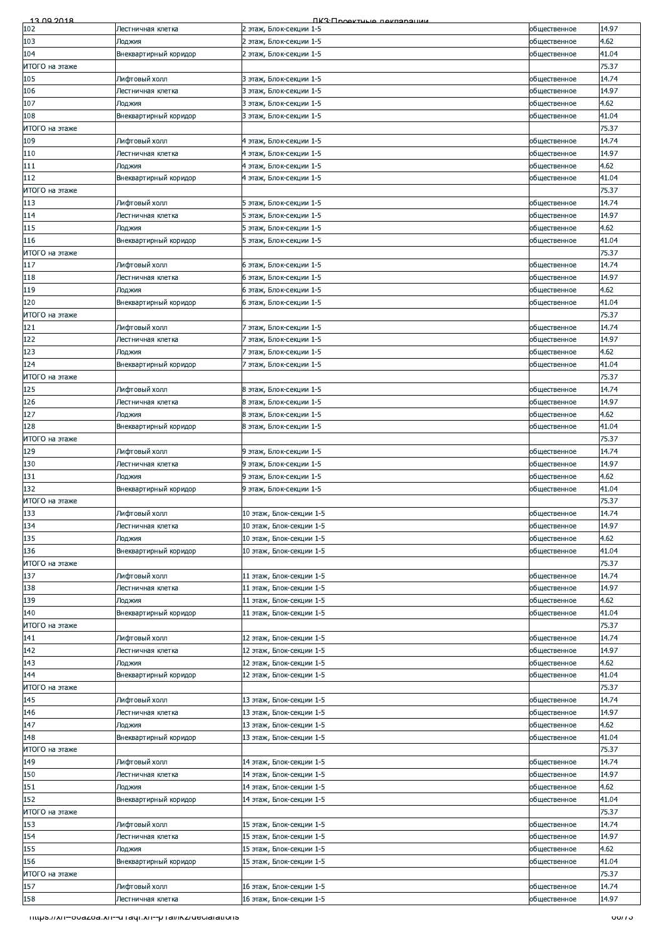| 13.00.2018            |                                                          | <b><i><u>IK3: Проектные пекларации</u></i></b>       |                              |                |
|-----------------------|----------------------------------------------------------|------------------------------------------------------|------------------------------|----------------|
| 102                   | Лестничная клетка                                        | 2 этаж, Блок-секции 1-5                              | общественное                 | 14.97          |
| 103<br>104            | Лоджия<br>Внеквартирный коридор                          | 2 этаж, Блок-секции 1-5<br>2 этаж, Блок-секции 1-5   | общественное<br>общественное | 4.62<br>41.04  |
| ИТОГО на этаже        |                                                          |                                                      |                              | 75.37          |
| 105                   | Лифтовый холл                                            | 3 этаж, Блок-секции 1-5                              | общественное                 | 14.74          |
| 106                   | Лестничная клетка                                        | 3 этаж, Блок-секции 1-5                              | общественное                 | 14.97          |
| 107                   | Лоджия                                                   | 3 этаж, Блок-секции 1-5                              | общественное                 | 4.62           |
| 108                   | Внеквартирный коридор                                    | 3 этаж, Блок-секции 1-5                              | общественное                 | 41.04          |
| ИТОГО на этаже<br>109 | Лифтовый холл                                            |                                                      |                              | 75.37<br>14.74 |
| 110                   | Лестничная клетка                                        | 4 этаж, Блок-секции 1-5<br>4 этаж, Блок-секции 1-5   | общественное<br>общественное | 14.97          |
| 111                   | Лоджия                                                   | 4 этаж, Блок-секции 1-5                              | общественное                 | 4.62           |
| 112                   | Внеквартирный коридор                                    | 4 этаж, Блок-секции 1-5                              | общественное                 | 41.04          |
| ИТОГО на этаже        |                                                          |                                                      |                              | 75.37          |
| 113                   | Лифтовый холл                                            | 5 этаж, Блок-секции 1-5                              | общественное                 | 14.74          |
| 114                   | Лестничная клетка                                        | 5 этаж, Блок-секции 1-5                              | общественное                 | 14.97          |
| 115<br>116            | Лоджия<br>Внеквартирный коридор                          | 5 этаж, Блок-секции 1-5<br>5 этаж, Блок-секции 1-5   | общественное<br>общественное | 4.62<br>41.04  |
| ИТОГО на этаже        |                                                          |                                                      |                              | 75.37          |
| 117                   | Лифтовый холл                                            | 6 этаж, Блок-секции 1-5                              | общественное                 | 14.74          |
| 118                   | Лестничная клетка                                        | 6 этаж, Блок-секции 1-5                              | общественное                 | 14.97          |
| 119                   | Лоджия                                                   | 6 этаж, Блок-секции 1-5                              | общественное                 | 4.62           |
| 120                   | Внеквартирный коридор                                    | 6 этаж, Блок-секции 1-5                              | общественное                 | 41.04          |
| ИТОГО на этаже        | Лифтовый холл                                            |                                                      |                              | 75.37          |
| 121<br>122            | Лестничная клетка                                        | 7 этаж, Блок-секции 1-5<br>7 этаж, Блок-секции 1-5   | общественное<br>общественное | 14.74<br>14.97 |
| 123                   | Лоджия                                                   | 7 этаж, Блок-секции 1-5                              | общественное                 | 4.62           |
| 124                   | Внеквартирный коридор                                    | 7 этаж, Блок-секции 1-5                              | общественное                 | 41.04          |
| ИТОГО на этаже        |                                                          |                                                      |                              | 75.37          |
| 125                   | Лифтовый холл                                            | 8 этаж, Блок-секции 1-5                              | общественное                 | 14.74          |
| 126                   | Лестничная клетка                                        | 8 этаж, Блок-секции 1-5                              | общественное                 | 14.97          |
| 127                   | Лоджия                                                   | 8 этаж, Блок-секции 1-5                              | общественное                 | 4.62           |
| 128<br>ИТОГО на этаже | Внеквартирный коридор                                    | 8 этаж, Блок-секции 1-5                              | общественное                 | 41.04<br>75.37 |
| 129                   | Лифтовый холл                                            | 9 этаж, Блок-секции 1-5                              | общественное                 | 14.74          |
| 130                   | Лестничная клетка                                        | 9 этаж, Блок-секции 1-5                              | общественное                 | 14.97          |
| 131                   | Лоджия                                                   | 9 этаж, Блок-секции 1-5                              | общественное                 | 4.62           |
| 132                   | Внеквартирный коридор                                    | 9 этаж, Блок-секции 1-5                              | общественное                 | 41.04          |
| ИТОГО на этаже        |                                                          |                                                      |                              | 75.37          |
| 133<br>134            | Лифтовый холл<br>Лестничная клетка                       | 10 этаж, Блок-секции 1-5<br>10 этаж, Блок-секции 1-5 | общественное<br>общественное | 14.74<br>14.97 |
| 135                   | Лоджия                                                   | 10 этаж, Блок-секции 1-5                             | общественное                 | 4.62           |
|                       |                                                          |                                                      |                              |                |
| 136                   | Внеквартирный коридор                                    | 10 этаж, Блок-секции 1-5                             | общественное                 | 41.04          |
| ИТОГО на этаже        |                                                          |                                                      |                              | 75.37          |
| 137                   | Лифтовый холл                                            | 11 этаж, Блок-секции 1-5                             | общественное                 | 14.74          |
| 138                   | Лестничная клетка                                        | 11 этаж, Блок-секции 1-5                             | общественное                 | 14.97          |
| 139                   | Лоджия                                                   | 11 этаж, Блок-секции 1-5                             | общественное                 | 4.62           |
| 140                   | Внеквартирный коридор                                    | 11 этаж, Блок-секции 1-5                             | общественное                 | 41.04          |
|                       |                                                          |                                                      |                              | 75.37<br>14.74 |
| 141<br>142            | Лифтовый холл<br>Лестничная клетка                       | 12 этаж, Блок-секции 1-5<br>12 этаж, Блок-секции 1-5 | общественное<br>общественное | 14.97          |
| 143                   | Лоджия                                                   | 12 этаж, Блок-секции 1-5                             | общественное                 | 4.62           |
| ИТОГО на этаже<br>144 | Внеквартирный коридор                                    | 12 этаж, Блок-секции 1-5                             | общественное                 | 41.04          |
| ИТОГО на этаже        |                                                          |                                                      |                              | 75.37          |
| 145                   | Лифтовый холл                                            | 13 этаж, Блок-секции 1-5                             | общественное                 | 14.74          |
| 146<br>147            | Лестничная клетка<br>Лоджия                              | 13 этаж, Блок-секции 1-5<br>13 этаж, Блок-секции 1-5 | общественное<br>общественное | 14.97<br>4.62  |
| 148                   | Внеквартирный коридор                                    | 13 этаж, Блок-секции 1-5                             | общественное                 | 41.04          |
| ИТОГО на этаже        |                                                          |                                                      |                              | 75.37          |
| 149                   | Лифтовый холл                                            | 14 этаж, Блок-секции 1-5                             | общественное                 | 14.74          |
| 150                   | Лестничная клетка                                        | 14 этаж, Блок-секции 1-5                             | общественное                 | 14.97          |
| 151                   | Лоджия                                                   | 14 этаж, Блок-секции 1-5                             | общественное                 | 4.62           |
| 152<br>ИТОГО на этаже | Внеквартирный коридор                                    | 14 этаж, Блок-секции 1-5                             | общественное                 | 41.04<br>75.37 |
| 153                   | Лифтовый холл                                            | 15 этаж, Блок-секции 1-5                             | общественное                 | 14.74          |
| 154                   | Лестничная клетка                                        | 15 этаж, Блок-секции 1-5                             | общественное                 | 14.97          |
| 155                   | Лоджия                                                   | 15 этаж, Блок-секции 1-5                             | общественное                 | 4.62           |
| 156                   | Внеквартирный коридор                                    | 15 этаж, Блок-секции 1-5                             | общественное                 | 41.04          |
| ИТОГО на этаже        |                                                          |                                                      |                              | 75.37          |
| 157                   | Лифтовый холл                                            | 16 этаж, Блок-секции 1-5                             | общественное                 | 14.74          |
| 158                   | Лестничная клетка                                        | 16 этаж, Блок-секции 1-5                             | общественное                 | 14.97          |
|                       | https.//xn--ovazoa.xn--u raqr.xn--p rai/ikz/declarations |                                                      |                              | 00/13          |
|                       |                                                          |                                                      |                              |                |
|                       |                                                          |                                                      |                              |                |
|                       |                                                          |                                                      |                              |                |
|                       |                                                          |                                                      |                              |                |
|                       |                                                          |                                                      |                              |                |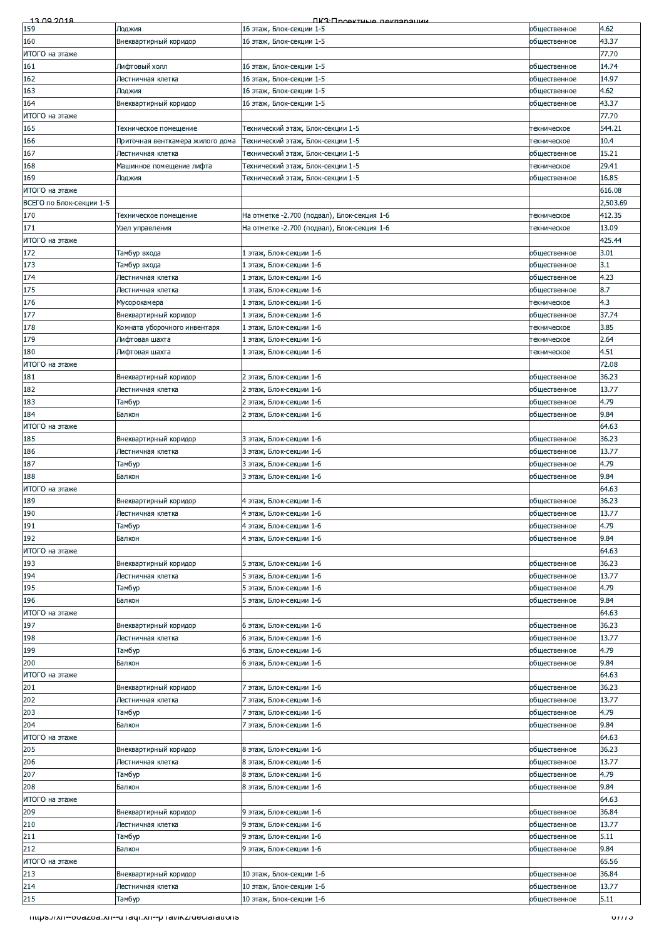|                                                                     |                                                         | <u> FIKR: Продитициа паклараци</u>          |              |          |
|---------------------------------------------------------------------|---------------------------------------------------------|---------------------------------------------|--------------|----------|
| 159                                                                 | Лоджия                                                  | 16 этаж, Блок-секции 1-5                    | общественное | 4.62     |
| 160                                                                 | Внеквартирный коридор                                   | 16 этаж, Блок-секции 1-5                    | общественное | 43.37    |
| ИТОГО на этаже                                                      |                                                         |                                             |              | 77.70    |
| 161                                                                 | Лифтовый холл                                           | 16 этаж, Блок-секции 1-5                    | общественное | 14.74    |
| 162                                                                 | Лестничная клетка                                       | 16 этаж, Блок-секции 1-5                    | общественное | 14.97    |
| 163                                                                 | Лоджия                                                  | 16 этаж, Блок-секции 1-5                    | общественное | 4.62     |
|                                                                     |                                                         | 16 этаж, Блок-секции 1-5                    |              | 43.37    |
| 164                                                                 | Внеквартирный коридор                                   |                                             | общественное |          |
| ИТОГО на этаже                                                      |                                                         |                                             |              | 77.70    |
| 165                                                                 | Гехническое помещение                                   | Гехнический этаж, Блок-секции 1-5           | техническое  | 544.21   |
| 166                                                                 | Приточная венткамера жилого дома                        | Гехнический этаж, Блок-секции 1-5           | техническое  | 10.4     |
| 167                                                                 | Лестничная клетка                                       | Гехнический этаж, Блок-секции 1-5           | общественное | 15.21    |
| 168                                                                 | Машинное помещение лифта                                | Гехнический этаж, Блок-секции 1-5           | техническое  | 29.41    |
| 169                                                                 | Лоджия                                                  | Технический этаж, Блок-секции 1-5           | общественное | 16.85    |
| ИТОГО на этаже                                                      |                                                         |                                             |              | 616.08   |
| ВСЕГО по Блок-секции 1-5                                            |                                                         |                                             |              | 2,503.69 |
| 170                                                                 | Техническое помещение                                   | На отметке -2.700 (подвал), Блок-секция 1-6 | техническое  | 412.35   |
| 171                                                                 | Узел управления                                         | На отметке -2.700 (подвал), Блок-секция 1-6 | техническое  | 13.09    |
|                                                                     |                                                         |                                             |              | 425.44   |
| ИТОГО на этаже                                                      |                                                         |                                             |              |          |
| 172                                                                 | Тамбур входа                                            | 1 этаж, Блок-секции 1-6                     | общественное | 3.01     |
| 173                                                                 | Тамбур входа                                            | этаж, Блок-секции 1-6                       | общественное | 3.1      |
| 174                                                                 | Лестничная клетка                                       | этаж, Блок-секции 1-6                       | общественное | 4.23     |
| 175                                                                 | Лестничная клетка                                       | этаж, Блок-секции 1-6                       | общественное | 8.7      |
| 176                                                                 | Мусорокамера                                            | I этаж, Блок-секции 1-6                     | техническое  | 4.3      |
| 177                                                                 | Внеквартирный коридор                                   | 1 этаж, Блок-секции 1-6                     | общественное | 37.74    |
| 178                                                                 | Комната уборочного инвентаря                            | l этаж, Блок-секции 1-6                     | техническое  | 3.85     |
| 179                                                                 | Лифтовая шахта                                          | 1 этаж, Блок-секции 1-6                     | техническое  | 2.64     |
| 180                                                                 | Лифтовая шахта                                          | 1 этаж, Блок-секции 1-6                     | техническое  | 4.51     |
| ИТОГО на этаже                                                      |                                                         |                                             |              | 72.08    |
|                                                                     |                                                         |                                             |              |          |
| 181                                                                 | Внеквартирный коридор                                   | 2 этаж, Блок-секции 1-6                     | общественное | 36.23    |
| 182                                                                 | Лестничная клетка                                       | 2 этаж, Блок-секции 1-6                     | общественное | 13.77    |
| 183                                                                 | Тамбур                                                  | 2 этаж, Блок-секции 1-6                     | общественное | 4.79     |
| 184                                                                 | Балкон                                                  | 2 этаж, Блок-секции 1-6                     | общественное | 9.84     |
| ИТОГО на этаже                                                      |                                                         |                                             |              | 64.63    |
| 185                                                                 | Внеквартирный коридор                                   | 3 этаж, Блок-секции 1-6                     | общественное | 36.23    |
| 186                                                                 | Лестничная клетка                                       | 3 этаж, Блок-секции 1-6                     | общественное | 13.77    |
| 187                                                                 | Тамбур                                                  | 3 этаж, Блок-секции 1-6                     | общественное | 4.79     |
| 188                                                                 | Балкон                                                  | 3 этаж, Блок-секции 1-6                     | общественное | 9.84     |
| ИТОГО на этаже                                                      |                                                         |                                             |              | 64.63    |
|                                                                     |                                                         |                                             |              |          |
| 189                                                                 | Внеквартирный коридор                                   | 4 этаж, Блок-секции 1-6                     | общественное | 36.23    |
| 190                                                                 | Лестничная клетка                                       | 4 этаж, Блок-секции 1-6                     | общественное | 13.77    |
| 191                                                                 | Тамбур                                                  | 4 этаж, Блок-секции 1-6                     | общественное | 4.79     |
| 192                                                                 | Балкон                                                  | 4 этаж, Блок-секции 1-6                     | общественное | 9.84     |
| ИТОГО на этаже                                                      |                                                         |                                             |              | 64.63    |
| 193                                                                 | Внеквартирный коридор                                   | 5 этаж, Блок-секции 1-6                     | общественное | 36.23    |
| 194                                                                 | Лестничная клетка                                       | 5 этаж, Блок-секции 1-6                     | общественное | 13.77    |
| 195                                                                 | Тамбур                                                  | 5 этаж, Блок-секции 1-6                     | общественное | 4.79     |
| 196                                                                 | Балкон                                                  | 5 этаж, Блок-секции 1-6                     | общественное | 9.84     |
| ИТОГО на этаже                                                      |                                                         |                                             |              | 64.63    |
| 197                                                                 | Внеквартирный коридор                                   | 6 этаж, Блок-секции 1-6                     | общественное | 36.23    |
| 198                                                                 |                                                         |                                             |              |          |
| 199                                                                 |                                                         |                                             |              |          |
|                                                                     | Лестничная клетка                                       | 6 этаж, Блок-секции 1-6                     | общественное | 13.77    |
|                                                                     | Тамбур                                                  | 6 этаж, Блок-секции 1-6                     | общественное | 4.79     |
| 200                                                                 | Балкон                                                  | 6 этаж, Блок-секции 1-6                     | общественное | 9.84     |
| ИТОГО на этаже                                                      |                                                         |                                             |              | 64.63    |
| 201                                                                 | Внеквартирный коридор                                   | 7 этаж, Блок-секции 1-6                     | общественное | 36.23    |
|                                                                     | Лестничная клетка                                       | 7 этаж, Блок-секции 1-6                     | общественное | 13.77    |
|                                                                     | Тамбур                                                  | 7 этаж, Блок-секции 1-6                     | общественное | 4.79     |
| 204                                                                 | Балкон                                                  | 7 этаж, Блок-секции 1-6                     | общественное | 9.84     |
| ИТОГО на этаже                                                      |                                                         |                                             |              | 64.63    |
| 205                                                                 | Внеквартирный коридор                                   | 8 этаж, Блок-секции 1-6                     | общественное | 36.23    |
| 206                                                                 | Лестничная клетка                                       | 8 этаж, Блок-секции 1-6                     | общественное | 13.77    |
| 207                                                                 |                                                         |                                             |              | 4.79     |
|                                                                     | Тамбур                                                  | 8 этаж, Блок-секции 1-6                     | общественное |          |
|                                                                     | Балкон                                                  | 8 этаж, Блок-секции 1-6                     | общественное | 9.84     |
|                                                                     |                                                         |                                             |              | 64.63    |
| 209                                                                 | Внеквартирный коридор                                   | 9 этаж, Блок-секции 1-6                     | общественное | 36.84    |
|                                                                     | Лестничная клетка                                       | 9 этаж, Блок-секции 1-6                     | общественное | 13.77    |
| 211                                                                 | Тамбур                                                  | 9 этаж, Блок-секции 1-6                     | общественное | 5.11     |
|                                                                     | Балкон                                                  | 9 этаж, Блок-секции 1-6                     | общественное | 9.84     |
| 202<br>203<br>208<br>ИТОГО на этаже<br>210<br>212<br>ИТОГО на этаже |                                                         |                                             |              | 65.56    |
| 213                                                                 | Внеквартирный коридор                                   | 10 этаж, Блок-секции 1-6                    | общественное | 36.84    |
| 214                                                                 | Лестничная клетка                                       | 10 этаж, Блок-секции 1-6                    | общественное | 13.77    |
|                                                                     | Тамбур                                                  | 10 этаж, Блок-секции 1-6                    | общественное | 5.11     |
| 215                                                                 |                                                         |                                             |              |          |
|                                                                     | Thttps://xn--ovazoa.xn--unaqr.xn--phai/ikz/declarations |                                             |              | 01113    |
|                                                                     |                                                         |                                             |              |          |
|                                                                     |                                                         |                                             |              |          |
|                                                                     |                                                         |                                             |              |          |
|                                                                     |                                                         |                                             |              |          |
|                                                                     |                                                         |                                             |              |          |
|                                                                     |                                                         |                                             |              |          |
|                                                                     |                                                         |                                             |              |          |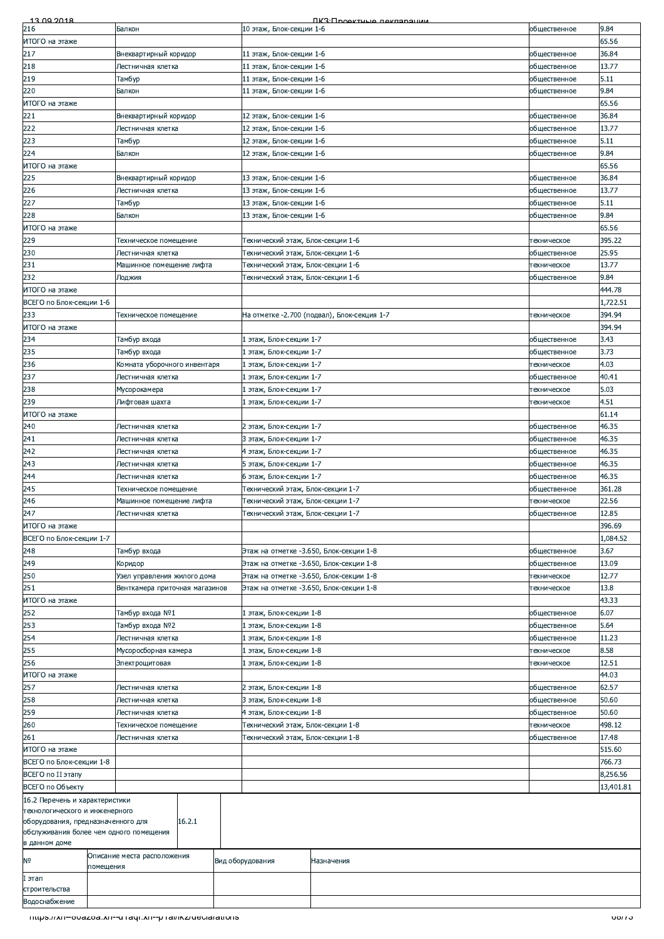| 13.00.2018<br>216                                                | Балкон                                     |                                | 10 этаж, Блок-секции 1-6                                               | <b><i><u>IK3: Проектина пекларации</u></i></b> | общественное                 | 9.84            |
|------------------------------------------------------------------|--------------------------------------------|--------------------------------|------------------------------------------------------------------------|------------------------------------------------|------------------------------|-----------------|
| ИТОГО на этаже                                                   |                                            |                                |                                                                        |                                                |                              | 65.56           |
| 217                                                              | Внеквартирный коридор                      |                                | 11 этаж, Блок-секции 1-6                                               |                                                | общественное                 | 36.84           |
| 218                                                              | Лестничная клетка                          |                                | 11 этаж, Блок-секции 1-6                                               |                                                | общественное                 | 13.77           |
| 219                                                              | Тамбур                                     |                                | 11 этаж, Блок-секции 1-6                                               |                                                | общественное                 | 5.11            |
| 220                                                              | Балкон                                     |                                | 11 этаж, Блок-секции 1-6                                               |                                                | общественное                 | 9.84            |
| ИТОГО на этаже<br>221                                            | Внеквартирный коридор                      |                                | 12 этаж, Блок-секции 1-6                                               |                                                | общественное                 | 65.56<br>36.84  |
| 222                                                              | Лестничная клетка                          |                                | 12 этаж, Блок-секции 1-6                                               |                                                | общественное                 | 13.77           |
| 223                                                              | Тамбур                                     |                                | 12 этаж, Блок-секции 1-6                                               |                                                | общественное                 | 5.11            |
| 224                                                              | Балкон                                     |                                | 12 этаж, Блок-секции 1-6                                               |                                                | общественное                 | 9.84            |
| ИТОГО на этаже                                                   |                                            |                                |                                                                        |                                                |                              | 65.56           |
| 225<br>226                                                       | Внеквартирный коридор<br>Лестничная клетка |                                | 13 этаж, Блок-секции 1-6<br>13 этаж, Блок-секции 1-6                   |                                                | общественное<br>общественное | 36.84<br>13.77  |
| 227                                                              | Тамбур                                     |                                | 13 этаж, Блок-секции 1-6                                               |                                                | общественное                 | 5.11            |
| 228                                                              | Балкон                                     |                                | 13 этаж, Блок-секции 1-6                                               |                                                | общественное                 | 9.84            |
| ИТОГО на этаже                                                   |                                            |                                |                                                                        |                                                |                              | 65.56           |
| 229                                                              | Техническое помещение                      |                                | Технический этаж, Блок-секции 1-6                                      |                                                | техническое                  | 395.22          |
| 230                                                              | Лестничная клетка                          |                                | Технический этаж, Блок-секции 1-6                                      |                                                | общественное                 | 25.95           |
| 231<br>232                                                       | Лоджия                                     | Машинное помещение лифта       | Технический этаж, Блок-секции 1-6<br>Технический этаж, Блок-секции 1-6 |                                                | техническое<br>общественное  | 13.77<br>9.84   |
| ИТОГО на этаже                                                   |                                            |                                |                                                                        |                                                |                              | 444.78          |
| ВСЕГО по Блок-секции 1-6                                         |                                            |                                |                                                                        |                                                |                              | 1,722.51        |
| 233                                                              | Техническое помещение                      |                                |                                                                        | На отметке -2.700 (подвал), Блок-секция 1-7    | техническое                  | 394.94          |
| ИТОГО на этаже                                                   |                                            |                                |                                                                        |                                                |                              | 394.94          |
| 234                                                              | Тамбур входа                               |                                | 1 этаж, Блок-секции 1-7                                                |                                                | общественное                 | 3.43            |
| 235<br>236                                                       | Тамбур входа                               | Комната уборочного инвентаря   | 1 этаж, Блок-секции 1-7<br>1 этаж, Блок-секции 1-7                     |                                                | общественное<br>техническое  | 3.73<br>4.03    |
| 237                                                              | Лестничная клетка                          |                                | 1 этаж, Блок-секции 1-7                                                |                                                | общественное                 | 40.41           |
| 238                                                              | Мусорокамера                               |                                | 1 этаж, Блок-секции 1-7                                                |                                                | техническое                  | 5.03            |
| 239                                                              | Лифтовая шахта                             |                                | 1 этаж, Блок-секции 1-7                                                |                                                | техническое                  | 4.51            |
| ИТОГО на этаже                                                   |                                            |                                |                                                                        |                                                |                              | 61.14           |
| 240<br>241                                                       | Лестничная клетка<br>Лестничная клетка     |                                | 2 этаж, Блок-секции 1-7<br>3 этаж, Блок-секции 1-7                     |                                                | общественное<br>общественное | 46.35<br>46.35  |
| 242                                                              | Лестничная клетка                          |                                | 4 этаж, Блок-секции 1-7                                                |                                                | общественное                 | 46.35           |
| 243                                                              | Лестничная клетка                          |                                | 5 этаж, Блок-секции 1-7                                                |                                                | общественное                 | 46.35           |
| 244                                                              | Лестничная клетка                          |                                | 6 этаж, Блок-секции 1-7                                                |                                                | общественное                 | 46.35           |
| 245                                                              | Техническое помещение                      |                                | Гехнический этаж, Блок-секции 1-7                                      |                                                | общественное                 | 361.28          |
| 246                                                              |                                            | Машинное помещение лифта       | Технический этаж, Блок-секции 1-7                                      |                                                | техническое                  | 22.56           |
| 247<br>ИТОГО на этаже                                            | Лестничная клетка                          |                                | Гехнический этаж, Блок-секции 1-7                                      |                                                | общественное                 | 12.85<br>396.69 |
| ВСЕГО по Блок-секции 1-7                                         |                                            |                                |                                                                        |                                                |                              | 1,084.52        |
| 248                                                              | Тамбур входа                               |                                | Этаж на отметке -3.650, Блок-секции 1-8                                |                                                | общественное                 | 3.67            |
| 249                                                              | Коридор                                    |                                | Этаж на отметке -3.650, Блок-секции 1-8                                |                                                | общественное                 | 13.09           |
| 250                                                              |                                            | Узел управления жилого дома    | Этаж на отметке -3.650, Блок-секции 1-8                                |                                                | техническое                  | 12.77           |
| 251                                                              |                                            | Венткамера приточная магазинов | Этаж на отметке -3.650, Блок-секции 1-8                                |                                                | техническое                  | 13.8            |
| ИТОГО на этаже                                                   |                                            |                                |                                                                        |                                                |                              | 43.33           |
| 252<br>253                                                       | Тамбур входа №1<br>Тамбур входа №2         |                                | 1 этаж, Блок-секции 1-8<br>этаж, Блок-секции 1-8                       |                                                | общественное<br>общественное | 6.07<br>5.64    |
| 254                                                              | Лестничная клетка                          |                                | этаж, Блок-секции 1-8                                                  |                                                | общественное                 | 11.23           |
| 255                                                              | Мусоросборная камера                       |                                | этаж, Блок-секции 1-8                                                  |                                                | техническое                  | 8.58            |
| 256                                                              | Электрощитовая                             |                                | 1-3 этаж, Блок-секции 1-8                                              |                                                | техническое                  | 12.51           |
| ИТОГО на этаже                                                   |                                            |                                |                                                                        |                                                |                              | 44.03           |
| 257                                                              | Лестничная клетка                          |                                | 2 этаж, Блок-секции 1-8                                                |                                                | общественное                 | 62.57           |
| 258<br>259                                                       | Лестничная клетка<br>Лестничная клетка     |                                | 3 этаж, Блок-секции 1-8<br>4 этаж, Блок-секции 1-8                     |                                                | общественное<br>общественное | 50.60<br>50.60  |
| 260                                                              | Техническое помещение                      |                                | Гехнический этаж, Блок-секции 1-8                                      |                                                | техническое                  | 498.12          |
| 261                                                              | Лестничная клетка                          |                                | Технический этаж, Блок-секции 1-8                                      |                                                | общественное                 | 17.48           |
| ИТОГО на этаже                                                   |                                            |                                |                                                                        |                                                |                              | 515.60          |
| ВСЕГО по Блок-секции 1-8                                         |                                            |                                |                                                                        |                                                |                              | 766.73          |
| ВСЕГО по II этапу                                                |                                            |                                |                                                                        |                                                |                              | 8,256.56        |
| ВСЕГО по Объекту                                                 |                                            |                                |                                                                        |                                                |                              | 13,401.81       |
| 16.2 Перечень и характеристики<br>технологического и инженерного |                                            |                                |                                                                        |                                                |                              |                 |
| оборудования, предназначенного для                               |                                            | 16.2.1                         |                                                                        |                                                |                              |                 |
| обслуживания более чем одного помещения                          |                                            |                                |                                                                        |                                                |                              |                 |
| в данном доме                                                    |                                            |                                |                                                                        |                                                |                              |                 |
| N0                                                               | Описание места расположения<br>помещения   |                                | Вид оборудования                                                       | Назначения                                     |                              |                 |
| этап                                                             |                                            |                                |                                                                        |                                                |                              |                 |
| строительства                                                    |                                            |                                |                                                                        |                                                |                              |                 |
| Водоснабжение                                                    |                                            |                                |                                                                        |                                                |                              |                 |
| mups.//xn--ovazoa.xn--craqr.xn--pravikz/declarations             |                                            |                                |                                                                        |                                                |                              | <u>তচাতে</u>    |
|                                                                  |                                            |                                |                                                                        |                                                |                              |                 |
|                                                                  |                                            |                                |                                                                        |                                                |                              |                 |
|                                                                  |                                            |                                |                                                                        |                                                |                              |                 |
|                                                                  |                                            |                                |                                                                        |                                                |                              |                 |
|                                                                  |                                            |                                |                                                                        |                                                |                              |                 |
|                                                                  |                                            |                                |                                                                        |                                                |                              |                 |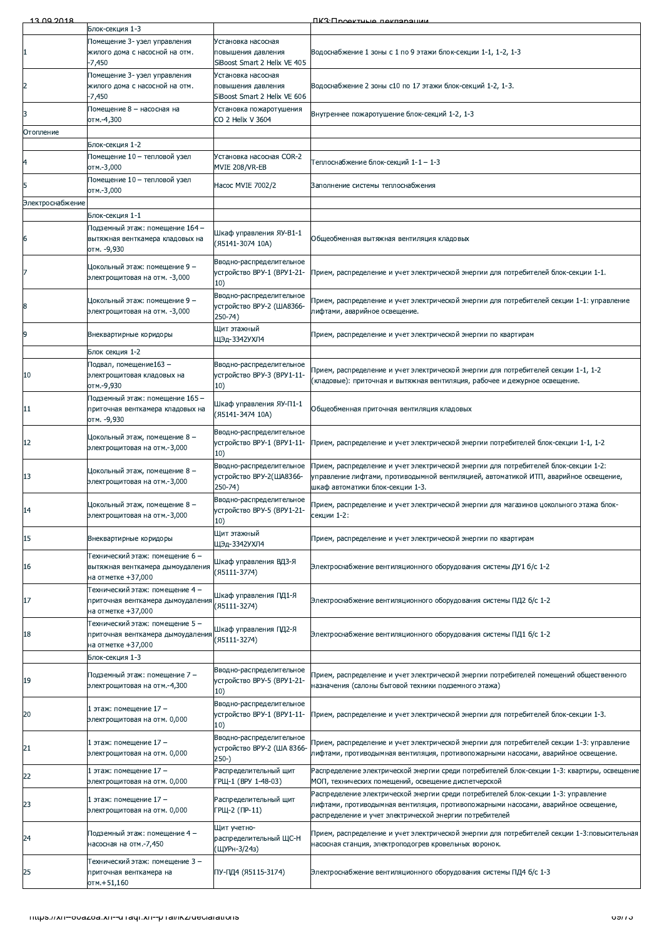| 13.00.2018       |                                                                                            |                                                                          | <b><i><u>IK3: Проектные пекларации</u></i></b>                                                                                                                                                                                      |
|------------------|--------------------------------------------------------------------------------------------|--------------------------------------------------------------------------|-------------------------------------------------------------------------------------------------------------------------------------------------------------------------------------------------------------------------------------|
|                  | Блок-секция 1-3                                                                            |                                                                          |                                                                                                                                                                                                                                     |
|                  | Помещение 3- узел управления<br>жилого дома с насосной на отм.<br>-7,450                   | Установка насосная<br>повышения давления<br>SiBoost Smart 2 Helix VE 405 | Водоснабжение 1 зоны с 1 по 9 этажи блок-секции 1-1, 1-2, 1-3                                                                                                                                                                       |
| $\overline{2}$   | Помещение 3- узел управления<br>жилого дома с насосной на отм.<br>$-7,450$                 | Установка насосная<br>повышения давления<br>SiBoost Smart 2 Helix VE 606 | Водоснабжение 2 зоны с10 по 17 этажи блок-секций 1-2, 1-3.                                                                                                                                                                          |
| 3                | Помещение 8 - насосная на<br>отм.-4,300                                                    | Установка пожаротушения<br>CO 2 Helix V 3604                             | Внутреннее пожаротушение блок-секций 1-2, 1-3                                                                                                                                                                                       |
| Отопление        |                                                                                            |                                                                          |                                                                                                                                                                                                                                     |
|                  | Блок-секция 1-2                                                                            |                                                                          |                                                                                                                                                                                                                                     |
| 4                | Помещение 10 – тепловой узел<br>отм.-3,000                                                 | Установка насосная COR-2<br>MVIE 208/VR-EB                               | Теплоснабжение блок-секций 1-1 – 1-3                                                                                                                                                                                                |
| 5                | Помещение 10 - тепловой узел<br>отм.-3,000                                                 | Hacoc MVIE 7002/2                                                        | Заполнение системы теплоснабжения                                                                                                                                                                                                   |
| Электроснабжение |                                                                                            |                                                                          |                                                                                                                                                                                                                                     |
|                  | Блок-секция 1-1                                                                            |                                                                          |                                                                                                                                                                                                                                     |
| 6                | Подземный этаж: помещение 164 –<br>вытяжная венткамера кладовых на<br>отм. -9,930          | Шкаф управления ЯУ-В1-1<br>(A5141-3074 10A)                              | Общеобменная вытяжная вентиляция кладовых                                                                                                                                                                                           |
|                  | Цокольный этаж: помещение 9 –<br>электрощитовая на отм. - 3,000                            | Вводно-распределительное<br>устройство BPY-1 (BPY1-21-<br>10)            | Прием, распределение и учет электрической энергии для потребителей блок-секции 1-1.                                                                                                                                                 |
| 8                | Цокольный этаж: помещение 9 –<br>электрощитовая на отм. -3,000                             | Вводно-распределительное<br>устройство ВРУ-2 (ША8366-<br>250-74)         | Прием, распределение и учет электрической энергии для потребителей секции 1-1: управление<br>лифтами, аварийное освещение.                                                                                                          |
| 9                | Внеквартирные коридоры                                                                     | Щит этажный<br>ЩЭд-3342УХЛ4                                              | Трием, распределение и учет электрической энергии по квартирам                                                                                                                                                                      |
|                  | Блок секция 1-2                                                                            |                                                                          |                                                                                                                                                                                                                                     |
| 10               | Подвал, помещение163 –<br>электрощитовая кладовых на<br>отм.-9,930                         | Вводно-распределительное<br>устройство ВРУ-3 (BPУ1-11-<br>10)            | Прием, распределение и учет электрической энергии для потребителей секции 1-1, 1-2<br>(кладовые): приточная и вытяжная вентиляция, рабочее и дежурное освещение.                                                                    |
| 11               | Подземный этаж: помещение 165 -<br>приточная венткамера кладовых на<br>отм. -9,930         | Шкаф управления ЯУ-П1-1<br>(A5141-3474 10A)                              | Общеобменная приточная вентиляция кладовых                                                                                                                                                                                          |
| 12               | Цокольный этаж, помещение 8 –<br>электрощитовая на отм.-3,000                              | Вводно-распределительное<br>устройство ВРУ-1 (ВРУ1-11-<br>10)            | Прием, распределение и учет электрической энергии потребителей блок-секции 1-1, 1-2                                                                                                                                                 |
| 13               | Цокольный этаж, помещение 8 –<br>электрощитовая на отм.-3,000                              | Вводно-распределительное<br>устройство ВРУ-2(ША8366-<br>250-74)          | Прием, распределение и учет электрической энергии для потребителей блок-секции 1-2:<br>управление лифтами, противодымной вентиляцией, автоматикой ИТП, аварийное освещение,<br>шкаф автоматики блок-секции 1-3.                     |
| 14               | Цокольный этаж, помещение 8 -<br>электрощитовая на отм.-3,000                              | Вводно-распределительное<br>устройство ВРУ-5 (ВРУ1-21-<br>10)            | Прием, распределение и учет электрической энергии для магазинов цокольного этажа блок-<br>секции 1-2:                                                                                                                               |
| 15               | Внеквартирные коридоры                                                                     | Щит этажный<br>ЩЭд-3342УХЛ4                                              | Прием, распределение и учет электрической энергии по квартирам                                                                                                                                                                      |
| 16               | Технический этаж: помещение 6 –<br>вытяжная венткамера дымоудаления<br>на отметке +37,000  | Шкаф управления ВДЗ-Я<br>(Я5111-3774)                                    | Электроснабжение вентиляционного оборудования системы ДУ1 б/с 1-2                                                                                                                                                                   |
| 17               | Технический этаж: помещение 4 –<br>приточная венткамера дымоудаления<br>на отметке +37,000 | Шкаф управления ПД1-Я<br>(Я5111-3274)                                    | Электроснабжение вентиляционного оборудования системы ПД2 6/с 1-2                                                                                                                                                                   |
| 18               | Технический этаж: помещение 5 –<br>приточная венткамера дымоудаления<br>на отметке +37,000 | Шкаф управления ПД2-Я<br>(Я5111-3274)                                    | Электроснабжение вентиляционного оборудования системы ПД1 б/с 1-2                                                                                                                                                                   |
|                  | Блок-секция 1-3                                                                            |                                                                          |                                                                                                                                                                                                                                     |
| 19               | Подземный этаж: помещение 7 –<br>электрощитовая на отм.-4,300                              | Вводно-распределительное<br>устройство ВРУ-5 (ВРУ1-21-<br>10)            | Прием, распределение и учет электрической энергии потребителей помещений общественного<br>назначения (салоны бытовой техники подземного этажа)                                                                                      |
| 20               | 1 этаж: помещение 17 –<br>электрощитовая на отм. 0,000                                     | Вводно-распределительное<br>устройство ВРУ-1 (ВРУ1-11-<br>10)            | Прием, распределение и учет электрической энергии для потребителей блок-секции 1-3.                                                                                                                                                 |
| 21               | 1 этаж: помещение 17 –<br>электрощитовая на отм. 0,000                                     | Вводно-распределительное<br>устройство ВРУ-2 (ША 8366-<br>$250-$         | Прием, распределение и учет электрической энергии для потребителей секции 1-3: управление<br>лифтами, противодымная вентиляция, противопожарными насосами, аварийное освещение.                                                     |
| 22               | 1 этаж: помещение 17 –<br>электрощитовая на отм. 0,000                                     | Распределительный щит<br>ГРЩ-1 (ВРУ 1-48-03)                             | Распределение электрической энергии среди потребителей блок-секции 1-3: квартиры, освещение<br>МОП, технических помещений, освещение диспетчерской                                                                                  |
| 23               | 1 этаж: помещение 17 –<br>электрощитовая на отм. 0,000                                     | Распределительный щит<br>ГРЩ-2 (ПР-11)                                   | Распределение электрической энергии среди потребителей блок-секции 1-3: управление<br>лифтами, противодымная вентиляция, противопожарными насосами, аварийное освещение,<br>распределение и учет электрической энергии потребителей |
| 24               | Подземный этаж: помещение 4 –<br>насосная на отм.-7,450                                    | Щит учетно-<br>распределительный ЩС-Н<br>(ЩУРн-3/24з)                    | Прием, распределение и учет электрической энергии для потребителей секции 1-3:повысительная<br>насосная станция, электроподогрев кровельных воронок.                                                                                |
| 25               | Технический этаж: помещение 3 –<br>приточная венткамера на<br>отм.+51,160                  | ПУ-ПД4 (Я5115-3174)                                                      | Электроснабжение вентиляционного оборудования системы ПД4 б/с 1-3                                                                                                                                                                   |
|                  | Thttps.//xn--ovazoa.xn--unaqi.xn--phai/ikz/declarations                                    |                                                                          | <u>oan o</u>                                                                                                                                                                                                                        |
|                  |                                                                                            |                                                                          |                                                                                                                                                                                                                                     |
|                  |                                                                                            |                                                                          |                                                                                                                                                                                                                                     |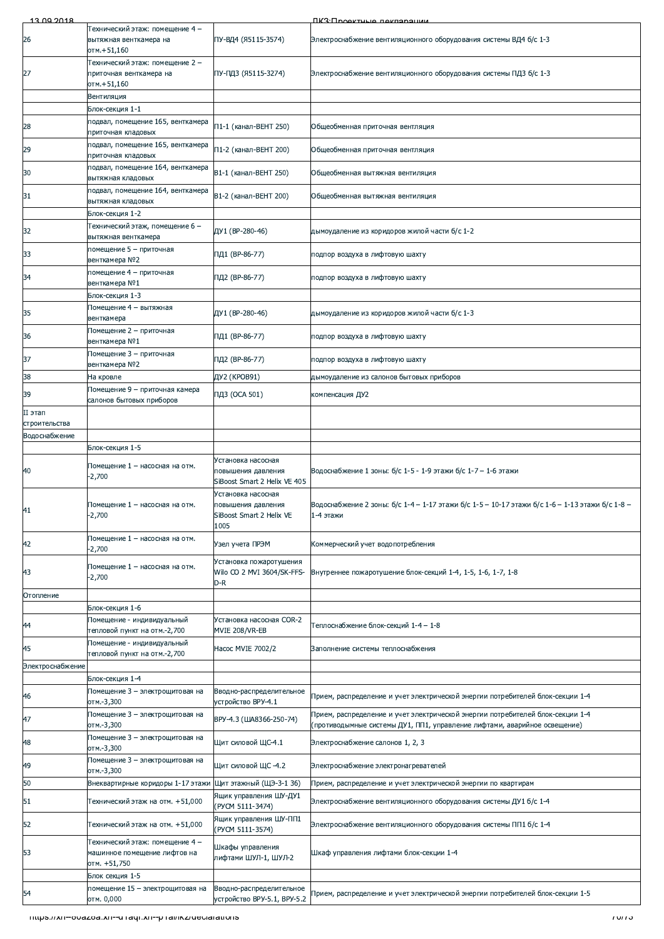| 13.00.2018               |                                                                                   |                                                                              | ПКЗ:Проектична паклярации                                                                                     |
|--------------------------|-----------------------------------------------------------------------------------|------------------------------------------------------------------------------|---------------------------------------------------------------------------------------------------------------|
| 26                       | Технический этаж: помещение 4 –<br>вытяжная венткамера на<br>отм.+51,160          | ПУ-ВД4 (Я5115-3574)                                                          | Электроснабжение вентиляционного оборудования системы ВД4 б/с 1-3                                             |
| 27                       | Технический этаж: помещение 2 –<br>приточная венткамера на<br>отм.+51,160         | ПУ-ПДЗ (Я5115-3274)                                                          | Электроснабжение вентиляционного оборудования системы ПДЗ б/с 1-3                                             |
|                          | Вентиляция                                                                        |                                                                              |                                                                                                               |
|                          | Блок-секция 1-1                                                                   |                                                                              |                                                                                                               |
| 28                       | подвал, помещение 165, венткамера<br>приточная кладовых                           | П1-1 (канал-ВЕНТ 250)                                                        | Общеобменная приточная вентляция                                                                              |
| 29                       | подвал, помещение 165, венткамера<br>приточная кладовых                           | П1-2 (канал-ВЕНТ 200)                                                        | Общеобменная приточная вентляция                                                                              |
| 30                       | подвал, помещение 164, венткамера<br>вытяжная кладовых                            | B1-1 (канал-BEHT 250)                                                        | Общеобменная вытяжная вентиляция                                                                              |
| 31                       | подвал, помещение 164, венткамера<br>вытяжная кладовых                            | B1-2 (канал-ВЕНТ 200)                                                        | Общеобменная вытяжная вентиляция                                                                              |
|                          | Блок-секция 1-2                                                                   |                                                                              |                                                                                                               |
| 32                       | Технический этаж, помещение 6 –<br>вытяжная венткамера<br>помещение 5 – приточная | ДУ1 (ВР-280-46)                                                              | дымоудаление из коридоров жилой части б/с 1-2                                                                 |
| 33                       | венткамера №2                                                                     | ПД1 (ВР-86-77)                                                               | подпор воздуха в лифтовую шахту                                                                               |
| 34                       | помещение 4 – приточная<br>венткамера №1                                          | ПД2 (ВР-86-77)                                                               | подпор воздуха в лифтовую шахту                                                                               |
|                          | Блок-секция 1-3                                                                   |                                                                              |                                                                                                               |
| 35                       | Помещение 4 – вытяжная<br>венткамера                                              | ДУ1 (ВР-280-46)                                                              | дымоудаление из коридоров жилой части б/с 1-3                                                                 |
| 36                       | Помещение 2 - приточная<br>венткамера №1                                          | ПД1 (ВР-86-77)                                                               | подпор воздуха в лифтовую шахту                                                                               |
| 37                       | Помещение 3 - приточная<br>венткамера №2                                          | ПД2 (ВР-86-77)                                                               | подпор воздуха в лифтовую шахту                                                                               |
| 38                       | На кровле                                                                         | ДУ2 (КРОВ91)                                                                 | дымоудаление из салонов бытовых приборов                                                                      |
| 39                       | Помещение 9 - приточная камера                                                    | ПДЗ (ОСА 501)                                                                | компенсация ДУ2                                                                                               |
|                          | салонов бытовых приборов                                                          |                                                                              |                                                                                                               |
| II этап<br>строительства |                                                                                   |                                                                              |                                                                                                               |
| Водоснабжение            |                                                                                   |                                                                              |                                                                                                               |
|                          | Блок-секция 1-5                                                                   |                                                                              |                                                                                                               |
| 40                       | Помещение 1 – насосная на отм.<br>$-2,700$                                        | Установка насосная<br>повышения давления<br>SiBoost Smart 2 Helix VE 405     | Водоснабжение 1 зоны: б/с 1-5 - 1-9 этажи б/с 1-7 - 1-6 этажи                                                 |
| 41                       | Помещение 1 – насосная на отм.<br>$-2,700$                                        | Установка насосная<br>повышения давления<br>SiBoost Smart 2 Helix VE<br>1005 | Водоснабжение 2 зоны: б/с 1-4 - 1-17 этажи б/с 1-5 - 10-17 этажи б/с 1-6 - 1-13 этажи б/с 1-8 -<br>1-4 этажи  |
| 42                       | Помещение 1 - насосная на отм.<br>$-2,700$                                        | Узел учета ПРЭМ                                                              | Коммерческий учет водопотребления                                                                             |
| 43                       | Помещение 1 – насосная на отм.<br>$-2,700$                                        | Установка пожаротушения<br>Wilo CO 2 MVI 3604/SK-FFS-<br>D-R                 | Внутреннее пожаротушение блок-секций 1-4, 1-5, 1-6, 1-7, 1-8                                                  |
| Отопление                |                                                                                   |                                                                              |                                                                                                               |
|                          | Блок-секция 1-6                                                                   |                                                                              |                                                                                                               |
| 44                       | Помещение - индивидуальный<br>тепловой пункт на отм.-2,700                        | Установка насосная COR-2<br>MVIE 208/VR-EB                                   | Теплоснабжение блок-секций 1-4 - 1-8                                                                          |
| 45                       | Помещение - индивидуальный<br>тепловой пункт на отм.-2,700                        | Hacoc MVIE 7002/2                                                            | Заполнение системы теплоснабжения                                                                             |
| Электроснабжение         |                                                                                   |                                                                              |                                                                                                               |
| 46                       | Блок-секция 1-4<br>Помещение 3 - электрощитовая на<br>отм.-3,300                  | Вводно-распределительное<br>устройство ВРУ-4.1                               | Прием, распределение и учет электрической энергии потребителей блок-секции 1-4                                |
| 47                       | Помещение 3 - электрощитовая на                                                   | ВРУ-4.3 (ША8366-250-74)                                                      | Прием, распределение и учет электрической энергии потребителей блок-секции 1-4                                |
| 48                       | отм.-3,300<br>Помещение 3 – электрощитовая на                                     | Щит силовой ЩС-4.1                                                           | (противодымные системы ДУ1, ПП1, управление лифтами, аварийное освещение)<br>Электроснабжение салонов 1, 2, 3 |
|                          | отм.-3,300<br>Помещение 3 – электрощитовая на                                     |                                                                              |                                                                                                               |
| 49                       | отм.-3,300                                                                        | Щит силовой ЩС -4.2                                                          | Электроснабжение электронагревателей                                                                          |
| 50                       | Внеквартирные коридоры 1-17 этажи Щит этажный (ЩЭ-3-1 36)                         | Ящик управления ШУ-ДУ1                                                       | Прием, распределение и учет электрической энергии по квартирам                                                |
| 51                       | Технический этаж на отм. +51,000                                                  | (PYCM 5111-3474)                                                             | Электроснабжение вентиляционного оборудования системы ДУ1 б/с 1-4                                             |
| 52                       | Технический этаж на отм. +51,000                                                  | Ящик управления ШУ-ПП1<br>(PYCM 5111-3574)                                   | Электроснабжение вентиляционного оборудования системы ПП1 б/с 1-4                                             |
| 53                       | Технический этаж: помещение 4 -<br>машинное помещение лифтов на<br>отм. +51,750   | Шкафы управления<br>лифтами ШУЛ-1, ШУЛ-2                                     | Шкаф управления лифтами блок-секции 1-4                                                                       |
|                          | Блок секция 1-5                                                                   |                                                                              |                                                                                                               |
| 54                       | помещение 15 – электрощитовая на<br>отм. 0,000                                    | Вводно-распределительное<br>устройство BPY-5.1, BPY-5.2                      | Трием, распределение и учет электрической энергии потребителей блок-секции 1-5                                |
|                          | Thups.//xn--ovazoa.xn--u rayi.xn--p rai/ikz/deciarations                          |                                                                              | ב זוט ז                                                                                                       |
|                          |                                                                                   |                                                                              |                                                                                                               |
|                          |                                                                                   |                                                                              |                                                                                                               |
|                          |                                                                                   |                                                                              |                                                                                                               |
|                          |                                                                                   |                                                                              |                                                                                                               |
|                          |                                                                                   |                                                                              |                                                                                                               |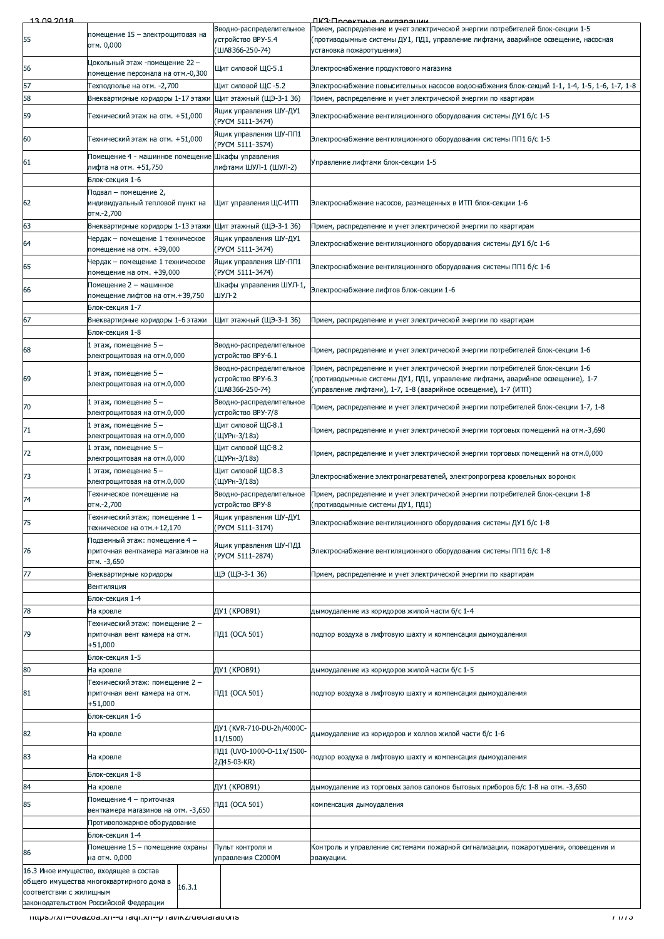| 13.00.2018              |                                                                                    |                                                                   | <b><i><u>RK3: Проектице пекларации</u></i></b>                                                                                                                                                   |
|-------------------------|------------------------------------------------------------------------------------|-------------------------------------------------------------------|--------------------------------------------------------------------------------------------------------------------------------------------------------------------------------------------------|
| 55                      | помещение 15 - электрощитовая на<br>отм. 0,000                                     | Вводно-распределительное<br>устройство ВРУ-5.4<br>(ША8366-250-74) | Прием, распределение и учет электрической энергии потребителей блок-секции 1-5<br>(противодымные системы ДУ1, ПД1, управление лифтами, аварийное освещение, насосная<br>установка пожаротушения) |
| 56                      | Цокольный этаж -помещение 22 –<br>помещение персонала на отм.-0,300                | Щит силовой ЩС-5.1                                                | Электроснабжение продуктового магазина                                                                                                                                                           |
| 57                      | Техподполье на отм. - 2,700                                                        | Щит силовой ЩС -5.2                                               | Электроснабжение повысительных насосов водоснабжения блок-секций 1-1, 1-4, 1-5, 1-6, 1-7, 1-8                                                                                                    |
| 58                      | Внеквартирные коридоры 1-17 этажи                                                  | Щит этажный (ЩЭ-3-1 36)                                           | Прием, распределение и учет электрической энергии по квартирам                                                                                                                                   |
| 59                      | Технический этаж на отм. +51,000                                                   | Ящик управления ШУ-ДУ1<br>(PYCM 5111-3474)                        | Электроснабжение вентиляционного оборудования системы ДУ1 б/с 1-5                                                                                                                                |
| 60                      | Технический этаж на отм. +51,000                                                   | Ящик управления ШУ-ПП1<br>(PYCM 5111-3574)                        | Электроснабжение вентиляционного оборудования системы ПП1 б/с 1-5                                                                                                                                |
| 61                      | Помещение 4 - машинное помещение Шкафы управления<br>лифта на отм. +51,750         | лифтами ШУЛ-1 (ШУЛ-2)                                             | Управление лифтами блок-секции 1-5                                                                                                                                                               |
|                         | Блок-секция 1-6                                                                    |                                                                   |                                                                                                                                                                                                  |
| 62                      | Подвал – помещение 2,<br>индивидуальный тепловой пункт на<br>отм.-2,700            | Щит управления ЩС-ИТП                                             | Электроснабжение насосов, размещенных в ИТП блок-секции 1-6                                                                                                                                      |
| 63                      | Внеквартирные коридоры 1-13 этажи                                                  | Щит этажный (ЩЭ-3-1 36)                                           | Прием, распределение и учет электрической энергии по квартирам                                                                                                                                   |
| 64                      | Чердак – помещение 1 техническое<br>помещение на отм. +39,000                      | Ящик управления ШУ-ДУ1<br>(PYCM 5111-3474)                        | Электроснабжение вентиляционного оборудования системы ДУ1 б/с 1-6                                                                                                                                |
| 65                      | Чердак - помещение 1 техническое<br>помещение на отм. +39,000                      | Ящик управления ШУ-ПП1<br>(PYCM 5111-3474)                        | Электроснабжение вентиляционного оборудования системы ПП1 б/с 1-6                                                                                                                                |
| 66                      | Помещение 2 - машинное                                                             | Шкафы управления ШУЛ-1,                                           | Электроснабжение лифтов блок-секции 1-6                                                                                                                                                          |
|                         | помещение лифтов на отм.+39,750<br>Блок-секция 1-7                                 | ШУЛ-2                                                             |                                                                                                                                                                                                  |
| 67                      | Внеквартирные коридоры 1-6 этажи<br>Блок-секция 1-8                                | Щит этажный (ЩЭ-3-1 36)                                           | Трием, распределение и учет электрической энергии по квартирам                                                                                                                                   |
|                         | 1 этаж, помещение 5 –                                                              | Вводно-распределительное                                          |                                                                                                                                                                                                  |
| 68                      | электрощитовая на отм.0,000                                                        | устройство ВРУ-6.1<br>Вводно-распределительное                    | Прием, распределение и учет электрической энергии потребителей блок-секции 1-6<br>Прием, распределение и учет электрической энергии потребителей блок-секции 1-6                                 |
| 69                      | 1 этаж, помещение 5 –<br>электрощитовая на отм.0,000                               | устройство ВРУ-6.3<br>(ША8366-250-74)                             | (противодымные системы ДУ1, ПД1, управление лифтами, аварийное освещение), 1-7<br>(управление лифтами), 1-7, 1-8 (аварийное освещение), 1-7 (ИТП)                                                |
| 70                      | 1 этаж, помещение 5 –<br>электрощитовая на отм.0,000                               | Вводно-распределительное<br>устройство ВРУ-7/8                    | Прием, распределение и учет электрической энергии потребителей блок-секции 1-7, 1-8                                                                                                              |
| 71                      | 1 этаж, помещение 5 –<br>электрощитовая на отм.0,000                               | Щит силовой ЩС-8.1<br>(ЩУРн-3/18з)                                | Прием, распределение и учет электрической энергии торговых помещений на отм.-3,690                                                                                                               |
| 72                      | 1 этаж, помещение 5 –<br>электрощитовая на отм.0,000                               | Щит силовой ЩС-8.2<br>(ЩУРн-3/18з)                                | Прием, распределение и учет электрической энергии торговых помещений на отм.0,000                                                                                                                |
| 73                      | 1 этаж, помещение 5 -                                                              | Щит силовой ЩС-8.3                                                | Электроснабжение электронагревателей, электропрогрева кровельных воронок                                                                                                                         |
| 74                      | электрощитовая на отм.0,000<br>Техническое помещение на                            | (ЩУРн-3/18з)<br>Вводно-распределительное                          | Трием, распределение и учет электрической энергии потребителей блок-секции 1-8                                                                                                                   |
|                         | отм.-2,700<br>Технический этаж; помещение 1 -                                      | устройство ВРУ-8<br>Ящик управления ШУ-ДУ1                        | (противодымные системы ДУ1, ПД1)                                                                                                                                                                 |
| 75                      | гехническое на отм.+12,170<br>Подземный этаж: помещение 4 –                        | (PYCM 5111-3174)                                                  | Электроснабжение вентиляционного оборудования системы ДУ1 б/с 1-8                                                                                                                                |
| 76                      | приточная венткамера магазинов на<br>отм. -3,650                                   | Ящик управления ШУ-ПД1<br>(PYCM 5111-2874)                        | Электроснабжение вентиляционного оборудования системы ПП1 6/с 1-8                                                                                                                                |
| 77                      | Внеквартирные коридоры                                                             | ЩЭ (ЩЭ-3-1 36)                                                    | Прием, распределение и учет электрической энергии по квартирам                                                                                                                                   |
|                         | Вентиляция                                                                         |                                                                   |                                                                                                                                                                                                  |
| 78                      | Блок-секция 1-4<br>На кровле                                                       | ДУ1 (КРОВ91)                                                      | дымоудаление из коридоров жилой части б/с 1-4                                                                                                                                                    |
|                         | Технический этаж: помещение 2 –                                                    |                                                                   |                                                                                                                                                                                                  |
| 79                      | приточная вент камера на отм.<br>+51,000                                           | ПД1 (ОСА 501)                                                     | подпор воздуха в лифтовую шахту и компенсация дымоудаления                                                                                                                                       |
| 80                      | Блок-секция 1-5<br>На кровле                                                       | ДУ1 (КРОВ91)                                                      | дымоудаление из коридоров жилой части б/с 1-5                                                                                                                                                    |
|                         | Технический этаж: помещение 2 –                                                    |                                                                   |                                                                                                                                                                                                  |
| 81                      | приточная вент камера на отм.<br>+51,000<br>Блок-секция 1-6                        | ПД1 (ОСА 501)                                                     | подпор воздуха в лифтовую шахту и компенсация дымоудаления                                                                                                                                       |
| 82                      | На кровле                                                                          | ДУ1 (KVR-710-DU-2h/4000С-                                         | дымоудаление из коридоров и холлов жилой части б/с 1-6                                                                                                                                           |
| 83                      | На кровле                                                                          | 11/1500)<br>ПД1 (UVO-1000-O-11x/1500-                             | подпор воздуха в лифтовую шахту и компенсация дымоудаления                                                                                                                                       |
|                         |                                                                                    | 2Д45-03-KR)                                                       |                                                                                                                                                                                                  |
| 84                      | Блок-секция 1-8<br>На кровле                                                       | ДУ1 (КРОВ91)                                                      | дымоудаление из торговых залов салонов бытовых приборов б/с 1-8 на отм. -3,650                                                                                                                   |
| 85                      | Помещение 4 - приточная                                                            | ПД1 (ОСА 501)                                                     | компенсация дымоудаления                                                                                                                                                                         |
|                         | венткамера магазинов на отм. -3,650<br>Противопожарное оборудование                |                                                                   |                                                                                                                                                                                                  |
|                         | Блок-секция 1-4                                                                    |                                                                   |                                                                                                                                                                                                  |
| 86                      | Помещение 15 - помещение охраны                                                    | Пульт контроля и                                                  | Контроль и управление системами пожарной сигнализации, пожаротушения, оповещения и                                                                                                               |
|                         | на отм. 0,000                                                                      | управления С2000М                                                 | эвакуации.                                                                                                                                                                                       |
|                         | 16.3 Иное имущество, входящее в состав<br>общего имущества многоквартирного дома в |                                                                   |                                                                                                                                                                                                  |
| соответствии с жилищным | 16.3.1                                                                             |                                                                   |                                                                                                                                                                                                  |
|                         | законодательством Российской Федерации                                             |                                                                   |                                                                                                                                                                                                  |
|                         | mups.//xn--ovazoa.xn--u raqi.xn--p rai/ikz/ueciarations                            |                                                                   | োাতি                                                                                                                                                                                             |
|                         |                                                                                    |                                                                   |                                                                                                                                                                                                  |
|                         |                                                                                    |                                                                   |                                                                                                                                                                                                  |
|                         |                                                                                    |                                                                   |                                                                                                                                                                                                  |
|                         |                                                                                    |                                                                   |                                                                                                                                                                                                  |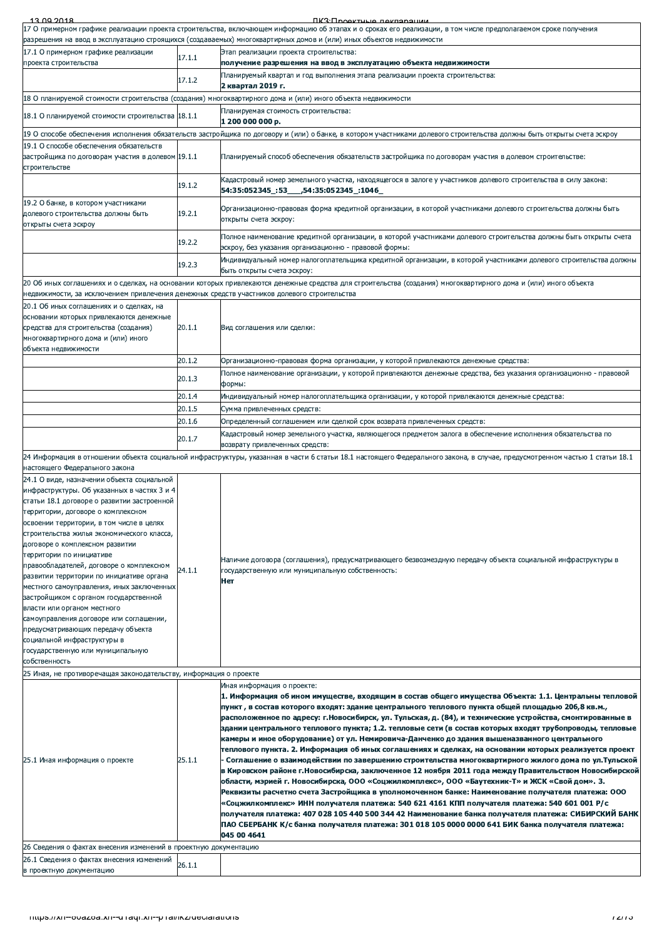| 17 О примерном графике реализации проекта строительства, включающем информацию об этапах и о сроках его реализации, в том числе предполагаемом сроке получения<br>разрешения на ввод в эксплуатацию строящихся (создаваемых) многоквартирных домов и (или) иных объектов недвижимости<br>Этап реализации проекта строительства:<br>получение разрешения на ввод в эксплуатацию объекта недвижимости<br>Планируемый квартал и год выполнения этапа реализации проекта строительства:<br>18 О планируемой стоимости строительства (создания) многоквартирного дома и (или) иного объекта недвижимости<br>Планируемая стоимость строительства:<br>19 О способе обеспечения исполнения обязательств застройщика по договору и (или) о банке, в котором участниками долевого строительства должны быть открыты счета эскроу<br>Планируемый способ обеспечения обязательств застройщика по договорам участия в долевом строительстве:<br>Кадастровый номер земельного участка, находящегося в залоге у участников долевого строительства в силу закона:<br>54:35:052345 .53 .54:35:052345 .1046<br>Организационно-правовая форма кредитной организации, в которой участниками долевого строительства должны быть<br>открыты счета эскроу:<br>Полное наименование кредитной организации, в которой участниками долевого строительства должны быть открыты счета<br>эскроу, без указания организационно - правовой формы:<br>Индивидуальный номер налогоплательщика кредитной организации, в которой участниками долевого строительства должны<br>быть открыты счета эскроу:<br>20 Об иных соглашениях и о сделках, на основании которых привлекаются денежные средства для строительства (создания) многоквартирного дома и (или) иного объекта<br>недвижимости, за исключением привлечения денежных средств участников долевого строительства<br>Вид соглашения или сделки: |
|-----------------------------------------------------------------------------------------------------------------------------------------------------------------------------------------------------------------------------------------------------------------------------------------------------------------------------------------------------------------------------------------------------------------------------------------------------------------------------------------------------------------------------------------------------------------------------------------------------------------------------------------------------------------------------------------------------------------------------------------------------------------------------------------------------------------------------------------------------------------------------------------------------------------------------------------------------------------------------------------------------------------------------------------------------------------------------------------------------------------------------------------------------------------------------------------------------------------------------------------------------------------------------------------------------------------------------------------------------------------------------------------------------------------------------------------------------------------------------------------------------------------------------------------------------------------------------------------------------------------------------------------------------------------------------------------------------------------------------------------------------------------------------------------------------------------------------------------------------------------------|
|                                                                                                                                                                                                                                                                                                                                                                                                                                                                                                                                                                                                                                                                                                                                                                                                                                                                                                                                                                                                                                                                                                                                                                                                                                                                                                                                                                                                                                                                                                                                                                                                                                                                                                                                                                                                                                                                       |
|                                                                                                                                                                                                                                                                                                                                                                                                                                                                                                                                                                                                                                                                                                                                                                                                                                                                                                                                                                                                                                                                                                                                                                                                                                                                                                                                                                                                                                                                                                                                                                                                                                                                                                                                                                                                                                                                       |
|                                                                                                                                                                                                                                                                                                                                                                                                                                                                                                                                                                                                                                                                                                                                                                                                                                                                                                                                                                                                                                                                                                                                                                                                                                                                                                                                                                                                                                                                                                                                                                                                                                                                                                                                                                                                                                                                       |
|                                                                                                                                                                                                                                                                                                                                                                                                                                                                                                                                                                                                                                                                                                                                                                                                                                                                                                                                                                                                                                                                                                                                                                                                                                                                                                                                                                                                                                                                                                                                                                                                                                                                                                                                                                                                                                                                       |
|                                                                                                                                                                                                                                                                                                                                                                                                                                                                                                                                                                                                                                                                                                                                                                                                                                                                                                                                                                                                                                                                                                                                                                                                                                                                                                                                                                                                                                                                                                                                                                                                                                                                                                                                                                                                                                                                       |
|                                                                                                                                                                                                                                                                                                                                                                                                                                                                                                                                                                                                                                                                                                                                                                                                                                                                                                                                                                                                                                                                                                                                                                                                                                                                                                                                                                                                                                                                                                                                                                                                                                                                                                                                                                                                                                                                       |
|                                                                                                                                                                                                                                                                                                                                                                                                                                                                                                                                                                                                                                                                                                                                                                                                                                                                                                                                                                                                                                                                                                                                                                                                                                                                                                                                                                                                                                                                                                                                                                                                                                                                                                                                                                                                                                                                       |
|                                                                                                                                                                                                                                                                                                                                                                                                                                                                                                                                                                                                                                                                                                                                                                                                                                                                                                                                                                                                                                                                                                                                                                                                                                                                                                                                                                                                                                                                                                                                                                                                                                                                                                                                                                                                                                                                       |
|                                                                                                                                                                                                                                                                                                                                                                                                                                                                                                                                                                                                                                                                                                                                                                                                                                                                                                                                                                                                                                                                                                                                                                                                                                                                                                                                                                                                                                                                                                                                                                                                                                                                                                                                                                                                                                                                       |
|                                                                                                                                                                                                                                                                                                                                                                                                                                                                                                                                                                                                                                                                                                                                                                                                                                                                                                                                                                                                                                                                                                                                                                                                                                                                                                                                                                                                                                                                                                                                                                                                                                                                                                                                                                                                                                                                       |
|                                                                                                                                                                                                                                                                                                                                                                                                                                                                                                                                                                                                                                                                                                                                                                                                                                                                                                                                                                                                                                                                                                                                                                                                                                                                                                                                                                                                                                                                                                                                                                                                                                                                                                                                                                                                                                                                       |
|                                                                                                                                                                                                                                                                                                                                                                                                                                                                                                                                                                                                                                                                                                                                                                                                                                                                                                                                                                                                                                                                                                                                                                                                                                                                                                                                                                                                                                                                                                                                                                                                                                                                                                                                                                                                                                                                       |
|                                                                                                                                                                                                                                                                                                                                                                                                                                                                                                                                                                                                                                                                                                                                                                                                                                                                                                                                                                                                                                                                                                                                                                                                                                                                                                                                                                                                                                                                                                                                                                                                                                                                                                                                                                                                                                                                       |
|                                                                                                                                                                                                                                                                                                                                                                                                                                                                                                                                                                                                                                                                                                                                                                                                                                                                                                                                                                                                                                                                                                                                                                                                                                                                                                                                                                                                                                                                                                                                                                                                                                                                                                                                                                                                                                                                       |
|                                                                                                                                                                                                                                                                                                                                                                                                                                                                                                                                                                                                                                                                                                                                                                                                                                                                                                                                                                                                                                                                                                                                                                                                                                                                                                                                                                                                                                                                                                                                                                                                                                                                                                                                                                                                                                                                       |
|                                                                                                                                                                                                                                                                                                                                                                                                                                                                                                                                                                                                                                                                                                                                                                                                                                                                                                                                                                                                                                                                                                                                                                                                                                                                                                                                                                                                                                                                                                                                                                                                                                                                                                                                                                                                                                                                       |
|                                                                                                                                                                                                                                                                                                                                                                                                                                                                                                                                                                                                                                                                                                                                                                                                                                                                                                                                                                                                                                                                                                                                                                                                                                                                                                                                                                                                                                                                                                                                                                                                                                                                                                                                                                                                                                                                       |
| Организационно-правовая форма организации, у которой привлекаются денежные средства:                                                                                                                                                                                                                                                                                                                                                                                                                                                                                                                                                                                                                                                                                                                                                                                                                                                                                                                                                                                                                                                                                                                                                                                                                                                                                                                                                                                                                                                                                                                                                                                                                                                                                                                                                                                  |
| Полное наименование организации, у которой привлекаются денежные средства, без указания организационно - правовой                                                                                                                                                                                                                                                                                                                                                                                                                                                                                                                                                                                                                                                                                                                                                                                                                                                                                                                                                                                                                                                                                                                                                                                                                                                                                                                                                                                                                                                                                                                                                                                                                                                                                                                                                     |
| "Индивидуальный номер налогоплательщика организации, у которой привлекаются денежные средства                                                                                                                                                                                                                                                                                                                                                                                                                                                                                                                                                                                                                                                                                                                                                                                                                                                                                                                                                                                                                                                                                                                                                                                                                                                                                                                                                                                                                                                                                                                                                                                                                                                                                                                                                                         |
| Сумма привлеченных средств:                                                                                                                                                                                                                                                                                                                                                                                                                                                                                                                                                                                                                                                                                                                                                                                                                                                                                                                                                                                                                                                                                                                                                                                                                                                                                                                                                                                                                                                                                                                                                                                                                                                                                                                                                                                                                                           |
| Определенный соглашением или сделкой срок возврата привлеченных средств:<br>Кадастровый номер земельного участка, являющегося предметом залога в обеспечение исполнения обязательства по                                                                                                                                                                                                                                                                                                                                                                                                                                                                                                                                                                                                                                                                                                                                                                                                                                                                                                                                                                                                                                                                                                                                                                                                                                                                                                                                                                                                                                                                                                                                                                                                                                                                              |
| возврату привлеченных средств:                                                                                                                                                                                                                                                                                                                                                                                                                                                                                                                                                                                                                                                                                                                                                                                                                                                                                                                                                                                                                                                                                                                                                                                                                                                                                                                                                                                                                                                                                                                                                                                                                                                                                                                                                                                                                                        |
| 24 Информация в отношении объекта социальной инфраструктуры, указанная в части 6 статьи 18.1 настоящего Федерального закона, в случае, предусмотренном частью 1 статьи 18.1                                                                                                                                                                                                                                                                                                                                                                                                                                                                                                                                                                                                                                                                                                                                                                                                                                                                                                                                                                                                                                                                                                                                                                                                                                                                                                                                                                                                                                                                                                                                                                                                                                                                                           |
|                                                                                                                                                                                                                                                                                                                                                                                                                                                                                                                                                                                                                                                                                                                                                                                                                                                                                                                                                                                                                                                                                                                                                                                                                                                                                                                                                                                                                                                                                                                                                                                                                                                                                                                                                                                                                                                                       |
| Наличие договора (соглашения), предусматривающего безвозмездную передачу объекта социальной инфраструктуры в<br>государственную или муниципальную собственность:                                                                                                                                                                                                                                                                                                                                                                                                                                                                                                                                                                                                                                                                                                                                                                                                                                                                                                                                                                                                                                                                                                                                                                                                                                                                                                                                                                                                                                                                                                                                                                                                                                                                                                      |
|                                                                                                                                                                                                                                                                                                                                                                                                                                                                                                                                                                                                                                                                                                                                                                                                                                                                                                                                                                                                                                                                                                                                                                                                                                                                                                                                                                                                                                                                                                                                                                                                                                                                                                                                                                                                                                                                       |
| Иная информация о проекте:<br>1. Информация об ином имуществе, входящим в состав общего имущества Объекта: 1.1. Центральны тепловой                                                                                                                                                                                                                                                                                                                                                                                                                                                                                                                                                                                                                                                                                                                                                                                                                                                                                                                                                                                                                                                                                                                                                                                                                                                                                                                                                                                                                                                                                                                                                                                                                                                                                                                                   |
| пункт, в состав которого входят: здание центрального теплового пункта общей площадью 206,8 кв.м.,<br>расположенное по адресу: г.Новосибирск, ул. Тульская, д. (84), и технические устройства, смонтированные в<br>здании центрального теплового пункта; 1.2. тепловые сети (в состав которых входят трубопроводы, тепловые<br>камеры и иное оборудование) от ул. Немировича-Данченко до здания вышеназванного центрального<br>теплового пункта. 2. Информация об иных соглашениях и сделках, на основании которых реализуется проект<br>Соглашение о взаимодействии по завершению строительства многоквартирного жилого дома по ул. Тульской<br>в Кировском районе г.Новосибирска, заключенное 12 ноября 2011 года между Правительством Новосибирской<br>области, мэрией г. Новосибирска, ООО «Соцжилкомплекс», ООО «Баутехник-Т» и ЖСК «Свой дом». 3.<br>Реквизиты расчетно счета Застройщика в уполномоченном банке: Наименование получателя платежа: ООО<br>«Соцжилкомплекс» ИНН получателя платежа: 540 621 4161 КПП получателя платежа: 540 601 001 Р/с<br>получателя платежа: 407 028 105 440 500 344 42 Наименование банка получателя платежа: СИБИРСКИЙ БАНК<br>ПАО СБЕРБАНК К/с банка получателя платежа: 301 018 105 0000 0000 641 БИК банка получателя платежа:                                                                                                                                                                                                                                                                                                                                                                                                                                                                                                                                                                                            |
|                                                                                                                                                                                                                                                                                                                                                                                                                                                                                                                                                                                                                                                                                                                                                                                                                                                                                                                                                                                                                                                                                                                                                                                                                                                                                                                                                                                                                                                                                                                                                                                                                                                                                                                                                                                                                                                                       |
|                                                                                                                                                                                                                                                                                                                                                                                                                                                                                                                                                                                                                                                                                                                                                                                                                                                                                                                                                                                                                                                                                                                                                                                                                                                                                                                                                                                                                                                                                                                                                                                                                                                                                                                                                                                                                                                                       |
|                                                                                                                                                                                                                                                                                                                                                                                                                                                                                                                                                                                                                                                                                                                                                                                                                                                                                                                                                                                                                                                                                                                                                                                                                                                                                                                                                                                                                                                                                                                                                                                                                                                                                                                                                                                                                                                                       |